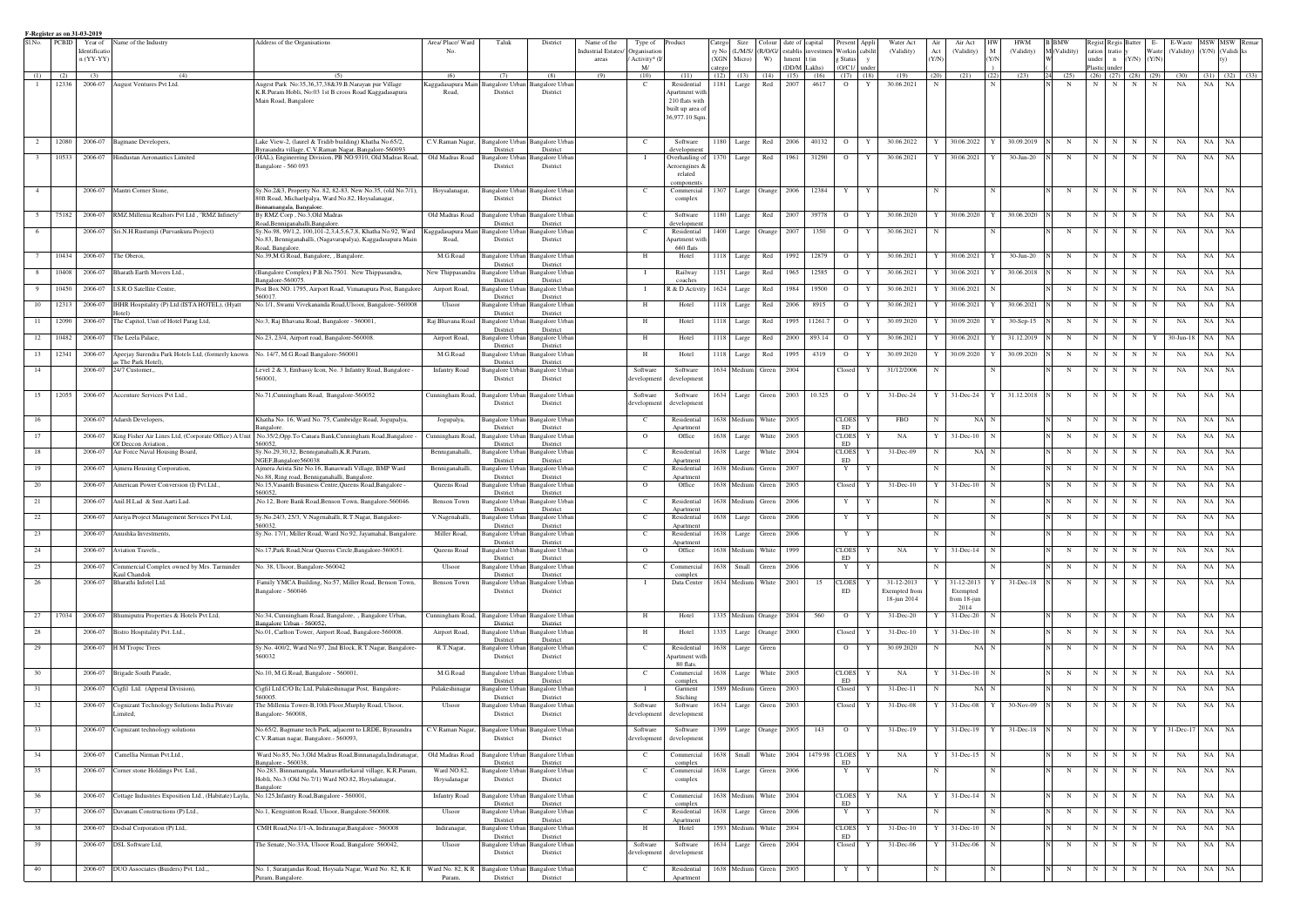|                | F-Register as on 31-03-2019 |                              |                                                               |                                                                                                                  |                           |                                                |                                                 |                                                           |                                                |        |                              |               |                 |                                            |                    |              |                      |              |                        |             |                 |              |                          |                      |       |                           |           |                             |
|----------------|-----------------------------|------------------------------|---------------------------------------------------------------|------------------------------------------------------------------------------------------------------------------|---------------------------|------------------------------------------------|-------------------------------------------------|-----------------------------------------------------------|------------------------------------------------|--------|------------------------------|---------------|-----------------|--------------------------------------------|--------------------|--------------|----------------------|--------------|------------------------|-------------|-----------------|--------------|--------------------------|----------------------|-------|---------------------------|-----------|-----------------------------|
| S1.No.         | <b>PCBID</b>                | Year of                      | Name of the Industry                                          | Address of the Organisations                                                                                     | Area/ Place/ Ward         | Taluk                                          | District                                        | Name of the                                               | Type of Product                                |        | Size                         | .`olour       | date of capital |                                            | Present Appli      |              | Water Act            | Air          | Air Act                |             | <b>HWM</b>      |              | Regist Regis Batter      |                      |       | E-Waste                   | MSW       | MSW Remar                   |
|                |                             | Identificatio<br>$n (YY-YY)$ |                                                               |                                                                                                                  | No.                       |                                                |                                                 | ndustrial Estates<br>Organisation<br>Activity* (<br>areas |                                                |        | ry No (L/M/S/<br>(XGN Micro) | (R/O/G/<br>W) | hment           | establis investmen Workin cabilit<br>t (in | g Status           |              | (Validity)           | Act<br>(Y/N) | (Validity)             | M<br>(Y/N)  | (Validity)      | M (Validity) | ration tratio y<br>under | $n$ (Y/N) (Y/N)      | Waste |                           |           | (Validity) (Y/N) (Validi ks |
|                |                             |                              |                                                               |                                                                                                                  |                           |                                                |                                                 | M/                                                        |                                                | catego |                              |               | (DD/M Lakhs)    |                                            | $(O/C1/$ under     |              |                      |              |                        |             |                 |              | Plastic<br>under         |                      |       |                           |           |                             |
| (1)            | (2)                         | (3)                          |                                                               | (5)                                                                                                              | (6)                       | (7)                                            | (8)                                             | (9)<br>(10)                                               | (11)                                           |        | $(12)$ $(13)$                | (14)          | (15)            | (16)                                       | $(17)$ $(18)$      |              | (19)                 | (20)         | (21)                   | (22)        | (23)            | (25)         | (26)                     | $(27)$ $(28)$ $(29)$ |       | (30)                      | (31)      | $(32)$ $(33)$               |
|                | 12336                       | 2006-07                      | August Ventures Pvt Ltd.                                      | Augest Park No:35,36,37,38&39.B.Narayan pur Village<br>K.R.Puram Hobli, No:03 1st B croos Road Kaggadasapura     | Road,                     | Kaggadasapura Main Bangalore Urban<br>District | angalore Urban<br>District                      | - C                                                       | Residential<br>Apartment wit                   |        | 1181 Large                   | Red           | 2007            | 4617                                       | $\Omega$           | $\mathbf{Y}$ | 30.06.2021           | - N          |                        |             |                 | $_{\rm N}$   | N<br>N                   | N                    | N     | NA                        | NA        | <b>NA</b>                   |
|                |                             |                              |                                                               | Main Road, Bangalore                                                                                             |                           |                                                |                                                 |                                                           | 210 flats with                                 |        |                              |               |                 |                                            |                    |              |                      |              |                        |             |                 |              |                          |                      |       |                           |           |                             |
|                |                             |                              |                                                               |                                                                                                                  |                           |                                                |                                                 |                                                           | built up area o                                |        |                              |               |                 |                                            |                    |              |                      |              |                        |             |                 |              |                          |                      |       |                           |           |                             |
|                |                             |                              |                                                               |                                                                                                                  |                           |                                                |                                                 |                                                           | 36,977.10 Sqm.                                 |        |                              |               |                 |                                            |                    |              |                      |              |                        |             |                 |              |                          |                      |       |                           |           |                             |
|                |                             |                              |                                                               |                                                                                                                  |                           |                                                |                                                 |                                                           |                                                |        |                              |               |                 |                                            |                    |              |                      |              |                        |             |                 |              |                          |                      |       |                           |           |                             |
|                | 12080                       |                              | 2006-07 Bagmane Developers,                                   | Lake View-2, (laurel & Tridib building) Khatha No.65/2,<br>Byrasandra village, C.V.Raman Nagar, Bangalore-560093 |                           | C.V.Raman Nagar, Bangalore Urban               | Bangalore Urba                                  | C.                                                        | Software                                       |        | 1180 Large                   | Red           | 2006            | 40132                                      | $\overline{O}$     | $\mathbf{Y}$ | 30.06.2022           |              | 30.06.2022             |             | 30.09.2019      | N            | N<br>N                   | $\mathbf N$          |       | NA                        | NA        | NA                          |
|                | 10533                       | 2006-07                      | Hindustan Aeronautics Limited                                 | (HAL), Engineering Division, PB NO.9310, Old Madras Road,                                                        | Old Madras Road           | District<br><b>Bangalore Urbar</b>             | District<br>angalore Urbar                      |                                                           | development<br>Overhauling of                  |        | 1370 Large                   | Red           | 1961            | 31290                                      | $\overline{O}$     |              | 30.06.2021           |              | 30.06.2021             |             | $30 - Jun - 20$ | $\mathbf N$  | N  <br>N                 | N                    |       | NA                        | NA        | NA                          |
|                |                             |                              |                                                               | Bangalore - 560 093                                                                                              |                           | District                                       | District                                        |                                                           | Aeroengines &                                  |        |                              |               |                 |                                            |                    |              |                      |              |                        |             |                 |              |                          |                      |       |                           |           |                             |
|                |                             |                              |                                                               |                                                                                                                  |                           |                                                |                                                 |                                                           | related                                        |        |                              |               |                 |                                            |                    |              |                      |              |                        |             |                 |              |                          |                      |       |                           |           |                             |
| $\overline{4}$ |                             |                              | 2006-07 Mantri Corner Stone                                   | Sy.No.2&3, Property No. 82, 82-83, New No.35, (old No.7/1)                                                       | Hoysalanagar,             | <b>Bangalore Urban</b>                         | Bangalore Urba                                  | $\mathbf{C}$                                              | omponent<br>Commercial                         |        | 1307 Large Orange 2006       |               |                 | 12384                                      | Y                  | Y            |                      | $\mathbf N$  |                        | N           |                 | N            | N<br>N                   | $\mathbf N$          |       | NA                        | NA        | NA                          |
|                |                             |                              |                                                               | 80ft Road, Michaelpalya, Ward No.82, Hoysalanagar,                                                               |                           | District                                       | District                                        |                                                           | complex                                        |        |                              |               |                 |                                            |                    |              |                      |              |                        |             |                 |              |                          |                      |       |                           |           |                             |
|                |                             |                              |                                                               | Binnamangala, Bangalore.                                                                                         |                           |                                                |                                                 |                                                           |                                                |        |                              |               |                 |                                            |                    |              |                      |              |                        |             |                 |              |                          |                      |       |                           |           |                             |
|                | 75182                       | 2006-07                      | RMZ.Millenia Realtors Pvt Ltd, "RMZ Infinety"                 | By RMZ Corp, No.3, Old Madras<br>Road, Benniganahalli, Bangalore.                                                |                           | Old Madras Road Bangalore Urban<br>District    | <b>Bangalore Urban</b><br>District              | $\mathbf{C}$                                              | Software<br>developmen                         |        | 1180 Large                   |               | Red 2007        | 39778                                      | $\overline{O}$     | Y            | 30.06.2020           |              | 30.06.2020             | Y           | 30.06.2020      | $\mathbf N$  | N  <br>N                 | N                    |       | NA                        | NA        | <b>NA</b>                   |
|                |                             |                              | 2006-07 Sri.N.H.Rustumji (Purvankura Project)                 | Sy.No.98, 99/1,2, 100,101-2,3,4,5,6,7,8, Khatha No.92, Ward                                                      |                           | Kaggadasapura Main Bangalore Urban             | Bangalore Urban                                 | $\mathbf{C}$                                              | Residential                                    |        | 1400 Large Orange 2007       |               |                 | 1350                                       | $\overline{O}$     | - Y          | 30.06.2021           |              |                        |             |                 | N            | N<br>N                   | N                    |       | NA                        | NA        | NA                          |
|                |                             |                              |                                                               | No.83, Benniganahalli, (Nagavarapalya), Kaggadasapura Main                                                       | Road,                     | District                                       | District                                        |                                                           | Apartment wit                                  |        |                              |               |                 |                                            |                    |              |                      |              |                        |             |                 |              |                          |                      |       |                           |           |                             |
|                | 10434                       | 2006-07                      | The Oberoi.                                                   | Road, Bangalore.<br>No.39,M.G.Road, Bangalore, , Bangalore.                                                      | M.G.Road                  | <b>Bangalore Urbar</b>                         | Bangalore Urba                                  | Н                                                         | 660 flats<br>Hotel                             |        | 1118 Large                   | Red           | 1992            | 12879                                      | $\mathbf{O}$       |              | 30.06.2021           |              | 30.06.2021             |             | $30-Jun-20$     | N            | N I<br>N                 | N                    |       | NA                        | NA        | NA                          |
|                |                             |                              |                                                               |                                                                                                                  |                           | District                                       | District                                        |                                                           |                                                |        |                              |               |                 |                                            |                    |              |                      |              |                        |             |                 |              |                          |                      |       |                           |           |                             |
|                | 10408                       | 2006-07                      | Bharath Earth Movers Ltd                                      | (Bangalore Complex) P.B.No.7501. New Thippasandra,                                                               | New Thippasandra          | <b>Bangalore Urban</b>                         | Bangalore Urba                                  |                                                           | Railway                                        | 1151   | Large                        | Red           | 1965            | 12585                                      | $\mathbf{O}$       |              | 30.06.2021           |              | 30.06.2021             |             | 30.06.2018      | N            | N I<br>N                 |                      |       | NA                        | <b>NA</b> | NA                          |
| - 9            | 10450                       | 2006-07                      | I.S.R.O Satellite Centre.                                     | 3angalore-560075<br>Post Box NO. 1795, Airport Road, Vimanapura Post, Bangalore                                  | Airport Road,             | District<br><b>Bangalore Urban</b>             | District<br>angalore Urbar                      |                                                           | coaches<br>R & D Activity                      |        | 1624 Large                   | Red           | 1984            | 19500                                      | $\mathbf{O}$       |              | 30.06.2021           |              | 30.06.2021             |             |                 | N            | N<br>N                   | -N                   |       | NA                        | <b>NA</b> | NA                          |
|                |                             |                              |                                                               | 560017                                                                                                           |                           | District                                       | District                                        |                                                           |                                                |        |                              |               |                 |                                            |                    |              |                      |              |                        |             |                 |              |                          |                      |       |                           |           |                             |
| 10             | 12313                       |                              | 2006-07 IHHR Hospitality (P) Ltd.(ISTA HOTEL), (Hyatt         | No.1/1, Swami Vivekananda Road, Ulsoor, Bangalore- 560008                                                        | Ulsoor                    | <b>Bangalore Urban</b>                         | angalore Urba                                   |                                                           | Hotel                                          | 1118   | Large                        | Red           | 2006            | 8915                                       | $\mathbf{O}$       |              | 30.06.2021           |              | 30.06.2021             |             | 30.06.2021      |              | N                        |                      |       | NA                        | <b>NA</b> | NA.                         |
| -11            | 12090                       | 2006-07                      | The Capitol, Unit of Hotel Parag Ltd,                         | No:3, Raj Bhavana Road, Bangalore - 560001                                                                       | Raj Bhavana Road          | District<br>Bangalore Urba                     | District<br>ingalore Urba                       | Н                                                         | Hotel                                          |        | 1118 Large                   | Red           | 1995            | 11261.7                                    | $\mathbf{O}$       |              | 30.09.2020           |              | 30.09.2020             |             | 30-Sep-15       | N            | N I                      |                      |       | NA                        | NA        | NA                          |
|                |                             |                              |                                                               |                                                                                                                  |                           | District                                       | District                                        |                                                           |                                                |        |                              |               |                 |                                            |                    |              |                      |              |                        |             |                 |              |                          |                      |       |                           |           |                             |
| 12             | 10482                       | 2006-07                      | The Leela Palace,                                             | No.23, 23/4, Airport road, Bangalore-560008.                                                                     | Airport Road,             | <b>Bangalore Urban</b>                         | Bangalore Urbar                                 | Н                                                         | Hotel                                          |        | 1118 Large                   | Red           | 2000            | 893.14                                     | $\mathbf{O}$       |              | 30.06.2021           |              | 30.06.2021             |             | 31.12.2019      | N            | N<br>N                   | N                    |       | 30-Jun-18                 | NA        | NA                          |
| 13             | 12341                       | 2006-07                      | Apeejay Surendra Park Hotels Ltd, (formerly known             | No. 14/7, M.G.Road Bangalore-560001                                                                              | M.G.Road                  | District<br>Bangalore Urba                     | District<br>angalore Urban                      | Н                                                         | Hotel                                          |        | 1118 Large                   | Red           | 1995            | 4319                                       | $\mathbf{O}$       |              | 30.09.2020           |              | 30.09.2020             |             | 30.09.2020      | N            | N  <br>N                 | N                    |       | NA                        | <b>NA</b> | NA                          |
|                |                             |                              | us The Park Hotel)                                            |                                                                                                                  |                           | District                                       | District                                        |                                                           |                                                |        |                              |               |                 |                                            |                    |              |                      |              |                        |             |                 |              |                          |                      |       |                           |           |                             |
| 14             |                             | 2006-07                      | 24/7 Customer,                                                | Level 2 & 3, Embassy Icon, No. 3 Infantry Road, Bangalore                                                        | <b>Infantry Road</b>      | Bangalore Urbar                                | ngalore Urbar                                   | Software                                                  | Software                                       |        | 1634 Medium                  | Green         | 2004            |                                            | Closed             |              | 31/12/2006           |              |                        |             |                 | N            | N<br>N                   | -N                   |       | NA                        | <b>NA</b> | NA.                         |
|                |                             |                              |                                                               | 560001.                                                                                                          |                           | District                                       | District                                        | developmen                                                | development                                    |        |                              |               |                 |                                            |                    |              |                      |              |                        |             |                 |              |                          |                      |       |                           |           |                             |
| 15             | 12055                       |                              | 2006-07 Accenture Services Pvt Ltd.,                          | No.71, Cunningham Road, Bangalore-560052                                                                         | Cunningham Road,          | <b>Bangalore Urbar</b>                         | Bangalore Urba                                  | Software                                                  | Software                                       |        | 1634 Large Green 2003        |               |                 | 10.325                                     | $\overline{O}$     | Y            | 31-Dec-24            | $\mathbf{Y}$ | 31-Dec-24 Y 31.12.2018 |             |                 | $\mathbf N$  | N<br>N                   | $\mathbf N$          |       | NA                        | NA        | NA                          |
|                |                             |                              |                                                               |                                                                                                                  |                           | District                                       | District                                        | development                                               | development                                    |        |                              |               |                 |                                            |                    |              |                      |              |                        |             |                 |              |                          |                      |       |                           |           |                             |
| 16             |                             |                              | 2006-07 Adarsh Developers,                                    | Khatha No. 16, Ward No. 75, Cambridge Road, Jogupalya,                                                           | Jogupalya,                | Bangalore Urban                                | <b>Bangalore Urban</b>                          | $\mathbf{C}$                                              | Residential                                    |        | 1638 Medium                  |               | White 2005      |                                            | <b>CLOES</b>       | Y            | <b>FBO</b>           | $_{\rm N}$   |                        | NA N        |                 | $\mathbf N$  | N<br>N                   | N                    | N     | NA                        | NA        | NA                          |
|                |                             |                              |                                                               | <b>Bangalore</b>                                                                                                 |                           | District                                       | District                                        |                                                           | Apartmen                                       |        |                              |               |                 |                                            | ED                 |              |                      |              |                        |             |                 |              |                          |                      |       |                           |           |                             |
| 17             |                             |                              | 2006-07 King Fisher Air Lines Ltd, (Corporate Office) A Unit  | No.35/2, Opp. To Canara Bank, Cunningham Road, Bangalore -                                                       | Cunningham Road           | <b>Bangalore Urban</b>                         | Bangalore Urban                                 | $\overline{O}$                                            | Office                                         |        | 1638 Large                   | White         | 2005            |                                            | <b>CLOES</b>       |              | NA                   |              | $31 - Dec - 10$        | N           |                 | $\mathbf N$  | N<br>N                   | N                    |       | NA                        | NA        | NA                          |
| 18             |                             |                              | Of Deccon Aviation<br>2006-07 Air Force Naval Housing Board,  | 560052.<br>Sy.No.29,30,32, Benniganahalli, K.R.Puram,                                                            | Benniganahalli,           | District<br>Bangalore Urban                    | District<br>Bangalore Urban                     | - C                                                       | Residential                                    |        | 1638 Large                   | White         | 2004            |                                            | ED<br><b>CLOES</b> |              | 31-Dec-09            | N            |                        | NA N        |                 | N            | N                        | -N                   |       | NA                        | NA        | NA                          |
|                |                             |                              |                                                               | NGEF.Bangalore560038                                                                                             |                           | District                                       | District                                        |                                                           | Apartment                                      |        |                              |               |                 |                                            | ED                 |              |                      |              |                        |             |                 |              |                          |                      |       |                           |           |                             |
| 19             |                             |                              | 2006-07 Ajmera Housing Corporation,                           | Ajmera Arista Site No.16, Banaswadi Village, BMP Ward                                                            | Benniganahalli,           | Bangalore Urban                                | <b>Bangalore</b> Urban                          | C                                                         | Residential                                    |        | 1638 Medium                  | Green         | 2007            |                                            | Y                  | Y            |                      | $\mathbf N$  |                        | N           |                 | N            | N<br>N                   | N                    |       | NA                        | <b>NA</b> | NA                          |
| 20             |                             | 2006-07                      | American Power Conversion (I) Pvt.Ltd.,                       | No.88, Ring road, Benniganahalli, Bangalore.<br>No.15, Vasanth Business Centre, Queens Road, Bangalore -         | Queens Road               | District<br>Bangalore Urban                    | District<br><b>Bangalore Urban</b>              | $\overline{O}$                                            | Apartmen<br>Office                             |        | 1638 Medium                  | Green         | 2005            |                                            | Closed             | Y            | $31$ -Dec-10         |              | $Y = 31 - Dec-10$      | $\mathbf N$ |                 | $\mathbf N$  | N<br>N                   | N                    | N     | NA                        | NA        | NA                          |
|                |                             |                              |                                                               | 560052.                                                                                                          |                           | District                                       | District                                        |                                                           |                                                |        |                              |               |                 |                                            |                    |              |                      |              |                        |             |                 |              |                          |                      |       |                           |           |                             |
| 21             |                             |                              | 2006-07 Anil.H.Lad & Smt.Aarti Lad.                           | ,No.12, Bore Bank Road,Benson Town, Bangalore-560046.                                                            | Benson Town               | Bangalore Urban                                | angalore Urban                                  | - C                                                       | Residential                                    |        | 1638 Medium                  | Green         | 2006            |                                            |                    | Y            |                      |              |                        |             |                 | N            | N<br>N                   | N                    |       | NA                        | NA        | NA                          |
| 22             |                             |                              | 2006-07 Anriya Project Management Services Pvt Ltd,           | Sy.No.24/3, 25/3, V.Nagenahalli, R.T.Nagar, Bangalore-                                                           | V.Nagenahalli,            | District                                       | District<br>Bangalore Urban Bangalore Urban     | C                                                         | Apartment<br>Residential 1638 Large Green 2006 |        |                              |               |                 |                                            |                    | $\mathbf{Y}$ |                      | N            |                        | N           |                 | N            | N N N N N N NA NA NA     |                      |       |                           |           |                             |
|                |                             |                              |                                                               | 560032.                                                                                                          |                           | District                                       | District                                        |                                                           | Apartment                                      |        |                              |               |                 |                                            |                    |              |                      |              |                        |             |                 |              |                          |                      |       |                           |           |                             |
| 23             |                             |                              | 2006-07 Anushka Investments,                                  | Sy.No. 17/1, Miller Road, Ward No.92, Jayamahal, Bangalore.                                                      | Miller Road,              |                                                | Bangalore Urban Bangalore Urban                 | $\mathbf{C}$                                              | Residential                                    |        | 1638 Large Green 2006        |               |                 |                                            | Y                  | Y            |                      | N            |                        |             |                 | $\mathbf N$  | N<br>N                   | N                    |       | NA                        | NA        | NA                          |
| 24             |                             |                              | 2006-07 Aviation Travels.,                                    | No.17, Park Road, Near Queens Circle, Bangalore-560051.                                                          | Queens Road               | District<br>Bangalore Urban                    | District<br>Bangalore Urban                     | $\overline{O}$                                            | Apartment<br>Office                            |        | 1638 Medium                  | White         | 1999            |                                            | CLOES              |              | NA                   |              | $Y = 31 - Dec-14$ N    |             |                 | N            | N<br>N                   | N                    |       | NA                        | NA        | <b>NA</b>                   |
|                |                             |                              |                                                               |                                                                                                                  |                           | District                                       | District                                        |                                                           |                                                |        |                              |               |                 |                                            | ED                 |              |                      |              |                        |             |                 |              |                          |                      |       |                           |           |                             |
| 25             |                             | 2006-07                      | Commercial Complex owned by Mrs. Tarminder                    | No. 38, Ulsoor, Bangalore-560042                                                                                 | Ulsoor                    | Bangalore Urban                                | angalore Urban                                  | <sup>-</sup> C                                            | Commercial                                     |        | 1638 Small Green 2006        |               |                 |                                            | Y                  | Y            |                      | N            |                        | N           |                 | $\mathbf N$  | N  <br>N                 | N                    |       | NA                        | NA        | NA                          |
| 26             |                             | 2006-07                      | Kaul Chandok<br>Bharathi Infotel Ltd.                         | Family YMCA Building, No:57, Miller Road, Benson Town,                                                           | Benson Town               | District<br>Bangalore Urban                    | District<br>Bangalore Urban                     |                                                           | complex<br>Data Center                         |        | 1634 Medium White 2001       |               |                 | 15                                         | <b>CLOES</b>       |              | 31-12-2013           |              | 31-12-2013             |             | 31-Dec-18       | N            | N<br>N                   | N                    |       | NA                        | NA        | NA                          |
|                |                             |                              |                                                               | Bangalore - 560046                                                                                               |                           | District                                       | District                                        |                                                           |                                                |        |                              |               |                 |                                            | ED                 |              | <b>Exempted</b> from |              | Exempted               |             |                 |              |                          |                      |       |                           |           |                             |
|                |                             |                              |                                                               |                                                                                                                  |                           |                                                |                                                 |                                                           |                                                |        |                              |               |                 |                                            |                    |              | 18-jun 2014          |              | from 18-jun            |             |                 |              |                          |                      |       |                           |           |                             |
| 27             | 17034                       |                              | 2006-07 Bhumiputra Properties & Hotels Pvt Ltd,               | No:34, Cunningham Road, Bangalore, , Bangalore Urban,                                                            | Cunningham Road,          | <b>Bangalore Urban</b>                         | <b>Bangalore</b> Urban                          | H                                                         | Hotel                                          |        | 1335 Medium Orange 2004      |               |                 | 560                                        |                    | Y            | 31-Dec-20            |              | 2014<br>31-Dec-20      | N           |                 | $\mathbf N$  | N<br>N                   | $\mathbf N$          |       | NA                        | NA        | <b>NA</b>                   |
|                |                             |                              |                                                               | Bangalore Urban - 560052,                                                                                        |                           | District                                       | District                                        |                                                           |                                                |        |                              |               |                 |                                            | $\mathbf{O}$       |              |                      |              |                        |             |                 |              |                          |                      |       |                           |           |                             |
| 28             |                             | 2006-07                      | Bistro Hospitality Pvt. Ltd.,                                 | No.01, Carlton Tower, Airport Road, Bangalore-560008.                                                            | Airport Road,             | Bangalore Urban                                | <b>Bangalore Urbar</b>                          | Н                                                         | Hotel                                          |        | 1335 Large Orange 2000       |               |                 |                                            | Closed             |              | $31$ -Dec-10         |              | $31 - Dec-10$          |             |                 | $\mathbf N$  | N  <br>N                 | N                    |       | NA                        | NA        | NA                          |
| 29             |                             |                              | 2006-07 H M Tropic Trees                                      | Sy.No. 400/2, Ward No.97, 2nd Block, R.T.Nagar, Bangalore-                                                       | R.T.Nagar,                | District<br>Bangalore Urban                    | District<br>Bangalore Urban                     | C                                                         | Residential                                    |        | 1638 Large Green             |               |                 |                                            | $\Omega$           |              | 30.09.2020           | $\mathbf N$  |                        | NA N        |                 | $\mathbf N$  | N<br>N                   | N                    |       | NA                        | NA        | NA                          |
|                |                             |                              |                                                               | 560032                                                                                                           |                           | District                                       | District                                        |                                                           | Apartment with                                 |        |                              |               |                 |                                            |                    |              |                      |              |                        |             |                 |              |                          |                      |       |                           |           |                             |
|                |                             |                              |                                                               |                                                                                                                  |                           |                                                |                                                 |                                                           | 80 flats.                                      |        |                              |               |                 |                                            |                    |              |                      |              |                        |             |                 |              |                          |                      |       |                           |           |                             |
| 30             |                             | 2006-07                      | Brigade South Parade,                                         | No.10, M.G.Road, Bangalore - 560001,                                                                             | M.G.Road                  | Bangalore Urban<br>District                    | <b>Bangalore Urban</b><br>District              | C                                                         | Commercial                                     |        | 1638 Large White 2005        |               |                 |                                            | <b>CLOES</b><br>ED | Y            | NA                   |              | $31$ -Dec-10 N         |             |                 | $\mathbf N$  | N  <br>N                 | $\mathbf N$          |       | NA                        | NA        | NA                          |
| 31             |                             | 2006-07                      | Cigfil Ltd. (Apperal Division),                               | Cigfil Ltd.C/O Itc Ltd, Pulakeshinagar Post, Bangalore-                                                          | Pulakeshinagar            | Bangalore Urban                                | Bangalore Urban                                 |                                                           | complex<br>Garment                             |        | 1589 Medium                  |               | Green 2003      |                                            | Closed             |              | $31 - Dec - 11$      | N            |                        | NA N        |                 | N            | N<br>N                   | N                    |       | NA                        | NA        | <b>NA</b>                   |
|                |                             |                              |                                                               | 560005                                                                                                           |                           | District                                       | District                                        |                                                           | Stiching                                       |        |                              |               |                 |                                            |                    |              |                      |              |                        |             |                 |              |                          |                      |       |                           |           |                             |
| 32             |                             | 2006-07                      | Cognizant Technology Solutions India Private                  | The Millenia Tower-B,10th Floor, Murphy Road, Ulsoor,                                                            | Ulsoor                    | Bangalore Urban                                | Bangalore Urban                                 | Software                                                  | Software                                       |        | 1634 Large Green 2003        |               |                 |                                            | Closed             | ΣY           | 31-Dec-08            |              | $31$ -Dec-08           | Y           | 30-Nov-09       | N            | N<br>N                   | N                    |       | NA                        | NA        | NA                          |
|                |                             |                              | Limited,                                                      | Bangalore-560008,                                                                                                |                           | District                                       | District                                        | developmen                                                | development                                    |        |                              |               |                 |                                            |                    |              |                      |              |                        |             |                 |              |                          |                      |       |                           |           |                             |
| 33             |                             |                              | 2006-07 Cognizant technology solutions                        | No.65/2, Bagmane tech Park, adjacent to LRDE, Byrasandra                                                         |                           | C.V.Raman Nagar, Bangalore Urban               | <b>Bangalore Urban</b>                          | Software                                                  | Software                                       |        | 1399 Large Orange 2005       |               |                 | 143                                        | $\overline{O}$     | Y            | 31-Dec-19            | Y            | $31$ -Dec-19 $Y$       |             | 31-Dec-18       | N            | $N$   $N$   $N$          |                      |       | $Y = 31 - Dec - 17$ NA NA |           |                             |
|                |                             |                              |                                                               | C.V.Raman nagar, Bangalore.- 560093,                                                                             |                           | District                                       | District                                        | development                                               | development                                    |        |                              |               |                 |                                            |                    |              |                      |              |                        |             |                 |              |                          |                      |       |                           |           |                             |
| 34             |                             |                              | 2006-07 Camellia Nirman Pvt.Ltd.,                             | Ward No.85, No.3, Old Madras Road, Binnanagala, Indiranagar,                                                     |                           |                                                | Old Madras Road Bangalore Urban Bangalore Urban | C                                                         | Commercial                                     |        |                              |               |                 | 1638 Small White 2004 1479.98 CLOES        |                    | Y            | NA                   |              | $Y = 31 - Dec - 15$ N  |             |                 | $\mathbf N$  | N                        | $N$ $N$              | N     | NA                        | NA NA     |                             |
|                |                             |                              |                                                               | Bangalore - 560038,                                                                                              |                           | District                                       | District                                        |                                                           | complex                                        |        |                              |               |                 |                                            | ED                 |              |                      |              |                        |             |                 |              |                          |                      |       |                           |           |                             |
| 35             |                             |                              | 2006-07 Corner stone Holdings Pvt. Ltd.,                      | No.283, Binnamangala, Manavarthekaval village, K.R.Puram,                                                        | Ward NO.82,               |                                                | Bangalore Urban Bangalore Urban                 | C                                                         | Commercial                                     |        | 1638 Large Green 2006        |               |                 |                                            | Y                  | Y            |                      | N            |                        |             |                 | N            | N<br>N                   | N                    | N     | NA                        | NA        | <b>NA</b>                   |
|                |                             |                              |                                                               | Hobli, No.3 (Old No.7/1) Ward NO.82, Hoysalanagar,<br><b>Bangalore</b>                                           | Hoysalanagar              | District                                       | District                                        |                                                           | complex                                        |        |                              |               |                 |                                            |                    |              |                      |              |                        |             |                 |              |                          |                      |       |                           |           |                             |
| 36             |                             |                              | 2006-07 Cottage Industries Exposition Ltd., (Habitate) Layla, | No.125, Infantry Road, Bangalore - 560001,                                                                       | <b>Infantry Road</b>      | <b>Bangalore Urban</b>                         | <b>Bangalore Urban</b>                          | $\mathbf{C}$                                              | Commercial                                     |        | 1638 Medium                  |               | White 2004      |                                            | <b>CLOES</b>       | $\mathbf{Y}$ | NA                   | Y            | $31 - Dec-14$          |             |                 | $\mathbf N$  | N                        | $N$ $N$              |       | NA                        | NA .      | <b>NA</b>                   |
|                |                             |                              |                                                               |                                                                                                                  |                           | District                                       | District                                        |                                                           | complex                                        |        |                              |               |                 |                                            | ED                 |              |                      |              |                        |             |                 |              |                          |                      |       |                           |           |                             |
| 37             |                             |                              | 2006-07 Davanam Constructions (P) Ltd.,                       | No.1, Kengsinton Road, Ulsoor, Bangalore-560008.                                                                 | Ulsoor                    | Bangalore Urban<br>District                    | <b>Bangalore Urban</b><br>District              | C.                                                        | Residential<br>Apartment                       |        | 1638 Large                   | Green         | 2006            |                                            | Y                  | Y            |                      | N            |                        |             |                 | $\mathbf N$  | N<br>N                   | N                    |       | NA                        | NA        | NA                          |
| 38             |                             | 2006-07                      | Dodsal Corporation (P) Ltd,.                                  | CMH Road, No.1/1-A, Indiranagar, Bangalore - 560008                                                              | Indiranagar,              | <b>Bangalore Urban</b>                         | Bangalore Urban                                 | Н                                                         | Hotel                                          |        | 1593 Medium                  |               | White 2004      |                                            | <b>CLOES</b>       |              | $31$ -Dec-10         |              | $31$ -Dec-10           |             |                 | $\mathbf N$  | N<br>N                   | N                    |       | NA                        | NA        | NA                          |
|                |                             |                              | 2006-07 DSL Software Ltd,                                     |                                                                                                                  |                           | District                                       | District                                        |                                                           |                                                |        |                              |               |                 |                                            | ED                 |              |                      |              |                        |             |                 |              |                          |                      |       |                           |           |                             |
| 39             |                             |                              |                                                               | The Senate, No:33A, Ulsoor Road, Bangalore 560042,                                                               | Ulsoor                    | Bangalore Urban<br>District                    | <b>Bangalore Urban</b><br>District              | Software<br>development                                   | Software<br>development                        |        | 1634 Large Green 2004        |               |                 |                                            | Closed             |              | 31-Dec-06            |              | $31$ -Dec-06           |             |                 | N            | N<br>N                   | N                    |       | NA                        | NA        | <b>NA</b>                   |
|                |                             |                              |                                                               |                                                                                                                  |                           |                                                |                                                 |                                                           |                                                |        |                              |               |                 |                                            |                    |              |                      |              |                        |             |                 |              |                          |                      |       |                           |           |                             |
| 40             |                             |                              | 2006-07 DUO Associates (Buiders) Pvt. Ltd.,,                  | No. 1, Suranjandas Road, Hoysala Nagar, Ward No. 82, K R<br>Puram, Bangalore.                                    | Ward No. 82, KR<br>Puram, | District                                       | Bangalore Urban Bangalore Urban<br>District     | C                                                         | Residential<br>Apartment                       |        | 1638 Medium Green 2005       |               |                 |                                            |                    | Y            |                      |              |                        |             |                 | N            | N  <br>N                 | -N                   |       | NA                        | NA        | NA                          |
|                |                             |                              |                                                               |                                                                                                                  |                           |                                                |                                                 |                                                           |                                                |        |                              |               |                 |                                            |                    |              |                      |              |                        |             |                 |              |                          |                      |       |                           |           |                             |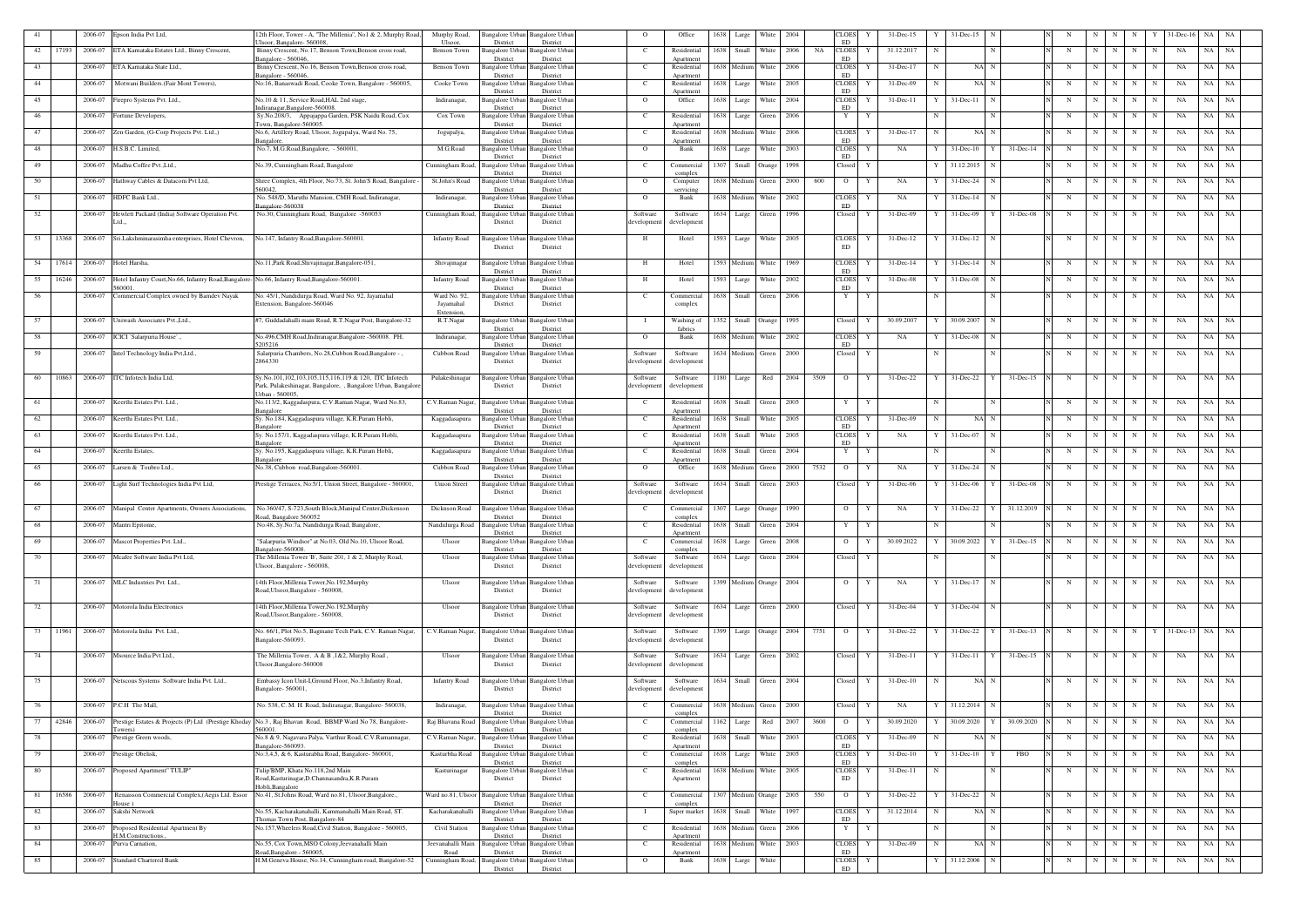|    |       | 2006-07 | Epson India Pvt Ltd,                                                                          | 2th Floor, Tower - A, "The Millenia", No1 & 2, Murphy Road                                                         | Murphy Road<br>Ulsoor.  | angalore Urba<br>District          | Bangalore Urban<br>District                     | $\circ$                 | Office                   | 1638        | Large              | White                 | 2004                        | CLOES<br>ED.              |   | 31-Dec-15     |   | $31 - Dec-15$             |                       |   |             |             |                     |                                     |     |           |  |
|----|-------|---------|-----------------------------------------------------------------------------------------------|--------------------------------------------------------------------------------------------------------------------|-------------------------|------------------------------------|-------------------------------------------------|-------------------------|--------------------------|-------------|--------------------|-----------------------|-----------------------------|---------------------------|---|---------------|---|---------------------------|-----------------------|---|-------------|-------------|---------------------|-------------------------------------|-----|-----------|--|
| 42 | 17193 | 2006-07 | ETA Karnataka Estates Ltd., Binny Crescent,                                                   | Isoor, Bangalore- 560008,<br>Binny Crescent, No.17, Benson Town, Benson cross road,                                | Benson Town             | Bangalore Urbar                    | <b>Bangalore Urban</b>                          | C.                      | Residential              | 1638        | Small              | White                 | 2006                        | <b>CLOES</b><br>NA        | Y | 31.12.2017    |   |                           | N                     | N | N           | N           | N<br>N              | NA                                  | NA  | NA        |  |
| 43 |       | 2006-07 | ETA Karnataka State Ltd.,                                                                     | 3angalore - 560046<br>Binny Crescent, No.16, Benson Town, Benson cross road,                                       | Benson Town             | District<br>Bangalore Urba         | District<br>Bangalore Urban                     | C                       | Anartment<br>Residential | 1638 Medium |                    | White                 | 2006                        | <b>ED</b><br><b>CLOES</b> |   | 31-Dec-17     |   | NA N                      |                       | N | $\mathbf N$ | N           | N<br>$\mathbf N$    | NA                                  | NA  | NA        |  |
|    |       |         |                                                                                               | angalore - 560046                                                                                                  |                         | District                           | District                                        |                         | Anartment                |             |                    |                       |                             | ED                        |   |               |   |                           |                       |   |             |             |                     |                                     |     |           |  |
| 44 |       | 2006-07 | Motwani Builders.(Fair Mont Towers),                                                          | No:16, Banaswadi Road, Cooke Town, Bangalore - 560005,                                                             | Cooke Town              | <b>Bangalore Urban</b><br>District | Bangalore Urban<br>District                     | - C                     | Residential<br>Anartment | 1638 Large  |                    | White                 | 2005                        | <b>CLOES</b><br>ED        |   | 31-Dec-09     |   | NA N                      |                       | N | $\mathbf N$ | N           | N<br>N              | NA                                  | NA  | NA        |  |
| 45 |       | 2006-07 | irepro Systems Pvt. Ltd.,                                                                     | No.10 & 11, Service Road, HAL 2nd stage,                                                                           | Indiranagar,            | Bangalore Urbai                    | Bangalore Urban                                 | $\Omega$                | Office                   | 1638 Large  |                    | White                 | 2004                        | <b>CLOES</b><br>ED        |   | $31 - Dec-11$ |   | $31 - Dec - 11$<br>N      |                       | N | N           | N           | N<br>N              | NA                                  | NA  | NA        |  |
| 46 |       |         | 2006-07 Fortune Developers,                                                                   | diranagar, Bangalore-560008.<br>Sy.No.208/3, Appajappa Garden, PSK Naidu Road, Cox                                 | Cox Town                | District<br>Bangalore Urban        | District<br>Bangalore Urban                     | C.                      | Residential              | 1638        | Large              | Green                 | 2006                        | Y                         | Y |               |   | N                         |                       | N | N           |             | N                   | NA                                  | NA  | NA        |  |
| 47 |       | 2006-07 | Zen Garden, (G-Corp Projects Pvt. Ltd.,)                                                      | 'own, Bangalore-560005.<br>No.6, Artillery Road, Ulsoor, Jogupalya, Ward No. 75,                                   | Jogupalya,              | District<br>Bangalore Urban        | District<br>Bangalore Urban                     | <sup>-</sup> C          | Apartment<br>Residential | 1638 Medium |                    | White                 | 2006                        | CLOES                     | Y | 31-Dec-17     | N | NA N                      |                       | N | N           | N           | N<br>N              | NA                                  | NA  | NA        |  |
|    |       |         |                                                                                               | angalore                                                                                                           |                         | District                           | District                                        |                         | Anartmen                 |             |                    |                       |                             | ED                        |   |               |   |                           |                       |   |             |             |                     |                                     |     |           |  |
| 48 |       |         | 2006-07 H.S.B.C. Limited,                                                                     | No.7, M.G.Road, Bangalore, - 560001,                                                                               | M.G.Road                | Bangalore Urban<br>District        | Bangalore Urban<br>District                     | $\Omega$                | Bank                     | 1638 Large  |                    | White                 | 2003                        | CLOES<br><b>ED</b>        | Y | NA            |   | $31 - Dec-10$<br>Y        | 31-Dec-14             | N | N           | N           | N                   | NA                                  | NA. | NA        |  |
| 49 |       | 2006-07 | Madhu Coffee Pvt., Ltd.                                                                       | No.39, Cunningham Road, Bangalore                                                                                  | Cunningham Road         | Bangalore Urbar<br>District        | Bangalore Urban<br>District                     | C                       | Commercia<br>complex     | 1307        | Small              | Orange                | 1998                        | Closed                    | Y |               |   | 31.12.2015                |                       | N | N           | N           | $\mathbf N$<br>N    | NA                                  | NA  | NA        |  |
| 50 |       | 2006-07 | Hathway Cables & Datacom Pvt Ltd,                                                             | Shree Complex, 4th Floor, No:73, St. John'S Road, Bangalore -                                                      | St.John's Road          | Bangalore Urban                    | Bangalore Urban                                 | $\Omega$                | Computer                 | 1638 Medium |                    | Green                 | 2000                        | 600<br>$\overline{O}$     | Y | NA            |   | 31-Dec-24                 |                       | N | -N          | N           | N                   | NA                                  | NA  | NA        |  |
| 51 |       | 2006-07 | HDFC Bank Ltd.,                                                                               | 560042.<br>No. 548/D, Maruthi Mansion, CMH Road, Indiranagar,                                                      | Indiranagar,            | District<br><b>Bangalore</b> Urbar | District<br>Bangalore Urban                     | $\Omega$                | servicing<br>Bank        | 1638 Medium |                    | White                 | 2002                        | <b>CLOES</b>              | Y | NA            |   | $31 - Dec-14$             |                       | N | N           | N           | N<br>N              | NA                                  | NA  | NA        |  |
| 52 |       | 2006-07 | Hewlett Packard (India) Software Operation Pvt.                                               | angalore-560038<br>No.30, Cunningham Road, Bangalore -560053                                                       | Cunningham Road,        | District<br>Bangalore Urban        | District<br><b>Bangalore Urban</b>              | Software                | Software                 | 1634 Large  |                    | Green                 | 1996                        | ED<br>Closed              | Y | 31-Dec-09     |   | 31-Dec-09<br>Y            | 31-Dec-08             | N | N           | N           | $\mathbf N$<br>N    | NA                                  | NA  | NA        |  |
|    |       |         | .td.                                                                                          |                                                                                                                    |                         | District                           | District                                        | developmen              | development              |             |                    |                       |                             |                           |   |               |   |                           |                       |   |             |             |                     |                                     |     |           |  |
| 53 | 13368 | 2006-07 | Sri.Lakshminarasimha enterprises, Hotel Chevron,                                              | No.147, Infantry Road, Bangalore-560001.                                                                           | <b>Infantry Road</b>    | Bangalore Urbai                    | Bangalore Urban                                 | - н                     | Hotel                    | 1593 Large  |                    | White                 | 2005                        | <b>CLOES</b>              |   | $31$ -Dec-12  |   | $31$ -Dec-12 N            |                       | N | N           | N           | $\mathbf N$<br>N    | NA                                  | NA  | NA        |  |
|    |       |         |                                                                                               |                                                                                                                    |                         | District                           | District                                        |                         |                          |             |                    |                       |                             | ED                        |   |               |   |                           |                       |   |             |             |                     |                                     |     |           |  |
| 54 | 17614 | 2006-07 | Hotel Harsha,                                                                                 | No.11, Park Road, Shivajinagar, Bangalore-051.                                                                     | Shivajinagar            | Bangalore Urban                    | Bangalore Urban                                 | H                       | Hotel                    | 1593 Medium |                    | White                 | 1969                        | <b>CLOES</b>              | Y | $31$ -Dec-14  |   | 31-Dec-14<br>$\mathbf N$  |                       | N | N           | N           | $\mathbf N$         | NA<br>N                             | NA  | NA        |  |
| 55 | 16246 | 2006-07 | Hotel Infantry Court, No.66, Infantry Road, Bangalore-No.66, Infantry Road, Bangalore-560001. |                                                                                                                    | <b>Infantry Road</b>    | District<br>angalore Urban         | District<br>Bangalore Urban                     | H                       | Hotel                    | 1593        | Large              | White                 | 2002                        | ED<br>CLOES               |   | 31-Dec-08     |   | $31 - Dec-08$             |                       | N | N           | N           | N<br>N              | NA                                  | NA  | NA        |  |
| 56 |       | 2006-07 | 560001<br>Commercial Complex owned by Bamdev Nayak                                            | No. 45/1, Nandidurga Road, Ward No. 92, Jayamahal                                                                  | Ward No. 92,            | District                           | District<br>Bangalore Urban Bangalore Urban     | C                       | Commercial               | 1638 Small  |                    | Green                 | 2006                        | ED<br>Y                   | Y |               |   |                           | N                     | N | N           | N           | N                   | N<br>NA                             |     | NA NA     |  |
|    |       |         |                                                                                               | Extension, Bangalore-560046                                                                                        | Jayamahal               | District                           | District                                        |                         | complex                  |             |                    |                       |                             |                           |   |               |   |                           |                       |   |             |             |                     |                                     |     |           |  |
| 57 |       | 2006-07 | Uniwash Associates Pvt., Ltd.,                                                                | #7, Guddadahalli main Road, R.T.Nagar Post, Bangalore-32                                                           | Extension.<br>R.T.Nagar | Bangalore Urbar                    | <b>Bangalore Urban</b>                          | - 1                     | Washing of               | 1352 Small  |                    | Orange                | 1995                        | Closed                    |   | 30.09.2007    |   | 30.09.2007<br>$\mathbf N$ |                       | N | N           | N           | $\mathbf N$<br>N    | NA                                  | NA  | NA        |  |
| 58 |       | 2006-07 | ICICI `Salarpuria House`.,                                                                    | No.496,CMH Road, Indiranagar, Bangalore -560008. PH:                                                               | Indiranagar,            | District<br>Bangalore Urbai        | District<br>Bangalore Urban                     | $\overline{O}$          | fabrics<br>Bank          | 1638 Mediun |                    | White                 | 2002                        | <b>CLOES</b>              | Y | NA            |   | $31$ -Dec-08              |                       | N | $\mathbf N$ | N           | N<br>N              | NA                                  | NA  | NA        |  |
|    |       |         |                                                                                               | 205216                                                                                                             |                         | District                           | District                                        |                         |                          |             |                    |                       |                             | ED                        |   |               |   |                           |                       |   |             |             |                     |                                     |     |           |  |
| 59 |       |         | 2006-07 Intel Technology India Pvt, Ltd.,                                                     | Salarpuria Chambers, No.28, Cubbon Road, Bangalore -<br>2864330                                                    | Cubbon Road             | angalore Urban<br>District         | <b>Bangalore Urban</b><br>District              | Software<br>development | Software<br>development  | 1634 Medium |                    | Green                 | 2000                        | Closed                    | Y |               |   |                           |                       | N | $\mathbf N$ | N           | N                   | NA                                  | NA  | NA        |  |
| 60 | 10863 |         | 2006-07 ITC Infotech India Ltd,                                                               | Sy.No.101,102,103,105,115,116,119 & 120, ITC Infotech                                                              | Pulakeshinagar          |                                    | Bangalore Urban Bangalore Urban                 | Software                | Software                 | 1180 Large  |                    | Red                   | 2004                        | 3509<br>$\overline{O}$    | Y | $31 - Dec-22$ | Y | $31$ -Dec-22 Y            | 31-Dec-15             | N | N           | N           | N                   | NA<br>N                             | NA  | NA        |  |
|    |       |         |                                                                                               | Park, Pulakeshinagar, Bangalore, , Bangalore Urban, Bangalore                                                      |                         | District                           | District                                        | developmen              | development              |             |                    |                       |                             |                           |   |               |   |                           |                       |   |             |             |                     |                                     |     |           |  |
| 61 |       | 2006-07 | Keerthi Estates Pvt. Ltd.,                                                                    | Jrban - 560005.<br>No.113/2, Kaggadaspura, C.V.Raman Nagar, Ward No.83,                                            | C.V.Raman Nagar,        | Bangalore Urbar                    | Bangalore Urban                                 | C.                      | Residential              | 1638        | Small              | Green                 | 2005                        | Y                         | Y |               |   |                           | N                     | N | $\mathbf N$ | N           | N<br>N              | NA                                  | NA  | NA        |  |
| 62 |       | 2006-07 | Keerthi Estates Pvt. Ltd.,                                                                    | angalore<br>Sy. No.184, Kaggadaspura village, K.R.Puram Hobli,                                                     | Kaggadasapura           | District<br><b>Bangalore</b> Urbar | District<br>Bangalore Urban                     | C.                      | Apartment<br>Residential | 1638        | Small              | White                 | 2005                        | <b>CLOES</b>              |   | 31-Dec-09     |   | NA N                      |                       | N | -N          | N           | N                   | NA                                  | NA  | NA        |  |
|    |       |         |                                                                                               | angalore                                                                                                           |                         | District                           | District                                        |                         | Apartment                |             |                    |                       |                             | ED                        |   |               |   |                           |                       |   |             |             |                     |                                     |     |           |  |
| 63 |       | 2006-07 | Keerthi Estates Pvt. Ltd.,                                                                    | Sy. No.157/1, Kaggadaspura village, K.R.Puram Hobli,<br>angalore                                                   | Kaggadasapura           | angalore Urbar<br>District         | Bangalore Urban<br>District                     | <sup>-</sup> C          | Residential<br>Anartment | 1638 Small  |                    | White                 | 2005                        | <b>CLOES</b><br><b>ED</b> | Y | NA            |   | 31-Dec-07<br>N            |                       | N | N           | N           | N<br>N              | NA                                  | NA  | NA        |  |
| 64 |       | 2006-07 | Keerthi Estates.                                                                              | Sy. No.195, Kaggadaspura village, K.R.Puram Hobli,<br>angalore                                                     | Kaggadasapura           | angalore Urbar<br>District         | Bangalore Urban<br>District                     | <sup>-</sup> C          | Residential<br>Apartment | 1638 Small  |                    | Green                 | 2004                        | $\mathbf{Y}$              | Y |               |   |                           |                       | N | N           | N           | N                   | NA                                  | NA  | NA        |  |
| 65 |       | 2006-07 | Larsen & Toubro Ltd.                                                                          | No.38, Cubbon road, Bangalore-560001                                                                               | Cubbon Road             | <b>Bangalore</b> Urbar             | <b>Bangalore Urban</b>                          | $\Omega$                | Office                   | 1638 Medium |                    | Green                 | 2000                        | 7532<br>$\overline{O}$    | Y | NA            |   | 31-Dec-24<br>N            |                       | N | N           | N           | N                   | NA<br>N                             | NA  | NA        |  |
| 66 |       |         | 2006-07 Light Surf Technologies India Pvt Ltd,                                                | Prestige Terraces, No:5/1, Union Street, Bangalore - 560001,                                                       | <b>Union Street</b>     | District                           | District<br>Bangalore Urban Bangalore Urban     | Software                | Software                 | 1634 Small  |                    | Green                 | 2003                        | Closed                    | Y | $31$ -Dec-06  |   | 31-Dec-06                 | 31-Dec-08<br>Y        | N | N           | N           | N<br>N              | NA                                  | NA  | NA        |  |
|    |       |         |                                                                                               |                                                                                                                    |                         | District                           | District                                        | developmen              | development              |             |                    |                       |                             |                           |   |               |   |                           |                       |   |             |             |                     |                                     |     |           |  |
| 67 |       |         | 2006-07 Manipal Center Apartments, Owners Associations,                                       | No.360/47, S-723, South Block, Manipal Center, Dickenson<br>Road, Bangalore 560052                                 | Dicknson Road           | Bangalore Urbar<br>District        | Bangalore Urban<br>District                     | C.                      | Commercial<br>complex    |             | 1307 Large Orange  |                       | 1990                        | $\circ$                   |   | NA            |   | 31-Dec-22<br>Y            | 31.12.2019            | N | N           | N           | N<br>N              | NA                                  | NA  | - NA      |  |
| 68 |       |         | 2006-07 Mantri Epitome,                                                                       | No:48, Sy.No:7a, Nandidurga Road, Bangalore,                                                                       |                         |                                    | Nandidurga Road Bangalore Urban Bangalore Urban |                         | Residential              |             |                    | 1638 Small Green 2004 |                             | Y                         | Y |               |   |                           |                       | N |             |             | $N$ $N$   $N$   $N$ | NA                                  |     | NA NA     |  |
| 69 |       | 2006-07 | Mascot Properties Pvt. Ltd.,                                                                  | "Salarpuria Windsor" at No.03, Old No.10, Ulsoor Road,                                                             | Ulsoor                  | District<br><b>Bangalore Urban</b> | District<br><b>Bangalore Urban</b>              | $\mathbf{C}$            | Apartment<br>Commercial  |             | 1638 Large Green   |                       | 2008                        | $\overline{O}$            |   | 30.09.2022    |   | 30.09.2022 Y              | $31 - Dec-15$         | N | N           | N           | $\mathbf N$<br>N    | NA                                  |     | NA NA     |  |
| 70 |       |         | 2006-07 Mcafee Software India Pvt Ltd,                                                        | angalore-560008.<br>The Millenia Tower 'B', Suite 201, 1 & 2, Murphy Road,                                         | Ulsoor                  | District                           | District<br>Bangalore Urban Bangalore Urban     | Software                | complex<br>Software      |             | 1634 Large Green   |                       | 2004                        | Closed                    | Y |               |   |                           |                       | N | N           | N           | N<br>N              | NA                                  |     | NA NA     |  |
|    |       |         |                                                                                               | Ulsoor, Bangalore - 560008,                                                                                        |                         | District                           | District                                        | development             | development              |             |                    |                       |                             |                           |   |               |   |                           |                       |   |             |             |                     |                                     |     |           |  |
| 71 |       |         | 2006-07 MLC Industries Pvt. Ltd.,                                                             | 14th Floor, Millenia Tower, No.192, Murphy                                                                         | Ulsoor                  |                                    | Bangalore Urban Bangalore Urban                 | Software                | Software                 |             | 1399 Medium Orange |                       | 2004                        | $\overline{O}$            | Y | NA            | Y | $31$ -Dec-17<br>N         |                       | N | $\mathbf N$ | N           | N<br>N              | NA                                  |     | NA NA     |  |
|    |       |         |                                                                                               | Road, Ulsoor, Bangalore - 560008,                                                                                  |                         | District                           | District                                        | developmen              | development              |             |                    |                       |                             |                           |   |               |   |                           |                       |   |             |             |                     |                                     |     |           |  |
| 72 |       |         | 2006-07 Motorola India Electronics                                                            | 14th Floor, Millenia Tower, No.192, Murphy                                                                         | Ulsoor                  | Bangalore Urbar                    | <b>Bangalore</b> Urban                          | Software                | Software                 |             | 1634 Large Green   |                       | 2000                        | Closed                    |   | 31-Dec-04     |   | 31-Dec-04                 |                       | N | $\mathbf N$ | N           | N<br>N              | NA                                  |     | NA NA     |  |
|    |       |         |                                                                                               | Road, Ulsoor, Bangalore. - 560008,                                                                                 |                         | District                           | District                                        | development             | development              |             |                    |                       |                             |                           |   |               |   |                           |                       |   |             |             |                     |                                     |     |           |  |
| 73 |       |         | 11961 2006-07 Motorola India Pvt. Ltd.,                                                       | No. 66/1, Plot No.5, Bagmane Tech Park, C.V. Raman Nagar,<br>Bangalore-560093.                                     | C.V.Raman Nagar,        | District                           | Bangalore Urban Bangalore Urban<br>District     | Software<br>developmen  | Software<br>developmen   |             |                    |                       | 1399 Large Orange 2004 7751 | $\overline{O}$            | Y | 31-Dec-22     |   |                           | 31-Dec-22 Y 31-Dec-13 | N |             |             |                     | $N$ $N$ $N$ $Y$ 31-Dec-13 $NA$ $NA$ |     |           |  |
|    |       |         |                                                                                               |                                                                                                                    |                         |                                    |                                                 |                         |                          |             |                    |                       |                             |                           |   |               |   |                           |                       |   |             |             |                     |                                     |     |           |  |
| 74 |       |         | 2006-07 Msource India Pvt Ltd.,                                                               | The Millenia Tower, A & B, 1&2, Murphy Road,<br>Jlsoor, Bangalore-560008                                           | Ulsoor                  | District                           | Bangalore Urban Bangalore Urban<br>District     | Software<br>developmen  | Software<br>development  |             |                    | 1634 Large Green 2002 |                             | Closed                    | Y | $31 - Dec-11$ |   | $31$ -Dec-11 Y            | $31$ -Dec-15          | N | N           | N           | N<br>N              | NA                                  |     | NA NA     |  |
|    |       |         | 2006-07 Netscous Systems Software India Pvt. Ltd.,                                            | Embassy Icon Unit-I, Ground Floor, No.3, Infantry Road,                                                            | <b>Infantry Road</b>    |                                    | Bangalore Urban Bangalore Urban                 | Software                |                          |             |                    | 1634 Small Green 2004 |                             | Closed                    | Y | $31 - Dec-10$ | N | NA N                      |                       | N | N           | N           | N<br>N              | NA                                  |     | NA NA     |  |
| 75 |       |         |                                                                                               | Bangalore-560001,                                                                                                  |                         | District                           | District                                        | developmen              | Software<br>development  |             |                    |                       |                             |                           |   |               |   |                           |                       |   |             |             |                     |                                     |     |           |  |
| 76 |       |         | 2006-07 P.C.H The Mall,                                                                       | No. 538, C. M. H. Road, Indiranagar, Bangalore- 560038,                                                            | Indiranagar,            | Bangalore Urbar                    | <b>Bangalore Urban</b>                          | C.                      | Commercial               | 1638 Medium |                    | Green                 | 2000                        | Closed                    | Y | NA            |   | 31.12.2014 N              |                       | N | N           | N           | N<br>N              | NA                                  | NA  | NA        |  |
|    |       |         |                                                                                               |                                                                                                                    |                         | District                           | District                                        |                         | complex                  |             |                    |                       |                             |                           |   |               |   | 30.09.2020                | 30.09.2020            |   |             |             |                     |                                     |     |           |  |
| 77 | 42846 | 2006-07 | owers)                                                                                        | Prestige Estates & Projects (P) Ltd (Prestige Khoday No.3, Raj Bhavan Road, BBMP Ward No 78, Bangalore-<br>560001. | Raj Bhavana Road        | Bangalore Urbar<br>District        | Bangalore Urban<br>District                     | $\mathbf{C}$            | Commercial<br>complex    | 1162 Large  |                    | Red                   | 2007                        | 3600<br>$\overline{O}$    |   | 30.09.2020    |   |                           |                       | N | N           | N           | N                   | NA                                  | NA  | NA        |  |
| 78 |       | 2006-07 | Prestige Green woods,                                                                         | No.8 & 9, Nagavara Palya, Varthur Road, C.V.Ramannagar,<br>angalore-560093.                                        | C.V.Raman Nagar,        | <b>Bangalore Urbar</b><br>District | <b>Bangalore Urban</b><br>District              | C                       | Residential<br>Apartment | 1638 Small  |                    | White                 | 2003                        | <b>CLOES</b><br>ED        |   | 31-Dec-09     |   | NA N                      |                       | N | $\mathbf N$ | N           | N<br>N              | NA                                  | NA  | <b>NA</b> |  |
| 79 |       |         | 2006-07 Prestige Obelisk,                                                                     | No:3,4,5, & 6, Kasturabha Road, Bangalore- 560001,                                                                 | Kasturbha Road          | <b>Bangalore Urban</b><br>District | <b>Bangalore Urban</b><br>District              | $\mathbf{C}$            | Commercial<br>complex    | 1638 Large  |                    | White                 | 2005                        | <b>CLOES</b><br>ED        | Y | $31$ -Dec-10  |   | $31 - Dec-10$             | FBO                   | N | N           | N           | N                   | NA                                  | NA  | NA        |  |
| 80 |       |         | 2006-07 Proposed Apartment" TULIP"                                                            | Tulip'BMP, Khata No.118,2nd Main                                                                                   | Kasturinagar            | <b>Bangalore Urban</b>             | <b>Bangalore Urban</b>                          | C                       | Residential              | 1638 Medium |                    | <b>White</b>          | 2005                        | <b>CLOES</b>              | Y | 31-Dec-11     |   |                           | N                     | N | N           | N           | N                   | NA<br>N                             |     | NA NA     |  |
|    |       |         |                                                                                               | Road, Kasturinagar, D. Channasandra, K.R. Puram<br>Hobli, Bangalore                                                |                         | District                           | District                                        |                         | Apartment                |             |                    |                       |                             | ED                        |   |               |   |                           |                       |   |             |             |                     |                                     |     |           |  |
| 81 | 16586 |         | 2006-07 Renaisson Commercial Complex, (Aegis Ltd. Essor<br>Iouse)                             | No.41, St.Johns Road, Ward no.81, Ulsoor, Bangalore.,                                                              | Ward no.81, Ulsoor      | <b>Bangalore Urban</b><br>District | <b>Bangalore Urban</b><br>District              | C.                      | Commercial<br>complex    |             |                    |                       | 1307 Medium Orange 2005 550 | $\overline{O}$            | Y | 31-Dec-22     |   | 31-Dec-22 N               |                       | N |             | $N$ $N$ $N$ | N                   | NA                                  |     | NA NA     |  |
| 82 |       | 2006-07 | Sakshi Network                                                                                | No.55, Kacharakanahalli, Kammanahalli Main Road, ST.                                                               | Kacharakanahalli        | Bangalore Urban                    | <b>Bangalore Urban</b>                          | $\blacksquare$          | Super market             | 1638 Small  |                    | White                 | 1997                        | <b>CLOES</b>              | Y | 31.12.2014    |   | NA N                      |                       | N | $\mathbf N$ | N           | N<br>N              | NA                                  |     | NA NA     |  |
| 83 |       | 2006-07 | Proposed Residential Apartment By                                                             | homas Town Post, Bangalore-84<br>No.157, Wheelers Road, Civil Station, Bangalore - 560005,                         | Civil Station           | District<br>Bangalore Urbar        | District<br>Bangalore Urban                     | C                       | Residential              | 1638 Medium |                    | Green                 | 2006                        | ED<br>Y                   | Y |               | N |                           |                       | N | N           | N           | N<br>N              | NA                                  |     | NA NA     |  |
| 84 |       | 2006-07 | H.M.Constructions.<br>Purva Carnation,                                                        | No.55, Cox Town, MSO Colony, Jeevanahalli Main                                                                     | Jeevanahalli Mair       | District<br>Bangalore Urbar        | District<br>Bangalore Urban                     | $\mathbf{C}$            | Apartment<br>Residential | 1638 Medium |                    | White                 | 2003                        | <b>CLOES</b>              |   | 31-Dec-09     |   | NA N                      |                       | N | $\mathbf N$ | N           | N<br>N              | NA                                  | NA  | NA        |  |
| 85 |       | 2006-07 | <b>Standard Chartered Bank</b>                                                                | Road, Bangalore. - 560005,<br>H.M.Geneva House, No.14, Cunningham road, Bangalore-52 Cunningham Road,              | Road                    | District<br><b>Bangalore Urban</b> | District<br><b>Bangalore Urban</b>              |                         | Apartment<br>Bank        | 1638 Large  |                    | White                 |                             | ED<br><b>CLOES</b>        | Y |               |   | 31.12.2006<br>$\mathbf N$ |                       | N | $\mathbf N$ | N           | N                   | NA<br>N                             |     | NA NA     |  |
|    |       |         |                                                                                               |                                                                                                                    |                         | District                           | District                                        | $\Omega$                |                          |             |                    |                       |                             | ED                        |   |               |   |                           |                       |   |             |             |                     |                                     |     |           |  |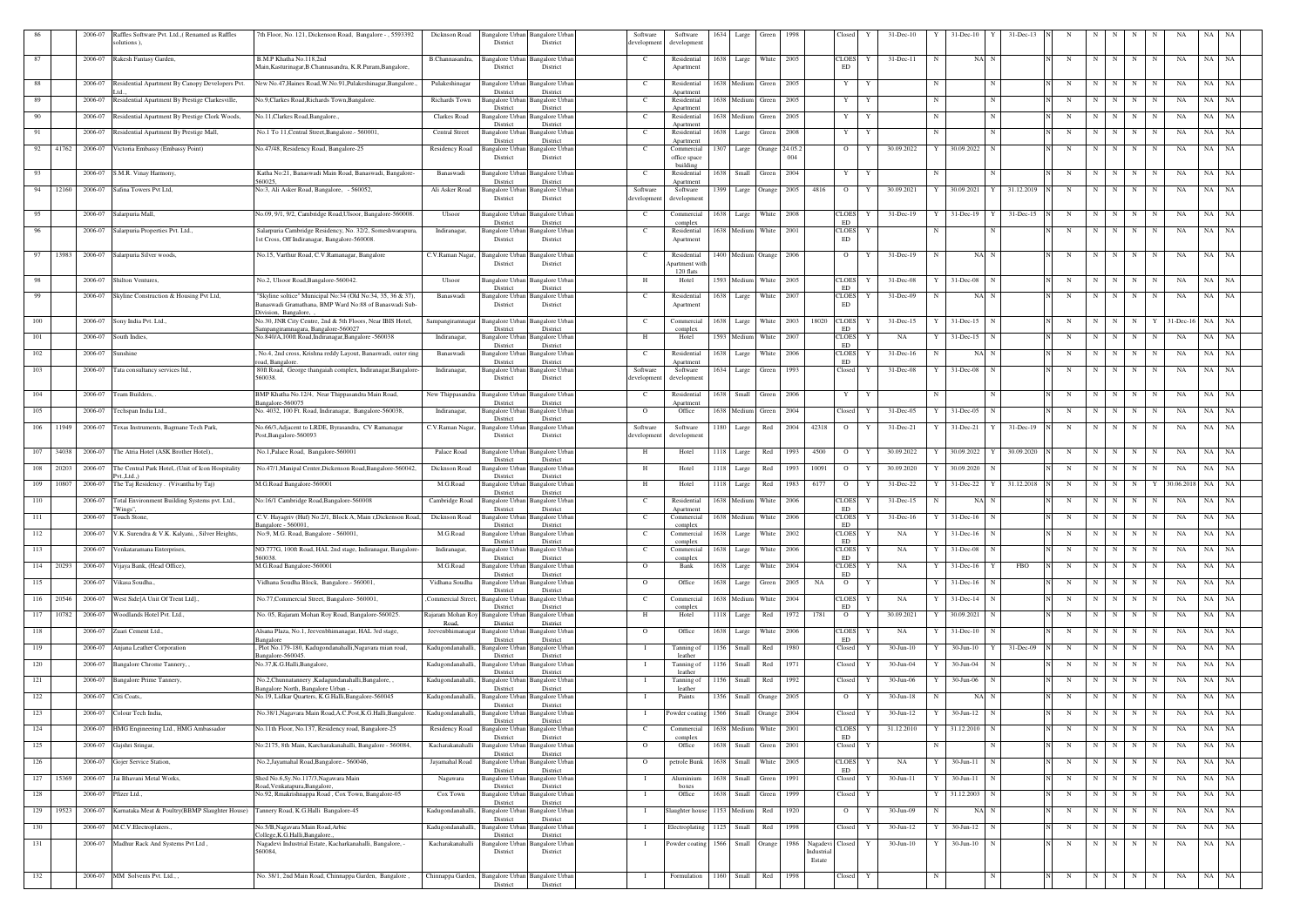|            |       | 2006-07            | Raffles Software Pvt. Ltd., (Renamed as Raffles<br>solutions),                      | 7th Floor, No. 121, Dickenson Road, Bangalore - , 5593392                                                             | Dicknson Road<br>District                                                                      | Bangalore Urban Bangalore Urban<br>District           |     | Software<br>developmen              | Software<br>developmen                                |            | 1634 Large           | Green  | 1998         |           | Closed                     |   | 31-Dec-10                  |    | 31-Dec-10                      | $31$ -Dec-13 |        |             |        |                 |                   |                      |                 |  |
|------------|-------|--------------------|-------------------------------------------------------------------------------------|-----------------------------------------------------------------------------------------------------------------------|------------------------------------------------------------------------------------------------|-------------------------------------------------------|-----|-------------------------------------|-------------------------------------------------------|------------|----------------------|--------|--------------|-----------|----------------------------|---|----------------------------|----|--------------------------------|--------------|--------|-------------|--------|-----------------|-------------------|----------------------|-----------------|--|
| 87         |       | 2006-07            | Rakesh Fantasy Garden                                                               | B.M.P Khatha No.118.2nd<br>Main, Kasturinagar, B. Channasandra, K.R. Puram, Bangalore,                                | B.Channasandra,<br>3angalore Urban<br>District                                                 | Bangalore Urbar<br>District                           |     | C                                   | Residential<br>Apartment                              |            | 1638 Large           | White  | 2005         |           | <b>CLOES</b><br>ED         | Y | 31-Dec-11                  |    | NA N                           |              | N      | N           | N      | N               | N<br>NA           | NA                   | NA              |  |
| 88         |       | 2006-07            | Residential Apartment By Canopy Developers Pvt.                                     | New No.47, Haines Road, W.No.91, Pulakeshinagar, Bangalore.,                                                          | Pulakeshinagar<br>Bangalore Urban                                                              | <b>Bangalore Urban</b>                                |     | $\mathbf{C}$                        | Residential                                           |            | 1638 Medium Green    |        | 2005         |           | Y                          | Y |                            | -N | N                              |              | N      | N           | N      | N               | N<br>NA           |                      | NA NA           |  |
| 89         |       |                    | 2006-07 Residential Apartment By Prestige Clarkesville,                             | No.9, Clarkes Road, Richards Town, Bangalore.                                                                         | District<br>Richards Town<br>Bangalore Urban                                                   | District<br><b>Bangalore</b> Urban                    |     | $\mathbf{C}$                        | Apartment<br>Residential                              |            | 1638 Medium Green    |        | 2005         |           | Y                          | Y |                            | N  | N                              |              | N      | N           | N      | N               | NA<br>N           | NA                   | NA              |  |
| 90         |       | 2006-07            | Residential Apartment By Prestige Clork Woods,                                      | No.11, Clarkes Road, Bangalore.,                                                                                      | District<br>Bangalore Urban<br>Clarkes Road                                                    | District<br><b>Bangalore Urban</b>                    |     | C                                   | Apartment<br>Residential                              |            | 1638 Medium Green    |        | 2005         |           | Y                          | Y |                            | N  | N                              |              | N      | N           | N      | N               | N<br>NA           |                      | NA NA           |  |
| 91         |       | 2006-07            | Residential Apartment By Prestige Mall,                                             | No.1 To 11, Central Street, Bangalore. - 560001,                                                                      | District<br><b>Bangalore Urban</b><br><b>Central Street</b>                                    | District<br>Bangalore Urban                           |     | C                                   | Apartment<br>Residential                              |            | 1638 Large           | Green  | 2008         |           | Y                          | Y |                            |    | N                              |              | N      | N           | N      | N               | N<br>NA           | NA                   | NA              |  |
| 92         | 41762 | 2006-07            | Victoria Embassy (Embassy Point)                                                    | No.47/48, Residency Road, Bangalore-25                                                                                | District<br>Residency Road<br>Bangalore Urban                                                  | District<br>Bangalore Urban                           |     | $\mathbf{C}$                        | Apartment<br>Commercial                               | 1307       | Large Orange 24.05.2 |        |              |           | $\overline{O}$             | Y | 30.09.2022                 |    | 30.09.2022<br>N                |              | N      | N           | N      | N               | NA<br>$\mathbf N$ | NA                   | NA              |  |
|            |       |                    |                                                                                     |                                                                                                                       | District                                                                                       | District                                              |     |                                     | office space<br>building                              |            |                      |        | 004          |           |                            |   |                            |    |                                |              |        |             |        |                 |                   |                      |                 |  |
| 93         |       | 2006-07            | S.M.R. Vinay Harmony,                                                               | Katha No:21, Banaswadi Main Road, Banaswadi, Bangalore-<br>60025.                                                     | Bangalore Urban<br>Banaswadi<br>District                                                       | <b>Bangalore Urban</b><br>District                    |     | $\mathbf{C}$                        | Residential<br>Apartment                              | 1638       | Small                | Green  | 2004         |           | $\mathbf{Y}$               | Y |                            |    |                                |              | N      | $\mathbf N$ |        | N               | NA                | NA                   | NA              |  |
| 94         | 12160 | 2006-07            | Safina Towers Pvt Ltd,                                                              | No:3, Ali Asker Road, Bangalore, - 560052,                                                                            | Ali Asker Road<br>angalore Urban<br>District                                                   | angalore Urbar<br>District                            |     | Software<br>developmen              | Software<br>development                               | 1399       | Large                | Orange | 2005         | 4816      | $\overline{O}$             | Y | 30.09.2021                 |    | 30.09.2021<br>Y                | 31.12.2019   | N      | N           |        | N               | NA                | NA                   | NA              |  |
| 95         |       |                    | 2006-07 Salarpuria Mall,                                                            | No.09, 9/1, 9/2, Cambridge Road, Ulsoor, Bangalore-560008.                                                            | Ulsoor<br>Bangalore Urbar<br>District                                                          | <b>Bangalore</b> Urban<br>District                    |     | $\mathbf{C}$                        | Commercial<br>complex                                 |            | 1638 Large           | White  | 2008         |           | CLOES<br>${\rm ED}$        |   | $31 - Dec-19$              |    | $31$ -Dec-19 $Y$               | 31-Dec-15    | N      | N           | N I    | N               | NA<br>N           |                      | NA NA           |  |
| 96         |       | 2006-07            | Salarpuria Properties Pvt. Ltd.,                                                    | Salarpuria Cambridge Residency, No. 32/2, Someshwarapura,<br>1st Cross, Off Indiranagar, Bangalore-560008.            | Indiranagar,<br>Bangalore Urban<br>District                                                    | angalore Urban<br>District                            |     | $\mathbf{C}$                        | Residential<br>Apartment                              |            | 1638 Medium          | White  | 2001         |           | <b>CLOES</b><br>ED         |   |                            |    |                                |              | N      | $\mathbf N$ | N      | N               | N<br>NA           | NA                   | NA              |  |
| 97         | 13983 | 2006-07            | Salarpuria Silver woods,                                                            | No.15, Varthur Road, C.V.Ramanagar, Bangalore                                                                         | C.V.Raman Nagar,<br>Bangalore Urban                                                            | Bangalore Urban                                       |     | $\mathbf{C}$                        | Residential                                           |            | 1400 Medium Orange   |        | 2006         |           | $\circ$                    | Y | 31-Dec-19                  | -N | NA N                           |              | N      | N           | N      | N               | NA<br>N           | NA                   | NA              |  |
| 98         |       | 2006-07            | Shilton Ventures,                                                                   | No.2, Ulsoor Road, Bangalore-560042.                                                                                  | District<br>Ulsoor<br><b>Bangalore Urban</b>                                                   | District<br>Bangalore Urban                           |     | H                                   | Apartment with<br>120 flats<br>Hotel                  |            | 1593 Medium White    |        | 2005         |           | <b>CLOES</b>               |   | 31-Dec-08                  |    | $31 - Dec-08$<br>N             |              | N      | $\mathbf N$ | N      | N               | NA<br>N           |                      | NA NA           |  |
| 99         |       | 2006-07            | Skyline Construction & Housing Pvt Ltd,                                             | "Skyline soltice" Municipal No:34 (Old No:34, 35, 36 & 37),                                                           | District<br>Banaswadi<br>Bangalore Urban                                                       | District<br>angalore Urbar                            |     | $\mathbf{C}$                        | Residential                                           | 1638       | Large                | White  | 2007         |           | ${\rm ED}$<br><b>CLOES</b> |   | 31-Dec-09                  |    | NA N                           |              |        | N           |        | N               | NA<br>N           | NA                   | - NA            |  |
|            |       |                    |                                                                                     | Banaswadi Gramathana, BMP Ward No:88 of Banaswadi Sub-<br>Division, Bangalore,                                        | District                                                                                       | District                                              |     |                                     | Apartment                                             |            |                      |        |              |           | ED                         |   |                            |    |                                |              |        |             |        |                 |                   |                      |                 |  |
| 100        |       | 2006-07            | Sony India Pvt. Ltd.,                                                               | No.30, JNR City Centre, 2nd & 5th Floors, Near IBIS Hotel,<br>Sampangiramnagara, Bangalore-560027                     | Bangalore Urban<br>Sampangiramnagar<br>District                                                | <b>Bangalore</b> Urban<br>District                    |     | $\mathbf{C}$                        | Commercial<br>complex                                 |            | 1638 Large           | White  | 2003         | 18020     | <b>CLOES</b><br>ED         | Y | 31-Dec-15                  |    | $31$ -Dec-15<br>$\mathbf N$    |              | N      | N           | N      | N               | $31$ -Dec-16<br>Y |                      | NA NA           |  |
| 101        |       | 2006-07            | South Indies,                                                                       | No.840/A,100ft Road, Indiranagar, Bangalore -560038                                                                   | Bangalore Urban<br>Indiranagar,<br>District                                                    | <b>Bangalore Urban</b><br>District                    |     | H                                   | Hotel                                                 |            | 1593 Medium          | White  | 2007         |           | CLOES<br>ED                | Y | NA                         |    | $31$ -Dec-15<br>-N             |              | N      | N           | N      | N<br>N          | NA                | NA                   | NA              |  |
| 102        |       | 2006-07            | Sunshine                                                                            | No.4, 2nd cross, Krishna reddy Layout, Banaswadi, outer ring<br>road, Bangalore.                                      | <b>Bangalore Urban</b><br>Banaswadi<br>District                                                | <b>Bangalore Urban</b><br>District                    |     | C                                   | Residential<br>Apartment                              | 1638       | Large                | White  | 2006         |           | CLOES<br>ED                | Y | 31-Dec-16                  |    | NA N                           |              | N      | N           | N      | N               | NA<br>N           | NA                   | <b>NA</b>       |  |
| 103        |       | 2006-07            | Tata consultancy services ltd.,                                                     | 80ft Road, George thangaiah complex, Indiranagar, Bangalore-<br>560038.                                               | Indiranagar,<br>angalore Urban<br>District                                                     | Bangalore Urban<br>District                           |     | Software<br>developmen              | Software<br>development                               |            | 1634 Large           | Green  | 1993         |           | Closed                     |   | 31-Dec-08                  |    | $31$ -Dec-08                   |              |        | N           | N      | N               | NA<br>N           | NA                   | NA              |  |
| 104        |       | 2006-07            | Team Builders,                                                                      | BMP Khatha No.12/4, Near Thippasandra Main Road,<br>angalore-560075                                                   | Bangalore Urbar<br>New Thippasandra<br>District                                                | Bangalore Urbar<br>District                           |     | - C                                 | Residential<br>Anartment                              | 1638       | Small                | Green  | 2006         |           | Y                          | Y |                            |    |                                |              | N      | N           | N      | N               | NA<br>N           | NA                   | NA              |  |
| 105        |       | 2006-07            | Techspan India Ltd.,                                                                | No. 4032, 100 Ft. Road, Indiranagar, Bangalore-560038                                                                 | Indiranagar,<br>Bangalore Urban<br>District                                                    | <b>Bangalore Urban</b><br>District                    |     | $\Omega$                            | Office                                                |            | 1638 Medium Green    |        | 2004         |           | Closed                     |   | 31-Dec-05                  |    | $31$ -Dec-05                   |              | N      | N           | N      | N               | NA                | NA                   | NA              |  |
| 106        | 11949 | 2006-07            | Texas Instruments, Bagmane Tech Park,                                               | No.66/3, Adjacent to LRDE, Byrasandra, CV Ramanagar<br>Post, Bangalore-560093                                         | C.V.Raman Nagar,<br>Bangalore Urban<br>District                                                | Bangalore Urban<br>District                           |     | Software<br>developmen <sup>®</sup> | Software<br>development                               | 1180       | Large                | Red    | 2004         | 42318     | $\overline{O}$             | Y | 31-Dec-21                  |    | 31-Dec-21<br>Y                 | 31-Dec-19    | N      | N           | N      | N               | NA<br>N           | NA                   | NA              |  |
| 107        | 34038 | 2006-07            | The Atria Hotel (ASK Brother Hotel).,                                               | No.1, Palace Road, Bangalore-560001                                                                                   | Palace Road<br><b>Bangalore Urban</b>                                                          | Bangalore Urban                                       |     | H                                   | Hotel                                                 |            | 1118 Large           | Red    | 1993         | 4500      | $\overline{O}$             | Y | 30.09.2022                 |    | 30.09.2022<br>Y                | 30.09.2020   | N      | N           | N      | N               | N<br>NA           |                      | NA NA           |  |
| 108        | 20203 | 2006-07            | The Central Park Hotel, (Unit of Icon Hospitality                                   | No.47/1, Manipal Center, Dickenson Road, Bangalore-560042,                                                            | District<br>Dicknson Road<br><b>Bangalore Urban</b>                                            | District<br><b>Bangalore</b> Urban                    |     | H                                   | Hotel                                                 | 1118 Large |                      | Red    | 1993         | 10091     | $\overline{O}$             |   | 30.09.2020                 |    | 30.09.2020                     |              | N      | N           | N      | N               | N<br>NA           | NA                   | NA              |  |
| 109        | 10807 | 2006-07            | vtLtd)<br>The Taj Residency. (Vivantha by Taj)                                      | M.G.Road Bangalore-560001                                                                                             | District<br>M.G.Road<br>Bangalore Urban                                                        | District<br>Bangalore Urban                           |     | H                                   | Hotel                                                 |            | 1118 Large           | Red    | 1983         | 6177      | $\overline{O}$             |   | 31-Dec-22                  |    | 31-Dec-22<br>Y                 | 31.12.2018   | N      | N           | N      | N               | 30.06.2018<br>Y   |                      | NA NA           |  |
| 110        |       | 2006-07            | Total Environment Building Systems pvt. Ltd.,                                       | No:16/1 Cambridge Road, Bangalore-560008                                                                              | District<br>Cambridge Road<br>Bangalore Urban                                                  | District<br>Bangalore Urban                           |     | C .                                 | Residential                                           |            | 1638 Medium          | White  | 2006         |           | CLOES                      |   | 31-Dec-15                  |    | NA N                           |              | N      | N           | N      | N               | NA<br>N           | NA                   | NA              |  |
| 111        |       |                    | 'Wings".<br>2006-07 Touch Stone,                                                    | C.V. Hayagriv (Huf) No:2/1, Block A, Main r, Dickenson Road, Dicknson Road                                            | District                                                                                       | District<br>Bangalore Urban Bangalore Urban           |     |                                     | Apartment<br>Commercial 1638 Medium White             |            |                      |        | 2006         |           | ED<br>CLOES Y              |   | $31 - Dec-16$              | Y  | $31$ -Dec-16 N                 |              | N      |             |        |                 |                   | N N N N N N NA NA NA |                 |  |
| 112        |       | 2006-07            | V.K. Surendra & V.K. Kalyani, , Silver Heights.                                     | Bangalore - 560001.<br>No:9, M.G. Road, Bangalore - 560001,                                                           | District<br>M.G.Road<br>Bangalore Urban                                                        | District<br>Bangalore Urban                           |     | $\mathbf{C}$                        | complex<br>Commercial                                 | 1638       | Large                | White  | 2002         |           | ED<br><b>CLOES</b><br>ED   | Y | NA                         |    | $31$ -Dec-16                   |              | N      | $\mathbf N$ |        | N               | NA<br>N           | NA                   | NA              |  |
| 113        |       | 2006-07            | Venkataramana Enterprises,                                                          | NO.777G, 100ft Road, HAL 2nd stage, Indiranagar, Bangalore-<br>560038.                                                | District<br>Indiranagar,<br>Bangalore Urban<br>District                                        | District<br><b>Bangalore Urban</b><br>District        |     | C                                   | complex<br>Commercial<br>complex                      |            | 1638 Large           | White  | 2006         |           | <b>CLOES</b><br>ED         | Y | NA                         |    | $31$ -Dec-08 N                 |              | N      | N           | N      | N               | NA<br>N           |                      | NA NA           |  |
| 114        | 20293 | 2006-07            | Vijaya Bank, (Head Office),                                                         | M.G.Road Bangalore-560001                                                                                             | M.G.Road<br>Bangalore Urbar<br>District                                                        | Bangalore Urban<br>District                           |     | $\overline{O}$                      | Bank                                                  |            | 1638 Large           | White  | 2004         |           | <b>CLOES</b><br>ED         | Y | NA                         |    | $31$ -Dec-16                   | FBO          | N      | N           | N      | N               | NA<br>N           | NA                   | NA N            |  |
| 115        |       | 2006-07            | Vikasa Soudha.,                                                                     | Vidhana Soudha Block, Bangalore.- 560001,                                                                             | Vidhana Soudha<br>Bangalore Urban<br>District                                                  | Bangalore Urban<br>District                           |     | $\mathbf{O}$                        | Office                                                | 1638       | Large                | Green  | 2005         | NA        | $\overline{O}$             | Y |                            |    | $31$ -Dec-16                   |              | N      | $\mathbf N$ | N      | N<br>$_{\rm N}$ | NA                | NA                   | NA              |  |
| 116        | 20546 | 2006-07            | West Side[A Unit Of Trent Ltd].,                                                    | No.77, Commercial Street, Bangalore- 560001,                                                                          | ,Commercial Street<br>Bangalore Urbar<br>District                                              | Bangalore Urban<br>District                           |     | $\mathbf{C}$                        | Commercial<br>complex                                 |            | 1638 Medium          | White  | 2004         |           | <b>CLOES</b><br>ED         | Y | NA                         |    | $31 - Dec-14$                  |              | N      | N           |        | N               | NA<br>N           | NA                   | NA              |  |
| 117        | 10782 | 2006-07            | Woodlands Hotel Pvt. Ltd.,                                                          | No. 05, Rajaram Mohan Roy Road, Bangalore-560025.                                                                     | Rajaram Mohan Ro<br>Bangalore Urbar<br>Road,<br>District                                       | Bangalore Urban<br>District                           |     | Н                                   | Hotel                                                 | 1118 Large |                      | Red    | 1972         | 1781      | $\overline{O}$             |   | 30.09.2021                 |    | 30.09.2021                     |              | N      | N           |        | N<br>N          | NA                | NA                   | NA              |  |
| 118        |       | 2006-07            | Zuari Cement Ltd.,                                                                  | Alsana Plaza, No.1, Jeevenbhimanagar, HAL 3rd stage,<br>angalore                                                      | Jeevenbhimanagar<br>Bangalore Urbar<br>District                                                | Bangalore Urban<br>District                           |     | $\mathbf{O}$                        | Office                                                | 1638 Large |                      | White  | 2006         |           | CLOES<br>ED                | Y | NA                         |    | $31 - Dec-10$                  |              | N      | $\mathbf N$ | N      | N               | NA<br>N           | NA                   | NA              |  |
| 119        |       | 2006-07            | Anjana Leather Corporation                                                          | , Plot No.179-180, Kadugondanahalli, Nagavara mian road,<br>Bangalore-560045                                          | Kadugondanahalli,<br>Bangalore Urban<br>District                                               | <b>Bangalore</b> Urban<br>District                    |     | - 1                                 | Tanning of<br>leather                                 | 1156       | Small                | Red    | 1980         |           | Closed                     |   | $30-Jun-10$                |    | $30$ -Jun- $10$                | 31-Dec-09    | N      | $\mathbf N$ | N      | N<br>N          | NA                | NA                   | NA              |  |
| 120        |       | 2006-07            | Bangalore Chrome Tannery,                                                           | No.37, K.G. Halli, Bangalore,                                                                                         | Kadugondanahalli<br>Bangalore Urbar<br>District                                                | Bangalore Urban<br>District                           |     |                                     | Tanning of<br>leather                                 | 1156       | Small                | Red    | 1971         |           | Closed                     |   | 30-Jun-04                  |    | 30-Jun-04                      |              | N      | N           | N      | N               | NA<br>N           | NA                   | NA              |  |
| 121        |       | 2006-07<br>2006-07 | Bangalore Prime Tannery,<br>Citi Coats,.                                            | No.2, Chunnatannery , Kadagundanahalli, Bangalore, ,<br>angalore North, Bangalore Urban -                             | Kadugondanahalli,<br><b>Bangalore Urban</b><br>District<br>Kadugondanahalli<br>Bangalore Urban | <b>Bangalore</b> Urban<br>District<br>Bangalore Urban | - 1 |                                     | Tanning of<br>leather                                 | 1156 Small |                      | Red    | 1992<br>2005 |           | Closed                     |   | 30-Jun-06<br>$30 - Jun-18$ |    | 30-Jun-06<br>NA N              |              | N<br>N | N           | N<br>N | N<br>N<br>N     | NA                | NA<br>NA             | NA<br><b>NA</b> |  |
| 122<br>123 |       | 2006-07            | Colour Tech India.                                                                  | No.19, Lidkar Quarters, K.G.Halli, Bangalore-560045<br>No.38/1, Nagavara Main Road, A.C. Post, K.G. Halli, Bangalore. | District<br>Kadugondanahalli,<br><b>Bangalore Urban</b>                                        | District<br><b>Bangalore</b> Urban                    |     |                                     | Paints<br>Powder coating 1566 Small Orange            |            | 1356 Small Orange    |        | 2004         |           | $\overline{O}$<br>Closed   |   | $30$ -Jun- $12$            |    | 30-Jun-12                      |              | N      | N<br>N      | N      | N               | N<br>NA<br>NA     | NA                   | - NA            |  |
| 124        |       | 2006-07            | HMG Engineering Ltd., HMG Ambassador                                                | No.11th Floor, No.137, Residency road, Bangalore-25                                                                   | District<br>Residency Road<br>Bangalore Urban                                                  | District<br>Bangalore Urban                           |     | $\mathbf{C}$                        | Commercial                                            |            | 1638 Medium White    |        | 2001         |           | <b>CLOES</b>               | Y | 31.12.2010                 |    | 31.12.2010 N                   |              | N      | N           | N      | N               | NA<br>N           |                      | NA NA           |  |
| 125        |       | 2006-07            | Gajshri Sringar,                                                                    | No:2175, 8th Main, Karcharakanahalli, Bangalore - 560084,                                                             | District<br>Kacharakanahalli<br>Bangalore Urban                                                | District<br>Bangalore Urban                           |     | $\Omega$                            | complex<br>Office                                     |            | 1638 Small           | Green  | 2001         |           | ED<br>Closed               | Y |                            | -N |                                |              | N      | N           | N      | N               | NA<br>N           | NA                   | NA              |  |
| 126        |       | 2006-07            | Gojer Service Station,                                                              | No.2, Jayamahal Road, Bangalore. - 560046,                                                                            | District<br>Jayamahal Road<br>Bangalore Urban                                                  | District<br>Bangalore Urban                           |     | $\Omega$                            | petrole Bunk                                          |            | 1638 Small           | White  | 2005         |           | <b>CLOES</b>               | Y | NA                         |    | $30$ -Jun-11<br>N              |              | N      | N           | N      | N               | NA<br>N           |                      | NA NA           |  |
| 127        | 15369 | 2006-07            | Jai Bhavani Metal Works,                                                            | Shed No.6, Sy. No. 117/3, Nagawara Main                                                                               | District<br>Bangalore Urban<br>Nagawara                                                        | District<br><b>Bangalore</b> Urban                    |     | $\mathbf{I}$                        | Aluminium                                             | 1638       | Small Green          |        | 1991         |           | ED<br>Closed               | Y | 30-Jun-11                  |    | $30 - Jun - 11$                |              | N      | N           | N      | N               | NA<br>N           |                      | NA NA           |  |
| 128        |       | 2006-07            | Pfizer Ltd.,                                                                        | Road, Venkatapura, Bangalore<br>No.92, Rmakrishnappa Road, Cox Town, Bangalore-05                                     | District<br>Cox Town<br><b>Bangalore Urban</b>                                                 | District<br><b>Bangalore Urban</b>                    |     | - 1                                 | boxes<br>Office                                       |            | 1638 Small           | Green  | 1999         |           | Closed                     | Y |                            |    | 31.12.2003<br>$\blacksquare$ N |              | N      | N           | N      | N               | NA<br>N           |                      | NA NA           |  |
| 129        | 19523 | 2006-07            | Karnataka Meat & Poultry(BBMP Slaughter House) Tannery Road, K.G.Halli Bangalore-45 |                                                                                                                       | District<br>Kadugondanahalli,<br>Bangalore Urban                                               | District<br><b>Bangalore Urban</b>                    |     | - 1                                 | Slaughter house 1153 Medium                           |            |                      | Red    | 1920         |           | $\overline{O}$             | Y | 30-Jun-09                  | -N | NA N                           |              | N      | N           | N      | N               | NA<br>N           | NA                   | NA              |  |
| 130        |       | 2006-07            | M.C.V.Electroplaters.,                                                              | No.5/B, Nagavara Main Road, Arbic                                                                                     | District<br>Kadugondanahalli<br>Bangalore Urban                                                | District<br>Bangalore Urban                           |     |                                     | Electroplating                                        |            | 1125 Small           | Red    | 1998         |           | Closed                     |   | $30-Jun-12$                |    | 30-Jun-12<br>N                 |              | N      | N           | N      | N               | NA<br>N           |                      | NA NA           |  |
| 131        |       |                    | 2006-07 Madhur Rack And Systems Pvt Ltd,                                            | College, K.G. Halli, Bangalore<br>Nagadevi Industrial Estate, Kacharkanahalli, Bangalore, -<br>560084,                | District<br>Kacharakanahalli                                                                   | District<br>Bangalore Urban Bangalore Urban           |     |                                     | Powder coating 1566 Small Orange 1986 Nagadevi Closed |            |                      |        |              | Industria |                            | Y | $30 - Jun-10$              |    | $30$ -Jun-10 N                 |              | N      | N           | N      | N               | NA<br>N           |                      | NA NA           |  |
|            |       |                    |                                                                                     |                                                                                                                       | District                                                                                       | District                                              |     |                                     |                                                       |            |                      |        |              | Estate    |                            |   |                            |    |                                |              |        |             |        |                 |                   |                      |                 |  |
| 132        |       |                    | 2006-07 MM Solvents Pvt. Ltd.,                                                      | No. 38/1, 2nd Main Road, Chinnappa Garden, Bangalore,                                                                 | Chinnappa Garden, Bangalore Urban Bangalore Urban<br>District                                  | District                                              |     | - 1                                 | Formulation                                           |            | 1160 Small           | Red    | 1998         |           | Closed                     | Y |                            | N  | N                              |              | N      | N           | N      | N               | NA<br>$\mathbf N$ |                      | NA NA           |  |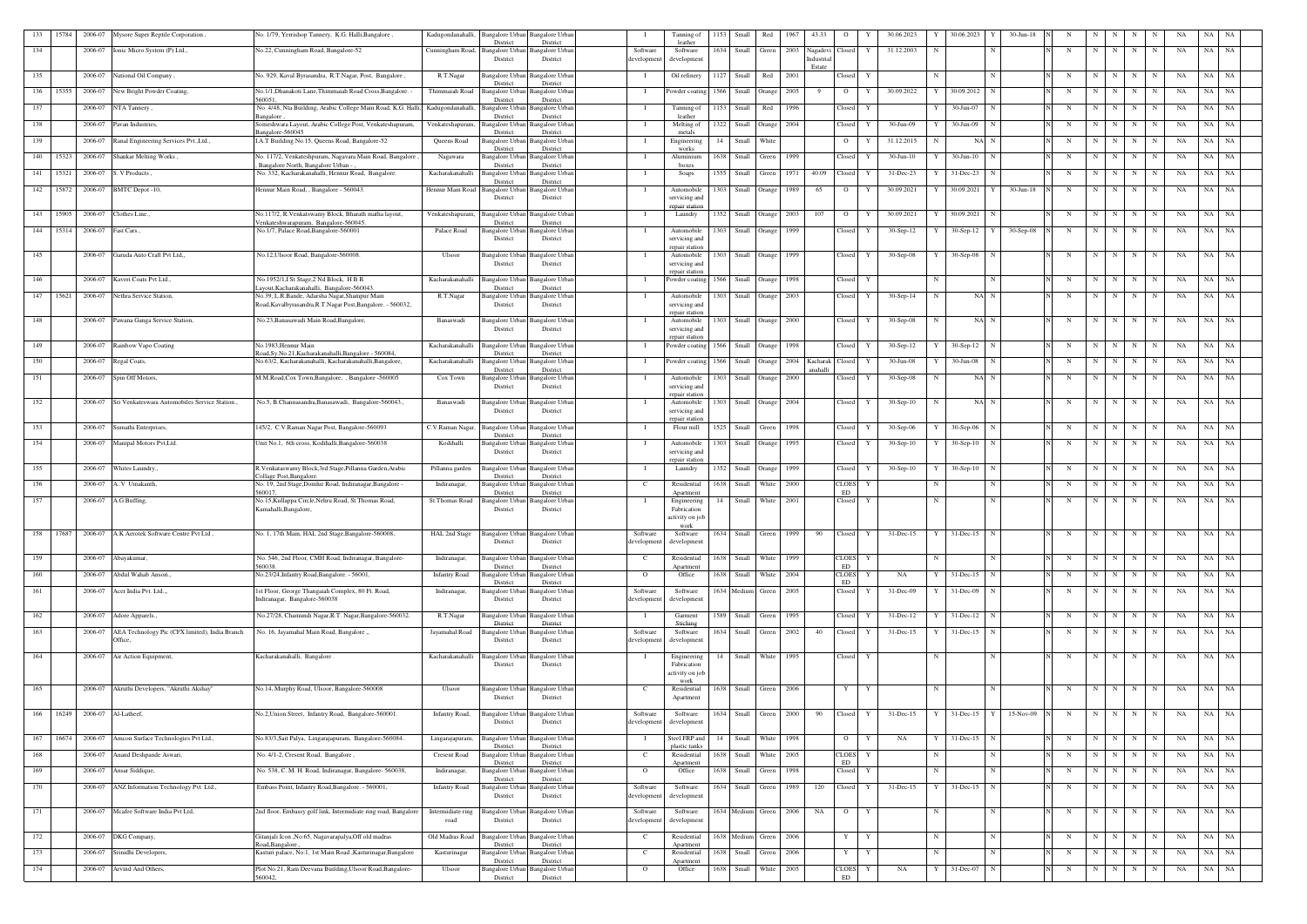| 133 | 15784     |                           | 2006-07 Mysore Super Reptile Corporation                  | No. 1/79, Yerrishop Tannery, K.G. Halli, Bangalore                                                            | Kadugondanahalli.         | Bangalore Urban<br>District        | <b>Bangalore</b> Urban<br>District                 |                             | Tanning of<br>leather           | 1153 | Small                  | Red    | 1967         | 43.33                                        | $\circ$            |              | 30.06.2023      |   | 30.06.2023       | 30-Jun-18   |   |             |     |             |             | NA | NA         |           |
|-----|-----------|---------------------------|-----------------------------------------------------------|---------------------------------------------------------------------------------------------------------------|---------------------------|------------------------------------|----------------------------------------------------|-----------------------------|---------------------------------|------|------------------------|--------|--------------|----------------------------------------------|--------------------|--------------|-----------------|---|------------------|-------------|---|-------------|-----|-------------|-------------|----|------------|-----------|
| 134 |           |                           | 2006-07 Ionic Micro System (P) Ltd.,                      | No.22, Cunningham Road, Bangalore-52                                                                          | Cunningham Road,          | Bangalore Urban<br>District        | <b>Bangalore Urban</b><br>District                 | Software<br>developmen      | Software<br>development         |      | 1634 Small             | Green  | 2003         | Nagadevi <sup>1</sup><br>Industria<br>Estate | Closed             | Y            | 31.12.2003      |   |                  |             | N | -N          |     | N           | N           | NA | NA         | NA        |
| 135 |           |                           | 2006-07 National Oil Company,                             | No. 929, Kaval Byrasandra, R.T.Nagar, Post, Bangalore,                                                        | R.T.Nagar                 | Bangalore Urbar<br>District        | <b>Bangalore Urban</b><br>District                 | $\mathbf{I}$                | Oil refinery                    |      | 1127 Small             | Red    | 2001         |                                              | Closed             | Y            |                 |   |                  | N           | N | N           | N   | N           | N           | NA | NA         | NA        |
| 136 | 15355     |                           | 2006-07 New Bright Powder Coating,                        | No.1/1, Dhanakoti Lane, Thimmaiah Road Cross, Bangalore. -<br>560051.                                         | Thimmaiah Road            | <b>Bangalore Urbar</b>             | <b>Bangalore Urban</b>                             | $\blacksquare$              | Powder coating                  |      | 1566 Small Orange      |        | 2005         |                                              | $\overline{O}$     | Y            | 30.09.2022      | Y | 30.09.2012 N     |             | N | N           | N   | N           | N           | NA | NA<br>NA   |           |
| 137 |           |                           | 2006-07 NTA Tannery,                                      | No. 4/48, Nta Building, Arabic College Main Road, K.G. Halli, Kadugondanahalli                                |                           | District<br>Bangalore Urbar        | District<br>Bangalore Urban                        |                             | Tanning of                      |      | 1153 Small             | Red    | 1996         |                                              | Closed             |              |                 |   | 30-Jun-07        |             | N | N           | N   | N           | N           | NA | NA         | NA        |
| 138 |           | 2006-07                   | Pavan Industries,                                         | angalore<br>Someshwara Layout, Arabic College Post, Venkateshapuram,                                          | Venkateshapuram,          | District<br><b>Bangalore Urbar</b> | District<br><b>Bangalore Urban</b>                 |                             | leather<br>Melting of           |      | 1322 Small             | Orange | 2004         |                                              | Closed             |              | 30-Jun-09       |   | 30-Jun-09        |             | N | $\mathbf N$ | N   | N           | N           | NA | NA         | - NA      |
| 139 |           | 2006-07                   | Ranal Engineering Services Pvt., Ltd.,                    | 3angalore-560045<br>I.A.T Building No.15, Queens Road, Bangalore-52                                           | Queens Road               | District<br>Bangalore Urbar        | District<br>Bangalore Urban                        | - 1                         | metals<br>Engineering           | 14   | Small                  | White  |              |                                              | $\circ$            |              | 31.12.2015      |   | NA N             |             | N | $\mathbf N$ | N   | N           | N           | NA | NA         | NA        |
| 140 | 15323     | 2006-07                   | Shankar Melting Works,                                    | No. 117/2, Venkateshpuram, Nagavara Main Road, Bangalore,                                                     | Nagawara                  | District<br>Bangalore Urbar        | District<br>Bangalore Urban                        |                             | works<br>Aluminium              |      | 1638 Small             | Green  | 1999         |                                              | Closed             |              | $30$ -Jun- $10$ |   | $30$ -Jun- $10$  |             | N | $\mathbf N$ |     | N           | N           | NA | NA<br>  NA |           |
| 141 | 15321     | 2006-07                   | S. V Products                                             | Bangalore North, Bangalore Urban -<br>No. 332, Kacharakanahalli, Hennur Road, Bangalore.                      | Kacharakanahall           | District<br><b>Bangalore</b> Urba  | District<br>Bangalore Urbar                        |                             | boxes<br>Soaps                  | 1555 | Small                  | Green  | 1971         | 40.09                                        | Closed             |              | 31-Dec-23       |   | $31 - Dec-23$    |             | N | $\mathbf N$ | N   | N           | $\mathbf N$ | NA | NA         | NA        |
| 142 |           |                           | 15872 2006-07 BMTC Depot -10,                             | Hennur Main Road, , Bangalore - 560043.                                                                       | Hennur Main Road          | District<br><b>Bangalore Urbar</b> | District<br>Bangalore Urbar                        |                             | Automobile                      | 1303 | Small                  | Orange | 1989         | 65                                           | $\overline{O}$     |              | 30.09.2021      |   | 30.09.2021       | $30-Jun-18$ | N | N           | N   | $\mathbf N$ | N           | NA | NA NA      |           |
|     |           |                           |                                                           |                                                                                                               |                           | District                           | District                                           |                             | servicing and<br>repair station |      |                        |        |              |                                              |                    |              |                 |   |                  |             |   |             |     |             |             |    |            |           |
| 143 | 15905     | 2006-07                   | Clothes Line.,                                            | No.117/2, R.Venkatswamy Block, Bharath matha layout,<br>/enkateshwarapuram, Bangalore-560045.                 | Venkateshapuram,          | <b>Bangalore Urban</b><br>District | <b>Bangalore</b> Urban<br>District                 | - 1                         | Laundry                         |      | 1352 Small Orange      |        | 2003         | 107                                          | $\overline{O}$     |              | 30.09.2021      |   | 30.09.2021<br>N  |             | N | N           | N   | N           | $\mathbf N$ | NA | NA         | NA        |
|     | 144 15314 | 2006-07                   | Fast Cars.,                                               | No.1/7, Palace Road, Bangalore-560001                                                                         | Palace Road               | <b>Bangalore Urban</b><br>District | <b>Bangalore</b> Urban<br>District                 |                             | Automobile<br>servicing and     |      | 1303 Small             | Orange | 1999         |                                              | Closed             | Y            | $30-Sep-12$     |   | $30-Sep-12$ Y    | $30-Sep-08$ | N | N           | N   | $\mathbf N$ | N           | NA | NA NA      |           |
| 145 |           | 2006-07                   | Garuda Auto Craft Pvt Ltd,,                               | No.12, Ulsoor Road, Bangalore-560008.                                                                         | Ulsoor                    | Bangalore Urban                    | <b>Bangalore Urban</b>                             |                             | repair station<br>Automobile    | 1303 | Small Orange           |        | 1999         |                                              | Closed             |              | $30-Sep-08$     |   | $30-Sep-08$      |             | N | $\mathbf N$ |     | N           | N           | NA | NA         | NA        |
|     |           |                           |                                                           |                                                                                                               |                           | District                           | District                                           |                             | servicing and<br>repair station |      |                        |        |              |                                              |                    |              |                 |   |                  |             |   |             |     |             |             |    |            |           |
| 146 |           | 2006-07                   | Kaveri Coats Pvt Ltd.,                                    | No.1952/1,I St Stage,2 Nd Block, H B R<br>ayout, Kacharakanahalli, Bangalore-560043.                          | Kacharakanahalli          | Bangalore Urban<br>District        | <b>Bangalore Urban</b><br>District                 | $\blacksquare$              | Powder coating                  |      | 1566 Small Orange      |        | 1998         |                                              | Closed             | Y            |                 |   |                  | N           | N | N           | N   | N           | $\mathbf N$ | NA | NA NA      |           |
| 147 | 15621     |                           | 2006-07 Nethra Service Station,                           | No.39, L.R.Bande, Adarsha Nagar, Shampur Main<br>Road, Kavalbyrasandra, R.T. Nagar Post, Bangalore. - 560032, | R.T.Nagar                 | District                           | Bangalore Urban Bangalore Urban<br>District        |                             | Automobile<br>servicing and     |      | 1303 Small Orange      |        | 2003         |                                              | Closed             | Y            | $30-Sep-14$     | N | NA N             |             | N | N           | N   | N           | N           | NA | NA NA      |           |
| 148 |           |                           | 2006-07 Pawana Ganga Service Station,                     | No.23, Banasawadi Main Road, Bangalore,                                                                       | Banaswadi                 | <b>Bangalore Urban</b>             | <b>Bangalore</b> Urban                             |                             | repair station<br>Automobile    |      | 1303 Small Orange      |        | 2000         |                                              | Closed             | Y            | $30-Sep-08$     |   | NA N             |             | N | $\mathbf N$ | N   | N           | N           | NA | NA         | NA        |
|     |           |                           |                                                           |                                                                                                               |                           | District                           | District                                           |                             | servicing and<br>repair station |      |                        |        |              |                                              |                    |              |                 |   |                  |             |   |             |     |             |             |    |            |           |
| 149 |           |                           | 2006-07 Rainbow Vapo Coating                              | No.1983.Hennur Main<br>toad, Sy.No.21, Kacharakanahalli, Bangalore - 560084,                                  | Kacharakanahalli          | Bangalore Urban<br>District        | <b>Bangalore Urban</b><br>District                 |                             | Powder coating                  |      | 1566 Small Orange      |        | 1998         |                                              | Closed             | Y            | $30-Sep-12$     |   | $30-Sep-12$ N    |             | N | N           | N   | N           | N           | NA | NA NA      |           |
| 150 |           | 2006-07                   | Regal Coats,                                              | No.63/2, Kacharakanahalli, Kacharakanahalli, Bangalore,                                                       | Kacharakanahalli          | Bangalore Urbar<br>District        | <b>Bangalore Urban</b><br>District                 |                             | Powder coating                  |      | 1566 Small Orange      |        |              | 2004 Kacharak Closed<br>anahalli             |                    | Y            | 30-Jun-08       |   | 30-Jun-08<br>N   |             | N | N           | N   | N           | N           | NA | NA NA      |           |
| 151 |           | 2006-07                   | Spin Off Motors,                                          | M.M.Road, Cox Town, Bangalore, , Bangalore -560005                                                            | Cox Town                  | District                           | Bangalore Urban Bangalore Urban<br>District        | - 1                         | Automobile<br>servicing and     |      | 1303 Small Orange      |        | 2000         |                                              | Closed             | Y            | $30-Sep-08$     |   | NA N             |             | N | N           | N   | N           | N           | NA | NA         | NA        |
| 152 |           |                           | 2006-07 Sri Venkateswara Automobiles Service Station.     | No.5, B.Channasandra, Banasawadi, Bangalore-560043.                                                           | Banaswadi                 | <b>Bangalore Urban</b>             | <b>Bangalore</b> Urban                             |                             | repair station<br>Automobile    | 1303 | Small Orange           |        | 2004         |                                              | Closed             | Y            | $30-Sep-10$     | N | NA N             |             | N | $\mathbf N$ | N   | $\mathbf N$ | N           | NA | NA         | NA        |
|     |           |                           |                                                           |                                                                                                               |                           | District                           | District                                           |                             | servicing and<br>repair station |      |                        |        |              |                                              |                    |              |                 |   |                  |             |   |             |     |             |             |    |            |           |
| 153 |           |                           | 2006-07 Sumathi Enterprises,                              | 145/2, C.V.Raman Nagar Post, Bangalore-560093                                                                 | C.V.Raman Nagar,          | <b>Bangalore Urbar</b><br>District | <b>Bangalore Urban</b><br>District                 |                             | Flour mill                      |      | 1525 Small Green       |        | 1998         |                                              | Closed             | Y            | $30-Sep-06$     |   | $30-Sep-06$<br>N |             | N | N           | N   | $\mathbf N$ | N           | NA | NA NA      |           |
| 154 |           |                           | 2006-07 Manipal Motors Pvt, Ltd.                          | Jnit No.1, 6th cross, Kodihalli, Bangalore-560038                                                             | Kodihalli                 | <b>Bangalore Urban</b><br>District | Bangalore Urban<br>District                        |                             | Automobile<br>servicing and     | 1303 | Small Orange           |        | 1995         |                                              | Closed             | Y            | $30-Sep-10$     |   | $30-Sep-10$      |             | N | $\mathbf N$ | N   | N           | N           | NA | NA         | NA        |
| 155 |           |                           | 2006-07 Whites Laundry.                                   | R.Venkataswamy Block,3rd Stage,Pillanna Garden,Arabic<br>ollage Post, Bangalore                               | Pillanna garden           | <b>Bangalore Urban</b><br>District | <b>Bangalore Urban</b><br>District                 | - 1                         | repair station<br>Laundry       |      | 1352 Small             | Orange | 1999         |                                              | Closed             | Y            | $30-Sep-10$     |   | $30-Sep-10$<br>N |             | N | N           | N   | $\mathbf N$ | N           | NA | NA         | NA        |
| 156 |           | 2006-07                   | A.V Umakanth.                                             | No. 19, 2nd Stage, Domlur Road, Indiranagar, Bangalore                                                        | Indiranagar,              | Bangalore Urban                    | <b>Bangalore</b> Urban                             | C                           | Residential                     |      | 1638 Small             | White  | 2000         |                                              | <b>CLOES</b>       | Y            |                 |   |                  | N           | N | N           | N   | N           |             | NA | NA         | NA.       |
| 157 |           |                           | 2006-07 A.G.Buffing,                                      | 560017.<br>No.15, Kullappa Circle, Nehru Road, St Thomas Road,                                                | St.Thomas Road            | District<br><b>Bangalore</b> Urbar | District<br><b>Bangalore Urban</b>                 | - 1                         | Apartment<br>Engineering        | 14   | Small                  | White  | 2001         |                                              | ED<br>Closed       | Y            |                 | N |                  | N           | N | N           | N   | $\mathbf N$ | N           | NA | NA         | <b>NA</b> |
|     |           |                           |                                                           | Kamahalli, Bangalore,                                                                                         |                           | District                           | District                                           |                             | Fabrication<br>activity on job  |      |                        |        |              |                                              |                    |              |                 |   |                  |             |   |             |     |             |             |    |            |           |
| 158 | 17687     | 2006-07                   | A.K Aerotek Software Centre Pvt Ltd,                      | No. 1, 17th Main, HAL 2nd Stage, Bangalore-560008,                                                            | HAL 2nd Stage             | <b>Rangalore Urban</b>             | Bangalore Urban                                    | Software                    | work<br>Software                |      | 1634 Small             | Green  | 1999         | 90                                           | Closed             | Y            | $31$ -Dec-15    |   | $31 - Dec-15$    |             |   | N           | N   | N           | N           | NA | NA         | NA        |
| 159 |           |                           | 2006-07 Abayakumar,                                       | No. 546, 2nd Floor, CMH Road, Indiranagar, Bangalore                                                          | Indiranagar,              | District<br>Bangalore Urbar        | District<br><b>Bangalore Urban</b>                 | development<br>$\mathbf{C}$ | developmen                      |      | 1638 Small             | White  | 1999         |                                              | <b>CLOES</b>       | Y            |                 |   |                  | N           | N | N           | N   | $\mathbf N$ | N           | NA | NA NA      |           |
|     |           |                           |                                                           | 560038.                                                                                                       |                           | District                           | District                                           |                             | Residential<br>Apartment        |      |                        |        |              |                                              | ED                 |              |                 |   |                  |             |   |             |     |             |             |    |            |           |
| 160 |           | 2006-07<br>2006-07        | Abdul Wahab Ansori                                        | No.23/24, Infantry Road, Bangalore. - 56001,                                                                  | <b>Infantry Road</b>      | <b>Bangalore</b> Urba<br>District  | Bangalore Urbar<br>District                        | $\overline{O}$              | Office                          |      | 1638 Small             | White  | 2004<br>2005 |                                              | <b>CLOES</b><br>ED | Y            | NA              |   | 31-Dec-15<br>N   |             | N | N           | N   | N           | N           | NA | NA NA      |           |
| 161 |           |                           | Acer India Pvt. Ltd.,                                     | 1st Floor, George Thangaiah Complex, 80 Ft. Road,<br>Indiranagar, Bangalore-560038                            | Indiranagar,              | Bangalore Urban<br>District        | <b>Bangalore</b> Urban<br>District                 | Software<br>developmen      | Software<br>development         |      | 1634 Medium            | Green  |              |                                              | Closed             |              | 31-Dec-09       |   | 31-Dec-09        |             | N | N           | N   | N           | N           | NA | NA NA      |           |
| 162 |           |                           | 2006-07 Adore Apparels.,                                  | No.27/28, Chamundi Nagar, R.T. Nagar, Bangalore-560032.                                                       | R.T.Nagar                 | <b>Bangalore Urban</b><br>District | <b>Bangalore Urban</b><br>District                 | $\mathbf{I}$                | Garment<br>Stiching             |      | 1589 Small Green       |        | 1995         |                                              | Closed             | Y            | $31 - Dec-12$   |   | $31$ -Dec-12 N   |             | N | N           | N   | N           | N           | NA | NA NA      |           |
| 163 |           | 2006-07                   | AEA Technology Pic (CFX limited), India Branch<br>Office, | No. 16, Jayamahal Main Road, Bangalore "                                                                      | Jayamahal Road            | <b>Bangalore Urban</b><br>District | <b>Bangalore Urban</b><br>District                 | Software<br>developmen      | Software<br>developmen          |      | 1634 Small Green 2002  |        |              | 40                                           | Closed             | Y            | 31-Dec-15       |   | $31$ -Dec-15 N   |             | N | N           | N   | N           | N           | NA | NA NA      |           |
| 164 |           |                           | 2006-07 Air Action Equipment,                             | Kacharakanahalli, Bangalore                                                                                   | Kacharakanahalli          | <b>Bangalore Urbar</b>             | <b>Bangalore</b> Urban                             | - 1                         | Engineering                     | 14   | Small White            |        | 1995         |                                              | Closed             | Y            |                 |   |                  | N           | N | N           | N   | N           | N           | NA | NA NA      |           |
|     |           |                           |                                                           |                                                                                                               |                           | District                           | District                                           |                             | Fabrication<br>activity on job  |      |                        |        |              |                                              |                    |              |                 |   |                  |             |   |             |     |             |             |    |            |           |
| 165 |           |                           | 2006-07 Akruthi Developers, "Akruthi Akshay"              | No.14, Murphy Road, Ulsoor, Bangalore-560008                                                                  | Ulsoor                    |                                    | Bangalore Urban Bangalore Urban                    | $\mathbf{C}$                | work<br>Residential             |      | 1638 Small Green       |        | 2006         |                                              | Y                  | Y            |                 | N |                  | N           | N | N           | N   | N           | N           | NA | NA NA      |           |
|     |           |                           |                                                           |                                                                                                               |                           | District                           | District                                           |                             | Apartment                       |      |                        |        |              |                                              |                    |              |                 |   |                  |             |   |             |     |             |             |    |            |           |
| 166 |           | 16249 2006-07 Al-Latheef, |                                                           | No.2, Union Street, Infantry Road, Bangalore-560001.                                                          | Infantry Road,            | District                           | Bangalore Urban Bangalore Urban<br>District        | Software<br>development     | Software<br>development         |      | 1634 Small Green 2000  |        |              | 90                                           | Closed             | $\mathbf{Y}$ | $31$ -Dec-15    | Y | $31$ -Dec-15 $Y$ | 15-Nov-09   | N | N           | N   | N           | N           | NA | NA NA      |           |
| 167 | 16674     |                           | 2006-07 Amcon Surface Technologies Pvt Ltd.,              | No.83/3, Sait Palya, Lingarajapuram, Bangalore-560084.                                                        | Lingarajapuram,           | Bangalore Urbar                    | <b>Bangalore Urban</b>                             |                             | Steel FRP and                   | 14   | Small                  | White  | 1998         |                                              | $\overline{O}$     | Y            | NA              |   | $31$ -Dec-15 N   |             | N | N           | N I | N           | N           | NA | NA NA      |           |
| 168 |           |                           | 2006-07 Anand Deshpande Aswari,                           | No. 4/1-2, Cresent Road, Bangalore,                                                                           | <b>Cresent Road</b>       | District<br>Bangalore Urban        | District<br><b>Bangalore Urban</b>                 | C                           | plastic tanks<br>Residential    |      | 1638 Small             | White  | 2005         |                                              | <b>CLOES</b>       | Y            |                 |   |                  | N           | N | $\mathbf N$ | N   | N           |             | NA | NA         | NA        |
| 169 |           | 2006-07                   | Ansar Siddique,                                           | No. 538, C. M. H. Road, Indiranagar, Bangalore- 560038,                                                       | Indiranagar,              | District<br>Bangalore Urbar        | District<br><b>Bangalore Urban</b>                 | $\overline{O}$              | Apartment<br>Office             |      | 1638 Small             | Green  | 1998         |                                              | ED<br>Closed       | Y            |                 | N |                  | N           | N | N           | N   | N           | N           | NA | NA         | NA        |
| 170 |           |                           | 2006-07 ANZ Information Technology Pvt. Ltd.,             | Embass Point, Infantry Road, Bangalore. - 560001,                                                             | <b>Infantry Road</b>      | District                           | District<br><b>Bangalore Urban</b> Bangalore Urban | Software                    | Software                        |      | 1634 Small Green       |        | 1989         | 120                                          | Closed             | Y            | $31 - Dec-15$   |   | 31-Dec-15        |             | N | N           | N   | N           | N           | NA | NA NA      |           |
|     |           |                           |                                                           |                                                                                                               |                           | District                           | District                                           | development                 | development                     |      |                        |        |              |                                              |                    |              |                 |   |                  |             |   |             |     |             |             |    |            |           |
| 171 |           |                           | 2006-07 Mcafee Software India Pvt Ltd,                    | 2nd floor, Embassy golf link, Intermidiate ring road, Bangalore                                               | Intermidiate ring<br>road | Bangalore Urban<br>District        | Bangalore Urban<br>District                        | Software<br>development     | Software<br>development         |      | 1634 Medium Green 2006 |        |              | <b>NA</b>                                    | $\overline{O}$     | Y            |                 | N | N                |             | N | N           | N   | N           | N           | NA | NA NA      |           |
| 172 |           |                           | 2006-07 DKG Company,                                      | Gitanjali Icon , No:65, Nagavarapalya, Off old madras                                                         | Old Madras Road           |                                    | Bangalore Urban Bangalore Urban                    | C                           | Residential                     |      | 1638 Medium Green      |        | 2006         |                                              | Y                  | Y            |                 | N |                  | $\mathbf N$ | N | N           | N   | N           | N           | NA | NA NA      |           |
| 173 |           | 2006-07                   | Srinidhi Developers,                                      | toad, Bangalore.<br>Kasturi palace, No:1, 1st Main Road , Kasturinagar, Bangalore                             | Kasturinagar              | District<br>Bangalore Urban        | District<br><b>Bangalore Urban</b>                 | <sup>-</sup> C              | Apartmen<br>Residential         |      | 1638 Small             | Green  | 2006         |                                              | Y                  | Y            |                 | N |                  | N           | N | N           | N   | $\mathbf N$ | N           | NA | NA         | <b>NA</b> |
| 174 |           |                           | 2006-07 Arvind And Others,                                | Plot No.21, Ram Deevana Building, Ulsoor Road, Bangalore-                                                     | Ulsoor                    | District                           | District<br>Bangalore Urban Bangalore Urban        | $\Omega$                    | Apartment<br>Office             |      | 1638 Small             | White  | 2005         |                                              | <b>CLOES</b>       | Y            | NA              | Y | 31-Dec-07        | N           | N | N           | N   | N           | N           | NA | NA NA      |           |
|     |           |                           |                                                           | 560042.                                                                                                       |                           | District                           | District                                           |                             |                                 |      |                        |        |              |                                              | ED                 |              |                 |   |                  |             |   |             |     |             |             |    |            |           |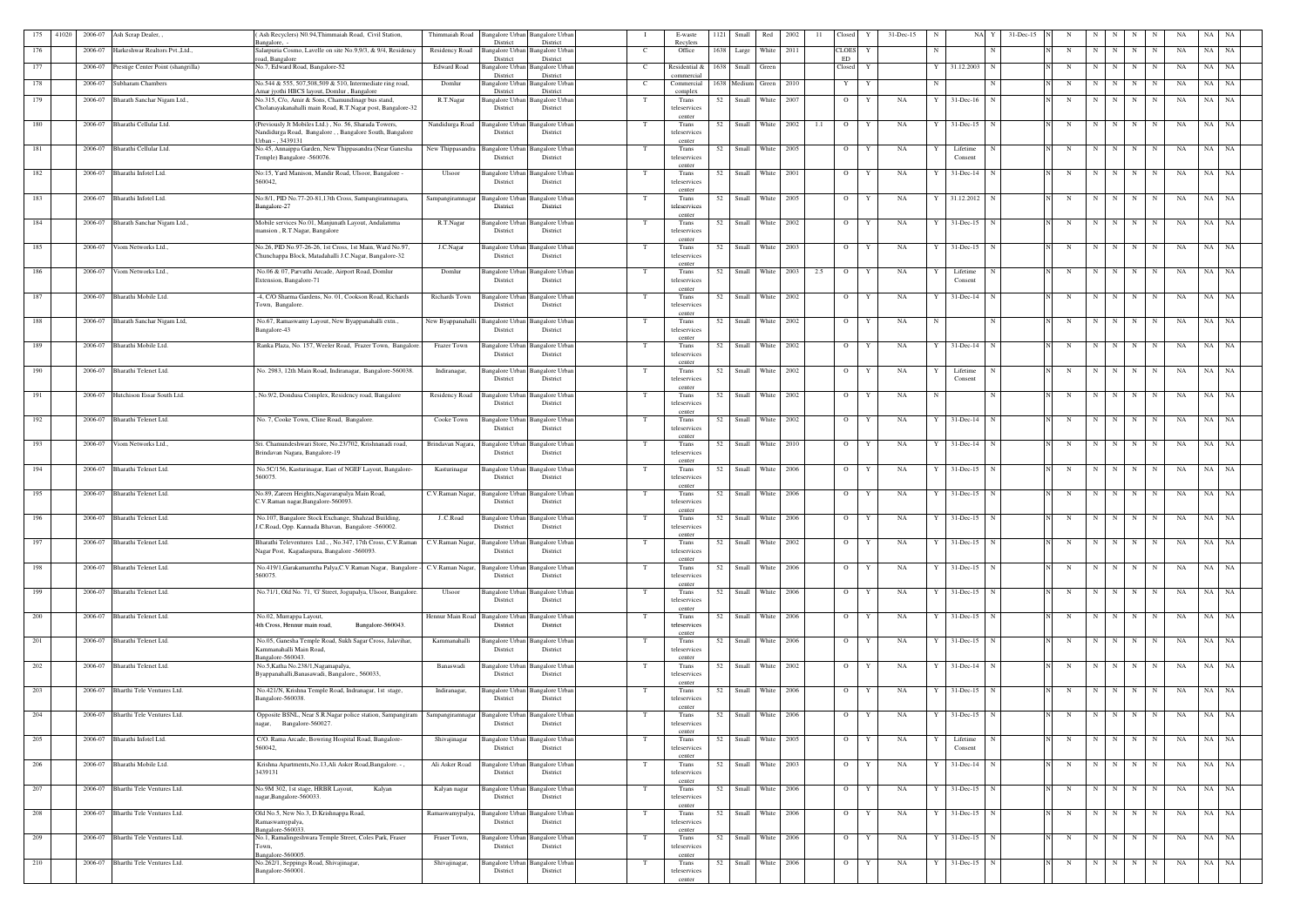| 175 | 41020 | 2006-07 | Ash Scrap Dealer,,                  | Ash Recyclers) N0.94, Thimmaiah Road, Civil Station,                                                              | Thimmaiah Road                   | Bangalore Urban                    | <b>Bangalore Urbar</b>             |     | E-waste                    | 1121 | Small | Red                    | 2002 | 11  | Closed         | $31 - Dec - 15$<br>Y<br>-N | NA.                 | 31-Dec-15   |                        |                |         |             |             | NA | NA        |           |
|-----|-------|---------|-------------------------------------|-------------------------------------------------------------------------------------------------------------------|----------------------------------|------------------------------------|------------------------------------|-----|----------------------------|------|-------|------------------------|------|-----|----------------|----------------------------|---------------------|-------------|------------------------|----------------|---------|-------------|-------------|----|-----------|-----------|
| 176 |       | 2006-07 | Jarkeshwar Realtors Pvt., Ltd.,     | angalore,<br>Salarpuria Cosmo, Lavelle on site No.9,9/3, & 9/4, Residency                                         | Residency Road                   | District<br><b>Bangalore Urban</b> | District<br>Bangalore Urba         |     | Recylers<br>Office         | 1638 | Large | White 2011             |      |     | <b>CLOES</b>   | Y<br>N                     |                     |             | N                      | N              |         | N           | N           | NA | NA        | NA        |
|     |       |         |                                     | oad, Bangalore                                                                                                    |                                  | District                           | District                           |     |                            |      |       |                        |      |     | ED             |                            |                     |             |                        |                |         |             |             |    |           |           |
| 177 |       | 2006-07 | Prestige Center Point (shangrilla)  | No.7, Edward Road, Bangalore-52                                                                                   | <b>Edward Road</b>               | Bangalore Urba<br>District         | Bangalore Urba<br>District         |     | Residential &<br>commercia | 1638 | Small | Green                  |      |     | Closed         | Y                          | 31.12.2003          |             | N                      | N              |         | N           | N           | NA | NA        | NA        |
| 178 |       | 2006-07 | Subharam Chambers                   | No.544 & 555, 507,508,509 & 510, Intermediate ring road,                                                          | Domlur                           | <b>Bangalore Urbar</b>             | <b>Bangalore Urbar</b>             |     | Commercial                 |      |       | 1638 Medium Green 2010 |      |     | Y              | Y<br>N                     |                     |             | N                      | N              | N       | N           | N           | NA | NA        | NA        |
| 179 |       |         |                                     | Amar jyothi HBCS layout, Domlur, Bangalore<br>No.315, C/o, Amir & Sons, Chamundinagr bus stand,                   | R.T.Nagar                        | District<br>Bangalore Urban        | District                           | T   | complex<br>Trans           | 52   | Small | White                  | 2007 |     | $\overline{O}$ | NA<br>Y                    | $31$ -Dec-16        |             | N                      | N              | N       | N           | N           | NA | NA        | NA        |
|     |       | 2006-07 | Bharath Sanchar Nigam Ltd.,         | Cholanayakanahalli main Road, R.T.Nagar post, Bangalore-32                                                        |                                  | District                           | Bangalore Urba<br>District         |     | teleservices               |      |       |                        |      |     |                |                            |                     |             |                        |                |         |             |             |    |           |           |
|     |       |         |                                     |                                                                                                                   |                                  |                                    |                                    |     | center                     |      |       |                        |      |     |                |                            |                     |             |                        |                |         |             |             |    |           |           |
| 180 |       | 2006-07 | Bharathi Cellular Ltd.              | (Previously Jt Mobiles Ltd.), No. 56, Sharada Towers,<br>Nandidurga Road, Bangalore, , Bangalore South, Bangalore | Nandidurga Road                  | Bangalore Urban<br>District        | <b>Bangalore Urban</b><br>District |     | Trans<br>teleservices      | 52   |       | Small White 2002       |      | 1.1 | $\overline{O}$ | Y<br>NA                    | $31 - Dec-15$       | N           | N                      | N              | N       | N           | N           | NA | NA NA     |           |
|     |       |         |                                     | Jrban - , 3439131                                                                                                 |                                  |                                    |                                    |     | center                     |      |       |                        |      |     |                |                            |                     |             |                        |                |         |             |             |    |           |           |
| 181 |       | 2006-07 | Bharathi Cellular Ltd.              | No.45, Annaippa Garden, New Thippasandra (Near Ganesha<br>Temple) Bangalore -560076.                              | New Thippasandra Bangalore Urban | District                           | <b>Bangalore Urbar</b><br>District |     | Trans<br>teleservices      | 52   | Small | White 2005             |      |     | $\overline{O}$ | Y<br>NA                    | Lifetime<br>Consent |             | N                      | N              | N       | $\mathbf N$ | $\mathbf N$ | NA | NA        | NA        |
|     |       |         |                                     |                                                                                                                   |                                  |                                    |                                    |     | center                     |      |       |                        |      |     |                |                            |                     |             |                        |                |         |             |             |    |           |           |
| 182 |       | 2006-07 | Bharathi Infotel Ltd.               | No:15, Yard Manison, Mandir Road, Ulsoor, Bangalore -<br>560042.                                                  | Ulsoor                           | Bangalore Urban<br>District        | <b>Bangalore Urban</b><br>District |     | Trans<br>teleservices      | 52   |       | Small White 2001       |      |     | $\overline{O}$ | Y<br>NA                    | 31-Dec-14           | $\mathbf N$ | N                      | N              | N       | N           | N           | NA | NA NA     |           |
|     |       |         |                                     |                                                                                                                   |                                  |                                    |                                    |     | center                     |      |       |                        |      |     |                |                            |                     |             |                        |                |         |             |             |    |           |           |
| 183 |       | 2006-07 | Bharathi Infotel Ltd.               | No:8/1, PID No.77-20-81,13th Cross, Sampangiramnagara,                                                            | Sampangiramnagar                 | <b>Bangalore Urban</b>             | <b>Bangalore</b> Urba              | T   | Trans                      | 52   | Small | White 2005             |      |     | $\overline{O}$ | Y<br>NA<br>Y               | 31.12.2012          | N           | N                      | $\overline{N}$ | N       | $\mathbf N$ | N           | NA | NA        | NA        |
|     |       |         |                                     | Bangalore-27                                                                                                      |                                  | District                           | District                           |     | teleservices<br>center     |      |       |                        |      |     |                |                            |                     |             |                        |                |         |             |             |    |           |           |
| 184 |       |         | 2006-07 Bharath Sanchar Nigam Ltd., | Mobile services No.01, Manjunath Layout, Andalamma                                                                | R.T.Nagar                        | Bangalore Urban                    | <b>Bangalore Urban</b>             |     | Trans                      |      |       | 52 Small White 2002    |      |     | $\overline{O}$ | Y<br>NA<br>Y               | $31$ -Dec-15 N      |             | N                      | N              | N       | N           | N           | NA | NA NA     |           |
|     |       |         |                                     | mansion, R.T.Nagar, Bangalore                                                                                     |                                  | District                           | District                           |     | teleservices<br>center     |      |       |                        |      |     |                |                            |                     |             |                        |                |         |             |             |    |           |           |
| 185 |       | 2006-07 | Viom Networks Ltd.,                 | No.26, PID No.97-26-26, 1st Cross, 1st Main, Ward No.97,                                                          | J.C.Nagar                        | Bangalore Urban                    | <b>Bangalore Urban</b>             |     | Trans                      | 52   |       | Small White 2003       |      |     | $\overline{O}$ | NA<br>Y                    | 31-Dec-15           |             | N                      | N              | N       | N           | N           | NA | NA        | NA        |
|     |       |         |                                     | Chunchappa Block, Matadahalli J.C.Nagar, Bangalore-32                                                             |                                  | District                           | District                           |     | teleservices<br>center     |      |       |                        |      |     |                |                            |                     |             |                        |                |         |             |             |    |           |           |
| 186 |       | 2006-07 | Viom Networks Ltd.,                 | No.06 & 07, Parvathi Arcade, Airport Road, Domlur                                                                 | Domlur                           | Bangalore Urban Bangalore Urban    |                                    |     | Trans                      | 52   |       | Small White 2003       |      | 2.5 | $\overline{O}$ | NA<br>Y                    | Lifetime            |             | N                      | N              | N       | N           | N           | NA | NA NA     |           |
|     |       |         |                                     | Extension, Bangalore-71                                                                                           |                                  | District                           | District                           |     | teleservices               |      |       |                        |      |     |                |                            | Consent             |             |                        |                |         |             |             |    |           |           |
| 187 |       | 2006-07 | Bharathi Mobile Ltd.                | -4, C/O Sharma Gardens, No. 01, Cookson Road, Richards                                                            | <b>Richards Town</b>             | Bangalore Urban                    | <b>Bangalore Urbar</b>             |     | center<br>Trans            | 52   | Small | White                  | 2002 |     | $\circ$        | NA<br>Y                    | $31 - Dec-14$       |             | N                      | N              | N       | N           | N           | NA | NA        | NA        |
|     |       |         |                                     | Town, Bangalore.                                                                                                  |                                  | District                           | District                           |     | teleservices               |      |       |                        |      |     |                |                            |                     |             |                        |                |         |             |             |    |           |           |
| 188 |       | 2006-07 | Bharath Sanchar Nigam Ltd,          | No.67, Ramaswamy Layout, New Byappanahalli extn.,                                                                 | New Byappanahalli                | <b>Bangalore Urban</b>             | <b>Bangalore Urbar</b>             |     | center<br>Trans            |      |       | 52 Small White 2002    |      |     | $\overline{O}$ | NA<br>Y<br>N               |                     |             | N                      | N              | N       | $\mathbf N$ | N           | NA | NA NA     |           |
|     |       |         |                                     | Bangalore-43                                                                                                      |                                  | District                           | District                           |     | teleservices               |      |       |                        |      |     |                |                            |                     |             |                        |                |         |             |             |    |           |           |
| 189 |       | 2006-07 | Bharathi Mobile Ltd.                | Ranka Plaza, No. 157, Weeler Road, Frazer Town, Bangalore                                                         | Frazer Town                      | Bangalore Urban                    | Bangalore Urban                    |     | center<br>Trans            | 52   | Small | White                  | 2002 |     | $\overline{O}$ | NA<br>Y                    | $31 - Dec-14$       |             | N                      | N              | N       | N           | N           | NA | NA        | NA        |
|     |       |         |                                     |                                                                                                                   |                                  | District                           | District                           |     | teleservices               |      |       |                        |      |     |                |                            |                     |             |                        |                |         |             |             |    |           |           |
|     |       |         |                                     |                                                                                                                   |                                  |                                    |                                    |     | center                     |      |       |                        |      |     |                |                            |                     |             |                        |                |         |             |             |    |           |           |
| 190 |       | 2006-07 | Bharathi Telenet Ltd.               | No. 2983, 12th Main Road, Indiranagar, Bangalore-560038.                                                          | Indiranagar,                     | Bangalore Urban<br>District        | <b>Bangalore</b> Urbar<br>District |     | Trans<br>teleservices      | 52   |       | Small White 2002       |      |     | $\overline{O}$ | NA<br>Y                    | Lifetime<br>Consent |             | $\mathbf N$            | N              | N       | N           | N           | NA | NA NA     |           |
|     |       |         |                                     |                                                                                                                   |                                  |                                    |                                    |     | center                     |      |       |                        |      |     |                |                            |                     |             |                        |                |         |             |             |    |           |           |
| 191 |       | 2006-07 | Hutchison Essar South Ltd.          | No.9/2, Dondusa Complex, Residency road, Bangalore                                                                | Residency Road                   | Bangalore Urban<br>District        | Bangalore Urba<br>District         |     | Trans<br>teleservices      | 52   |       | Small White 2002       |      |     | $\overline{O}$ | NA<br>Y<br>N               |                     |             | N                      | N              | N       | N           | N           | NA | NA NA     |           |
|     |       |         |                                     |                                                                                                                   |                                  |                                    |                                    |     | center                     |      |       |                        |      |     |                |                            |                     |             |                        |                |         |             |             |    |           |           |
| 192 |       | 2006-07 | Bharathi Telenet Ltd.               | No. 7, Cooke Town, Cline Road, Bangalore.                                                                         | Cooke Town                       | Bangalore Urban<br>District        | Bangalore Urbar<br>District        |     | Trans<br>teleservices      |      |       | 52 Small White 2002    |      |     | $\overline{O}$ | NA<br>Y                    | 31-Dec-14           | $\mathbf N$ | N                      | N              | N       | N           | N           | NA | NA NA     |           |
|     |       |         |                                     |                                                                                                                   |                                  |                                    |                                    |     | center                     |      |       |                        |      |     |                |                            |                     |             |                        |                |         |             |             |    |           |           |
| 193 |       | 2006-07 | Viom Networks Ltd.,                 | Sri. Chamundeshwari Store, No.23/702, Krishnanadi road                                                            | Brindavan Nagara,                | Bangalore Urban                    | Bangalore Urbai                    |     | Trans                      | 52   | Small | White 2010             |      |     | $\overline{O}$ | NA<br>Y                    | $31$ -Dec-14        |             | N                      | N              | N       | N           |             | NA | NA        | NA        |
|     |       |         |                                     | Brindavan Nagara, Bangalore-19                                                                                    |                                  | District                           | District                           |     | teleservices<br>center     |      |       |                        |      |     |                |                            |                     |             |                        |                |         |             |             |    |           |           |
| 194 |       | 2006-07 | Bharathi Telenet Ltd.               | No.5C/156, Kasturinagar, East of NGEF Layout, Bangalore-                                                          | Kasturinagar                     | Bangalore Urban                    | Bangalore Urba                     |     | Trans                      | 52   | Small | White 2006             |      |     | $\overline{O}$ | NA<br>Y<br>Y               | $31 - Dec-15$       |             | N                      | N              | N       | N           | N           | NA | NA        | <b>NA</b> |
|     |       |         |                                     | 560075.                                                                                                           |                                  | District                           | District                           |     | teleservices<br>center     |      |       |                        |      |     |                |                            |                     |             |                        |                |         |             |             |    |           |           |
| 195 |       | 2006-07 | Bharathi Telenet Ltd.               | No.89, Zareen Heights, Nagavarapalya Main Road,                                                                   | C.V.Raman Nagar,                 | <b>Bangalore Urban</b>             | <b>Bangalore Urbar</b>             | T   | Trans                      | 52   | Small | White 2006             |      |     | $\overline{O}$ | NA<br>Y<br>Y               | $31 - Dec-15$       | N           | N                      | N              | N       | N           | N           | NA | NA        | <b>NA</b> |
|     |       |         |                                     | C.V.Raman nagar,Bangalore-560093.                                                                                 |                                  | District                           | District                           |     | teleservices<br>center     |      |       |                        |      |     |                |                            |                     |             |                        |                |         |             |             |    |           |           |
| 196 |       |         | 2006-07 Bharathi Telenet Ltd.       | No.107, Bangalore Stock Exchange, Shahzad Building,                                                               | JC.Road                          | Bangalore Urban Bangalore Urban    |                                    |     | Trans                      |      |       | 52 Small White 2006    |      |     | $O$ $Y$        | NA                         | $Y$ 31-Dec-15 $N$   |             | N N N N N N N NA NA NA |                |         |             |             |    |           |           |
|     |       |         |                                     | J.C.Road, Opp. Kannada Bhavan, Bangalore -560002.                                                                 |                                  | District                           | District                           |     | teleservices               |      |       |                        |      |     |                |                            |                     |             |                        |                |         |             |             |    |           |           |
| 197 |       | 2006-07 | Bharathi Telenet Ltd.               | Bharathi Televentures Ltd., , No.347, 17th Cross, C.V.Raman                                                       | C.V.Raman Nagar,                 | <b>Bangalore</b> Urban             | Bangalore Urban                    |     | center<br>Trans            | 52   |       | Small White 2002       |      |     | $\overline{O}$ | NA<br>Y                    | $31 - Dec - 15$     | N           | N                      | N              | N       | N           | N           | NA | NA NA     |           |
|     |       |         |                                     | Nagar Post, Kagadaspura, Bangalore -560093.                                                                       |                                  | District                           | District                           |     | teleservices               |      |       |                        |      |     |                |                            |                     |             |                        |                |         |             |             |    |           |           |
| 198 |       | 2006-07 | Bharathi Telenet Ltd.               | No.419/1, Garakamamtha Palya, C.V. Raman Nagar, Bangalore - C.V. Raman Nagar,                                     |                                  | <b>Bangalore Urban</b>             | <b>Bangalore</b> Urba              | T   | center<br>Trans            |      |       | 52 Small White 2006    |      |     | $\overline{O}$ | NA<br>Y                    | 31-Dec-15           |             | N                      | N              | N       | N           | N           | NA | NA NA     |           |
|     |       |         |                                     | 560075.                                                                                                           |                                  | District                           | District                           |     | teleservices               |      |       |                        |      |     |                |                            |                     |             |                        |                |         |             |             |    |           |           |
| 199 |       | 2006-07 | Bharathi Telenet Ltd.               | No.71/1, Old No. 71, 'G' Street, Jogupalya, Ulsoor, Bangalore.                                                    | Ulsoor                           | Bangalore Urban                    | <b>Bangalore Urbar</b>             |     | center<br>Trans            | 52   |       | Small White 2006       |      |     | $\overline{O}$ | NA<br>Y<br>Y               | 31-Dec-15           | $\mathbf N$ | N                      | N              | N       | N           | N           | NA | NA NA     |           |
|     |       |         |                                     |                                                                                                                   |                                  | District                           | District                           |     | teleservices               |      |       |                        |      |     |                |                            |                     |             |                        |                |         |             |             |    |           |           |
|     |       |         | Bharathi Telenet Ltd.               |                                                                                                                   | Hennur Main Road Bangalore Urban |                                    |                                    |     | center                     |      |       |                        |      |     |                |                            |                     |             |                        |                |         |             |             |    |           |           |
| 200 |       | 2006-07 |                                     | No.02, Murrappa Layout,<br>4th Cross, Hennur main road,<br>Bangalore-560043.                                      |                                  | District                           | Bangalore Urbai<br>District        |     | Trans<br>teleservices      |      |       | 52 Small White 2006    |      |     | $\overline{O}$ | NA<br>Y                    | 31-Dec-15           | N           | N                      | N              | N       | N           | N           | NA | NA NA     |           |
|     |       |         |                                     |                                                                                                                   |                                  |                                    |                                    |     | center                     |      |       |                        |      |     |                |                            |                     |             |                        |                |         |             |             |    |           |           |
| 201 |       | 2006-07 | Bharathi Telenet Ltd.               | No.05, Ganesha Temple Road, Sukh Sagar Cross, Jalavihar,<br>Kammanahalli Main Road,                               | Kammanahalli                     | Bangalore Urban<br>District        | <b>Bangalore Urban</b><br>District |     | Trans<br>teleservices      | 52   |       | Small White 2006       |      |     | $\overline{O}$ | Y<br>NA                    | $31 - Dec - 15$     | $\mathbf N$ | N                      | N              | N       | N           | N           | NA | <b>NA</b> | <b>NA</b> |
|     |       |         |                                     | Bangalore-560043.                                                                                                 |                                  |                                    |                                    |     | center                     |      |       |                        |      |     |                |                            |                     |             |                        |                |         |             |             |    |           |           |
| 202 |       | 2006-07 | Bharathi Telenet Ltd.               | No.5, Katha No.238/1, Nagamapalya,<br>Byappanahalli, Banasawadi, Bangalore., 560033,                              | Banaswadi                        | <b>Bangalore Urban</b><br>District | Bangalore Urba<br>District         | T   | Trans<br>teleservices      | 52   |       | Small White 2002       |      |     | $\overline{O}$ | Y<br>NA<br>Y               | 31-Dec-14           | N           | N                      | N              | N       | N           | N           | NA | NA NA     |           |
|     |       |         |                                     |                                                                                                                   |                                  |                                    |                                    |     | center                     |      |       |                        |      |     |                |                            |                     |             |                        |                |         |             |             |    |           |           |
| 203 |       | 2006-07 | Bharthi Tele Ventures Ltd.          | No.421/N, Krishna Temple Road, Indranagar, 1st stage,                                                             | Indiranagar,                     | Bangalore Urban                    | <b>Bangalore Urban</b>             | T   | Trans                      | 52   |       | Small White 2006       |      |     | $\overline{O}$ | Y<br>NA<br>Y               | $31 - Dec-15$ N     |             | N                      |                | $N$ $N$ | N           | N           | NA | $NA$ $NA$ |           |
|     |       |         |                                     | Bangalore-560038.                                                                                                 |                                  | District                           | District                           |     | teleservices<br>center     |      |       |                        |      |     |                |                            |                     |             |                        |                |         |             |             |    |           |           |
| 204 |       | 2006-07 | Bharthi Tele Ventures Ltd.          | Opposite BSNL, Near S.R.Nagar police station, Sampangiram                                                         | Sampangiramnagar                 | <b>Bangalore Urban</b>             | <b>Bangalore Urba</b>              |     | Trans                      | 52   |       | Small White 2006       |      |     | $\overline{O}$ | NA<br>Y                    | $31 - Dec - 15$     | - N         | N                      | N              | N       | N           | N           | NA | NA        | <b>NA</b> |
|     |       |         |                                     | nagar, Bangalore-560027.                                                                                          |                                  | District                           | District                           |     | teleservices<br>center     |      |       |                        |      |     |                |                            |                     |             |                        |                |         |             |             |    |           |           |
| 205 |       | 2006-07 | Bharathi Infotel Ltd.               | C/O. Rama Arcade, Bowring Hospital Road, Bangalore-                                                               | Shivajinagar                     | Bangalore Urban Bangalore Urban    |                                    |     | Trans                      | 52   |       | Small White 2005       |      |     | $\overline{O}$ | NA<br>Y                    | Lifetime            |             | N                      | N              | N       | N           | N           | NA | NA NA     |           |
|     |       |         |                                     | 560042,                                                                                                           |                                  | District                           | District                           |     | teleservices<br>center     |      |       |                        |      |     |                |                            | Consent             |             |                        |                |         |             |             |    |           |           |
| 206 |       | 2006-07 | Bharathi Mobile Ltd.                | Krishna Apartments, No.13, Ali Asker Road, Bangalore. -                                                           | Ali Asker Road                   | Bangalore Urban                    | <b>Bangalore Urbar</b>             | T   | Trans                      |      |       | 52 Small White 2003    |      |     | $\overline{O}$ | NA<br>Y                    | $31 - Dec-14$       |             | N                      | N              | N       | N           | N           | NA | NA NA     |           |
|     |       |         |                                     | 3439131                                                                                                           |                                  | District                           | District                           |     | teleservices               |      |       |                        |      |     |                |                            |                     |             |                        |                |         |             |             |    |           |           |
| 207 |       | 2006-07 | Bharthi Tele Ventures Ltd.          | No.9M 302, 1st stage, HRBR Layout,<br>Kalyan                                                                      | Kalyan nagar                     | Bangalore Urban                    | <b>Bangalore Urban</b>             |     | center<br>Trans            |      |       | 52 Small White 2006    |      |     | $\overline{O}$ | NA<br>Y<br>Y               | $31 - Dec-15$       | $\mathbf N$ | N                      | N              | N       | N           | N           | NA | NA NA     |           |
|     |       |         |                                     | nagar, Bangalore-560033.                                                                                          |                                  | District                           | District                           |     | teleservices               |      |       |                        |      |     |                |                            |                     |             |                        |                |         |             |             |    |           |           |
| 208 |       |         | 2006-07 Bharthi Tele Ventures Ltd.  | Old No.5, New No.3, D.Krishnappa Road,                                                                            | Ramaswamypalya,                  | Bangalore Urban                    | <b>Bangalore Urban</b>             |     | center<br>Trans            | 52   |       | Small White 2006       |      |     | $\overline{O}$ | Y<br>NA                    | 31-Dec-15           |             | N                      | N              | N       | N           | N           | NA | NA NA     |           |
|     |       |         |                                     | Ramaswamypalya,                                                                                                   |                                  | District                           | District                           |     | teleservices               |      |       |                        |      |     |                |                            |                     |             |                        |                |         |             |             |    |           |           |
| 209 |       |         | 2006-07 Bharthi Tele Ventures Ltd.  | Bangalore-560033.<br>No.1, Ramalingeshwara Temple Street, Coles Park, Fraser                                      | Fraser Town,                     | Bangalore Urban                    | <b>Bangalore Urban</b>             |     | center<br>Trans            | 52   |       | Small White 2006       |      |     | $\overline{O}$ | Y<br>NA<br>Y               | $31 - Dec-15$       | $\mathbf N$ | $\mathbf N$            | N              | N       | N           | N           | NA | NA NA     |           |
|     |       |         |                                     | Town,                                                                                                             |                                  | District                           | District                           |     | teleservices               |      |       |                        |      |     |                |                            |                     |             |                        |                |         |             |             |    |           |           |
| 210 |       | 2006-07 | Bharthi Tele Ventures Ltd.          | Bangalore-560005.<br>No.262/1, Seppings Road, Shivajinagar,                                                       | Shivajinagar,                    | Bangalore Urban                    | Bangalore Urba                     | - T | center<br>Trans            | 52   |       | Small White 2006       |      |     | $\overline{O}$ | Y<br>NA<br>Y               | 31-Dec-15           | $\mathbf N$ | N                      | N              | N       | $\mathbf N$ | N           | NA | NA NA     |           |
|     |       |         |                                     | Bangalore-560001.                                                                                                 |                                  | District                           | District                           |     | teleservices               |      |       |                        |      |     |                |                            |                     |             |                        |                |         |             |             |    |           |           |
|     |       |         |                                     |                                                                                                                   |                                  |                                    |                                    |     | center                     |      |       |                        |      |     |                |                            |                     |             |                        |                |         |             |             |    |           |           |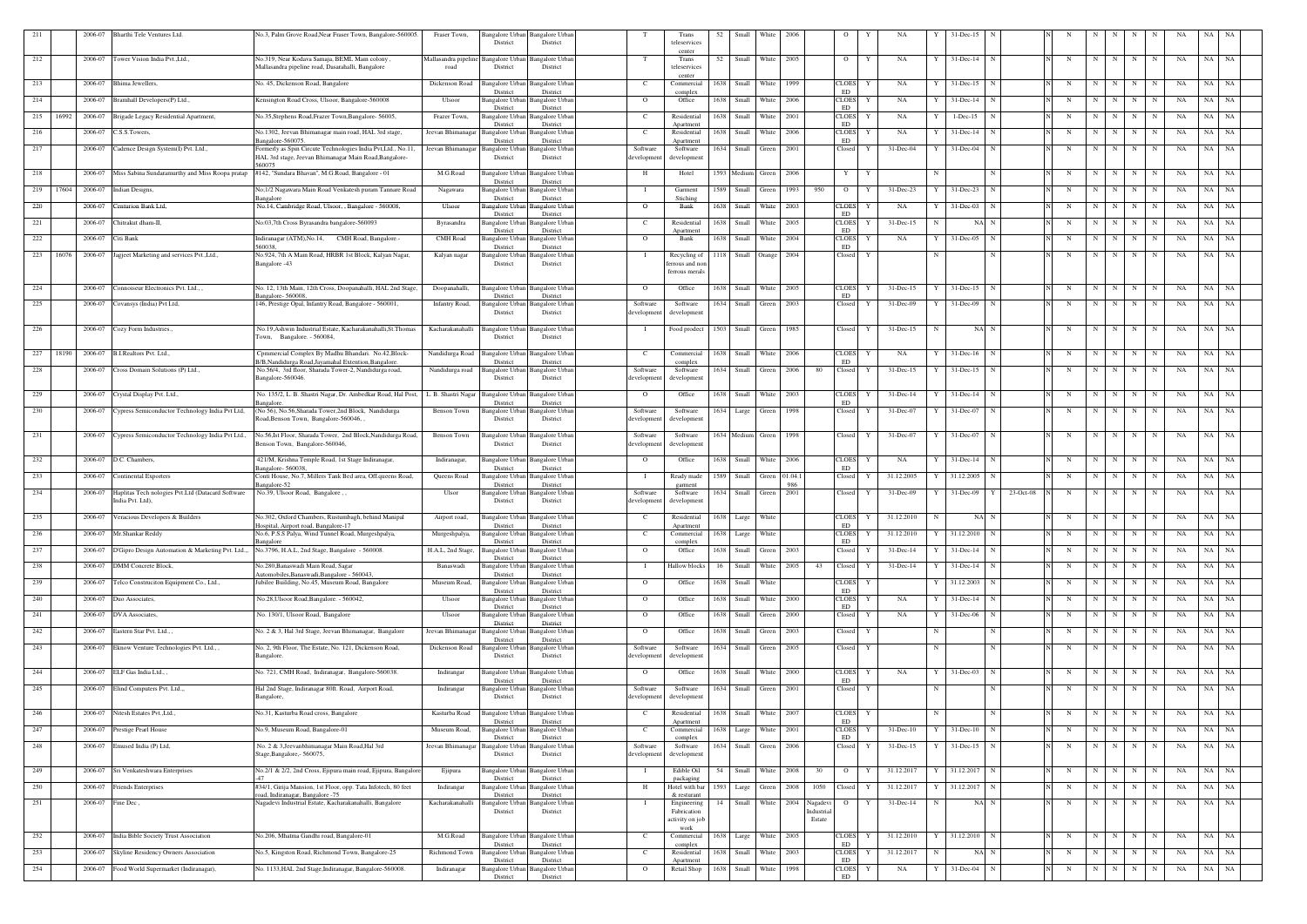| 211 |       | 2006-07           | Bharthi Tele Ventures Ltd.                               | No.3, Palm Grove Road, Near Fraser Town, Bangalore-560005.<br>Fraser Town,                                                                   |                                                           | Bangalore Urban Bangalore Urbar    |                        | Trans                                     | 52   | Small                 | White            | 2006           |             |                    |              | NA.                  |              | 31-Dec-15       |                |   |             |     |             |             |                      |          |           |
|-----|-------|-------------------|----------------------------------------------------------|----------------------------------------------------------------------------------------------------------------------------------------------|-----------------------------------------------------------|------------------------------------|------------------------|-------------------------------------------|------|-----------------------|------------------|----------------|-------------|--------------------|--------------|----------------------|--------------|-----------------|----------------|---|-------------|-----|-------------|-------------|----------------------|----------|-----------|
|     |       |                   |                                                          |                                                                                                                                              | District                                                  | District                           |                        | teleservices                              |      |                       |                  |                |             |                    |              |                      |              |                 |                |   |             |     |             |             |                      |          |           |
| 212 |       | 2006-07           | Tower Vision India Pvt., Ltd                             | , No.319, Near Kodava Samaja, BEML Main colony<br>Mallasandra pipeline                                                                       | Bangalore Urban                                           | 3angalore Urba                     |                        | center<br>Trans                           | 52   | Small                 | White            | 2005           |             | $\circ$            | Y            | NA                   |              | 31-Dec-14       |                | N | N           |     | N           | N           | NA                   | NA NA    |           |
|     |       |                   |                                                          | Mallasandra pipeline road, Dasarahalli, Bangalore<br>road                                                                                    | District                                                  | District                           |                        | teleservices                              |      |                       |                  |                |             |                    |              |                      |              |                 |                |   |             |     |             |             |                      |          |           |
| 213 |       | 2006-07           | Bhima Jewellers,                                         | No. 45, Dickenson Road, Bangalore<br>Dickenson Road                                                                                          | Bangalore Urban                                           | <b>3angalore Urban</b>             | C                      | center<br>Commercial                      | 1638 | Small                 | White            | 1999           |             | <b>CLOES</b>       | Y            | NA                   |              | 31-Dec-15       | N              | N | N           | N   | $\mathbf N$ | N           | NA                   | NA       | NA        |
|     |       |                   |                                                          |                                                                                                                                              | District                                                  | District                           |                        | complex                                   |      |                       |                  |                |             | ED                 |              |                      |              |                 |                |   |             |     |             |             |                      |          |           |
| 214 |       | 2006-07           | Bramhall Developers(P) Ltd.,                             | Censington Road Cross, Ulsoor, Bangalore-560008<br>Ulsoor                                                                                    | Bangalore Urban<br>District                               | <b>Bangalore Urban</b><br>District | $\overline{O}$         | Office                                    | 1638 | Small                 | White            | 2006           |             | <b>CLOES</b><br>ED | Y            | NA                   |              | 31-Dec-14       | N              | N | $\mathbf N$ | N   | N           | -N          | NA                   | NA       | NA        |
| 215 | 16992 | 2006-07           | Brigade Legacy Residential Apartment,                    | No.35, Stephens Road, Frazer Town, Bangalore- 56005,<br>Frazer Town,                                                                         | Bangalore Urban                                           | Bangalore Urban                    | - C                    | Residential                               |      | 1638 Small            | White            | 2001           |             | <b>CLOES</b>       | Y            | NA                   |              | $1 - Dec-15$    | N              | N | N           | N   | N           | N           | NA                   | NA<br>NA |           |
| 216 |       | 2006-07           | C.S.S.Towers,                                            | No.1302, Jeevan Bhimanagar main road, HAL 3rd stage,<br>Jeevan Bhimanagar                                                                    | District<br>Bangalore Urban                               | District<br>Bangalore Urbar        | - C                    | Apartment<br>Residential                  | 1638 | Small                 | White            | 2006           |             | ED<br><b>CLOES</b> | Y            | NA                   |              | $31$ -Dec-14    | N              | N | N           | N   | N           | N           | NA                   | NA       | NA        |
|     |       |                   |                                                          | angalore-560075                                                                                                                              | District                                                  | District                           |                        | Apartment                                 |      |                       |                  |                |             | ED                 |              |                      |              |                 |                |   |             |     |             |             |                      |          |           |
| 217 |       |                   | 2006-07 Cadence Design System(I) Pvt. Ltd.,              | Formerly as Spin Circute Technologies India Pvt, Ltd., No.11,<br>Jeevan Bhimanagar<br>HAL 3rd stage, Jeevan Bhimanagar Main Road, Bangalore- | Bangalore Urban<br>District                               | <b>Bangalore Urbar</b><br>District | Software<br>developmen | Software<br>development                   |      | 1634 Small            | Green            | 2001           |             | Closed             | Y            | 31-Dec-04            |              | 31-Dec-04       | N              | N | N           | N   | N           | N           | NA                   | NA NA    |           |
|     |       |                   |                                                          | 560075                                                                                                                                       |                                                           |                                    |                        |                                           |      |                       |                  |                |             |                    |              |                      |              |                 |                |   |             |     |             |             |                      |          |           |
| 218 |       |                   | 2006-07 Miss Sabina Sundaramurthy and Miss Roopa pratap  | M.G.Road<br>#142, "Sundara Bhavan", M.G.Road, Bangalore - 01                                                                                 | Bangalore Urba<br>District                                | Bangalore Urba<br>District         | H                      | Hotel                                     |      | 1593 Medium           | Green            | 2006           |             | Y                  | Y            |                      |              |                 |                | N | N           | N   | $\mathbf N$ | N           | NA                   | NA       | NA        |
| 219 | 17604 | 2006-07           | Indian Designs,                                          | No;1/2 Nagawara Main Road Venkatesh puram Tannare Road<br>Nagawara                                                                           | Bangalore Urban                                           | Bangalore Urbar                    | - T                    | Garment                                   | 1589 | Small                 | Green            | 1993           | 950         | $\overline{O}$     | Y            | 31-Dec-23            |              | $31 - Dec-23$   | N              | N | -N          | N   | N           | N           | NA                   | NA       | NA        |
| 220 |       | 2006-07           | Centurion Bank Ltd,                                      | angalore<br>No.14, Cambridge Road, Ulsoor, , Bangalore - 560008,<br>Ulsoor                                                                   | District<br>Bangalore Urban                               | District<br>Bangalore Urbar        | $\overline{O}$         | Stiching<br>Bank                          | 1638 | Small                 | White            | 2003           |             | CLOES              | Y            | NA                   |              | $31 - Dec-03$   |                | N | -N          |     | N           |             | NA                   | NA       | NA        |
|     |       |                   |                                                          |                                                                                                                                              | District                                                  | District                           |                        |                                           |      |                       |                  |                |             | ED                 |              |                      |              |                 |                |   |             |     |             |             |                      |          |           |
| 221 |       | 2006-07           | Chitrakut dham-II,                                       | No:03,7th Cross Byrasandra bangalore-560093<br>Byrasandra                                                                                    | Bangalore Urbar<br>District                               | Bangalore Urbar<br>District        | - C                    | Residential<br>Anartmen                   | 1638 | Small                 | White            | 2005           |             | <b>CLOES</b><br>ED | Y            | 31-Dec-15            |              | NA N            |                | N | N           | N   | N           | N           | NA                   | NA       | - NA      |
| 222 |       | 2006-07           | Citi Bank                                                | Indiranagar (ATM), No.14, CMH Road, Bangalore.<br>CMH Road                                                                                   | Bangalore Urban                                           | Bangalore Urbar                    | $\overline{O}$         | Bank                                      |      | 1638 Small            | White            | 2004           |             | <b>CLOES</b>       | Y            | NA                   |              | 31-Dec-05       | N              | N | N           | N   | N           |             | NA                   | NA       | NA        |
| 223 | 16076 | 2006-07           | Jagjeet Marketing and services Pvt., Ltd.,               | 560038.<br>No.924, 7th A Main Road, HRBR 1st Block, Kalyan Nagar,<br>Kalyan nagar                                                            | District<br>angalore Urban                                | District<br>Bangalore Urbai        | - 1                    | Recycling of                              | 1118 | Small                 | Orange           | 2004           |             | ED<br>Closed       | Y            |                      |              |                 | N              | N | N           | N I | N           | N           | NA                   | NA NA    |           |
|     |       |                   |                                                          | Bangalore -43                                                                                                                                | District                                                  | District                           |                        | ferrous and nor                           |      |                       |                  |                |             |                    |              |                      |              |                 |                |   |             |     |             |             |                      |          |           |
|     |       |                   |                                                          |                                                                                                                                              |                                                           |                                    |                        | ferrous merals                            |      |                       |                  |                |             |                    |              |                      |              |                 |                |   |             |     |             |             |                      |          |           |
| 224 |       | 2006-07           | Connoiseur Electronics Pvt. Ltd.,                        | No. 12, 13th Main, 12th Cross, Doopanahalli, HAL 2nd Stage,<br>Doopanahalli,                                                                 | Bangalore Urban                                           | <b>Bangalore Urbar</b>             | $\overline{O}$         | Office                                    | 1638 | Small                 | White            | 2005           |             | <b>CLOES</b>       | Y            | 31-Dec-15            |              | 31-Dec-15       | N              | N | N           | N I | $\mathbf N$ | N           | NA                   | NA       | NA        |
| 225 |       |                   | 2006-07 Covansys (India) Pvt Ltd,                        | angalore- 560008<br>146, Prestige Opal, Infantry Road, Bangalore - 560001,<br><b>Infantry Road,</b>                                          | District<br>Bangalore Urban                               | District<br>Bangalore Urbar        | Software               | Software                                  | 1634 | Small                 | Green            | 2003           |             | ED<br>Closed       | Y            | $31 - Dec-09$        |              | 31-Dec-09       |                | N | N           | N   | N           | N           | NA                   | NA       | NA        |
|     |       |                   |                                                          |                                                                                                                                              | District                                                  | District                           | development            | development                               |      |                       |                  |                |             |                    |              |                      |              |                 |                |   |             |     |             |             |                      |          |           |
| 226 |       | 2006-07           | Cozy Form Industries.,                                   | No.19, Ashwin Industrial Estate, Kacharakanahalli, St. Thomas<br>Kacharakanahalli                                                            | <b>Bangalore Urbar</b>                                    | Bangalore Urba                     | $\blacksquare$         | Food prodect                              |      | 1503 Small            | Green            | 1985           |             | Closed             | Y            | $31 - Dec - 15$      | N            | NA N            |                | N | N           | N   | $\mathbf N$ | N           | NA                   | NA NA    |           |
|     |       |                   |                                                          | Town, Bangalore. - 560084                                                                                                                    | District                                                  | District                           |                        |                                           |      |                       |                  |                |             |                    |              |                      |              |                 |                |   |             |     |             |             |                      |          |           |
| 227 | 18190 | 2006-07           | B.I.Realtors Pvt. Ltd.,                                  | Nandidurga Road                                                                                                                              | <b>Bangalore Urban</b>                                    |                                    |                        |                                           | 1638 | Small                 | White            | 2006           |             |                    | Y            | NA                   |              |                 | N              |   | N           | N   | $\mathbf N$ |             | NA                   | NA NA    |           |
|     |       |                   |                                                          | Cpmmercial Complex By Madhu Bhandari. No.42, Block-<br>B/B, Nandidurga Road, Jayamahal Extention, Bangalore.                                 | District                                                  | Bangalore Urbar<br>District        | C.                     | Commercial<br>complex                     |      |                       |                  |                |             | CLOES<br>ED        |              |                      |              | 31-Dec-16       |                | N |             |     |             | N           |                      |          |           |
| 228 |       | 2006-07           | Cross Domain Solutions (P) Ltd.,                         | No.56/4, 3rd floor, Sharada Tower-2, Nandidurga road,<br>Nandidurga road                                                                     | Bangalore Urban                                           | Bangalore Urbar                    | Software               | Software                                  | 1634 | Small                 | Green            | 2006           | 80          | Closed             | Y            | $31 - Dec-15$        |              | $31$ -Dec-15    |                | N | $\mathbf N$ | N   | $\mathbf N$ | N           | NA                   | NA       | NA        |
|     |       |                   |                                                          | Bangalore-560046.                                                                                                                            | District                                                  | District                           | developmen             | development                               |      |                       |                  |                |             |                    |              |                      |              |                 |                |   |             |     |             |             |                      |          |           |
| 229 |       | 2006-07           | Crystal Display Pvt. Ltd.,                               | No. 135/2, L. B. Shastri Nagar, Dr. Ambedkar Road, Hal Post,<br>L. B. Shastri Nagar                                                          | <b>Bangalore Urbar</b>                                    | Bangalore Urbai                    | $\overline{O}$         | Office                                    | 1638 | Small                 | White            | 2003           |             | <b>CLOES</b><br>ED |              | $31$ -Dec-14         |              | 31-Dec-14       |                | N | $\mathbf N$ | N   | N           | N           | NA                   | NA       | NA        |
| 230 |       | 2006-07           | Cypress Semiconductor Technology India Pvt Ltd,          | angalore<br>(No 56), No.56, Sharada Tower, 2nd Block, Nandidurga<br>Benson Town                                                              | District<br>Bangalore Urban                               | District<br>Bangalore Urba         | Software               | Software                                  |      | 1634 Large            | Green            | 1998           |             | Closed             | Y            | 31-Dec-07            |              | 31-Dec-07       |                | N | $\mathbf N$ | N   | N           | N           | NA                   | NA<br>NA |           |
|     |       |                   |                                                          | Road, Benson Town, Bangalore-560046,                                                                                                         | District                                                  | District                           | development            | development                               |      |                       |                  |                |             |                    |              |                      |              |                 |                |   |             |     |             |             |                      |          |           |
| 231 |       |                   | 2006-07 Cypress Semiconductor Technology India Pvt Ltd., | No.56, Ist Floor, Sharada Tower, 2nd Block, Nandidurga Road,<br>Benson Town                                                                  | Bangalore Urban                                           | Bangalore Urbar                    | Software               | Software                                  |      | 1634 Medium           | Green            | 1998           |             | Closed             | Y            | 31-Dec-07            | Y            | 31-Dec-07       | $\mathbf N$    | N | N           | N   | N           | N           | NA                   | NA       | - NA      |
|     |       |                   |                                                          | Benson Town, Bangalore-560046,                                                                                                               | District                                                  | District                           | developmen             | development                               |      |                       |                  |                |             |                    |              |                      |              |                 |                |   |             |     |             |             |                      |          |           |
| 232 |       | 2006-07           | D.C. Chambers.                                           | 421/M, Krishna Temple Road, 1st Stage Indiranagar,<br>Indiranagar,                                                                           | Bangalore Urbaı                                           | Bangalore Urba                     | $\overline{O}$         | Office                                    | 1638 | Small                 | White            | 2006           |             | <b>CLOES</b>       |              | NA                   |              | 31-Dec-14       | N              | N | N           | N   | N           | N           | NA                   | NA       | NA        |
| 233 |       |                   |                                                          | angalore-560038<br>Conti House, No.7, Millers Tank Bed area, Off.queens Road,                                                                | District                                                  | District                           | - T                    |                                           | 1589 |                       |                  |                |             | ED                 | Y            |                      |              |                 |                | N | $\mathbf N$ | N   | N           | N           | NA                   |          | NA        |
|     |       |                   | 2006-07 Continental Exporters                            | Queens Road<br>angalore-52                                                                                                                   | Bangalore Urbar<br>District                               | Bangalore Urbai<br>District        |                        | Ready made<br>garment                     |      | Small                 | Green            | 01.04.1<br>986 |             | Closed             |              | 31.12.2005           |              | 31.12.2005      |                |   |             |     |             |             |                      | NA       |           |
| 234 |       | 2006-07           | Haplitas Tech nologies Pvt.Ltd (Datacard Software        | No.39, Ulsoor Road, Bangalore,<br>Ulsor                                                                                                      | Bangalore Urban<br>District                               | Bangalore Urbar                    | Software               | Software                                  | 1634 | Small                 | Green            | 2001           |             | Closed             | Y            | $31 - Dec-09$        |              | 31-Dec-09       | 23-Oct-08<br>Y | N | $\mathbf N$ | N   | N           | N           | NA                   | NA       | NA        |
|     |       |                   | India Pvt. Ltd),                                         |                                                                                                                                              |                                                           | District                           | development            | development                               |      |                       |                  |                |             |                    |              |                      |              |                 |                |   |             |     |             |             |                      |          |           |
| 235 |       |                   | 2006-07 Veracious Developers & Builders                  | No.302, Oxford Chambers, Rustumbagh, behind Manipal<br>Hospital, Airport road, Bangalore-17                                                  | Airport road, Bangalore Urban Bangalore Urban<br>District | District                           | $\mathbf{C}$           | Residential 1638 Large White<br>Apartment |      |                       |                  |                |             | ED                 |              | CLOES Y 31.12.2010 N |              | NA N            |                | N |             |     |             |             | N N N N N N NA NA NA |          |           |
| 236 |       |                   | 2006-07 Mr.Shankar Reddy                                 | No.6, P.S.S Palya, Wind Tunnel Road, Murgeshpalya,<br>Murgeshpalya,                                                                          | Bangalore Urban                                           | <b>Bangalore Urban</b>             | C.                     | Commercial                                |      | 1638 Large            | White            |                |             | <b>CLOES</b>       | Y            | 31.12.2010           | $\mathbf{Y}$ | 31.12.2010 N    |                | N | N           | N   | N           | $\mathbf N$ | NA                   | NA NA    |           |
| 237 |       |                   | 2006-07 D'Gipro Design Automation & Marketing Pvt. Ltd., | Bangalore<br>No.3796, H.A.L, 2nd Stage, Bangalore - 560008.<br>H.A.L, 2nd Stage,                                                             | District<br><b>Bangalore Urban</b>                        | District<br><b>Bangalore</b> Urban | $\circ$                | complex<br>Office                         |      | 1638 Small            | Green 2003       |                |             | ED<br>Closed       |              | 31-Dec-14            |              | $31 - Dec-14$   | N              | N | N           | N   | N           |             | NA                   | NA NA    |           |
|     |       |                   |                                                          |                                                                                                                                              | District                                                  | District                           |                        |                                           |      |                       |                  |                |             |                    | Y            |                      |              |                 |                |   |             |     |             | $\mathbf N$ |                      |          |           |
| 238 |       |                   | 2006-07 DMM Concrete Block,                              | No.280, Banaswadi Main Road, Sagar<br>Banaswadi<br>Automobiles, Banaswadi, Bangalore - 560043,                                               | Bangalore Urban<br>District                               | Bangalore Urban<br>District        |                        | Hallow blocks                             | 16   | Small                 | White            | 2005           | 43          | Closed             | Y            | $31$ -Dec-14         |              | 31-Dec-14       | N              | N | N           | N   | N           | N           | NA                   | NA       | NA        |
| 239 |       |                   | 2006-07 Telco Construciton Equipment Co., Ltd.,          | Jubilee Building, No.45, Museum Road, Bangalore<br>Museum Road,                                                                              | Bangalore Urbar                                           | Bangalore Urbar                    | $\overline{O}$         | Office                                    |      | 1638 Small            | White            |                |             | CLOES              | Y            |                      |              | 31.12.2003      | $\mathbf N$    | N | N           | N   | N           | N           | NA                   | NA NA    |           |
| 240 |       | 2006-07           | Duo Associates,                                          | No.28, Ulsoor Road, Bangalore. - 560042,<br>Ulsoor                                                                                           | District<br><b>Bangalore Urbar</b>                        | District<br>Bangalore Urbar        | $\overline{O}$         | Office                                    |      | 1638 Small            | White            | 2000           |             | ED<br><b>CLOES</b> | Y            | NA                   |              | 31-Dec-14       | N              | N | N           | N   | N           | $\mathbf N$ | NA                   | NA NA    |           |
|     |       |                   |                                                          |                                                                                                                                              | District                                                  | District                           |                        |                                           |      |                       |                  |                |             | ED                 |              |                      |              |                 |                |   |             |     |             |             |                      |          |           |
| 241 |       | 2006-07           | DVA Associates,                                          | No. 130/1, Ulsoor Road, Bangalore<br>Ulsoor                                                                                                  | <b>Bangalore Urbar</b><br>District                        | Bangalore Urbar<br>District        | $\Omega$               | Office                                    |      | 1638 Small            | Green            | 2000           |             | Closed             | Y            | NA                   |              | 31-Dec-06       | N              | N | $\mathbf N$ | N   | N           | N           | NA                   | NA NA    |           |
| 242 |       | 2006-07           | Eastern Star Pvt. Ltd.,,                                 | No. 2 & 3, Hal 3rd Stage, Jeevan Bhimanagar, Bangalore<br>Jeevan Bhimanagar                                                                  | Bangalore Urbar                                           | Bangalore Urbar                    | $\overline{O}$         | Office                                    |      | $1638$ Small          | Green            | 2003           |             | Closed             | Y            |                      |              |                 | N              | N | N           | N   | N           | N           | NA                   | NA NA    |           |
| 243 |       | 2006-07           | Eknow Venture Technologies Pvt. Ltd.,,                   | No. 2, 9th Floor, The Estate, No. 121, Dickenson Road,<br>Dickenson Road                                                                     | District<br><b>Bangalore Urban</b>                        | District<br>Bangalore Urbar        | Software               | Software                                  |      | 1634 Small            | Green            | 2005           |             | Closed             | Y            |                      | N            |                 | N              | N | N           | N   | $\mathbf N$ | N           | NA                   | NA NA    |           |
|     |       |                   |                                                          | Bangalore.                                                                                                                                   | District                                                  | District                           | development            | development                               |      |                       |                  |                |             |                    |              |                      |              |                 |                |   |             |     |             |             |                      |          |           |
| 244 |       |                   | 2006-07 ELF Gas India Ltd.,,                             | No. 721, CMH Road, Indiranagar, Bangalore-560038.<br>Indirangar                                                                              | Bangalore Urban                                           | <b>Bangalore Urban</b>             | $\overline{O}$         | Office                                    |      | 1638 Small            | White            | 2000           |             | <b>CLOES</b>       | Y            | NA                   | Y            | $31 - Dec-03$   | N              | N | $\mathbf N$ | N   | N           | N           | NA                   | NA       | <b>NA</b> |
|     |       |                   |                                                          |                                                                                                                                              | District                                                  | District                           |                        |                                           |      |                       |                  |                |             | ED                 |              |                      |              |                 |                |   |             |     |             |             |                      |          |           |
| 245 |       |                   | 2006-07 Elind Computers Pvt. Ltd.,,                      | Hal 2nd Stage, Indiranagar 80ft. Road, Airport Road,<br>Indirangar<br>Bangalore,                                                             | Bangalore Urban<br>District                               | <b>Bangalore Urban</b><br>District | Software<br>developmen | Software<br>development                   |      | 1634 Small Green 2001 |                  |                |             | Closed             | Y            |                      | N            |                 | $\mathbf N$    | N | N           | N   | N           | N           | NA                   | NA NA    |           |
|     |       |                   |                                                          |                                                                                                                                              |                                                           |                                    |                        |                                           |      |                       |                  |                |             |                    |              |                      |              |                 |                |   |             |     |             |             |                      |          |           |
| 246 |       | 2006-07           | Nitesh Estates Pvt., Ltd.,                               | No.31, Kasturba Road cross, Bangalore<br>Kasturba Road                                                                                       | Bangalore Urbar<br>District                               | Bangalore Urbar<br>District        | C                      | Residential<br>Apartment                  |      | 1638 Small            | White            | 2007           |             | <b>CLOES</b><br>ED | Y            |                      |              |                 | N              | N | $\mathbf N$ | N   | N           | N           | NA                   | NA NA    |           |
| 247 |       | 2006-07           | Prestige Pearl House                                     | No.9, Museum Road, Bangalore-01<br>Museum Road,                                                                                              | Bangalore Urbar                                           | Bangalore Urbar                    | - C                    | Commercial                                |      | 1638 Large            | White            | 2001           |             | <b>CLOES</b>       |              | $31$ -Dec-10         |              | $31$ -Dec-10    | N              | N | N           | N   | N           | N           | NA                   | NA NA    |           |
|     |       |                   |                                                          |                                                                                                                                              | District                                                  | District                           |                        | complex                                   |      |                       |                  |                |             | ED                 | Y            |                      |              |                 |                |   |             |     |             |             |                      |          |           |
| 248 |       |                   | 2006-07 Emused India (P) Ltd,                            | No. 2 & 3, Jeevanbhimanagar Main Road, Hal 3rd<br>Jeevan Bhimanagar<br>Stage, Bangalore, - 560075,                                           | <b>Bangalore Urban</b><br>District                        | Bangalore Urbar<br>District        | Software<br>developmen | Software<br>development                   |      | 1634 Small            | Green            | 2006           |             | Closed             |              | 31-Dec-15            |              | $31 - Dec-15$   |                | N | $\mathbf N$ | N   | N           | $\mathbf N$ | NA                   | NA NA    |           |
|     |       |                   | 2006-07 Sri Venkateshwara Enterprises                    |                                                                                                                                              | Bangalore Urban                                           |                                    |                        | Edible Oil                                | 54   | Small White           |                  | 2008           | 30          | $\overline{O}$     | Y            | 31.12.2017           | $\mathbf{Y}$ | 31.12.2017 N    |                | N |             | N   |             | N           |                      | NA NA    |           |
| 249 |       |                   |                                                          | No.2/1 & 2/2, 2nd Cross, Ejipura main road, Ejipura, Bangalore<br>Ejipura                                                                    | District                                                  | <b>Bangalore Urban</b><br>District | - 1                    | packaging                                 |      |                       |                  |                |             |                    |              |                      |              |                 |                |   | N           |     | N           |             | NA                   |          |           |
| 250 |       | 2006-07           | <b>Friends Enterprises</b>                               | #34/1, Girija Mansion, 1st Floor, opp. Tata Infotech, 80 feet<br>Indirangar<br>oad, Indiranagar, Bangalore -75                               | Bangalore Urban<br>District                               | <b>Bangalore Urban</b><br>District | H                      | Hotel with bar<br>& resturant             |      | 1593 Large Green 2008 |                  |                | 1050 Closed |                    | $\mathbf{Y}$ | 31.12.2017           |              | 31.12.2017 N    |                | N | N           | N   | N           | N           | NA                   | NA NA    |           |
| 251 |       | 2006-07 Fine Dec, |                                                          | Nagadevi Industrial Estate, Kacharakanahalli, Bangalore<br>Kacharakanahalli                                                                  | Bangalore Urban                                           | <b>Bangalore Urban</b>             | $\mathbf I$            | Engineering                               | 14   |                       | Small White 2004 |                | Nagadevi    | $\circ$            | Y            | $31 - Dec-14$        | N            | NA N            |                | N | $\mathbf N$ | N   | N           | N           | NA                   | NA NA    |           |
|     |       |                   |                                                          |                                                                                                                                              | District                                                  | District                           |                        | Fabrication                               |      |                       |                  |                | Industrial  |                    |              |                      |              |                 |                |   |             |     |             |             |                      |          |           |
|     |       |                   |                                                          |                                                                                                                                              |                                                           |                                    |                        | activity on job<br>work                   |      |                       |                  |                | Estate      |                    |              |                      |              |                 |                |   |             |     |             |             |                      |          |           |
| 252 |       |                   | 2006-07 India Bible Society Trust Association            | M.G.Road<br>No.206, Mhatma Gandhi road, Bangalore-01                                                                                         | Bangalore Urban                                           | <b>Bangalore Urban</b>             | $\mathbf{C}$           | Commercial                                |      | 1638 Large            | White 2005       |                |             | <b>CLOES</b><br>ED | Y            | 31.12.2010           | Y            | 31.12.2010 N    |                | N | N           | N   | N           | N           | NA                   | NA NA    |           |
| 253 |       | 2006-07           | Skyline Residency Owners Association                     | No.5, Kingston Road, Richmond Town, Bangalore-25<br>Richmond Town                                                                            | District<br><b>Bangalore Urban</b>                        | District<br><b>Bangalore Urban</b> | C                      | complex<br>Residential                    |      | 1638 Small            | White 2003       |                |             | CLOES              | Y            | 31.12.2017           | N            | NA N            |                | N | N           | N   | N           | N           | NA                   | NA NA    |           |
| 254 |       |                   | 2006-07 Food World Supermarket (Indiranagar),            | No. 1133, HAL 2nd Stage, Indiranagar, Bangalore-560008.<br>Indiranagar                                                                       | District<br>Bangalore Urban                               | District<br><b>Bangalore Urban</b> | $\overline{O}$         | Apartment<br>Retail Shop                  |      | 1638 Small White      |                  | 1998           |             | ED<br>CLOES        | Y            | NA                   | Y            | $31 - Dec-04$ N |                | N | N           | N   | N           | N           | NA                   | NA NA    |           |
|     |       |                   |                                                          |                                                                                                                                              | District                                                  | District                           |                        |                                           |      |                       |                  |                |             | ED                 |              |                      |              |                 |                |   |             |     |             |             |                      |          |           |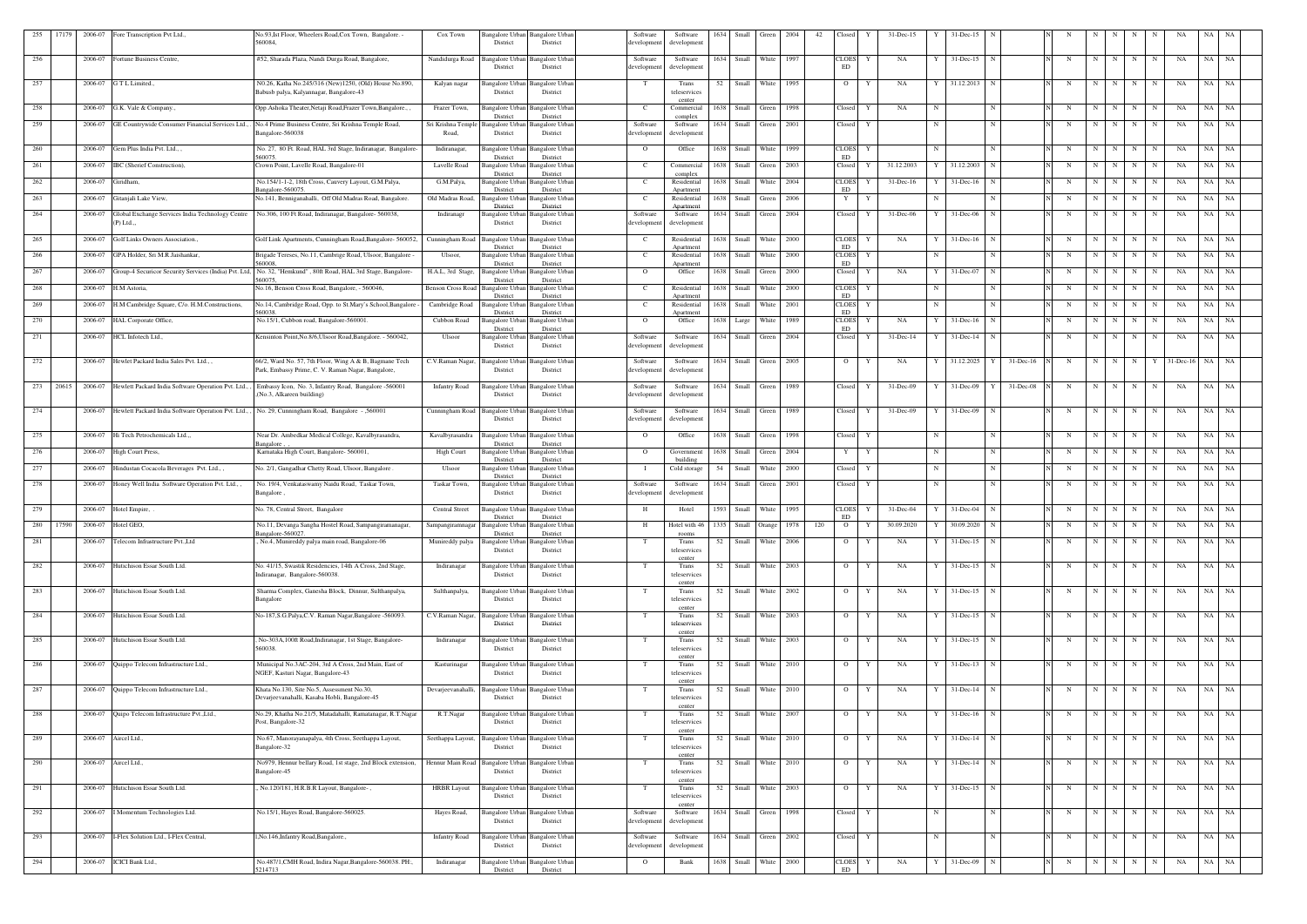| 255 | 17179 | 2006-07              | Fore Transcription Pvt Ltd.,                                   | No.93, Ist Floor, Wheelers Road, Cox Town, Bangalore.                                                                   | Cox Town                 |                                    | Bangalore Urban Bangalore Urban             | Software                | Software                 | 1634 | Small               | Green      | 2004 | 42  | Closed               |   | 31-Dec-15     |            | 31-Dec-15       |             |              |            |             |             |             |                |                 |            |           |
|-----|-------|----------------------|----------------------------------------------------------------|-------------------------------------------------------------------------------------------------------------------------|--------------------------|------------------------------------|---------------------------------------------|-------------------------|--------------------------|------|---------------------|------------|------|-----|----------------------|---|---------------|------------|-----------------|-------------|--------------|------------|-------------|-------------|-------------|----------------|-----------------|------------|-----------|
|     |       |                      |                                                                | 560084,                                                                                                                 |                          | District                           | District                                    | development             | development              |      |                     |            |      |     |                      |   |               |            |                 |             |              |            |             |             |             |                |                 |            |           |
| 256 |       | 2006-07              | Fortune Business Centre,                                       | #52, Sharada Plaza, Nandi Durga Road, Bangalore,                                                                        | Nandidurga Road          | Bangalore Urba                     | Bangalore Urba                              | Software                | Software                 |      | 1634 Small          | White      | 1997 |     | <b>CLOES</b>         |   | NA            |            | $31 - Dec - 15$ |             |              | N          | N           |             | N           | N              | NA              | NA         | NA        |
|     |       |                      |                                                                |                                                                                                                         |                          | District                           | District                                    | development             | development              |      |                     |            |      |     | <b>ED</b>            |   |               |            |                 |             |              |            |             |             |             |                |                 |            |           |
| 257 |       |                      | 2006-07 G T L Limited.,                                        | N0.26, Katha No.245/316 (New)1250, (Old) House No.890,                                                                  | Kalyan nagar             | Bangalore Urbar                    | Bangalore Urban                             | T                       | Trans                    | 52   | Small               | White      | 1995 |     | $\overline{O}$       | Y | NA            |            | 31.12.2013 N    |             |              | N          | N           | N           | $\mathbf N$ | N              | NA              | NA         | <b>NA</b> |
|     |       |                      |                                                                | Babusb palya, Kalyannagar, Bangalore-43                                                                                 |                          | District                           | District                                    |                         | teleservices<br>center   |      |                     |            |      |     |                      |   |               |            |                 |             |              |            |             |             |             |                |                 |            |           |
| 258 |       | 2006-07              | G.K. Vale & Company.,                                          | Opp.Ashoka Theater, Netaji Road, Frazer Town, Bangalore.,                                                               | Frazer Town,             | Bangalore Urba                     | Bangalore Urban                             | C                       | Commercial               | 1638 | Small               | Green      | 1998 |     | Closed               |   | NA            |            |                 |             |              | N          | N           | N           | $\mathbf N$ | N              | NA              | NA         | NA        |
| 259 |       |                      | 2006-07 GE Countrywide Consumer Financial Services Ltd.,       | No.4 Prime Business Centre, Sri Krishna Temple Road,                                                                    | Sri Krishna Templ        | District<br><b>Bangalore</b> Urbar | District<br>Bangalore Urbar                 | Software                | complex<br>Software      | 1634 | Small               | Green      | 2001 |     | Closed               |   |               |            |                 |             |              | N          | N           |             | N           | N              | NA              | NA         | NA        |
|     |       |                      |                                                                | Bangalore-560038                                                                                                        | Road,                    | District                           | District                                    | development             | development              |      |                     |            |      |     |                      |   |               |            |                 |             |              |            |             |             |             |                |                 |            |           |
| 260 |       |                      | 2006-07 Gem Plus India Pvt. Ltd.,,                             | No. 27, 80 Ft. Road, HAL 3rd Stage, Indiranagar, Bangalore-                                                             | Indiranagar,             | angalore Urbar                     | Bangalore Urban                             | $\overline{O}$          | Office                   |      | 1638 Small          | White      | 1999 |     | <b>CLOES</b>         | Y |               |            |                 | N           |              | N          | N           | N           | N           | N              | NA              | NA<br>NA   |           |
|     |       |                      |                                                                | 560075.                                                                                                                 |                          | District                           | District                                    |                         |                          |      |                     |            |      |     | ED                   |   |               |            |                 |             |              |            |             |             |             |                |                 |            |           |
| 261 |       | 2006-07              | IBC (Sherief Construction),                                    | Crown Point, Lavelle Road, Bangalore-01                                                                                 | Lavelle Road             | Bangalore Urban<br>District        | <b>Bangalore Urban</b><br>District          | - C                     | Commercial<br>complex    | 1638 | Small               | Green      | 2003 |     | Closed               |   | 31.12.2003    |            | 31.12.2003      |             |              | N          | N           | N           | N           | N              | NA              | NA         | NA        |
| 262 |       | 2006-07              | Giridham,                                                      | No.154/1-1-2, 18th Cross, Cauvery Layout, G.M.Palya,                                                                    | G.M.Palya,               | Bangalore Urban                    | <b>Bangalore Urban</b>                      | C                       | Residential              |      | 1638 Small          | White      | 2004 |     | <b>CLOES</b>         | Y | $31$ -Dec-16  |            | $31$ -Dec-16    | N           |              | N          | N           | N           | N           | N              | NA              | NA         | NA        |
| 263 |       |                      | 2006-07 Gitanjali Lake View,                                   | angalore-560075<br>No.141, Benniganahalli, Off Old Madras Road, Bangalore.                                              | Old Madras Road,         | District<br>Bangalore Urban        | District<br>Bangalore Urban                 | C                       | Anartment<br>Residential |      | 1638 Small          | Green      | 2006 |     | ED<br>Y              | Y |               |            |                 | N           |              | N          | N           | N           | N           | N              | NA              | NA         | NA        |
|     |       |                      |                                                                |                                                                                                                         |                          | District                           | District                                    |                         | Anartment                |      |                     |            |      |     |                      |   |               |            |                 |             |              |            |             |             |             |                |                 |            |           |
| 264 |       | 2006-07              | Global Exchange Services India Technology Centre<br>(P) Ltd.,, | No.306, 100 Ft Road, Indiranagar, Bangalore- 560038,                                                                    | Indiranagr               | Bangalore Urbar<br>District        | <b>Bangalore</b> Urban<br>District          | Software<br>developmen  | Software<br>development  |      | 1634 Small          | Green      | 2004 |     | Closed               | Y | 31-Dec-06     |            | $31$ -Dec-06    | N           |              | N          | N           | N           | N           | N              | NA              | NA NA      |           |
|     |       |                      |                                                                |                                                                                                                         |                          |                                    |                                             |                         |                          |      |                     |            |      |     |                      |   |               |            |                 |             |              |            |             |             |             |                |                 |            |           |
| 265 |       | 2006-07              | Golf Links Owners Association.,                                | Golf Link Apartments, Cunningham Road, Bangalore- 560052,                                                               | Cunningham Road          | Bangalore Urbai<br>District        | Bangalore Urban<br>District                 | C                       | Residential<br>Apartment | 1638 | Small               | White      | 2000 |     | <b>CLOES</b><br>ED   | Y | NA            |            | $31$ -Dec-16    |             |              | N          | N           |             | N           |                | NA              | NA         | NA        |
| 266 |       | 2006-07              | GPA Holder, Sri M.R.Jaishankar,                                | Brigade Tereses, No.11, Cambrige Road, Ulsoor, Bangalore -                                                              | Ulsoor,                  | Bangalore Urbai                    | <b>Bangalore Urban</b>                      | C.                      | Residential              |      | 1638 Small          | White      | 2000 |     | <b>CLOES</b>         | Y |               |            |                 | N           |              | N          | N           | N           | N           | N              | NA              | NA         | NA        |
| 267 |       | 2006-07              |                                                                | 560008<br>Group-4 Securicor Security Services (India) Pvt. Ltd, No. 32, "Hemkund", 80ft Road, HAL 3rd Stage, Bangalore- | H.A.L, 3rd Stage,        | District<br>Bangalore Urban        | District<br>Bangalore Urban                 | $\Omega$                | Anartmen<br>Office       | 1638 | Small               | Green      | 2000 |     | ED<br>Closed         | Y | NA            |            | 31-Dec-07       |             |              | N          | -N          | N           | N           |                | NA              | NA         | NA        |
|     |       |                      |                                                                | 560075.                                                                                                                 |                          | District                           | District                                    |                         |                          |      |                     |            |      |     |                      |   |               |            |                 |             |              |            |             |             |             |                |                 |            |           |
| 268 |       | 2006-07              | H.M Astoria,                                                   | No.16, Benson Cross Road, Bangalore, - 560046,                                                                          | <b>Benson Cross Road</b> | angalore Urbar<br>District         | Bangalore Urban<br>District                 | <sup>-</sup> C          | Residential<br>Apartment |      | 1638 Small          | White      | 2000 |     | CLOES<br>ED          | Y |               |            |                 | N           |              | N          | N           | N           | N           | N              | NA              | NA         | NA        |
| 269 |       | 2006-07              | H.M Cambridge Square, C/o. H.M.Constructions.                  | No.14, Cambridge Road, Opp. to St.Mary's School, Bangalore -                                                            | Cambridge Road           | <b>Bangalore Urban</b>             | <b>Bangalore Urban</b>                      | C                       | Residential              |      | 1638 Small          | White      | 2001 |     | <b>CLOES</b>         | Y |               | N          |                 |             |              | N          | N           | N           | N           |                | NA              | NA         | NA        |
| 270 |       | 2006-07              | HAL Corporate Office,                                          | 560038.<br>No.15/1, Cubbon road, Bangalore-560001                                                                       | Cubbon Road              | District<br><b>Bangalore Urban</b> | District<br><b>Bangalore Urban</b>          | $\Omega$                | Apartment<br>Office      |      | 1638 Large          | White      | 1989 |     | ED<br><b>CLOES</b>   | Y | NA            | Y          | $31$ -Dec-16    | N           |              | N          | N           | N           | $\mathbf N$ | N              | NA              | NA         | NA        |
|     |       |                      |                                                                |                                                                                                                         |                          | District                           | District                                    |                         |                          |      |                     |            |      |     | ED                   |   |               |            |                 |             |              |            |             |             |             |                |                 |            |           |
| 271 |       |                      | 2006-07 HCL Infotech Ltd.,                                     | Kensinton Point, No.8/6, Ulsoor Road, Bangalore. - 560042,                                                              | Ulsoor                   | District                           | Bangalore Urban Bangalore Urban<br>District | Software<br>developmen  | Software<br>development  |      | 1634 Small          | Green      | 2004 |     | Closed               | Y | $31 - Dec-14$ |            | 31-Dec-14       |             |              | N          | N           | N           | N           | N              | NA              | NA         | NA        |
|     |       |                      |                                                                |                                                                                                                         |                          |                                    |                                             |                         |                          |      |                     |            |      |     |                      |   |               |            |                 |             |              |            |             |             |             |                |                 |            |           |
| 272 |       | 2006-07              | Hewlet Packard India Sales Pvt. Ltd.,                          | 66/2, Ward No. 57, 7th Floor, Wing A & B, Bagmane Tech<br>Park, Embassy Prime, C. V. Raman Nagar, Bangalore,            | C.V.Raman Nagar,         | Bangalore Urbai<br>District        | Bangalore Urbar<br>District                 | Software<br>development | Software<br>development  |      | 1634 Small          | Green      | 2005 |     | $\circ$              |   | NA            |            | 31.12.2025      |             | $31$ -Dec-16 | N          | N           | N           | N           | Y <sub>1</sub> | 31-Dec-16 NA NA |            |           |
|     |       |                      |                                                                |                                                                                                                         |                          |                                    |                                             |                         |                          |      |                     |            |      |     |                      |   |               |            |                 |             |              |            |             |             |             |                |                 |            |           |
| 273 | 20615 | 2006-07              | Hewlett Packard India Software Operation Pvt. Ltd.,            | Embassy Icon, No. 3, Infantry Road, Bangalore -560001                                                                   | <b>Infantry Road</b>     | angalore Urbar                     | Bangalore Urban                             | Software                | Software                 |      | 1634 Small          | Green      | 1989 |     | Closed               | Y | 31-Dec-09     |            | 31-Dec-09       | Y           | 31-Dec-08    | N          | N           | N           | N           | N              | NA              | NA         | <b>NA</b> |
|     |       |                      |                                                                | (No.3, Alkareen building)                                                                                               |                          | District                           | District                                    | developmen              | development              |      |                     |            |      |     |                      |   |               |            |                 |             |              |            |             |             |             |                |                 |            |           |
| 274 |       | 2006-07              | Hewlett Packard India Software Operation Pvt. Ltd.,            | No. 29, Cunningham Road, Bangalore - ,560001                                                                            | Cunningham Road          | Bangalore Urbai                    | Bangalore Urbar                             | Software                | Software                 |      | 1634 Small          | Green      | 1989 |     | Closed               |   | 31-Dec-09     |            | 31-Dec-09       |             |              | N          | N           | N           | $\mathbf N$ | N              | NA              | NA<br>NA   |           |
|     |       |                      |                                                                |                                                                                                                         |                          | District                           | District                                    | developmen              | development              |      |                     |            |      |     |                      |   |               |            |                 |             |              |            |             |             |             |                |                 |            |           |
| 275 |       | 2006-07              | Hi Tech Petrochemicals Ltd.,,                                  | Near Dr. Ambedkar Medical College, Kavalbyrasandra,                                                                     | Kavalbyrasandra          | Bangalore Urban                    | Bangalore Urban                             | $\Omega$                | Office                   |      | 1638 Small          | Green      | 1998 |     | Closed               | Y |               | N          |                 | N           |              | N          | N           | N           | N           | N              | NA              | NA         | NA        |
| 276 |       | 2006-07              | High Court Press,                                              | angalore<br>Karnataka High Court, Bangalore- 560001,                                                                    | <b>High Court</b>        | District<br><b>Bangalore Urban</b> | District<br><b>Bangalore Urban</b>          | $\Omega$                | Government               |      | 1638 Small          | Green      | 2004 |     | Y                    | Y |               | N          |                 | N           |              | N          | N           | N           | N           | N              | NA              | NA<br>  NA |           |
|     |       |                      |                                                                |                                                                                                                         |                          | District                           | District                                    |                         | building                 |      |                     |            |      |     |                      |   |               |            |                 |             |              |            |             |             |             |                |                 |            |           |
| 277 |       | 2006-07              | Hindustan Cocacola Beverages Pvt. Ltd.,,                       | No. 2/1, Gangadhar Chetty Road, Ulsoor, Bangalore.                                                                      | Ulsoor                   | Bangalore Urban<br>District        | <b>Bangalore Urban</b><br>District          | - 1                     | Cold storage             | 54   | Small               | White      | 2000 |     | Closed               | Y |               | $_{\rm N}$ |                 | $\mathbf N$ |              | $_{\rm N}$ | N           | N           | N           | $_{\rm N}$     | NA              | NA         | NA        |
| 278 |       |                      | 2006-07 Honey Well India Software Operation Pvt. Ltd.,         | No. 19/4, Venkataswamy Naidu Road, Taskar Town,                                                                         | Taskar Town,             | <b>Bangalore Urban</b>             | <b>Bangalore Urban</b>                      | Software                | Software                 |      | 1634 Small          | Green      | 2001 |     | Closed               | Y |               | N          |                 | N           |              | N          | N           | N           | N           | N              | NA              | NA NA      |           |
|     |       |                      |                                                                | Bangalore,                                                                                                              |                          | District                           | District                                    | developmen              | development              |      |                     |            |      |     |                      |   |               |            |                 |             |              |            |             |             |             |                |                 |            |           |
| 279 |       |                      | 2006-07 Hotel Empire,                                          | No. 78, Central Street, Bangalore                                                                                       | <b>Central Street</b>    |                                    | Bangalore Urban Bangalore Urban             | H                       | Hotel                    | 1593 | Small               | White      | 1995 |     | <b>CLOES</b>         | Y | 31-Dec-04     |            | 31-Dec-04       | N           |              | N          | N           | N           | $\mathbf N$ | N              | NA              | NA         | NA        |
| 280 | 17590 |                      | 2006-07 Hotel GEO,                                             | No.11, Devanga Sangha Hostel Road, Sampangiramanagar,                                                                   | Sampangiramnagar         | District<br>Bangalore Urban        | District<br>Bangalore Urban                 | H                       | Hotel with 46            | 1335 | Small               | Orange     | 1978 | 120 | ED<br>$\overline{O}$ | Y | 30.09.2020    |            | 30.09.2020      | N           |              | N          | N           |             | N           | N              | NA              | NA         | NA        |
|     |       |                      |                                                                | angalore-560027.                                                                                                        |                          | District                           | District                                    |                         | rooms                    |      |                     |            |      |     |                      |   |               |            |                 |             |              |            |             |             |             |                |                 |            |           |
| 281 |       | 2006-07              | Telecom Infrastructure Pvt., Ltd                               | No.4, Munireddy palya main road, Bangalore-06                                                                           | Munireddy palya          | Bangalore Urban<br>District        | <b>Bangalore Urban</b><br>District          | T                       | Trans<br>teleservices    | 52   | Small               | White      | 2006 |     | $\overline{O}$       | Y | NA            |            | $31$ -Dec-15    |             |              | N          | $\mathbf N$ | N           | N           | N              | NA              | NA         | NA        |
|     |       |                      |                                                                |                                                                                                                         |                          |                                    |                                             |                         | center                   |      |                     |            |      |     |                      |   |               |            |                 |             |              |            |             |             |             |                |                 |            |           |
| 282 |       |                      | 2006-07 Hutichison Essar South Ltd.                            | No. 41/15, Swastik Residencies, 14th A Cross, 2nd Stage,<br>Indiranagar, Bangalore-560038.                              | Indiranagar              | District                           | Bangalore Urban Bangalore Urban<br>District | T                       | Trans<br>teleservices    | 52   | Small White         |            | 2003 |     | $\overline{O}$       | Y | NA            | Y          | $31 - Dec-15$   | N           |              | N          | N           | N           | N           | N              | NA              | NA NA      |           |
|     |       |                      |                                                                |                                                                                                                         |                          |                                    |                                             |                         | center                   |      |                     |            |      |     |                      |   |               |            |                 |             |              |            |             |             |             |                |                 |            |           |
| 283 |       |                      | 2006-07 Hutichison Essar South Ltd.                            | Sharma Complex, Ganesha Block, Dinnur, Sulthanpalya,<br>Bangalore                                                       | Sulthanpalya,            | Bangalore Urban<br>District        | <b>Bangalore Urban</b><br>District          | T                       | Trans<br>teleservices    | 52   | Small               | White      | 2002 |     | $\overline{O}$       | Y | NA            | Y          | $31$ -Dec-15 N  |             |              | N          | $\mathbf N$ | N           | N           | N              | NA              | NA NA      |           |
|     |       |                      |                                                                |                                                                                                                         |                          |                                    |                                             |                         | center                   |      |                     |            |      |     |                      |   |               |            |                 |             |              |            |             |             |             |                |                 |            |           |
| 284 |       |                      | 2006-07 Hutichison Essar South Ltd.                            | No-187, S.G. Palya, C.V. Raman Nagar, Bangalore -560093.                                                                | C.V.Raman Nagar,         | <b>Bangalore Urban</b><br>District | <b>Bangalore Urban</b><br>District          | T                       | Trans<br>teleservices    |      | 52 Small White 2003 |            |      |     | $\overline{O}$       | Y | NA            | Y          | $31$ -Dec-15 N  |             |              | N          | N           | N           | N           | N              | NA              | NA NA      |           |
|     |       |                      |                                                                |                                                                                                                         |                          |                                    |                                             |                         | center                   |      |                     |            |      |     |                      |   |               |            |                 |             |              |            |             |             |             |                |                 |            |           |
| 285 |       |                      | 2006-07 Hutichison Essar South Ltd.                            | No-303A, 100ft Road, Indiranagar, 1st Stage, Bangalore-<br>560038.                                                      | Indiranagar              | District                           | Bangalore Urban Bangalore Urban<br>District | T                       | Trans<br>teleservices    | 52   | Small White 2003    |            |      |     | $\overline{O}$       | Y | NA            | Y          | $31$ -Dec-15 N  |             |              | N          | N           | N I         | N           | N              | NA              | NA NA      |           |
|     |       |                      |                                                                |                                                                                                                         |                          |                                    |                                             |                         | center                   |      |                     |            |      |     |                      |   |               |            |                 |             |              |            |             |             |             |                |                 |            |           |
| 286 |       |                      | 2006-07 Quippo Telecom Infrastructure Ltd.,                    | Municipal No.3AC-204, 3rd A Cross, 2nd Main, East of<br>NGEF, Kasturi Nagar, Bangalore-43                               | Kasturinagar             | Bangalore Urban<br>District        | Bangalore Urban<br>District                 | T                       | Trans<br>teleservices    |      | 52 Small White 2010 |            |      |     | $\overline{O}$       | Y | NA            | Y          | $31$ -Dec-13 N  |             |              | N          | N           | $N$   $N$   |             | N              | NA              | NA NA      |           |
|     |       |                      |                                                                |                                                                                                                         |                          |                                    |                                             |                         | center                   |      |                     |            |      |     |                      |   |               |            |                 |             |              |            |             |             |             |                |                 |            |           |
| 287 |       |                      | 2006-07 Quippo Telecom Infrastructure Ltd.,                    | Khata No.130, Site No.5, Assessment No.30,<br>Devarjeevanahalli, Kasaba Hobli, Bangalore-45                             | Devarjeevanahalli,       | <b>Bangalore Urban</b><br>District | <b>Bangalore Urban</b><br>District          | T                       | Trans<br>teleservices    |      | 52 Small White 2010 |            |      |     | $\overline{O}$       | Y | NA            | Y          | $31$ -Dec-14 N  |             |              | N          | N           | $N$ $N$     |             | N              | NA              | NA NA      |           |
|     |       |                      |                                                                |                                                                                                                         |                          |                                    |                                             |                         | center                   |      |                     |            |      |     |                      |   |               |            |                 |             |              |            |             |             |             |                |                 |            |           |
| 288 |       |                      | 2006-07 Quipo Telecom Infrastructure Pvt., Ltd.,               | No.29, Khatha No.21/5, Matadahalli, Ramatanagar, R.T.Nagar<br>Post, Bangalore-32                                        | R.T.Nagar                | Bangalore Urbar<br>District        | <b>Bangalore Urban</b><br>District          | T                       | Trans<br>teleservices    |      | 52 Small White 2007 |            |      |     | $\overline{O}$       | Y | NA            |            | $31$ -Dec-16 N  |             |              | N          |             | $N$ $N$ $N$ |             | N              | NA              | NA NA      |           |
|     |       |                      |                                                                |                                                                                                                         |                          |                                    |                                             |                         | cente                    |      |                     |            |      |     |                      |   |               |            |                 |             |              |            |             |             |             |                |                 |            |           |
| 289 |       |                      | 2006-07 Aircel Ltd.,                                           | No.67, Manorayanapalya, 4th Cross, Seethappa Layout,                                                                    | Seethappa Layout,        | District                           | Bangalore Urban Bangalore Urban<br>District | T                       | Trans                    | 52   | Small               | White      | 2010 |     | $\overline{O}$       | Y | NA            |            | 31-Dec-14       | N           |              | N          | N           | N           | $\mathbf N$ | N              | NA              | NA NA      |           |
|     |       |                      |                                                                | Bangalore-32                                                                                                            |                          |                                    |                                             |                         | teleservices<br>center   |      |                     |            |      |     |                      |   |               |            |                 |             |              |            |             |             |             |                |                 |            |           |
| 290 |       | 2006-07 Aircel Ltd., |                                                                | No979, Hennur bellary Road, 1st stage, 2nd Block extension,<br>Bangalore-45                                             | Hennur Main Road         | <b>Bangalore Urban</b><br>District | <b>Bangalore Urban</b><br>District          | T                       | Trans<br>teleservices    | 52   | Small               | White      | 2010 |     | $\overline{O}$       | Y | NA            |            | 31-Dec-14       | $\mathbf N$ |              | N          | N           | N           | $\mathbf N$ | N              | NA              | NA NA      |           |
|     |       |                      |                                                                |                                                                                                                         |                          |                                    |                                             |                         | center                   |      |                     |            |      |     |                      |   |               |            |                 |             |              |            |             |             |             |                |                 |            |           |
| 291 |       |                      | 2006-07 Hutichison Essar South Ltd.                            | No.120/181, H.R.B.R Layout, Bangalore-,                                                                                 | <b>HRBR Layout</b>       | Bangalore Urban                    | Bangalore Urban                             | T                       | Trans                    | 52   | Small               | White 2003 |      |     | $\overline{O}$       | Y | NA            | Y          | $31$ -Dec-15 N  |             |              | N          | N           | N I         | $\mathbf N$ | N              | NA              | NA NA      |           |
|     |       |                      |                                                                |                                                                                                                         |                          | District                           | District                                    |                         | teleservices<br>center   |      |                     |            |      |     |                      |   |               |            |                 |             |              |            |             |             |             |                |                 |            |           |
| 292 |       |                      | 2006-07 I Momentum Technologies Ltd.                           | No.15/1, Hayes Road, Bangalore-560025.                                                                                  | Hayes Road,              | Bangalore Urbai                    | Bangalore Urban                             | Software                | Software                 |      | 1634 Small Green    |            | 1998 |     | Closed               | Y |               |            |                 | N           |              | N          | N           | N           | N           | N              | NA              | NA NA      |           |
|     |       |                      |                                                                |                                                                                                                         |                          | District                           | District                                    | development             | development              |      |                     |            |      |     |                      |   |               |            |                 |             |              |            |             |             |             |                |                 |            |           |
| 293 |       |                      | 2006-07   I-Flex Solution Ltd., I-Flex Central,                | ,No.146,Infantry Road,Bangalore.,                                                                                       | <b>Infantry Road</b>     | angalore Urban                     | <b>Bangalore Urban</b>                      | Software                | Software                 |      | 1634 Small Green    |            | 2002 |     | Closed               | Y |               | N          |                 | N           |              | N          | N           | N           | N           | N              | NA              | NA         | NA        |
|     |       |                      |                                                                |                                                                                                                         |                          | District                           | District                                    | development             | development              |      |                     |            |      |     |                      |   |               |            |                 |             |              |            |             |             |             |                |                 |            |           |
| 294 |       |                      | 2006-07 ICICI Bank Ltd.,                                       | No.487/1,CMH Road, Indira Nagar, Bangalore-560038. PH:,                                                                 | Indiranagar              | <b>Bangalore Urbar</b>             | Bangalore Urban                             | $\overline{O}$          | Bank                     |      | 1638 Small          | White      | 2000 |     | <b>CLOES</b>         | Y | NA            |            | 31-Dec-09       | N           |              | N          | $\mathbf N$ | N           | N           | $\mathbf N$    | NA              | NA NA      |           |
|     |       |                      |                                                                | 5214713                                                                                                                 |                          | District                           | District                                    |                         |                          |      |                     |            |      |     | ED                   |   |               |            |                 |             |              |            |             |             |             |                |                 |            |           |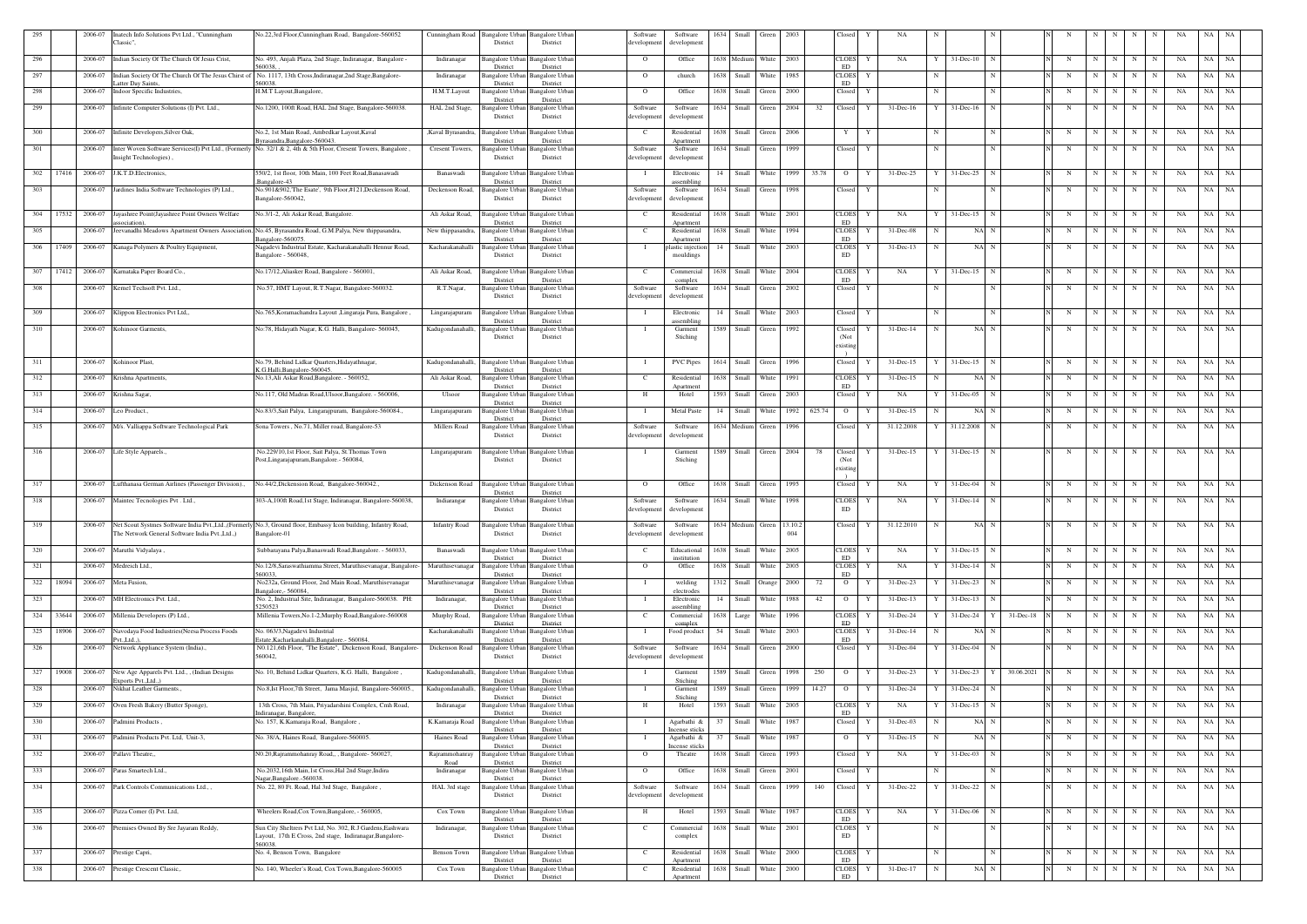| 295 |       | 2006-07 | Inatech Info Solutions Pvt Ltd., "Cunningham<br>Classic".            | No.22,3rd Floor, Cunningham Road, Bangalore-560052                                                                                              | Cunningham Road      | Bangalore Urban<br>District        | Bangalore Urban<br>District                 | Software<br>developmen  | Software<br>developmen         | 1634 | Small                     | Green      | 2003 |        | Closed                        |   | NA            |             |                           |            |   |                         |   |                 |             |    | NA        |           |
|-----|-------|---------|----------------------------------------------------------------------|-------------------------------------------------------------------------------------------------------------------------------------------------|----------------------|------------------------------------|---------------------------------------------|-------------------------|--------------------------------|------|---------------------------|------------|------|--------|-------------------------------|---|---------------|-------------|---------------------------|------------|---|-------------------------|---|-----------------|-------------|----|-----------|-----------|
| 296 |       | 2006-07 | Indian Society Of The Church Of Jesus Crist,                         | No. 493, Anjali Plaza, 2nd Stage, Indiranagar, Bangalore                                                                                        | Indiranagar          | angalore Urban                     | Bangalore Urbar                             | $\overline{O}$          | Office                         |      | 1638 Medium               | White      | 2003 |        | <b>CLOES</b>                  | Y | NA            |             | $31$ -Dec-10<br>N         |            | N | N                       | N | N               | N           | NA | NA NA     |           |
| 297 |       | 2006-07 |                                                                      | 560038<br>Indian Society Of The Church Of The Jesus Chirst of No. 1117, 13th Cross, Indiranagar, 2nd Stage, Bangalore-                          | Indiranagar          | District<br>angalore Urban         | District<br>Bangalore Urban                 | $\Omega$                | church                         | 1638 | Small                     | White      | 1985 |        | ED<br>CLOES                   | Y |               |             |                           |            | N | N                       | N | N               | N           | NA | NA        | NA        |
|     |       | 2006-07 | atter Day Saints<br>Indoor Specific Industries,                      | 560038.<br>H.M.T Layout, Bangalore,                                                                                                             | H.M.T.Layout         | District                           | District                                    |                         | Office                         | 1638 | Small                     |            | 2000 |        | ED                            | Y |               | N           | N                         |            |   | $\overline{\mathbf{N}}$ | N | N               |             |    | NA        | NA        |
| 298 |       |         |                                                                      |                                                                                                                                                 |                      | Bangalore Urban<br>District        | Bangalore Urban<br>District                 | $\Omega$                |                                |      |                           | Green      |      |        | Closed                        |   |               |             |                           |            | N |                         |   |                 | N           | NA |           |           |
| 299 |       |         | 2006-07 Infinite Computer Solutions (I) Pvt. Ltd.,                   | No.1200, 100ft Road, HAL 2nd Stage, Bangalore-560038                                                                                            | HAL 2nd Stage,       | angalore Urban<br>District         | <b>Bangalore Urban</b><br>District          | Software<br>developmen  | Software<br>development        | 1634 | Small                     | Green      | 2004 | 32     | Closed                        | Y | $31$ -Dec-16  |             | $31$ -Dec-16<br>N         |            | N | $\mathbf N$             | N | N               | N           | NA | NA        | NA        |
| 300 |       | 2006-07 | Infinite Developers, Silver Oak,                                     | No.2, 1st Main Road, Ambedkar Layout, Kaval                                                                                                     | ,Kaval Byrasandra,   | Bangalore Urban                    | <b>Bangalore Urbar</b>                      | C                       | Residential                    | 1638 | Small                     | Green      | 2006 |        | Y                             | Y |               |             | N                         |            | N | N                       | N | $\mathbf N$     | N           | NA | NA        | NA        |
| 301 |       | 2006-07 |                                                                      | Byrasandra, Bangalore-560043.<br>Inter Woven Software Services(I) Pvt Ltd., (Formerly No. 32/1 & 2, 4th & 5th Floor, Cresent Towers, Bangalore, | Cresent Towers,      | District<br><b>Bangalore Urban</b> | District<br><b>Bangalore</b> Urban          | Software                | Apartment<br>Software          | 1634 | Small                     | Green      | 1999 |        | Closed                        | Y |               |             |                           |            | N | N                       | N | N               | N           | NA | NA        | NA        |
|     |       |         | Insight Technologies),                                               |                                                                                                                                                 |                      | District                           | District                                    | developmen              | development                    |      |                           |            |      |        |                               |   |               |             |                           |            |   |                         |   |                 |             |    |           |           |
| 302 | 17416 | 2006-07 | J.K.T.D.Electronics,                                                 | 550/2, 1st floor, 10th Main, 100 Feet Road, Banasawadi<br>Bangalore-43                                                                          | Banaswadi            | Bangalore Urban<br>District        | <b>Bangalore</b> Urban<br>District          |                         | Electronic<br>assembling       | 14   | Small White               |            | 1999 | 35.78  | $\overline{O}$                | Y | 31-Dec-25     |             | $31$ -Dec-25 N            |            | N | N                       | N | $\mathbf N$     | N           | NA | NA        | NA        |
| 303 |       |         | 2006-07 Jardines India Software Technologies (P) Ltd.,               | No.901&902, The Esate', 9th Floor,#121, Deckenson Road,<br>Bangalore-560042,                                                                    | Deckenson Road,      | <b>Bangalore Urban</b><br>District | Bangalore Urban<br>District                 | Software<br>developmen  | Software<br>developmen         |      | 1634 Small Green          |            | 1998 |        | Closed                        | Y |               | -N          | N                         |            | N | N                       | N | N               | N           | NA | NA NA     |           |
| 304 | 17532 | 2006-07 | Jayashree Point(Jayashree Point Owners Welfare                       | No.3/1-2, Ali Askar Road, Bangalore.                                                                                                            | Ali Askar Road,      | Bangalore Urbar                    | Bangalore Urbar                             | $\mathbf{C}$            | Residential                    | 1638 | Small                     | White      | 2001 |        | <b>CLOES</b>                  | Y | NA            |             | 31-Dec-15 N               |            | N | N                       | N | N               | N           | NA | NA        | NA        |
| 305 |       | 2006-07 | ssociation).                                                         | eevanadhi Meadows Apartment Owners Association, No.45, Byrasandra Road, G.M.Palya, New thippasandra,                                            | New thippasandra,    | District<br>Bangalore Urbar        | District<br>Bangalore Urban                 | $\mathbf{C}$            | Apartment<br>Residential       | 1638 | Small                     | White      | 1994 |        | ED<br><b>CLOES</b>            | Y | 31-Dec-08     |             | NA N                      |            | N | N                       | N | N               | N           | NA | NA        | NA        |
|     |       |         |                                                                      | angalore-560075                                                                                                                                 |                      | District                           | District                                    |                         | Apartment                      |      |                           |            |      |        | <b>ED</b>                     |   |               |             |                           |            |   |                         |   |                 |             |    |           |           |
| 306 | 17409 | 2006-07 | Kanaga Polymers & Poultry Equipment,                                 | Nagadevi Industrial Estate, Kacharakanahalli Hennur Road,<br>Bangalore - 560048,                                                                | Kacharakanahalli     | Bangalore Urban<br>District        | <b>Bangalore</b> Urban<br>District          |                         | plastic injection<br>mouldings | 14   | Small                     | White      | 2003 |        | <b>CLOES</b><br>ED            | Y | 31-Dec-13     |             | NA N                      |            | N | -N                      | N | N               |             | NA | NA        | NA        |
| 307 | 17412 |         | 2006-07 Karnataka Paper Board Co.,                                   | No.17/12, Aliasker Road, Bangalore - 560001,                                                                                                    | Ali Askar Road,      | Bangalore Urbar                    | <b>Bangalore</b> Urban                      | $\mathbf{C}$            | Commercial                     | 1638 | Small White               |            | 2004 |        | <b>CLOES</b>                  |   | NA            |             | $31$ -Dec-15 N            |            | N | N                       | N | N               | N           | NA | NA        | NA        |
| 308 |       |         | 2006-07 Kernel Techsoft Pvt. Ltd.,                                   | No.57, HMT Layout, R.T.Nagar, Bangalore-560032.                                                                                                 | R.T.Nagar,           | District<br>Bangalore Urban        | District<br><b>Bangalore Urbar</b>          | Software                | complex<br>Software            |      | 1634 Small Green          |            | 2002 |        | ED<br>Closed                  | Y |               |             |                           |            | N | N                       | N | N               | $\mathbf N$ | NA | NA NA     |           |
|     |       |         |                                                                      |                                                                                                                                                 |                      | District                           | District                                    | developmen              | development                    |      |                           |            |      |        |                               |   |               |             |                           |            |   |                         |   |                 |             |    |           |           |
| 309 |       | 2006-07 | Klippon Electronics Pvt Ltd,,                                        | No.765, Koramachandra Layout , Lingaraja Pura, Bangalore                                                                                        | Lingarajapuram       | Bangalore Urban<br>District        | Bangalore Urban<br>District                 | - 1                     | Electronic<br>assembling       | 14   | Small                     | White      | 2003 |        | Closed                        | Y |               | -N          | N                         |            | N | N                       | N | N               |             | NA | NA        | NA        |
| 310 |       | 2006-07 | Kohinoor Garments                                                    | No:78, Hidayath Nagar, K.G. Halli, Bangalore- 560045                                                                                            | Kadugondanahalli,    | Bangalore Urban<br>District        | Bangalore Urban<br>District                 | - 1                     | Garment<br>Stiching            | 1589 | Small                     | Green      | 1992 |        | Closed<br>(Not                | Y | 31-Dec-14     | N           | NA N                      |            | N | N                       | N | N               | N           | NA | NA        | NA        |
|     |       |         |                                                                      |                                                                                                                                                 |                      |                                    |                                             |                         |                                |      |                           |            |      |        | existing                      |   |               |             |                           |            |   |                         |   |                 |             |    |           |           |
| 311 |       |         | 2006-07 Kohinoor Plast,                                              | No.79, Behind Lidkar Quarters, Hidayathnagar,<br>K.G.Halli, Bangalore-560045.                                                                   | Kadugondanahalli,    | <b>Bangalore Urban</b><br>District | <b>Bangalore Urban</b><br>District          | - 1                     | <b>PVC</b> Pipes               | 1614 | Small                     | Green      | 1996 |        | Closed                        | Y | 31-Dec-15     |             | 31-Dec-15<br>$_{\rm N}$   |            | N | N                       | N | N               | N           | NA | NA NA     |           |
| 312 |       | 2006-07 | Krishna Apartments.                                                  | No.13, Ali Askar Road, Bangalore. - 560052,                                                                                                     | Ali Askar Road,      | Bangalore Urban                    | Bangalore Urbar                             | <sup>-</sup> C          | Residential                    | 1638 | Small                     | White      | 1991 |        | <b>CLOES</b><br>ED            |   | 31-Dec-15     |             | NA N                      |            | N | N                       | N | N               |             | NA | NA.       | NA        |
| 313 |       | 2006-07 | Krishna Sagar,                                                       | No.117, Old Madras Road, Ulsoor, Bangalore. - 560006,                                                                                           | Ulsoor               | District<br>Bangalore Urban        | District<br><b>Bangalore Urban</b>          | Н.                      | Anartment<br>Hotel             | 1593 | Small                     | Green      | 2003 |        | Closed                        | Y | NA            |             | $31$ -Dec-05<br>N         |            | N | N                       | N | N               | N           | NA | NA        | <b>NA</b> |
| 314 |       | 2006-07 | Leo Product.,                                                        | No.83/3, Sait Palya, Lingarajpuram, Bangalore-560084.,                                                                                          | Lingarajapuram       | District<br>Bangalore Urban        | District<br>Bangalore Urban                 |                         | <b>Metal Paste</b>             | 14   | Small                     | White      | 1992 | 625.74 | $\overline{O}$                |   | 31-Dec-15     |             | NA N                      |            | N | N                       | N | N               | N           | NA | NA        | NA        |
| 315 |       |         | 2006-07 M/s. Valliappa Software Technological Park                   | Sona Towers, No.71, Miller road, Bangalore-53                                                                                                   | <b>Millers Road</b>  | District<br>angalore Urban         | District<br>Bangalore Urban                 | Software                | Software                       |      | 1634 Medium Green         |            | 1996 |        | Closed                        |   | 31.12.2008    |             | 31.12.2008<br>N           |            | N | N                       | N | $\mathbf N$     | N           | NA | NA        | NA        |
|     |       |         |                                                                      |                                                                                                                                                 |                      | District                           | District                                    | developmen              | developmen                     |      |                           |            |      |        |                               |   |               |             |                           |            |   |                         |   |                 |             |    |           |           |
| 316 |       |         | 2006-07 Life Style Apparels.                                         | No.229/10,1st Floor, Sait Palya, St.Thomas Town<br>Post, Lingarajapuram, Bangalore. - 560084                                                    | Lingarajapuram       | Bangalore Urban<br>District        | Bangalore Urbar<br>District                 | - 1                     | Garment<br>Stiching            | 1589 | Small Green               |            | 2004 | 78     | Closed<br>(Not                |   | 31-Dec-15     |             | $31$ -Dec-15 N            |            | N | N                       | N | N               | N           | NA | NA        | NA        |
|     |       |         |                                                                      |                                                                                                                                                 |                      |                                    |                                             |                         |                                |      |                           |            |      |        | existing                      |   |               |             |                           |            |   |                         |   |                 |             |    |           |           |
| 317 |       | 2006-07 | Lufthanasa German Airlines (Passenger Division).,                    | No.44/2, Dickension Road, Bangalore-560042                                                                                                      | Dickenson Road       | Bangalore Urban<br>District        | <b>Bangalore</b> Urbar<br>District          | $\Omega$                | Office                         | 1638 | Small                     | Green      | 1995 |        | Closed                        |   | NA            |             | 31-Dec-04<br>N            |            | N | N                       | N | N               | N           | NA | NA        | NA        |
| 318 |       |         | 2006-07 Maintec Tecnologies Pvt . Ltd.,                              | 303-A,100ft Road,1st Stage, Indiranagar, Bangalore-560038,                                                                                      | Indiarangar          | Bangalore Urbar<br>District        | Bangalore Urban<br>District                 | Software<br>developmen  | Software<br>development        | 1634 | Small                     | White      | 1998 |        | <b>CLOES</b><br><b>ED</b>     | Y | NA            |             | $31 - Dec-14$             |            | N | N                       | N | N               | N           | NA | NA        | NA        |
|     |       |         |                                                                      | Net Scout Systmes Software India Pvt., Ltd., (Formerly No.3, Ground floor, Embassy Icon building, Infantry Road,                                |                      |                                    |                                             |                         |                                |      |                           |            |      |        |                               |   |               |             | NA N                      |            | N |                         |   | $N$ $N$ $N$ $N$ |             |    |           |           |
| 319 |       | 2006-07 | The Network General Software India Pvt., Ltd.,)                      | Bangalore-01                                                                                                                                    | <b>Infantry Road</b> | District                           | Bangalore Urban Bangalore Urban<br>District | Software<br>development | Software<br>development        |      | 1634 Medium Green 13.10.2 |            | 004  |        | Closed                        | Y | 31.12.2010    | $\mathbf N$ |                           |            |   |                         |   |                 |             | NA | NA NA     |           |
| 320 |       |         | 2006-07 Maruthi Vidyalaya,                                           | Subbarayana Palya, Banaswadi Road, Bangalore. - 560033,                                                                                         | Banaswadi            | Bangalore Urban                    | <b>Bangalore Urban</b>                      | $\mathbf{C}$            | Educational                    |      | 1638 Small White          |            | 2005 |        | <b>CLOES</b>                  | Y | NA            |             | $31$ -Dec-15 N            |            | N | N                       | N | N               |             | NA | NA NA     |           |
| 321 |       | 2006-07 | Medreich Ltd.,                                                       | No.12/8, Saraswathiamma Street, Maruthisevanagar, Bangalore-                                                                                    | Maruthisevanagar     | District<br>Bangalore Urban        | District<br>Bangalore Urban                 | $\Omega$                | institution<br>Office          |      | 1638 Small                | White      | 2005 |        | ED<br><b>CLOES</b>            | Y | NA            |             | $31 - Dec-14$             |            | N | N                       | N | $\mathbf N$     | N           | NA | NA        | <b>NA</b> |
| 322 | 18094 |         | 2006-07 Meta Fusion,                                                 | 560033<br>No232a, Ground Floor, 2nd Main Road, Maruthisevanagar                                                                                 | Maruthisevanagar     | District<br>Bangalore Urban        | District<br><b>Bangalore Urban</b>          |                         | welding                        | 1312 | Small Orange              |            | 2000 | 72     | ED<br>$\overline{O}$          | Y | 31-Dec-23     |             | $31$ -Dec-23 N            |            | N | $\mathbf N$             | N | N               |             | NA | NA        | NA        |
| 323 |       | 2006-07 | MH Electronics Pvt. Ltd.,                                            | 3angalore. - 560084.<br>No. 2, Industrial Site, Indiranagar, Bangalore-560038. PH:                                                              | Indiranagar,         | District<br>Bangalore Urban        | District<br>Bangalore Urban                 |                         | electrodes<br>Electronic       | 14   | Small                     | White      | 1988 | 42     | $\overline{O}$                |   | 31-Dec-13     |             | $31$ -Dec-13              |            | N | N                       | N | N               | N           | NA | NA NA     |           |
| 324 | 33644 |         | 2006-07 Millenia Developers (P) Ltd.,                                | 250523<br>Millenia Towers, No.1-2, Murphy Road, Bangalore-560008                                                                                | Murphy Road,         | District<br>Bangalore Urban        | District<br><b>Bangalore Urban</b>          | $\mathbf{C}$            | assembling<br>Commercial       |      | 1638 Large                | White      | 1996 |        | <b>CLOES</b>                  | Y | 31-Dec-24     |             | 31-Dec-24<br>$\mathbf{Y}$ | 31-Dec-18  | N | N                       | N | N               |             | NA | <b>NA</b> | <b>NA</b> |
| 325 | 18906 | 2006-07 | Navodaya Food Industries(Neesa Process Foods                         | No. 063/3, Nagadevi Industrial                                                                                                                  | Kacharakanahalli     | District<br>Bangalore Urban        | District<br><b>Bangalore Urban</b>          |                         | complex<br>Food product        | 54   | Small                     | White 2003 |      |        | ${\rm ED}$<br><b>CLOES</b>    | Y | 31-Dec-14     | -N          | NA N                      |            | N | N                       | N | N               | N           | NA | NA NA     |           |
| 326 |       | 2006-07 | vtLtd).<br>Network Appliance System (India).,                        | Estate, Kacharkanahalli, Bangalore. - 560084,<br>N0.121,6th Floor, "The Estate", Dickenson Road, Bangalore-                                     | Dickenson Road       | District                           | District<br>Bangalore Urban Bangalore Urban | Software                | Software                       |      | 1634 Small Green 2000     |            |      |        | ED<br>Closed                  | Y | $31 - Dec-04$ |             | 31-Dec-04<br>$\mathbf N$  |            | N | N                       | N | N               | N           | NA | NA NA     |           |
|     |       |         |                                                                      | 560042,                                                                                                                                         |                      | District                           | District                                    | developmen              | development                    |      |                           |            |      |        |                               |   |               |             |                           |            |   |                         |   |                 |             |    |           |           |
| 327 | 19008 | 2006-07 | New Age Apparels Pvt. Ltd., , (Indian Designs<br>xports Pvt., Ltd.,) | No. 10, Behind Lidkar Quarters, K.G. Halli, Bangalore,                                                                                          | Kadugondanahalli,    | <b>Bangalore Urban</b><br>District | Bangalore Urban<br>District                 | $\mathbf{I}$            | Garment<br>Stiching            |      | 1589 Small Green          |            | 1998 | 250    | $\overline{O}$                |   | 31-Dec-23     |             | $31 - Dec-23$<br>Y        | 30.06.2021 | N | N                       | N | N               | N           | NA | NA NA     |           |
| 328 |       | 2006-07 | Nikhat Leather Garments.,                                            | No.8, Ist Floor, 7th Street, Jama Masjid, Bangalore-560005.                                                                                     | Kadugondanahalli,    | <b>Bangalore Urban</b>             | Bangalore Urban                             |                         | Garment                        | 1589 | Small                     | Green      | 1999 | 14.27  | $\overline{O}$                |   | 31-Dec-24     |             | 31-Dec-24                 |            | N | $\mathbf N$             | N | N               | $_{\rm N}$  | NA | NA NA     |           |
| 329 |       | 2006-07 | Oven Fresh Bakery (Butter Sponge),                                   | 13th Cross, 7th Main, Priyadarshini Complex, Cmh Road,                                                                                          | Indiranagar          | District<br>Bangalore Urbar        | District<br>Bangalore Urban                 | H                       | Stiching<br>Hotel              | 1593 | Small                     | White      | 2005 |        | <b>CLOES</b>                  |   | NA            |             | 31-Dec-15                 |            | N | $\mathbf N$             | N | N               | N           | NA | NA        | <b>NA</b> |
| 330 |       | 2006-07 | Padmini Products,                                                    | ndiranagar, Bangalore,<br>No. 157, K.Kamaraja Road, Bangalore,                                                                                  | K.Kamaraja Road      | District<br><b>Bangalore Urban</b> | District<br><b>Bangalore Urban</b>          |                         | Agarbathi &                    | 37   | Small                     | White      | 1987 |        | ED<br>Closed                  |   | 31-Dec-03     |             | NA N                      |            | N | N                       | N | N               | N           | NA | NA NA     |           |
| 331 |       | 2006-07 | Padmini Products Pvt. Ltd, Unit-3,                                   | No. 38/A, Haines Road, Bangalore-560005                                                                                                         | Haines Road          | District<br>Bangalore Urban        | District<br>Bangalore Urban                 |                         | Incense sticks<br>Agarbathi &  | 37   | Small                     | White      | 1987 |        | $\overline{O}$                |   | 31-Dec-15     |             | NA N                      |            | N | N                       | N | N               | $\mathbf N$ | NA | NA        | NA        |
| 332 |       | 2006-07 | Pallavi Theatre,,                                                    | N0.20, Rajrammohanray Road,,, Bangalore-560027,                                                                                                 | Rajrammohanray       | District<br>Bangalore Urban        | District<br><b>Bangalore</b> Urban          | $\mathbf{O}$            | ncense sticks<br>Theatre       |      | 1638 Small Green          |            | 1993 |        | Closed                        | Y | NA            |             | 31-Dec-03<br>$\mathbf N$  |            | N | N                       | N | N               | N           | NA | NA        | <b>NA</b> |
| 333 |       | 2006-07 | Paras Smartech Ltd.,                                                 | No.2032,16th Main,1st Cross,Hal 2nd Stage,Indira                                                                                                | Road<br>Indiranagar  | District<br>Bangalore Urbar        | District<br>Bangalore Urban                 | $\Omega$                | Office                         |      | 1638 Small Green          |            | 2001 |        | Closed                        |   |               |             |                           |            | N | N                       | N | N               | N           | NA | NA        | NA N      |
| 334 |       | 2006-07 | Park Controls Communications Ltd.,                                   | Vagar, Bangalore.-560038.<br>No. 22, 80 Ft. Road, Hal 3rd Stage, Bangalore,                                                                     | HAL 3rd stage        | District                           | District<br>Bangalore Urban Bangalore Urban | Software                | Software                       |      | 1634 Small Green          |            | 1999 | 140    | Closed                        | Y | 31-Dec-22     |             | 31-Dec-22                 |            | N | $\mathbf N$             | N | N               | N           | NA | NA        | <b>NA</b> |
|     |       |         |                                                                      |                                                                                                                                                 |                      | District                           | District                                    | developmen              | development                    |      |                           |            |      |        |                               |   |               |             |                           |            |   |                         |   |                 |             |    |           |           |
| 335 |       |         | 2006-07 Pizza Corner (I) Pvt. Ltd,                                   | Wheelers Road, Cox Town, Bangalore, - 560005,                                                                                                   | Cox Town             | <b>Bangalore Urban</b><br>District | <b>Bangalore Urban</b><br>District          | H                       | Hotel                          |      | 1593 Small White          |            | 1987 |        | <b>CLOES</b><br>ED            | Y | NA            |             | $31$ -Dec-06 N            |            | N | N                       | N | N               | N           | NA | NA NA     |           |
| 336 |       |         | 2006-07 Premises Owned By Sre Jayaram Reddy,                         | Sun City Sheltrers Pvt Ltd, No. 302, R.J Gardens, Eashwara                                                                                      | Indiranagar,         |                                    | Bangalore Urban Bangalore Urban             | $\mathbf{C}$            | Commercial                     |      | 1638 Small White 2001     |            |      |        | $\ensuremath{\mathsf{CLOES}}$ | Y |               | -N          | N                         |            | N | N                       | N | N               | N           | NA | NA NA     |           |
|     |       |         |                                                                      | Layout, 17th E Cross, 2nd stage, Indiranagar, Bangalore-<br>560038.                                                                             |                      | District                           | District                                    |                         | complex                        |      |                           |            |      |        | <b>ED</b>                     |   |               |             |                           |            |   |                         |   |                 |             |    |           |           |
| 337 |       | 2006-07 | Prestige Capri,                                                      | No. 4, Benson Town, Bangalore                                                                                                                   | Benson Town          | Bangalore Urban<br>District        | <b>Bangalore</b> Urban<br>District          | <sup>-</sup> C          | Residential<br>Apartment       | 1638 | Small                     | White      | 2000 |        | <b>CLOES</b><br>ED            | Y |               |             | N                         |            | N | N                       | N | N               |             | NA | NA        | NA        |
| 338 |       | 2006-07 | Prestige Crescent Classic,.                                          | No. 140, Wheeler's Road, Cox Town, Bangalore-560005                                                                                             | Cox Town             | Bangalore Urban<br>District        | <b>Bangalore Urban</b><br>District          | <sup>-</sup> C          | Residential<br>Apartment       | 1638 | Small                     | White      | 2000 |        | <b>CLOES</b><br>ED            | Y | 31-Dec-17     | N           | NA N                      |            | N |                         | N | N               |             | NA | NA NA     |           |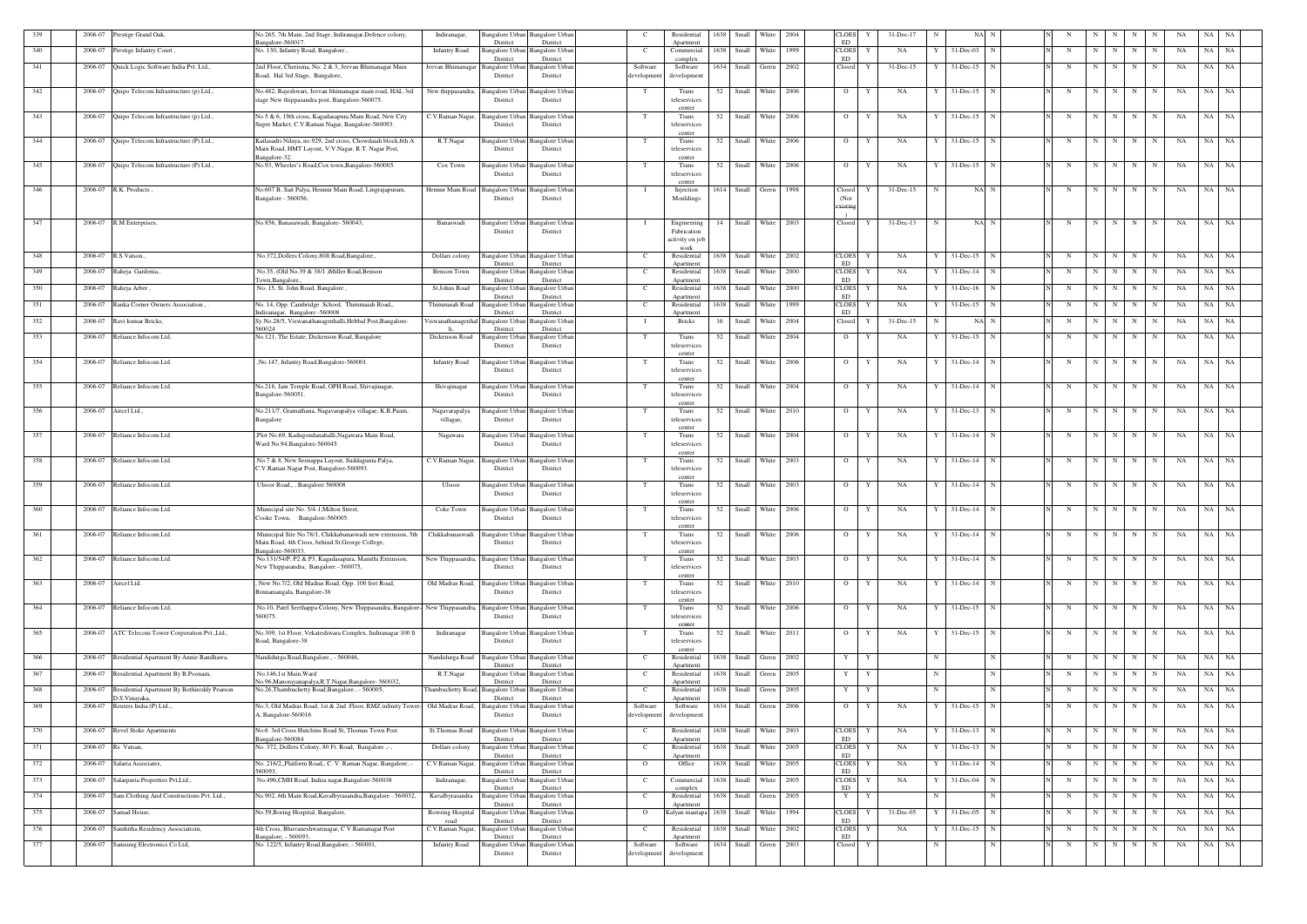| 339 | 2006-07             | Prestige Grand Oak,                               | No.265, 7th Main, 2nd Stage, Indiranagar, Defence colony<br>Indiranagar,<br>angalore-560017                                      | Bangalore Urban<br>District        | Bangalore Urbar<br>District                 | - C                    | Residential<br>Apartment        | 1638 | Small                 | White      | 2004 | CLOES<br>ED                | Y            | 31-Dec-17      |   | NA N                |             |   |                 |                  |             | NA | NA                     |       |
|-----|---------------------|---------------------------------------------------|----------------------------------------------------------------------------------------------------------------------------------|------------------------------------|---------------------------------------------|------------------------|---------------------------------|------|-----------------------|------------|------|----------------------------|--------------|----------------|---|---------------------|-------------|---|-----------------|------------------|-------------|----|------------------------|-------|
| 340 | 2006-07             | Prestige Infantry Court,                          | No. 130, Infantry Road, Bangalore,<br><b>Infantry Road</b>                                                                       | Bangalore Urbar<br>District        | Bangalore Urbar<br>District                 | C.                     | Commercial<br>complex           | 1638 | Small                 | White      | 1999 | <b>CLOES</b><br>ED         | Y            | NA             |   | 31-Dec-03           | N           | N | N               | N<br>N           | N           | NA | NA                     | NA    |
| 341 | 2006-07             | Quick Logic Software India Pvt. Ltd.,             | 2nd Floor, Cherisma, No. 2 & 3, Jeevan Bhimanagar Main<br>Jeevan Bhimanagar<br>Road, Hal 3rd Stage, Bangalore,                   | Bangalore Urbar<br>District        | Bangalore Urbar<br>District                 | Software<br>developmen | Software<br>development         | 1634 | Small                 | Green      | 2002 | Closed                     | Y            | 31-Dec-15      | Y | $31 - Dec-15$       | N           | N | $\mathbf N$     | N<br>N           | N           | NA | NA                     | NA    |
|     |                     | 2006-07 Quipo Telecom Infrastructure (p) Ltd.,    |                                                                                                                                  |                                    | Bangalore Urbar                             | T                      |                                 | 52   | Small White           |            | 2006 | $\mathbf{O}$               | Y            | NA             | Y |                     | N           |   | N               |                  |             |    |                        | NA    |
| 342 |                     |                                                   | No.482, Rajeshwari, Jeevan bhimanagar main road, HAL 3rd<br>New thippasandra,<br>stage New thippasandra post, Bangalore-560075.  | <b>Bangalore</b> Urban<br>District | District                                    |                        | Trans<br>teleservices           |      |                       |            |      |                            |              |                |   | 31-Dec-15           |             |   |                 | $N$ N            | N           | NA | NA                     |       |
| 343 |                     | 2006-07 Quipo Telecom Infrastructure (p) Ltd.,    | No.5 & 6, 19th cross, Kagadasapura Main Road, New City<br>C.V.Raman Nagar,                                                       | Bangalore Urban                    | <b>Bangalore</b> Urbar                      |                        | cente<br>Trans                  | 52   | Small                 | White      | 2006 | $\circ$                    | Y            | NA             |   | 31-Dec-15           | N           |   | - N             | N<br>N           | N           | NA | NA                     | NA    |
|     |                     |                                                   | Super Market, C.V.Raman Nagar, Bangalore-560093.                                                                                 | District                           | District                                    |                        | teleservices<br>center          |      |                       |            |      |                            |              |                |   |                     |             |   |                 |                  |             |    |                        |       |
| 344 |                     | 2006-07 Quipo Telecom Infrastructure (P) Ltd.,    | Kailasadri Nilaya, no.929, 2nd cross, Chowdaiah block, 6th A<br>R.T.Nagar<br>Main Road, HMT Layout, V.V.Nagar, R.T. Nagar Post,  | Bangalore Urban<br>District        | Bangalore Urbar<br>District                 | T                      | Trans<br>teleservices           | 52   | Small White           |            | 2006 | $\circ$                    | Y            | NA             | Y | 31-Dec-15           | N           |   | $\mathbf N$     | NI<br>N          | N           | NA | NA NA                  |       |
| 345 |                     | 2006-07   Quipo Telecom Infrastructure (P) Ltd.,  | 3angalore-32.<br>No.93, Wheeler's Road, Cox town, Bangalore-560005.<br>Cox Town                                                  | Bangalore Urban                    | Bangalore Urbai                             | T                      | cente<br>Trans                  | 52   | Small                 | White      | 2006 | $\circ$                    | Y            | NA             | Y | 31-Dec-15           | N           | N | N               | N N              | N           | NA | <b>NA</b>              | NA    |
|     |                     |                                                   |                                                                                                                                  | District                           | District                                    |                        | teleservices<br>center          |      |                       |            |      |                            |              |                |   |                     |             |   |                 |                  |             |    |                        |       |
| 346 |                     | 2006-07 R.K. Products                             | No:607 B, Sait Palya, Hennur Main Road, Lingrajapuram,<br>Hennur Main Road<br>Bangalore - 560056,                                | <b>Bangalore Urbar</b><br>District | Bangalore Urbar<br>District                 |                        | Injection<br>Mouldings          |      | 1614 Small            | Green      | 1998 | Closed<br>(Not<br>existing | Y            | $31 - Dec-15$  | N | NA N                |             | N | $\mathbf N$     | $N$   $N$        | N           | NA | <b>NA</b>              | NA    |
| 347 |                     | 2006-07 R.M Enterprises,                          | No.856, Banasawadi, Bangalore- 560043,<br>Banaswadi                                                                              | Bangalore Urban                    | Bangalore Urba                              |                        | Engineering                     | 14   | Small White 2003      |            |      | Closed                     | Y            | $31$ -Dec-13   | N | NA N                |             | N | $N$ $N$ $N$     |                  | N           | NA | NA                     | NA    |
|     |                     |                                                   |                                                                                                                                  | District                           | District                                    |                        | Fabrication<br>activity on job  |      |                       |            |      |                            |              |                |   |                     |             |   |                 |                  |             |    |                        |       |
| 348 |                     | 2006-07 R.S.Vatson.,                              | No.372, Dollers Colony, 80ft Road, Bangalore.,<br>Dollars colony                                                                 | Bangalore Urbar                    | <b>Bangalore Urbar</b>                      | C.                     | work<br>Residential             |      | 1638 Small            | White      | 2002 | <b>CLOES</b>               | Y            | NA             |   | $31 - Dec - 15$     | N           | N | $N$   $N$ $N$   |                  | N           | NA | NA 1                   | NA    |
| 349 | 2006-07             | Raheja Gardenia.                                  | No.35, (Old No.39 & 38/1 ) Miller Road, Benson<br>Benson Town                                                                    | District<br>Bangalore Urbar        | District<br>Bangalore Urbai                 | C.                     | Apartment<br>Residential        | 1638 | Small                 | White      | 2000 | ED<br><b>CLOES</b>         |              | NA             |   | 31-Dec-14           | N           | N | $\mathbf N$     | N<br>N           | N           | NA | NA                     | NA    |
| 350 | 2006-07             | Raheja Arber                                      | own, Bangalore.<br>No. 15, St. John Road, Bangalore,<br>St.Johns Road                                                            | District<br>Bangalore Urbar        | District<br>Bangalore Urbar                 | -C                     | Apartment<br>Residential        | 1638 | Small                 | White      | 2000 | ED<br><b>CLOES</b>         | Y            | NA             |   | $31 - Dec-16$       | N           | N | N               | N<br>N           | N           | NA | NA                     | NA    |
| 351 | 2006-07             | Ranka Corner Owners Association,                  | No. 14, Opp. Cambridge School, Thimmaiah Road,,<br>Thimmaiah Road                                                                | District<br>Bangalore Urba         | District<br>Bangalore Urbar                 | C                      | Apartment<br>Residential        | 1638 | Small                 | White      | 1999 | ED<br>CLOES                |              | NA             |   | 31-Dec-15           | N           |   | N               | N                | N           | NA | NA                     | NA    |
| 352 | 2006-07             | Ravi kumar Bricks,                                | diranagar, Bangalore -560008<br>Sy.No.28/5, Viswanathanagenhalli, Hebbal Post, Bangalore-<br>Viswanathanagenha                   | District<br><b>Bangalore Urbar</b> | District<br>Bangalore Urbar                 |                        | Apartment<br><b>Bricks</b>      | 16   | Small                 | White      | 2004 | ED<br>Closed               | Y            | 31-Dec-15      | N | NA N                |             | N | N               | N<br>N           | N           | NA | NA                     | NA    |
| 353 | 2006-07             | Reliance Infocom Ltd.                             | 560024<br>No.121, The Estate, Dickenson Road, Bangalore<br>Dickenson Road                                                        | District<br>Bangalore Urbar        | District<br>Bangalore Urba                  | T                      | Trans                           | 52   | Small                 | White      | 2004 | $\circ$                    | Y            | NA             | Y | $31 - Dec - 15$     | N           | N | $\mathbf N$     | N<br>$\mathbf N$ | N           | NA | NA                     | NA    |
|     |                     |                                                   |                                                                                                                                  | District                           | District                                    |                        | teleservices<br>center          |      |                       |            |      |                            |              |                |   |                     |             |   |                 |                  |             |    |                        |       |
| 354 |                     | 2006-07 Reliance Infocom Ltd.                     | , No.147, Infantry Road, Bangalore-560001.<br><b>Infantry Road</b>                                                               | angalore Urban<br>District         | <b>Bangalore Urban</b><br>District          | T                      | Trans                           | 52   | Small White           |            | 2006 | $\Omega$                   | Y            | NA             | Y | $31$ -Dec-14 N      |             | N | $N$   $N$ $N$   |                  | N           | NA | NA                     | NA    |
|     |                     |                                                   |                                                                                                                                  |                                    |                                             |                        | teleservices<br>center          |      |                       |            |      |                            |              |                |   |                     |             |   |                 |                  |             |    |                        |       |
| 355 |                     | 2006-07 Reliance Infocom Ltd.                     | No.218, Jain Temple Road, OPH Road, Shivajinagar,<br>Shivajinagar<br>Bangalore-560051                                            | Bangalore Urban<br>District        | <b>Bangalore Urbar</b><br>District          | T                      | Trans<br>teleservices           | 52   | Small                 | White      | 2004 | $\circ$                    | Y            | NA             |   | 31-Dec-14           | N           | N | $\mathbf N$     | N I<br>N         | N           | NA | NA                     | NA    |
| 356 |                     | 2006-07 Aircel Ltd.,                              | No.211/7, Gramathana, Nagavarapalya villagae, K.R.Puam,<br>Nagavarapalya                                                         | Bangalore Urban                    | Bangalore Urban                             |                        | center<br>Trans                 | 52   | Small White           |            | 2010 | $\circ$                    | Y            | NA             | Y | $31$ -Dec-13 N      |             |   | N               | N I<br>N         | N           | NA | NA NA                  |       |
|     |                     |                                                   | villagae,<br>Bangalore                                                                                                           | District                           | District                                    |                        | teleservices<br>center          |      |                       |            |      |                            |              |                |   |                     |             |   |                 |                  |             |    |                        |       |
| 357 |                     | 2006-07 Reliance Infocom Ltd.                     | ,Plot No.69, Kadugondanahalli,Nagawara Main Road,<br>Nagawara<br>Ward No.94, Bangalore-560045                                    | Bangalore Urban<br>District        | Bangalore Urba<br>District                  | T                      | Trans<br>teleservices<br>cente  | 52   | Small                 | White      | 2004 | $\overline{O}$             | Y            | NA             | Y | $31$ -Dec-14 N      |             | N | $N$   $N$   $N$ |                  | N           | NA | NA                     | NA    |
| 358 |                     | 2006-07 Reliance Infocom Ltd.                     | No.7 & 8, New Seenappa Layout, Suddagunta Palya,<br>C.V.Raman Nagar,<br>V.Raman Nagar Post, Bangalore-560093.                    | <b>Bangalore Urban</b><br>District | Bangalore Urban<br>District                 |                        | Trans<br>teleservices           |      | 52 Small White 2003   |            |      | $\circ$                    | Y            | NA             | Y | $31$ -Dec-14 N      |             | N | N N N           |                  | N           | NA |                        | NA NA |
| 359 |                     | 2006-07 Reliance Infocom Ltd.                     | Ulsoor Road,, , Bangalore 560008<br>Ulsoor                                                                                       |                                    | Bangalore Urban Bangalore Urban             |                        | cente<br>Trans                  | 52   | Small                 | White      | 2003 | $\circ$                    | Y            | NA             |   | 31-Dec-14           | N           | N | $\mathbf N$     | N<br>N           | N           | NA | NA                     | NA    |
|     |                     |                                                   |                                                                                                                                  | District                           | District                                    |                        | teleservices<br>cente           |      |                       |            |      |                            |              |                |   |                     |             |   |                 |                  |             |    |                        |       |
| 360 |                     | 2006-07 Reliance Infocom Ltd.                     | Municipal site No. 5/4-1, Milton Street.<br>Coke Town<br>Cooke Town, Bangalore-560005.                                           | District                           | Bangalore Urban Bangalore Urban<br>District |                        | Trans<br>teleservices           | 52   | Small White           |            | 2006 | $\circ$                    | Y            | NA             | Y | $31$ -Dec-14 N      |             | N | N               | N<br>N           | N           | NA | NA                     | NA    |
| 361 |                     | 2006-07 Reliance Infocom Ltd.                     | Municipal Site No.78/1, Chikkabanaswadi new extension, 5th<br>Chikkabanaswadi<br>Main Road, 4th Cross, behind St.George College, | Bangalore Urban<br>District        | <b>Bangalore</b> Urbar<br>District          |                        | center<br>Trans<br>teleservices | 52   | Small                 | White      | 2006 | $\circ$                    | Y            | NA             | Y | 31-Dec-14           | N           | N | $\mathbf N$     | N<br>N           | N           | NA | NA                     | NA    |
| 362 |                     | 2006-07 Reliance Infocom Ltd.                     | 3angalore-560033.<br>No.131/54/P, P2 & P3, Kagadasapura, Maruthi Extension,<br>New Thippasandra, Bangalore Urban Bangalore Urban |                                    |                                             |                        | center<br>Trans                 | 52   | Small White 2003      |            |      | $\overline{O}$             | $\mathbf{Y}$ | NA             |   | $Y = 31 - Dec-14$ N |             | N | N N N           |                  | N           | NA |                        | NA NA |
|     |                     |                                                   | New Thippasandra, Bangalore - 560075,                                                                                            | District                           | District                                    |                        | teleservices<br>cente           |      |                       |            |      |                            |              |                |   |                     |             |   |                 |                  |             |    |                        |       |
| 363 | 2006-07 Aircel Ltd. |                                                   | New No.7/2, Old Madras Road, Opp. 100 feet Road,<br>Old Madras Road,<br>Binnamangala, Bangalore-38                               | Bangalore Urban<br>District        | <b>Bangalore</b> Urbar<br>District          | - Т                    | Trans<br>teleservices           | 52   | Small                 | White      | 2010 | $\circ$                    | Y            | NA             |   | 31-Dec-14           | N           |   | $\mathbf N$     | N<br>N           | N           | NA | NA                     | NA    |
| 364 |                     | 2006-07 Reliance Infocom Ltd.                     | No.10, Patel Seethappa Colony, New Thippasandra, Bangalore-New Thippasandra,                                                     | <b>Bangalore Urban</b>             | Bangalore Urbar                             |                        | center<br>Trans                 | 52   | Small White           |            | 2006 | $\overline{O}$             | Y            | NA             | Y | 31-Dec-15           | $\mathbf N$ |   | $\mathbf N$     | NI<br>N          | N           | NA | $\overline{\text{NA}}$ | NA    |
|     |                     |                                                   | 560075.                                                                                                                          | District                           | District                                    |                        | teleservices<br>center          |      |                       |            |      |                            |              |                |   |                     |             |   |                 |                  |             |    |                        |       |
| 365 |                     | 2006-07 ATC Telecom Tower Corporation Pvt., Ltd., | No.309, 1st Floor, Vekateshwara Complex, Indiranagar 100 ft<br>Indiranagar<br>Road, Bangalore-38                                 | Bangalore Urban<br>District        | Bangalore Urbar<br>District                 |                        | Trans<br>teleservices           | 52   | Small                 | White 2011 |      | $\circ$                    | Y            | NA             |   | $31 - Dec-15$       | $\mathbf N$ |   | N               | NI<br>N          | N           | NA | NA                     | NA    |
| 366 |                     | 2006-07 Residential Apartment By Annie Randhawa,  | Nandidurga Road, Bangalore., - 560046,<br>Nandidurga Road                                                                        | <b>Bangalore Urba</b>              | Bangalore Urbar                             | C                      | center<br>Residential           |      | 1638 Small            | Green      | 2002 | Y                          | $\mathbf{Y}$ |                | N |                     | $\mathbf N$ | N | N               | $N$ N            | N           | NA | NA 1                   | NA    |
| 367 |                     | 2006-07 Residential Apartment By B.Poonam,        | No.146,1st Main, Ward<br>R.T.Nagar                                                                                               | District<br><b>Bangalore Urbar</b> | District<br>Bangalore Urbar                 | C.                     | Apartment<br>Residential        |      | 1638 Small            | Green      | 2005 | Y                          | Y            |                | N |                     | N           | N | $\mathbf N$     | N<br>N           | $\mathbf N$ | NA | NA                     | NA    |
| 368 | 2006-07             | Residential Apartment By Bothireddy Pearson       | Vo.96, Manorayanapalya, R.T. Nagar, Bangalore-560032,<br>No.26, Thambuchetty Road, Bangalore., - 560005,<br>Thambuchetty Road,   | District<br><b>Bangalore Urbar</b> | District<br>Bangalore Urbar                 | C                      | Apartment<br>Residential        |      | 1638 Small            | Green      | 2005 | Y                          | Y            |                | N |                     | N           | N | $\mathbf N$     | N<br>N           | $\mathbf N$ | NA | NA                     | NA    |
| 369 | 2006-07             | D.S.Vinayaka,<br>Reuters India (P) Ltd.,,         | No.3, Old Madras Road, 1st & 2nd Floor, RMZ infinity Tower- Old Madras Road,                                                     | District<br><b>Bangalore Urbar</b> | District<br>Bangalore Urbar                 | Software               | Apartment<br>Software           |      | $1634$ Small          | Green      | 2006 | $\overline{O}$             | Y            | NA             | Y | $31 - Dec - 15$     | $\mathbf N$ | N | $\mathbf N$     | NI<br>N          | N           | NA | NA                     | NA    |
|     |                     |                                                   | A, Bangalore-560016                                                                                                              | District                           | District                                    | development            | development                     |      |                       |            |      |                            |              |                |   |                     |             |   |                 |                  |             |    |                        |       |
| 370 |                     | 2006-07 Revel Stoke Apartments                    | No:6 3rd Cross Hutchins Road St, Thomas Town Post<br>St.Thomas Road<br>angalore-560084                                           | Bangalore Urban<br>District        | <b>Bangalore Urban</b><br>District          | C.                     | Residential<br>Apartment        |      | 1638 Small            | White 2003 |      | <b>CLOES</b><br>ED         | Y            | NA             | Y | $31$ -Dec-13 N      |             | N | $N$   $N$   $N$ |                  | N           | NA | <b>NA</b>              | NA    |
| 371 |                     | 2006-07 Rs Vatsan,                                | No. 372, Dollers Colony, 80 Ft. Road, Bangalore,-,<br>Dollars colony                                                             | Bangalore Urban<br>District        | <b>Bangalore Urban</b><br>District          | - C                    | Residential<br>Apartment        |      | 1638 Small            | White      | 2005 | <b>CLOES</b><br>ED         | Y            | NA             | Y | 31-Dec-13           | $\mathbf N$ | N | $\mathbf N$     | N<br>N           | N           | NA | NA                     | NA    |
| 372 | 2006-07             | Salaria Associates,                               | No. 216/2, Platform Road,, C. V. Raman Nagar, Bangalore, -<br>C.V.Raman Nagar,<br>560093.                                        | Bangalore Urban<br>District        | <b>Bangalore Urban</b><br>District          | $\overline{O}$         | Office                          |      | 1638 Small            | White      | 2005 | <b>CLOES</b><br>ED         | Y            | NA             | Y | $31$ -Dec-14 N      |             |   | $\mathbf N$     | N<br>N           | N           | NA | NA 1                   | NA    |
| 373 |                     | 2006-07 Salarpuria Properties Pvt, Ltd.,          | No.496, CMH Road, Indira nagar, Bangalore-560038<br>Indiranagar,                                                                 | Bangalore Urban                    | <b>Bangalore Urban</b>                      | C                      | Commercial                      |      | 1638 Small White      |            | 2005 | <b>CLOES</b><br>ED         | Y            | NA             | Y | $31$ -Dec-04 N      |             | N | $\mathbf N$     | $\mathbf N$<br>N | $\mathbf N$ | NA | NA                     | NA    |
| 374 | 2006-07             | Sam Clothing And Constructions Pvt. Ltd.,         | No.902, 6th Main Road, Kavalbyrasandra, Bangalore - 560032,<br>Kavalbyrasandra                                                   | District<br><b>Bangalore Urban</b> | District<br><b>Bangalore Urban</b>          | C                      | complex<br>Residential          |      | 1638 Small Green 2005 |            |      | Y                          | Y            |                | N |                     | N           | N | N               | N  <br>N         | N           | NA |                        | NA NA |
| 375 |                     | 2006-07 Samad House,                              | No.59, Boring Hospital, Bangalore,<br><b>Bowring Hospital</b>                                                                    | District<br><b>Bangalore Urban</b> | District<br><b>Bangalore Urban</b>          | $\Omega$               | Apartment<br>Kalyan mantapa     |      | 1638 Small White      |            | 1994 | <b>CLOES</b><br>${\rm ED}$ | Y            | $31 - Dec -05$ | Y | $31$ -Dec-05 N      |             |   | $\mathbf N$     | N<br>N           | N           | NA |                        | NA NA |
| 376 |                     | 2006-07 Samhitha Residency Associatioin,          | road<br>4th Cross, Bhuvaneshwarinagar, C V Ramanagar Post<br>C.V.Raman Nagar,                                                    | District<br><b>Bangalore</b> Urban | District<br>Bangalore Urban                 | C                      | Residential                     |      | 1638 Small            | White 2002 |      | <b>CLOES</b><br>ED         | Y            | NA             | Y | $31$ -Dec-15 N      |             | N | N               | NI<br>N          | N           | NA |                        | NA NA |
| 377 |                     | 2006-07 Samsung Electronics Co Ltd,               | Bangalore, - 560093,<br>No. 122/5, Infantry Road, Bangalore, - 560001,<br><b>Infantry Road</b>                                   | District<br>Bangalore Urban        | District<br><b>Bangalore Urban</b>          | Software               | Apartment<br>Software           | 1634 | Small                 | Green      | 2003 | Closed                     | Y            |                |   |                     |             |   | $\mathbf N$     | N<br>N           | N           | NA | NA                     | NA    |
|     |                     |                                                   |                                                                                                                                  | District                           | District                                    | developmen             | development                     |      |                       |            |      |                            |              |                |   |                     |             |   |                 |                  |             |    |                        |       |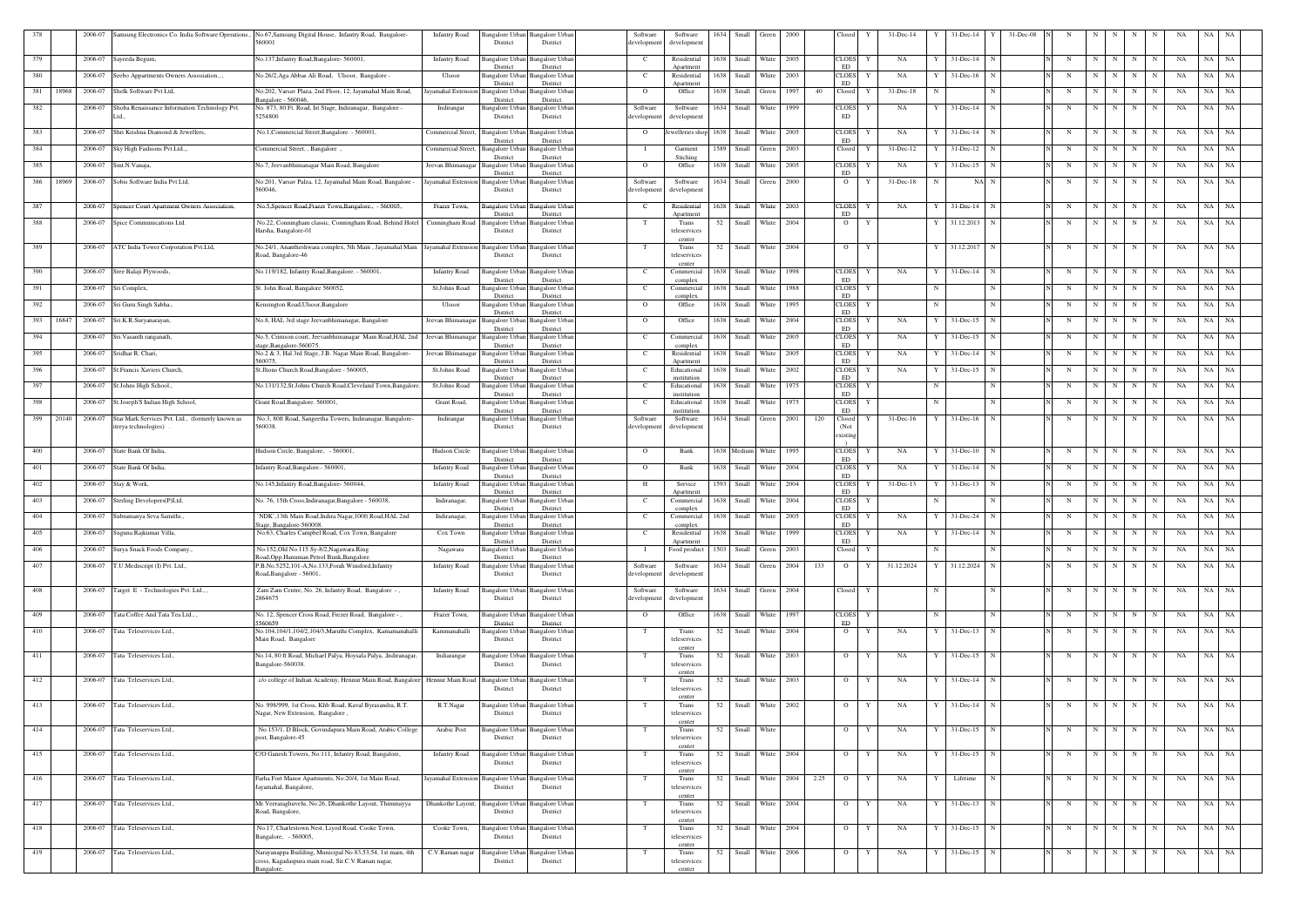| 378          | 2006-07 |                                                  | Samsung Electronics Co. India Software Operations., No.67, Samsung Digital House, Infantry Road, Bangalore-<br>560001 | Infantry Road                       | Bangalore Urban                    | 3angalore Urbar                             | Software               | Software                   | 1634 | Small                 | Green            | - 2000 |      | Closed                     | $31$ -Dec-14       |             | 31-Dec-14                   | 31-Dec-08   |             |   |            |   |             |    | NA    |           |
|--------------|---------|--------------------------------------------------|-----------------------------------------------------------------------------------------------------------------------|-------------------------------------|------------------------------------|---------------------------------------------|------------------------|----------------------------|------|-----------------------|------------------|--------|------|----------------------------|--------------------|-------------|-----------------------------|-------------|-------------|---|------------|---|-------------|----|-------|-----------|
|              |         |                                                  |                                                                                                                       |                                     | District                           | District                                    | development            | development                |      |                       |                  |        |      |                            |                    |             |                             |             |             |   |            |   |             |    |       |           |
| 379          | 2006-07 | Sayeeda Begum,                                   | No.137, Infantry Road, Bangalore- 560001,                                                                             | <b>Infantry Road</b>                | angalore Urban<br>District         | angalore Urbar<br>District                  | – C                    | Residential<br>Apartment   | 1638 | Small                 | White            | 2005   |      | CLOES<br>ED                | NA<br>Y            |             | 31-Dec-14<br>N              |             | N           | N | N          | N | N           | NA | NA    | <b>NA</b> |
| 380          | 2006-07 | Seebo Appartments Owners Assosiation., ,         | No.26/2, Aga Abbas Ali Road, Ulsoor, Bangalore -                                                                      | Ulsoor                              | Bangalore Urban                    | Bangalore Urbar                             | - C                    | Residential                | 1638 | Small                 | White            | 2003   |      | <b>CLOES</b>               | NA                 |             | $31$ -Dec-16                |             | N           | N | N          | N | N           | NA | NA    | NA        |
| 381<br>18968 | 2006-07 | Shelk Software Pvt Ltd,                          | No:202, Varsav Plaza, 2nd Floor, 12, Jayamahal Main Road,                                                             | ayamahal Extensio                   | District<br>Bangalore Urban        | District<br>Bangalore Urban                 | $\overline{O}$         | Apartment<br>Office        | 1638 | Small                 | Green            | 1997   | 40   | ED<br>Closed               | $31 - Dec-18$<br>Y | -N          | N                           |             | N           | N | N          | N | N           | NA | NA    | NA        |
| 382          | 2006-07 | Shoba Renaissance Information Technology Pvt.    | Bangalore - 560046<br>No. 873, 80 Ft. Road, Ist Stage, Indiranagar, Bangalore -                                       | Indirangar                          | District<br>Bangalore Urban        | District<br>Bangalore Urban                 | Software               | Software                   | 1634 | Small                 | White            | 1999   |      | CLOES                      | NA                 |             | 31-Dec-14<br>N              |             | N           | N | N          | N | N           | NA | NA    | NA        |
|              | Ltd.    |                                                  | 5254800                                                                                                               |                                     | District                           | District                                    | developmer             | development                |      |                       |                  |        |      | <b>ED</b>                  |                    |             |                             |             |             |   |            |   |             |    |       |           |
| 383          | 2006-07 | Shri Krishna Diamond & Jewellers                 | No.1, Commercial Street, Bangalore. - 560001,                                                                         | <b>Commercial Street</b>            | Bangalore Urbar                    | Bangalore Urbar                             | $\overline{O}$         | lewelleries shop           | 1638 | Small                 | White            | 2005   |      | <b>CLOES</b>               | NA                 |             | 31-Dec-14                   |             | N           | N | N          | N | N           | NA | NA    | NA        |
| 384          | 2006-07 | Sky High Fashions Pvt.Ltd.,                      | Commercial Street, , Bangalore                                                                                        | <b>Commercial Street</b>            | District<br><b>Bangalore Urban</b> | District<br>Bangalore Urbar                 |                        | Garment                    | 1589 | Small                 | Green            | 2003   |      | ED<br>Closed               | 31-Dec-12          |             | $31 - Dec-12$               |             | N           | N | N          | N | N           | NA | NA    | NA        |
|              |         |                                                  |                                                                                                                       |                                     | District                           | District                                    |                        | Stiching                   |      |                       |                  |        |      |                            |                    |             |                             |             |             |   |            |   |             |    |       |           |
| 385          | 2006-07 | Smt.N.Vanaja,                                    | No.7, Jeevanbhimanagar Main Road, Bangalore                                                                           | Jeevan Bhimanagar                   | <b>Bangalore Urba</b><br>District  | angalore Urbar<br>District                  | $\Omega$               | Office                     | 1638 | Small                 | White            | 2005   |      | <b>CLOES</b><br>ED         | NA                 |             | $31$ -Dec-15                |             | N           | N | N          | N | N           | NA | NA    | NA        |
| 386<br>18969 | 2006-07 | Sobis Software India Pvt Ltd,                    | No:201, Varsav Palza, 12, Jayamahal Main Road, Bangalore -<br>560046,                                                 | Jayamahal Extension Bangalore Urban | District                           | Bangalore Urbar<br>District                 | Software<br>developmen | Software<br>development    | 1634 | Small Green           |                  | 2000   |      | $\overline{O}$             | $31$ -Dec-18<br>Y  |             | NA N                        |             | N           | N | N          | N | N           | NA | NA    | NA        |
|              |         |                                                  |                                                                                                                       |                                     |                                    |                                             |                        |                            |      |                       |                  |        |      |                            |                    |             |                             |             |             |   |            |   |             |    |       |           |
| 387          | 2006-07 | Spencer Court Apartment Owners Association,      | No.5, Spencer Road, Frazer Town, Bangalore., - 560005,                                                                | Frazer Town,                        | Bangalore Urban<br>District        | Bangalore Urban<br>District                 | C.                     | Residential<br>Anartment   | 1638 |                       | Small White      | 2003   |      | <b>CLOES</b><br>ED         | NA<br>Y            |             | $31$ -Dec-14<br>$\mathbf N$ |             | N           | N | N          | N | N           | NA | NA NA |           |
| 388          | 2006-07 | Spice Communications Ltd.                        | No.22, Conningham classic, Conningham Road, Behind Hotel<br>Harsha, Bangalore-01                                      | Cunningham Road                     | <b>Bangalore Urban</b><br>District | Bangalore Urban<br>District                 |                        | Trans<br>teleservices      | 52   |                       | Small White      | 2004   |      | $\overline{O}$             | Y                  |             | 31.12.2013<br>N             |             | N           | N | N          | N | N           | NA | NA NA |           |
|              |         |                                                  |                                                                                                                       |                                     |                                    |                                             |                        | center                     |      |                       |                  |        |      |                            |                    |             |                             |             |             |   |            |   |             |    |       |           |
| 389          |         | 2006-07 ATC India Tower Corporation Pvt.Ltd,     | No.24/1, Anantheshwara complex, 5th Main, Jayamahal Main Jayamahal Extension Bangalore Urban<br>Road, Bangalore-46    |                                     | District                           | Bangalore Urbar<br>District                 | T                      | Trans<br>teleservices      | 52   | Small                 | White            | 2004   |      | $\overline{O}$             | Y                  |             | 31.12.2017                  |             | N           | N | N          | N | N           | NA | NA    | NA        |
| 390          | 2006-07 | Sree Balaji Plywoods,                            | No.119/182, Infantry Road, Bangalore. - 560001,                                                                       | <b>Infantry Road</b>                | <b>Bangalore Urban</b>             | Bangalore Urbar                             | - C                    | center<br>Commercial       | 1638 |                       | Small White      | 1998   |      | <b>CLOES</b>               | NA<br>Y            |             | 31-Dec-14<br>-N             |             | N           | N | N          | N | N           | NA | NA NA |           |
|              |         |                                                  |                                                                                                                       |                                     | District                           | District                                    |                        | complex                    |      |                       |                  |        |      | ED                         |                    |             |                             |             |             |   |            |   |             |    |       |           |
| 391          | 2006-07 | Sri Complex,                                     | St. John Road, Bangalore 560052,                                                                                      | St.Johns Road                       | <b>Bangalore Urban</b><br>District | Bangalore Urban<br>District                 | - C                    | Commercial<br>complex      |      | 1638 Small White      |                  | 1988   |      | <b>CLOES</b><br>ED         | Y                  | N           | N                           |             | N           | N | N          | N | N           | NA | NA NA |           |
| 392          | 2006-07 | Sri Guru Singh Sabha                             | Kensington Road, Ulsoor, Bangalore                                                                                    | Ulsoor                              | <b>Bangalore Urban</b><br>District | angalore Urban<br>District                  | $\overline{O}$         | Office                     | 1638 | Small                 | White            | 1995   |      | <b>CLOES</b><br><b>ED</b>  | Y                  | N           |                             |             | N           | N | N          | N | N           | NA | NA    | NA        |
| 393<br>16847 | 2006-07 | Sri.K.R.Suryanarayan,                            | No.8, HAL 3rd stage Jeevanbhimanagar, Bangalore                                                                       | Jeevan Bhimanagar                   | <b>Bangalore Urban</b>             | Bangalore Urbar                             | $\overline{O}$         | Office                     | 1638 | Small                 | White            | 2004   |      | <b>CLOES</b>               | NA<br>Y            |             | $31 - Dec-15$               |             | N           | N | N          | N | N           | NA | NA    | NA        |
| 394          | 2006-07 | Sri. Vasanth ranganath,                          | No.5, Crimson court, Jeevanbhimanagar Main Road, HAL 2nd                                                              | Jeevan Bhimanagar                   | District<br>Bangalore Urba         | District<br>angalore Urba                   | - C                    | Commercial                 | 1638 | Small                 | White            | 2005   |      | ${\rm ED}$<br><b>CLOES</b> | NA                 |             | $31 - Dec - 15$             |             | N           | N |            | N | N           | NA | NA    | NA        |
| 395          | 2006-07 | Sridhar R. Chari,                                | age,Bangalore-560075<br>No.2 & 3, Hal 3rd Stage, J.B. Nagar Main Road, Bangalore-                                     | Jeevan Bhimanagar                   | District<br><b>Bangalore Urbar</b> | District<br>3angalore Urba                  | - C                    | complex<br>Residential     | 1638 | Small                 | White            | 2005   |      | ED<br><b>CLOES</b>         | NA                 |             | $31$ -Dec-14                |             | N           | N | N          | N | N           | NA | NA    | NA        |
|              |         |                                                  | 560075.                                                                                                               |                                     | District                           | District                                    |                        | Apartment                  |      |                       |                  |        |      | ED                         |                    |             |                             |             |             |   |            |   |             |    |       |           |
| 396          | 2006-07 | St. Francis Xaviers Church,                      | St.Jhons Church Road, Bangalore - 560005,                                                                             | St.Johns Road                       | 3angalore Urba<br>District         | angalore Urba<br>District                   | - C                    | Educational<br>institution | 1638 | Small                 | White            | 2002   |      | <b>CLOES</b><br>ED         | NA                 |             | $31$ -Dec-15                |             | N           | N | N          | N | $\mathbf N$ | NA | NA    | NA        |
| 397          | 2006-07 | St.Johns High School.,                           | No.131/132, St.Johns Church Road, Cleveland Town, Bangalore.                                                          | St.Johns Road                       | Bangalore Urbar<br>District        | 3angalore Urbar<br>District                 | - C                    | Educational<br>institution | 1638 | Small                 | White            | 1975   |      | <b>CLOES</b><br>ED         | Y                  |             |                             |             | N           | N | N          | N | N           | NA | NA    | NA        |
| 398          | 2006-07 | St.Joseph'S Indian High School,                  | Grant Road, Bangalore. 560001.                                                                                        | Grant Road,                         | Bangalore Urba<br>District         | Bangalore Urbar                             | $\mathbf{C}$           | Educational                | 1638 | Small                 | White            | 1975   |      | <b>CLOES</b><br>ED         | Y                  | $\mathbf N$ |                             | N           | $\mathbf N$ | N | N          | N | N           | NA | NA    | NA        |
| 399<br>20140 | 2006-07 | Star Mark Services Pvt. Ltd., (formerly known as | No.3, 80ft Road, Sangeetha Towers, Indiranagar, Bangalore-                                                            | Indirangar                          | <b>Bangalore Urban</b>             | District<br>Bangalore Urbar                 | Software               | institution<br>Software    | 1634 |                       | Small Green      | 2001   | 120  | Closed                     | $31 - Dec-16$      |             | 31-Dec-16<br>N              |             | N           | N | N          | N | N           | NA | NA    | <b>NA</b> |
|              |         | itreya technologies)                             | 560038.                                                                                                               |                                     | District                           | District                                    | developmen             | development                |      |                       |                  |        |      | (Not<br>existing           |                    |             |                             |             |             |   |            |   |             |    |       |           |
| 400          | 2006-07 | State Bank Of India,                             | Hudson Circle, Bangalore, - 560001.                                                                                   | Hudson Circle                       | Bangalore Urban                    | <b>Bangalore Urban</b>                      | $\Omega$               | Bank                       |      | 1638 Medium           | White            | 1995   |      | <b>CLOES</b>               | NA<br>Y            |             | $31$ -Dec-10<br>N           |             | N           | N | N          | N | N           | NA | NA    | NA        |
|              |         |                                                  |                                                                                                                       |                                     | District                           | District                                    |                        |                            |      |                       |                  |        |      | ED.                        |                    |             |                             |             |             |   |            |   |             |    |       |           |
| 401          | 2006-07 | State Bank Of India,                             | infantry Road, Bangalore. - 560001.                                                                                   | <b>Infantry Road</b>                | Bangalore Urban<br>District        | Bangalore Urbar<br>District                 | $\overline{O}$         | Bank                       | 1638 | Small                 | White            | 2004   |      | <b>CLOES</b><br><b>ED</b>  | NA<br>Y            |             | $31$ -Dec-14                |             | N           | N | N          | N | N           | NA | NA    | NA        |
| 402          | 2006-07 | Stay & Work,                                     | No.145, Infantry Road, Bangalore-560044,                                                                              | <b>Infantry Road</b>                | Bangalore Urban<br>District        | Bangalore Urban<br>District                 | H                      | Service<br>Apartment       | 1593 | Small                 | White            | 2004   |      | <b>CLOES</b><br><b>ED</b>  | 31-Dec-13          |             | $31 - Dec-13$               |             | N           | N |            | N |             | NA | NA    | NA        |
| 403          | 2006-07 | Sterling Developers(P)Ltd,                       | No. 76, 15th Cross, Indiranagar, Bangalore - 560038,                                                                  | Indiranagar,                        | Bangalore Urbar                    | angalore Urbar                              | - C                    | Commercial                 | 1638 | Small                 | White            | 2004   |      | <b>CLOES</b>               |                    |             |                             |             | N           | N | N          | N | N           | NA | NA    | NA        |
| 404          |         | 2006-07 Subramanya Seva Samithi.                 | `NDK`,13th Main Road,Indira Nagar,100ft Road,HAL 2nd                                                                  | Indiranagar,                        | District                           | District<br>Bangalore Urban Bangalore Urban | $\mathbf{C}$           | complex<br>Commercial      |      | 1638 Small White      |                  | 2005   |      | <b>ED</b><br>CLOES Y       | NA                 | Y           | 31-Dec-24<br>N              |             | N           |   | N N N      |   | N           | NA | NA NA |           |
| 405          | 2006-07 | Suguna Rajkumar Villa,                           | Stage, Bangalore-560008.<br>No:63, Charles Campbel Road, Cox Town, Bangalore                                          | Cox Town                            | District<br>Bangalore Urban        | District<br>Bangalore Urbar                 | C.                     | complex<br>Residential     | 1638 | Small                 | White            | 1999   |      | ED<br><b>CLOES</b>         | NA<br>Y            |             | $31 - Dec-14$               |             | N           | N | N          | N | N           | NA | NA    | NA        |
|              |         |                                                  |                                                                                                                       |                                     | District                           | District                                    |                        | Anartmen                   |      |                       |                  |        |      | <b>ED</b>                  |                    |             |                             |             |             |   |            |   |             |    |       |           |
| 406          | 2006-07 | Surya Snack Foods Company.,                      | No.152, Old No.115 Sy-8/2, Nagawara Ring<br>load, Opp. Hanuman Petrol Bunk, Bangalore.                                | Nagawara                            | Bangalore Urban<br>District        | angalore Urban<br>District                  | - 1                    | Food product               | 1503 | Small                 | Green            | 2003   |      | Closed                     | Y                  | -N          |                             |             | N           | N | N          | N | N           | NA | NA    | NA        |
| 407          | 2006-07 | T.U.Mediscript (I) Pvt. Ltd.,                    | P.B.No.5252,101-A,No.133,Forah Winsford,Infantry<br>Road, Bangalore - 56001,                                          | <b>Infantry Road</b>                | 3angalore Urban<br>District        | angalore Urbar<br>District                  | Software<br>developmen | Software<br>development    |      | 1634 Small            | Green 2004       |        | 133  | $\overline{O}$             | 31.12.2024<br>Y    |             | 31.12.2024 N                |             | N           | N | N          | N | N           | NA | NA NA |           |
|              |         |                                                  |                                                                                                                       |                                     |                                    |                                             |                        |                            |      |                       |                  |        |      |                            |                    |             |                             |             |             |   |            |   |             |    |       |           |
| 408          |         | 2006-07 Target E - Technologies Pvt. Ltd.,,      | Zam Zam Centre, No. 26, Infantry Road, Bangalore -,<br>2864675                                                        | <b>Infantry Road</b>                | Bangalore Urban<br>District        | Bangalore Urba<br>District                  | Software<br>developmen | Software<br>development    |      | 1634 Small Green 2004 |                  |        |      | Closed                     | Y                  | N           | N                           |             | N           | N | N          | N | N           | NA | NA NA |           |
| 409          | 2006-07 | Tata Coffee And Tata Tea Ltd.,,                  | No. 12, Spencer Cross Road, Frezer Road, Bangalore -,                                                                 | Frazer Town,                        | <b>Bangalore Urban</b>             | Bangalore Urban                             | $\overline{O}$         | Office                     | 1638 |                       | Small White 1997 |        |      | <b>CLOES</b>               | Y                  | N           |                             | N           | N           | N | N          | N | N           | NA | NA    | <b>NA</b> |
|              |         |                                                  | 5560659                                                                                                               |                                     | District                           | District                                    |                        |                            |      |                       |                  |        |      | ${\rm ED}$                 |                    |             |                             |             |             |   |            |   |             |    |       |           |
| 410          | 2006-07 | Tata Teleservices Ltd.,                          | No.104,104/1,104/2,104/3, Maruthi Complex, Kamamanahalli<br>Main Road, Bangalore                                      | Kammanahalli                        | Bangalore Urban<br>District        | Bangalore Urban<br>District                 | T                      | Trans<br>teleservices      | 52   |                       | Small White 2004 |        |      | $\overline{O}$             | Y<br>NA            | Y           | 31-Dec-13                   | $\mathbf N$ | $\mathbf N$ | N | N          | N | N           | NA | NA NA |           |
| 411          | 2006-07 | Tata Teleservices Ltd.,                          | No.14, 80 ft Road, Michael Palya, Hoysala Palya, ,Indiranagar,                                                        | Indiarangar                         | Bangalore Urban                    | Bangalore Urbar                             |                        | center<br>Trans            | 52   |                       | Small White 2003 |        |      | $\overline{O}$             | NA<br>Y            |             | 31-Dec-15                   |             | N           | N | N          | N | N           | NA | NA NA |           |
|              |         |                                                  | Bangalore-560038.                                                                                                     |                                     | District                           | District                                    |                        | teleservices               |      |                       |                  |        |      |                            |                    |             |                             |             |             |   |            |   |             |    |       |           |
| 412          | 2006-07 | Tata Teleservices Ltd.,                          | c/o college of Indian Academy, Hennur Main Road, Bangalore Hennur Main Road                                           |                                     | <b>Bangalore Urban</b>             | Bangalore Urban                             |                        | center<br>Trans            | 52   |                       | Small White      | 2003   |      | $\overline{O}$             | NA<br>Y            |             | $31$ -Dec-14<br>N           |             | N           | N | N          | N | N           | NA | NA    | NA        |
|              |         |                                                  |                                                                                                                       |                                     | District                           | District                                    |                        | teleservices<br>center     |      |                       |                  |        |      |                            |                    |             |                             |             |             |   |            |   |             |    |       |           |
| 413          | 2006-07 | Tata Teleservices Ltd.,                          | No. 998/999, 1st Cross, Khb Road, Kaval Byrasandra, R.T.<br>Nagar, New Extension, Bangalore,                          | R.T.Nagar                           | <b>Bangalore Urban</b><br>District | Bangalore Urba<br>District                  | T                      | Trans<br>teleservices      | 52   |                       | Small White 2002 |        |      | $\overline{O}$             | NA<br>Y            |             | $31$ -Dec-14<br>N           |             | N           | N | N          | N | N           | NA | NA NA |           |
|              |         |                                                  |                                                                                                                       |                                     |                                    |                                             |                        | center                     |      |                       |                  |        |      |                            |                    |             |                             |             |             |   |            |   |             |    |       |           |
| 414          |         | 2006-07 Tata Teleservices Ltd.,                  | No.153/1, D Block, Govindapura Main Road, Arabic College<br>post, Bangalore-45                                        | Arabic Post                         | Bangalore Urban<br>District        | Bangalore Urban<br>District                 | T                      | Trans<br>teleservices      |      | 52 Small White        |                  |        |      | $\mathbf{O}$               | NA<br>Y            | Y           | $31$ -Dec-15 N              |             | N           |   | $N$ $N$    |   | $N$ $N$     | NA | NA NA |           |
|              |         |                                                  |                                                                                                                       |                                     |                                    |                                             |                        | center                     |      |                       |                  |        |      |                            |                    |             |                             |             |             |   |            |   |             |    |       |           |
| 415          | 2006-07 | Tata Teleservices Ltd.,                          | C/O Ganesh Towers, No:111, Infantry Road, Bangalore,                                                                  | <b>Infantry Road</b>                | <b>Bangalore Urban</b><br>District | <b>Bangalore</b> Urbar<br>District          | T                      | Trans<br>teleservices      | 52   |                       | Small White 2004 |        |      | $\overline{O}$             | Y<br>NA            |             | $31$ -Dec-15 N              |             | N           | N | N          | N | N           | NA | NA NA |           |
| 416          | 2006-07 | Tata Teleservices Ltd.,                          | Farha Fort Manor Apartments, No:20/4, 1st Main Road,                                                                  | Jayamahal Extension Bangalore Urban |                                    | Bangalore Urban                             | T                      | center<br>Trans            | 52   |                       | Small White 2004 |        | 2.25 | $\overline{O}$             | Y<br>NA            |             | Lifetime<br>N               |             | N           | N | N          | N | N           | NA | NA NA |           |
|              |         |                                                  | Jayamahal, Bangalore,                                                                                                 |                                     | District                           | District                                    |                        | teleservices               |      |                       |                  |        |      |                            |                    |             |                             |             |             |   |            |   |             |    |       |           |
| 417          | 2006-07 | Tata Teleservices Ltd.,                          | Mr. Veeraraghuvelu, No:26, Dhankothe Layout, Thimmayya                                                                | Dhankothe Layout,                   | <b>Bangalore Urban</b>             | <b>Bangalore Urbar</b>                      | T                      | center<br>Trans            | 52   | Small White 2004      |                  |        |      | $\overline{O}$             | Y<br>NA            | Y           | 31-Dec-13                   | $\mathbf N$ | N           | N | N          | N | N           | NA | NA NA |           |
|              |         |                                                  | Road, Bangalore,                                                                                                      |                                     | District                           | District                                    |                        | teleservices<br>center     |      |                       |                  |        |      |                            |                    |             |                             |             |             |   |            |   |             |    |       |           |
| 418          |         | 2006-07 Tata Teleservices Ltd.,                  | No.17, Charlestown Nest, Liyod Road, Cooke Town,                                                                      | Cooke Town,                         | <b>Bangalore Urban</b>             | <b>Bangalore Urban</b>                      |                        | Trans                      |      | 52 Small White 2004   |                  |        |      | $\mathbf{O}$               | NA<br>Y            | Y           | $31$ -Dec-15 N              |             | N           |   | $N \mid N$ | N | N           | NA | NA NA |           |
|              |         |                                                  | Bangalore, - 560005,                                                                                                  |                                     | District                           | District                                    |                        | teleservices<br>center     |      |                       |                  |        |      |                            |                    |             |                             |             |             |   |            |   |             |    |       |           |
| 419          | 2006-07 | Tata Teleservices Ltd.,                          | Narayanappa Building, Municipal No.83,53,54, 1st main, 4th<br>cross, Kagadaspura main road, Sir.C.V.Raman nagar,      | C.V.Raman nagar                     | District                           | Bangalore Urban Bangalore Urban<br>District |                        | Trans<br>teleservices      | 52   |                       | Small White      | 2006   |      | $\overline{O}$             | Y<br>NA            |             | 31-Dec-15<br>N              |             | N           | N | N          | N | N           | NA | NA    | NA        |
|              |         |                                                  | Bangalore.                                                                                                            |                                     |                                    |                                             |                        | center                     |      |                       |                  |        |      |                            |                    |             |                             |             |             |   |            |   |             |    |       |           |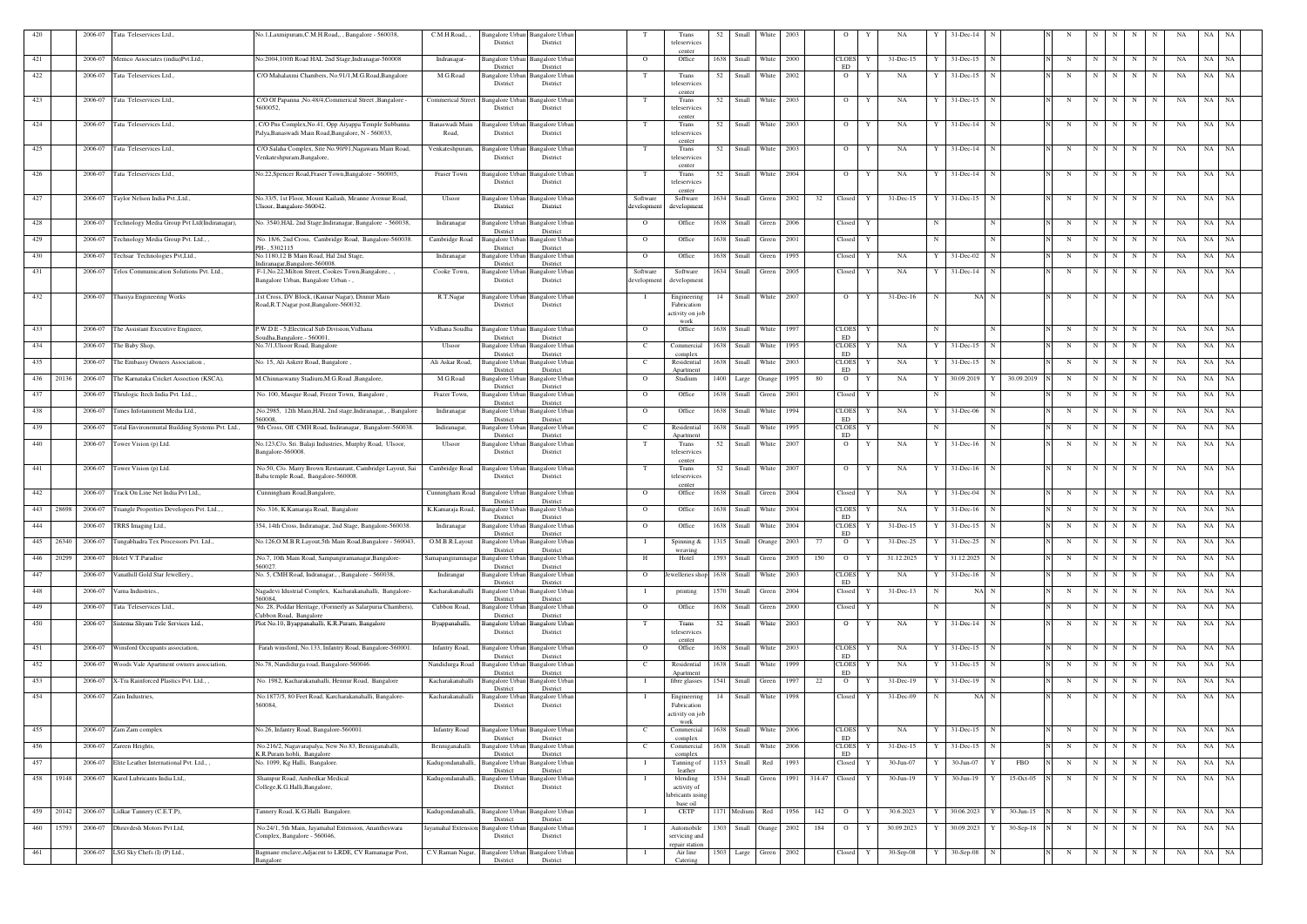| 420          | 2006-07 | Tata Teleservices Ltd.,                       | No.1, Laxmipuram, C.M.H.Road,,, Bangalore - 560038.                                                         | C.M.H.Road,,             | Bangalore Urban  <br>District      | <b>Bangalore Urban</b><br>District |                         | Trans<br>teleservices                     | 52   | Small       | White                 | 2003 |               | 0                                  |   | NA            |   | 31-Dec-14             |             |              |   |             |     |                  |    |    |           |  |
|--------------|---------|-----------------------------------------------|-------------------------------------------------------------------------------------------------------------|--------------------------|------------------------------------|------------------------------------|-------------------------|-------------------------------------------|------|-------------|-----------------------|------|---------------|------------------------------------|---|---------------|---|-----------------------|-------------|--------------|---|-------------|-----|------------------|----|----|-----------|--|
| 421          | 2006-07 | Memco Associates (india)Pvt.Ltd.,             | No:2004,100ft Road HAL 2nd Stage,Indranagar-560008                                                          | <b>Indranagar-</b>       | 3angalore Urba                     | angalore Urba                      | $\overline{O}$          | center<br>Office                          | 1638 | Small       | White                 | 2000 |               | <b>CLOES</b>                       |   | 31-Dec-15     |   | 31-Dec-15             |             |              | N | $\mathbf N$ | N   | N<br>N           | NA | NA | NA        |  |
| 422          | 2006-07 | Tata Teleservices Ltd.                        | C/O Mahalaxmi Chambers, No.91/1, M.G.Road, Bangalore                                                        | M.G.Road                 | District<br>Bangalore Urbar        | District<br>Bangalore Urba         |                         | Trans                                     | 52   | Small       | White                 | 2002 |               | <b>ED</b><br>$\overline{O}$        | Y | NA            |   | $31 - Dec - 15$       |             |              | N | $\mathbf N$ | N   | N<br>N           | NA | NA | NA        |  |
| 423          | 2006-07 | Tata Teleservices Ltd.,                       | C/O Of Papanna , No.48/4, Commerical Street , Bangalore -                                                   | <b>Commerical Street</b> | District<br><b>Bangalore Urban</b> | District<br>Bangalore Urba         |                         | teleservices<br>center<br>Trans           | 52   | Small       | White                 | 2003 |               | $\mathbf{O}$                       | Y | NA            | Y | $31 - Dec - 15$       | N           |              |   | $\mathbf N$ | N   | N<br>N           | NA | NA | <b>NA</b> |  |
|              |         |                                               | 5600052.                                                                                                    |                          | District                           | District                           |                         | teleservices<br>center                    |      |             |                       |      |               |                                    |   |               |   |                       |             |              |   |             |     |                  |    |    |           |  |
| 424          | 2006-07 | Tata Teleservices Ltd.                        | , C/O Pns Complex, No.41, Opp Aiyappa Temple Subbanna<br>Palya, Banaswadi Main Road, Bangalore, N - 560033, | Banaswadi Main<br>Road,  | Bangalore Urba<br>District         | angalore Urba<br>District          |                         | Trans<br>teleservices                     | 52   | Small       | White                 | 2003 |               | $\mathbf{O}$                       | Y | NA            | Y | $31 - Dec - 14$       | N           |              | N | $\mathbf N$ | N   | N<br>N           | NA | NA | NA        |  |
| 425          | 2006-07 | Tata Teleservices Ltd                         | C/O Salaha Complex, Site No.90/91, Nagawara Main Road,                                                      | Venkateshpuram,          | Bangalore Urban                    | Bangalore Urbai                    |                         | center<br>Trans                           |      |             | 52 Small White        | 2003 |               | $\overline{O}$                     | Y | NA            | Y | $31$ -Dec-14 $\mid$ N |             |              | N | N           | N I | N<br>N           | NA |    | NA NA     |  |
|              |         |                                               | Venkateshpuram, Bangalore,                                                                                  |                          | District                           | District                           |                         | teleservices<br>center                    |      |             |                       |      |               |                                    |   |               |   |                       |             |              |   |             |     |                  |    |    |           |  |
| 426          | 2006-07 | Fata Teleservices Ltd                         | No.22, Spencer Road, Fraser Town, Bangalore - 560005,                                                       | Fraser Town              | Bangalore Urba<br>District         | angalore Urba<br>District          |                         | Trans<br>teleservices                     | 52   | Small       | White                 | 2004 |               | $\overline{O}$                     | Y | NA            |   | 31-Dec-14             | N           |              | N | $\mathbf N$ | N   | N<br>N           | NA | NA | NA        |  |
| 427          | 2006-07 | Taylor Nelson India Pvt., Ltd.,               | No.33/5, 1st Floor, Mount Kailash, Meanne Avenue Road,<br>Ulsoor, Bangalore-560042.                         | Ulsoor                   | Bangalore Urban<br>District        | Bangalore Urba<br>District         | Software<br>development | center<br>Software<br>development         |      |             | 1634 Small Green      | 2002 | 32            | Closed                             | Y | 31-Dec-15     | Y | $31$ -Dec-15 N        |             |              |   | $\mathbf N$ | N   | N<br>N           | NA |    | NA NA     |  |
| 428          | 2006-07 | Technology Media Group Pvt Ltd(Indiranagar),  | No. 3540, HAL 2nd Stage, Indiranagar, Bangalore - 560038,                                                   | Indiranagar              | Bangalore Urbar                    | Bangalore Urba                     | $\overline{O}$          | Office                                    | 1638 | Small       | Green                 | 2006 |               | Closed                             | Y |               | N |                       | N           |              | N | N           | N I | N<br>N           | NA | NA | NA        |  |
| 429          | 2006-07 | Fechnology Media Group Pvt. Ltd.,             | No. 18/6, 2nd Cross, Cambridge Road, Bangalore-560038.                                                      | Cambridge Road           | District<br>Bangalore Urba         | District<br>Bangalore Urba         | $\Omega$                | Office                                    | 1638 | Small       | Green                 | 2001 |               | Closed                             | Y |               | N |                       | N           |              | N | $\mathbf N$ | N   | N                | NA | NA | NA        |  |
| 430          | 2006-07 | Techsar Technologies Pvt, Ltd.,               | PH- . 5302115<br>No.1180,12 B Main Road, Hal 2nd Stage,                                                     | Indiranagar              | District<br>Bangalore Urba         | District<br>angalore Urba          | $\overline{O}$          | Office                                    | 1638 | Small       | Green                 | 1995 |               | Closed                             | Y | NA            |   | 31-Dec-02             | N           |              | N | N           | N   | N<br>N           | NA | NA | NA        |  |
| 431          | 2006-07 | Telos Communication Solutions Pvt. Ltd.,      | ndiranagar.Bangalore-560008.<br>F-1, No.22, Milton Street, Cookes Town, Bangalore.,.                        | Cooke Town,              | District<br>Bangalore Urbar        | District<br>angalore Urba          | Software                | Software                                  | 1634 | Small       | Green                 | 2005 |               | Closed                             | Y | NA            |   | 31-Dec-14             |             |              | N | -N          | N   | N                | NA | NA | NA        |  |
|              |         |                                               | Bangalore Urban, Bangalore Urban -                                                                          |                          | District                           | District                           | development             | development                               |      |             |                       |      |               |                                    |   |               |   |                       |             |              |   |             |     |                  |    |    |           |  |
| 432          | 2006-07 | Thasiya Engineering Works                     | 1st Cross, DV Block, (Kausar Nagar), Dinnur Main<br>Road, R.T.Nagar post, Bangalore-560032.                 | R.T.Nagar                | Bangalore Urba<br>District         | angalore Urba<br>District          |                         | Engineering<br>Fabrication                | 14   | Small       | White                 | 2007 |               | $\overline{O}$                     | Y | $31$ -Dec-16  |   | NA N                  |             |              |   | $\mathbf N$ | N   | N<br>N           | NA | NA | <b>NA</b> |  |
|              |         |                                               | P.W.D.E - 5. Electrical Sub Division, Vidhana                                                               | Vidhana Soudha           | Bangalore Urba                     |                                    |                         | activity on job<br>work<br>Office         | 1638 | Small       | White                 | 1997 |               |                                    | Y |               | N |                       | N           |              |   |             | N   |                  |    |    | NA NA     |  |
| 433<br>434   | 2006-07 | The Assistant Executive Engineer,             | Soudha, Bangalore. - 560001.                                                                                |                          | District                           | angalore Urba<br>District          | $\overline{O}$          |                                           | 1638 |             |                       | 1995 |               | <b>CLOES</b><br>ED<br><b>CLOES</b> |   |               |   |                       | N           |              | N | $\mathbf N$ | N   | N<br>N           | NA |    | NA NA     |  |
|              | 2006-07 | The Baby Shop,                                | No.7/1, Ulsoor Road, Bangalore                                                                              | Ulsoor                   | <b>Bangalore Urba</b><br>District  | angalore Urba<br>District          | – C                     | Commercial<br>complex                     |      | Small       | White                 |      |               | ED                                 | Y | NA            |   | 31-Dec-15             |             |              | N | $\mathbf N$ |     | N<br>N           | NA |    |           |  |
| 435          | 2006-07 | he Embassy Owners Association,                | No. 15, Ali Askerr Road, Bangalore,                                                                         | Ali Askar Road,          | Bangalore Urba<br>District         | angalore Urba<br>District          | – C                     | Residential<br>Apartment                  | 1638 | Small       | White                 | 2003 |               | <b>CLOES</b><br>ED                 |   | NA            |   | 31-Dec-15             |             |              | N | N           |     | N<br>N           | NA | NA | NA        |  |
| 436<br>20136 | 2006-07 | he Karnataka Cricket Assoction (KSCA),        | M.Chinnaswamy Stadium, M.G.Road , Bangalore,                                                                | M.G.Road                 | Bangalore Urba<br>District         | angalore Urba<br>District          | $\overline{0}$          | Stadium                                   | 1400 | Large       | Orange                | 1995 | 80            | $\overline{O}$                     | Y | NA            |   | 30.09.2019            |             | 30.09.2019   | N | N           |     | N                | NA | NA | NA        |  |
| 437          | 2006-07 | hrulogic Itech India Pvt. Ltd.,               | No. 100, Masque Road, Frezer Town, Bangalore                                                                | Frazer Town,             | Bangalore Urba<br>District         | angalore Urba<br>District          | $\overline{0}$          | Office                                    | 1638 | Small       | Green                 | 2001 |               | Closed                             | Y |               |   |                       |             |              |   | N           |     | N<br>N           | NA | NA | NA        |  |
| 438          | 2006-07 | imes Infotainment Media Ltd.,                 | No.2985, 12th Main, HAL 2nd stage, Indiranagar,,, Bangalore<br>560008.                                      | Indiranagar              | Bangalore Urba<br>District         | angalore Urba<br>District          | $\overline{O}$          | Office                                    | 1638 | Small       | White                 | 1994 |               | <b>CLOES</b><br>ED                 | Y | NA            |   | 31-Dec-06             |             |              | N | $\mathbf N$ | N   | N<br>N           | NA | NA | NA        |  |
| 439          | 2006-07 | otal Environemntal Building Systems Pvt. Ltd. | 9th Cross, Off. CMH Road, Indiranagar, Bangalore-560038                                                     | Indiranagar,             | Bangalore Urba<br>District         | angalore Urba<br>District          | C <sub>1</sub>          | Residential<br>Anartment                  | 1638 | Small       | White                 | 1995 |               | <b>CLOES</b><br>ED                 | Y |               |   |                       |             |              | N | $\mathbf N$ | N   | N<br>$_{\rm N}$  | NA | NA | NA        |  |
| 440          | 2006-07 | Tower Vision (p) Ltd.                         | No.123, C/o. Sri. Balaji Industries, Murphy Road, Ulsoor,<br>Bangalore-560008.                              | Ulsoor                   | Bangalore Urbar<br>District        | angalore Urba<br>District          |                         | Trans<br>teleservices                     | 52   | Small       | White                 | 2007 |               | $\overline{O}$                     | Y | NA            |   | $31$ -Dec-16          |             |              | N | - N         | N   | N                | NA | NA | NA        |  |
| 441          |         | 2006-07 Tower Vision (p) Ltd.                 | No.50, C/o. Marry Brown Restaurant, Cambridge Layout, Sai<br>Baba temple Road, Bangalore-560008.            | Cambridge Road           | Bangalore Urban<br>District        | Bangalore Urba<br>District         |                         | center<br>Trans<br>teleservices<br>center | 52   |             | Small White           | 2007 |               | $\overline{O}$                     | Y | NA            | Y | 31-Dec-16             | N           |              |   | $\mathbf N$ | N   | N<br>N           | NA | NA | NA        |  |
| 442          | 2006-07 | Frack On Line Net India Pvt Ltd.,             | Cunningham Road, Bangalore,                                                                                 | Cunningham Road          | Bangalore Urba<br>District         | angalore Urba<br>District          | $\overline{O}$          | Office                                    | 1638 | Small       | Green                 | 2004 |               | Closed                             | Y | NA            |   | 31-Dec-04             |             |              | N | -N          | N   | N<br>N           | NA | NA | NA        |  |
| 443<br>28698 | 2006-07 | Friangle Properties Developers Pvt. Ltd.,     | No. 316, K.Kamaraja Road, Bangalore                                                                         | K.Kamaraja Road,         | <b>Bangalore Urban</b><br>District | Bangalore Urba<br>District         | $\Omega$                | Office                                    | 1638 | Small       | White                 | 2004 |               | CLOES<br>ED                        | Y | NA            |   | $31$ -Dec-16          | N           |              | N | $\mathbf N$ | N   | N<br>N           | NA | NA | NA        |  |
| 444          | 2006-07 | TRRS Imaging Ltd.,                            | 354, 14th Cross, Indiranagar, 2nd Stage, Bangalore-560038.                                                  | Indiranagar              | Bangalore Urban<br>District        | <b>Bangalore Urbar</b><br>District | $\overline{O}$          | Office                                    | 1638 | Small       | White                 | 2004 |               | <b>CLOES</b><br>ED                 | Y | $31 - Dec-15$ |   | $31 - Dec - 15$       | N           |              | N | - N         | N   | N<br>N           | NA | NA | NA        |  |
| 445<br>26340 | 2006-07 | 'ungabhadra Tex Processors Pvt. Ltd.,         | No.126, O.M.B.R.Layout, 5th Main Road, Bangalore - 560043,                                                  | O.M.B.R.Layout           | Bangalore Urban<br>District        | Bangalore Urban<br>District        |                         | Spinning &<br>weaving                     |      | 1315 Small  | Orange                | 2003 | 77            | $\mathbf{O}$                       | Y | 31-Dec-25     |   | 31-Dec-25             | N           |              | N | $\mathbf N$ | N   | N                | NA | NA | <b>NA</b> |  |
| 446<br>20299 | 2006-07 | Hotel V.T.Paradise                            | , No.7, 10th Main Road, Sampangiramanagar, Bangalore-<br>560027.                                            | Samapangiramnagar        | <b>Bangalore</b> Urbar<br>District | Bangalore Urban<br>District        | H                       | Hotel                                     |      | 1593 Small  | Green 2005            |      | 150           | $\overline{O}$                     | Y | 31.12.2025    |   | 31.12.2025            | N           |              | N | N           | N   | N<br>N           | NA |    | NA NA     |  |
| 447          | 2006-07 | Vanathill Gold Star Jewellery.,               | No. 5, CMH Road, Indranagar., , Bangalore - 560038,                                                         | Indirangar               | Bangalore Urba<br>District         | angalore Urban<br>District         | $\overline{O}$          | Jewelleries shop                          |      | 1638 Small  | White                 | 2003 |               | <b>CLOES</b><br>ED                 | Y | NA            |   | $31$ -Dec-16          | N           |              | N | N           | N   | N<br>$\mathbf N$ | NA | NA | <b>NA</b> |  |
| 448          | 2006-07 | Varna Industries.,                            | Nagadevi Idustrial Complex, Kacharakanahalli, Bangalore-<br>560084                                          | Kacharakanahalli         | <b>Bangalore Urban</b><br>District | Bangalore Urban<br>District        | - 1                     | printing                                  |      | 1570 Small  | Green 2004            |      |               | Closed                             | Y | $31 - Dec-13$ | N |                       | NA N        |              | N | N           | N   | N<br>N           | NA |    | NA NA     |  |
| 449          | 2006-07 | Tata Teleservices Ltd.,                       | No. 28, Poddar Heritage, (Formerly as Salarpuria Chambers),<br>Cubbon Road, Bangalore                       | Cubbon Road,             | <b>Bangalore Urbar</b><br>District | <b>Bangalore</b> Urbar<br>District | $\overline{O}$          | Office                                    | 1638 | Small       | Green                 | 2000 |               | Closed                             | Y |               | N |                       | N           |              | N | $\mathbf N$ | N   | N<br>N           | NA |    | NA NA     |  |
| 450          | 2006-07 | Sistema Shyam Tele Services Ltd.,             | Plot No.10, Byappanahalli, K.R.Puram, Bangalore                                                             | Byappanahalli,           | Bangalore Urbar<br>District        | angalore Urban<br>District         |                         | Trans<br>teleservices                     | 52   | Small       | White 2003            |      |               | $\mathbf{O}$                       | Y | NA            |   | $Y = 31 - Dec-14$ N   |             |              | N | N           | N   | N<br>N           | NA |    | NA NA     |  |
| 451          | 2006-07 | Winsford Occupants association,               | Farah winsford, No.133, Infantry Road, Bangalore-560001.                                                    | Infantry Road,           | Bangalore Urba                     | angalore Urba                      | $\overline{O}$          | center<br>Office                          |      | 1638 Small  | White 2003            |      |               | <b>CLOES</b>                       | Y | NA            |   | $31 - Dec - 15$       | $\mathbf N$ |              | N | N           | N   | N<br>N           | NA |    | NA NA     |  |
| 452          | 2006-07 | Woods Vale Apartment owners association,      | No.78, Nandidurga road, Bangalore-560046.                                                                   | Nandidurga Road          | District<br>Bangalore Urba         | District<br>angalore Urba          | C <sub>1</sub>          | Residential                               |      | 1638 Small  | White                 | 1999 |               | ED<br><b>CLOES</b>                 | Y | NA            |   | $31 - Dec - 15$       | N           |              | N | N           | N   | N<br>N           | NA |    | NA NA     |  |
| 453          | 2006-07 | X-Tra Rainforced Plastics Pvt. Ltd., ,        | No. 1982, Kacharakanahalli, Hennur Road, Bangalore                                                          | Kacharakanahalli         | District<br><b>Bangalore</b> Urba  | District<br>angalore Urbar         |                         | Apartment<br>fibre glasses                | 1541 | Small       | Green                 | 1997 | 22            | ED<br>$\overline{O}$               | Y | 31-Dec-19     |   | 31-Dec-19             | $\mathbf N$ |              | N | N           | N   | N<br>$_{\rm N}$  | NA | NA | NA        |  |
| 454          | 2006-07 | Zain Industries,                              | No:1877/5, 80 Feet Road, Karcharakanahalli, Bangalore-                                                      | Kacharakanahalli         | District<br>Bangalore Urba         | District<br>angalore Urba          |                         | Engineering                               | 14   | Small       | White                 | 1998 |               | Closed                             | Y | 31-Dec-09     |   |                       | NA N        |              | N | $\mathbf N$ | N   | N<br>N           | NA | NA | <b>NA</b> |  |
|              |         |                                               | 560084,                                                                                                     |                          | District                           | District                           |                         | Fabrication<br>activity on job            |      |             |                       |      |               |                                    |   |               |   |                       |             |              |   |             |     |                  |    |    |           |  |
| 455          |         | 2006-07 Zam Zam complex                       | No.26, Infantry Road, Bangalore-560001.                                                                     | <b>Infantry Road</b>     | Bangalore Urban                    | <b>Bangalore Urbar</b>             | C.                      | work<br>Commercial                        |      |             | 1638 Small White 2006 |      |               | <b>CLOES</b>                       | Y | NA            |   | $31$ -Dec-15 N        |             |              | N | N           | NI  | N<br>N           | NA |    | NA NA     |  |
| 456          |         | 2006-07 Zareen Heights,                       | No.216/2, Nagavarapalya, New No.83, Benniganahalli,                                                         | Benniganahalli           | District<br><b>Bangalore Urba</b>  | District<br>angalore Urban         | C.                      | complex<br>Commercial                     |      | 1638 Small  | White                 | 2006 |               | ED<br><b>CLOES</b>                 | Y | 31-Dec-15     |   | $31 - Dec-15$         | N           |              | N | N           | N   | N<br>N           | NA |    | NA NA     |  |
| 457          | 2006-07 | Elite Leather International Pvt. Ltd.,,       | K.R.Puram hobli, Bangalore<br>No. 1099, Kg Halli, Bangalore.                                                | Kadugondanahalli.        | District<br>Bangalore Urba         | District<br>angalore Urba          |                         | complex<br>Tanning of                     | 1153 | Small       | Red                   | 1993 |               | ED<br>Closed                       | Y | 30-Jun-07     |   | 30-Jun-07             |             | FBO          | N | $\mathbf N$ | N   | N<br>N           | NA | NA | NA        |  |
| 458<br>19148 | 2006-07 | Karol Lubricants India Ltd.,                  | Shampur Road, Ambedkar Medical                                                                              | Kadugondanahalli,        | District<br>Bangalore Urbar        | District<br>angalore Urbar         |                         | leather<br>blending                       | 1534 | Small       | Green                 | 1991 | 314.47 Closed |                                    | Y | $30$ -Jun-19  |   | 30-Jun-19             |             | $15$ -Oct-05 | N | $\mathbf N$ | N   | N                | NA |    | NA NA     |  |
|              |         |                                               | College, K.G. Halli, Bangalore,                                                                             |                          | District                           | District                           |                         | activity of<br>ubricants using            |      |             |                       |      |               |                                    |   |               |   |                       |             |              |   |             |     |                  |    |    |           |  |
| 459<br>20142 | 2006-07 | Lidkar Tannery (C.E.T.P),                     | Tannery Road, K.G.Halli Bangalore.                                                                          | Kadugondanahalli,        | <b>Bangalore Urbar</b>             | Bangalore Urban                    |                         | base oil<br><b>CETP</b>                   |      | 1171 Mediun | Red                   | 1956 | 142           | $\overline{O}$                     | Y | 30.6.2023     |   | 30.06.2023            |             | $30$ -Jun-15 | N | N           | N   | N                | NA |    | NA NA     |  |
| 460<br>15793 | 2006-07 | Dhruvdesh Motors Pvt Ltd,                     | No:24/1, 5th Main, Jayamahal Extension, Anantheswara                                                        | Jayamahal Extension      | District<br><b>Bangalore Urbar</b> | District<br>Bangalore Urbar        |                         | Automobile                                | 1303 | Small       | Orange 2002           |      | 184           | $\overline{O}$                     | Y | 30.09.2023    |   | 30.09.2023            | Y           | $30-Sep-18$  | N | $\mathbf N$ | N   | N<br>N           | NA | NA | NA        |  |
|              |         |                                               | Complex, Bangalore - 560046,                                                                                |                          | District                           | District                           |                         | servicing and<br>repair station           |      |             |                       |      |               |                                    |   |               |   |                       |             |              |   |             |     |                  |    |    |           |  |
| 461          | 2006-07 | LSG Sky Chefs (I) (P) Ltd.,                   | Bagmane enclave, Adjacent to LRDE, CV Ramanagar Post,<br>Bangalore                                          | C.V.Raman Nagar,         | <b>Bangalore Urbar</b><br>District | Bangalore Urbar<br>District        |                         | Air line<br>Catering                      | 1503 | Large       | Green                 | 2002 |               | Closed                             | Y | 30-Sep-08     |   | 30-Sep-08             | N           |              | N | $\mathbf N$ | N   | N<br>N           | NA |    | NA NA     |  |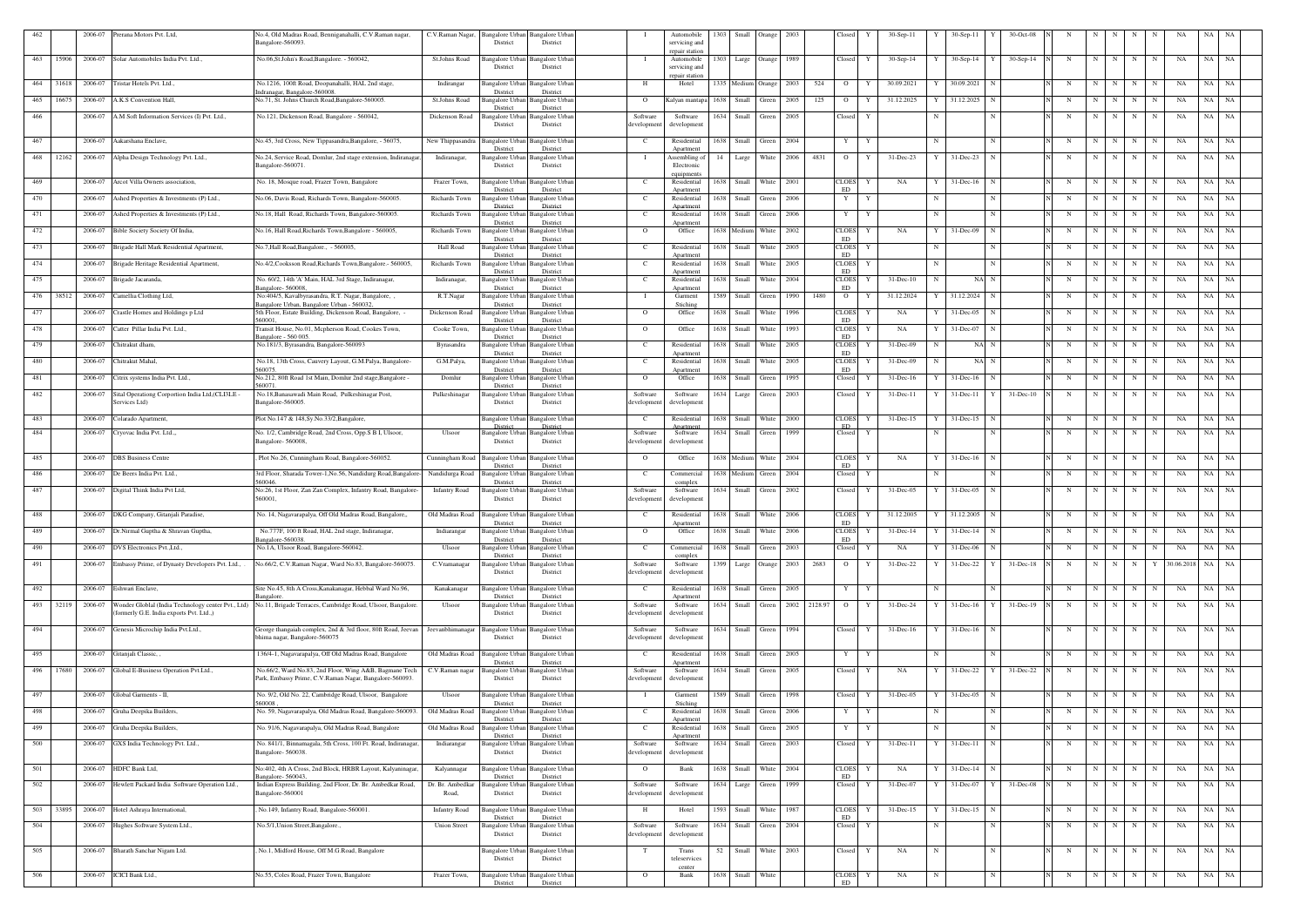| 462 |       | 2006-07 | Prerana Motors Pvt. Ltd,                                                                      | No.4, Old Madras Road, Benniganahalli, C.V.Raman nagar,<br>Bangalore-560093.                                      | C.V.Raman Nagar,          | District                                | Bangalore Urban Bangalore Urban<br>District    |                         | Automobile<br>servicing and           | 1303 | Small                 | Orange       | 2003         |      | Closed                   |   | 30-Sep-11     |            | 30-Sep-11                   | 30-Oct-08      |             |             |            |             |             |                  |       |           |
|-----|-------|---------|-----------------------------------------------------------------------------------------------|-------------------------------------------------------------------------------------------------------------------|---------------------------|-----------------------------------------|------------------------------------------------|-------------------------|---------------------------------------|------|-----------------------|--------------|--------------|------|--------------------------|---|---------------|------------|-----------------------------|----------------|-------------|-------------|------------|-------------|-------------|------------------|-------|-----------|
| 463 | 15906 |         | 2006-07 Solar Automobiles India Pvt. Ltd.,                                                    | No.06, St. John's Road, Bangalore. - 560042,                                                                      | St.Johns Road             | Bangalore Urbai                         | Bangalore Urba                                 |                         | repair station<br>Automobile          |      | 1303 Large Orange     |              | 1989         |      | Closed                   |   | $30-Sep-14$   |            | $30-Sep-14$                 | $30-Sep-14$    | N           | N           |            | N           | N           | NA               | NA    | NA        |
|     |       |         |                                                                                               |                                                                                                                   |                           | District                                | District                                       |                         | servicing and<br>repair station       |      |                       |              |              |      |                          |   |               |            |                             |                |             |             |            |             |             |                  |       |           |
| 464 | 31618 |         | 2006-07 Tristar Hotels Pvt. Ltd.,                                                             | No.1216, 100ft Road, Doopanahalli, HAL 2nd stage,<br>ndranagar, Bangalore-560008.                                 | Indirangar                | <b>Rangalore Urban</b><br>District      | <b>Bangalore Urban</b><br>District             | Н.                      | Hotel                                 |      | 1335 Medium Orange    |              | 2003         | 524  | $\overline{O}$           | Y | 30.09.2021    |            | 30.09.2021                  | N              | N           | N           | N          | N           | N           | NA               | NA    | NA        |
| 465 | 16675 | 2006-07 | A.K.S Convention Hall.                                                                        | No.71, St. Johns Church Road, Bangalore-560005.                                                                   | St.Johns Road             | Bangalore Urban<br>District             | <b>Bangalore Urban</b><br>District             | $\Omega$                | Kalyan mantapa                        |      | 1638 Small            | Green        | 2005         | 125  | $\overline{O}$           | Y | 31.12.2025    |            | 31.12.2025                  | N              | N           | $\mathbf N$ | N          | N           | -N          | NA               | NA    | NA        |
| 466 |       | 2006-07 | A.M Soft Information Services (I) Pvt. Ltd.,                                                  | No.121, Dickenson Road, Bangalore - 560042,                                                                       | Dickenson Road            | Bangalore Urban<br>District             | Bangalore Urban<br>District                    | Software<br>development | Software<br>development               |      | 1634 Small            | Green        | 2005         |      | Closed                   | Y |               |            |                             | N              | N           | N           | N          | N           | N           | NA               | NA    | NA        |
| 467 |       | 2006-07 | Aakarshana Enclave,                                                                           | No.45, 3rd Cross, New Tippasandra, Bangalore, - 56075,                                                            | New Thippasandra          | Bangalore Urbai<br>District             | Bangalore Urbar<br>District                    | <sup>-</sup> C          | Residential<br>Apartment              | 1638 | Small                 | Green        | 2004         |      | Y                        |   |               |            |                             |                | N           | N           |            | N           |             | NA               | NA    | NA        |
| 468 | 12162 |         | 2006-07 Alpha Design Technology Pvt. Ltd.,                                                    | No.24, Service Road, Domlur, 2nd stage extension, Indiranagar<br>Bangalore-560071                                 | Indiranagar,              | Bangalore Urbai<br>District             | Bangalore Urban<br>District                    | - 1                     | Assembling of<br>Electronic           |      | 14   Large            | White        | 2006         | 4831 | $\overline{O}$           | Y | 31-Dec-23     | Y          | 31-Dec-23                   | $\mathbf N$    | N           | N           | N          | N           | N           | NA               | NA    | NA        |
| 469 |       |         | 2006-07 Arcot Villa Owners association,                                                       | No. 18, Mosque road, Frazer Town, Bangalore                                                                       | Frazer Town,              |                                         | Bangalore Urban Bangalore Urban                | $\mathbf{C}$            | equipment<br>Residential              |      | 1638 Small            | <b>White</b> | 2001         |      | <b>CLOES</b>             | Y | NA            |            | $31$ -Dec-16 N              |                | N           | N           | N          | N           | N           | NA               | NA    | NA        |
| 470 |       |         | 2006-07 Ashed Properties & Investments (P) Ltd.,                                              | No.06, Davis Road, Richards Town, Bangalore-560005.                                                               | Richards Town             | District                                | District<br>Bangalore Urban Bangalore Urban    | C                       | Anartment<br>Residential              |      | 1638 Small            | Green        | 2006         |      | ED<br>Y                  | Y |               |            |                             | N              | N           | N           | N          | N           | N           | NA               | NA    | NA        |
| 471 |       |         | 2006-07 Ashed Properties & Investments (P) Ltd.,                                              | No.18, Hall Road, Richards Town, Bangalore-560005.                                                                | Richards Town             | District<br>Bangalore Urbar             | District<br>Bangalore Urban                    | C                       | Apartment<br>Residential              |      | 1638 Small            | Green        | 2006         |      | Y                        | Y |               |            |                             | N              | N           | N           | N          | N           | N           | NA               | NA NA |           |
| 472 |       |         | 2006-07 Bible Society Society Of India,                                                       | No.16, Hall Road, Richards Town, Bangalore - 560005,                                                              | Richards Town             | District<br>Bangalore Urban             | District<br><b>Bangalore Urban</b>             | $\overline{O}$          | Apartment<br>Office                   |      | 1638 Medium           | White        | 2002         |      | <b>CLOES</b>             | Y | NA            | Y          | 31-Dec-09                   | $\mathbf N$    | N           | N           | N          | N           | N           | NA               | NA    | NA        |
| 473 |       |         | 2006-07 Brigade Hall Mark Residential Apartment,                                              | No.7, Hall Road, Bangalore., - 560005,                                                                            | <b>Hall Road</b>          | District<br>Bangalore Urban             | District<br>Bangalore Urban                    | C                       | Residential                           |      | 1638 Small            | White        | 2005         |      | ED<br>CLOES              | Y |               | N          |                             | N              | N           | N           | N          | N           | N           | NA               | NA    | NA        |
| 474 |       |         | 2006-07 Brigade Heritage Residential Apartment,                                               | No.4/2, Cooksson Road, Richards Town, Bangalore. - 560005,                                                        | Richards Town             | District<br>Bangalore Urban<br>District | District<br>Bangalore Urban<br>District        | C.                      | Apartment<br>Residential<br>Apartment |      | 1638 Small            | White        | 2005         |      | ED<br><b>CLOES</b><br>ED | Y |               | $_{\rm N}$ |                             | $\mathbf N$    | N           | N           | N          | N           | N           | NA               | NA    | NA        |
| 475 |       | 2006-07 | Brigade Jacaranda,                                                                            | No. 60/2, 14th 'A' Main, HAL 3rd Stage, Indiranagar,<br>angalore-560008                                           | Indiranagar,              | Bangalore Urbar<br>District             | Bangalore Urban<br>District                    | C                       | Residential<br>Apartment              |      | 1638 Small            | White        | 2004         |      | <b>CLOES</b><br>ED       | Y | $31 - Dec-10$ | N          | NA N                        |                | N           | N           | N          | N           | $_{\rm N}$  | NA               | NA    | NA N      |
| 476 | 38512 | 2006-07 | Camellia Clothing Ltd,                                                                        | No:404/5, Kavalbyrasandra, R.T. Nagar, Bangalore, ,<br>angalore Urban, Bangalore Urban - 560032                   | R.T.Nagar                 | Bangalore Urban<br>District             | Bangalore Urban<br>District                    | - 1                     | Garment<br>Stiching                   |      | 1589 Small            | Green        | 1990         | 1480 | $\overline{O}$           |   | 31.12.2024    |            | 31.12.2024                  |                | N           | $\mathbf N$ | N          | N           | $_{\rm N}$  | NA               | NA    | NA        |
| 477 |       | 2006-07 | Crastle Homes and Holdings p Ltd                                                              | 5th Floor, Estate Building, Dickenson Road, Bangalore,<br>560001.                                                 | Dickenson Road            | Bangalore Urbar<br>District             | Bangalore Urban<br>District                    | $\overline{O}$          | Office                                |      | 1638 Small            | White        | 1996         |      | <b>CLOES</b><br>ED       | Y | NA            |            | 31-Dec-05                   |                | N           | N           | N          | N           | N           | NA               | NA NA |           |
| 478 |       | 2006-07 | Catter Pillar India Pvt. Ltd.,                                                                | Transit House, No.01, Mcpherson Road, Cookes Town,<br>angalore - 560 005.                                         | Cooke Town,               | Bangalore Urbai<br>District             | Bangalore Urban<br>District                    | $\overline{O}$          | Office                                |      | 1638 Small            | White        | 1993         |      | <b>CLOES</b><br>ED       | Y | NA            |            | 31-Dec-07                   |                | N           | N           | N          | N           | N           | NA               | NA    | NA        |
| 479 |       | 2006-07 | Chitrakut dham                                                                                | No.181/3, Byrasandra, Bangalore-560093                                                                            | Byrasandra                | Bangalore Urba<br>District              | Bangalore Urban<br>District                    | <sup>-</sup> C          | Residential<br>Apartment              | 1638 | Small                 | White        | 2005         |      | <b>CLOES</b><br>ED       |   | 31-Dec-09     |            | NA N                        |                | N           | $\mathbf N$ | N          | N           | $_{\rm N}$  | NA               | NA    | NA        |
| 480 |       | 2006-07 | Chitrakut Mahal,                                                                              | No.18, 13th Cross, Cauvery Layout, G.M.Palya, Bangalore-<br>560075.                                               | G.M.Palya                 | <b>Bangalore</b> Urba<br>District       | Bangalore Urban<br>District                    | C                       | Residential<br>Apartment              |      | 1638 Small            | White        | 2005         |      | <b>CLOES</b><br>ED       |   | 31-Dec-09     |            | NA N                        |                | N           | N           |            | N           | N           | NA               | NA    | NA        |
| 481 |       | 2006-07 | Citrix systems India Pvt. Ltd.,                                                               | No.212, 80ft Road 1st Main, Domlur 2nd stage, Bangalore<br>560071.                                                | Domlur                    | Bangalore Urbai<br>District             | Bangalore Urbar<br>District                    | $\overline{O}$          | Office                                | 1638 | Small                 | Green        | 1995         |      | Closed                   |   | 31-Dec-16     |            | $31$ -Dec-16                |                | N           | N           |            | N           |             | NA               | NA    | NA        |
| 482 |       | 2006-07 | Sital Operationg Corportion India Ltd, (CLI3LE<br>Services Ltd)                               | No.18, Banasawadi Main Road, Pulkeshinagar Post,<br>Bangalore-560005.                                             | Pulkeshinagar             | Bangalore Urbai<br>District             | Bangalore Urban<br>District                    | Software<br>developmen  | Software<br>development               |      | 1634 Large            | Green        | 2003         |      | Closed                   |   | $31-Dec-11$   |            | $31$ -Dec-11 Y              | $31 - Dec-10$  | $\mathbf N$ | N           | N          | N           | N           | NA               | NA    | NA        |
| 483 |       |         | 2006-07 Colarado Apartment,                                                                   | Plot No.147 & 148, Sy. No. 33/2, Bangalore,                                                                       |                           | Distric                                 | Bangalore Urban Bangalore Urban<br>District    | C.                      | Residential                           |      | 1638 Small            | White        | 2000         |      | <b>CLOES</b><br>ED       | Y | $31 - Dec-15$ |            | $31$ -Dec-15 N              |                | N           | N           | N          | N           | N           | NA               | NA    | NA        |
| 484 |       | 2006-07 | Cryovac India Pvt. Ltd.,                                                                      | No. 1/2, Cambridge Road, 2nd Cross, Opp.S B I, Ulsoor,<br>Bangalore- 560008,                                      | Ulsoor                    | Bangalore Urban<br>District             | <b>Bangalore</b> Urban<br>District             | Software<br>development | Software<br>development               | 1634 | Small                 | Green        | 1999         |      | Closed                   | Y |               |            |                             |                | N           | $\mathbf N$ | N          | N           | $\mathbf N$ | NA               | NA    | NA        |
| 485 |       |         | 2006-07 DBS Business Centre                                                                   | Plot No.26, Cunningham Road, Bangalore-560052.                                                                    | Cunningham Road           | Bangalore Urbar                         | Bangalore Urban                                | $\overline{O}$          | Office                                |      | 1638 Medium           | White        | 2004         |      | <b>CLOES</b><br>ED       | Y | NA            |            | $31$ -Dec-16 N              |                |             | N           | N I        | N           | N           | NA               | NA NA |           |
| 486 |       | 2006-07 | De Beers India Pvt. Ltd.,                                                                     | 3rd Floor, Sharada Tower-1, No.56, Nandidurg Road, Bangalore-<br>560046.                                          | Nandidurga Road           | District<br>angalore Urbar<br>District  | District<br>angalore Urban<br>District         | C.                      | Commercial<br>complex                 |      | 1638 Medium           | Green        | 2004         |      | Closed                   | Y |               |            |                             |                | N           | N           | N          | N           | N           | NA               | NA    | NA        |
| 487 |       | 2006-07 | Digital Think India Pvt Ltd,                                                                  | No:26, 1st Floor, Zan Zan Complex, Infantry Road, Bangalore-<br>560001,                                           | <b>Infantry Road</b>      | Bangalore Urbai<br>District             | Bangalore Urban<br>District                    | Software<br>development | Software<br>development               |      | 1634 Small            | Green        | 2002         |      | Closed                   |   | $31$ -Dec-05  |            | 31-Dec-05                   | N              | N           | N           | N          | N           | N           | NA               | NA NA |           |
| 488 |       |         | 2006-07 DKG Company, Gitanjali Paradise,                                                      | No. 14, Nagavarapalya, Off Old Madras Road, Bangalore,,                                                           | Old Madras Road           | District                                | Bangalore Urban Bangalore Urban<br>District    | $\mathbf{C}$            | Residential<br>Apartment              |      | 1638 Small            | White        | 2006         |      | CLOES Y<br>ED            |   | 31.12.2005    | Y          | 31.12.2005                  | N              | N           |             | $N \mid N$ | N           | N           | NA               | NA NA |           |
| 489 |       | 2006-07 | Dr.Nirmal Guptha & Shravan Guptha,                                                            | No.777F, 100 ft Road, HAL 2nd stage, Indiranagar,<br>angalore-560038                                              | Indiarangar               | Bangalore Urban<br>District             | <b>Bangalore Urban</b><br>District             | $\overline{O}$          | Office                                |      | 1638 Small            | White        | 2006         |      | CLOES<br>ED              | Y | $31 - Dec-14$ |            | $31$ -Dec-14                |                | N           | N           | N          | N           | N           | NA               | NA.   | NA        |
| 490 |       | 2006-07 | DVS Electronics Pvt., Ltd.,                                                                   | No.1A, Ulsoor Road, Bangalore-560042.                                                                             | Ulsoor                    | <b>Bangalore Urban</b><br>District      | <b>Bangalore Urban</b><br>District             | <sup>-</sup> C          | Commercial<br>complex                 |      | 1638 Small            | Green        | 2003         |      | Closed                   | Y | NA            |            | $31$ -Dec-06                |                | N           | N           | N          | N           |             | NA               | NA    | <b>NA</b> |
| 491 |       | 2006-07 | Embassy Prime, of Dynasty Developers Pvt. Ltd.,                                               | No.66/2, C.V.Raman Nagar, Ward No.83, Bangalore-560075.                                                           | C.Vramanagar              | <b>Bangalore Urban</b><br>District      | <b>Bangalore Urban</b><br>District             | Software<br>development | Software<br>development               |      | 1399 Large Orange     |              | 2003         | 2683 | $\overline{O}$           | Y | 31-Dec-22     |            | 31-Dec-22                   | 31-Dec-18<br>Y | N           | N           | N          | $\mathbf N$ | Y           | 30.06.2018 NA NA |       |           |
| 492 |       |         | 2006-07 Eshwari Enclave,                                                                      | Site No.45, 8th A Cross, Kanakanagar, Hebbal Ward No.96,                                                          | Kanakanagar               | Bangalore Urbar                         | <b>Bangalore Urban</b><br>District             | $\mathbf{C}$            | Residential                           |      | 1638 Small            | Green        | 2005         |      | Y                        | Y |               |            |                             | N              | N           | N           | N          | $\mathbf N$ | N           | NA               | NA NA |           |
| 493 | 32119 | 2006-07 | Wonder Globlal (India Technology center Pvt., Ltd)<br>formerly G.E. India exports Pvt. Ltd.,) | angalore<br>No.11, Brigade Terraces, Cambridge Road, Ulsoor, Bangalore.                                           | Ulsoor                    | District<br>Bangalore Urban<br>District | <b>Bangalore Urban</b><br>District             | Software<br>development | Apartment<br>Software<br>development  |      | 1634 Small            | Green        | 2002 2128.97 |      | $\overline{O}$           | Y | 31-Dec-24     | Y          | $31$ -Dec-16 $Y$            | 31-Dec-19      | N           | $\mathbf N$ | N          | N           | N           | NA               | NA    | <b>NA</b> |
| 494 |       |         | 2006-07 Genesis Microchip India Pvt.Ltd.,                                                     | George thangaiah complex, 2nd & 3rd floor, 80ft Road, Jeevan                                                      | Jeevanbhimanagar          | <b>Bangalore Urban</b>                  | <b>Bangalore Urban</b>                         | Software                | Software                              |      | 1634 Small Green 1994 |              |              |      | Closed                   | Y | $31$ -Dec-16  |            | $31$ -Dec-16 N              |                | N           | N           | N          | N           | N           | NA               | NA NA |           |
|     |       |         |                                                                                               | bhima nagar, Bangalore-560075                                                                                     |                           | District                                | District                                       | developmen              | developmen                            |      |                       |              |              |      |                          |   |               |            |                             |                |             |             |            |             |             |                  |       |           |
| 495 |       |         | 2006-07 Gitanjali Classic,,                                                                   | 136/4-1, Nagavarapalya, Off Old Madras Road, Bangalore                                                            | Old Madras Road           | <b>Bangalore</b> Urbar<br>District      | <b>Bangalore Urban</b><br>District             | $\mathbf{C}$            | Residential<br>Apartment              |      | 1638 Small Green      |              | 2005         |      | Y                        | Y |               |            |                             | N              | N           | N           | N          | N           | N           | NA               | NA NA |           |
| 496 | 17680 |         | 2006-07 Global E-Business Operation Pvt.Ltd.,                                                 | No.66/2, Ward No.83, 2nd Floor, Wing A&B, Bagmane Tech<br>Park, Embassy Prime, C.V.Raman Nagar, Bangalore-560093. | C.V.Raman nagar           | Bangalore Urbar<br>District             | Bangalore Urban<br>District                    | Software<br>development | Software<br>development               |      | 1634 Small            | Green        | 2005         |      | Closed                   | Y | NA            | Y          | $31$ -Dec-22 Y              | 31-Dec-22      | N           | $\mathbf N$ | N          | N           | N           | NA               | NA    | <b>NA</b> |
| 497 |       |         | 2006-07 Global Garments - II,                                                                 | No. 9/2, Old No. 22, Cambridge Road, Ulsoor, Bangalore<br>560008                                                  | Ulsoor                    | District                                | Bangalore Urban Bangalore Urban<br>District    | - 1                     | Garment<br>Stiching                   |      | 1589 Small Green      |              | 1998         |      | Closed                   | Y | 31-Dec-05     |            | $31$ -Dec-05 N              |                | N           | N           | N          | N           | N           | NA               | NA NA |           |
| 498 |       |         | 2006-07 Gruha Deepika Builders,                                                               | No. 59, Nagavarapalya, Old Madras Road, Bangalore-560093.                                                         | Old Madras Road           | Bangalore Urban<br>District             | <b>Bangalore Urban</b><br>District             | C.                      | Residential<br>Apartment              |      | 1638 Small Green      |              | 2006         |      | Y                        | Y |               |            |                             | N              | N           | N           | N          | N           | N           | NA               | NA    | NA        |
| 499 |       |         | 2006-07 Gruha Deepika Builders,                                                               | No. 91/6, Nagavarapalya, Old Madras Road, Bangalore                                                               | Old Madras Road           | <b>Bangalore</b> Urbar<br>District      | Bangalore Urban<br>District                    | C                       | Residential<br>Apartment              |      | 1638 Small Green      |              | 2005         |      | Y                        | Y |               | N          |                             | N              | N           | N           | N          | N           | N           | NA               | NA NA |           |
| 500 |       |         | 2006-07 GXS India Technology Pvt. Ltd.,                                                       | No. 841/1, Binnamagala, 5th Cross, 100 Ft. Road, Indiranagar,<br>Bangalore-560038.                                | Indiarangar               | Bangalore Urban<br>District             | <b>Bangalore Urban</b><br>District             | Software<br>development | Software<br>development               |      | 1634 Small Green      |              | 2003         |      | Closed                   | Y | $31 - Dec-11$ | Y          | $31$ -Dec-11 N              |                | N           | N           | N          | N           | N           | NA               | NA NA |           |
| 501 |       |         | 2006-07 HDFC Bank Ltd,                                                                        | No:402, 4th A Cross, 2nd Block, HRBR Layout, Kalyaninagar,<br>angalore-560043                                     | Kalyannagar               | Bangalore Urban<br>District             | <b>Bangalore Urban</b><br>District             | $\overline{O}$          | Bank                                  |      | 1638 Small White 2004 |              |              |      | <b>CLOES</b><br>ED       | Y | NA            |            | $31$ -Dec-14 $\overline{N}$ |                | N           | N           | N          | N           | N           | NA               | NA NA |           |
| 502 |       |         | 2006-07 Hewlett Packard India Software Operation Ltd.,                                        | Indian Express Building, 2nd Floor, Dr. Br. Ambedkar Road,<br>Bangalore-560001                                    | Dr. Br. Ambedkar<br>Road, | District                                | angalore Urban Bangalore Urban<br>District     | Software<br>development | Software<br>development               |      | 1634 Large Green      |              | 1999         |      | Closed                   | Y | 31-Dec-07     |            | 31-Dec-07                   | 31-Dec-08<br>Y | N           | N           | N          | N           |             | NA               | NA    | NA        |
| 503 | 33895 |         | 2006-07 Hotel Ashraya International,                                                          | No.149, Infantry Road, Bangalore-560001.                                                                          | <b>Infantry Road</b>      | <b>Bangalore Urban</b>                  | <b>Bangalore Urban</b>                         | H                       | Hotel                                 |      | 1593 Small White 1987 |              |              |      | <b>CLOES</b><br>ED       | Y | $31 - Dec-15$ |            | $31$ -Dec-15 N              |                | N           | N           | N          | N           | N           | NA               | NA NA |           |
| 504 |       |         | 2006-07 Hughes Software System Ltd.,                                                          | No.5/1, Union Street, Bangalore.,                                                                                 | <b>Union Street</b>       | District<br>Bangalore Urban<br>District | District<br><b>Bangalore Urban</b><br>District | Software<br>development | Software<br>development               |      | 1634 Small            | Green        | 2004         |      | Closed                   | Y |               |            |                             |                | N           | N           | N          | N           | $\mathbf N$ | NA               | NA NA |           |
| 505 |       |         | 2006-07 Bharath Sanchar Nigam Ltd.                                                            | No.1, Midford House, Off M.G.Road, Bangalore                                                                      |                           |                                         | Bangalore Urban Bangalore Urban                | T                       | Trans                                 | 52   | Small                 | White        | 2003         |      | Closed                   | Y | NA            | N          |                             | N              | N           | N           | N          | $\mathbf N$ | N           | NA               | NA NA |           |
|     |       |         |                                                                                               |                                                                                                                   |                           | District                                | District                                       |                         | teleservices<br>center                |      |                       |              |              |      |                          |   |               |            |                             |                |             |             |            |             |             |                  |       |           |
| 506 |       |         | 2006-07 ICICI Bank Ltd.,                                                                      | No.55, Coles Road, Frazer Town, Bangalore                                                                         | Frazer Town,              | <b>Bangalore Urbar</b><br>District      | Bangalore Urban<br>District                    | $\overline{O}$          | Bank                                  |      | 1638 Small            | White        |              |      | <b>CLOES</b><br>ED       | Y | NA            | N          |                             | N              | N           | N           | N          | N           | $\mathbf N$ | NA               | NA NA |           |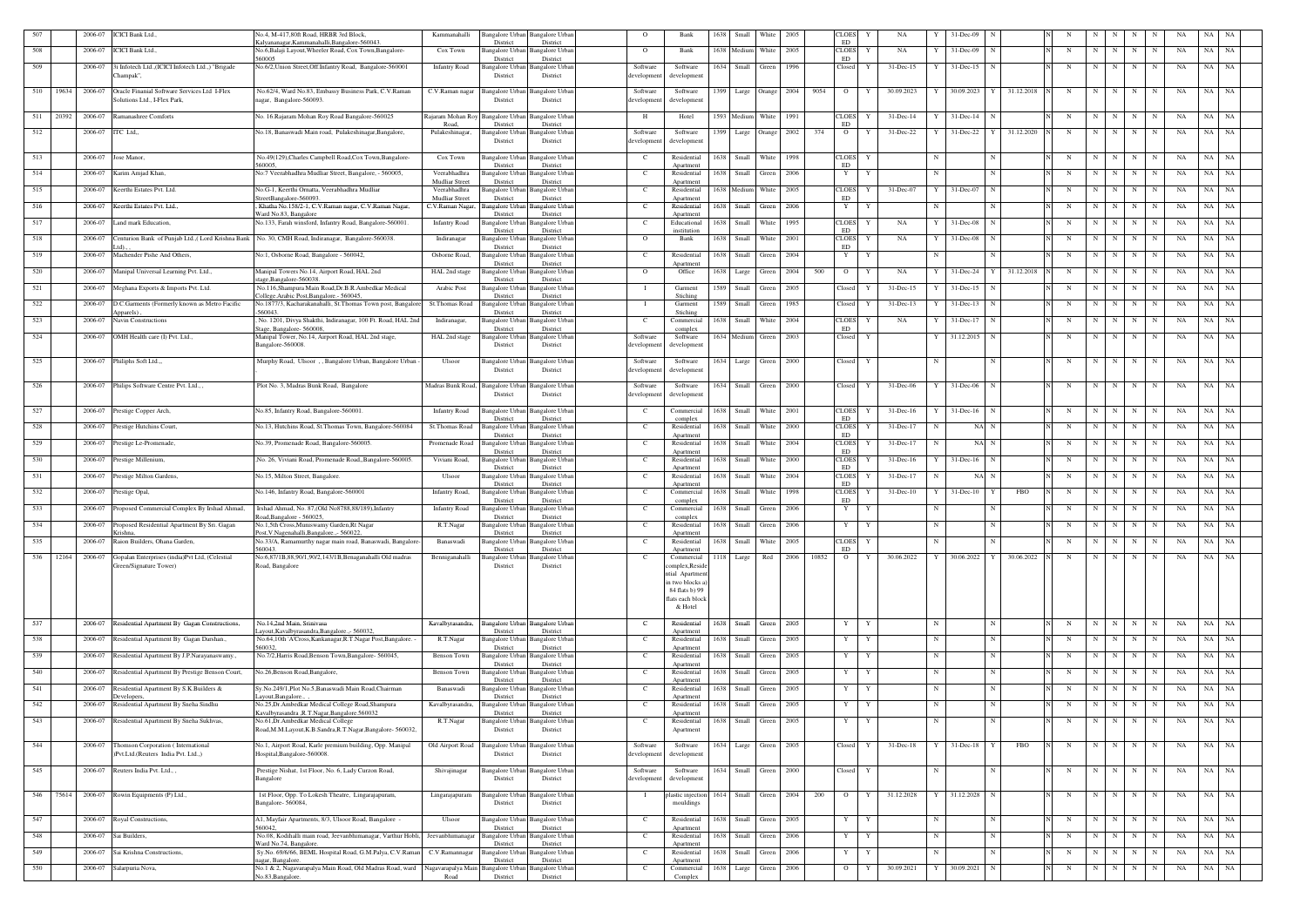|     | 2006-07<br><b>ICICI</b> Bank Ltd.,                                                               | Vo.4, M-417,80ft Road, HRBR 3rd Block                                                                            | Kammanahalli                              | 3angalore Urbaı<br>District             | angalore Urba<br>District                   | $\Omega$                | Bank                                  | 1638<br>Small          | White            | 2005   | CLOES<br>ED                       |              | NA            |             | 31-Dec-09                 |                         |     |   |                            |             |             |    |           |           |
|-----|--------------------------------------------------------------------------------------------------|------------------------------------------------------------------------------------------------------------------|-------------------------------------------|-----------------------------------------|---------------------------------------------|-------------------------|---------------------------------------|------------------------|------------------|--------|-----------------------------------|--------------|---------------|-------------|---------------------------|-------------------------|-----|---|----------------------------|-------------|-------------|----|-----------|-----------|
| 508 | 2006-07<br><b>ICICI</b> Bank Ltd.,                                                               | alyananagar, Kammanahalli, Bangalore-560043<br>No.6, Balaji Layout, Wheeler Road, Cox Town, Bangalore-<br>560005 | Cox Town                                  | Bangalore Urbar<br>District             | Bangalore Urba<br>District                  | $\overline{O}$          | Bank                                  | 1638 Medium            | White            | 2005   | <b>CLOES</b><br>ED                | Y            | NA            |             | 31-Dec-09                 | N                       |     | N | $\mathbf N$<br>N           | N           | N           | NA | NA        | NA        |
| 509 | 3i Infotech Ltd.,(ICICI Infotech Ltd.,) "Brigade<br>2006-07<br>Champak",                         | No.6/2, Union Street, Off. Infantry Road, Bangalore-560001                                                       | <b>Infantry Road</b>                      | 3angalore Urbaı<br>District             | angalore Urba<br>District                   | Software<br>development | Software<br>development               | 1634 Small             | Green            | 1996   | Closed                            | Y            | 31-Dec-15     | Y           | $31$ -Dec-15 N            |                         |     | N | $\mathbf N$<br>N           | N           | N           | NA | NA        | NA        |
| 510 | 19634<br>2006-07<br>Oracle Finanial Software Services Ltd I-Flex<br>Solutions Ltd., I-Flex Park, | No.62/4, Ward No.83, Embassy Business Park, C.V.Raman<br>nagar, Bangalore-560093.                                | C.V.Raman nagar                           | <b>Bangalore</b> Urban<br>District      | Bangalore Urbar<br>District                 | Software<br>developmen  | Software<br>development               | 1399 Large Orange 2004 |                  |        | 9054<br>$\overline{O}$            | Y            | 30.09.2023    | Y I         | 30.09.2023 Y 31.12.2018 N |                         |     | N | $N$   $N$   $N$            |             | N           | NA | NA .      | NA        |
| 511 | 20392<br>2006-07<br>Ramanashree Comforts                                                         | No. 16.Rajaram Mohan Roy Road Bangalore-560025                                                                   | Rajaram Mohan Roy                         | <b>Bangalore Urbar</b>                  | Bangalore Urba                              | H                       | Hotel                                 | 1593 Medium White 1991 |                  |        | <b>CLOES</b>                      |              | $31 - Dec-14$ |             | $31$ -Dec-14 N            |                         |     | N | $\mathbf N$<br>N           | N           | N           | NA | NA        | NA        |
| 512 | ITC Ltd.,<br>2006-07                                                                             | No.18, Banaswadi Main road, Pulakeshinagar, Bangalore                                                            | Road.<br>Pulakeshinagar,                  | District<br>Bangalore Urbar<br>District | District<br>angalore Urba<br>District       | Software<br>development | Software<br>development               | 1399<br>Large          | Orange 2002      |        | ${\rm ED}$<br>374<br>$\mathbf{O}$ | Y            | $31 - Dec-22$ |             | 31-Dec-22 Y 31.12.2020    |                         |     | N | N<br>N I                   | N           | N           | NA | NA        | NA        |
| 513 | 2006-07 Jose Manor,                                                                              | No.49(129), Charles Campbell Road, Cox Town, Bangalore-                                                          | Cox Town                                  | Bangalore Urban                         | Bangalore Urba                              | $\mathbf{C}$            | Residential                           | 1638 Small White 1998  |                  |        | <b>CLOES</b>                      | Y            |               | $\mathbf N$ |                           | $\mathbf N$             |     | N | $N$   $N$   $N$            |             | N           | NA | NA .      | NA        |
| 514 | 2006-07<br>Karim Amjad Khan,                                                                     | 560005<br>No:7 Veerabhadhra Mudliar Street, Bangalore, - 560005,                                                 | Veerabhadhra                              | District<br>3angalore Urbaı             | District<br>Bangalore Urbar                 | $\mathbf{C}$            | Apartment<br>Residential              | 1638 Small Green       |                  | 2006   | ED                                | Y            |               | N           |                           | $\mathbf N$             |     | N | N<br>N                     | N           | N           | NA | NA        | NA        |
| 515 | 2006-07<br>Keerthi Estates Pvt. Ltd.                                                             | No.G-1, Keerthi Ornatta, Veerabhadhra Mudliar                                                                    | <b>Mudliar Street</b><br>Veerabhadhra     | District<br>Bangalore Urbar             | District<br>angalore Urbar                  | C.                      | Apartment<br>Residential              | 1638 Medium White 2005 |                  |        | <b>CLOES</b>                      | Y            | 31-Dec-07     | Y I         | 31-Dec-07                 | $\overline{\mathbf{N}}$ |     | N | $N$ $N$                    | N           | N           | NA | NA NA     |           |
| 516 | 2006-07<br>Keerthi Estates Pvt. Ltd.,                                                            | StreetBangalore-560093<br>Khatha No.158/2-1, C.V.Raman nagar, C.V.Raman Nagar,                                   | <b>Mudliar Street</b><br>C.V.Raman Nagar, | District<br>Bangalore Urban             | District<br>angalore Urban                  | C                       | Apartment<br>Residential              | 1638                   | Small Green      | 2006   | ED                                | Y            |               |             |                           | N                       |     |   | $\mathbf N$<br>N           | N           | N           | NA | NA        | NA        |
| 517 | 2006-07<br>Land mark Education,                                                                  | Vard No.83, Bangalore<br>No.133, Farah winsford, Infantry Road, Bangalore-560001                                 | <b>Infantry Road</b>                      | District<br>Bangalore Urbar             | District<br>angalore Urba                   | <sup>-</sup> C          | Apartment<br>Educational              | 1638 Small White       |                  | 1995   | <b>CLOES</b>                      |              | NA            | Y           | 31-Dec-08                 | $\mathbf N$             |     | N | N<br>N <sub>1</sub>        | N           | N           | NA | NA        | NA        |
| 518 | 2006-07                                                                                          | Centurion Bank of Punjab Ltd., (Lord Krishna Bank   No. 30, CMH Road, Indiranagar, Bangalore-560038.             | Indiranagar                               | District<br>Bangalore Urba              | District<br>angalore Urba                   | $\overline{O}$          | institution<br>Bank                   | 1638<br>Small          | White            | 2001   | ED<br><b>CLOES</b>                |              | NA            | Y           | 31-Dec-08                 | N                       |     | N | $\mathbf N$<br>N           | N           | N           | NA | NA        | NA        |
| 519 | 2006-07<br>Machender Pishe And Others,                                                           | No:1, Osborne Road, Bangalore - 560042,                                                                          | Osborne Road                              | District<br>Bangalore Urba              | District<br>angalore Urba                   | - C                     | Residential                           | 1638 Small             | Green 2004       |        | ED<br>Y                           | $\mathbf{Y}$ |               | N           |                           | N                       |     | N | N N I                      | N           | N           | NA | NA        | NA        |
| 520 | 2006-07<br>Manipal Universal Learning Pvt. Ltd.,                                                 | Manipal Towers No.14, Airport Road, HAL 2nd                                                                      | HAL 2nd stage                             | District<br>3angalore Urba              | District<br>angalore Urbar                  | $\overline{O}$          | Apartment<br>Office                   | 1638<br>Large          | Green            | 2004   | 500<br>$\Omega$                   | Y            | NA            | Y           | 31-Dec-24                 | Y 31.12.2018            |     | N | N                          | $\mathbf N$ | N           | NA | NA        | <b>NA</b> |
| 521 | 2006-07<br>Meghana Exports & Imports Pvt. Ltd.                                                   | tage,Bangalore-560038.<br>No.116, Shampura Main Road, Dr.B.R. Ambedkar Medical                                   | Arabic Post                               | District<br>Bangalore Urbar             | District<br>angalore Urba                   |                         | Garment                               | 1589 Small             | Green            | 2005   | Closed                            |              | 31-Dec-15     |             | $31$ -Dec-15              | N                       |     |   | $\mathbf N$                | N           | $\mathbf N$ | NA | NA        | NA        |
|     | D.C.Garments (Formerly known as Metro Facific                                                    | College.Arabic Post,Bangalore.- 560045<br>No.1877/3, Kacharakanahalli, St.Thomas Town post, Bangalore            |                                           | District<br>Bangalore Urba              | District                                    |                         | Stiching                              | 1589                   |                  | 1985   |                                   |              |               |             |                           |                         |     |   | N                          |             |             |    | NA        | NA        |
| 522 | 2006-07<br>pparels)                                                                              | 560043.                                                                                                          | <b>St.Thomas Road</b>                     | District                                | angalore Urba<br>District                   |                         | Garment<br>Stiching                   | Small                  | Green            |        | Closed                            |              | $31 - Dec-13$ |             | $31$ -Dec-13              |                         |     |   |                            | N           | N           | NA |           |           |
| 523 | 2006-07<br>Navin Constructions                                                                   | No. 1201, Divya Shakthi, Indiranagar, 100 Ft. Road, HAL 2nd<br>Stage, Bangalore- 560008.                         | Indiranagar,                              | Bangalore Urbar<br>District             | angalore Urba<br>District                   | $\mathbf{C}$            | Commercial<br>complex                 | 1638<br>Small          | White            | 2004   | <b>CLOES</b><br>ED                |              | NA            |             | 31-Dec-17                 | $\mathbf N$             |     | N | $\mathbf N$<br>N           | N           | N           | NA | NA        | NA        |
| 524 | OMH Health care (I) Pvt. Ltd.,<br>2006-07                                                        | Manipal Tower, No.14, Airport Road, HAL 2nd stage.<br>Bangalore-560008.                                          | HAL 2nd stage                             | Bangalore Urbaı<br>District             | angalore Urba<br>District                   | Software<br>development | Software<br>development               | 1634 Medium Green      |                  | 2003   | Closed                            | Y            |               | Y           | 31.12.2015                | N                       |     | N | $\mathbf N$<br>N           | N           | N           | NA | NA        | NA        |
| 525 | 2006-07 Philiphs Soft Ltd.,,                                                                     | Murphy Road, Ulsoor, Bangalore Urban, Bangalore Urban -                                                          | Ulsoor                                    | Bangalore Urbar<br>District             | Bangalore Urbar<br>District                 | Software<br>developmen  | Software<br>development               | 1634 Large Green 2000  |                  |        | Closed                            | $\mathbf{Y}$ |               | N           |                           | N                       |     |   | N N N                      |             | N           | NA | NA NA     |           |
| 526 | 2006-07 Philips Software Centre Pvt. Ltd.,                                                       | Plot No. 3, Madras Bunk Road, Bangalore                                                                          | Madras Bunk Road, Bangalore Urban         | District                                | Bangalore Urba<br>District                  | Software<br>development | Software<br>development               | 1634 Small Green       |                  | 2000   | Closed                            |              | $31 - Dec-06$ |             | 31-Dec-06                 | $\mathbf N$             |     | N | $\mathbf N$<br>N           | N           | N           | NA | NA        | NA        |
| 527 | 2006-07 Prestige Copper Arch,                                                                    | No.85, Infantry Road, Bangalore-560001                                                                           | <b>Infantry Road</b>                      | Bangalore Urbar                         | Bangalore Urbar                             | - C                     | Commercial                            | 1638 Small White 2001  |                  |        | <b>CLOES</b><br>ED                |              | 31-Dec-16     | Y           | $31$ -Dec-16 N            |                         |     |   | N<br>N                     | N           | N           | NA | NA NA     |           |
| 528 | 2006-07<br>Prestige Hutchins Court,                                                              | No.13, Hutchins Road, St. Thomas Town, Bangalore-560084                                                          | St.Thomas Road                            | District<br>Bangalore Urbar             | District<br>Bangalore Urbar                 | $\mathbf{C}$            | complex<br>Residential                | 1638 Small White       |                  | 2000   | <b>CLOES</b>                      | Y            | 31-Dec-17     | N           | NA N                      |                         |     | N | $\mathbf N$<br>N           | N           | N           | NA | <b>NA</b> | NA        |
| 529 | 2006-07<br>Prestige Le-Promenade,                                                                | No.39, Promenade Road, Bangalore-560005.                                                                         | Promenade Road                            | District<br>Bangalore Urbar             | District<br>Bangalore Urbar                 | $\mathbf{C}$            | Apartment<br>Residential              | 1638                   | Small White      | 2004   | ED<br><b>CLOES</b>                |              | 31-Dec-17     | N           | NA N                      |                         |     | N | $\mathbf N$<br>N           | N           | N           | NA | NA        | NA        |
| 530 | 2006-07<br>Prestige Millenium,                                                                   | No. 26, Viviani Road, Promenade Road,, Bangalore-560005                                                          | Viviani Road,                             | District<br>Bangalore Urbar             | District<br>angalore Urbar                  | C                       | Apartment<br>Residential              | 1638 Small White 2000  |                  |        | ED<br><b>CLOES</b>                |              | $31 - Dec-16$ | Y           | $31$ -Dec-16              | $\mathbf{N}$            |     |   | $\mathbf N$<br>N           | N           | N           | NA | NA        | NA        |
| 531 | 2006-07<br>Prestige Milton Gardens,                                                              | No.15, Milton Street, Bangalore.                                                                                 | Ulsoor                                    | District<br>Bangalore Urba              | District<br>angalore Urba                   | $\mathbf{C}$            | Apartment<br>Residential              | 1638                   | Small White      | 2004   | ED<br><b>CLOES</b>                |              | 31-Dec-17     | N           | NA N                      |                         |     | N | $\mathbf N$<br>N           | N           | $\mathbf N$ | NA | NA        | NA        |
| 532 | 2006-07<br>Prestige Opal,                                                                        | No.146, Infantry Road, Bangalore-560001                                                                          | <b>Infantry Road,</b>                     | District<br>Bangalore Urba              | District<br>angalore Urba                   | - C                     | Apartment<br>Commercial               | 1638 Small             | White            | 1998   | ED<br><b>CLOES</b>                |              | $31 - Dec-10$ | Y           | $31 - Dec-10$             | Y                       | FBO | N | N<br>$\mathbb{N}$          | N           | $\mathbf N$ | NA | NA        | NA        |
| 533 | Proposed Commercial Complex By Irshad Ahmad,<br>2006-07                                          | Irshad Ahmad, No. 87, (Old No8788, 88/189), Infantry                                                             | <b>Infantry Road</b>                      | District<br>3angalore Urbaı             | District<br>angalore Urbar                  | - C                     | complex<br>Commercial                 | 1638                   | Small Green      | - 2006 | ED<br>Y                           | Y            |               |             |                           |                         |     | N | $\mathbf N$<br>N           | N           | N           | NA | NA        | NA        |
| 534 | 2006-07<br>Proposed Residential Apartment By Sri. Gagan                                          | Road, Bangalore - 560025,<br>No.1,5th Cross, Muniswamy Garden, Rt Nagar                                          | R.T.Nagar                                 | District                                | District<br>Bangalore Urban Bangalore Urban | $\mathcal{C}$           | complex<br>Residential                | 1638 Small Green 2006  |                  |        | Y                                 | Y            |               |             |                           |                         |     |   | $N$ $N$ $N$ $N$            |             |             | NA | NA NA     |           |
| 535 | 2006-07<br>Raion Builders, Ohana Garden,                                                         | Post, V.Nagenahalli, Bangalore., - 560022,<br>No.33/A, Ramamurthy nagar main road, Banaswadi, Bangalore-         | Banaswadi                                 | District<br>Bangalore Urbar             | District<br>angalore Urbar                  | C                       | Apartment<br>Residential              | 1638 Small             | White 2005       |        | <b>CLOES</b>                      | $\mathbf{Y}$ |               | N           |                           | N                       |     |   | $\mathbf N$<br>$\mathbf N$ | N           | N           | NA | NA        | NA        |
| 536 | 12164<br>2006-07<br>Gopalan Enterprises (india)Pvt Ltd, (Celestial                               | 560043.<br>No:6,87/1B,88,90/1,90/2,143/1B,Benaganahalli Old madras                                               | Benniganahalli                            | District<br><b>Bangalore Urban</b>      | District                                    | C.                      | Apartment<br>Commercial               | $1118$ Large           | Red 2006         |        | ED<br>10852<br>$\overline{O}$     | Y            | 30.06.2022    | Y           | 30.06.2022 Y 30.06.2022 N |                         |     | N | $N$   $N$   $N$            |             |             | NA | NA NA     |           |
|     | Green/Signature Tower)                                                                           | Road, Bangalore                                                                                                  |                                           | District                                | Bangalore Urbar<br>District                 |                         | complex, Reside                       |                        |                  |        |                                   |              |               |             |                           |                         |     |   |                            |             | N           |    |           |           |
|     |                                                                                                  |                                                                                                                  |                                           |                                         |                                             |                         | ntial Apartment<br>in two blocks a)   |                        |                  |        |                                   |              |               |             |                           |                         |     |   |                            |             |             |    |           |           |
|     |                                                                                                  |                                                                                                                  |                                           |                                         |                                             |                         | 84 flats b) 99<br>flats each block    |                        |                  |        |                                   |              |               |             |                           |                         |     |   |                            |             |             |    |           |           |
|     |                                                                                                  |                                                                                                                  |                                           |                                         |                                             |                         | & Hotel                               |                        |                  |        |                                   |              |               |             |                           |                         |     |   |                            |             |             |    |           |           |
| 537 | Residential Apartment By Gagan Constructions,<br>2006-07                                         | No.14,2nd Main, Srinivasa<br>.ayout, Kavalbyrasandra, Bangalore., - 560032,                                      | Kavalbyrasandra,                          | <b>Bangalore Urban</b><br>District      | <b>Bangalore Urban</b><br>District          | C                       | Residential<br>Apartment              | 1638 Small Green 2005  |                  |        |                                   | Y            |               | N           |                           | $\mathbf N$             |     |   | N<br>$\mathbf{N}$          | N           | N           | NA | NA .      | NA        |
| 538 | 2006-07<br>Residential Apartment By Gagan Darshan.,                                              | No.64,10th 'A'Cross, Kankanagar, R.T.Nagar Post, Bangalore.<br>60032.                                            | R.T.Nagar                                 | <b>Bangalore</b> Urban<br>District      | Bangalore Urban<br>District                 | C                       | Residential<br>Apartment              | 1638 Small Green 2005  |                  |        | Y                                 | $\mathbf{Y}$ |               | N           |                           | N                       |     | N | N<br>N                     | N           | N           | NA | NA        | NA        |
| 539 | Residential Apartment By J.P.Narayanaswamy.,<br>2006-07                                          | No.7/2, Harris Road, Benson Town, Bangalore- 560045,                                                             | Benson Town                               | Bangalore Urbar<br>District             | Bangalore Urbar<br>District                 | C                       | Residential<br>Apartment              | 1638 Small Green 2005  |                  |        | Y                                 | Y            |               | N           |                           | N                       |     | N | $N \mid N$                 | N           | N           | NA | NA        | NA        |
| 540 | Residential Apartment By Prestige Benson Court,<br>2006-07                                       | No.26, Benson Road, Bangalore,                                                                                   | Benson Town                               | Bangalore Urbar<br>District             | angalore Urbar<br>District                  | $\mathbf{C}$            | Residential<br>Apartment              | 1638 Small Green       |                  | 2005   | Y                                 | Y            |               | N           |                           | N                       |     |   | $\mathbf N$<br>N           | N           | N           | NA | NA        | NA        |
| 541 | Residential Apartment By S.K.Builders &<br>2006-07                                               | Sy.No.249/1,Plot No.5,Banaswadi Main Road,Chairman<br>.ayout, Bangalore.,                                        | Banaswadi                                 | Bangalore Urbar<br>District             | Bangalore Urbar<br>District                 | C                       | Residential<br>Apartment              | 1638<br>Small          | Green            | 2005   |                                   | Y            |               | N           |                           | N                       |     | N | $\mathbf N$                | N           | N           | NA | NA        | NA        |
| 542 | Developers,<br>Residential Apartment By Sneha Sindhu<br>2006-07                                  | No.25, Dr. Ambedkar Medical College Road, Shampura<br>Kavalbyrasandra, R.T.Nagar, Bangalore.560032               | Kavalbyrasandra,                          | Bangalore Urba                          | angalore Urbar                              | <sup>-</sup> C          | Residential                           | 1638 Small Green       |                  | 2005   | Y                                 | Y            |               | N           |                           | N                       |     |   | $\mathbf N$<br>N           | N           | N           | NA | NA        | NA        |
| 543 | Residential Apartment By Sneha Sukhvas,<br>2006-07                                               | No.61, Dr. Ambedkar Medical College<br>Road, M.M.Layout, K.B.Sandra, R.T.Nagar, Bangalore- 560032,               | R.T.Nagar                                 | District<br>Bangalore Urbar<br>District | District<br>angalore Urbar<br>District      | -C                      | Apartment<br>Residential<br>Apartment | 1638 Small Green 2005  |                  |        |                                   | Y            |               | N           |                           | N                       |     |   | - N<br>N                   | N           | N           | NA | NA        | NA        |
| 544 | Thomson Corporation (International<br>2006-07<br>)Pvt.Ltd.(Reuters India Pvt. Ltd.,)             | No.1, Airport Road, Karle premium building, Opp. Manipal<br>Hospital, Bangalore-560008.                          | Old Airport Road                          | <b>Bangalore Urbar</b><br>District      | angalore Urbar<br>District                  | Software<br>development | Software<br>development               | 1634 Large Green 2005  |                  |        |                                   | Closed Y     | 31-Dec-18     |             | $Y = 31 - Dec - 18$ $Y =$ |                         | FBO | N | N N N                      |             | N           | NA | NA NA     |           |
| 545 | Reuters India Pvt. Ltd.,,<br>2006-07                                                             | Prestige Nishat, 1st Floor, No. 6, Lady Curzon Road,<br>Bangalore                                                | Shivajinagar                              | Bangalore Urbar<br>District             | angalore Urbar<br>District                  | Software<br>development | Software<br>development               | 1634 Small Green 2000  |                  |        | Closed                            | Y            |               | $\mathbf N$ |                           | N                       |     | N | $N$   $N$   $N$            |             | N           | NA | <b>NA</b> | NA        |
| 546 | 75614<br>2006-07 Rowin Equipments (P) Ltd.,                                                      | 1st Floor, Opp. To Lokesh Theatre, Lingarajapuram,<br>Bangalore-560084,                                          | Lingarajapuram                            | Bangalore Urbar<br>District             | angalore Urbar<br>District                  |                         | plastic injection<br>mouldings        | 1614 Small Green 2004  |                  |        | 200<br>$\overline{O}$             | Y            | 31.12.2028    | Y           | 31.12.2028 N              |                         |     | N | $N$   $N$   $N$            |             | N           | NA | NA NA     |           |
| 547 | 2006-07<br>Royal Constructions,                                                                  | A1, Mayfair Apartments, 8/3, Ulsoor Road, Bangalore -<br>560042.                                                 | Ulsoor                                    | Bangalore Urban<br>District             | Bangalore Urban<br>District                 | C                       | Residential<br>Apartment              | 1638                   | Small Green 2005 |        | Y                                 | Y            |               | N           |                           | N                       |     | N | $\mathbf N$<br>N           | N           | N           | NA | NA        | NA        |
| 548 | 2006-07<br>Sai Builders,                                                                         | No.08, Kodihalli main road, Jeevanbhimanagar, Varthur Hobli, Jeevanbhimanagar<br>Ward No.74, Bangalore.          |                                           | <b>Bangalore Urban</b><br>District      | Bangalore Urban<br>District                 | C                       | Residential<br>Apartment              | 1638 Small Green 2006  |                  |        | Y                                 | Y            |               | $\mathbf N$ |                           | N                       |     | N | $N$   $N$   $N$            |             | N           | NA | NA NA     |           |
| 549 | Sai Krishna Constructions,<br>2006-07                                                            | Sy.No. 69/6/66, BEML Hospital Road, G.M.Palya, C.V.Raman C.V.Ramannagar<br>nagar, Bangalore.                     |                                           | <b>Bangalore Urbar</b><br>District      | angalore Urban<br>District                  | C                       | Residential<br>Apartment              | 1638 Small Green 2006  |                  |        |                                   | Y            |               | N           |                           | N                       |     | N | $\mathbf N$<br>N           | N           | N           | NA | NA        | NA        |
| 550 | 2006-07<br>Salarpuria Nova,                                                                      | No.1 & 2, Nagavarapalya Main Road, Old Madras Road, ward Nagavarapalya Main<br>No.83, Bangalore.                 | Road                                      | <b>Bangalore Urban</b><br>District      | Bangalore Urban<br>District                 | - C                     | Commercial<br>Complex                 | 1638 Large Green 2006  |                  |        | $\mathbf{O}$                      | Y            | 30.09.2021    | Y           | 30.09.2021                | N                       |     | N | N<br>N                     | N           | N           | NA | NA NA     |           |
|     |                                                                                                  |                                                                                                                  |                                           |                                         |                                             |                         |                                       |                        |                  |        |                                   |              |               |             |                           |                         |     |   |                            |             |             |    |           |           |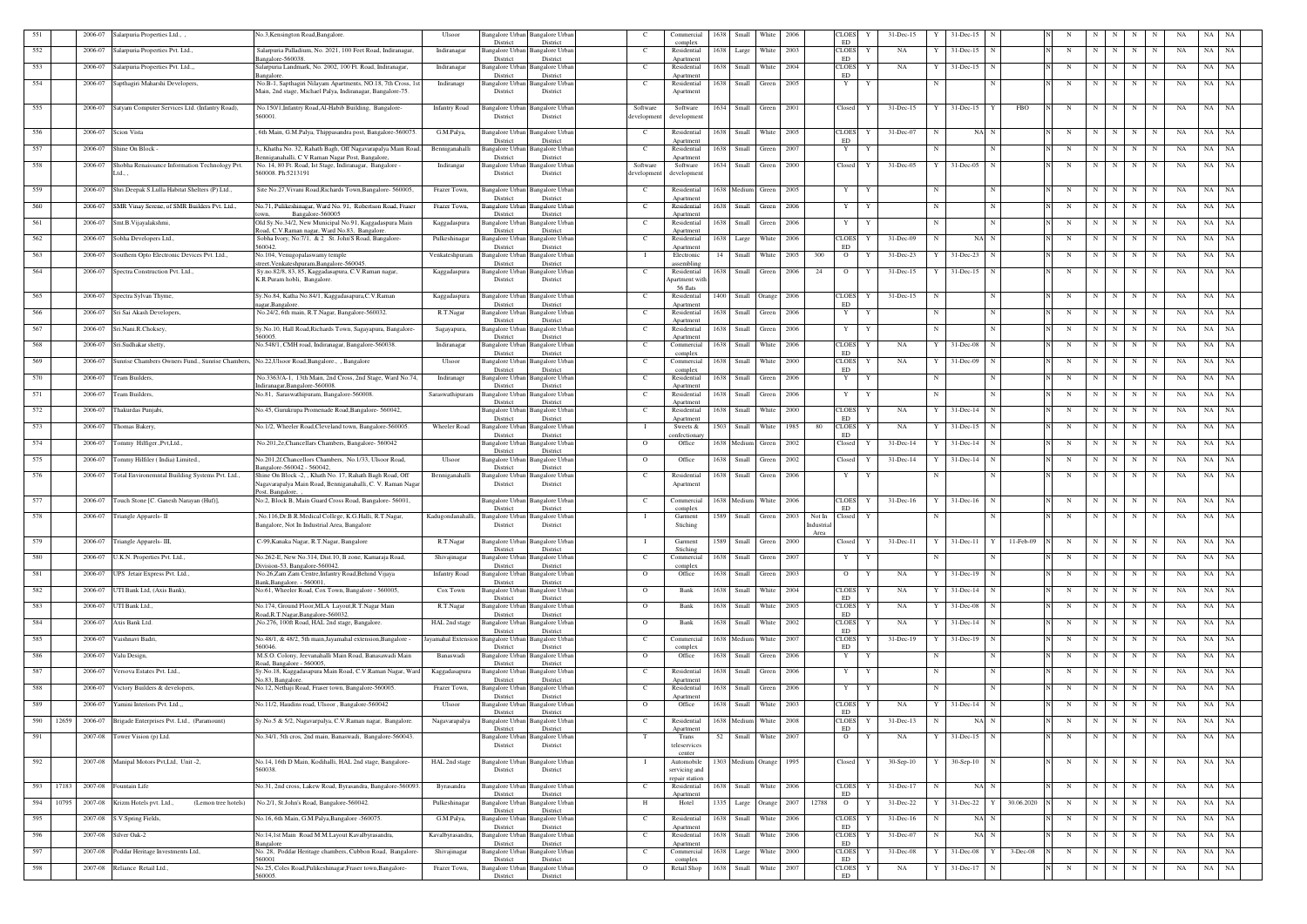| 551 |       | 2006-07 | , Salarpuria Properties Ltd.,                                                                | No.3, Kensington Road, Bangalore.                                                                                                          | Ulsoor               | Bangalore Urbar<br>District             | Bangalore Urban<br>District                    |                        | Commercial<br>complex                     | 1638 | Small                   | White      | 2006 |                              | CLOES<br>ED               | 31-Dec-15           |             | 31-Dec-15                      |             |             |             |     |                  |         | NA        |           |  |
|-----|-------|---------|----------------------------------------------------------------------------------------------|--------------------------------------------------------------------------------------------------------------------------------------------|----------------------|-----------------------------------------|------------------------------------------------|------------------------|-------------------------------------------|------|-------------------------|------------|------|------------------------------|---------------------------|---------------------|-------------|--------------------------------|-------------|-------------|-------------|-----|------------------|---------|-----------|-----------|--|
| 552 |       | 2006-07 | Salarpuria Properties Pvt. Ltd.,                                                             | Salarpuria Palladium, No. 2021, 100 Feet Road, Indiranagar,<br>angalore-560038                                                             | Indiranagar          | Bangalore Urban<br>District             | <b>Bangalore</b> Urban<br>District             | $\mathbf{C}$           | Residential<br>Apartment                  | 1638 | Large                   | White      | 2003 |                              | <b>CLOES</b><br>ED        | Y<br>NA             |             | $31 - Dec-15$<br>$\mathbf N$   |             | N           | N           | N   | N<br>N           | NA      | NA        | NA        |  |
| 553 |       | 2006-07 | Salarpuria Properties Pvt. Ltd.,,                                                            | Salarpuria Landmark, No. 2002, 100 Ft. Road, Indiranagar<br><b>Rangalore</b>                                                               | Indiranagar          | Bangalore Urbar<br>District             | Bangalore Urban<br>District                    | $\mathbf{C}$           | Residential<br>Anartment                  | 1638 | Small                   | White      | 2004 |                              | <b>CLOES</b><br>ED        | NA<br>Y             |             | $31 - Dec-15$                  |             | N           | $\mathbf N$ | N   | N<br>N           | NA      | NA        | NA        |  |
| 554 |       | 2006-07 | Sapthagiri Maharshi Developers,                                                              | No.B-1, Sapthagiri Nilayam Apartments, NO.18, 7th Cross, 1st<br>Main, 2nd stage, Michael Palya, Indiranagar, Bangalore-75.                 | Indiranagr           | Bangalore Urban<br>District             | <b>Bangalore Urban</b><br>District             | C                      | Residential<br>Apartment                  | 1638 | Small                   | Green      | 2005 |                              | Y                         | Y                   |             |                                |             | N           | $\mathbf N$ | N   | N<br>N           | NA      | NA        | NA        |  |
| 555 |       |         | 2006-07 Satyam Computer Services Ltd. (Infantry Road),                                       | No.150/1, Infantry Road, Al-Habib Building, Bangalore-<br>560001.                                                                          | <b>Infantry Road</b> | Bangalore Urban<br>District             | Bangalore Urban<br>District                    | Software<br>developmen | Software<br>development                   |      | 1634 Small Green        |            | 2001 |                              | Closed                    | Y<br>31-Dec-15      | Y           | $31$ -Dec-15 Y                 | FBO         | N           | N           | N   | N<br>N           | NA      |           | NA NA     |  |
| 556 |       | 2006-07 | Scion Vista                                                                                  | , 6th Main, G.M.Palya, Thippasandra post, Bangalore-560075.                                                                                | G.M.Palya,           | Bangalore Urban                         | <b>Bangalore</b> Urban                         | C                      | Residential                               | 1638 | Small White             |            | 2005 |                              | <b>CLOES</b>              | 31-Dec-07<br>Y      |             | NA N                           |             | N           | N           | N I | N<br>N           | NA      | NA        | NA        |  |
| 557 |       | 2006-07 | Shine On Block                                                                               | 3,, Khatha No. 32, Rahath Bagh, Off Nagavarapalya Main Road,                                                                               | Benniganahalli       | District<br>Bangalore Urban             | District<br><b>Bangalore</b> Urban             | C.                     | Apartment<br>Residential                  | 1638 | Small                   | Green      | 2007 |                              | ED.<br>Y                  | Y                   |             |                                |             | N           | N           | N   | N                | NA      | NA        | NA        |  |
| 558 |       | 2006-07 | Shobha Renaissance Information Technology Pvt.                                               | enniganahalli, C V Raman Nagar Post, Bangalore<br>No. 14, 80 Ft. Road, Ist Stage, Indiranagar, Bangalore                                   | Indirangar           | District<br>Bangalore Urban             | District<br>Bangalore Urbar                    | Software               | Apartment<br>Software                     |      | 1634 Small              | Green      | 2000 |                              | Closed                    | $31 - Dec -05$<br>Y |             | 31-Dec-05<br>N                 |             | N           | N           | N I | N                | NA<br>N | NA        | NA        |  |
|     |       |         | Ltd.,                                                                                        | 560008. Ph:5213191                                                                                                                         |                      | District                                | District                                       | developmen             | development                               |      |                         |            |      |                              |                           |                     |             |                                |             |             |             |     |                  |         |           |           |  |
| 559 |       | 2006-07 | Shri.Deepak S.Lulla Habitat Shelters (P) Ltd.,                                               | Site No.27, Vivani Road, Richards Town, Bangalore- 560005,                                                                                 | Frazer Town,         | Bangalore Urban<br>District             | Bangalore Urban<br>District                    | C                      | Residential<br>Apartment                  |      | 1638 Medium Green       |            | 2005 |                              | Y                         | Y                   |             | N                              |             | N           | N           | N   | N<br>N           | NA      |           | NA NA     |  |
| 560 |       | 2006-07 | SMR Vinay Serene, of SMR Builders Pvt. Ltd.,                                                 | No.71, Pulikeshinagar, Ward No. 91, Robertson Road, Fraser<br>Bangalore-560005                                                             | Frazer Town,         | angalore Urban<br>District              | Bangalore Urban<br>District                    | C                      | Residential<br>Apartment                  | 1638 | Small                   | Green      | 2006 |                              | Y                         |                     |             | N                              |             | N           | $\mathbf N$ | N   | N<br>N           | NA      | NA        | NA.       |  |
| 561 |       | 2006-07 | Smt.B.Vijayalakshmi,                                                                         | Old Sy.No.34/2, New Municipal No.91, Kaggadaspura Main<br>Road, C.V.Raman nagar, Ward No.83, Bangalore.                                    | Kaggadaspura         | Bangalore Urban<br>District             | Bangalore Urban<br>District                    | $\mathbf{C}$           | Residential<br>Apartment                  | 1638 | Small Green             |            | 2006 |                              | Y                         | Y                   | $\mathbf N$ | N                              |             | $_{\rm N}$  | N           | N   | N<br>N           | NA      |           | NA NA     |  |
| 562 |       | 2006-07 | Sobha Developers Ltd.,                                                                       | Sobha Ivory, No:7/1, & 2 St. John'S Road, Bangalore-<br>560042.                                                                            | Pulkeshinagar        | Bangalore Urbaı<br>District             | Bangalore Urbar<br>District                    | C                      | Residential<br>Apartment                  | 1638 | Large                   | White      | 2006 |                              | <b>CLOES</b><br>ED        | 31-Dec-09           |             | NA N                           |             | N           | $\mathbf N$ | N.  | N<br>N           | NA      | NA        | - NA      |  |
| 563 |       | 2006-07 | Southern Opto Electronic Devices Pvt. Ltd.,                                                  | No.104, Venugopalaswamy temple<br>street, Venkateshpuram, Bangalore-560045                                                                 | Venkateshpuram       | Bangalore Urbaı<br>District             | Bangalore Urbar<br>District                    | - 1                    | Electronic<br>assembling                  | 14   | Small                   | White      | 2005 | 300                          | $\overline{O}$            | 31-Dec-23           |             | 31-Dec-23<br>- N               |             | N           | N           | N   | N<br>N           | NA      |           | NA NA     |  |
| 564 |       | 2006-07 | Spectra Construction Pvt. Ltd.                                                               | Sy.no.82/8, 83, 85, Kaggadasapura, C.V.Raman nagar,<br>K.R.Puram hobli, Bangalore.                                                         | Kaggadaspura         | Bangalore Urbaı<br>District             | angalore Urban<br>District                     | $\mathbf{C}$           | Residential<br>Apartment with<br>56 flats | 1638 | Small                   | Green      | 2006 | 24                           | $\overline{O}$            | 31-Dec-15           |             | $31$ -Dec-15                   |             | N           | N           |     | N<br>$_{\rm N}$  | NA      | NA        | NA        |  |
| 565 |       | 2006-07 | Spectra Sylvan Thyme,                                                                        | Sy.No.84, Katha No.84/1, Kaggadasapura,C.V.Raman<br>agar, Bangalore                                                                        | Kaggadaspura         | angalore Urban<br>District              | Bangalore Urban<br>District                    | $\mathbf{C}$           | Residential<br>Apartment                  |      | 1400 Small Orange       |            | 2006 |                              | <b>CLOES</b><br>ED        | 31-Dec-15<br>Y      | N           | N                              |             | N           | N           | N   | N<br>N           | NA      | NA        | <b>NA</b> |  |
| 566 |       | 2006-07 | Sri Sai Akash Developers,                                                                    | No.24/2, 6th main, R.T.Nagar, Bangalore-560032.                                                                                            | R.T.Nagar            | Bangalore Urban<br>District             | <b>Bangalore Urban</b><br>District             | - C                    | Residential<br>Apartment                  | 1638 | Small                   | Green      | 2006 |                              | Y                         |                     |             | N                              |             | N           | N           | N   | N<br>N           | NA      | NA        | NA        |  |
| 567 |       | 2006-07 | Sri.Nani.R.Choksey,                                                                          | Sy.No.10, Hall Road, Richards Town, Sagayapura, Bangalore-<br>560005.                                                                      | Sagayapura,          | Bangalore Urban<br>District             | <b>Bangalore Urban</b><br>District             | <sup>-</sup> C         | Residential<br>Apartment                  | 1638 | Small                   | Green      | 2006 |                              | Y                         | Y                   | $\mathbf N$ | N                              |             | N           | N           | N   | N                | NA<br>N | NA        | NA        |  |
| 568 |       | 2006-07 | Sri.Sudhakar shetty,                                                                         | No.548/1, CMH road, Indiranagar, Bangalore-560038.                                                                                         | Indiranagar          | <b>Bangalore Urban</b><br>District      | <b>Bangalore Urban</b><br>District             | $\mathbf{C}$           | Commercial<br>complex                     | 1638 | Small                   | White      | 2006 |                              | <b>CLOES</b><br><b>ED</b> | Y<br>NA             |             | $31 - Dec - 08$<br>$\mathbf N$ |             | N           | N           | N   | N<br>N           | NA      | NA        | NA        |  |
| 569 |       | 2006-07 | Sunrise Chambers Owners Fund., Sunrise Chambers, No.22, Ulsoor Road, Bangalore., , Bangalore |                                                                                                                                            | Ulsoor               | Bangalore Urban<br>District             | Bangalore Urban<br>District                    | - C                    | Commercial<br>complex                     |      | 1638 Small White        |            | 2000 |                              | <b>CLOES</b><br>ED        | NA<br>Y             |             | 31-Dec-09<br>N                 |             | N           | N           | N   | N<br>$\mathbf N$ | NA      |           | NA NA     |  |
| 570 |       | 2006-07 | leam Builders,                                                                               | No.3363/A-1, 13th Main, 2nd Cross, 2nd Stage, Ward No.74,<br>ndiranagar, Bangalore-560008.                                                 | Indiranagr           | <b>Bangalore Urban</b><br>District      | Bangalore Urban<br>District                    | - C                    | Residential<br>Apartment                  | 1638 | Small Green             |            | 2006 |                              | $\mathbf{Y}$              |                     |             |                                |             | N           | N           | N   | N<br>N           | NA      | NA        | NA        |  |
| 571 |       | 2006-07 | Team Builders,                                                                               | No.81, Saraswathipuram, Bangalore-560008.                                                                                                  | Saraswathipuram      | Bangalore Urban<br>District             | Bangalore Urban<br>District                    | C                      | Residential<br>Apartment                  |      | 1638 Small Green        |            | 2006 |                              | Y                         | Y                   | $\mathbf N$ | N                              |             | N           | N           | N   | N<br>$\mathbf N$ | NA      |           | NA NA     |  |
| 572 |       | 2006-07 | Thakurdas Punjabi,                                                                           | No.45, Gurukrupa Promenade Road, Bangalore- 560042,                                                                                        |                      | Bangalore Urban<br>District             | Bangalore Urban<br>District                    | $\mathbf{C}$           | Residential<br>Apartment                  | 1638 | Small                   | White      | 2000 |                              | <b>CLOES</b><br>ED        | NA<br>Y             |             | $31$ -Dec-14 N                 |             | N           | N           | N   | N<br>N           | NA      | NA        | NA        |  |
| 573 |       | 2006-07 | Thomas Bakery,                                                                               | No.1/2, Wheeler Road, Cleveland town, Bangalore-560005.                                                                                    | <b>Wheeler Road</b>  | Bangalore Urban<br>District             | Bangalore Urban<br>District                    |                        | Sweets $&$<br>confectionar                |      | 1503 Small White        |            | 1985 | -80                          | <b>CLOES</b><br>ED        | NA<br>Y             |             | 31-Dec-15                      |             | N           | N           | N   | N<br>N           | NA      |           | NA NA     |  |
| 574 |       | 2006-07 | Fommy Hilfiger.,Pvt,Ltd.,                                                                    | No.201,2e,Chancellars Chambers, Bangalore- 560042                                                                                          |                      | Bangalore Urban<br>District             | Bangalore Urban<br>District                    | $\overline{O}$         | Office                                    |      | 1638 Medium             | Green      | 2002 |                              | Closed                    | 31-Dec-14           |             | 31-Dec-14                      |             | $_{\rm N}$  | $\mathbf N$ | N   | N<br>N           | NA      | NA        | NA        |  |
| 575 |       | 2006-07 | Tommy Hilfiler (India) Limited.,                                                             | No.201,2f,Chancellors Chambers, No.1/33, Ulsoor Road,<br>Bangalore-560042 - 560042.                                                        | Ulsoor               | <b>Bangalore Urban</b><br>District      | Bangalore Urban<br>District                    | $\mathbf{O}$           | Office                                    | 1638 | Small                   | Green      | 2002 |                              | Closed                    | 31-Dec-14           |             | 31-Dec-14                      |             | N           | N           | N   | N<br>N           | NA      |           | NA NA     |  |
| 576 |       | 2006-07 | Total Environemntal Building Systems Pvt. Ltd.,                                              | Shine On Block -2, , Khath No. 17, Rahath Bagh Road, Off<br>Nagavarapalya Main Road, Benniganahalli, C. V. Raman Nagar<br>Post, Bangalore, | Benniganahalli       | Bangalore Urban<br>District             | Bangalore Urbar<br>District                    | $\mathbf{C}$           | Residential<br>Apartment                  | 1638 | Small                   | Green      | 2006 |                              | Y                         | Y                   |             |                                |             | N           | N           | N   | N<br>N           | NA      | NA        | NA        |  |
| 577 |       | 2006-07 | Fouch Stone [C. Ganesh Narayan (Huf)],                                                       | No:2, Block B, Main Guard Cross Road, Bangalore- 56001,                                                                                    |                      | District                                | Bangalore Urban Bangalore Urban<br>District    | C .                    | Commercial<br>complex                     |      | 1638 Medium White       |            | 2006 |                              | <b>CLOES</b><br>ED        | $31$ -Dec-16<br>Y   |             | 31-Dec-16<br>N                 |             | N           | N           | N   | N<br>N           | NA      | NA        | NA        |  |
| 578 |       |         | 2006-07 Triangle Apparels- II                                                                | , No.116, Dr.B.R.Medical College, K.G.Halli, R.T.Nagar,<br>Bangalore, Not In Industrial Area, Bangalore                                    | Kadugondanahalli,    | District                                | Bangalore Urban Bangalore Urban<br>District    | $\mathbf{I}$           | Garment<br>Stiching                       |      | 1589 Small Green        |            | 2003 | Not In<br>Industrial<br>Area | Closed                    | Y                   |             |                                |             | $\mathbf N$ | N           | N   | N<br>N           | NA      | NA        | NA        |  |
| 579 |       | 2006-07 | Triangle Apparels-III,                                                                       | C-99, Kanaka Nagar, R.T.Nagar, Bangalore                                                                                                   | R.T.Nagar            | Bangalore Urbar<br>District             | Bangalore Urban<br>District                    |                        | Garment<br>Stiching                       | 1589 | Small                   | Green      | 2000 |                              | Closed                    | $31 - Dec-11$       |             | $31$ -Dec-11 Y                 | 11-Feb-09   | N           | N           | N   | N<br>N           | NA      |           | NA NA     |  |
| 580 |       |         | 2006-07 U.K.N. Properties Pvt. Ltd.,                                                         | No.262-E, New No.314, Dist.10, B zone, Kamaraja Road,<br>Division-53, Bangalore-560042.                                                    | Shivajinagar         | Bangalore Urban<br>District             | <b>Bangalore</b> Urban<br>District             | $\mathbf{C}$           | Commercial<br>complex                     |      | 1638 Small              | Green      | 2007 |                              | Y                         | Y                   |             |                                |             | N           | N           | N   | N<br>N           | NA      |           | NA NA     |  |
| 581 |       | 2006-07 | UPS Jetair Express Pvt. Ltd.,                                                                | No.26, Zam Zam Centre, Infantry Road, Behind Vijaya<br>Bank, Bangalore. - 560001,                                                          | <b>Infantry Road</b> | Bangalore Urban<br>District             | Bangalore Urban<br>District                    | $\Omega$               | Office                                    | 1638 | Small                   | Green      | 2003 |                              | $\overline{O}$            | NA<br>Y             |             | 31-Dec-19<br>-N                |             | N           | $\mathbf N$ | N   | N<br>N           | NA      | NA        | NA        |  |
| 582 |       | 2006-07 | UTI Bank Ltd, (Axis Bank),                                                                   | No:61, Wheeler Road, Cox Town, Bangalore - 560005,                                                                                         | Cox Town             | Bangalore Urban<br>District             | <b>Bangalore</b> Urban<br>District             | $\mathbf{O}$           | Bank                                      | 1638 | Small                   | White      | 2004 |                              | <b>CLOES</b><br>ED        | Y<br>NA             |             | $31$ -Dec-14                   |             | N           | N           | N   | N<br>N           | NA      | NA        | NA        |  |
| 583 |       | 2006-07 | UTI Bank Ltd.,                                                                               | No.174, Ground Floor, MLA Layout, R.T. Nagar Main<br>coad, R.T. Nagar, Bangalore-560032.                                                   | R.T.Nagar            | Bangalore Urban                         | Bangalore Urban                                | $\mathbf{O}$           | Bank                                      |      | 1638 Small              | White      | 2005 |                              | <b>CLOES</b>              | NA<br>Y             |             | 31-Dec-08                      |             | N           | N           | N   | N<br>N           | NA      | NA        | NA        |  |
| 584 |       | 2006-07 | Axis Bank Ltd.                                                                               | , No.276, 100ft Road, HAL 2nd stage, Bangalore.                                                                                            | HAL 2nd stage        | District<br>Bangalore Urban<br>District | District<br><b>Bangalore</b> Urban<br>District | $\Omega$               | Bank                                      | 1638 | Small                   | White      | 2002 |                              | ED<br><b>CLOES</b><br>ED  | NA<br>Y             |             | $31 - Dec-14$                  |             | N           | N           | N   | N                | NA      | NA        | NA        |  |
| 585 |       | 2006-07 | Vaishnavi Badri,                                                                             | No.48/1, & 48/2, 5th main, Jayamahal extension, Bangalore -<br>560046                                                                      | Jayamahal Extensio   | Bangalore Urban<br>District             | Bangalore Urban<br>District                    | C                      | Commercial<br>complex                     |      | 1638 Medium             | White      | 2007 |                              | <b>CLOES</b><br>ED        | $31 - Dec-19$<br>Y  |             | 31-Dec-19<br>N                 |             | N           | $\mathbf N$ | N   | N<br>N           | NA      | NA        | NA        |  |
| 586 |       | 2006-07 | Valu Design,                                                                                 | M.S.O. Colony, Jeevanahalli Main Road, Banasawadi Main<br>Road, Bangalore - 560005.                                                        | Banaswadi            | Bangalore Urban<br>District             | <b>Bangalore Urban</b><br>District             | $\Omega$               | Office                                    | 1638 | Small                   | Green      | 2006 |                              | Y                         | Y                   |             | N                              |             | N           | $\mathbf N$ | N   | N<br>N           | NA      | NA        | NA        |  |
| 587 |       | 2006-07 | Versova Estates Pvt. Ltd.,                                                                   | Sy.No.18, Kaggadasapura Main Road, C.V.Raman Nagar, Ward<br>No.83, Bangalore.                                                              | Kaggadasapura        | angalore Urban<br>District              | Bangalore Urban<br>District                    | <sup>-</sup> C         | Residential                               |      | 1638 Small              | Green      | 2006 |                              | Y                         | Y                   | N           | N                              |             | N           | N           | N   | N<br>N           | NA      | NA        | NA        |  |
| 588 |       | 2006-07 | Victory Builders & developers,                                                               | No.12, Nethaji Road, Fraser town, Bangalore-560005.                                                                                        | Frazer Town,         | Bangalore Urban<br>District             | <b>Bangalore Urban</b>                         | $\mathbf{C}$           | Apartment<br>Residential                  |      | 1638 Small              | Green      | 2006 |                              | Y                         | Y                   | N           | N                              |             | N           | N           | N   | N<br>N           | NA      | NA        | NA        |  |
| 589 |       | 2006-07 | Yamini Interiors Pvt. Ltd.,,                                                                 | No.11/2, Haudins road, Ulsoor, Bangalore-560042                                                                                            | Ulsoor               | Bangalore Urban                         | District<br><b>Bangalore Urban</b><br>District | $\Omega$               | Apartment<br>Office                       |      | 1638 Small              | White      | 2003 |                              | <b>CLOES</b><br>ED        | NA<br>Y             | Y           | $31$ -Dec-14 N                 |             | N           | N           | N   | N<br>N           | NA      | NA        | NA        |  |
| 590 | 12659 | 2006-07 | Brigade Enterprises Pvt. Ltd., (Paramount)                                                   | Sy.No.5 & 5/2, Nagavarpalya, C.V.Raman nagar, Bangalore.                                                                                   | Nagavarapalya        | District<br>Bangalore Urban<br>District | <b>Bangalore Urban</b><br>District             | C                      | Residential<br>Apartment                  |      | 1638 Medium White       |            | 2008 |                              | <b>CLOES</b><br>ED        | $31 - Dec-13$<br>Y  |             | NA N                           |             | N           | N           | N   | N<br>N           | NA      | NA        | <b>NA</b> |  |
| 591 |       | 2007-08 | Tower Vision (p) Ltd.                                                                        | No.34/1, 5th cros, 2nd main, Banaswadi, Bangalore-560043.                                                                                  |                      | Bangalore Urban<br>District             | <b>Bangalore Urban</b><br>District             | T                      | Trans<br>teleservices                     | 52   | Small                   | White 2007 |      |                              | $\overline{O}$            | Y<br>NA             |             | $31 - Dec-15$<br>$\mathbf N$   |             | N           | N           | N   | N<br>N           | NA      | NA        | <b>NA</b> |  |
| 592 |       |         | 2007-08 Manipal Motors Pvt, Ltd, Unit -2,                                                    | No.14, 16th D Main, Kodihalli, HAL 2nd stage, Bangalore-<br>560038.                                                                        | HAL 2nd stage        | Bangalore Urban<br>District             | Bangalore Urban<br>District                    |                        | center<br>Automobile<br>servicing and     |      | 1303 Medium Orange 1995 |            |      |                              | Closed                    | Y<br>$30-Sep-10$    |             | $30-Sep-10$                    |             | N           | N           | N   | N<br>N           | NA      |           | NA NA     |  |
| 593 | 17183 | 2007-08 | Fountain Life                                                                                | No.31, 2nd cross, Lakew Road, Byrasandra, Bangalore-560093.                                                                                | Byrasandra           | Bangalore Urban                         | <b>Bangalore Urban</b>                         | C                      | repair station<br>Residential             |      | 1638 Small              | White      | 2006 |                              | <b>CLOES</b>              | 31-Dec-17<br>Y      | N           | NA N                           |             | N           | N           | N   | N<br>N           | NA      | <b>NA</b> | <b>NA</b> |  |
| 594 | 10795 |         | 2007-08 Krizm Hotels pvt. Ltd.,<br>(Lemon tree hotels)                                       | No.2/1, St.John's Road, Bangalore-560042.                                                                                                  | Pulkeshinagar        | District<br>Bangalore Urban             | District<br><b>Bangalore Urban</b>             | H                      | Apartment<br>Hotel                        |      | 1335 Large Orange 2007  |            |      | 12788                        | ED<br>$\overline{O}$      | 31-Dec-22<br>Y      |             | $31$ -Dec-22 $Y$               | 30.06.2020  | N           | N           | N   | N                | N<br>NA |           | NA NA     |  |
| 595 |       |         | 2007-08 S.V.Spring Fields,                                                                   | No.16, 6th Main, G.M.Palya, Bangalore -560075.                                                                                             | G.M.Palya,           | District<br>Bangalore Urban             | District<br><b>Bangalore Urban</b>             | C                      | Residential                               |      | 1638 Small              | White      | 2006 |                              | <b>CLOES</b>              | $31 - Dec-16$<br>Y  |             | NA N                           |             | N           | N           | N   | N<br>N           | NA      | NA        | NA        |  |
| 596 |       |         | 2007-08 Silver Oak-2                                                                         | No:14,1st Main Road M.M.Layout Kavalbyrasandra,                                                                                            | Kavalbyrasandra,     | District<br>Bangalore Urban             | District<br><b>Bangalore Urban</b>             | $\mathbf{C}$           | Apartment<br>Residential                  |      | 1638 Small White 2006   |            |      |                              | ED<br><b>CLOES</b>        | 31-Dec-07<br>Y      | N           | NA N                           |             | N           | N           | N   | N<br>N           | NA      |           | NA NA     |  |
| 597 |       |         | 2007-08 Poddar Heritage Investments Ltd,                                                     | Bangalore<br>No. 28, Poddar Heritage chambers, Cubbon Road, Bangalore-                                                                     | Shivajinagar         | District<br>Bangalore Urban             | District<br>Bangalore Urban                    | C.                     | Apartment<br>Commercial                   |      | 1638 Large              | White      | 2000 |                              | ED<br><b>CLOES</b>        | 31-Dec-08<br>Y      |             | 31-Dec-08<br>$\mathbf{Y}$      | $3$ -Dec-08 | N           | N           | N   | N<br>N           | NA      |           | NA NA     |  |
| 598 |       |         | 2007-08 Reliance Retail Ltd.,                                                                | 560001<br>No.25, Coles Road, Pulikeshinagar, Fraser town, Bangalore-<br>560005.                                                            | Frazer Town,         | District<br>Bangalore Urban<br>District | District<br>Bangalore Urban                    | $\Omega$               | complex<br>Retail Shop                    |      | 1638 Small White        |            | 2007 |                              | ED<br>CLOES<br>ED         | NA<br>Y             |             | 31-Dec-17 N                    |             | N           | N           | N   | N                | N<br>NA |           | NA NA     |  |
|     |       |         |                                                                                              |                                                                                                                                            |                      |                                         | District                                       |                        |                                           |      |                         |            |      |                              |                           |                     |             |                                |             |             |             |     |                  |         |           |           |  |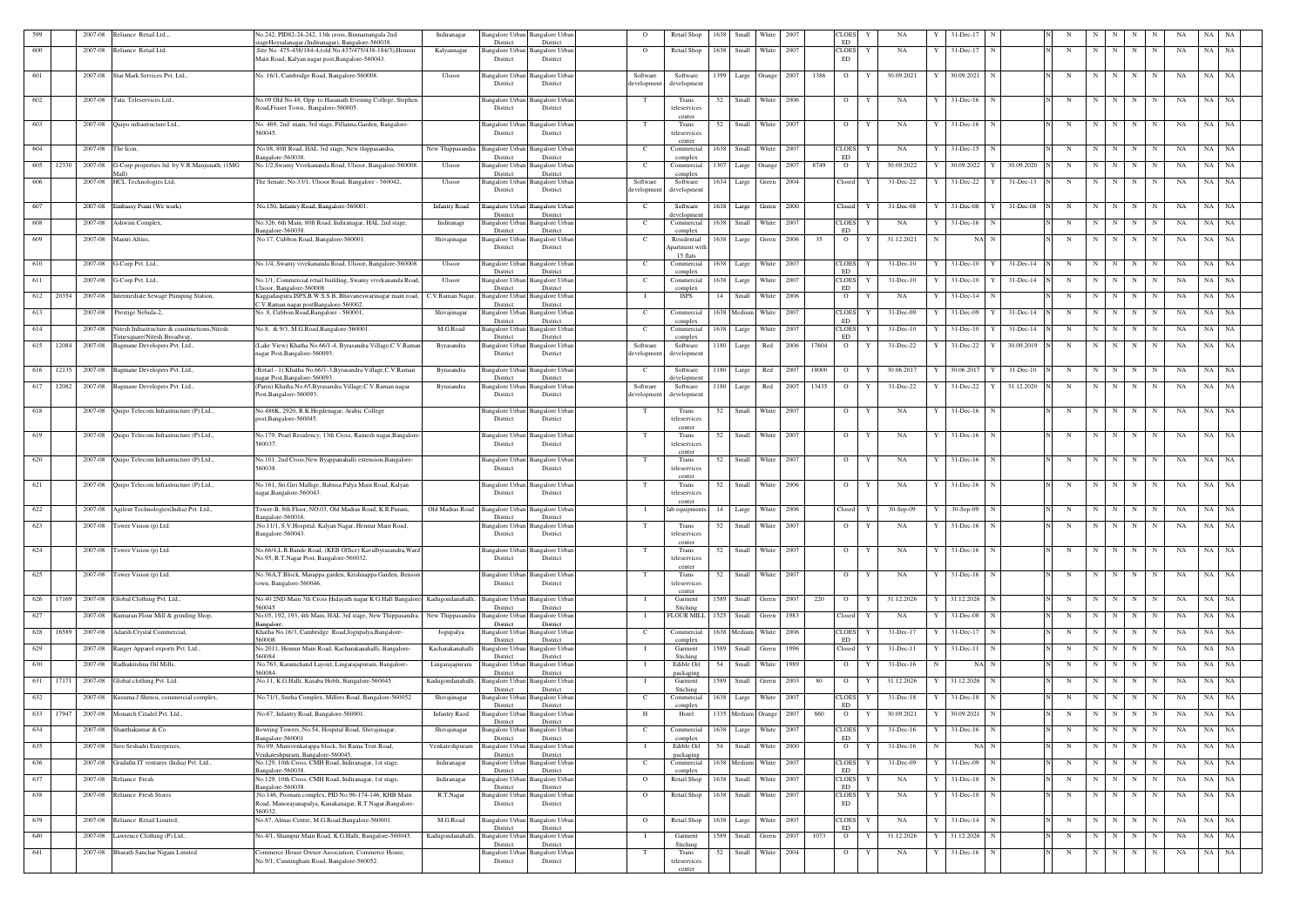| 599 |       |         | 2007-08 Reliance Retail Ltd                                                  | No.242, PID82-24-242, 13th cross, Binnamangala 2nd<br>ageHoysalanagar,(Indiranagar), Bangalore-560038        | Indiranagar          | District                           | Bangalore Urban Bangalore Urban<br>District | $\overline{O}$               | Retail Shop                     | 1638       | Small                 | White         | 2007 |       | CLOES<br>ED                 | Y | NA            |            | 31-Dec-17                   |                    |   |             |           |             | N           | NA       | NA    | NA        |
|-----|-------|---------|------------------------------------------------------------------------------|--------------------------------------------------------------------------------------------------------------|----------------------|------------------------------------|---------------------------------------------|------------------------------|---------------------------------|------------|-----------------------|---------------|------|-------|-----------------------------|---|---------------|------------|-----------------------------|--------------------|---|-------------|-----------|-------------|-------------|----------|-------|-----------|
| 600 |       |         | 2007-08 Reliance Retail Ltd.                                                 | Site No. 475-438/184-4.(old No.437/475/438-184/3). Hennur<br>Main Road, Kalyan nagar post, Bangalore-560043. | Kalyannagar          | District                           | Bangalore Urban Bangalore Urban<br>District | $\Omega$                     | Retail Shop                     | 1638 Small |                       | White         | 2007 |       | <b>CLOES</b><br>ED          | Y | NA            |            | 31-Dec-17                   |                    | N | N           | N         | N           |             | NA       | NA    | NA        |
| 601 |       |         | 2007-08 Star Mark Services Pvt. Ltd.,                                        | No. 16/1, Cambridge Road, Bangalore-560008.                                                                  | Ulsoor               | Bangalore Urbai<br>District        | Bangalore Urba<br>District                  | Software<br>development      | Software<br>development         |            | $1399$ Large          | <b>Orange</b> | 2007 | 1386  | $\overline{O}$              |   | 30.09.2021    |            | 30.09.2021                  |                    | N | $\mathbf N$ | N         | $\mathbf N$ | N           | NA       | NA NA |           |
| 602 |       |         | 2007-08 Tata Teleservices Ltd.,                                              | No.09 Old No.48, Opp. to Hasanath Evening College, Stephen<br>Road, Fraser Town, Bangalore-560005            |                      | Bangalore Urban<br>District        | <b>Bangalore Urban</b><br>District          | T                            | Trans<br>teleservices           | 52         | Small                 | White         | 2006 |       | $\overline{O}$              | Y | NA            |            | $31 - Dec-16$               | N                  | N | N           | N         | N           | N           | NA       | NA    | <b>NA</b> |
| 603 |       |         | 2007-08 Quipo infrastructure Ltd.,                                           | No. 469, 2nd main, 3rd stage, Pillanna Garden, Bangalore-<br>560045.                                         |                      | Bangalore Urbar<br>District        | Bangalore Urban<br>District                 | T                            | center<br>Trans<br>teleservices | 52         | Small                 | White         | 2007 |       | $\circ$                     |   | NA            |            | $31$ -Dec-16<br>$\mathbf N$ |                    | N | N           | N         | $\mathbf N$ | $\mathbf N$ | NA       | NA NA |           |
| 604 |       | 2007-08 | The Icon,                                                                    | No.08, 80ft Road, HAL 3rd stage, New thippasandra,                                                           | New Thippasandra     | <b>Bangalore Urban</b>             | Bangalore Urban                             | <sup>-</sup> C               | center<br>Commercia             |            | 1638 Small            | White         | 2007 |       | CLOES                       | Y | NA            |            | $31 - Dec-15$               |                    | N | N           | N         | N           | N           | NA       | NA    | NA        |
| 605 | 12330 | 2007-08 | G-Corp properties ltd. by V.R.Manjunath, (1MG                                | angalore-560038<br>No.1/2, Swamy Vivekananda Road, Ulsoor, Bangalore-560008.                                 | Ulsoor               | District<br><b>Bangalore Urban</b> | District<br><b>Bangalore Urban</b>          | - C                          | complex<br>Commercia            |            | 1307 Large            | Orange        | 2007 | 8749  | <b>ED</b><br>$\overline{O}$ | Y | 30.09.2022    |            | 30.09.2022                  | 30.09.2020         | N | N           | N         | $\mathbf N$ | N           | NA       | NA    | NA        |
| 606 |       |         | 2007-08 HCL Technologies Ltd,                                                | The Senate, No:33/1, Ulsoor Road, Bangalore - 560042,                                                        | Ulsoor               | District                           | District<br>Bangalore Urban Bangalore Urban | Software                     | complex<br>Software             |            | 1634 Large            | Green         | 2004 |       | Closed                      | Y | $31 - Dec-22$ |            | 31-Dec-22                   | $31$ -Dec-13       | N | N           | N         | N           | $\mathbf N$ | NA       | NA    | NA        |
| 607 |       |         |                                                                              | No.150, Infantry Road, Bangalore-560001                                                                      | <b>Infantry Road</b> | District                           | District<br>Bangalore Urbar                 | developmen<br><sup>-</sup> C | development<br>Software         | 1638 Large |                       |               | 2000 |       | Closed                      |   |               |            |                             | 31-Dec-08          | N | N           | N         | $\mathbf N$ | $\mathbf N$ | NA       | NA    | NA        |
|     |       | 2007-08 | Embassy Point (We work)                                                      |                                                                                                              |                      | angalore Urba<br>District          | District                                    |                              | development                     |            |                       | Green         |      |       |                             |   | $31$ -Dec-08  |            | 31-Dec-08                   |                    |   |             |           |             |             |          |       |           |
| 608 |       |         | 2007-08 Ashwini Complex,                                                     | No.326, 6th Main, 80ft Road, Indiranagar, HAL 2nd stage,<br>3angalore-560038                                 | Indiranagr           | Bangalore Urban<br>District        | <b>Bangalore Urban</b><br>District          | <sup>-</sup> C               | Commercial<br>complex           | 1638 Small |                       | White         | 2007 |       | <b>CLOES</b><br>ED          |   | NA            |            | $31 - Dec-16$               |                    | N | $\mathbf N$ | N         | N           | N           | NA       | NA    | NA        |
| 609 |       |         | 2007-08 Mantri Altius,                                                       | No.17, Cubbon Road, Bangalore-560001                                                                         | Shivajinagar         | <b>Bangalore</b> Urbar<br>District | Bangalore Urban<br>District                 | C                            | Residential<br>Apartment witl   | 1638 Large |                       | Green         | 2006 | 35    | $\overline{O}$              |   | 31.12.2021    |            | NA N                        |                    | N | $\mathbf N$ | N         | N           | N           | NA       | NA    | NA        |
| 610 |       |         | 2007-08 G-Corp Pvt. Ltd.,                                                    | No.1/4, Swamy vivekananda Road, Ulsoor, Bangalore-560008                                                     | Ulsoor               |                                    | Bangalore Urban Bangalore Urban             | C                            | 15 flats<br>Commercial          |            | 1638 Large            | White         | 2007 |       | <b>CLOES</b>                | Y | $31$ -Dec-10  |            | $31$ -Dec-10 Y              | 31-Dec-14          | N |             | $N$ $N$   | N           | N           | NA       | NA NA |           |
| 611 |       |         | 2007-08 G-Corp Pvt. Ltd.,                                                    | No.1/1, Commercial retail building, Swamy vivekananda Road,                                                  | Ulsoor               | District                           | District<br>Bangalore Urban Bangalore Urban | C                            | complex<br>Commercial           | 1638 Large |                       | White         | 2007 |       | ED<br><b>CLOES</b>          | Y | $31$ -Dec-10  |            | $31$ -Dec-10                | $31 - Dec-14$<br>Y | N | N           | N         | N           | N           | NA       | NA    | NA        |
| 612 | 20354 |         | 2007-08 Intermediate Sewage Pumping Station,                                 | Isoor. Bangalore-560008<br>Kaggadaspura ISPS, B.W.S.S.B, Bhuvaneswarinagar main road, C.V.Raman Nagar,       |                      | District<br><b>Bangalore Urban</b> | District<br><b>Bangalore Urban</b>          |                              | complex<br>ISPS                 |            | $14$ Small            | White         | 2006 |       | ED<br>$\overline{O}$        | Y | NA            |            | 31-Dec-14<br>N              |                    | N | N           | N         | N           | N           | NA       | NA NA |           |
|     |       |         |                                                                              | C.V.Raman nagar postBangalore-560002.                                                                        |                      | District                           | District                                    |                              |                                 |            |                       |               |      |       |                             |   |               |            |                             |                    |   |             |           |             |             |          |       |           |
| 613 |       | 2007-08 | Prestige Nebula-2,                                                           | No. 8, Cubbon Road, Bangalore - 560001,                                                                      | Shivajinagar         | <b>Bangalore Urban</b><br>District | <b>Bangalore Urban</b><br>District          | C.                           | Commercial<br>complex           |            | 1638 Medium           | White         | 2007 |       | <b>CLOES</b><br>ED          |   | 31-Dec-09     |            | $31 - Dec-09$               | $31$ -Dec-14       | N | $\mathbf N$ | N         | N           | $_{\rm N}$  | NA       | NA    | NA        |
| 614 |       | 2007-08 | Nitesh Infrastructure & constructions, Nitesh<br>Timesquare/Nitesh Broadway, | No.8, & 9/3, M.G.Road, Bangalore-560001.                                                                     | M.G.Road             | Bangalore Urbar<br>District        | Bangalore Urban<br>District                 | C                            | Commercial<br>complex           |            | 1638 Large            | White         | 2007 |       | <b>CLOES</b><br>ED          | Y | 31-Dec-10     |            | $31$ -Dec-10                | $31$ -Dec-14       | N | N           | N         | $\mathbf N$ | N           | NA       | NA NA |           |
| 615 |       |         | 12084 2007-08 Bagmane Developers Pvt. Ltd.,                                  | (Lake View) Khatha No.66/1-4, Byrasandra Village, C.V. Raman<br>nagar Post, Bangalore-560093.                | Byrasandra           | Bangalore Urban<br>District        | Bangalore Urban<br>District                 | Software<br>developmen       | Software<br>development         |            | 1180 Large            | Red           | 2006 | 17604 | $\overline{O}$              | Y | 31-Dec-22     |            | $31$ -Dec-22 Y              | 30.09.2019         | N | N           | N         | N           | N           | NA       | NA    | NA        |
| 616 | 12135 |         | 2007-08 Bagmane Developers Pvt. Ltd.,                                        | (Retail - 1) Khatha No.66/1-3, Byrasandra Village, C.V. Raman<br>gar Post, Bangalore-560093                  | Byrasandra           | Bangalore Urban<br>District        | <b>Bangalore</b> Urban<br>District          | - C                          | Software<br>developmen          |            | 1180 Large            | Red           | 2007 | 18000 | $\overline{O}$              | Y | 30.06.2017    |            | 30.06.2017                  | $31 - Dec-10$      | N | N           | N         | N           | N           | NA       | NA NA |           |
| 617 | 12082 |         | 2007-08 Bagmane Developers Pvt. Ltd.,                                        | (Parin) Khatha No.65, Byrasandra Village, C.V. Raman nagar<br>Post, Bangalore-560093.                        | Byrasandra           | Bangalore Urban<br>District        | <b>Bangalore</b> Urban<br>District          | Software<br>developmen       | Software<br>development         |            | 1180 Large            | Red           | 2007 | 13435 | $\circ$                     | Y | 31-Dec-22     |            | 31-Dec-22                   | 31.12.2020<br>Y    | N | $\mathbf N$ | N         | N           |             | NA       | NA    | NA        |
| 618 |       |         | 2007-08 Quipo Telecom Infrastructure (P) Ltd.,                               | No.486K, 2920, R.K.Hegdenagar, Arabic College                                                                |                      | Bangalore Urbar                    | Bangalore Urbar                             | T                            | Trans                           | 52         | Small                 | White         | 2007 |       | $\circ$                     | Y | NA            | Y          | $31$ -Dec-16                | N                  | N | N           | N         | N           | N           | NA       | NA    | <b>NA</b> |
|     |       |         |                                                                              | post, Bangalore-560045.                                                                                      |                      | District                           | District                                    |                              | teleservices<br>center          |            |                       |               |      |       |                             |   |               |            |                             |                    |   |             |           |             |             |          |       |           |
| 619 |       |         | 2007-08 Quipo Telecom Infrastructure (P) Ltd.,                               | No.179, Pearl Residency, 13th Cross, Ramesh nagar, Bangalore-<br>560037.                                     |                      | Bangalore Urban<br>District        | <b>Bangalore Urban</b><br>District          | T                            | Trans<br>teleservices<br>cente  | 52         | Small                 | White         | 2007 |       | $\overline{O}$              | Y | NA            | Y          | $31$ -Dec-16 $\overline{N}$ |                    | N | N           | N I       | N           | N           | NA       | NA NA |           |
| 620 |       |         | 2007-08 Quipo Telecom Infrastructure (P) Ltd.,                               | No.101, 2nd Cross, New Byappanahalli extension, Bangalore-<br>560038.                                        |                      | Bangalore Urbai<br>District        | <b>Bangalore</b> Urbar<br>District          | - Т                          | Trans<br>teleservices<br>cente  | 52         | <b>Small</b>          | White         | 2007 |       | $\overline{O}$              | Y | NA            |            | $31$ -Dec-16 N              |                    | N | N           | N         | N           | N           | NA       | NA NA |           |
| 621 |       |         | 2007-08 Quipo Telecom Infrastructure (P) Ltd.,                               | No.161, Sri.Giri Mallige, Babusa Palya Main Road, Kalyan<br>nagar,Bangalore-560043.                          |                      | District                           | Bangalore Urban Bangalore Urban<br>District | T                            | Trans<br>teleservices<br>center | 52         | Small                 | White         | 2006 |       | $\circ$                     | Y | NA            |            | 31-Dec-16                   | N                  | N | N           | N         | N           | N           | NA       | NA    | NA        |
| 622 |       |         | 2007-08 Agilent Technologies (India) Pvt. Ltd.,                              | Tower-B, 8th Floor, NO.03, Old Madras Road, K.R.Puram,<br>Bangalore-560016                                   | Old Madras Road      | <b>Bangalore Urbar</b><br>District | Bangalore Urban<br>District                 | $\mathbf{I}$                 | lab equipments                  | 14         | Large                 | White         | 2006 |       | Closed                      |   | $30-Sep-09$   |            | $30-Sep-09$                 |                    | N | N           | N         | N           | N           | NA       | NA NA |           |
| 623 |       |         | 2007-08 Tower Vision (p) Ltd.                                                | ,No.11/1, S.V.Hospital, Kalyan Nagar, Hennur Main Road,<br>Bangalore-560043.                                 |                      | District                           | Bangalore Urban Bangalore Urban<br>District |                              | Trans<br>teleservices           | 52         | Small White 2007      |               |      |       | $\overline{O}$              | Y | NA            |            | $\overline{Y}$ 31-Dec-16 N  |                    | N |             |           |             | N N N N     | NA NA NA |       |           |
| 624 |       |         | 2007-08 Tower Vision (p) Ltd.                                                | No.66/4, L.R.Bande Road, (KEB Office) Kavalbyrasandra, Ward<br>No.95, R.T.Nagar Post, Bangalore-560032.      |                      | District                           | Bangalore Urban Bangalore Urban<br>District | T                            | center<br>Trans<br>teleservices | 52         | Small                 | White 2007    |      |       | $\overline{O}$              | Y | NA            |            | $31$ -Dec-16                | $\mathbf N$        | N | N           | N         | N           | N           | NA       | NA NA |           |
| 625 |       |         | 2007-08 Tower Vision (p) Ltd.                                                | No.36A,T.Block, Marappa garden, Krishnappa Garden, Benson<br>own, Bangalore-560046.                          |                      | Bangalore Urbar<br>District        | Bangalore Urbar<br>District                 | T                            | center<br>Trans                 |            | 52 Small              | White         | 2007 |       | $\overline{O}$              | Y | NA            | Y          | $31$ -Dec-16 N              |                    | N | N           |           | $N$   $N$   | N           | NA       | NA NA |           |
|     |       |         |                                                                              |                                                                                                              |                      |                                    |                                             |                              | teleservices<br>center          |            |                       |               |      |       |                             |   |               |            |                             |                    |   |             |           |             |             |          |       |           |
|     |       |         | 626 17169 2007-08 Global Clothing Pvt. Ltd.,                                 | No:40 2ND Main 7th Cross Hidayath nagar K G Hall Bangalore Kadugondanahalli,<br>560045                       |                      | District                           | Bangalore Urban Bangalore Urban<br>District | - 1                          | Garment<br>Stiching             |            | 1589 Small Green 2007 |               |      | 220   | $\overline{O}$              | Y | 31.12.2026    |            | 31.12.2026 N                |                    | N |             | $N$   $N$ | N           | N           | NA       | NA NA |           |
| 627 |       |         | 2007-08 Kumaran Flour Mill & grinding Shop,                                  | No.05, 192, 193, 4th Main, HAL 3rd stage, New Thippasandra, New Thippasandra<br>Bangalore                    |                      | District                           | Bangalore Urban Bangalore Urban<br>District |                              | <b>FLOUR MILL</b>               |            | 1525 Small Green      |               | 1983 |       | Closed                      | Y | NA            |            | $31$ -Dec-08 N              |                    | N | N           | N         | N           | N           | NA       | NA NA |           |
| 628 | 16589 |         | 2007-08 Adarsh Crystal Commercial,                                           | Khatha No.16/3, Cambridge Road, Jogupalya, Bangalore-<br>560008.                                             | Jogupalya            | <b>Bangalore Urban</b><br>District | <b>Bangalore Urban</b><br>District          | $\mathbf{C}$                 | Commercial<br>complex           |            | 1638 Medium           | White 2006    |      |       | <b>CLOES</b><br>ED          | Y | 31-Dec-17     |            | $31$ -Dec-17 N              |                    | N | N           | N         | N           | N           | NA       | NA NA |           |
| 629 |       |         | 2007-08 Ranger Apparel exports Pvt. Ltd.,                                    | No.2011, Hennur Main Road, Kacharakanahalli, Bangalore-<br>560084                                            | Kacharakanahalli     | District                           | Bangalore Urban Bangalore Urban<br>District | $\blacksquare$               | Garment<br>Stiching             |            | 1589 Small Green      |               | 1996 |       | Closed                      | Y | $31$ -Dec-11  |            | $31$ -Dec-11 N              |                    | N | N           | N         | N           | N           | NA       | NA NA |           |
| 630 |       |         | 2007-08 Radhakrishna Oil Mills,                                              | No.763, Karamchand Layout, Lingarajapuram, Bangalore-<br>560084.                                             | Lingarajapuram       | <b>Bangalore Urban</b><br>District | <b>Bangalore Urban</b><br>District          | $\blacksquare$               | Edible Oil<br>packaging         |            | 54 Small White 1989   |               |      |       | $\overline{O}$              | Y | $31$ -Dec-16  | $_{\rm N}$ | NA N                        |                    | N | N           | N         | N           | N           | NA       | NA NA |           |
| 631 | 17171 |         | 2007-08 Global clothing Pvt. Ltd.                                            | ,No.11, K.G.Halli, Kasaba Hobli, Bangalore-560045.                                                           | Kadugondanahalli     | Bangalore Urban<br>District        | Bangalore Urban<br>District                 | $\blacksquare$               | Garment<br>Stiching             |            | 1589 Small Green      |               | 2003 | 80    | $\overline{O}$              | Y | 31.12.2026    |            | 31.12.2026<br>N             |                    | N | N           | N         | N           | N           | NA       | NA    | NA        |
| 632 |       |         | 2007-08 Kusuma.J.Shenoi, commercial complex,                                 | No.71/1, Sneha Complex, Millers Road, Bangalore-560052                                                       | Shivajinagar         | Bangalore Urbar                    | Bangalore Urban                             | $\mathbf{C}$                 | Commercial                      |            | 1638 Large            | White 2007    |      |       | <b>CLOES</b>                | Y | 31-Dec-18     |            | 31-Dec-18                   | N                  | N | N           | N         | N           | N           | NA       | NA NA |           |
| 633 | 17947 |         | 2007-08 Monarch Citadel Pvt. Ltd.,                                           | No.67, Infantry Road, Bangalore-560001.                                                                      | <b>Infantry Raod</b> | District<br><b>Bangalore</b> Urbar | District<br>Bangalore Urban                 | H                            | complex<br>Hotel                |            | 1335 Medium Orange    |               | 2007 | 860   | <b>ED</b><br>$\overline{O}$ | Y | 30.09.2021    |            | 30.09.2021                  | $\mathbf N$        | N | N           | N         | N           | N           | NA       | NA NA |           |
| 634 |       |         | 2007-08 Shanthakumar & Co.                                                   | Bowring Towers, No.54, Hospital Road, Shivajinagar,                                                          | Shivajinagar         | District<br>Bangalore Urbar        | District<br>Bangalore Urban                 | C                            | Commercial                      |            | 1638 Large            | White         | 2007 |       | <b>CLOES</b>                |   | 31-Dec-16     |            | $31$ -Dec-16 N              |                    | N | N           | N         | N           | N           | NA       | NA NA |           |
| 635 |       |         | 2007-08 Sree Seshadri Enterprises,                                           | Bangalore-560001<br>No.09, Munivenkatappa block, Sri Rama Tent Road,                                         | Venkateshpuram       | District<br>Bangalore Urbar        | District<br>Bangalore Urban                 | - 1                          | complex<br>Edible Oil           |            | 54 Small              | White         | 2000 |       | ED<br>$\overline{O}$        |   | $31$ -Dec-16  |            | NA N                        |                    | N | N           | N         | N           | N           | NA       | NA NA |           |
| 636 |       |         | 2007-08 Gradafin IT ventures (India) Pvt. Ltd.,                              | enkateshpuram, Bangalore-560045.<br>No.129, 10th Cross, CMH Road, Indiranagar, 1st stage,                    | Indiranagar          | District<br>Bangalore Urbar        | District<br>Bangalore Urban                 | <sup>-</sup> C               | packaging<br>Commercial         |            | 1638 Medium           | White         | 2007 |       | <b>CLOES</b>                |   | 31-Dec-09     |            | $31$ -Dec-09                |                    | N | N           | N         | N           | N           | NA       | NA NA |           |
| 637 |       | 2007-08 | Reliance Fresh.                                                              | Bangalore-560038.<br>No.129, 10th Cross, CMH Road, Indiranagar, 1st stage,                                   | Indiranagar          | District<br>Bangalore Urbar        | District<br>Bangalore Urban                 | $\overline{O}$               | complex<br>Retail Shop          | 1638 Small |                       | White         | 2007 |       | ED<br><b>CLOES</b>          |   | NA            |            | $31$ -Dec-18                |                    | N | N           | N         | N           | N           | NA       | NA    | NA        |
| 638 |       |         | 2007-08 Reliance Fresh Stores                                                | angalore-560038.<br>No.146, Poonam complex, PID No.96-174-146, KHB Main                                      | R.T.Nagar            | District<br>Bangalore Urban        | District<br><b>Bangalore Urban</b>          | $\Omega$                     | Retail Shop                     | 1638 Small |                       | White         | 2007 |       | ED<br><b>CLOES</b>          | Y | NA            |            | $31$ -Dec-18 N              |                    | N | N           | N         | N           | N           | NA       | NA NA |           |
|     |       |         |                                                                              | Road, Manorayanapalya, Kanakanagar, R.T.Nagar, Bangalore-<br>560032.                                         |                      | District                           | District                                    |                              |                                 |            |                       |               |      |       | ED                          |   |               |            |                             |                    |   |             |           |             |             |          |       |           |
| 639 |       |         | 2007-08 Reliance Retail Limited,                                             | No.87, Almas Centre, M.G.Road, Bangalore-560001.                                                             | M.G.Road             | District                           | Bangalore Urban Bangalore Urban<br>District | $\Omega$                     | Retail Shop                     |            | 1638 Large            | White         | 2007 |       | <b>CLOES</b><br>ED          | Y | NA            |            | $31$ -Dec-14 N              |                    | N | $\mathbf N$ | N         | N           | N           | NA       | NA    | <b>NA</b> |
| 640 |       |         | 2007-08 Lawrence Clothing (P) Ltd.,                                          | No.4/1, Shampur Main Road, K.G.Halli, Bangalore-560045.                                                      | Kadugondanahalli,    | Bangalore Urban<br>District        | <b>Bangalore Urban</b><br>District          | $\blacksquare$               | Garment<br>Stiching             |            | 1589 Small Green 2007 |               |      | 1073  | $\overline{O}$              | Y | 31.12.2026    |            | 31.12.2026 N                |                    | N | N           | N         | N           | N           | NA       | NA NA |           |
| 641 |       |         | 2007-08 Bharath Sanchar Nigam Limited                                        | Commerce House Owner Association, Commerce House,<br>No.9/1, Cunningham Road, Bangalore-560052.              |                      | District                           | Bangalore Urban Bangalore Urban<br>District | T                            | Trans<br>teleservices           | 52         | Small                 | White         | 2004 |       | $\overline{O}$              | Y | NA            | Y          | $31$ -Dec-16 N              |                    | N | N           | N         | N           | N           | NA       | NA    | NA        |
|     |       |         |                                                                              |                                                                                                              |                      |                                    |                                             |                              | center                          |            |                       |               |      |       |                             |   |               |            |                             |                    |   |             |           |             |             |          |       |           |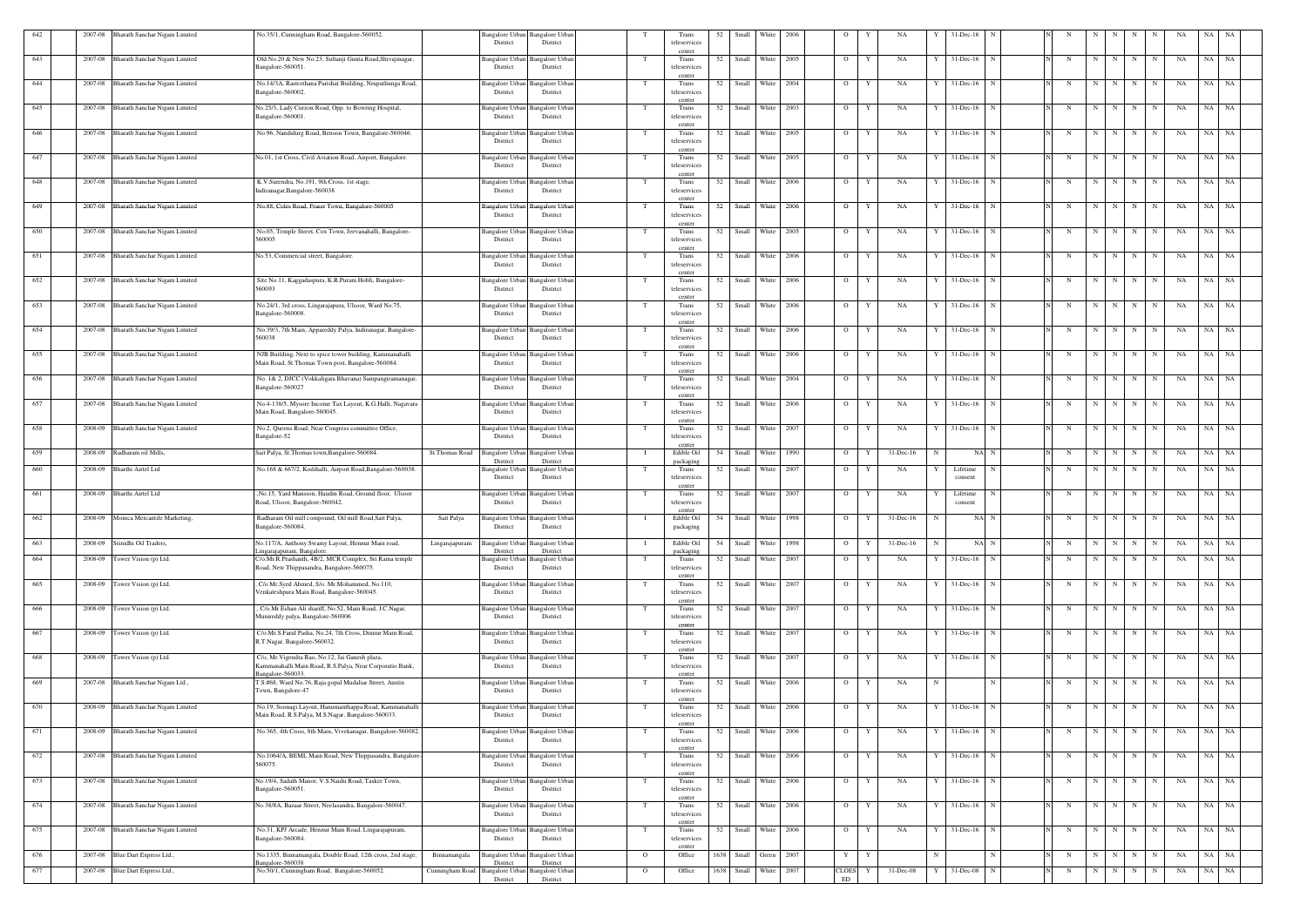| 642 | 2007-08 | Bharath Sanchar Nigam Limited         | No.35/1, Cunningham Road, Bangalore-560052.                                                                                              |                                 | Bangalore Urban<br>District                 | <b>Bangalore Urban</b><br>District             |                | Trans<br>teleservices                                 | 52   | Small               | White            | 2006 |                     |                                        |    | 31-Dec-16           |             |                        |                         |         |             |             |    |           |           |
|-----|---------|---------------------------------------|------------------------------------------------------------------------------------------------------------------------------------------|---------------------------------|---------------------------------------------|------------------------------------------------|----------------|-------------------------------------------------------|------|---------------------|------------------|------|---------------------|----------------------------------------|----|---------------------|-------------|------------------------|-------------------------|---------|-------------|-------------|----|-----------|-----------|
| 643 |         | 2007-08 Bharath Sanchar Nigam Limited | Old No.20 & New No.23, Sultanji Gunta Road, Shivajinagar,                                                                                |                                 | Bangalore Urbaı                             | Bangalore Urba                                 |                | center<br>Trans                                       | 52   | Small White         |                  | 2005 | $\overline{O}$      | NA                                     |    | $31$ -Dec-16        |             |                        | N                       |         | N           | N           | NA | NA        | NA        |
| 644 |         | 2007-08 Bharath Sanchar Nigam Limited | Bangalore-560051<br>No.14/3A, Rastrothana Parishat Building, Nrupathunga Road,                                                           |                                 | District<br>Bangalore Urban                 | District<br><b>Bangalore Urbar</b>             | T              | teleservices<br>center<br>Trans                       | 52   | Small               | White 2004       |      | $\overline{O}$      | Y<br>NA                                | Y  | $31$ -Dec-16        | N           | N                      | $\overline{\mathbf{N}}$ | N       | N           | N           | NA | NA        | NA        |
|     |         |                                       | Bangalore-560002.                                                                                                                        |                                 | District                                    | District                                       |                | teleservices<br>center                                |      |                     |                  |      |                     |                                        |    |                     |             |                        |                         |         |             |             |    |           |           |
| 645 | 2007-08 | Bharath Sanchar Nigam Limited         | No.25/3, Lady Curzon Road, Opp. to Bowring Hospital,<br>Bangalore-560001                                                                 |                                 | Bangalore Urban<br>District                 | <b>Bangalore Urba</b><br>District              |                | Trans<br>teleservices<br>center                       | 52   | Small               | White 2003       |      | $\overline{O}$      | Y<br>NA                                |    | $31$ -Dec-16        |             | N                      | $\mathbf N$             | N       | N           | N           | NA | NA        | <b>NA</b> |
| 646 | 2007-08 | Bharath Sanchar Nigam Limited         | No.96, Nandidurg Road, Benson Town, Bangalore-560046.                                                                                    |                                 | Bangalore Urban<br>District                 | Bangalore Urbar<br>District                    |                | Trans<br>teleservices                                 | 52   | Small               | White            | 2005 | $\overline{O}$      | Y<br>NA                                |    | $31$ -Dec-16        |             | N                      | N                       | N       | N           | N           | NA | NA        | <b>NA</b> |
| 647 | 2007-08 | Bharath Sanchar Nigam Limited         | No.01, 1st Cross, Civil Aviation Road, Airport, Bangalore.                                                                               |                                 | Bangalore Urban<br>District                 | Bangalore Urba<br>District                     |                | center<br>Trans<br>teleservices                       | 52   | Small               | White 2005       |      | $\overline{O}$      | Y<br>NA                                |    | $31$ -Dec-16        | N           | N                      | N                       | N       | N           | N           | NA | NA        | <b>NA</b> |
| 648 |         | 2007-08 Bharath Sanchar Nigam Limited | K.V.Surendra, No.191, 9th Cross, 1st stage,                                                                                              |                                 | Bangalore Urban Bangalore Urban             |                                                |                | center<br>Trans                                       | 52   | Small White 2006    |                  |      | $\overline{O}$      | Y<br>NA                                | Y  | 31-Dec-16           | $\mathbf N$ | N                      | N                       | N       | N           | N           | NA | NA NA     |           |
|     |         |                                       | Indiranagar, Bangalore-560038                                                                                                            |                                 | District                                    | District                                       |                | teleservices<br>center                                |      |                     |                  |      |                     |                                        |    |                     |             |                        |                         |         |             |             |    |           |           |
| 649 |         | 2007-08 Bharath Sanchar Nigam Limited | No.88, Coles Road, Fraser Town, Bangalore-560005                                                                                         |                                 | Bangalore Urban<br>District                 | <b>Bangalore Urbar</b><br>District             |                | Trans<br>teleservices<br>center                       | 52   | Small               | White 2006       |      | $\overline{O}$      | NA<br>Y                                |    | $31$ -Dec-16        |             | N                      | N                       | N       | $\mathbf N$ | $\mathbf N$ | NA | NA        | NA        |
| 650 |         | 2007-08 Bharath Sanchar Nigam Limited | No.05, Temple Street, Cox Town, Jeevanahalli, Bangalore-<br>560005                                                                       |                                 | Bangalore Urban<br>District                 | <b>Bangalore Urbar</b><br>District             |                | Trans<br>teleservices                                 | 52   | Small               | White            | 2005 | $\overline{O}$      | NA<br>Y                                |    | $31$ -Dec-16        |             |                        | N                       | N       | N           | N           | NA | NA        | NA        |
| 651 |         | 2007-08 Bharath Sanchar Nigam Limited | No.53, Commercial street, Bangalore.                                                                                                     |                                 | Bangalore Urban<br>District                 | Bangalore Urba<br>District                     |                | center<br>Trans<br>teleservices                       | 52   | Small               | White            | 2006 | $\overline{O}$      | Y<br>NA                                |    | $31$ -Dec-16        |             | N                      | N                       |         | N           | N           | NA | NA        | NA        |
| 652 |         | 2007-08 Bharath Sanchar Nigam Limited | Site No.11, Kaggadaspura, K.R.Puram Hobli, Bangalore-                                                                                    |                                 | Bangalore Urban Bangalore Urban             |                                                |                | center<br>Trans                                       | 52   | Small White 2006    |                  |      | $\overline{O}$      | Y<br>NA                                | Y  | $31$ -Dec-16        | N           | N                      | N                       | N       | $\mathbf N$ | N           | NA | NA NA     |           |
| 653 |         | 2007-08 Bharath Sanchar Nigam Limited | 560093<br>No.24/1, 3rd cross, Lingarajapura, Ulsoor, Ward No.75,                                                                         |                                 | District<br>Bangalore Urban                 | District<br><b>Bangalore Urbar</b>             |                | teleservices<br>center<br>Trans                       | 52   | Small               | White            | 2006 | $\overline{O}$      | Y<br>NA                                |    | $31 - Dec-16$       |             | N                      | $\mathbf N$             | N       | N           | N           | NA | NA        | NA        |
|     |         |                                       | Bangalore-560008.                                                                                                                        |                                 | District                                    | District                                       |                | teleservices<br>center                                |      |                     |                  |      |                     |                                        |    |                     |             |                        |                         |         |             |             |    |           |           |
| 654 |         | 2007-08 Bharath Sanchar Nigam Limited | No.39/3, 7th Main, Appareddy Palya, Indiranagar, Bangalore-<br>560038                                                                    |                                 | Bangalore Urban<br>District                 | <b>Bangalore Urban</b><br>District             |                | Trans<br>teleservices<br>center                       | 52   | Small White 2006    |                  |      | $\overline{O}$      | Y<br>NA                                | Y  | $31$ -Dec-16        | N           | N                      | N                       | N       | $\mathbf N$ | N           | NA | NA NA     |           |
| 655 |         | 2007-08 Bharath Sanchar Nigam Limited | NJB Building, Next to spice tower building, Kammanahalli<br>Main Road, St. Thomas Town post, Bangalore-560084.                           |                                 | Bangalore Urban<br>District                 | <b>Bangalore Urbar</b><br>District             | T              | Trans<br>teleservices                                 | 52   | Small White 2006    |                  |      | $\overline{O}$      | Y<br>NA                                | Y  | $31$ -Dec-16        | N           | N                      | N                       | N I     | $\mathbf N$ | N           | NA | NA NA     |           |
| 656 |         | 2007-08 Bharath Sanchar Nigam Limited | No. 1& 2, DJCC (Vokkaligara Bhavana) Sampangiramanagar,<br>Bangalore-560027                                                              |                                 | Bangalore Urban Bangalore Urban<br>District | District                                       |                | center<br>Trans<br>teleservices                       |      | 52 Small White 2004 |                  |      | $\overline{O}$      | Y<br>NA                                | Y  | $31$ -Dec-16        | $\mathbf N$ | N                      | N                       | N       | N           | N           | NA | NA NA     |           |
| 657 |         | 2007-08 Bharath Sanchar Nigam Limited | No.4-138/5, Mysore Income Tax Layout, K.G.Halli, Nagavara                                                                                |                                 | Bangalore Urban                             | <b>Bangalore Urban</b>                         |                | center<br>Trans                                       | 52   | Small               | White 2006       |      | $\overline{O}$      | NA<br>Y                                |    | 31-Dec-16           |             | N                      | N                       | N       | N           | N           | NA | NA        | NA        |
|     |         | 2008-09 Bharath Sanchar Nigam Limited | Main Road, Bangalore-560045.                                                                                                             |                                 | District                                    | District                                       |                | teleservices<br>center<br>Trans                       | 52   | Small White 2007    |                  |      |                     | Y                                      |    | $31$ -Dec-16        | N           | N                      |                         |         |             | N           | NA | NA NA     |           |
| 658 |         |                                       | No.2, Queens Road, Near Congress committee Office,<br>Bangalore-52                                                                       |                                 | Bangalore Urban Bangalore Urbai<br>District | District                                       |                | teleservices<br>center                                |      |                     |                  |      | $\overline{O}$      | NA                                     |    |                     |             |                        | N                       | N       | N           |             |    |           |           |
| 659 | 2008-09 | Radharam oil Mills.                   | Sait Palya, St. Thomas town, Bangalore-560084.                                                                                           | St.Thomas Road                  | <b>Bangalore Urban</b><br>District          | <b>Bangalore Urbar</b><br>District             |                | Edible Oil<br>packaging                               | 54   | Small               | White            | 1990 | $\overline{O}$      | 31-Dec-16<br>Y                         | -N | NA                  | $\mathbf N$ | N                      | N                       | N       | N           | N           | NA | NA        | NA        |
| 660 |         | 2008-09 Bharthi Airtel Ltd            | No.168 & 667/2, Kodihalli, Airport Road, Bangalore-560038.                                                                               |                                 | Bangalore Urban<br>District                 | <b>Bangalore</b> Urbar<br>District             | - T            | Trans<br>teleservices<br>center                       | 52   | Small               | White 2007       |      | $\overline{O}$      | NA<br>Y                                |    | Lifetime<br>consent |             | N                      | N                       | N       | N           | N           | NA | NA        | NA        |
| 661 |         | 2008-09 Bharthi Airtel Ltd            | ,No.15, Yard Mansion, Haudin Road, Ground floor, Ulsoor<br>Road, Ulsoor, Bangalore-560042.                                               |                                 | Bangalore Urban<br>District                 | Bangalore Urbar<br>District                    |                | Trans<br>teleservices                                 | 52   | Small White 2007    |                  |      | $\overline{O}$      | NA<br>Y                                |    | Lifetime<br>consent |             |                        | N                       | N       | N           | N           | NA | $NA$ $NA$ |           |
| 662 |         | 2008-09 Monica Mercantile Marketing,  | Radharam Oil mill compound, Oil mill Road, Sait Palya,<br>Bangalore-560084.                                                              | Sait Palya                      | Bangalore Urban Bangalore Urban<br>District | District                                       |                | center<br>Edible Oil 54 Small White 1998<br>packaging |      |                     |                  |      |                     | $O \qquad Y \qquad 31-Pec-16 \qquad N$ |    |                     | NA N        | N N N N N N N NA NA NA |                         |         |             |             |    |           |           |
| 663 |         | 2008-09 Srinidhi Oil Traders,         | No.117/A, Anthony Swamy Layout, Hennur Main road,                                                                                        | Lingarajapuram                  | <b>Bangalore Urban</b>                      | <b>Bangalore Urbar</b>                         |                | Edible Oil                                            |      | 54 Small White 1998 |                  |      | $\overline{O}$<br>Y | $31 - Dec-16$                          | N  |                     | NA N        | N                      |                         | $N$ $N$ | N           | N           | NA | $NA$ $NA$ |           |
| 664 | 2008-09 | Tower Vision (p) Ltd.                 | ingarajapuram, Bangalore.<br>C/o.Mr.R.Prashanth, 4B/2, MCR Complex, Sri Rama temple                                                      |                                 | District<br>Bangalore Urban                 | District<br>Bangalore Urbar                    | T              | packaging<br>Trans                                    | 52   | Small               | White 2007       |      | $\overline{O}$      | NA<br>Y                                | Y  | $31$ -Dec-16        | N           | N                      | N                       | N       | N           | N           | NA | NA NA     |           |
|     |         |                                       | Road, New Thippasandra, Bangalore-560075.                                                                                                |                                 | District                                    | District                                       |                | teleservices<br>center                                |      |                     |                  |      |                     |                                        |    |                     |             |                        |                         |         |             |             |    |           |           |
| 665 | 2008-09 | Tower Vision (p) Ltd.                 | C/o.Mr.Syed Ahmed, S/o. Mr.Mohammed, No.110,<br>Venkateshpura Main Road, Bangalore-560045.                                               |                                 | <b>Bangalore Urban</b><br>District          | Bangalore Urbar<br>District                    | T              | Trans<br>teleservices<br>center                       |      | 52 Small White 2007 |                  |      | $\overline{O}$      | NA<br>Y                                | Y  | $31$ -Dec-16        | $\mathbf N$ | N                      |                         | $N$ $N$ | N           | N           | NA | NA NA     |           |
| 666 | 2008-09 | Tower Vision (p) Ltd.                 | C/o.Mr.Eshan Ali shariff, No.52, Main Road, J.C.Nagar,<br>Munireddy palya, Bangalore-560006                                              |                                 | Bangalore Urban<br>District                 | <b>Bangalore</b> Urba<br>District              |                | Trans<br>teleservices                                 |      | 52 Small White 2007 |                  |      | $\overline{O}$      | NA<br>Y                                |    | $31$ -Dec-16 N      |             | N                      |                         | $N$ $N$ |             | $N$ $N$     | NA | NA NA     |           |
| 667 | 2008-09 | Tower Vision (p) Ltd.                 | C/o.Mr.S.Farid Pasha, No.24, 7th Cross, Dinnur Main Road,<br>R.T.Nagar, Bangalore-560032.                                                |                                 | Bangalore Urban<br>District                 | <b>Bangalore Urban</b><br>District             | - Т            | center<br>Trans<br>teleservices                       | 52   | Small White 2007    |                  |      | $\overline{O}$      | NA<br>Y                                | Y  | $31$ -Dec-16        | - N         | N                      | N                       | N       | N           | N           | NA | $NA$ $NA$ |           |
| 668 | 2008-09 | Tower Vision (p) Ltd.                 | C/o, Mr. Vigendra Rao, No.12, Jai Ganesh plaza,                                                                                          |                                 | Bangalore Urban                             | Bangalore Urba                                 | T              | center<br>Trans                                       | 52   | Small White 2007    |                  |      | $\overline{O}$      | Y<br>NA                                |    | $31$ -Dec-16        |             | N                      | N                       | N       | N           | N           | NA | NA NA     |           |
| 669 |         | 2007-08 Bharath Sanchar Nigam Ltd.,   | Kammanahalli Main Road, R.S.Palya, Near Corporatio Bank,<br>Bangalore-560033.<br>T.S.#68, Ward No.76, Raja gopal Mudaliar Street, Austin |                                 | District<br>Bangalore Urban                 | District<br><b>Bangalore Urbar</b>             |                | teleservices<br>center<br>Trans                       | 52   | Small White 2006    |                  |      | $\overline{O}$      | NA<br>Y                                | N  |                     | N           | N                      |                         | N<br>N  | N           | N           | NA | NA NA     |           |
|     |         |                                       | Town, Bangalore-47                                                                                                                       |                                 | District                                    | District                                       |                | teleservices<br>center                                |      |                     |                  |      |                     |                                        |    |                     |             |                        |                         |         |             |             |    |           |           |
| 670 | 2008-09 | Bharath Sanchar Nigam Limited         | No.19, Soonagi Layout, Hanumanthappa Road, Kammanahalli<br>Main Road, R.S.Palya, M.S.Nagar, Bangalore-560033.                            |                                 | Bangalore Urban<br>District                 | <b>Bangalore</b> Urba<br>District              |                | Trans<br>teleservices                                 |      | 52 Small White 2006 |                  |      | $\overline{O}$      | NA<br>Y                                |    | 31-Dec-16           | N           | N                      | N                       | N       | N           | N           | NA | NA NA     |           |
| 671 |         | 2008-09 Bharath Sanchar Nigam Limited | No.365, 4th Cross, 8th Main, Vivekanagar, Bangalore-560082.                                                                              |                                 | Bangalore Urban<br>District                 | <b>Bangalore Urban</b><br>District             | - Т            | center<br>Trans<br>teleservices                       | 52   |                     | Small White 2006 |      | $\overline{O}$      | Y<br>NA                                |    | $31$ -Dec-16        | N           | N                      | N                       | N       | N           | N           | NA | <b>NA</b> | <b>NA</b> |
| 672 | 2007-08 | Bharath Sanchar Nigam Limited         | No.1064/A, BEML Main Road, New Thippasandra, Bangalore-                                                                                  |                                 | <b>Bangalore Urban</b>                      | <b>Bangalore</b> Urba                          | T              | center<br>Trans                                       | 52   | Small White 2006    |                  |      | $\overline{O}$      | Y<br>NA                                | Y  | $31$ -Dec-16        | $\mathbf N$ | N                      | N                       | N       | N           | N           | NA | NA NA     |           |
| 673 |         | 2007-08 Bharath Sanchar Nigam Limited | 560075.<br>No.19/4, Sadath Manor, V.S.Naidu Road, Tasker Town,                                                                           |                                 | District<br>Bangalore Urban                 | District<br><b>Bangalore</b> Urbar             | - T            | teleservices<br>center<br>Trans                       | 52   | Small White 2006    |                  |      | $\overline{O}$      | Y<br>NA                                | Y  | $31$ -Dec-16        | $\mathbf N$ | N                      |                         | $N$ $N$ | N           | N           | NA | NA NA     |           |
|     |         |                                       | Bangalore-560051.                                                                                                                        |                                 | District                                    | District                                       |                | teleservices<br>center                                |      |                     |                  |      |                     |                                        |    |                     |             |                        |                         |         |             |             |    |           |           |
| 674 |         | 2007-08 Bharath Sanchar Nigam Limited | No.38/8A, Bazaar Street, Neelasandra, Bangalore-560047.                                                                                  |                                 | Bangalore Urban<br>District                 | <b>Bangalore Urbar</b><br>District             |                | Trans<br>teleservices<br>center                       | 52   | Small White 2006    |                  |      | $\overline{O}$      | NA<br>Y                                |    | $31$ -Dec-16        |             | N                      | N                       | N       | N           | N           | NA | NA NA     |           |
| 675 |         | 2007-08 Bharath Sanchar Nigam Limited | No.31, KPJ Arcade, Hennur Main Road, Lingarajapuram,<br>Bangalore-560084.                                                                |                                 | Bangalore Urban Bangalore Urban<br>District | District                                       |                | Trans<br>teleservices                                 | 52   | Small White 2006    |                  |      | $\overline{O}$      | NA<br>Y                                |    | $31$ -Dec-16        | N           | N                      | N                       | N       | N           | N           | NA | NA NA     |           |
| 676 | 2007-08 | Blue Dart Express Ltd.,               | No.1335, Binnamangala, Double Road, 12th cross, 2nd stage,                                                                               | Binnamangala                    | Bangalore Urban                             | <b>Bangalore Urbar</b>                         | $\overline{O}$ | center<br>Office                                      | 1638 | Small               | Green 2007       |      | Y                   | Y                                      | N  |                     |             | N                      | N                       | N       | N           | N           | NA | NA NA     |           |
| 677 |         | 2007-08 Blue Dart Express Ltd.,       | angalore-560038<br>No.50/1, Cunningham Road, Bangalore-560052.                                                                           | Cunningham Road Bangalore Urban | District<br>District                        | District<br><b>Bangalore Urban</b><br>District | $\mathbf{O}$   | Office                                                | 1638 | Small               | White 2007       |      | <b>CLOES</b><br>ED  | 31-Dec-08<br>Y                         | Y  | 31-Dec-08           | $\mathbf N$ | N                      | N                       | N       | N           | N           | NA | NA NA     |           |
|     |         |                                       |                                                                                                                                          |                                 |                                             |                                                |                |                                                       |      |                     |                  |      |                     |                                        |    |                     |             |                        |                         |         |             |             |    |           |           |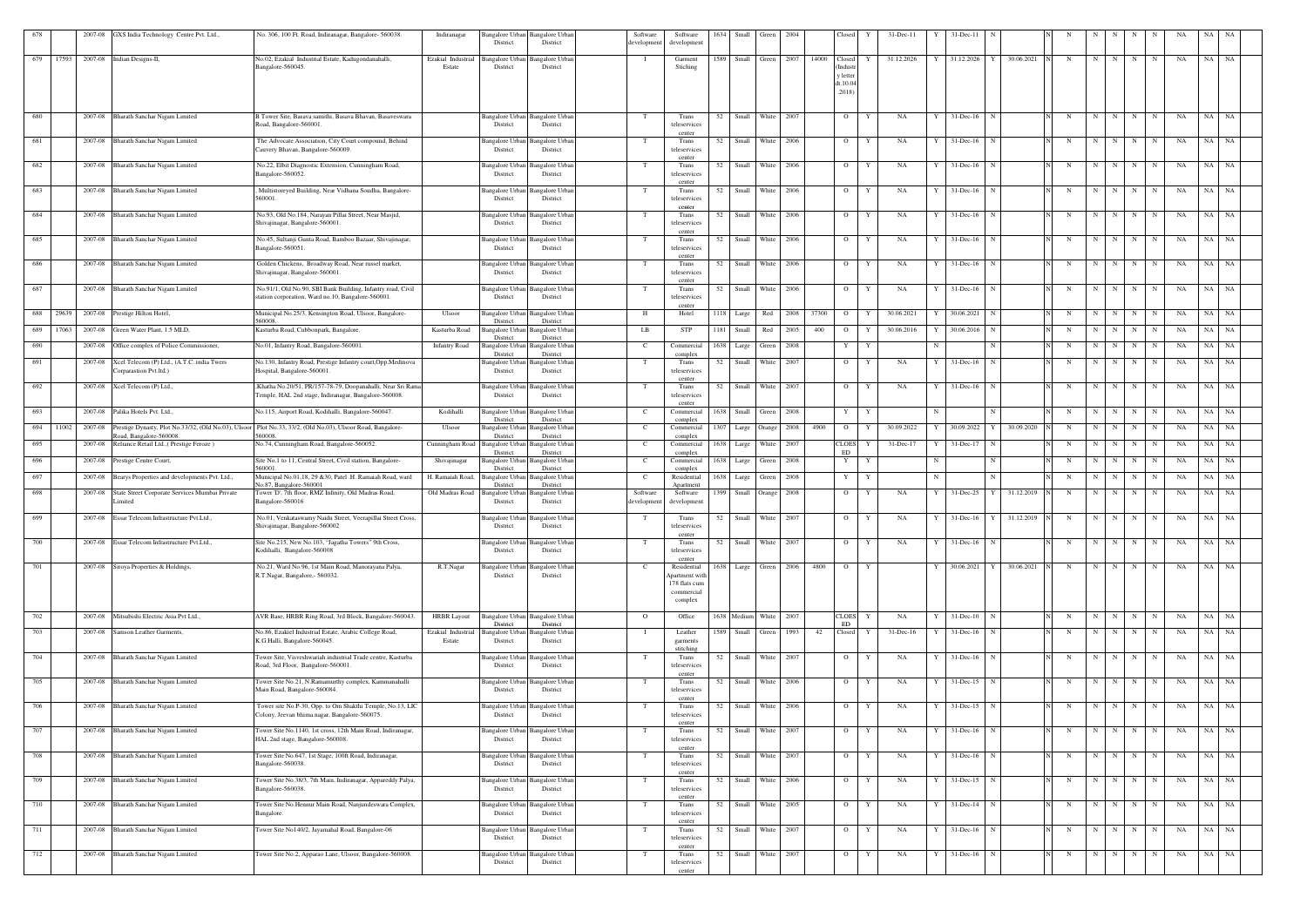| 678        |       |                    | 2007-08 GXS India Technology Centre Pvt. Ltd.,                                       | No. 306, 100 Ft. Road, Indiranagar, Bangalore- 560038.                                                                            | Indiranagar<br>District                                                           | Bangalore Urban Bangalore Urban<br>District           | Software<br>developmen       | Software<br>development                | 1634       | Small                  | Green          | 2004         |              | Closed               | $31-Dec-11$       |   | 31-Dec-11                                                         |            |            |                  |             |        |                          | ΝA       | NA.       |           |
|------------|-------|--------------------|--------------------------------------------------------------------------------------|-----------------------------------------------------------------------------------------------------------------------------------|-----------------------------------------------------------------------------------|-------------------------------------------------------|------------------------------|----------------------------------------|------------|------------------------|----------------|--------------|--------------|----------------------|-------------------|---|-------------------------------------------------------------------|------------|------------|------------------|-------------|--------|--------------------------|----------|-----------|-----------|
| 679        | 17593 |                    | 2007-08 Indian Designs-II,                                                           | No.02, Ezakial Industrial Estate, Kadugondanahalli,<br>Bangalore-560045.                                                          | Ezakial Industria<br>Estate<br>District                                           | Bangalore Urban<br>Bangalore Urbar<br>District        | - 1                          | Garment<br>Stiching                    | 1589       | Small Green            |                | 2007         | 14000 Closed | Indust               | 31.12.2026        |   | 31.12.2026                                                        | 30.06.2021 | N          | N                | N           | N      | N                        | NA       | NA NA     |           |
|            |       |                    |                                                                                      |                                                                                                                                   |                                                                                   |                                                       |                              |                                        |            |                        |                |              |              | y letter<br>dt.10.04 |                   |   |                                                                   |            |            |                  |             |        |                          |          |           |           |
|            |       |                    |                                                                                      |                                                                                                                                   |                                                                                   |                                                       |                              |                                        |            |                        |                |              |              | .2018)               |                   |   |                                                                   |            |            |                  |             |        |                          |          |           |           |
| 680        |       |                    | 2007-08 Bharath Sanchar Nigam Limited                                                | B Tower Site, Basava samithi, Basava Bhavan, Basaveswara<br>Road, Bangalore-560001                                                | District                                                                          | Bangalore Urban Bangalore Urban<br>District           | T                            | Trans<br>teleservices                  | 52         | Small White            |                | 2007         |              | $\overline{O}$       | NA<br>Y           | Y | $31$ -Dec-16 $\overline{N}$                                       |            | N          | N                | N           | N      | N                        | NA       | NA NA     |           |
| 681        |       |                    | 2007-08 Bharath Sanchar Nigam Limited                                                | The Advocate Association, City Court compound, Behind                                                                             |                                                                                   | Bangalore Urban Bangalore Urban                       | T                            | center<br>Trans                        | 52         | Small                  | White          | 2006         |              | $\overline{O}$       | NA<br>Y           |   | $31$ -Dec-16                                                      |            | N          | N                | N           | N      | N                        | NA       | NA        | NA        |
|            |       |                    | 2007-08 Bharath Sanchar Nigam Limited                                                | Cauvery Bhavan, Bangalore-560009.<br>No.22, Elbit Diagnostic Extension, Cunningham Road,                                          | District                                                                          | District                                              |                              | teleservices<br>center<br>Trans        | 52         | Small White            |                | 2006         |              | $\overline{O}$       | NA<br>Y           |   |                                                                   |            |            | N                |             | N      |                          |          | NA        |           |
| 682        |       |                    |                                                                                      | Bangalore-560052.                                                                                                                 | District                                                                          | Bangalore Urban<br>Bangalore Urbar<br>District        |                              | teleservices<br>center                 |            |                        |                |              |              |                      |                   |   | 31-Dec-16                                                         |            |            |                  |             |        | N                        | NA       |           | NA        |
| 683        |       |                    | 2007-08 Bharath Sanchar Nigam Limited                                                | Multistoreyed Building, Near Vidhana Soudha, Bangalore-<br>560001.                                                                | District                                                                          | Bangalore Urban<br>Bangalore Urbar<br>District        | T                            | Trans<br>teleservices<br>center        | 52         | Small                  | White          | 2006         |              | $\overline{O}$       | NA<br>Y           |   | $31$ -Dec-16                                                      |            | N          | N                | N           | N      | N                        | NA       | NA NA     |           |
| 684        |       |                    | 2007-08 Bharath Sanchar Nigam Limited                                                | No.93, Old No.184, Narayan Pillai Street, Near Masjid,<br>Shivajinagar, Bangalore-560001.                                         | District                                                                          | Bangalore Urban<br><b>Bangalore Urban</b><br>District | T                            | Trans<br>teleservices<br>center        |            | 52 Small White 2006    |                |              |              | $\overline{O}$       | NA<br>Y           |   | $31$ -Dec-16 N                                                    |            | N          | N                | N           | N      | N                        | NA       | NA NA     |           |
| 685        |       |                    | 2007-08 Bharath Sanchar Nigam Limited                                                | No.45, Sultanji Gunta Road, Bamboo Bazaar, Shivajinagar,<br>Bangalore-560051.                                                     | District                                                                          | Bangalore Urban Bangalore Urban<br>District           | T                            | Trans<br>teleservices<br>center        | 52         | Small                  | White          | 2006         |              | $\overline{O}$       | NA<br>Y           |   | $31$ -Dec-16<br>-N                                                |            | N          | $\mathbf N$      | N           | N      | N                        | NA       | NA        | NA        |
| 686        |       |                    | 2007-08 Bharath Sanchar Nigam Limited                                                | Golden Chickens, Broadway Road, Near russel market,<br>Shivajinagar, Bangalore-560001.                                            | District                                                                          | Bangalore Urban<br>Bangalore Urban<br>District        | T                            | Trans<br>teleservices<br>center        | 52         | Small                  | White          | 2006         |              | $\overline{O}$       | Y<br>NA           |   | $31$ -Dec-16<br>$\mathbf N$                                       |            | $_{\rm N}$ | N                | N           | N      | N                        | NA       | NA        | NA        |
| 687        |       |                    | 2007-08 Bharath Sanchar Nigam Limited                                                | No.91/1, Old No.90, SBI Bank Building, Infantry road, Civil<br>station corporation, Ward no.10, Bangalore-560001                  | District                                                                          | Bangalore Urban<br><b>Bangalore</b> Urban<br>District | T                            | Trans<br>teleservices<br>center        | 52         | Small                  | White          | 2006         |              | $\overline{O}$       | Y<br>NA           | Y | $31$ -Dec-16 N                                                    |            | N          | N                | N           | N      | N                        | NA       | NA NA     |           |
| 688        | 29639 |                    | 2007-08 Prestige Hilton Hotel,                                                       | Municipal No.25/3, Kensington Road, Ulsoor, Bangalore-<br>560008.                                                                 | Ulsoor<br><b>Bangalore Urban</b><br>District                                      | <b>Bangalore</b> Urban<br>District                    | H                            | Hotel                                  |            | 1118 Large             | Red            | 2008         | 37300        | $\overline{O}$       | 30.06.2021<br>Y   |   | 30.06.2021                                                        |            | N          | N                | N           | N      | N                        | NA       | NA NA     |           |
| 689        | 17063 | 2007-08            | Green Water Plant, 1.5 MLD,                                                          | Kasturba Road, Cubbonpark, Bangalore.                                                                                             | Kasturba Road<br>District                                                         | Bangalore Urban<br>Bangalore Urbar<br>District        | LB                           | STP                                    | 1181       | Small                  | Red            | 2005         | 400          | $\overline{O}$       | 30.06.2016        |   | 30.06.2016                                                        |            | N          | $\mathbf N$      | N           | N      | N                        | NA       | NA        | NA        |
| 690<br>691 |       | 2007-08<br>2007-08 | Office complex of Police Commissioner,<br>Xcel Telecom (P) Ltd., (A.T.C. india Twers | No.01, Infantry Road, Bangalore-560001.<br>No.130, Infantry Road, Prestige Infantry court, Opp. Medinova                          | <b>Infantry Road</b><br>Bangalore Urbar<br>District<br>Bangalore Urbar            | Bangalore Urban<br>District<br>Bangalore Urban        | C<br>T                       | Commercial<br>complex<br>Trans         | 1638<br>52 | Large<br>Small         | Green<br>White | 2008<br>2007 |              | Y<br>$\overline{O}$  | Y<br>NA<br>Y      |   | $31$ -Dec-16<br>N                                                 |            | N<br>N     | $\mathbf N$<br>N | N           | N<br>N | $_{\rm N}$<br>$_{\rm N}$ | NA<br>NA | NA<br>NA  | NA<br>NA  |
|            |       |                    | Corparastion Pvt.ltd.)                                                               | Hospital, Bangalore-560001.                                                                                                       | District                                                                          | District                                              |                              | teleservices<br>center                 |            |                        |                |              |              |                      |                   |   |                                                                   |            |            |                  |             |        |                          |          |           |           |
| 692        |       | 2007-08            | Xcel Telecom (P) Ltd.,                                                               | ,Khatha No.20/51, PR/157-78-79, Doopanahalli, Near Sri Rama<br>Temple, HAL 2nd stage, Indiranagar, Bangalore-560008.              | District                                                                          | Bangalore Urban<br>Bangalore Urban<br>District        | T                            | Trans<br>teleservices<br>center        | 52         | Small                  | White          | 2007         |              | $\overline{O}$       | NA<br>Y           |   | $31$ -Dec-16<br>N                                                 |            | N          | N                | N           | N      | N                        | NA       | NA        | <b>NA</b> |
| 693        |       |                    | 2007-08 Palika Hotels Pvt. Ltd.,                                                     | No.115, Airport Road, Kodihalli, Bangalore-560047.                                                                                | Kodihalli<br>District                                                             | Bangalore Urban<br><b>Bangalore Urbar</b><br>District | C                            | Commercial<br>complex                  | 1638       | Small                  | Green          | 2008         |              | Y                    | Y                 |   |                                                                   |            | N          | N                | N           | N      | N                        | NA       | NA        | NA        |
| 694        | 11002 | 2007-08            | Road, Bangalore-560008                                                               | Prestige Dynasty, Plot No.33/32, (Old No.03), Ulsoor Plot No.33, 33/2, (Old No.03), Ulsoor Road, Bangalore-<br>560008.            | Bangalore Urban<br>Ulsoor<br>District                                             | <b>Bangalore Urban</b><br>District                    | $\mathbf{C}$                 | Commercial<br>complex                  | 1307       | Large Orange           |                | 2008         | 4900         | $\overline{O}$       | 30.09.2022        |   | 30.09.2022                                                        | 30.09.2020 | N          | N                | N           | N      | N                        | NA       | NA        | NA        |
| 695        |       | 2007-08            | Reliance Retail Ltd., (Prestige Feroze)                                              | No.74, Cunningham Road, Bangalore-560052.                                                                                         | Cunningham Road<br>District                                                       | Bangalore Urban<br><b>Bangalore</b> Urban<br>District | $\mathbf{C}$                 | Commercial<br>complex                  | 1638       | Large                  | White          | 2007         |              | <b>CLOES</b><br>ED   | 31-Dec-17<br>Y    |   | 31-Dec-17                                                         |            | N          | $\mathbf N$      | N           | N      |                          | NA       | NA        | NA        |
| 696<br>697 |       | 2007-08<br>2007-08 | Prestige Centre Court,<br>Bearys Properties and developments Pvt. Ltd.,              | Site No.1 to 11, Central Street, Civil station, Bangalore-<br>560001<br>Municipal No.01,18, 29 & 30, Patel .H. Ramaiah Road, ward | Shivajinagar<br>Bangalore Urban<br>District<br>H. Ramaiah Road<br>Bangalore Urban | Bangalore Urban<br>District<br>Bangalore Urban        | $\mathbf{C}$<br>$\mathbf{C}$ | Commercial<br>complex<br>Residential   | 1638       | Large<br>1638 Large    | Green<br>Green | 2008<br>2008 |              | Y<br>$\mathbf{Y}$    | Y                 |   |                                                                   |            | N<br>N     | N<br>N           | N<br>N      | N<br>N | N                        | NA<br>NA | NA<br>NA  | NA<br>NA  |
| 698        |       | 2007-08            | State Street Corporate Services Mumbai Private                                       | No.87, Bangalore-560001<br>Tower 'D', 7th floor, RMZ Infinity, Old Madras Road,                                                   | District<br>Old Madras Road                                                       | District<br>Bangalore Urban<br><b>Bangalore</b> Urban | Software                     | Apartment<br>Software                  | 1399       | Small Orange           |                | 2008         |              | $\overline{O}$       | Y<br>NA           | Y | $31$ -Dec-25 Y                                                    | 31.12.2019 | N          | N                | N           | N      | N                        | NA       | NA        | NA        |
|            |       |                    | imited                                                                               | Bangalore-560016                                                                                                                  | District                                                                          | District                                              | developmen                   | development                            |            |                        |                |              |              |                      |                   |   |                                                                   |            |            |                  |             |        |                          |          |           |           |
| 699        |       |                    | 2007-08 Essar Telecom Infrastructure Pvt.Ltd.,                                       | No.01, Venkataswamy Naidu Street, Veerapillai Street Cross,<br>Shivajinagar, Bangalore-560002                                     | District                                                                          | Bangalore Urban Bangalore Urban<br>District           | T                            | Trans<br>teleservices<br>center        |            | 52 Small White         |                | 2007         |              |                      | $O$ $Y$<br>NA     |   | Y   31-Dec-16   Y   31.12.2019   N   N   N   N   N   NA   NA   NA |            |            |                  |             |        |                          |          |           |           |
| 700        |       | 2007-08            | Essar Telecom Infrastructure Pvt.Ltd.,                                               | Site No.215, New No.103, "Jagatha Towers" 9th Cross,<br>Kodihalli, Bangalore-560008                                               | District                                                                          | Bangalore Urban Bangalore Urban<br>District           | T                            | Trans<br>teleservices<br>center        | 52         | Small                  | White          | 2007         |              | $\overline{O}$       | Y<br>NA           |   | $31$ -Dec-16<br>$\mathbf N$                                       |            | N          | N                | N           | N      | N                        | NA       | NA        | NA        |
| 701        |       |                    | 2007-08 Siroya Properties & Holdings,                                                | No.21, Ward No.96, 1st Main Road, Manorayana Palya,<br>R.T.Nagar, Bangalore, - 560032.                                            | R.T.Nagar<br>District                                                             | Bangalore Urban<br>Bangalore Urbar<br>District        | $\mathbf{C}$                 | Residential<br>Apartment with          | 1638       | Large Green 2006       |                |              | 4800         | $\overline{O}$       |                   |   | 30.06.2021 Y                                                      | 30.06.2021 | N          | N                | N           | N      | N                        | NA       | NA NA     |           |
|            |       |                    |                                                                                      |                                                                                                                                   |                                                                                   |                                                       |                              | 178 flats cum<br>commercial<br>complex |            |                        |                |              |              |                      |                   |   |                                                                   |            |            |                  |             |        |                          |          |           |           |
| 702        |       |                    | 2007-08 Mitsubishi Electric Asia Pvt Ltd.,                                           | AVR Base, HRBR Ring Road, 3rd Block, Bangalore-560043.                                                                            | <b>HRBR Layout</b>                                                                | Bangalore Urban Bangalore Urban                       | $\Omega$                     | Office                                 |            | 1638 Medium White 2007 |                |              |              | <b>CLOES</b>         | NA<br>Y           |   | $31$ -Dec-10 N                                                    |            | N          | N                | N           | N      | N                        | NA       | $NA$ $NA$ |           |
| 703        |       | 2007-08            | Samson Leather Garments,                                                             | No.86, Ezakiel Industrial Estate, Arabic College Road,                                                                            | District<br>Ezakial Industria                                                     | District<br>Bangalore Urban<br>angalore Urban         | - 1                          | Leather                                | 1589       | Small                  | Green          | 1993         | 42           | ED<br>Closed         | $31$ -Dec-16<br>Y |   | $31$ -Dec-16<br>$\mathbf N$                                       |            | N          | N                | N           | N      | N                        | NA       | NA        | NA        |
| 704        |       |                    | 2007-08 Bharath Sanchar Nigam Limited                                                | K.G.Halli, Bangalore-560045.<br>Tower Site, Visveshwariah industrial Trade centre, Kasturba                                       | Estate<br>District                                                                | District<br>Bangalore Urban<br>Bangalore Urban        | T                            | garments<br>stitching<br>Trans         | 52         | Small                  | White 2007     |              |              | $\overline{O}$       | NA<br>Y           | Y | $31$ -Dec-16 N                                                    |            | N          | N                | N           | N      | N                        | NA       | NA NA     |           |
|            |       |                    |                                                                                      | Road, 3rd Floor, Bangalore-560001.                                                                                                | District                                                                          | District                                              |                              | teleservices<br>center                 |            |                        |                |              |              |                      |                   |   |                                                                   |            |            |                  |             |        |                          |          |           |           |
| 705        |       |                    | 2007-08 Bharath Sanchar Nigam Limited                                                | Tower Site No.21, N.Ramamurthy complex, Kammanahalli<br>Main Road, Bangalore-560084.                                              | District                                                                          | Bangalore Urban<br>Bangalore Urban<br>District        | T                            | Trans<br>teleservices<br>center        |            | 52 Small White 2006    |                |              |              | $\overline{O}$       | NA<br>Y           |   | $31$ -Dec-15 N                                                    |            | N          | N                | N           | N      | N                        | NA       | NA NA     |           |
| 706        |       |                    | 2007-08 Bharath Sanchar Nigam Limited                                                | Tower site No.P-30, Opp. to Om Shakthi Temple, No.13, LIC<br>Colony, Jeevan bhima nagar, Bangalore-560075.                        | District                                                                          | Bangalore Urban Bangalore Urban<br>District           | T                            | Trans<br>teleservices<br>center        | 52         | Small White            |                | 2006         |              | $\overline{O}$       | NA<br>Y           |   | $31 - Dec-15$<br>$\mathbf N$                                      |            | N          | N                | N           | N      | N                        | NA       | NA NA     |           |
| 707        |       |                    | 2007-08 Bharath Sanchar Nigam Limited                                                | Tower Site No.1140, 1st cross, 12th Main Road, Indiranagar,<br>HAL 2nd stage, Bangalore-560008.                                   | District                                                                          | Bangalore Urban<br>Bangalore Urba<br>District         | T                            | Trans<br>teleservices<br>center        | 52         | Small White 2007       |                |              |              | $\overline{O}$       | Y<br>NA           |   | $31$ -Dec-16 N                                                    |            | N          | N                | N           | N      | N                        | NA       | NA NA     |           |
| 708        |       |                    | 2007-08 Bharath Sanchar Nigam Limited                                                | Tower Site No.647, 1st Stage, 100ft Road, Indiranagar,<br>Bangalore-560038.                                                       | District                                                                          | Bangalore Urban<br><b>Bangalore</b> Urban<br>District | T                            | Trans<br>teleservices<br>center        | 52         | Small White 2007       |                |              |              | $\overline{O}$       | Y<br>NA           | Y | $31$ -Dec-16 N                                                    |            | N          |                  | $N$ $N$ $N$ |        | N                        | NA       | NA NA     |           |
| 709        |       | 2007-08            | Bharath Sanchar Nigam Limited                                                        | Tower Site No.38/3, 7th Main, Indiranagar, Appareddy Palya,<br>Bangalore-560038.                                                  | District                                                                          | Bangalore Urban<br>Bangalore Urban<br>District        | T                            | Trans<br>teleservices<br>center        | 52         | Small                  | White          | 2006         |              | $\overline{O}$       | NA<br>Y           |   | $31$ -Dec-15 N                                                    |            | N          | N                | N           | N      | N                        | NA       | NA NA     |           |
| 710        |       |                    | 2007-08 Bharath Sanchar Nigam Limited                                                | Tower Site No.Hennur Main Road, Nanjundeswara Complex,<br>Bangalore.                                                              | District                                                                          | Bangalore Urban Bangalore Urban<br>District           | T                            | Trans<br>teleservices<br>center        | 52         | Small                  | White          | 2005         |              | $\overline{O}$       | NA<br>Y           |   | $31$ -Dec-14<br>$\mathbf N$                                       |            | N          | N                | N           | N      | N                        | NA       | NA        | NA        |
| 711        |       |                    | 2007-08 Bharath Sanchar Nigam Limited                                                | Tower Site No140/2, Jayamahal Road, Bangalore-06                                                                                  | District                                                                          | Bangalore Urban<br>Bangalore Urbar<br>District        | T                            | Trans<br>teleservices                  | 52         | Small                  | White          | 2007         |              | $\overline{O}$       | Y<br>NA           |   | $31$ -Dec-16 N                                                    |            | N          | $\mathbf N$      | N           | N      | N                        | NA       | NA NA     |           |
| 712        |       |                    | 2007-08 Bharath Sanchar Nigam Limited                                                | Tower Site No.2, Apparao Lane, Ulsoor, Bangalore-560008.                                                                          | District                                                                          | Bangalore Urban Bangalore Urban<br>District           | T                            | center<br>Trans<br>teleservices        | 52         | Small White 2007       |                |              |              | $\overline{O}$       | Y<br>NA           | Y | $31$ -Dec-16 N                                                    |            | N          | N                | N           | N      | N                        | NA       | NA NA     |           |
|            |       |                    |                                                                                      |                                                                                                                                   |                                                                                   |                                                       |                              | center                                 |            |                        |                |              |              |                      |                   |   |                                                                   |            |            |                  |             |        |                          |          |           |           |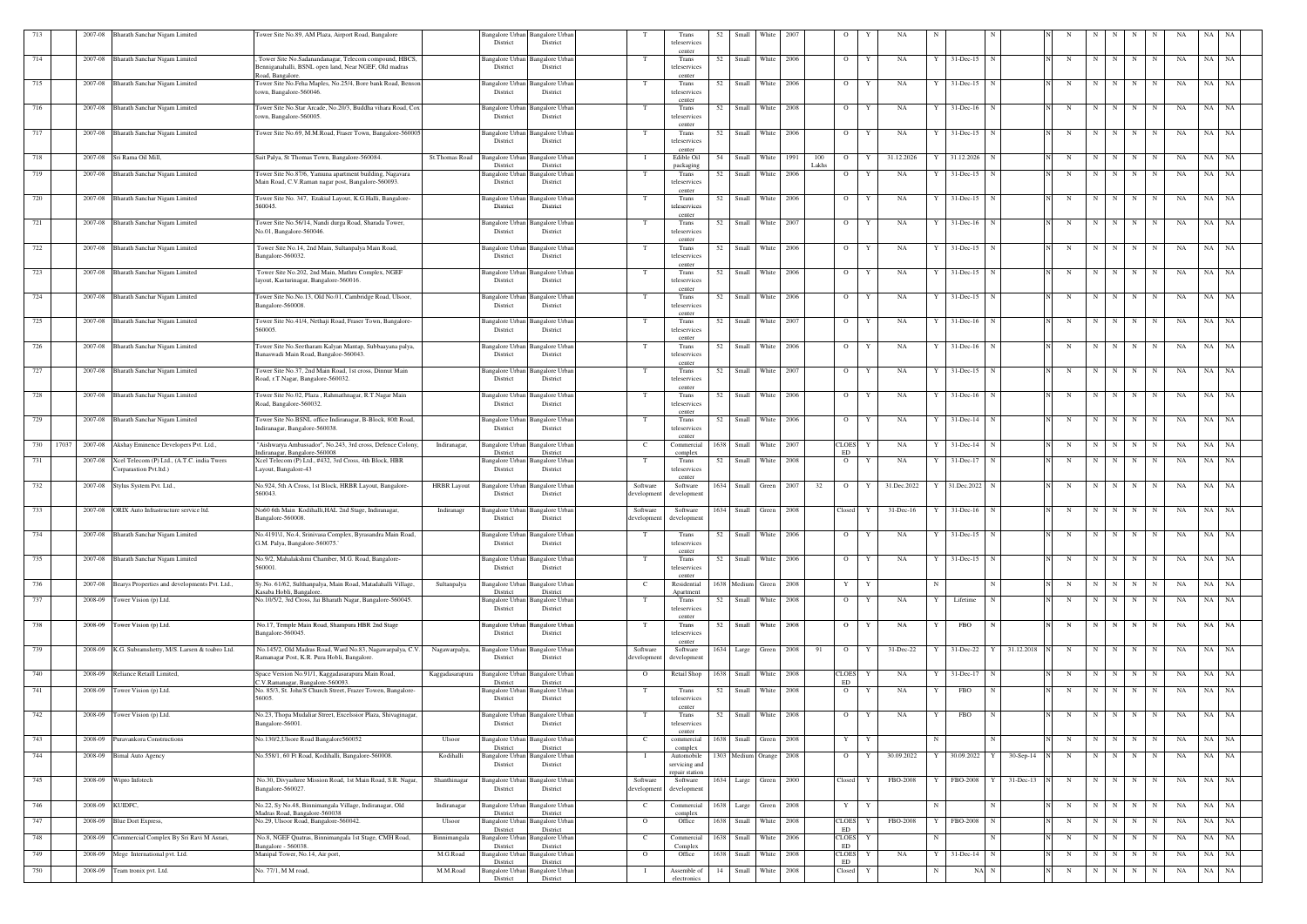| 713 |       |                 | 2007-08 Bharath Sanchar Nigam Limited                                | Tower Site No.89, AM Plaza, Airport Road, Bangalore                                                           |                       | District                           | Bangalore Urban Bangalore Urban<br>District        |                                     | Trans<br>teleservices                         | 52 | Small                 | White      | 2007 |              |                    |   |                 |              |                             |                        |   |             |                 |             |             |    |       |           |
|-----|-------|-----------------|----------------------------------------------------------------------|---------------------------------------------------------------------------------------------------------------|-----------------------|------------------------------------|----------------------------------------------------|-------------------------------------|-----------------------------------------------|----|-----------------------|------------|------|--------------|--------------------|---|-----------------|--------------|-----------------------------|------------------------|---|-------------|-----------------|-------------|-------------|----|-------|-----------|
| 714 |       |                 | 2007-08 Bharath Sanchar Nigam Limited                                | Tower Site No.Sadanandanagar, Telecom compound, HBCS,                                                         |                       | Bangalore Urbar                    | Bangalore Urban                                    | T                                   | center<br>Trans                               | 52 | <b>Small</b>          | White      | 2006 |              | $\overline{O}$     |   | NA              |              | 31-Dec-15                   | N                      | N | $\mathbf N$ | N               | N           | N           | NA | NA NA |           |
|     |       |                 |                                                                      | Benniganahalli, BSNL open land, Near NGEF, Old madras<br>Road, Bangalore                                      |                       | District                           | District                                           |                                     | teleservices<br>cente                         |    |                       |            |      |              |                    |   |                 |              |                             |                        |   |             |                 |             |             |    |       |           |
| 715 |       |                 | 2007-08 Bharath Sanchar Nigam Limited                                | Tower Site No.Feha Maples, No.25/4, Bore bank Road, Benson<br>own, Bangalore-560046.                          |                       | <b>Bangalore Urban</b><br>District | <b>Bangalore</b> Urban<br>District                 | T                                   | Trans<br>teleservices<br>center               | 52 | Small                 | White      | 2006 |              | $\overline{O}$     | Y | <b>NA</b>       | Y            | 31-Dec-15                   | N                      | N | N           | N               | N           | N           | NA | NA NA |           |
| 716 |       |                 | 2007-08 Bharath Sanchar Nigam Limited                                | Tower Site No.Star Arcade, No.20/3, Buddha vihara Road, Co:<br>town, Bangalore-560005                         |                       | Bangalore Urbar<br>District        | <b>Bangalore Urba</b><br>District                  | T                                   | Trans<br>teleservices<br>cente                |    | 52 Small              | White      | 2008 |              | $\overline{O}$     |   | NA              |              | $31 - Dec-16$               | N                      | N | N           | N               | N           | N           | NA | NA NA |           |
| 717 |       |                 | 2007-08 Bharath Sanchar Nigam Limited                                | Tower Site No.69, M.M.Road, Fraser Town, Bangalore-560005                                                     |                       | District                           | Bangalore Urban Bangalore Urban<br>District        | T                                   | Trans<br>teleservices<br>center               | 52 | Small                 | White      | 2006 |              | $\circ$            | Y | NA              |              | $31 - Dec-15$               | N                      | N | $\mathbf N$ | N               | N           | N           | NA | NA    | NA        |
| 718 |       |                 | 2007-08 Sri Rama Oil Mill,                                           | Sait Palya, St Thomas Town, Bangalore-560084.                                                                 | <b>St.Thomas Road</b> | <b>Bangalore Urbar</b><br>District | <b>Bangalore Urban</b><br>District                 | - 1                                 | Edible Oil<br>packaging                       | 54 | Small                 | White      | 1991 | 100<br>Lakhs | $\overline{O}$     |   | 31.12.2026      |              | 31.12.2026                  | N                      | N | $\mathbf N$ | N               | N           | N           | NA | NA NA |           |
| 719 |       |                 | 2007-08 Bharath Sanchar Nigam Limited                                | Tower Site No.87/6, Yamuna apartment building, Nagavara<br>Main Road, C.V.Raman nagar post, Bangalore-560093. |                       | Bangalore Urbar<br>District        | Bangalore Urbar<br>District                        | T                                   | Trans<br>teleservices<br>center               |    | 52 Small              | White      | 2006 |              | $\overline{O}$     |   | NA              |              | 31-Dec-15                   |                        | N | $\mathbf N$ | N               | N           | N           | NA | NA NA |           |
| 720 |       |                 | 2007-08 Bharath Sanchar Nigam Limited                                | Tower Site No. 347, Ezakial Layout, K.G.Halli, Bangalore-<br>560045.                                          |                       | angalore Urban<br>District         | <b>Bangalore</b> Urban<br>District                 | T                                   | Trans<br>teleservices<br>center               | 52 | Small                 | White      | 2006 |              | $\circ$            | Y | NA              |              | $31$ -Dec-15                |                        | N | N           | N               | N           | N           | NA | NA    | NA        |
| 721 |       |                 | 2007-08 Bharath Sanchar Nigam Limited                                | Tower Site No.56/14, Nandi durga Road, Sharada Tower,<br>No.01, Bangalore-560046.                             |                       | Bangalore Urbai<br>District        | Bangalore Urba<br>District                         | T                                   | Trans<br>teleservices<br>center               | 52 | Small                 | White      | 2007 |              | $\circ$            |   | NA              |              | 31-Dec-16                   | N                      | N | N           | N               | N           | N           | NA | NA    | NA        |
| 722 |       |                 | 2007-08 Bharath Sanchar Nigam Limited                                | Tower Site No.14, 2nd Main, Sultanpalya Main Road,<br>Bangalore-560032                                        |                       | <b>Rangalore Urban</b><br>District | <b>Bangalore Urban</b><br>District                 | T                                   | Trans<br>teleservice<br>center                | 52 | Small                 | White      | 2006 |              | $\overline{O}$     | Y | NA              | Y            | $31 - Dec-15$               | $\mathbb N$            | N | N           | N               | N           | N           | NA | NA    | <b>NA</b> |
| 723 |       |                 | 2007-08 Bharath Sanchar Nigam Limited                                | Tower Site No.202, 2nd Main, Mathru Complex, NGEF<br>layout, Kasturinagar, Bangalore-560016.                  |                       | Bangalore Urbai<br>District        | Bangalore Urban<br>District                        | - Т                                 | Trans<br>teleservices                         | 52 | Small                 | White      | 2006 |              | $\circ$            |   | NA              |              | $31$ -Dec-15                |                        | N | $\mathbf N$ | N               | N           | N           | NA | NA    | NA        |
| 724 |       |                 | 2007-08 Bharath Sanchar Nigam Limited                                | Tower Site No.No.13, Old No.01, Cambridge Road, Ulsoor,<br>Bangalore-560008                                   |                       | Bangalore Urban<br>District        | <b>Bangalore Urban</b><br>District                 | T                                   | center<br>Trans<br>teleservices               | 52 | Small                 | White      | 2006 |              | $\overline{O}$     | Y | NA              |              | $31$ -Dec-15                |                        | N | N           | N               | N           | N           | NA | NA    | <b>NA</b> |
| 725 |       |                 | 2007-08 Bharath Sanchar Nigam Limited                                | Tower Site No.41/4, Nethaji Road, Fraser Town, Bangalore-<br>560005.                                          |                       | Bangalore Urbai<br>District        | Bangalore Urba<br>District                         | T                                   | center<br>Trans<br>teleservices               | 52 | Small                 | White      | 2007 |              | $\circ$            |   | NA              |              | $31 - Dec-16$               |                        | N | N           |                 | N           | N           | NA | NA    | NA        |
| 726 |       |                 | 2007-08 Bharath Sanchar Nigam Limited                                | Tower Site No.Seetharam Kalyan Mantap, Subbaayana palya,<br>Banaswadi Main Road, Bangaloe-560043.             |                       | angalore Urban<br>District         | <b>Bangalore Urban</b><br>District                 | T                                   | cente<br>Trans<br>teleservices                | 52 | Small                 | White      | 2006 |              | $\overline{O}$     | Y | NA              |              | $31$ -Dec-16                | N                      | N | N           | N               | N           | $\mathbf N$ | NA | NA NA |           |
| 727 |       |                 | 2007-08 Bharath Sanchar Nigam Limited                                | Tower Site No.37, 2nd Main Road, 1st cross, Dinnur Main<br>Road, r.T.Nagar, Bangalore-560032.                 |                       | Bangalore Urban<br>District        | Bangalore Urbar<br>District                        | T                                   | center<br>Trans<br>teleservices<br>center     | 52 | Small                 | White      | 2007 |              | $\overline{O}$     |   | NA              |              | 31-Dec-15                   |                        | N | $\mathbf N$ | N               | N           | N           | NA | NA    | NA        |
| 728 |       |                 | 2007-08 Bharath Sanchar Nigam Limited                                | Tower Site No.02, Plaza, Rahmathnagar, R.T.Nagar Main<br>Road, Bangalore-560032.                              |                       | District                           | Bangalore Urban Bangalore Urban<br>District        | T                                   | Trans<br>teleservices                         | 52 | Small                 | White      | 2006 |              | $\overline{O}$     | Y | NA              | Y            | $31$ -Dec-16                | N                      | N | N           | N               | N           | N           | NA | NA    | <b>NA</b> |
| 729 |       |                 | 2007-08 Bharath Sanchar Nigam Limited                                | Tower Site No.BSNL office Indiranagar, B-Block, 80ft Road,<br>Indiranagar, Bangalore-560038.                  |                       | Bangalore Urban<br>District        | <b>Bangalore</b> Urbar<br>District                 | T                                   | center<br>Trans<br>teleservices<br>center     | 52 | Small                 | White      | 2006 |              | $\overline{O}$     | Y | NA              | Y            | 31-Dec-14                   | $\mathbf N$            | N | N           | N               | N           | N           | NA | NA    | NA        |
| 730 | 17037 |                 | 2007-08 Akshay Eminence Developers Pvt. Ltd.,                        | "Aishwarya Ambassador", No.243, 3rd cross, Defence Colony,<br>Indiranagar, Bangalore-560008                   | Indiranagar,          | District                           | Bangalore Urban Bangalore Urban<br>District        | C                                   | Commercial<br>complex                         |    | 1638 Small White      |            | 2007 |              | <b>CLOES</b><br>ED | Y | NA              |              | $31$ -Dec-14 N              |                        | N | N           | N               | N           | N           | NA | NA NA |           |
| 731 |       | 2007-08         | Xcel Telecom (P) Ltd., (A.T.C. india Twers<br>Corparastion Pvt.ltd.) | Xcel Telecom (P) Ltd., #432, 3rd Cross, 4th Block, HBR<br>Layout, Bangalore-43                                |                       | District                           | Bangalore Urban Bangalore Urban<br>District        | T                                   | Trans<br>teleservices                         |    | 52   Small            | White      | 2008 |              | $\overline{O}$     | Y | NA              | Y            | $31$ -Dec-17 N              |                        | N | $\mathbf N$ | N               | N           | N           | NA | NA NA |           |
| 732 |       |                 | 2007-08 Stylus System Pvt. Ltd.,                                     | No.924, 5th A Cross, 1st Block, HRBR Layout, Bangalore-<br>560043.                                            | <b>HRBR</b> Layout    | <b>Bangalore Urban</b><br>District | Bangalore Urbar<br>District                        | Software<br>developmen              | center<br>Software<br>development             |    | 1634 Small            | Green      | 2007 | 32           | $\overline{O}$     | Y | 31.Dec.2022     |              | 31.Dec.2022 N               |                        | N | N           | N I             | N           | N           | NA | NA NA |           |
| 733 |       |                 | 2007-08 ORIX Auto Infrastructure service ltd.                        | No60 6th Main Kodihalli, HAL 2nd Stage, Indiranagar,<br>ingalore-560008.                                      | Indiranagr            | District                           | Bangalore Urban Bangalore Urban<br>District        | Software                            | Software                                      |    | 1634 Small Green      |            | 2008 |              | Closed             | Y | $31 - Dec-16$   | Y            | $31$ -Dec-16 $\overline{N}$ |                        | N | N           | N               | N           | N           | NA | NA NA |           |
| 734 |       |                 | 2007-08 Bharath Sanchar Nigam Limited                                | No.4191\1, No.4, Srinivasa Complex, Byrasandra Main Road,<br>G.M. Palya, Bangalore-560075.                    |                       | District                           | Bangalore Urban Bangalore Urban<br>District        | T                                   | Trans<br>teleservices<br>center               | 52 | Small                 | White      | 2006 |              | $\overline{O}$     | Y | NA              |              | $31 - Dec-15$               | $\mathbf N$            | N | N           | N               | N           | N           | NA | NA    | <b>NA</b> |
| 735 |       |                 | 2007-08 Bharath Sanchar Nigam Limited                                | No.9/2, Mahalakshmi Chamber, M.G. Road, Bangalore-<br>560001.                                                 |                       | District                           | Bangalore Urban Bangalore Urban<br>District        | T                                   | Trans<br>teleservices<br>center               |    | 52 Small White 2006   |            |      |              | $\overline{O}$     | Y | NA              | Y            | $31$ -Dec-15 N              |                        | N | N           | N               | N           | N           | NA | NA NA |           |
| 736 |       |                 | 2007-08 Bearys Properties and developments Pvt. Ltd.,                | Sy.No. 61/62, Sulthanpalya, Main Road, Matadahalli Village,<br>asaba Hobli, Bangalore.                        | Sultanpalya           | Bangalore Urban<br>District        | <b>Bangalore Urban</b><br>District                 | C                                   | Residential<br>Apartment                      |    | 1638 Medium Green     |            | 2008 |              | Y                  | Y |                 | N            |                             | N                      | N | N           | N               | N           | N           | NA | NA NA |           |
| 737 |       |                 | 2008-09 Tower Vision (p) Ltd.                                        | No.10/5/2, 3rd Cross, Jai Bharath Nagar, Bangalore-560045.                                                    |                       | District                           | <b>Bangalore Urban</b> Bangalore Urban<br>District | T                                   | Trans<br>teleservices<br>center               | 52 | Small                 | White 2008 |      |              | $\overline{O}$     | Y | NA              |              | Lifetime                    | N                      | N | $\mathbf N$ | N               | N           | N           | NA | NA NA |           |
| 738 |       |                 | 2008-09 Tower Vision (p) Ltd.                                        | No.17, Temple Main Road, Shampura HBR 2nd Stage<br>3angalore-560045.                                          |                       | Bangalore Urban<br>District        | <b>Bangalore Urban</b><br>District                 | $\mathbf{T}$                        | Trans<br>teleservices<br>center               |    | 52 Small White 2008   |            |      |              | $\overline{O}$     | Y | NA              | $\mathbf{Y}$ | <b>FBO</b>                  | $\mathbf N$            | N | N           | N               | N           | N           | NA | NA NA |           |
| 739 |       |                 | 2008-09 K.G. Subramshetty, M/S. Larsen & toabro Ltd.                 | No.145/2, Old Madras Road, Ward No.83, Nagawarpalya, C.V.<br>Ramanagar Post, K.R. Pura Hobli, Bangalore.      | Nagawarpalya,         | Bangalore Urban<br>District        | <b>Bangalore Urban</b><br>District                 | Software<br>developmen <sup>®</sup> | Software<br>development                       |    | 1634 Large Green 2008 |            |      | 91           | $\overline{O}$     | Y | 31-Dec-22       |              |                             | 31-Dec-22 Y 31.12.2018 | N |             | $N$   $N$   $N$ |             | N           | NA | NA NA |           |
| 740 |       |                 | 2008-09 Reliance Retaill Limited,                                    | Space Version No.91/1, Kaggadasarapura Main Road,<br>.V.Ramanagar, Bangalore-560093.                          | Kaggadasarapura       | <b>Bangalore</b> Urbar<br>District | <b>Bangalore Urban</b><br>District                 | $\overline{O}$                      | Retail Shop                                   |    | 1638 Small White 2008 |            |      |              | <b>CLOES</b><br>ED | Y | NA              |              | 31-Dec-17 N                 |                        | N | N           | N               | N           | N           | NA | NA NA |           |
| 741 |       | 2008-09         | Tower Vision (p) Ltd.                                                | No. 85/3, St. John'S Church Street, Frazer Towen, Bangalore-<br>56005.                                        |                       | Bangalore Urban<br>District        | <b>Bangalore</b> Urban<br>District                 | T                                   | Trans<br>teleservices<br>center               |    | 52 Small              | White      | 2008 |              | $\overline{O}$     |   | NA              |              | FBO                         |                        | N | N           | N               | N           | N           | NA | NA NA |           |
| 742 |       |                 | 2008-09 Tower Vision (p) Ltd.                                        | No.23, Thopa Mudaliar Street, Excelssior Plaza, Shivaginagar,<br>Bangalore-56001.                             |                       | Bangalore Urban<br>District        | <b>Bangalore</b> Urban<br>District                 | T                                   | Trans<br>teleservices<br>center               | 52 | Small                 | White      | 2008 |              | $\overline{O}$     | Y | NA              | Y            | <b>FBO</b>                  | N                      | N | N           | N               | N           | N           | NA | NA NA |           |
| 743 |       | 2008-09         | Puravankora Constructions                                            | No.130/2, Ulsore Road Bangalore 560052                                                                        | Ulsoor                | Bangalore Urban<br>District        | <b>Bangalore Urban</b><br>District                 | $\mathbf{C}$                        | commercial<br>complex                         |    | 1638 Small Green      |            | 2008 |              | Y                  | Y |                 |              |                             | N                      | N | N           | N               | N           | N           | NA | NA NA |           |
| 744 |       | 2008-09         | <b>Bimal Auto Agency</b>                                             | No.558/1, 60 Ft Road, Kodihalli, Bangalore-560008.                                                            | Kodihalli             | <b>Bangalore</b> Urbar<br>District | Bangalore Urban<br>District                        |                                     | Automobile<br>servicing and<br>repair station |    | 1303 Medium Orange    |            | 2008 |              | $\overline{O}$     | Y | 30.09.2022      | Y            | 30.09.2022 Y                | $30-Sep-14$            | N | $\mathbf N$ | N               | $\mathbf N$ | N           | NA | NA NA |           |
| 745 |       |                 | 2008-09 Wipro Infotech                                               | No.30, Divyashree Mission Road, 1st Main Road, S.R. Nagar,<br>Bangalore-560027.                               | Shanthinagar          | District                           | Bangalore Urban Bangalore Urban<br>District        | Software<br>developmen              | Software<br>developmen                        |    | 1634 Large Green 2000 |            |      |              | Closed             | Y | FBO-2008        |              | FBO-2008 Y                  | 31-Dec-13              | N |             | $N$   $N$   $N$ |             | N           | NA | NA NA |           |
| 746 |       | 2008-09 KUIDFC, |                                                                      | No.22, Sy No.48, Binnimangala Village, Indiranagar, Old<br>Madras Road, Bangalore-560038                      | Indiranagar           | Bangalore Urban<br>District        | <b>Bangalore Urban</b><br>District                 | <sup>-</sup> C                      | Commercial<br>complex                         |    | 1638 Large Green      |            | 2008 |              | Y                  | Y |                 |              |                             | N                      | N | N           | N               | N           | N           | NA | NA NA |           |
| 747 |       | 2008-09         | Blue Dort Express,                                                   | No.29, Ulsoor Road, Bangalore-560042.                                                                         | Ulsoor                | Bangalore Urbar<br>District        | Bangalore Urban<br>District                        | $\overline{O}$                      | Office                                        |    | 1638 Small            | White      | 2008 |              | <b>CLOES</b><br>ED |   | <b>FBO-2008</b> |              | FBO-2008                    | $\mathbf N$            | N | $\mathbf N$ | N               | N           | $\mathbf N$ | NA | NA NA |           |
| 748 |       | 2008-09         | Commercial Complex By Sri Ravi M Asrari,                             | No.8, NGEF Quatras, Binnimangala 1st Stage, CMH Road,<br>Bangalore - 560038                                   | Binnimangala          | <b>Bangalore Urbar</b><br>District | Bangalore Urban<br>District                        | C                                   | Commercial<br>Complex                         |    | 1638 Small            | White      | 2006 |              | <b>CLOES</b><br>ED | Y |                 |              |                             |                        | N | N           | N               | N           | N           | NA | NA NA |           |
| 749 |       | 2008-09         | Mege International pvt. Ltd.                                         | Manipal Tower, No.14, Air port,                                                                               | M.G.Road              | Bangalore Urbar<br>District        | Bangalore Urban<br>District                        | $\overline{O}$                      | Office                                        |    | 1638 Small            | White      | 2008 |              | <b>CLOES</b><br>ED | Y | NA              |              | 31-Dec-14                   | N                      | N | $\mathbf N$ | N               | N           | N           | NA | NA    | <b>NA</b> |
| 750 |       |                 | 2008-09 Team tronix pvt. Ltd.                                        | No. 77/1, M M road,                                                                                           | M.M.Road              | Bangalore Urban<br>District        | Bangalore Urban<br>District                        |                                     | Assemble of<br>electronics                    |    | 14 Small              | White      | 2008 |              | Closed             | Y |                 |              | NA N                        |                        | N | N           | N               | N           | $\mathbf N$ | NA | NA NA |           |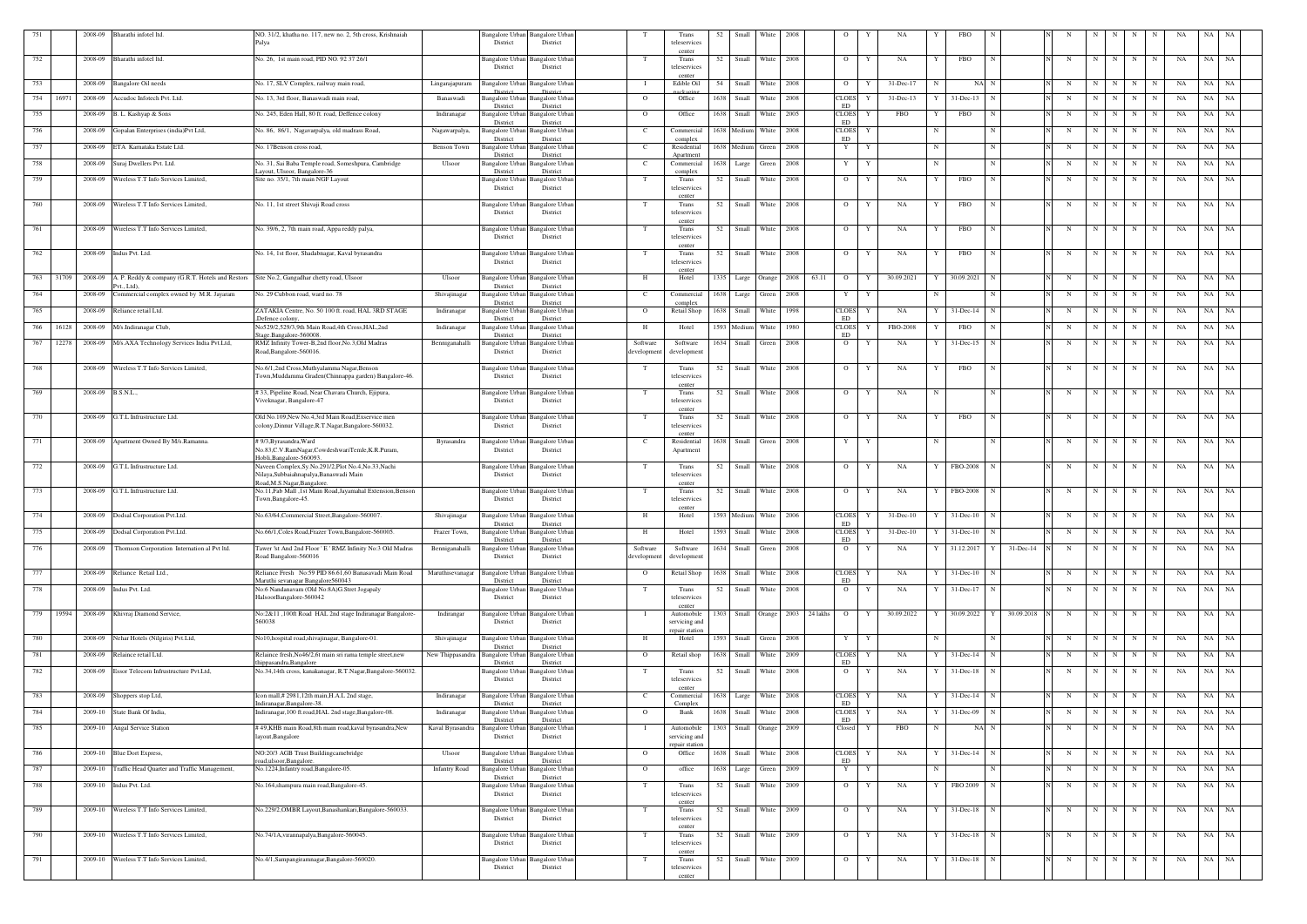| 751 |       | 2008-09           | Bharathi infotel ltd.                                    | NO. 31/2, khatha no. 117, new no. 2, 5th cross, Krishnaiah                                  |                      |                                    | Bangalore Urban Bangalore Urban             |                         | Trans                           | 52   | Small                  | White  | 2008 |                            |                    |   | NA.           |            |                        |             |              |   |             |     |             |             |                      |       |           |
|-----|-------|-------------------|----------------------------------------------------------|---------------------------------------------------------------------------------------------|----------------------|------------------------------------|---------------------------------------------|-------------------------|---------------------------------|------|------------------------|--------|------|----------------------------|--------------------|---|---------------|------------|------------------------|-------------|--------------|---|-------------|-----|-------------|-------------|----------------------|-------|-----------|
|     |       |                   |                                                          | 'alya                                                                                       |                      | District                           | District                                    |                         | teleservices                    |      |                        |        |      |                            |                    |   |               |            |                        |             |              |   |             |     |             |             |                      |       |           |
| 752 |       | 2008-09           | Bharathi infotel ltd.                                    | No. 26, 1st main road, PID NO. 92 37 26/1                                                   |                      | Bangalore Urbai                    | Bangalore Urbar                             | T                       | center<br>Trans                 | 52   | Small                  | White  | 2008 |                            | $\circ$            | Y | NA            |            | FBO                    |             |              | N | N           |     | N           | N           | NA                   | NA NA |           |
|     |       |                   |                                                          |                                                                                             |                      | District                           | District                                    |                         | teleservices                    |      |                        |        |      |                            |                    |   |               |            |                        |             |              |   |             |     |             |             |                      |       |           |
|     |       |                   | 2008-09 Bangalore Oil needs                              | No. 17, SLV Complex, railway main road,                                                     |                      |                                    | Bangalore Urban Bangalore Urban             | - 1                     | center<br>Edible Oil            |      | 54 Small               | White  | 2008 |                            | $\overline{O}$     | Y | 31-Dec-17     | N          | NA N                   |             |              | N | N           | N   | N           | N           | NA                   | NA NA |           |
| 753 |       |                   |                                                          |                                                                                             | Lingarajapuram       | <b>Dietric</b>                     | District                                    |                         |                                 |      |                        |        |      |                            |                    |   |               |            |                        |             |              |   |             |     |             |             |                      |       |           |
| 754 | 16971 | 2008-09           | Accudoc Infotech Pvt. Ltd.                               | No. 13, 3rd floor, Banaswadi main road,                                                     | Banaswadi            | Bangalore Urbar<br>District        | <b>Bangalore Urban</b><br>District          | $\overline{O}$          | Office                          |      | 1638 Small             | White  | 2008 |                            | <b>CLOES</b><br>ED |   | 31-Dec-13     |            | $31 - Dec-13$          |             |              | N | N           | N   | N           | $_{\rm N}$  | NA                   | NA    | NA        |
| 755 |       |                   | 2008-09 B. L. Kashyap & Sons                             | No. 245, Eden Hall, 80 ft. road, Deffence colony                                            | Indiranagar          | Bangalore Urban                    | <b>Bangalore Urban</b>                      | $\overline{O}$          | Office                          | 1638 | Small                  | White  | 2005 |                            | <b>CLOES</b>       | Y | FBO           |            | <b>FBO</b>             |             |              | N | $\mathbf N$ | N   | N           | N           | NA                   | NA    | NA        |
| 756 |       | 2008-09           | Gopalan Enterprises (india)Pvt Ltd,                      | No. 86, 86/1, Nagavarpalya, old madrass Road,                                               | Nagawarpalya         | District<br><b>Bangalore</b> Urbar | District<br><b>Bangalore Urban</b>          | C.                      | Commercial                      |      | 1638 Medium            | White  | 2008 |                            | ED<br><b>CLOES</b> | Y |               |            |                        | N           |              | N | N           | N   | N           | N           | NA                   | NA    | NA        |
|     |       |                   |                                                          |                                                                                             |                      | District                           | District                                    |                         | complex                         |      |                        |        |      |                            | ED                 |   |               |            |                        |             |              |   |             |     |             |             |                      |       |           |
| 757 |       |                   | 2008-09 ETA Karnataka Estate Ltd.                        | No. 17Benson cross road,                                                                    | <b>Benson Town</b>   | Bangalore Urban<br>District        | <b>Bangalore Urban</b><br>District          | C.                      | Residential<br>Apartment        |      | 1638 Medium            | Green  | 2008 |                            | Y                  | Y |               | N          |                        | N           |              | N | N           | N   | N           |             | NA                   | NA    | NA        |
| 758 |       | 2008-09           | Suraj Dwellers Pvt. Ltd.                                 | No. 31, Sai Baba Temple road, Someshpura, Cambridge                                         | Ulsoor               | Bangalore Urbar                    | <b>Bangalore Urban</b>                      | C.                      | Commercial                      |      | 1638 Large             | Green  | 2008 |                            | $\mathbf{Y}$       | Y |               | N          |                        | N           |              | N | N           | N   | N           | N           | NA                   | NA    | NA        |
| 759 |       |                   | 2008-09 Wireless T.T Info Services Limited.              | avout, Ulsoor, Bangalore-36<br>Site no. 35/1, 7th main NGF Layout                           |                      | District                           | District<br>Bangalore Urban Bangalore Urban | T                       | complex<br>Trans                | 52   | Small                  | White  | 2008 |                            | $\circ$            | Y | NA            |            | FBO                    |             |              | N | -N          | N   | N           |             | NA                   | NA    | NA        |
|     |       |                   |                                                          |                                                                                             |                      | District                           | District                                    |                         | teleservices                    |      |                        |        |      |                            |                    |   |               |            |                        |             |              |   |             |     |             |             |                      |       |           |
| 760 |       |                   | 2008-09 Wireless T.T Info Services Limited,              | No. 11, 1st street Shivaji Road cross                                                       |                      | Bangalore Urban                    | Bangalore Urban                             | T                       | center<br>Trans                 |      | 52 Small               | White  | 2008 |                            | $\overline{O}$     | Y | NA            |            | FBO                    |             |              | N | N           | N   | N           | N           | NA                   | NA NA |           |
|     |       |                   |                                                          |                                                                                             |                      | District                           | District                                    |                         | teleservices                    |      |                        |        |      |                            |                    |   |               |            |                        |             |              |   |             |     |             |             |                      |       |           |
| 761 |       |                   | 2008-09 Wireless T.T Info Services Limited.              | No. 39/6, 2, 7th main road, Appa reddy palya,                                               |                      | Bangalore Urbar                    | Bangalore Urban                             | - Т                     | center<br>Trans                 | 52   | Small                  | White  | 2008 |                            | $\overline{O}$     | Y | NA            |            | FBO                    |             |              | N | N           | N   | N           | N           | NA                   | NA NA |           |
|     |       |                   |                                                          |                                                                                             |                      | District                           | District                                    |                         | teleservices                    |      |                        |        |      |                            |                    |   |               |            |                        |             |              |   |             |     |             |             |                      |       |           |
| 762 |       |                   | 2008-09 Indus Pvt. Ltd.                                  | No. 14, 1st floor, Shadabnagar, Kaval byrasandra                                            |                      | Bangalore Urbar                    | <b>Bangalore Urbar</b>                      | T                       | center<br>Trans                 |      | 52 Small White         |        | 2008 |                            | $\overline{O}$     | Y | NA            |            | FBO                    | N           |              | N | N           | N   | $\mathbf N$ | N           | NA                   | NA NA |           |
|     |       |                   |                                                          |                                                                                             |                      | District                           | District                                    |                         | teleservices                    |      |                        |        |      |                            |                    |   |               |            |                        |             |              |   |             |     |             |             |                      |       |           |
| 763 | 31709 |                   | 2008-09 A. P. Reddy & company (G.R.T. Hotels and Restors | Site No.2, Gangadhar chetty road, Ulsoor                                                    | Ulsoor               | Bangalore Urban                    | <b>Bangalore</b> Urban                      | H                       | center<br>Hotel                 |      | 1335 Large             |        | 2008 | 63.11                      | $\overline{O}$     | Y | 30.09.2021    |            | 30.09.2021             | N           |              | N | $\mathbf N$ | N   | N           | -N          | NA                   | NA    | NA        |
|     |       |                   | Pvt., Ltd).                                              |                                                                                             |                      | District                           | District                                    |                         |                                 |      |                        | Orange |      |                            |                    |   |               |            |                        |             |              |   |             |     |             |             |                      |       |           |
| 764 |       | 2008-09           | Commercial complex owned by M.R. Jayaram                 | No. 29 Cubbon road, ward no. 78                                                             | Shivajinagar         | Bangalore Urban<br>District        | <b>Bangalore</b> Urban<br>District          | <sup>-</sup> C          | Commercial                      |      | 1638 Large             | Green  | 2008 |                            | Y                  | Y |               |            |                        | N           |              | N | N           | N   | $\mathbf N$ | N           | NA                   | NA    | NA        |
| 765 |       |                   | 2008-09 Reliance retail Ltd.                             | ZATAKIA Centre, No. 50 100 ft. road, HAL 3RD STAGE                                          | Indiranagar          | <b>Rangalore</b> Urban             | <b>Bangalore Urban</b>                      | $\overline{O}$          | complex<br><b>Retail Shop</b>   |      | 1638 Small             | White  | 1998 |                            | <b>CLOES</b>       | Y | NA            |            | $31 - Dec-14$          | N           |              | N | N           | N   | N           |             | NA                   | NA    | NA        |
|     |       |                   |                                                          | Defence colony                                                                              |                      | District                           | District                                    |                         |                                 |      | 1593 Medium            | White  | 1980 |                            | ED                 |   |               |            |                        | N           |              |   |             |     |             |             |                      |       | <b>NA</b> |
| 766 | 16128 |                   | 2008-09 M/s.Indiranagar Club,                            | No529/2,529/3,9th Main Road,4th Cross,HAL,2nd<br>tage.Bangalore-560008                      | Indiranagar          | Bangalore Urban<br>District        | Bangalore Urban<br>District                 | H                       | Hotel                           |      |                        |        |      |                            | <b>CLOES</b><br>ED | Y | FBO-2008      |            | FBO                    |             |              | N | N           | N   | $\mathbf N$ | N           | NA                   | NA    |           |
| 767 | 12278 |                   | 2008-09 M/s.AXA Technology Services India Pvt.Ltd,       | RMZ Infinity Tower-B,2nd floor, No.3, Old Madras                                            | Benniganahalli       |                                    | Bangalore Urban Bangalore Urban             | Software                | Software                        |      | 1634 Small             | Green  | 2008 |                            | $\overline{O}$     | Y | NA            |            | $31 - Dec-15$          | N           |              | N | $\mathbf N$ | N   | $\mathbf N$ | N           | NA                   | NA    | NA        |
|     |       |                   |                                                          | Road, Bangalore-560016.                                                                     |                      | District                           | District                                    | developmen              | development                     |      |                        |        |      |                            |                    |   |               |            |                        |             |              |   |             |     |             |             |                      |       |           |
| 768 |       | 2008-09           | Wireless T.T Info Services Limited,                      | No.6/1,2nd Cross, Muthyalamma Nagar, Benson                                                 |                      | Bangalore Urban                    | <b>Bangalore</b> Urbar                      | T                       | Trans                           |      | 52   Small             | White  | 2008 |                            | $\overline{O}$     | Y | NA            | Y          | FBO                    | N           |              | N | N           | N   | N           | N           | NA                   | NA NA |           |
|     |       |                   |                                                          | Town, Muddamma Graden (Chinnappa garden) Bangalore-46.                                      |                      | District                           | District                                    |                         | teleservices<br>center          |      |                        |        |      |                            |                    |   |               |            |                        |             |              |   |             |     |             |             |                      |       |           |
| 769 |       | 2008-09 B.S.N.L., |                                                          | #33, Pipeline Road, Near Chavara Church, Ejipura,                                           |                      | angalore Urban                     | <b>Bangalore Urban</b>                      |                         | Trans                           |      | 52 Small White         |        | 2008 |                            | $\overline{O}$     | Y | NA            | $_{\rm N}$ |                        | N           |              | N | N           | N   | N           | N           | NA                   | NA NA |           |
|     |       |                   |                                                          | Viveknagar, Bangalore-47                                                                    |                      | District                           | District                                    |                         | teleservices<br>center          |      |                        |        |      |                            |                    |   |               |            |                        |             |              |   |             |     |             |             |                      |       |           |
| 770 |       |                   | 2008-09 G.T.L Infrustructure Ltd.                        | Old No.109, New No.4,3rd Main Road, Exservice men                                           |                      | Bangalore Urban                    | <b>Bangalore Urban</b>                      |                         | Trans                           | 52   | Small                  | White  | 2008 |                            | $\overline{O}$     |   | NA            |            | FBO                    |             |              | N | $\mathbf N$ | N   | N           | N           | NA                   | NA    | NA        |
|     |       |                   |                                                          | colony, Dinnur Village, R.T. Nagar, Bangalore-560032.                                       |                      | District                           | District                                    |                         | teleservices<br>center          |      |                        |        |      |                            |                    |   |               |            |                        |             |              |   |             |     |             |             |                      |       |           |
| 771 |       |                   | 2008-09 Apartment Owned By M/s.Ramanna.                  | #9/3, Byrasandra, Ward                                                                      | Byrasandra           |                                    | Bangalore Urban Bangalore Urban             | $\mathbf{C}$            | Residential                     |      | 1638 Small Green       |        | 2008 |                            | Y                  | Y |               |            |                        | N           |              | N | N           | N   | N           | N           | NA                   | NA NA |           |
|     |       |                   |                                                          | No.83,C.V.RamNagar,CowdeshwariTemle,K.R.Puram,<br>Hobli.Bangalore-560093.                   |                      | District                           | District                                    |                         | Apartment                       |      |                        |        |      |                            |                    |   |               |            |                        |             |              |   |             |     |             |             |                      |       |           |
| 772 |       |                   | 2008-09 G.T.L Infrustructure Ltd.                        | Naveen Complex, Sy.No.291/2, Plot No.4, No.33, Nachi                                        |                      | Bangalore Urban                    | <b>Bangalore</b> Urban                      | T                       | Trans                           | 52   | Small                  | White  | 2008 |                            | $\overline{O}$     | Y | NA            | Y          | FBO-2008               | $\mathbf N$ |              | N | $\mathbf N$ | N   | $\mathbf N$ | N           | NA                   | NA    | <b>NA</b> |
|     |       |                   |                                                          | Nilaya, Subbaiahnapalya, Banaswadi Main<br>Road, M.S.Nagar, Bangalore.                      |                      | District                           | District                                    |                         | teleservices<br>center          |      |                        |        |      |                            |                    |   |               |            |                        |             |              |   |             |     |             |             |                      |       |           |
| 773 |       |                   | 2008-09 G.T.L Infrustructure Ltd.                        | No.11, Fab Mall ,1st Main Road, Jayamahal Extension, Benson                                 |                      |                                    | Bangalore Urban Bangalore Urban             | T                       | Trans                           |      | 52 Small White         |        | 2008 |                            | $\overline{O}$     | Y | NA            | Y          | FBO-2008               | $\mathbf N$ |              | N | N           | N   | N           | N           | NA                   | NA NA |           |
|     |       |                   |                                                          | Town, Bangalore-45.                                                                         |                      | District                           | District                                    |                         | teleservices<br>center          |      |                        |        |      |                            |                    |   |               |            |                        |             |              |   |             |     |             |             |                      |       |           |
| 774 |       |                   | 2008-09 Dodsal Corporation Pvt.Ltd.                      | No.63/64, Commercial Street, Bangalore-560007.                                              | Shivajinagar         |                                    | Bangalore Urban Bangalore Urban             | H                       | Hotel                           |      | 1593 Medium White      |        | 2006 |                            | CLOES Y            |   | $31 - Dec-10$ | Y          | $31$ -Dec-10 N         |             | N            |   |             |     |             |             | N N N N N N NA NA NA |       |           |
| 775 |       |                   | 2008-09 Dodsal Corporation Pvt.Ltd.                      | No.66/1, Coles Road, Frazer Town, Bangalore-560005.                                         | Frazer Town,         | District<br><b>Bangalore</b> Urbar | District<br><b>Bangalore Urban</b>          | H                       | Hotel                           |      | 1593 Small             | White  | 2008 |                            | ED<br><b>CLOES</b> | Y | $31$ -Dec-10  |            | $31 - Dec-10$          |             |              | N | N           | N   | N           | N           | NA                   | NA    | NA        |
|     |       |                   |                                                          |                                                                                             |                      | District                           | District                                    |                         |                                 |      |                        |        |      |                            | ED                 |   |               |            |                        |             |              |   |             |     |             |             |                      |       |           |
| 776 |       |                   | 2008-09 Thomson Corporation Internation al Pvt ltd.      | Tawer !st And 2nd Floor ' E ' RMZ Infinity No:3 Old Madras<br>Road Bangalore-560016         | Benniganahalli       | District                           | Bangalore Urban Bangalore Urban<br>District | Software<br>development | Software<br>development         |      | 1634 Small             | Green  | 2008 |                            | $\overline{O}$     | Y | NA            |            | 31.12.2017             | Y           | $31$ -Dec-14 | N | N           | N   | N           | N           | NA                   | NA    | <b>NA</b> |
|     |       |                   |                                                          |                                                                                             |                      |                                    |                                             |                         |                                 |      |                        |        |      |                            |                    |   |               |            |                        |             |              |   |             |     |             |             |                      |       |           |
| 777 |       |                   | 2008-09 Reliance Retail Ltd.,                            | Reliance Fresh No:59 PID 86.61,60 Banasavadi Main Road<br>Maruthi sevanagar Bangalore560043 | Maruthisevanagar     | Bangalore Urban<br>District        | <b>Bangalore Urban</b><br>District          | $\overline{O}$          | Retail Shop                     |      | 1638 Small White       |        | 2008 |                            | <b>CLOES</b><br>ED | Y | NA            |            | $31$ -Dec-10 $\quad$ N |             |              | N | N           | N   | N           | N           | NA                   | NA NA |           |
| 778 |       |                   | 2008-09 Indus Pvt. Ltd.                                  | No:6 Nandanavam (Old No:8A)G.Stret Jogapaly                                                 |                      |                                    | Bangalore Urban Bangalore Urban             | T                       | Trans                           |      | 52 Small White         |        | 2008 |                            | $\overline{O}$     | Y | NA            | Y          | 31-Dec-17              | $\mathbf N$ |              | N | N           | N   | N           | N           | NA                   | NA NA |           |
|     |       |                   |                                                          | HalsoorBangalore-560042                                                                     |                      | District                           | District                                    |                         | teleservices<br>center          |      |                        |        |      |                            |                    |   |               |            |                        |             |              |   |             |     |             |             |                      |       |           |
| 779 | 19594 |                   | 2008-09 Khivraj Diamond Service,                         | No:2&11,100ft Road HAL 2nd stage Indiranagar Bangalore-                                     | Indirangar           | angalore Urban                     | <b>Bangalore Urban</b>                      |                         | Automobile                      | 1303 |                        |        |      | Small Orange 2003 24 lakhs | $\overline{O}$     | Y | 30.09.2022    |            | 30.09.2022             |             | 30.09.2018   | N | N           | N   | N           |             | NA                   | NA    | NA        |
|     |       |                   |                                                          | 560038                                                                                      |                      | District                           | District                                    |                         | servicing and<br>repair station |      |                        |        |      |                            |                    |   |               |            |                        |             |              |   |             |     |             |             |                      |       |           |
| 780 |       |                   | 2008-09 Nehar Hotels (Nilgiris) Pvt.Ltd,                 | No10, hospital road, shivajinagar, Bangalore-01.                                            | Shivajinagar         | Bangalore Urbar                    | <b>Bangalore Urban</b>                      | H                       | Hotel                           |      | 1593 Small Green       |        | 2008 |                            | Y                  | Y |               | N          |                        | N           |              | N | N           | N   | N           | N           | NA                   | NA NA |           |
| 781 |       | 2008-09           | Relaince retail Ltd.                                     | Relaince fresh, No46/2, 6t main sri rama temple street, new                                 | New Thippasandra     | District<br><b>Bangalore</b> Urbar | District<br>Bangalore Urban                 | $\Omega$                | Retail shop                     |      | 1638 Small             | White  | 2009 |                            | <b>CLOES</b>       | Y | NA            |            | $31$ -Dec-14 N         |             |              | N | N           | N   | N           | N           | NA                   | NA NA |           |
|     |       |                   |                                                          | hippasandra, Bangalore                                                                      |                      | District                           | District                                    |                         |                                 |      |                        |        |      |                            | ED                 |   |               |            |                        |             |              |   |             |     |             |             |                      |       |           |
| 782 |       | 2008-09           | Essor Telecom Infrustructure Pvt.Ltd,                    | No.34,14th cross, kanakanagar, R.T.Nagar, Bangalore-560032.                                 |                      | Bangalore Urban<br>District        | <b>Bangalore Urban</b><br>District          | T                       | Trans<br>teleservices           | 52   | Small                  | White  | 2008 |                            | $\overline{O}$     | Y | NA            |            | 31-Dec-18              | $\mathbf N$ |              | N | N           | N   | N           | $\mathbf N$ | NA                   | NA NA |           |
|     |       |                   |                                                          |                                                                                             |                      |                                    |                                             |                         | center                          |      |                        |        |      |                            |                    |   |               |            |                        |             |              |   |             |     |             |             |                      |       |           |
| 783 |       |                   | 2008-09 Shoppers stop Ltd,                               | lcon mall,# 2981,12th main, H.A.L 2nd stage,<br>ndiranagar, Bangalore-38.                   | Indiranagar          | angalore Urban<br>District         | Bangalore Urban<br>District                 | <sup>-</sup> C          | Commercia<br>Complex            |      | 1638 Large             | White  | 2008 |                            | <b>CLOES</b><br>ED | Y | NA            |            | $31$ -Dec-14           | N           |              | N | N           | N   | N           | N           | NA                   | NA NA |           |
| 784 |       | 2009-10           | State Bank Of India,                                     | Indiranagar, 100 ft.road, HAL 2nd stage, Bangalore-08.                                      | Indiranagar          | angalore Urban                     | <b>Bangalore Urban</b>                      | $\Omega$                | Bank                            |      | 1638 Small             | White  | 2008 |                            | <b>CLOES</b>       | Y | NA            |            | 31-Dec-09              | N           |              | N | N           | N   | N           | N           | NA                   | NA    | NA        |
| 785 |       | 2009-10           | Angal Service Station                                    | 49,KHB main Road,8th main road,kaval byrasandra,New                                         | Kaval Byrasandra     | District<br>Bangalore Urban        | District<br><b>Bangalore Urban</b>          | - 1                     | Automobile                      |      | 1303 Small Orange 2009 |        |      |                            | ED<br>Closed       | Y | <b>FBO</b>    | N          | NA N                   |             |              | N | N           | N   | N           | N           | NA                   | NA NA |           |
|     |       |                   |                                                          | ayout, Bangalore                                                                            |                      | District                           | District                                    |                         | servicing and                   |      |                        |        |      |                            |                    |   |               |            |                        |             |              |   |             |     |             |             |                      |       |           |
| 786 |       |                   | 2009-10 Blue Dort Express,                               | NO:20/3 AGB Trust Buildingcamebridge                                                        | Ulsoor               | Bangalore Urbar                    | <b>Bangalore</b> Urbar                      | $\Omega$                | repair station<br>Office        |      | 1638 Small             | White  | 2008 |                            | <b>CLOES</b>       | Y | NA            |            | $31$ -Dec-14 N         |             |              | N | N           | N   | N           | N           | NA                   | NA NA |           |
|     |       |                   |                                                          | oad,ulsoor,Bangalore.                                                                       |                      | District                           | District                                    |                         |                                 |      |                        |        |      |                            | ${\rm ED}$         |   |               |            |                        |             |              |   |             |     |             |             |                      |       |           |
| 787 |       | 2009-10           | Traffic Head Quarter and Traffic Management,             | No.1224, Infantry road, Bangalore-05.                                                       | <b>Infantry Road</b> | <b>Bangalore</b> Urbar<br>District | <b>Bangalore Urban</b><br>District          | $\overline{O}$          | office                          |      | 1638 Large             | Green  | 2009 |                            | Y                  |   |               |            |                        | N           |              | N | N           | N   | N           | N           | NA                   | NA NA |           |
| 788 |       |                   | 2009-10 Indus Pvt. Ltd.                                  | No.164, shampura main road, Bangalore-45.                                                   |                      | <b>Bangalore Urban</b>             | <b>Bangalore Urban</b>                      |                         | Trans                           | 52   | Small                  | White  | 2009 |                            | $\overline{O}$     |   | NA            |            | FBO 2009               |             |              | N | $\mathbf N$ | N   | N           | N           | NA                   | NA NA |           |
|     |       |                   |                                                          |                                                                                             |                      | District                           | District                                    |                         | teleservices                    |      |                        |        |      |                            |                    |   |               |            |                        |             |              |   |             |     |             |             |                      |       |           |
| 789 |       |                   | 2009-10 Wireless T.T Info Services Limited,              | No.229/2, OMBR Layout, Banashankari, Bangalore-560033.                                      |                      |                                    | Bangalore Urban Bangalore Urban             | T                       | center<br>Trans                 |      | 52 Small White 2009    |        |      |                            | $\overline{O}$     | Y | NA            | Y          | $31$ -Dec-18 N         |             |              | N | N           | N   | N           | N           | NA                   | NA NA |           |
|     |       |                   |                                                          |                                                                                             |                      | District                           | District                                    |                         | teleservices                    |      |                        |        |      |                            |                    |   |               |            |                        |             |              |   |             |     |             |             |                      |       |           |
| 790 |       |                   | 2009-10 Wireless T.T Info Services Limited,              | No.74/1A, virannapalya, Bangalore-560045.                                                   |                      | <b>Bangalore Urban</b>             | <b>Bangalore</b> Urbar                      | T                       | center<br>Trans                 | 52   | Small                  | White  | 2009 |                            | $\overline{O}$     | Y | NA            | Y          | $31$ -Dec-18 N         |             |              | N | N           | N I | N           | N           | NA                   | NA NA |           |
|     |       |                   |                                                          |                                                                                             |                      | District                           | District                                    |                         | teleservices                    |      |                        |        |      |                            |                    |   |               |            |                        |             |              |   |             |     |             |             |                      |       |           |
| 791 |       |                   | 2009-10 Wireless T.T Info Services Limited,              | No.4/1,Sampangiramnagar,Bangalore-560020.                                                   |                      |                                    | <b>Bangalore Urban Bangalore Urban</b>      | T                       | center<br>Trans                 | 52   | Small White 2009       |        |      |                            | $\overline{O}$     | Y | NA            | Y          | $31$ -Dec-18 N         |             |              | N | N           | N   | N           | N           | NA                   | NA NA |           |
|     |       |                   |                                                          |                                                                                             |                      | District                           | District                                    |                         | teleservices                    |      |                        |        |      |                            |                    |   |               |            |                        |             |              |   |             |     |             |             |                      |       |           |
|     |       |                   |                                                          |                                                                                             |                      |                                    |                                             |                         | center                          |      |                        |        |      |                            |                    |   |               |            |                        |             |              |   |             |     |             |             |                      |       |           |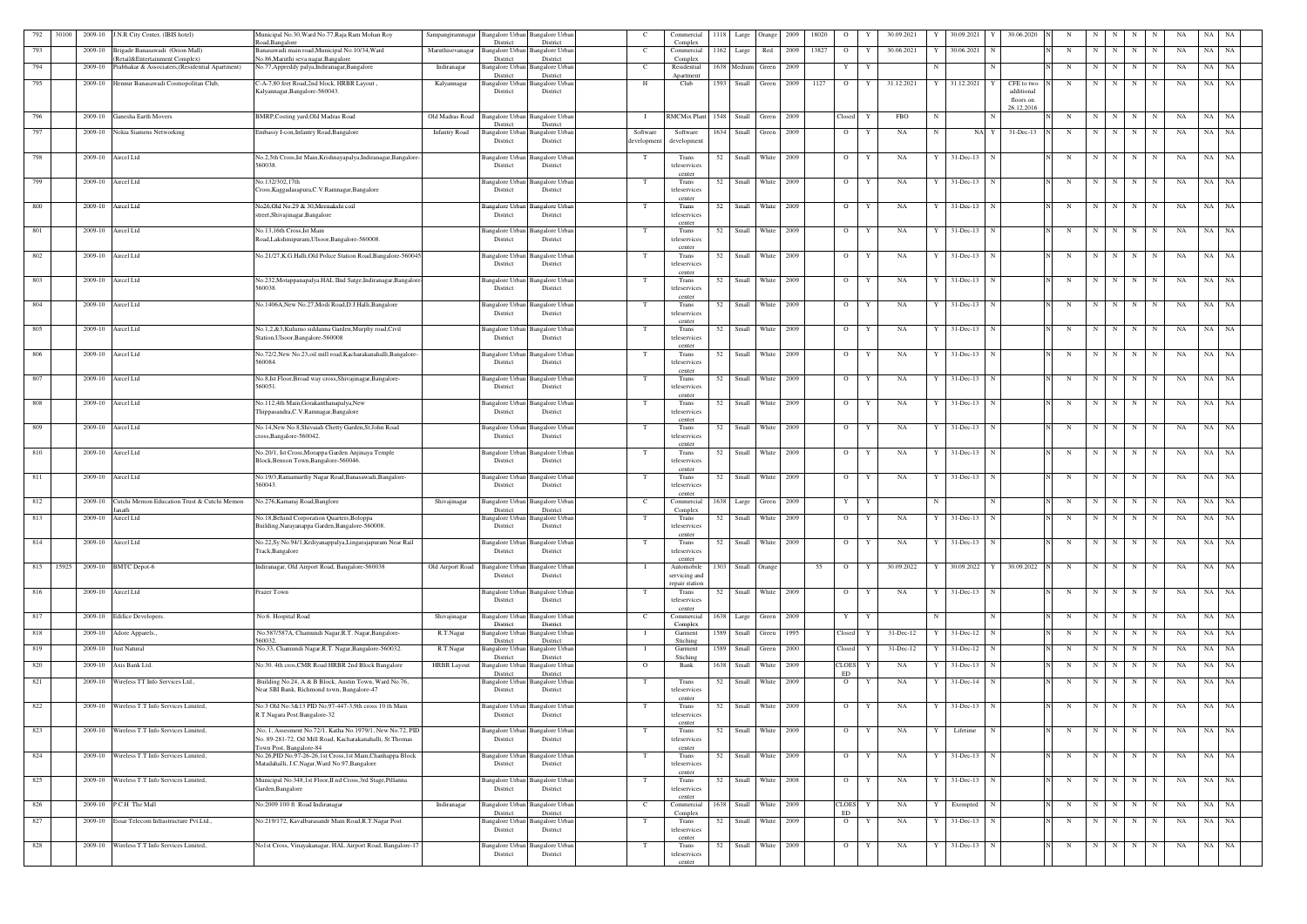| 792 | 30100 |                    | 2009-10 J.N.R City Center, (IBIS hotel)                                           | Municipal No.30, Ward No.77, Raja Ram Mohan Roy<br>Road.Bangalore                                             | Sampangiramnagar     | Bangalore Urban<br>District        | <b>Bangalore</b> Urban<br>District          | - C                    | Commercial<br>Complex           |      | 1118 Large          | Orange | 2009 | 18020 | $\overline{O}$       |   | 30.09.2021 |   | 30.09.2021        | 30.06.2020              |   |             |             |                 |             | NA | NA              |           |
|-----|-------|--------------------|-----------------------------------------------------------------------------------|---------------------------------------------------------------------------------------------------------------|----------------------|------------------------------------|---------------------------------------------|------------------------|---------------------------------|------|---------------------|--------|------|-------|----------------------|---|------------|---|-------------------|-------------------------|---|-------------|-------------|-----------------|-------------|----|-----------------|-----------|
| 793 |       | 2009-10            | Brigade Banasawadi (Orion Mall)                                                   | Banasawadi main road, Municipal No.10/34, Ward                                                                | Maruthisevanagar     | Bangalore Urban                    | <b>Bangalore Urban</b>                      | C                      | Commercial                      | 1162 | Large               | Red    | 2009 | 13827 | $\overline{O}$       | Y | 30.06.2021 |   | 30.06.2021        |                         | N | -N          |             | N               | N           | NA | NA              | NA        |
| 794 |       | 2009-10            | Retail&Entertainment Complex)<br>Prabhakar & Associaters, (Residential Apartment) | No.86, Maruthi seva nagar, Bangalore<br>No.77, Appreddy palya, Indiranagar, Bangalore                         | Indiranagar          | District<br><b>Bangalore</b> Urba  | District<br>Bangalore Urban                 | C                      | Complex<br>Residential          |      | 1638 Medium         | Green  | 2009 |       | $\mathbf{Y}$         | Y |            |   |                   | N                       | N | N           | N           | N               | N           | NA | NA<br>NA        |           |
| 795 |       |                    | 2009-10 Hennur Banasawadi Cosmopolitan Club,                                      | C-A-7,80 feet Road,2nd block, HRBR Layout,                                                                    | Kalyannagar          | District<br>angalore Urban         | District<br>Bangalore Urban                 | H                      | Anartment<br>Club               | 1593 | Small               | Green  | 2009 | 1127  | $\overline{O}$       | Y | 31.12.2021 |   | 31.12.2021        | CFE to two              | N |             |             | N               |             | NA | NA<br>NA        |           |
|     |       |                    |                                                                                   | Kalyannagar, Bangalore-560043.                                                                                |                      | District                           | District                                    |                        |                                 |      |                     |        |      |       |                      |   |            |   |                   | additional<br>floors on |   |             |             |                 |             |    |                 |           |
|     |       |                    |                                                                                   |                                                                                                               |                      |                                    |                                             |                        |                                 |      |                     |        |      |       |                      |   |            |   |                   | 26.12.2016              |   |             |             |                 |             |    |                 |           |
| 796 |       | 2009-10            | Ganesha Earth Movers                                                              | BMRP, Costing yard, Old Madras Road                                                                           | Old Madras Road      | Bangalore Urban<br>District        | <b>Bangalore</b> Urban<br>District          |                        | <b>RMCMix Plant</b>             | 1548 | Small               | Green  | 2009 |       | Closed               |   | <b>FBO</b> | N |                   |                         | N | N           | N           | N               |             | NA | NA<br>NA        |           |
| 797 |       | 2009-10            | Nokia Siamens Networking                                                          | Embassy I-con, Infantry Road, Bangalore                                                                       | <b>Infantry Road</b> | angalore Urbar<br>District         | <b>Bangalore Urban</b><br>District          | Software<br>developmen | Software<br>developmen          |      | 1634 Small          | Green  | 2009 |       | $\circ$              | Y | NA         | N | NA Y              | 31-Dec-13               | N | N           | N           | $\mathbf N$     | N           | NA | NA<br>NA        |           |
| 798 |       | 2009-10 Aircel Ltd |                                                                                   |                                                                                                               |                      | Bangalore Urban                    | <b>Bangalore Urban</b>                      | T                      |                                 | 52   | Small               | White  | 2009 |       | $\overline{O}$       | Y | NA         |   | $31$ -Dec-13      | N                       | N | N           | N           | N               |             | NA | NA NA           |           |
|     |       |                    |                                                                                   | No.2,5th Cross,Ist Main,Krishnayapalya,Indiranagar,Bangalore-<br>560038.                                      |                      | District                           | District                                    |                        | Trans<br>teleservices           |      |                     |        |      |       |                      |   |            |   |                   |                         |   |             |             |                 | N           |    |                 |           |
| 799 |       | 2009-10 Aircel Ltd |                                                                                   | No.132/302,17th                                                                                               |                      |                                    | Bangalore Urban Bangalore Urban             | T                      | center<br>Trans                 | 52   | Small               | White  | 2009 |       | $\overline{O}$       | Y | NA         |   | 31-Dec-13         |                         | N | N           | N           | N               |             | NA | NA              | NA        |
|     |       |                    |                                                                                   | Cross, Kaggadasapura, C.V. Ramnagar, Bangalore                                                                |                      | District                           | District                                    |                        | teleservices<br>center          |      |                     |        |      |       |                      |   |            |   |                   |                         |   |             |             |                 |             |    |                 |           |
| 800 |       | 2009-10            | Aircel Ltd                                                                        | No26, Old No.29 & 30, Meenakshi coil<br>street, Shivajinagar, Bangalore                                       |                      | Bangalore Urbai<br>District        | Bangalore Urba<br>District                  | $\mathbf{T}$           | Trans<br>teleservices           | 52   | Small               | White  | 2009 |       | $\circ$              |   | NA         |   | 31-Dec-13         |                         | N | N           |             | N               | N           | NA | NA<br><b>NA</b> |           |
|     |       |                    |                                                                                   | No.13,16th Cross, Ist Main                                                                                    |                      |                                    |                                             |                        | cente                           |      | Small               | White  | 2009 |       |                      |   |            |   |                   | N                       |   |             |             |                 | $N_{-1}$    |    | NA NA           |           |
| 801 |       | 2009-10 Aircel Ltd |                                                                                   | Road, Lakshmipuram, Ulsoor, Bangalore-560008.                                                                 |                      | angalore Urban<br>District         | <b>Bangalore</b> Urbar<br>District          | T                      | Trans<br>teleservices           | 52   |                     |        |      |       | $\overline{O}$       | Y | NA         | Y | 31-Dec-13         |                         | N | N           | N           | N               |             | NA |                 |           |
| 802 |       | 2009-10 Aircel Ltd |                                                                                   | No.21/27, K.G.Halli, Old Police Station Road, Bangalore-560045                                                |                      | Bangalore Urbar                    | Bangalore Urba                              | T                      | center<br>Trans                 |      | 52 Small            | White  | 2009 |       | $\overline{O}$       |   | NA         |   | $31$ -Dec-13      | - N                     | N | $\mathbf N$ | N           | N               | N           | NA | NA NA           |           |
|     |       |                    |                                                                                   |                                                                                                               |                      | District                           | District                                    |                        | teleservices<br>center          |      |                     |        |      |       |                      |   |            |   |                   |                         |   |             |             |                 |             |    |                 |           |
| 803 |       | 2009-10            | Aircel Ltd                                                                        | No.232, Motappanapalya. HAL IInd Satge, Indiranagar, Bangalore<br>560038.                                     |                      | <b>Bangalore Urban</b><br>District | <b>Bangalore Urban</b><br>District          | T                      | Trans<br>teleservices           | 52   | Small               | White  | 2009 |       | $\overline{O}$       | Y | NA         |   | $31 - Dec-13$     | N                       | N | N           | N           | N               | $_{\rm N}$  | NA | NA<br>NA        |           |
|     |       |                    |                                                                                   |                                                                                                               |                      |                                    |                                             |                        | center                          |      |                     |        |      |       |                      | Y |            |   |                   |                         |   |             |             |                 |             |    |                 |           |
| 804 |       | 2009-10            | Aircel Ltd                                                                        | No.1406A, New No.27, Modi Road, D.J. Halli, Bangalore                                                         |                      | <b>Bangalore</b> Urbar<br>District | Bangalore Urba<br>District                  | $\mathbf{T}$           | Trans<br>teleservices           | 52   | Small               | White  | 2009 |       | $\circ$              |   | NA         |   | $31 - Dec-13$     | N                       | N | N           | N           | $\mathbf N$     | $\mathbf N$ | NA | NA<br>NA        |           |
| 805 |       | 2009-10 Aircel Ltd |                                                                                   | No.1,2,&3,Kulumo siddanna Garden,Murphy road,Civil                                                            |                      | angalore Urban                     | <b>Bangalore Urban</b>                      | T                      | center<br>Trans                 | 52   | Small               | White  | 2009 |       | $\overline{O}$       | Y | NA         | Y | $31 - Dec-13$     | $\mathbf N$             | N | N           | N           | N               | N           | NA | NA NA           |           |
|     |       |                    |                                                                                   | Station, Ulsoor, Bangalore-560008                                                                             |                      | District                           | District                                    |                        | teleservices<br>center          |      |                     |        |      |       |                      |   |            |   |                   |                         |   |             |             |                 |             |    |                 |           |
| 806 |       | 2009-10 Aircel Ltd |                                                                                   | No.72/2, New No.23, oil mill road, Kacharakanahalli, Bangalore-<br>560084.                                    |                      | District                           | Bangalore Urban Bangalore Urbar<br>District | T                      | Trans<br>teleservices           | 52   | Small               | White  | 2009 |       | $\overline{O}$       |   | NA         |   | $31$ -Dec-13      |                         | N | $\mathbf N$ | N           | N               | N           | NA | NA NA           |           |
| 807 |       | 2009-10 Aircel Ltd |                                                                                   | No.8, Ist Floor, Broad way cross, Shivajinagar, Bangalore-                                                    |                      |                                    | Bangalore Urban Bangalore Urban             | T                      | center<br>Trans                 | 52   | Small               | White  | 2009 |       | $\overline{O}$       | Y | NA         |   | $31 - Dec-13$     | N                       | N | N           | N           | N               | N           | NA | NA              | NA        |
|     |       |                    |                                                                                   | 560051.                                                                                                       |                      | District                           | District                                    |                        | teleservices                    |      |                     |        |      |       |                      |   |            |   |                   |                         |   |             |             |                 |             |    |                 |           |
| 808 |       | 2009-10            | Aircel Ltd                                                                        | No.112,4th Main, Gorakanthanapalya, New                                                                       |                      | <b>Bangalore</b> Urbar             | Bangalore Urbar                             |                        | center<br>Trans                 | 52   | Small               | White  | 2009 |       | $\overline{O}$       |   | NA         |   | 31-Dec-13         |                         | N | N           |             | N               | N           | NA | NA<br>NA        |           |
|     |       |                    |                                                                                   | Thippasandra, C.V. Ramnagar, Bangalore                                                                        |                      | District                           | District                                    |                        | teleservices<br>center          |      |                     |        |      |       |                      |   |            |   |                   |                         |   |             |             |                 |             |    |                 |           |
| 809 |       | 2009-10 Aircel Ltd |                                                                                   | No.14, New No.8, Shivaiah Chetty Garden, St.John Road<br>cross, Bangalore-560042.                             |                      | angalore Urban<br>District         | <b>Bangalore Urban</b><br>District          |                        | Trans<br>teleservices           | 52   | Small               | White  | 2009 |       | $\overline{O}$       | Y | NA         |   | $31$ -Dec-13      | $\mathbf N$             | N | N           | N           | N               | $\mathbf N$ | NA | NA NA           |           |
| 810 |       | 2009-10 Aircel Ltd |                                                                                   | No.20/1, Ist Cross, Morappa Garden Anjinaya Temple                                                            |                      | Bangalore Urban                    | <b>Bangalore</b> Urbar                      | T                      | center<br>Trans                 | 52   | Small               | White  | 2009 |       | $\overline{O}$       | Y | NA         |   | 31-Dec-13         |                         | N | N           | N           | N               | N           | NA | NA<br>NA        |           |
|     |       |                    |                                                                                   | Block, Benson Town, Bangalore-560046.                                                                         |                      | District                           | District                                    |                        | teleservices                    |      |                     |        |      |       |                      |   |            |   |                   |                         |   |             |             |                 |             |    |                 |           |
| 811 |       | 2009-10 Aircel Ltd |                                                                                   | No.19/3, Ramamurthy Nagar Road, Banasawadi, Bangalore-                                                        |                      |                                    | Bangalore Urban Bangalore Urban             | T                      | center<br>Trans                 | 52   | Small               | White  | 2009 |       | $\overline{O}$       | Y | NA         | Y | $31 - Dec-13$     | $\mathbf N$             | N | N           | N           | N               | $\mathbf N$ | NA | NA<br>NA        |           |
|     |       |                    |                                                                                   | 560043.                                                                                                       |                      | District                           | District                                    |                        | teleservices<br>center          |      |                     |        |      |       |                      |   |            |   |                   |                         |   |             |             |                 |             |    |                 |           |
| 812 |       | 2009-10            | Cutchi Memon Education Trust & Cutchi Memon<br>anath                              | No.276, Kamaraj Road, Banglore                                                                                | Shivajinagar         | Bangalore Urban<br>District        | <b>Bangalore</b> Urban<br>District          | C                      | Commercial<br>Complex           |      | 1638 Large          | Green  | 2009 |       | Y                    | Y |            |   |                   |                         | N | $\mathbf N$ | N           | N               | N           | NA | NA<br>NA        |           |
| 813 |       | 2009-10 Aircel Ltd |                                                                                   | No.18, Behind Corporation Quarters, Boloppa<br>Building, Narayanappa Garden, Bangalore-560008.                |                      | District                           | Bangalore Urban Bangalore Urban<br>District | T                      | Trans<br>teleservices           |      | 52 Small White      |        | 2009 |       | $\overline{O}$       | Y | NA         |   | $Y = 31 - Dec-13$ | N                       | N |             |             | $N$ $N$ $N$ $N$ |             | NA | NA NA           |           |
|     |       | 2009-10 Aircel Ltd |                                                                                   |                                                                                                               |                      |                                    |                                             |                        | center                          |      |                     |        |      |       |                      |   |            | Y |                   |                         |   |             | N           |                 |             |    |                 |           |
| 814 |       |                    |                                                                                   | No.22,Sy.No.94/1,Krdiyanappalya,Lingarajapuram Near Rail<br>Track, Bangalore                                  |                      | District                           | Bangalore Urban Bangalore Urban<br>District | T                      | Trans<br>teleservices           |      | 52 Small White 2009 |        |      |       | $\overline{O}$       | Y | NA         |   | $31$ -Dec-13 N    |                         | N | N           |             | N               | N           | NA | NA NA           |           |
| 815 |       |                    | 15925 2009-10 BMTC Depot-6                                                        | Indiranagar, Old Airport Road, Bangalore-560038                                                               | Old Airport Road     | <b>Bangalore Urban</b>             | <b>Bangalore Urban</b>                      | $\mathbf{I}$           | center<br>Automobile            |      | 1303 Small Orange   |        |      | 55    | $\overline{O}$       | Y | 30.09.2022 |   | 30.09.2022        | 30.09.2022<br>Y         | N | N           | N           | N               | N           | NA | NA NA           |           |
|     |       |                    |                                                                                   |                                                                                                               |                      | District                           | District                                    |                        | servicing and<br>repair station |      |                     |        |      |       |                      |   |            |   |                   |                         |   |             |             |                 |             |    |                 |           |
| 816 |       |                    | 2009-10 Aircel Ltd                                                                | razer Town                                                                                                    |                      | District                           | Bangalore Urban Bangalore Urban<br>District | T                      | Trans<br>teleservices           |      | 52 Small White 2009 |        |      |       | $\overline{O}$       | Y | NA         |   | $31$ -Dec-13 N    |                         | N | N           | N           | N               | N           | NA | NA NA           |           |
|     |       |                    |                                                                                   |                                                                                                               |                      |                                    |                                             |                        | center                          |      |                     |        | 2009 |       |                      | Y |            |   |                   | N                       | N | $\mathbf N$ | N           |                 |             | NA | NA              | NA        |
| 817 |       |                    | 2009-10 Edifice Developers.                                                       | No:6. Hospital Road                                                                                           | Shivajinagar         | Bangalore Urban<br>District        | <b>Bangalore Urban</b><br>District          | $\mathbf{C}$           | Commercial<br>Complex           |      | 1638 Large          | Green  |      |       | Y                    |   |            |   |                   |                         |   |             |             | N               | N           |    |                 |           |
| 818 |       | 2009-10            | Adore Apparels.                                                                   | No.587/587A, Chamundi Nagar, R.T. Nagar, Bangalore-<br>60032.                                                 | R.T.Nagar            | <b>Bangalore Urbar</b><br>District | <b>Bangalore Urban</b><br>District          |                        | Garment<br>Stiching             |      | 1589 Small          | Green  | 1995 |       | Closed               |   | 31-Dec-12  |   | $31 - Dec-12$     | N                       | N | N           | N           | N               | N           | NA | NA<br>  NA      |           |
| 819 |       |                    | 2009-10 Just Natural                                                              | No.33, Chamundi Nagar, R.T. Nagar, Bangalore-560032.                                                          | R.T.Nagar            | <b>Bangalore Urban</b><br>District | <b>Bangalore Urban</b><br>District          |                        | Garment<br>Stiching             |      | 1589 Small          | Green  | 2000 |       | Closed               |   | 31-Dec-12  |   | $31 - Dec-12$     |                         | N | N           | N           | N               |             | NA | NA              | NA        |
| 820 |       | 2009-10            | Axis Bank Ltd.                                                                    | No:30. 4th cros, CMR Road HRBR 2nd Block Bangalore                                                            | <b>HRBR</b> Layout   | Bangalore Urban<br>District        | <b>Bangalore Urban</b><br>District          | $\Omega$               | Bank                            |      | 1638 Small          | White  | 2009 |       | <b>CLOES</b><br>ED   | Y | NA         |   | 31-Dec-13         | N                       | N | N           | N           | N               | N           | NA | NA NA           |           |
| 821 |       | 2009-10            | Wireless TT Info Services Ltd.,                                                   | Building No.24, A & B Block, Austin Town, Ward No.76,<br>Near SBI Bank, Richmond town, Bangalore-47           |                      | District                           | Bangalore Urban Bangalore Urban<br>District | T                      | Trans<br>teleservices           | 52   | Small               | White  | 2009 |       | $\overline{O}$       | Y | NA         |   | $31$ -Dec-14      |                         | N | $\mathbf N$ | N           | $\mathbf N$     | N           | NA | NA              | NA        |
|     |       |                    |                                                                                   |                                                                                                               |                      |                                    |                                             |                        | center                          |      |                     |        |      |       |                      |   |            |   |                   |                         |   |             |             |                 |             |    |                 |           |
| 822 |       | 2009-10            | Wireless T.T Info Services Limited,                                               | No:3 Old No:3&13 PID No;97-447-3,9th cross 10 th Main<br>R.T.Nagara Post.Bangalore-32                         |                      | Bangalore Urbar<br>District        | Bangalore Urban<br>District                 | T                      | Trans<br>teleservices           |      | 52 Small            | White  | 2009 |       | $\overline{O}$       | Y | NA         |   | $31$ -Dec-13 N    |                         | N | N           | N           | N               | N           | NA | NA NA           |           |
| 823 |       |                    | 2009-10 Wireless T.T Info Services Limited,                                       | No; 1, Assesment No.72/1, Katha No.1979/1, New No.72, PID                                                     |                      | angalore Urban                     | <b>Bangalore Urban</b>                      | T                      | center<br>Trans                 |      | 52 Small White 2009 |        |      |       | $\overline{O}$       | Y | NA         | Y | Lifetime          | N                       | N |             | $N$ $N$ $N$ |                 | N           | NA | NA NA           |           |
|     |       |                    |                                                                                   | No. 89-281-72, Oil Mill Road, Kacharakanahalli, St.Thomas<br>Town Post, Bangalore-84                          |                      | District                           | District                                    |                        | teleservices<br>center          |      |                     |        |      |       |                      |   |            |   |                   |                         |   |             |             |                 |             |    |                 |           |
| 824 |       |                    | 2009-10 Wireless T.T Info Services Limited,                                       | No.26, PID No.97-26-26, 1st Cross, 1st Main, Chanhappa Block<br>Matadahalli, J.C.Nagar, Ward No.97, Bangalore |                      | Bangalore Urban<br>District        | <b>Bangalore</b> Urbar<br>District          | T                      | Trans<br>teleservices           |      | 52 Small White      |        | 2009 |       | $\overline{O}$       | Y | NA         |   | $31$ -Dec-13 N    |                         | N | N           | N           | N               | N           | NA | NA NA           |           |
|     |       |                    |                                                                                   |                                                                                                               |                      |                                    |                                             |                        | center                          |      |                     |        |      |       |                      |   |            |   |                   |                         |   |             |             |                 |             |    |                 |           |
| 825 |       |                    | 2009-10 Wireless T.T Info Services Limited,                                       | Municipal No.348,1st Floor, II nd Cross, 3rd Stage, Pillanna<br>Garden, Bangalore                             |                      | District                           | Bangalore Urban Bangalore Urban<br>District | T                      | Trans<br>teleservices           | 52   | Small White         |        | 2008 |       | $\overline{O}$       | Y | NA         | Y | $31$ -Dec-13 N    |                         | N | $\mathbf N$ | N           | $\mathbf N$     | N           | NA | NA              | <b>NA</b> |
| 826 |       | 2009-10            | P.C.H The Mall                                                                    | No:2009 100 ft Road Indiranagar                                                                               | Indiranagar          | Bangalore Urbar                    | <b>Bangalore Urban</b>                      | $\mathbf{C}$           | center<br>Commercial            |      | 1638 Small          | White  | 2009 |       | <b>CLOES</b>         | Y | NA         |   | Exempted          | N                       | N | $\mathbf N$ | N           | N               | N           | NA | NA<br><b>NA</b> |           |
| 827 |       | 2009-10            | Essar Telecom Infrastructure Pvt.Ltd.,                                            | No:219/172, Kavalbarasandr Main Road, R.T. Nagar Post                                                         |                      | District<br>Bangalore Urban        | District<br><b>Bangalore Urban</b>          | T                      | Complex<br>Trans                | 52   | Small               | White  | 2009 |       | ED<br>$\overline{O}$ | Y | NA         |   | $31$ -Dec-13      | N                       | N | $\mathbf N$ | N           | N               | N           | NA | NA NA           |           |
|     |       |                    |                                                                                   |                                                                                                               |                      | District                           | District                                    |                        | teleservices<br>center          |      |                     |        |      |       |                      |   |            |   |                   |                         |   |             |             |                 |             |    |                 |           |
| 828 |       |                    | 2009-10 Wireless T.T Info Services Limited,                                       | No1st Cross, Vinayakanagar, HAL Airport Road, Bangalore-17                                                    |                      |                                    | Bangalore Urban Bangalore Urban             |                        | Trans                           | 52   | Small               | White  | 2009 |       | $\overline{O}$       | Y | NA         |   | $31 - Dec-13$     | N                       |   | N           | N           | N               | N           | NA | NA              | <b>NA</b> |
|     |       |                    |                                                                                   |                                                                                                               |                      | District                           | District                                    |                        | teleservices<br>center          |      |                     |        |      |       |                      |   |            |   |                   |                         |   |             |             |                 |             |    |                 |           |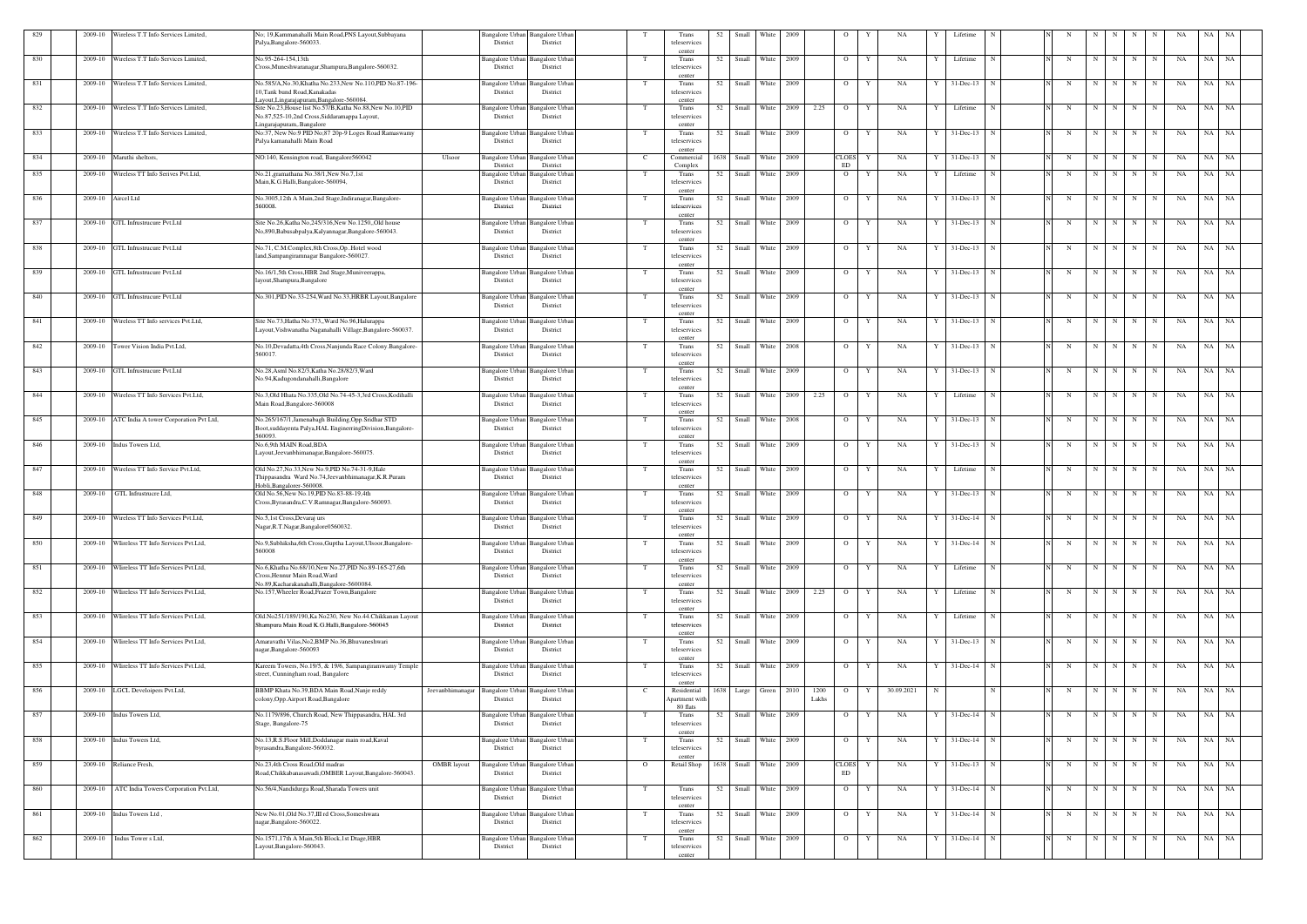| 829 | Wireless T.T Info Services Limited,<br>2009-10 | No; 19, Kammanahalli Main Road, PNS Layout, Subbayana<br>Palya, Bangalore-560033.                                                     | District                                          | Bangalore Urban Bangalore Urban<br>District |                | Trans<br>teleservices                               | 52   | Small       | White                 | 2009 |               | $\circ$                     | NA                   |     | Lifetime       |             |                          |             |         |                 |           | -NA | NA        | NA        |
|-----|------------------------------------------------|---------------------------------------------------------------------------------------------------------------------------------------|---------------------------------------------------|---------------------------------------------|----------------|-----------------------------------------------------|------|-------------|-----------------------|------|---------------|-----------------------------|----------------------|-----|----------------|-------------|--------------------------|-------------|---------|-----------------|-----------|-----|-----------|-----------|
| 830 | Wireless T.T Info Services Limited,<br>2009-10 | No.95-264-154.13th                                                                                                                    | Bangalore Urban                                   | Bangalore Urbar                             | T              | center<br>Trans                                     | 52   | Small       | White                 | 2009 |               | $\overline{O}$              | NA<br>Y              |     | Lifetime       |             | N                        | N           | N       | N               | N         | NA  | NA        | <b>NA</b> |
|     |                                                | Cross, Muneshwaranagar, Shampura, Bangalore-560032.                                                                                   | District                                          | District                                    |                | teleservices<br>center                              |      |             |                       |      |               |                             |                      |     |                |             |                          |             |         |                 |           |     |           |           |
| 831 | 2009-10 Wireless T.T Info Services Limited,    | No.585/A,No.30,Khatha No.233,New No.110,PID No.87-196-<br>10, Tank bund Road, Kanakadas<br>.ayout, Lingarajapuram, Bangalore-560084.  | Bangalore Urban<br>District                       | <b>Bangalore</b> Urbar<br>District          |                | Trans<br>teleservices<br>center                     |      |             | 52 Small White 2009   |      |               | $\overline{O}$              | NA<br>Y              |     | $31$ -Dec-13 N |             | $\mathbf N$              | N           | N       | N               | N         | NA  | NA NA     |           |
| 832 | 2009-10 Wireless T.T Info Services Limited,    | Site No.23, House list No.57/B, Katha No.88, New No.10, PID<br>No.87,525-10,2nd Cross,Siddaramappa Layout,                            | <b>Bangalore Urban</b><br>District                | Bangalore Urbar<br>District                 | T              | Trans<br>teleservices                               | 52   | Small       | White                 | 2009 | 2.25          | $\overline{O}$              | NA<br>Y              |     | Lifetime       |             | N                        | $\mathbf N$ | N       | N               | N         | NA  | NA        | NA        |
| 833 | 2009-10 Wireless T.T Info Services Limited,    | Lingarajapuram, Bangalore<br>No:37, New No:9 PID No;87 20p-9 Loges Road Ramaswamy<br>Palya kamanahalli Main Road                      | Bangalore Urban<br>District                       | Bangalore Urban<br>District                 | T              | center<br>Trans<br>teleservices                     | 52   |             | Small White 2009      |      |               | $\overline{O}$              | NA<br>Y              | - Y | 31-Dec-13      | $\mathbf N$ | $\mathbf N$              | N           | N       | N               | N         | NA  | NA NA     |           |
| 834 | 2009-10 Maruthi sheltors,                      | NO:140, Kensington road, Bangalore560042                                                                                              | Ulsoor<br><b>Bangalore Urban</b>                  | <b>Bangalore Urban</b>                      | - C            | center<br>Commercial                                | 1638 | Small       | White                 | 2009 |               | <b>CLOES</b>                | NA<br>Y              |     | 31-Dec-13      |             | N                        | N           | N       | $\mathbf N$     | N         | NA  | NA        | NA        |
| 835 | Wireless TT Info Serives Pvt.Ltd,<br>2009-10   | No.21, gramathana No.38/1, New No.7, 1st<br>Main, K.G.Halli, Bangalore-560094,                                                        | District<br>Bangalore Urban<br>District           | District<br>angalore Urbar<br>District      |                | Complex<br>Trans<br>teleservices                    | 52   | Small       | White                 | 2009 |               | <b>ED</b><br>$\overline{O}$ | NA                   |     | Lifetime       |             | N                        | N           | N       | N               |           | NA  | NA        | NA        |
| 836 | 2009-10 Aircel Ltd                             | No.3005,12th A Main,2nd Stage,Indiranagar,Bangalore-<br>560008.                                                                       | <b>Bangalore Urban</b><br>District                | Bangalore Urba<br>District                  |                | center<br>Trans<br>teleservices                     |      |             | 52 Small White 2009   |      |               | $\overline{O}$              | NA<br>Y              |     | $31$ -Dec-13   | N           | N                        | N           | N       | N               | N         | NA  | NA NA     |           |
| 837 | 2009-10 GTL Infrustrucure Pvt.Ltd              | Site No.26, Katha No, 245/316, New No.1250, Old house<br>No,890, Babusabpalya, Kalyannagar, Bangalore-560043.                         | Bangalore Urban<br>District                       | Bangalore Urbar<br>District                 | T              | center<br>Trans<br>teleservices                     | 52   | Small       | White 2009            |      |               | $\overline{O}$              | NA<br>Y              | Y   | $31$ -Dec-13   | N           | N                        | N           | N       | N               | N         | NA  | NA        | <b>NA</b> |
| 838 | 2009-10<br>GTL Infrustrucure Pvt.Ltd           | No.71, C.M.Complex,8th Cross,OpHotel wood<br>land, Sampangiramnagar Bangalore-560027.                                                 | <b>Bangalore Urban</b><br>District                | Bangalore Urba<br>District                  | T              | center<br>Trans<br>teleservices                     | 52   |             | Small White 2009      |      |               | $\overline{O}$              | NA<br>Y              |     | $31 - Dec-13$  | N           | N                        | N           | N       | N               | N         | NA  | NA NA     |           |
| 839 | GTL Infrustrucure Pvt.Ltd<br>2009-10           | No.16/1,5th Cross, HBR 2nd Stage, Muniveerappa,<br>layout, Shampura, Bangalore                                                        | Bangalore Urban<br>District                       | Bangalore Urbar<br>District                 | T              | center<br>Trans<br>teleservices                     | 52   | Small       | White                 | 2009 |               | $\overline{O}$              | NA<br>Y              |     | $31 - Dec-13$  |             | N                        | N           | N       | N               | N         | NA  | NA        | NA        |
| 840 | 2009-10<br>GTL Infrustrucure Pvt.Ltd           | No.301, PID No.33-254, Ward No.33, HRBR Layout, Bangalore                                                                             | <b>Bangalore Urban</b><br>District                | Bangalore Urba<br>District                  | T              | center<br>Trans<br>teleservices                     | 52   | Small       | White                 | 2009 |               | $\overline{O}$              | NA<br>Y              |     | $31 - Dec-13$  |             | N                        | $\mathbf N$ | N       | N               | N         | NA  | NA NA     |           |
| 841 | 2009-10 Wireless TT Info services Pvt.Ltd,     | Site No.73, Hatha No.373, Ward No.96, Halurappa<br>Layout, Vishwanatha Naganahalli Village, Bangalore-560037.                         | Bangalore Urban<br>District                       | Bangalore Urbar<br>District                 | T              | centei<br>Trans<br>teleservices                     | 52   |             | Small White 2009      |      |               | $\overline{O}$              | NA<br>Y              | Y   | 31-Dec-13      | N           | N                        | N           | N       | N               | N         | NA  | NA NA     |           |
| 842 | 2009-10 Tower Vision India Pvt.Ltd,            | No.10, Devadatta, 4th Cross, Nanjunda Race Colony. Bangalore-<br>560017.                                                              | <b>Bangalore Urban</b><br>District                | Bangalore Urba<br>District                  | T              | center<br>Trans<br>teleservices                     |      |             | 52 Small White 2008   |      |               | $\overline{O}$              | NA<br>Y              |     | $31$ -Dec-13   | $\mathbf N$ | N                        | N           | N       | N               | N         | NA  | NA NA     |           |
| 843 | GTL Infrustrucure Pvt.Ltd<br>2009-10           | No.28, Asml No.82/3, Katha No.28/82/3, Ward<br>No.94, Kadugondanahalli, Bangalore                                                     | Bangalore Urban<br>District                       | 3angalore Urba<br>District                  |                | center<br>Trans<br>teleservices                     | 52   | Small       | White                 | 2009 |               | $\overline{O}$              | NA<br>Y              |     | $31 - Dec-13$  | N           | N                        | N           | N       | N               | N         | NA  | <b>NA</b> | NA        |
| 844 | Wireless TT Info Services Pvt.Ltd,<br>2009-10  | No.3, Old Hhata No.335, Old No.74-45-3, 3rd Cross, Kodihalli<br>Main Road, Bangalore-560008                                           | <b>Bangalore Urban</b><br>District                | Bangalore Urba<br>District                  | T              | center<br>Trans<br>teleservices                     | 52   | Small       | White                 | 2009 | 2.25          | $\overline{O}$              | Y<br>NA              |     | Lifetime       |             | N                        | N           | N       | N               | N         | NA  | NA        | <b>NA</b> |
| 845 | 2009-10 ATC India A tower Corporation Pvt Ltd, | No.265/167/1, Jamenabagh Building, Opp. Sridhar STD<br>Boot, suddayenta Palya, HAL Enginerring Division, Bangalore-                   | Bangalore Urban<br>District                       | Bangalore Urbar<br>District                 | T              | center<br>Trans<br>teleservices                     | 52   | Small       | White 2008            |      |               | $\overline{O}$              | Y<br>NA              | Y   | 31-Dec-13      | $\mathbf N$ | $\mathbf N$              | N           | N       | N               | N         | NA  | NA NA     |           |
| 846 | 2009-10 Indus Towers Ltd,                      | 560093.<br>No.6,9th MAIN Road, BDA<br>Layout, Jeevanbhimanagar, Bangalore-560075.                                                     | Bangalore Urban<br>District                       | Bangalore Urba<br>District                  |                | center<br>Trans<br>teleservices                     | 52   |             | Small White 2009      |      |               | $\overline{O}$              | Y<br>NA              |     | $31 - Dec-13$  | N           | $\mathbf N$              | N           | N       | N               | N         | NA  | NA NA     |           |
| 847 | 2009-10 Wireless TT Info Service Pvt.Ltd,      | Old No.27, No.33, New No.9, PID No.74-31-9, Hale<br>Thippasandra Ward No.74, Jeevanbhimanagar, K.R. Puram                             | Bangalore Urban<br>District                       | <b>Bangalore Urban</b><br>District          | T              | center<br>Trans<br>teleservices                     | 52   |             | Small White 2009      |      |               | $\overline{O}$              | NA<br>Y              |     | Lifetime       | N           | N                        | N           | N       | N               | N         | NA  | NA        | <b>NA</b> |
| 848 | 2009-10 GTL Infrustrucre Ltd,                  | Hobli.Bangalorer-560008.<br>Old No.56, New No.19, PID No.83-88-19, 4th                                                                | Bangalore Urban                                   | Bangalore Urbar                             |                | center<br>Trans                                     | 52   | Small       | White                 | 2009 |               | $\overline{O}$              | Y<br>NA              |     | 31-Dec-13      |             | N                        | N           | N       | N               | N         | NA  | NA NA     |           |
|     |                                                | Cross, Byrasandra, C.V. Ramnagar, Bangalore-560093.                                                                                   | District                                          | District                                    |                | teleservices<br>center                              |      |             |                       |      |               |                             |                      |     |                |             |                          |             |         |                 |           |     |           |           |
| 849 | 2009-10 Wireless TT Info Services Pvt.Ltd,     | No.5,1st Cross, Devaraj urs<br>Nagar, R.T.Nagar, Bangalore 0560032.                                                                   | District                                          | Bangalore Urban Bangalore Urban<br>District |                | Trans<br>teleservices<br>center                     |      |             | 52 Small White 2009   |      |               |                             | 0 Y NA Y 31-Dec-14 N |     |                |             | N N N N N N N N NA NA NA |             |         |                 |           |     |           |           |
| 850 | Wlireless TT Info Services Pvt.Ltd,<br>2009-10 | No.9, Subhiksha, 6th Cross, Guptha Layout, Ulsoor, Bangalore-<br>560008                                                               | Bangalore Urban<br>District                       | Bangalore Urba<br>District                  |                | Trans<br>teleservices<br>center                     | 52   |             | Small White 2009      |      |               | $\overline{O}$              | Y<br>NA              |     | 31-Dec-14      |             | N                        | N           | N       | N               | N         | NA  | NA NA     |           |
| 851 | 2009-10 WIireless TT Info Services Pvt.Ltd,    | No.6, Khatha No.68/10, New No.27, PID No.89-165-27, 6th<br>Cross,Hennur Main Road,Ward<br>No.89, Kacharakanahalli, Bangalore-5600084. | District                                          | Bangalore Urban Bangalore Urban<br>District | T              | Trans<br>teleservices<br>center                     | 52   |             | Small White 2009      |      |               | $\overline{O}$              | Y<br>NA              |     | Lifetime       | N           | N                        | N           | N       | $\mathbf N$     | N         | NA  | NA        | NA        |
| 852 | 2009-10 WIireless TT Info Services Pvt.Ltd,    | No.157, Wheeler Road, Frazer Town, Bangalore                                                                                          | Bangalore Urban<br>District                       | <b>Bangalore Urba</b><br>District           | T              | Trans<br>teleservices<br>center                     | 52   | Small White |                       | 2009 | 2.25          | $\overline{O}$              | Y<br>NA              |     | Lifetime       | N           | N                        | N           | N       | $\mathbf N$     | N         | NA  | NA        | <b>NA</b> |
| 853 | 2009-10 WIireless TT Info Services Pvt. Ltd.   | Old.No251/189/190,Ka No230, New No.44.Chikkanan Layout<br>Shampura Main Road K.G.Halli, Bangalore-560045                              | Bangalore Urban<br>District                       | <b>Bangalore Urban</b><br>District          | T              | Trans<br>teleservices<br>center                     |      |             | 52 Small White 2009   |      |               | $\overline{O}$              | Y<br>NA              |     | Lifetime       | $\mathbf N$ | N                        |             | $N$ $N$ | N               | N         | NA  | NA NA     |           |
| 854 | 2009-10 WIireless TT Info Services Pvt.Ltd,    | Amaravathi Vilas, No2, BMP No.36, Bhuvaneshwari<br>nagar, Bangalore-560093                                                            | <b>Bangalore Urban</b><br>District                | <b>Bangalore</b> Urbar<br>District          | T              | Trans<br>teleservices<br>center                     | 52   |             | Small White 2009      |      |               | $\overline{O}$              | Y<br>NA              |     | 31-Dec-13      | N           | N                        | N           | N       | N               | N         | NA  | NA        | <b>NA</b> |
| 855 | 2009-10 WIireless TT Info Services Pvt.Ltd,    | Kareem Towers, No.19/5, & 19/6, Sampangiramwamy Temple<br>street, Cunningham road, Bangalore                                          | <b>Bangalore Urban</b><br>District                | Bangalore Urban<br>District                 |                | Trans<br>teleservices                               |      |             | 52 Small White 2009   |      |               | $\mathbf{O}$                | NA<br>Y              | Y   | $31$ -Dec-14 N |             | N                        | N           | N       | N               | N         | NA  | NA NA     |           |
| 856 | 2009-10 LGCL Develoipers Pvt.Ltd,              | BBMP Khata No.39, BDA Main Road, Nanje reddy<br>colony, Opp. Airport Road, Bangalore                                                  | Jeevanbhimanagar<br>Bangalore Urban<br>District   | <b>Bangalore Urbar</b><br>District          | <sup>-</sup> C | center<br>Residential<br>Apartment witl<br>80 flats |      |             | 1638 Large Green 2010 |      | 1200<br>Lakhs | $O \mid Y$                  | 30.09.2021           | N   |                | $\mathbf N$ | N                        | N           | N       |                 | $N$   $N$ | NA  | NA NA     |           |
| 857 | 2009-10 Indus Towers Ltd,                      | No.1179/896, Church Road, New Thippasandra, HAL 3rd<br>Stage, Bangalore-75                                                            | Bangalore Urban<br>District                       | <b>Bangalore Urban</b><br>District          |                | Trans<br>teleservices                               |      |             | 52 Small White 2009   |      |               | $\overline{O}$              | NA<br>Y              | Y   | $31$ -Dec-14 N |             | N                        |             |         | $N$ $N$ $N$ $N$ |           | NA  | NA NA     |           |
| 858 | 2009-10 Indus Towers Ltd,                      | No.13, R.S. Floor Mill, Doddanagar main road, Kaval<br>oyrasandra, Bangalore-560032.                                                  | <b>Bangalore Urban</b><br>District                | <b>Bangalore Urban</b><br>District          | T              | center<br>Trans<br>teleservices                     | 52   |             | Small White 2009      |      |               | $\overline{O}$              | NA<br>Y              |     | $31$ -Dec-14   |             | N                        | N           | N       | N               | N         | NA  | NA        | NA        |
| 859 | 2009-10 Reliance Fresh,                        | No.23,4th Cross Road,Old madras<br>Road, Chikkabanasawadi, OMBER Layout, Bangalore-560043.                                            | <b>OMBR</b> layout<br>Bangalore Urban<br>District | <b>Bangalore Urban</b><br>District          | $\overline{O}$ | center<br>Retail Shop                               |      |             | 1638 Small White 2009 |      |               | <b>CLOES</b><br>ED          | NA<br>Y              | Y   | $31$ -Dec-13 N |             | N                        | N           | N       | N               | N         | NA  | NA NA     |           |
| 860 | 2009-10 ATC India Towers Corporation Pvt.Ltd,  | No.56/4, Nandidurga Road, Sharada Towers unit                                                                                         | <b>Bangalore Urban</b><br>District                | <b>Bangalore</b> Urbar<br>District          | T              | Trans<br>teleservices                               | 52   |             | Small White 2009      |      |               | $\overline{O}$              | NA<br>Y              | Y   | $31 - Dec-14$  | $\mathbf N$ | N                        | N           | N       | N               | N         | NA  | NA NA     |           |
| 861 | 2009-10 Indus Towers Ltd,                      | New No.01, Old No.37, III rd Cross, Someshwara<br>nagar, Bangalore-560022.                                                            | District                                          | Bangalore Urban Bangalore Urban<br>District |                | center<br>Trans<br>teleservices                     |      |             | 52 Small White 2009   |      |               | $\overline{O}$              | NA<br>Y              | Y   | $31$ -Dec-14 N |             | N                        | N           | N       | N               | N         | NA  | NA NA     |           |
| 862 | 2009-10 Indus Tower s Ltd,                     | No.1571,17th A Main,5th Block,1st Dtage,HBR<br>Layout, Bangalore-560043.                                                              | District                                          | Bangalore Urban Bangalore Urbar<br>District |                | center<br>Trans<br>teleservices                     | 52   | Small       | White 2009            |      |               | $\overline{O}$              | NA<br>Y              |     | $31$ -Dec-14   |             | N                        | N           | N       | N               | N         | NA  | NA        | <b>NA</b> |
|     |                                                |                                                                                                                                       |                                                   |                                             |                | center                                              |      |             |                       |      |               |                             |                      |     |                |             |                          |             |         |                 |           |     |           |           |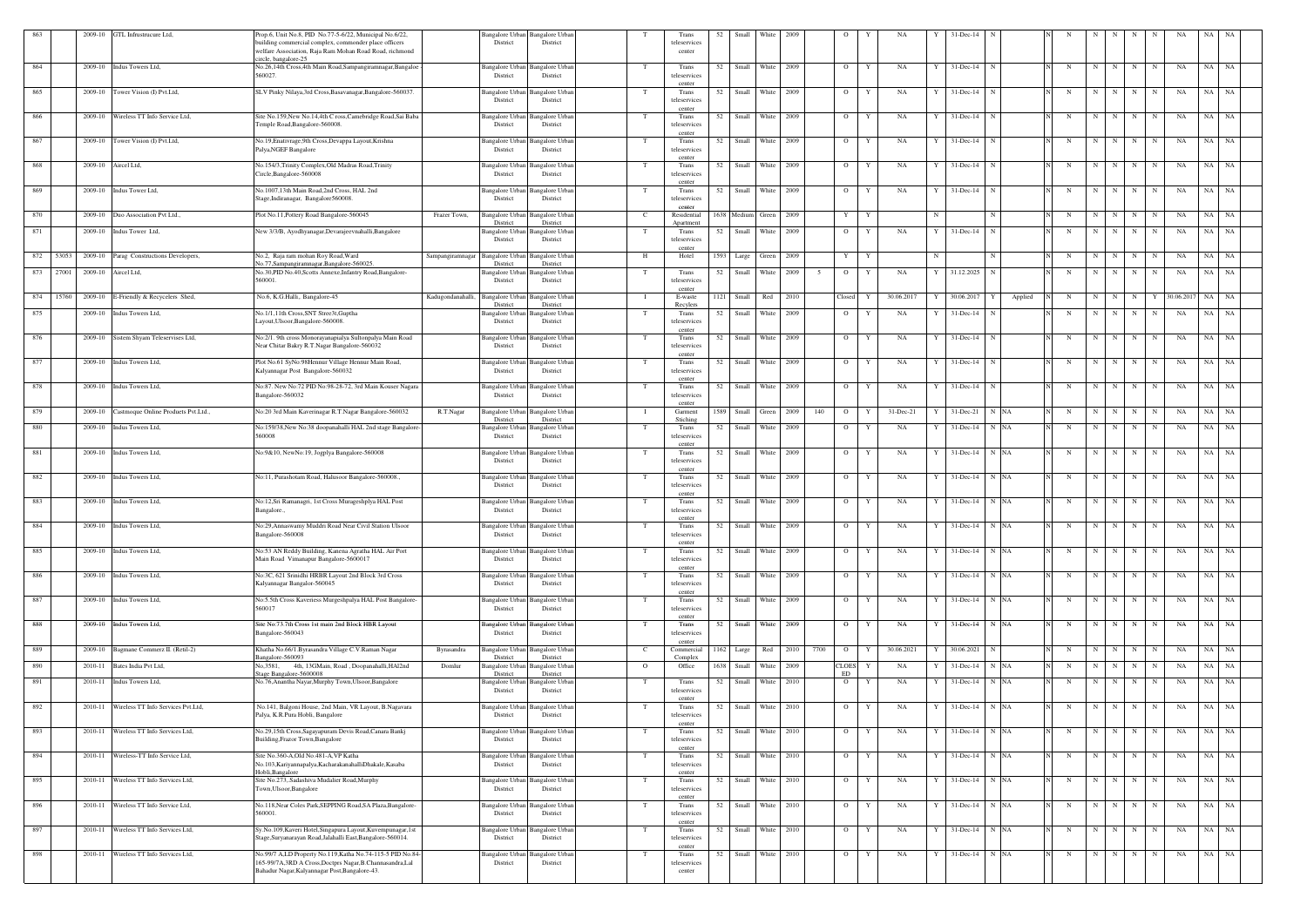|              | GTL Infrustrucure Ltd,<br>2009-10           | Prop.6, Unit No.8, PID No.77-5-6/22, Municipal No.6/22,                                                                     |                                  | Bangalore Urban                    | Bangalore Urbar                    |                | Trans                  | 52   | Small               | White            | - 2009 |      | - 0                  | NA              |     | 31-Dec-14                |         |             |             |   |                     |               |            | NA    |           |
|--------------|---------------------------------------------|-----------------------------------------------------------------------------------------------------------------------------|----------------------------------|------------------------------------|------------------------------------|----------------|------------------------|------|---------------------|------------------|--------|------|----------------------|-----------------|-----|--------------------------|---------|-------------|-------------|---|---------------------|---------------|------------|-------|-----------|
|              |                                             | building commercial complex, commonder place officers                                                                       |                                  | District                           | District                           |                | teleservices           |      |                     |                  |        |      |                      |                 |     |                          |         |             |             |   |                     |               |            |       |           |
|              |                                             | welfare Association, Raja Ram Mohan Road Road, richmond                                                                     |                                  |                                    |                                    |                | center                 |      |                     |                  |        |      |                      |                 |     |                          |         |             |             |   |                     |               |            |       |           |
| 864          | 2009-10<br>Indus Towers Ltd,                | ircle, bangalore-25<br>No.26,14th Cross,4th Main Road,Sampangiramnagar,Bangaloe                                             |                                  | Bangalore Urban                    | Bangalore Urba                     | T              | Trans                  | 52   | Small               | White            | 2009   |      | $\overline{O}$       | Y<br>NA         |     | $31$ -Dec-14             |         | N           | N           | N | N                   | N             | NA         | NA    | NA        |
|              |                                             | 560027.                                                                                                                     |                                  | District                           | District                           |                | teleservices           |      |                     |                  |        |      |                      |                 |     |                          |         |             |             |   |                     |               |            |       |           |
|              |                                             |                                                                                                                             |                                  |                                    |                                    |                | center                 |      |                     |                  |        |      |                      |                 |     |                          |         |             |             |   |                     |               |            |       |           |
| 865          | 2009-10 Tower Vision (I) Pvt.Ltd,           | SLV Pinky Nilaya, 3rd Cross, Basavanagar, Bangalore-560037.                                                                 |                                  | Bangalore Urban<br>District        | Bangalore Urbar<br>District        | - Т            | Trans<br>teleservices  | 52   |                     | Small White 2009 |        |      | $\overline{O}$       | Y<br>NA         | Y   | 31-Dec-14<br>N           |         | N           | N           | N | N                   | N             | NA         | NA    | <b>NA</b> |
|              |                                             |                                                                                                                             |                                  |                                    |                                    |                | center                 |      |                     |                  |        |      |                      |                 |     |                          |         |             |             |   |                     |               |            |       |           |
| 866          | 2009-10 Wireless TT Info Service Ltd,       | Site No.159, New No.14, 4th C ross, Camebridge Road, Sai Baba                                                               |                                  | Bangalore Urban                    | Bangalore Urba                     |                | Trans                  | 52   |                     | Small White      | 2009   |      | $\overline{O}$       | Y<br>NA         |     | 31-Dec-14                |         | N           | N           | N | N                   | N             | NA         | NA    | NA        |
|              |                                             | Femple Road, Bangalore-560008.                                                                                              |                                  | District                           | District                           |                | teleservices<br>center |      |                     |                  |        |      |                      |                 |     |                          |         |             |             |   |                     |               |            |       |           |
| 867          | 2009-10 Tower Vision (I) Pvt.Ltd,           | No.19, Enativrage, 9th Cross, Devappa Layout, Krishna                                                                       |                                  | Bangalore Urban                    | Bangalore Urbar                    | T              | Trans                  | 52   | Small               | White            | 2009   |      | $\overline{O}$       | NA<br>Y         |     | $31$ -Dec-14<br>N        |         | N           | N           | N | N                   | N             | NA         | NA    | NA        |
|              |                                             | Palya, NGEF Bangalore                                                                                                       |                                  | District                           | District                           |                | teleservices           |      |                     |                  |        |      |                      |                 |     |                          |         |             |             |   |                     |               |            |       |           |
| 868          | 2009-10<br>Aircel Ltd,                      | No.154/3, Trinity Complex, Old Madras Road, Trinity                                                                         |                                  | Bangalore Urban                    | Bangalore Urba                     |                | center<br>Trans        | 52   | Small               | White            | 2009   |      | $\overline{O}$       | NA<br>Y         |     | $31 - Dec-14$            |         | N           | $\mathbf N$ | N | N                   | N             | NA         | NA    | NA        |
|              |                                             | Circle, Bangalore-560008                                                                                                    |                                  | District                           | District                           |                | teleservices           |      |                     |                  |        |      |                      |                 |     |                          |         |             |             |   |                     |               |            |       |           |
|              |                                             |                                                                                                                             |                                  |                                    |                                    |                | center                 |      |                     |                  |        |      |                      |                 |     |                          |         |             |             |   |                     |               |            |       |           |
| 869          | 2009-10 Indus Tower Ltd,                    | No.1007,13th Main Road,2nd Cross, HAL 2nd<br>Stage, Indiranagar, Bangalore 560008.                                          |                                  | Bangalore Urban<br>District        | Bangalore Urbar<br>District        |                | Trans<br>teleservices  |      | 52 Small White 2009 |                  |        |      | $\overline{O}$       | NA<br>Y         |     | 31-Dec-14<br>N           |         | N           | N           | N | N                   | N             | NA         | NA NA |           |
|              |                                             |                                                                                                                             |                                  |                                    |                                    |                | center                 |      |                     |                  |        |      |                      |                 |     |                          |         |             |             |   |                     |               |            |       |           |
| 870          | 2009-10<br>Duo Association Pvt Ltd.,        | Plot No.11, Pottery Road Bangalore-560045                                                                                   | Frazer Town,                     | Bangalore Urba                     | Bangalore Urbar                    |                | Residential            |      | 1638 Medium Green   |                  | 2009   |      | $\mathbf{Y}$         | Y               |     |                          |         | N           | N           | N | N                   | N             | NA         | NA    | NA        |
| 871          | 2009-10<br>Indus Tower Ltd,                 | New 3/3/B, Ayodhyanagar, Devarajeevnahalli, Bangalore                                                                       |                                  | District<br><b>Bangalore Urban</b> | District<br>Bangalore Urba         | T              | Apartment<br>Trans     | 52   | Small               | White            | 2009   |      | $\overline{O}$       | Y<br>NA         | Y   | 31-Dec-14<br>N           |         | N           | $\mathbf N$ | N | N                   | N             | NA         | NA    | NA        |
|              |                                             |                                                                                                                             |                                  | District                           | District                           |                | teleservices           |      |                     |                  |        |      |                      |                 |     |                          |         |             |             |   |                     |               |            |       |           |
|              |                                             |                                                                                                                             |                                  |                                    |                                    |                | center                 |      |                     |                  |        |      |                      |                 |     |                          |         |             |             |   |                     |               |            |       |           |
| 872<br>53053 | 2009-10 Parag Constructions Developers,     | No.2, Raja ram mohan Roy Road, Ward<br>No.77, Sampangiramnagar, Bangalore-560025                                            | Sampangiramnagar Bangalore Urban | District                           | Bangalore Urban<br>District        | H              | Hotel                  |      | 1593 Large Green    |                  | 2009   |      | Y                    | Y               | -N  | N                        |         | N           | N           | N | N                   | $\mathbf N$ . | NA         | NA NA |           |
| 873<br>27001 | 2009-10 Aircel Ltd,                         | No.30, PID No.40, Scotts Annexe, Infantry Road, Bangalore-                                                                  |                                  | <b>Bangalore Urban</b>             | Bangalore Urban                    |                | Trans                  | 52   |                     | Small White      | 2009   |      | $\overline{O}$       | NA<br>Y         | Y   | 31.12.2025<br>N          |         | N           | N           | N | N                   | N             | NA         | NA    | - NA      |
|              |                                             | 560001.                                                                                                                     |                                  | District                           | District                           |                | teleservices           |      |                     |                  |        |      |                      |                 |     |                          |         |             |             |   |                     |               |            |       |           |
| 874<br>15760 | 2009-10 E-Friendly & Recycelers Shed,       | No.6, K.G.Halli, Bangalore-45                                                                                               | Kadugondanahalli.                | <b>Bangalore Urbar</b>             | Bangalore Urbar                    |                | center<br>E-waste      | 1121 | Small               | Red              | 2010   |      | Closed               | 30.06.2017      |     | 30.06.2017               | Applied | N           | N           | N | N                   |               | 30.06.2017 | NA    | NA        |
|              |                                             |                                                                                                                             |                                  | District                           | District                           |                | Recylers               |      |                     |                  |        |      |                      |                 |     |                          |         |             |             |   |                     |               |            |       |           |
| 875          | 2009-10 Indus Towers Ltd,                   | No.1/1,11th Cross, SNT Stree3t, Guptha                                                                                      |                                  | <b>Bangalore Urban</b>             | <b>Bangalore</b> Urbar             | T              | Trans                  | 52   | Small               | White            | 2009   |      | $\overline{O}$       | NA<br>Y         |     | $31 - Dec-14$            |         | N           | N           | N | N                   | N             | NA         | NA    | NA        |
|              |                                             | Layout, Ulsoor, Bangalore-560008.                                                                                           |                                  | District                           | District                           |                | teleservices<br>center |      |                     |                  |        |      |                      |                 |     |                          |         |             |             |   |                     |               |            |       |           |
| 876          | 2009-10 Sistem Shyam Teleservises Ltd,      | No:2/1. 9th cross Monorayanapialya Sultonpalya Main Road                                                                    |                                  | Bangalore Urban                    | <b>Bangalore</b> Urbar             | T              | Trans                  | 52   |                     | Small White      | 2009   |      | $\overline{O}$       | NA<br>Y         |     | $31$ -Dec-14<br>N        |         | N           | N           | N | N                   | $\mathbf N$   | NA         | NA    | <b>NA</b> |
|              |                                             | Near Chitar Bakry R.T.Nagar Bangalore-560032                                                                                |                                  | District                           | District                           |                | teleservices<br>center |      |                     |                  |        |      |                      |                 |     |                          |         |             |             |   |                     |               |            |       |           |
| 877          | 2009-10 Indus Towers Ltd,                   | Plot No.61 SyNo:98Hennur Village Hennur Main Road,                                                                          |                                  | <b>Bangalore Urban</b>             | Bangalore Urbar                    | T              | Trans                  | 52   | Small               | White            | 2009   |      | $\overline{O}$       | NA<br>Y         |     | $31 - Dec-14$            |         | N           | N           | N | N                   | N             | NA         | NA    | NA        |
|              |                                             | Kalyannagar Post Bangalore-560032                                                                                           |                                  | District                           | District                           |                | teleservices           |      |                     |                  |        |      |                      |                 |     |                          |         |             |             |   |                     |               |            |       |           |
| 878          | 2009-10 Indus Towers Ltd,                   | No:87. New No:72 PID No:98-28-72, 3rd Main Kouser Nagara                                                                    |                                  | Bangalore Urban                    | Bangalore Urbar                    |                | center<br>Trans        | 52   |                     | Small White      | 2009   |      | $\overline{O}$       | NA<br>Y         |     | 31-Dec-14<br>$\mathbf N$ |         | N           | N           | N | N                   | N             | NA         | NA NA |           |
|              |                                             | Bangalore-560032                                                                                                            |                                  | District                           | District                           |                | teleservices           |      |                     |                  |        |      |                      |                 |     |                          |         |             |             |   |                     |               |            |       |           |
|              |                                             |                                                                                                                             |                                  |                                    |                                    |                | center                 |      |                     |                  |        |      |                      |                 |     |                          |         |             |             |   |                     |               |            |       |           |
| 879          | 2009-10 Castmoque Online Produets Pvt.Ltd., | No:20 3rd Main Kaverinagar R.T.Nagar Bangalore-560032                                                                       | R.T.Nagar                        | <b>Bangalore Urbar</b><br>District | angalore Urbar<br>District         |                | Garment<br>Stiching    | 1589 | Small               | Green            | 2009   | 140  | $\overline{O}$       | 31-Dec-21       |     | $31 - Dec-21$            | N NA    | N           | N           | N | N                   |               | NA         | NA    | NA        |
| 880          | 2009-10 Indus Towers Ltd,                   | No:159/38, New No:38 doopanahalli HAL 2nd stage Bangalore-                                                                  |                                  | Bangalore Urba                     | angalore Urba                      | T              | Trans                  | 52   | Small               | White            | 2009   |      | $\circ$              | NA<br>Y         |     | 31-Dec-14                | N NA    | N           | N           | N | N                   | N             | NA         | NA    | NA        |
|              |                                             | 560008                                                                                                                      |                                  | District                           | District                           |                | teleservices           |      |                     |                  |        |      |                      |                 |     |                          |         |             |             |   |                     |               |            |       |           |
| 881          | 2009-10 Indus Towers Ltd,                   | No:9&10, NewNo:19, Jogplya Bangalore-560008                                                                                 |                                  | <b>Bangalore Urban</b>             | angalore Urba                      | T              | center<br>Trans        | 52   |                     | Small White      | 2009   |      | $\overline{O}$       | NA<br>Y         |     | 31-Dec-14 N NA           |         | N           | N           | N | N                   | N             | NA         | NA NA |           |
|              |                                             |                                                                                                                             |                                  | District                           | District                           |                | teleservices           |      |                     |                  |        |      |                      |                 |     |                          |         |             |             |   |                     |               |            |       |           |
|              |                                             |                                                                                                                             |                                  |                                    |                                    |                | center                 |      |                     |                  |        |      |                      |                 |     |                          |         |             |             |   |                     |               |            |       |           |
| 882          | Indus Towers Ltd,<br>2009-10                | No:11, Purashotam Road, Halusoor Bangalore-560008.                                                                          |                                  | Bangalore Urban<br>District        | angalore Urbar<br>District         | T              | Trans<br>teleservices  | 52   | Small               | White            | 2009   |      | $\overline{O}$       | NA<br>Y         |     | 31-Dec-14                | N NA    | N           | N           | N | N                   | N             | NA         | NA    | NA        |
|              |                                             |                                                                                                                             |                                  |                                    |                                    |                | center                 |      |                     |                  |        |      |                      |                 |     |                          |         |             |             |   |                     |               |            |       |           |
| 883          | Indus Towers Ltd,<br>2009-10                | No:12,Sri Ramanagri, 1st Cross Murageshplya HAL Post                                                                        |                                  | Bangalore Urban                    | angalore Urba                      |                | Trans                  | 52   | Small               | White            | 2009   |      | $\overline{O}$       | NA<br>Y         | - Y | 31-Dec-14                | N NA    | N           | N           | N | N                   | $\mathbf N$   | NA         | NA    | NA        |
|              |                                             | Bangalore.,                                                                                                                 |                                  | District                           | District                           |                | teleservices<br>center |      |                     |                  |        |      |                      |                 |     |                          |         |             |             |   |                     |               |            |       |           |
| 884          | 2009-10 Indus Towers Ltd,                   | No:29, Annaswamy Muddri Road Near Civil Station Ulsoor                                                                      |                                  |                                    | Bangalore Urban Bangalore Urban    |                | Trans                  | 52   |                     | Small White 2009 |        |      | $\circ$              | NA<br>Y         |     | $31$ -Dec-14 N NA        |         |             |             |   |                     |               | NA         | NA    | NA        |
|              |                                             | Bangalore-560008                                                                                                            |                                  | District                           | District                           |                | teleservices           |      |                     |                  |        |      |                      |                 |     |                          |         |             |             |   |                     |               |            |       |           |
| 885          | 2009-10 Indus Towers Ltd,                   | No:53 AN Reddy Building, Kanena Agratha HAL Air Port                                                                        |                                  | <b>Bangalore Urban</b>             | Bangalore Urba                     | T              | center<br>Trans        |      | 52 Small White 2009 |                  |        |      | $\overline{O}$       | NA<br>Y         |     | $31$ -Dec-14 N NA        |         | $\mathbf N$ |             |   | $N$ $N$   $N$ $N$   |               | NA         | NA NA |           |
|              |                                             | Main Road Vimanapur Bangalore-5600017                                                                                       |                                  | District                           | District                           |                | teleservices           |      |                     |                  |        |      |                      |                 |     |                          |         |             |             |   |                     |               |            |       |           |
|              |                                             |                                                                                                                             |                                  |                                    |                                    |                | center                 |      |                     |                  |        |      |                      |                 |     |                          |         |             |             |   |                     |               |            |       |           |
| 886          | 2009-10 Indus Towers Ltd,                   | No:3C, 621 Srinidhi HRBR Layout 2nd Block 3rd Cross<br>Kalyannagar Bangalor-560045                                          |                                  | Bangalore Urban<br>District        | Bangalore Urban<br>District        | T              | Trans<br>teleservices  | 52   |                     | Small White 2009 |        |      | $\mathbf{O}$         | NA<br>Y         |     | $31$ -Dec-14 N NA        |         | N           | N           | N | N                   | N             | NA         | NA NA |           |
|              |                                             |                                                                                                                             |                                  |                                    |                                    |                | center                 |      |                     |                  |        |      |                      |                 |     |                          |         |             |             |   |                     |               |            |       |           |
| 887          | 2009-10 Indus Towers Ltd,                   | No:5.5th Cross Kaveriess Murgeshpalya HAL Post Bangalore-                                                                   |                                  | <b>Bangalore Urban</b>             | Bangalore Urba                     | T              | Trans                  |      | 52 Small White 2009 |                  |        |      | $\mathbf{O}$         | Y<br>NA         | Y   | $31$ -Dec-14 N NA        |         | N           |             |   | $N$ $N$   $N$ $N$   |               | NA         | NA NA |           |
|              |                                             | 560017                                                                                                                      |                                  | District                           | District                           |                | teleservices<br>center |      |                     |                  |        |      |                      |                 |     |                          |         |             |             |   |                     |               |            |       |           |
| 888          | 2009-10 Indus Towers Ltd,                   | Site No:73.7th Cross 1st main 2nd Block HBR Layout                                                                          |                                  | Bangalore Urban                    | Bangalore Urban                    | T              | Trans                  | 52   |                     | Small White 2009 |        |      | $\overline{O}$       | Y<br>NA         | Y   | $31$ -Dec-14 N NA        |         | N           |             |   | $N$ $N$ $N$         | N             | NA         | NA NA |           |
|              |                                             | Bangalore-560043                                                                                                            |                                  | District                           | District                           |                | teleservices           |      |                     |                  |        |      |                      |                 |     |                          |         |             |             |   |                     |               |            |       |           |
| 889          | 2009-10<br>Bagmane Commerz II. (Retil-2)    | Khatha No.66/1.Byrasandra Village C.V.Raman Nagar                                                                           | Byrasandra                       | <b>Bangalore Urban</b>             | <b>Bangalore Urbar</b>             | <sup>-</sup> C | center<br>Commercial   |      | 1162 Large Red 2010 |                  |        | 7700 | $\overline{O}$       | 30.06.2021<br>Y |     | 30.06.2021<br>N          |         | N           | N           | N | N                   | N             | NA         | NA NA |           |
|              |                                             | Bangalore-560093                                                                                                            |                                  | District                           | District                           |                | Complex                |      |                     |                  |        |      |                      |                 |     |                          |         |             |             |   |                     |               |            |       |           |
| 890          | 2010-11<br>Bates India Pvt Ltd,             | No, 3581, 4th, 13GMain, Road, Doopanahalli, HAl2nd                                                                          | Domlur                           | <b>Bangalore Urbar</b>             | Bangalore Urbar                    | $\overline{O}$ | Office                 | 1638 | Small               | White 2009       |        |      | <b>CLOES</b>         | NA              |     | $31$ -Dec-14             | N NA    | N           | N           | N | N                   | N             | NA         | NA NA |           |
| 891          | 2010-11 Indus Towers Ltd,                   | tage Bangalore-5600008<br>No.76, Anantha Nayar, Murphy Town, Ulsoor, Bangalore                                              |                                  | District<br>Bangalore Urban        | District<br><b>Bangalore Urbar</b> | T              | Trans                  | 52   |                     | Small White 2010 |        |      | ED<br>$\overline{O}$ | NA<br>Y         |     | $31$ -Dec-14 N NA        |         | N           | N           | N | N                   | N             | NA         | NA NA |           |
|              |                                             |                                                                                                                             |                                  | District                           | District                           |                | teleservices           |      |                     |                  |        |      |                      |                 |     |                          |         |             |             |   |                     |               |            |       |           |
|              | 2010-11 Wireless TT Info Services Pvt.Ltd,  |                                                                                                                             |                                  |                                    |                                    |                | center                 |      |                     | Small White 2010 |        |      | $\overline{O}$       |                 |     |                          |         |             |             | N |                     |               |            |       |           |
| 892          |                                             | No.141, Balgoni House, 2nd Main, VR Layout, B.Nagavara<br>Palya, K.R.Pura Hobli, Bangalore                                  |                                  | Bangalore Urban<br>District        | Bangalore Urban<br>District        |                | Trans<br>teleservices  | 52   |                     |                  |        |      |                      | NA<br>Y         |     | $31$ -Dec-14 N NA        |         | N           | N           |   | N                   | N             | NA         | NA NA |           |
|              |                                             |                                                                                                                             |                                  |                                    |                                    |                | center                 |      |                     |                  |        |      |                      |                 |     |                          |         |             |             |   |                     |               |            |       |           |
| 893          | 2010-11 Wireless TT Info Services Ltd,      | No.29,15th Cross, Sagayapuram Devis Road, Canara Bankj<br>Building, Frazor Town, Bangalore                                  |                                  | <b>Bangalore Urban</b><br>District | <b>Bangalore</b> Urbar<br>District | T              | Trans<br>teleservices  |      | 52 Small White 2010 |                  |        |      | $\mathbf{O}$         | NA<br>Y         | Y   | 31-Dec-14 N NA           |         | N           |             |   | $N$ $N$   $N$ $N$   |               | NA         | NA NA |           |
|              |                                             |                                                                                                                             |                                  |                                    |                                    |                | center                 |      |                     |                  |        |      |                      |                 |     |                          |         |             |             |   |                     |               |            |       |           |
| 894          | 2010-11 Wireless-TT Info Service Ltd,       | Site No.360-A, Old No.481-A, VP Katha                                                                                       |                                  |                                    | Bangalore Urban Bangalore Urban    | - T            | Trans                  |      | 52 Small White 2010 |                  |        |      | $O$ $Y$              | NA              |     | $Y = 31 - Dec-14$ N NA   |         | N           |             |   | $N$ $N$   $N$   $N$ |               | NA         | NA NA |           |
|              |                                             | No.103, Kariyannapalya, Kacharakanahalli Dhakale, Kasaba<br>Hobli, Bangalore                                                |                                  | District                           | District                           |                | teleservices<br>center |      |                     |                  |        |      |                      |                 |     |                          |         |             |             |   |                     |               |            |       |           |
| 895          | 2010-11 Wireless TT Info Services Ltd,      | Site No.273, Sadashiva Mudalier Road, Murphy                                                                                |                                  |                                    | Bangalore Urban Bangalore Urbar    | T              | Trans                  | 52   |                     | Small White 2010 |        |      | $\overline{O}$       | Y<br>NA         |     | $31$ -Dec-14 N NA        |         | N           | N           | N | N                   | N             | NA         | NA NA |           |
|              |                                             | Town, Ulsoor, Bangalore                                                                                                     |                                  | District                           | District                           |                | teleservices           |      |                     |                  |        |      |                      |                 |     |                          |         |             |             |   |                     |               |            |       |           |
| 896          | 2010-11 Wireless TT Info Service Ltd,       | No.118, Near Coles Park, SEPPING Road, SA Plaza, Bangalore-                                                                 |                                  |                                    | Bangalore Urban Bangalore Urban    |                | center<br>Trans        |      | 52 Small White 2010 |                  |        |      | $\mathbf{O}$         | NA<br>Y         | Y   | $31$ -Dec-14 N NA        |         | N           | N           | N | N                   | N             | NA         | NA NA |           |
|              |                                             | 560001.                                                                                                                     |                                  | District                           | District                           |                | teleservices           |      |                     |                  |        |      |                      |                 |     |                          |         |             |             |   |                     |               |            |       |           |
|              |                                             |                                                                                                                             |                                  |                                    |                                    |                | center                 |      |                     |                  |        |      |                      |                 |     |                          |         |             |             |   |                     |               |            |       |           |
| 897          | 2010-11 Wireless TT Info Services Ltd,      | Sy.No.109, Kaveri Hotel, Singapura Layout, Kuvempunagar, 1st<br>Stage, Suryanarayan Road, Jalahalli East, Bangalore-560014. |                                  | <b>Bangalore Urban</b><br>District | <b>Bangalore Urbar</b><br>District | T              | Trans<br>teleservices  | 52   |                     | Small White 2010 |        |      | $\overline{O}$       | NA<br>Y         | Y   | $31$ -Dec-14 N NA        |         | N           | N           | N | N                   | N             | NA         | NA NA |           |
|              |                                             |                                                                                                                             |                                  |                                    |                                    |                | center                 |      |                     |                  |        |      |                      |                 |     |                          |         |             |             |   |                     |               |            |       |           |
| 898          | 2010-11 Wireless TT Info Services Ltd,      | No.99/7 A,LD Property No.119, Katha No.74-115-5 PID No.84-<br>165-99/7A,3RD A Cross, Doctprs Nagar, B.Channasandra, Lal     |                                  | <b>Bangalore Urban</b><br>District | <b>Bangalore Urban</b><br>District |                | Trans<br>teleservices  |      | 52 Small White 2010 |                  |        |      | $\overline{O}$       | NA<br>Y         |     | $31$ -Dec-14 N NA        |         | N           | N           | N | N                   | N             | NA         | NA NA |           |
|              |                                             | Bahadur Nagar, Kalyannagar Post, Bangalore-43.                                                                              |                                  |                                    |                                    |                | center                 |      |                     |                  |        |      |                      |                 |     |                          |         |             |             |   |                     |               |            |       |           |
|              |                                             |                                                                                                                             |                                  |                                    |                                    |                |                        |      |                     |                  |        |      |                      |                 |     |                          |         |             |             |   |                     |               |            |       |           |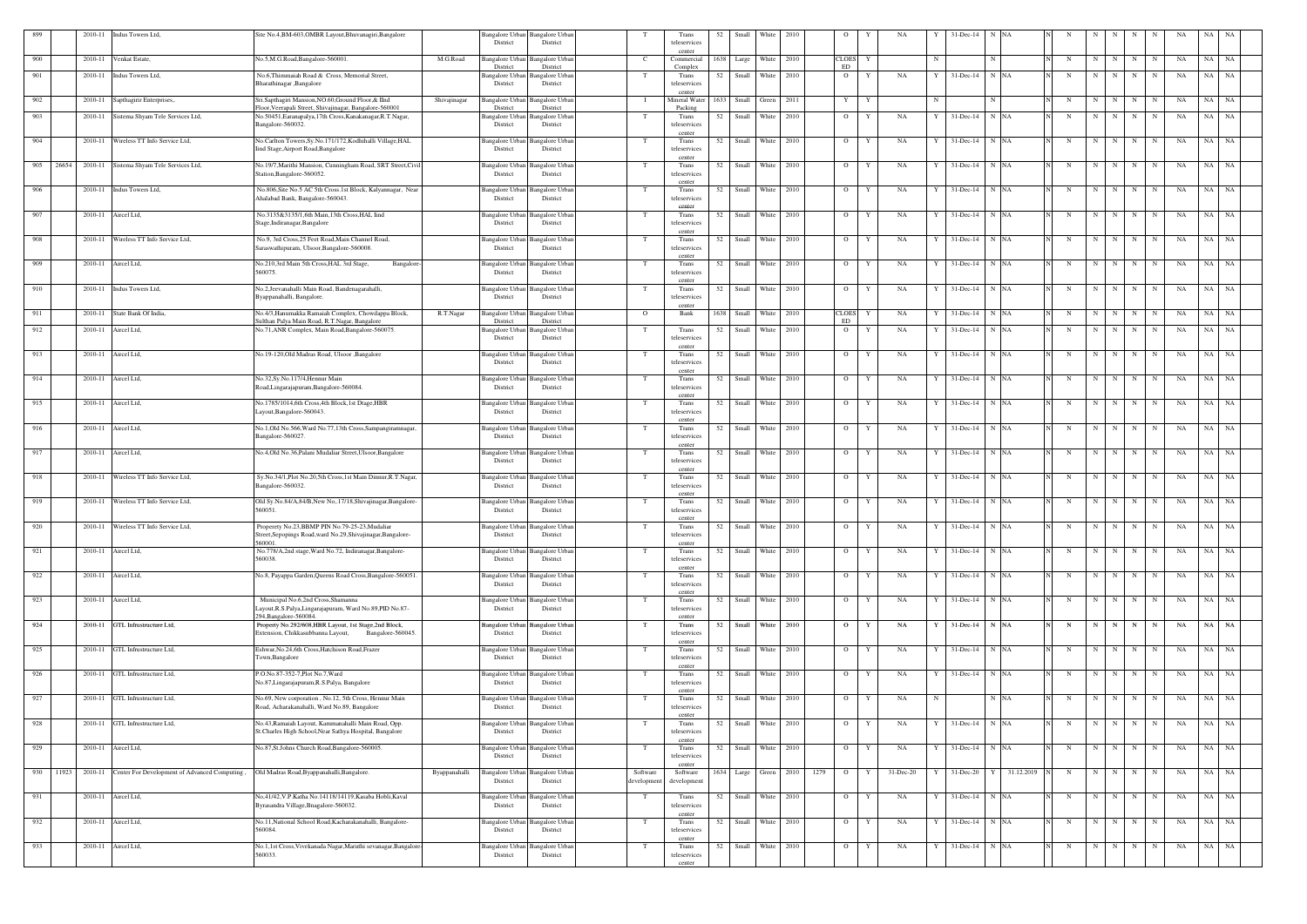| 899 |           |                     | 2010-11 Indus Towers Ltd,                     | Site No.4, BM-603, OMBR Layout, Bhuvanagiri, Bangalore                                                                     |               | Bangalore Urban Bangalore Urban<br>District<br>District                  |                        | Trans<br>teleservices                     | 52   | Small | <b>White</b>        | 2010 |      | $\circ$            | NA             |             | 31-Dec-14               | N NA            |             |   |           |                     |             | <b>NA</b> | NA    | - NA      |
|-----|-----------|---------------------|-----------------------------------------------|----------------------------------------------------------------------------------------------------------------------------|---------------|--------------------------------------------------------------------------|------------------------|-------------------------------------------|------|-------|---------------------|------|------|--------------------|----------------|-------------|-------------------------|-----------------|-------------|---|-----------|---------------------|-------------|-----------|-------|-----------|
| 900 |           | 2010-11             | Venkat Estate,                                | No.5,M.G.Road,Bangalore-560001.                                                                                            | M.G.Road      | Bangalore Urban<br><b>Bangalore Urbar</b><br>District<br>District        | - C                    | center<br>Commercial                      | 1638 | Large | White 2010          |      |      | <b>CLOES</b><br>ED | Y              | N           |                         |                 | N           | N | N         | N                   | N           | NA        | NA    | <b>NA</b> |
| 901 |           | 2010-11             | Indus Towers Ltd,                             | No.6, Thimmaiah Road & Cross, Memorial Street,<br>Bharathinagar , Bangalore                                                |               | Bangalore Urban<br><b>Bangalore Urban</b><br>District<br>District        | T                      | Complex<br>Trans<br>teleservices          | 52   | Small | White 2010          |      |      | $\overline{O}$     | NA<br>Y        |             | 31-Dec-14               | N NA            | N           | N | N         | N                   | N           | NA        | NA    | NA        |
| 902 |           | 2010-11             | Sapthagirir Enterprises,.                     | Sri.Sapthagiri Mansion, NO.60, Ground Floor, & IInd<br>Floor, Veerapali Street, Shivajinagar, Bangalore-560001             | Shivajinagar  | <b>Bangalore</b> Urban<br><b>Bangalore</b> Urbar<br>District<br>District | $\mathbf{I}$           | center<br>Mineral Water<br>Packing        | 1633 | Small | Green 2011          |      |      | Y                  | Y              | $\mathbf N$ |                         |                 | $\mathbf N$ | N | N         | N                   | N           | NA        | NA    | NA        |
| 903 |           | 2010-11             | Sistema Shyam Tele Services Ltd,              | No.50451, Earanapalya, 17th Cross, Kanakanagar, R.T. Nagar,<br>Bangalore-560032.                                           |               | Bangalore Urban<br><b>Bangalore Urbar</b><br>District<br>District        |                        | Trans<br>teleservices                     |      |       | 52 Small White 2010 |      |      | $\overline{O}$     | NA<br>Y        |             | $31$ -Dec-14 N NA       |                 | N           | N | N         | N                   | N           | NA        | NA NA |           |
| 904 |           | 2010-11             | Wireless TT Info Service Ltd,                 | No.Carlton Towers, Sy.No.171/172, Kodhihalli Village, HAL<br>Iind Stage, Airport Road, Bangalore                           |               | Bangalore Urban<br>Bangalore Urbai<br>District<br>District               |                        | center<br>Trans<br>teleservices<br>center | 52   | Small | White 2010          |      |      | $\overline{O}$     | NA             |             | 31-Dec-14               | N NA            |             | N | N         | N                   |             | NA        | NA    | NA        |
|     | 905 26654 |                     | 2010-11 Sistema Shyam Tele Services Ltd,      | No.19/7, Marithi Mansion, Cunningham Road, SRT Street, Civil<br>Station, Bangalore-560052.                                 |               | Bangalore Urban<br><b>Bangalore</b> Urbar<br>District<br>District        |                        | Trans<br>teleservices<br>center           | 52   |       | Small White 2010    |      |      | $\overline{O}$     | NA<br>Y        |             | $31$ -Dec-14            | N NA            | N           | N | N         | N                   | N           | NA        | NA NA |           |
| 906 |           | 2010-11             | Indus Towers Ltd,                             | No.806, Site No.5 AC 5th Cross.1st Block, Kalyannagar, Near<br>Ahalabad Bank, Bangalore-560043.                            |               | <b>Bangalore Urban</b><br>Bangalore Urbar<br>District<br>District        | T                      | Trans<br>teleservices<br>center           | 52   | Small | White 2010          |      |      | $\overline{O}$     | NA<br>Y        | Y           | 31-Dec-14               | N NA            | N           | N | N         | N                   | N           | NA        | NA    | <b>NA</b> |
| 907 |           | 2010-11             | Aircel Ltd,                                   | No.3135&3135/1,6th Main,13th Cross,HAL Iind<br>Stage, Indiranagar, Bangalore                                               |               | <b>Bangalore Urban</b><br>Bangalore Urba<br>District<br>District         |                        | Trans<br>teleservices<br>center           |      |       | 52 Small White 2010 |      |      | $\overline{O}$     | NA<br>Y        |             | 31-Dec-14               | N NA            | N           | N | N         | N                   | N           | NA        | NA NA |           |
| 908 |           | 2010-11             | Wireless TT Info Service Ltd,                 | No.9, 3rd Cross, 25 Feet Road, Main Channel Road,<br>Saraswathipuram, Ulsoor, Bangalore-560008.                            |               | <b>Bangalore Urban</b><br>Bangalore Urban<br>District<br>District        |                        | Trans<br>teleservices<br>center           | 52   | Small | White 2010          |      |      | $\overline{O}$     | NA<br>Y        |             | 31-Dec-14               | N NA            | N           | N | N         | N                   | N           | NA        | NA    | NA        |
| 909 |           | 2010-11             | Aircel Ltd,                                   | No.210,3rd Main 5th Cross, HAL 3rd Stage,<br>Bangalore<br>560075.                                                          |               | Bangalore Urban<br><b>Bangalore Urba</b><br>District<br>District         |                        | Trans<br>teleservices<br>center           |      |       | 52 Small White 2010 |      |      | $\overline{O}$     | NA<br>Y        |             | 31-Dec-14               | N NA            | N           | N | N         | N                   | N           | NA        | NA NA |           |
| 910 |           |                     | 2010-11 Indus Towers Ltd,                     | No.2, Jeevanahalli Main Road, Bandenagarahalli,<br>Byappanahalli, Bangalore.                                               |               | Bangalore Urban<br><b>Bangalore Urbar</b><br>District<br>District        |                        | Trans<br>teleservices<br>center           | 52   |       | Small White 2010    |      |      | $\overline{O}$     | NA<br>Y        | Y           | $31$ -Dec-14 N NA       |                 | N           |   | $N$ $N$   | N                   | N           | NA        | NA NA |           |
| 911 |           | 2010-11             | State Bank Of India,                          | No.4/3, Hanumakka Ramaiah Complex, Chowdappa Block,<br>Sulthan Palya Main Road, R.T.Nagar, Bangalore                       | R.T.Nagar     | Bangalore Urbar<br><b>Bangalore Urba</b><br>District<br>District         | $\overline{O}$         | Bank                                      | 1638 |       | Small White 2010    |      |      | <b>CLOES</b><br>ED | NA<br>Y        |             | $31 - Dec-14$           | N NA            | $\mathbf N$ | N | N         | N                   | N           | NA        | NA NA |           |
| 912 |           | 2010-11             | Aircel Ltd,                                   | No.71, ANR Complex, Main Road, Bangalore-560075.                                                                           |               | Bangalore Urban<br>Bangalore Urba<br>District<br>District                |                        | Trans<br>teleservices<br>center           | 52   | Small | White               | 2010 |      | $\overline{O}$     | NA<br>Y        |             | $31 - Dec-14$           | N NA            | N           | N | N         | N                   | N           | NA        | NA    | <b>NA</b> |
| 913 |           | 2010-11             | Aircel Ltd,                                   | No.19-120, Old Madras Road, Ulsoor , Bangalore                                                                             |               | Bangalore Urban<br><b>Bangalore Urban</b><br>District<br>District        | T                      | Trans<br>teleservices<br>center           | 52   |       | Small White 2010    |      |      | $\overline{O}$     | Y<br>NA        | Y           | $31$ -Dec-14 N NA       |                 | N           |   | $N$ $N$   | N                   | N           | NA        | NA NA |           |
| 914 |           | 2010-11             | Aircel Ltd,                                   | No.32, Sy. No.117/4, Hennur Main<br>Road, Lingarajapuram, Bangalore-560084.                                                |               | Bangalore Urban<br><b>Bangalore</b> Urba<br>District<br>District         |                        | Trans<br>teleservices<br>center           | 52   |       | Small White 2010    |      |      | $\overline{O}$     | Y<br>NA        |             | $31 - Dec-14$           | N NA            | N           | N | N         | N                   | N           | NA        | NA    | <b>NA</b> |
| 915 |           | 2010-11             | Aircel Ltd,                                   | No.1785/1014,6th Cross,4th Block,1st Dtage,HBR<br>Layout, Bangalore-560043.                                                |               | Bangalore Urban<br><b>Bangalore Urban</b><br>District<br>District        |                        | Trans<br>teleservices<br>center           | 52   | Small | White 2010          |      |      | $\overline{O}$     | Y<br>NA        |             | $31$ -Dec-14            | N NA            | N           | N | N         | N                   | $\mathbf N$ | NA        | NA    | <b>NA</b> |
| 916 |           | 2010-11             | Aircel Ltd,                                   | No.1, Old No.566, Ward No.77, 13th Cross, Sampangiramnagar,<br>Bangalore-560027.                                           |               | Bangalore Urban<br><b>Bangalore Urba</b><br>District<br>District         |                        | Trans<br>teleservices<br>center           | 52   | Small | White 2010          |      |      | $\overline{O}$     | NA<br>Y        |             | $31$ -Dec-14            | N NA            | N           | N | N         | N                   | $\mathbf N$ | NA        | NA    | NA        |
| 917 |           | 2010-11 Aircel Ltd, |                                               | No.4, Old No.36, Palani Mudaliar Street, Ulsoor, Bangalore                                                                 |               | Bangalore Urban<br><b>Bangalore Urban</b><br>District<br>District        |                        | Trans<br>teleservices<br>center           | 52   |       | Small White 2010    |      |      | $\overline{O}$     | NA<br>Y        |             | $31$ -Dec-14 N NA       |                 | N           | N | N         | N                   | N           | NA        | NA NA |           |
| 918 |           | 2010-11             | Wireless TT Info Service Ltd,                 | Sy.No.34/1,Plot No.20,5th Cross,1st Main Dinnur,R.T.Nagar,<br>Bangalore-560032.                                            |               | <b>Bangalore Urban</b><br><b>Bangalore Urba</b><br>District<br>District  |                        | Trans<br>teleservices<br>center           | 52   |       | Small White 2010    |      |      | $\overline{O}$     | NA<br>Y        |             | $31 - Dec-14$           | N NA            | N           | N | N         | $\mathbf N$         | N           | NA        | NA    | <b>NA</b> |
| 919 |           | 2010-11             | Wireless TT Info Service Ltd,                 | Old Sy.No.84/A,84/B,New No,.17/18,Shivajinagar,Bangalore-<br>560051.                                                       |               | Bangalore Urban<br><b>Bangalore Urbar</b><br>District<br>District        |                        | Trans<br>teleservices<br>center           | 52   |       | Small White 2010    |      |      | $\overline{O}$     | Y<br>NA        | Y           | 31-Dec-14 N NA          |                 | N           | N | N         | N                   | $\mathbf N$ | NA        | NA NA |           |
| 920 |           |                     | 2010-11 Wireless TT Info Service Ltd,         | Properety No.23, BBMP PIN No.79-25-23, Mudaliar<br>Street, Sepopings Road, ward No.29, Shivajinagar, Bangalore-<br>560001. |               | Bangalore Urban Bangalore Urbar<br>District<br>District                  |                        | Trans<br>teleservices<br>center           | 52   | Small | White 2010          |      |      | $\overline{O}$     | NA<br>Y        |             | $31$ -Dec-14 N NA       |                 | N           | N |           | N                   | N           | NA        | NA    | NA        |
| 921 |           |                     | 2010-11 Aircel Ltd,                           | No.778/A,2nd stage, Ward No.72, Indiranagar, Bangalore-<br>560038.                                                         |               | Bangalore Urban Bangalore Urban<br>District<br>District                  |                        | Trans<br>teleservices<br>center           |      |       | 52 Small White 2010 |      |      | $\mathbf{O}$       | Y<br>NA        | Y           | $31$ -Dec-14 N NA       |                 | N           |   | $N$ $N$   | N                   | N           | NA        | NA NA |           |
| 922 |           | 2010-11 Aircel Ltd, |                                               | No.8, Payappa Garden, Queens Road Cross, Bangalore-560051.                                                                 |               | Bangalore Urban Bangalore Urban<br>District<br>District                  | T                      | Trans<br>teleservices<br>center           | 52   |       | Small White 2010    |      |      | $\overline{O}$     | Y<br>NA        |             | $31$ -Dec-14 N NA       |                 | N           | N | N         | N                   | N           | NA        | NA NA |           |
| 923 |           |                     | 2010-11 Aircel Ltd,                           | Municipal No.6,2nd Cross,Shamanna<br>Layout, R.S.Palya, Lingarajapuram, Ward No.89, PID No.87-<br>294, Bangalore-560084.   |               | Bangalore Urban<br><b>Bangalore Urban</b><br>District<br>District        |                        | Trans<br>teleservices<br>center           |      |       | 52 Small White 2010 |      |      | $\overline{O}$     | NA<br>Y        | Y           | $31$ -Dec-14 N NA       |                 | N           | N | N         | N                   | N           | NA        | NA NA |           |
| 924 |           | 2010-11             | GTL Infrustructure Ltd,                       | Property No.292/608, HBR Layout, 1st Stage, 2nd Block,<br>Extension, Chikkasubbanna Layout,<br>Bangalore-560045.           |               | Bangalore Urban<br><b>Bangalore Urbar</b><br>District<br>District        | T                      | Trans<br>teleservices<br>center           |      |       | 52 Small White 2010 |      |      | $\overline{O}$     | NA<br>Y        | Y           | $31$ -Dec-14 N NA       |                 | N           |   | $N$   $N$ | $N$ $N$             |             | NA        | NA NA |           |
| 925 |           |                     | 2010-11 GTL Infrustructure Ltd,               | Eshwar, No.24, 6th Cross, Hatchison Road, Frazer<br>Town, Bangalore                                                        |               | Bangalore Urban Bangalore Urban<br>District<br>District                  |                        | Trans<br>teleservices<br>center           |      |       | 52 Small White 2010 |      |      | $O$ $Y$            | NA             |             | $Y = 31$ -Dec-14 $N$ NA |                 | N           |   |           | $N$ $N$   $N$   $N$ |             | NA        | NA NA |           |
| 926 |           | 2010-11             | GTL Infrustructure Ltd,                       | P.O.No.87-352-7, Plot No.7, Ward<br>No.87, Lingarajapuram, R.S. Palya, Bangalore                                           |               | Bangalore Urban<br><b>Bangalore Urban</b><br>District<br>District        |                        | Trans<br>teleservices<br>center           | 52   |       | Small White 2010    |      |      | $\overline{O}$     | NA<br>Y        |             | $31$ -Dec-14 N NA       |                 | N           | N | N         | N                   | N           | NA        | NA    | NA        |
| 927 |           |                     | 2010-11 GTL Infrustructure Ltd,               | No.69, New corporation, No.12, 5th Cross, Hennur Main<br>Road, Acharakanahalli, Ward No.89, Bangalore                      |               | Bangalore Urban Bangalore Urban<br>District<br>District                  |                        | Trans<br>teleservices<br>center           |      |       | 52 Small White 2010 |      |      | $\overline{O}$     | NA<br>Y        | $N_{\rm}$   |                         | N NA            | N           | N | N         | N                   | N           | NA        | NA NA |           |
| 928 |           | 2010-11             | GTL Infrustructure Ltd,                       | No.43, Ramaiah Layout, Kammanahalli Main Road, Opp.<br>St.Charles High School, Near Sathya Hospital, Bangalore             |               | Bangalore Urban Bangalore Urbar<br>District<br>District                  | T                      | Trans<br>teleservices<br>center           | 52   |       | Small White 2010    |      |      | $\overline{O}$     | NA<br>Y        | Y           | $31$ -Dec-14 N NA       |                 | N           | N | N         | N                   | N           | NA        | NA NA |           |
| 929 |           | 2010-11 Aircel Ltd, |                                               | No.87, St.Johns Church Road, Bangalore-560005.                                                                             |               | Bangalore Urban Bangalore Urban<br>District<br>District                  |                        | Trans<br>teleservices<br>center           |      |       | 52 Small White 2010 |      |      | $O$ $Y$            | NA             | Y           | $31$ -Dec-14 N NA       |                 | N           |   | $N$ $N$   | N                   | N           | NA        | NA NA |           |
| 930 | 11923     | 2010-11             | Center For Development of Advanced Computing, | Old Madras Road, Byappanahalli, Bangalore.                                                                                 | Byappanahalli | Bangalore Urban<br><b>Bangalore Urbar</b><br>District<br>District        | Software<br>developmen | Software<br>development                   | 1634 |       | Large Green 2010    |      | 1279 | $\overline{O}$     | 31-Dec-20<br>Y |             | 31-Dec-20               | 31.12.2019<br>Y | N           | N | N         | N                   |             | NA        | NA    | <b>NA</b> |
| 931 |           |                     | 2010-11 Aircel Ltd,                           | No,41/42, V.P.Katha No.14118/14119, Kasaba Hobli, Kaval<br>Byrasandra Village, Bnagalore-560032.                           |               | Bangalore Urban<br>Bangalore Urbai<br>District<br>District               |                        | Trans<br>teleservices<br>center           |      |       | 52 Small White 2010 |      |      | $\overline{O}$     | NA<br>Y        | Y           | $31$ -Dec-14 N NA       |                 | N           | N | N         | $N$ $N$             |             | NA        | NA NA |           |
| 932 |           | 2010-11 Aircel Ltd, |                                               | No.11, National School Road, Kacharakanahalli, Bangalore-<br>560084.                                                       |               | Bangalore Urban<br><b>Bangalore Urbar</b><br>District<br>District        | T                      | Trans<br>teleservices<br>center           | 52   |       | Small White 2010    |      |      | $\overline{O}$     | NA<br>Y        | Y           | $31$ -Dec-14 N NA       |                 | N           |   | $N$   $N$ | $N$   $N$           |             | NA        | NA NA |           |
| 933 |           | 2010-11 Aircel Ltd, |                                               | No.1,1st Cross, Vivekanada Nagar, Maruthi sevanagar, Bangalore-<br>560033.                                                 |               | Bangalore Urban<br><b>Bangalore Urbar</b><br>District<br>District        |                        | Trans<br>teleservices<br>center           | 52   |       | Small White 2010    |      |      | $\overline{O}$     | Y<br>NA        | Y           | $31$ -Dec-14 N NA       |                 | N           |   | $N$ $N$   | N                   | N           | NA        | NA NA |           |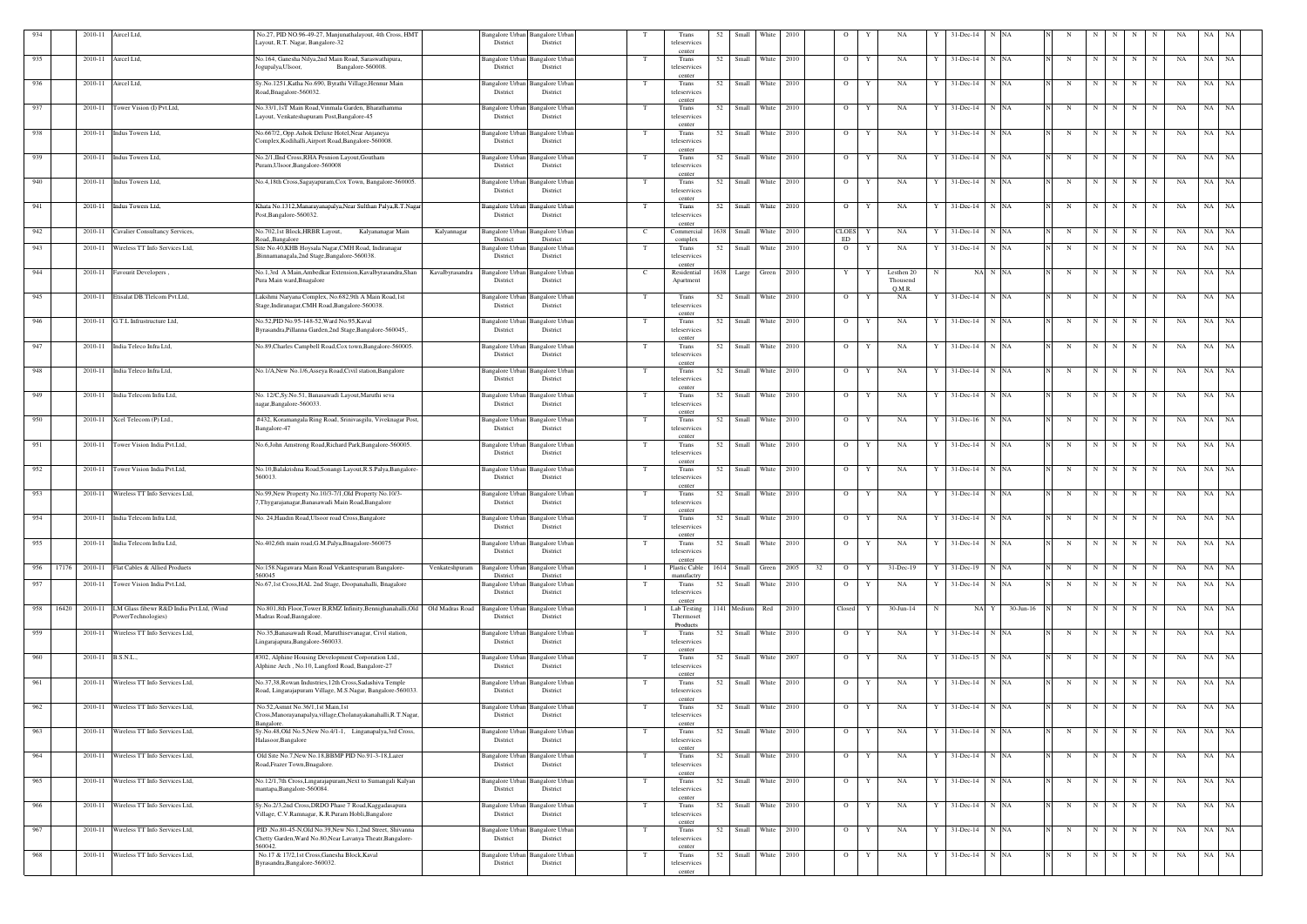| 934 |       | 2010-11           | Aircel Ltd,                                                    | No.27, PID NO.96-49-27, Manjunathalayout, 4th Cross, HMT<br>Layout, R.T. Nagar, Bangalore-32                                        | District                                              | Bangalore Urban Bangalore Urban<br>District |                | Trans<br>teleservices                     | 52   | Small               | <b>White</b> | 2010 |    | $\circ$            |   | NA                     |              | 31-Dec-14                         | N NA      |                           |             |         |                 |             | <b>NA</b> | NA        |           |
|-----|-------|-------------------|----------------------------------------------------------------|-------------------------------------------------------------------------------------------------------------------------------------|-------------------------------------------------------|---------------------------------------------|----------------|-------------------------------------------|------|---------------------|--------------|------|----|--------------------|---|------------------------|--------------|-----------------------------------|-----------|---------------------------|-------------|---------|-----------------|-------------|-----------|-----------|-----------|
| 935 |       | 2010-11           | Aircel Ltd,                                                    | No.164, Ganesha Nilya,2nd Main Road, Saraswathipura,<br>ogupalya, Ulsoor,<br>Bangalore-560008                                       | Bangalore Urban<br>District                           | <b>Bangalore Urbar</b><br>District          | T              | center<br>Trans<br>teleservices           | 52   | Small               | White        | 2010 |    | $\overline{O}$     | Y | NA                     |              | $31$ -Dec-14 N NA                 |           | N                         | N           | N       | N               | N           | NA        | NA        | <b>NA</b> |
| 936 |       |                   | 2010-11 Aircel Ltd,                                            | Sy.No.1251, Katha No.690, Byrathi Village, Hennur Main<br>Road, Bnagalore-560032                                                    | Bangalore Urban<br>District                           | <b>Bangalore</b> Urban<br>District          | T              | center<br>Trans<br>teleservices           |      | 52 Small White 2010 |              |      |    | $\overline{O}$     | Y | NA                     |              | $31$ -Dec-14 N NA                 |           | N                         | N           | N       | N               | N           | NA        | NA NA     |           |
| 937 |       | 2010-11           | Tower Vision (I) Pvt.Ltd,                                      | No.33/1,1sT Main Road, Vinmala Garden, Bharathamma<br>Layout, Venkateshapuram Post, Bangalore-45                                    | District                                              | Bangalore Urban Bangalore Urban<br>District | T              | center<br>Trans<br>teleservices           | 52   | Small               | White        | 2010 |    | $\overline{O}$     | Y | NA                     |              | $31$ -Dec-14 N NA                 |           | N                         | $\mathbf N$ | N       | N               | N           | NA        | NA        | NA        |
| 938 |       |                   | 2010-11 Indus Towers Ltd,                                      | No.667/2, Opp.Ashok Deluxe Hotel, Near Anjaneya<br>Complex, Kodihalli, Airport Road, Bangalore-560008.                              | Bangalore Urban<br>District                           | <b>Bangalore Urban</b><br>District          | T              | center<br>Trans<br>teleservices           | 52   | Small White         |              | 2010 |    | $\overline{O}$     | Y | NA                     | Y            | $31$ -Dec-14 N NA                 |           | N                         | N           | N       | N               | N           | NA        | NA NA     |           |
| 939 |       |                   | 2010-11 Indus Towers Ltd,                                      | No.2/1, IInd Cross, RHA Pesnion Layout, Goutham<br>Puram, Ulsoor, Bangalore-560008                                                  | Bangalore Urban<br>District                           | <b>Bangalore</b> Urban<br>District          | T              | center<br>Trans<br>teleservices           | 52   | Small               | White        | 2010 |    | $\overline{O}$     | Y | NA                     | Y            | $31$ -Dec-14 N NA                 |           | N                         | N           | N       | N               | $\mathbf N$ | NA        | NA        | <b>NA</b> |
| 940 |       |                   | 2010-11 Indus Towers Ltd,                                      | No.4,18th Cross, Sagayapuram, Cox Town, Bangalore-560005.                                                                           | Bangalore Urbar<br>District                           | Bangalore Urbar<br>District                 |                | center<br>Trans<br>teleservices           |      | 52 Small White 2010 |              |      |    | $\overline{O}$     | Y | NA                     |              | $31$ -Dec-14 N NA                 |           | N                         | N           | N       | N               | N           | NA        | NA NA     |           |
| 941 |       |                   | 2010-11 Indus Towers Ltd,                                      | Khata No.1312, Manarayanapalya, Near Sulthan Palya, R.T. Nagar<br>Post, Bangalore-560032.                                           | District                                              | Bangalore Urban Bangalore Urban<br>District | T              | center<br>Trans<br>teleservices           | 52   | Small               | White        | 2010 |    | $\circ$            | Y | NA                     |              | $31$ -Dec-14 N NA                 |           | N                         | N           | N       | N               | N           | NA        | NA        | NA        |
| 942 |       |                   | 2010-11 Cavalier Consultancy Services,                         | Kalyananagar Main<br>No.702,1st Block,HRBR Layout,                                                                                  | Kalyannagar<br><b>Bangalore Urban</b>                 | Bangalore Urban                             | $\mathbf{C}$   | center<br>Commercial                      | 1638 | Small White         |              | 2010 |    | <b>CLOES</b><br>ED | Y | NA                     |              | $31$ -Dec-14 N NA                 |           | N                         | N           | N       | N               | $\mathbf N$ | NA        | NA NA     |           |
| 943 |       | 2010-11           | Wireless TT Info Services Ltd,                                 | <b>Road, Bangalore</b><br>Site No.40, KHB Hoysala Nagar, CMH Road, Indiranagar<br>,Binnamanagala,2nd Stage,Bangalore-560038.        | District<br>Bangalore Urban<br>District               | District<br>Bangalore Urban<br>District     | T              | complex<br>Trans<br>teleservices          | 52   | Small               | White        | 2010 |    | $\overline{O}$     | Y | NA                     |              | 31-Dec-14 N NA                    |           | N                         | N           | N       | N               | $\mathbf N$ | NA        | NA NA     |           |
| 944 |       |                   | 2010-11 Favourit Developers,                                   | No.1,3rd A Main, Ambedkar Extension, Kavalbyrasandra, Shan<br>Pura Main ward, Bnagalore                                             | Kavalbyrasandra<br><b>Bangalore Urban</b><br>District | Bangalore Urban<br>District                 | $\mathbf{C}$   | center<br>Residential<br>Apartment        | 1638 | Large               | Green        | 2010 |    | $\mathbf{Y}$       |   | Lesthen 20<br>Thousend |              | NA N NA                           |           | N                         | N           | N       | N               | N           | NA        | NA        | NA        |
| 945 |       |                   | 2010-11 Etisalat DB.Tlelcom Pvt.Ltd,                           | Lakshmi Naryana Complex, No.682,9th A Main Road,1st<br>Stage, Indiranagar, CMH Road, Bangalore-560038.                              | Bangalore Urban<br>District                           | Bangalore Urbar<br>District                 | T              | Trans<br>teleservices                     | 52   | Small               | <b>White</b> | 2010 |    | $\overline{O}$     | Y | O.M.R.<br>NA           |              | 31-Dec-14 N NA                    |           | N                         | $\mathbf N$ | N       | N               | N           | NA        | NA        | NA        |
| 946 |       | 2010-11           | G.T.L Infrustructure Ltd,                                      | No.52, PID No.95-148-52, Ward No.95, Kaval                                                                                          | Bangalore Urban                                       | <b>Bangalore Urbar</b>                      | T              | center<br>Trans                           | 52   | Small               | White        | 2010 |    | $\overline{O}$     | Y | NA                     |              | $31$ -Dec-14 N NA                 |           | N                         | N           | N       | N               | N           | NA        | NA NA     |           |
|     |       |                   |                                                                | Byrasandra, Pillanna Garden, 2nd Stage, Bangalore-560045,.                                                                          | District                                              | District                                    |                | teleservices<br>center                    |      |                     |              |      |    |                    |   |                        |              |                                   |           |                           |             |         |                 |             |           |           |           |
| 947 |       | 2010-11           | India Teleco Infra Ltd,                                        | No.89, Charles Campbell Road, Cox town, Bangalore-560005.                                                                           | Bangalore Urban<br>District                           | Bangalore Urba<br>District                  | T              | Trans<br>teleservices<br>center           |      | 52 Small White      |              | 2010 |    | $\overline{O}$     | Y | NA                     |              | $31$ -Dec-14 N NA                 |           | N                         | N           | N       | N               | N           | NA        | NA NA     |           |
| 948 |       | 2010-11           | India Teleco Infra Ltd,                                        | No.1/A, New No.1/6, Asseya Road, Civil station, Bangalore                                                                           | Bangalore Urban<br>District                           | <b>Bangalore Urbar</b><br>District          | T              | Trans<br>teleservices<br>center           | 52   | Small               | White        | 2010 |    | $\overline{O}$     | Y | NA                     |              | $31$ -Dec-14 N NA                 |           | N                         | N           | N       | N               | N           | NA        | <b>NA</b> | NA        |
| 949 |       | 2010-11           | India Telecom Infra Ltd,                                       | No. 12/C,Sy.No.51, Banasawadi Layout,Maruthi seva<br>nagar, Bangalore-560033.                                                       | Bangalore Urban<br>District                           | Bangalore Urbar<br>District                 | T              | Trans<br>teleservices<br>center           | 52   | Small               | White        | 2010 |    | $\overline{O}$     | Y | NA                     |              | $31$ -Dec-14 N NA                 |           | $_{\rm N}$                | N           | N       | N               | N           | NA        | NA        | <b>NA</b> |
| 950 |       | 2010-11           | Xcel Telecom (P) Ltd.,                                         | #432, Koramangala Ring Road, Srinivasgilu, Viveknagar Post,<br>Bangalore-47                                                         | Bangalore Urban<br>District                           | <b>Bangalore</b> Urban<br>District          | T              | Trans<br>teleservices<br>center           | 52   | Small               | White 2010   |      |    | $\overline{O}$     | Y | NA                     | Y            | $31$ -Dec-16 N NA                 |           | N                         | N           | N       | N               | N           | NA        | NA NA     |           |
| 951 |       | 2010-11           | Tower Vision India Pvt.Ltd,                                    | No.6,John Amstrong Road,Richard Park,Bangalore-560005.                                                                              | Bangalore Urban<br>District                           | <b>Bangalore</b> Urbar<br>District          | T              | Trans<br>teleservices<br>center           | 52   | Small               | White        | 2010 |    | $\overline{O}$     | Y | NA                     |              | $31$ -Dec-14 N NA                 |           | N                         | N           | N       | N               | N           | NA        | NA NA     |           |
| 952 |       |                   | 2010-11 Tower Vision India Pvt.Ltd,                            | No.10, Balakrishna Road, Sonangi Layout, R.S. Palya, Bangalore-<br>560013.                                                          | District                                              | Bangalore Urban Bangalore Urban<br>District | T              | Trans<br>teleservices<br>center           | 52   | Small               | White        | 2010 |    | $\overline{O}$     | Y | NA                     |              | $31$ -Dec-14 N NA                 |           | N                         | N           | N       | N               | N           | NA        | NA        | <b>NA</b> |
| 953 |       | 2010-11           | Wireless TT Info Services Ltd,                                 | No.99, New Property No.10/3-7/1, Old Property No.10/3-<br>7, Thygarajanagar, Banasawadi Main Road, Bangalore                        | Bangalore Urban<br>District                           | <b>Bangalore Urbar</b><br>District          |                | Trans<br>teleservices<br>center           | 52   | Small               | White        | 2010 |    | $\overline{O}$     | Y | NA                     |              | $31$ -Dec-14 N NA                 |           | N                         | N           | N       | $\mathbf N$     | N           | NA        | NA NA     |           |
| 954 |       |                   | 2010-11 India Telecom Infra Ltd,                               | No. 24, Haudin Road, Ulsoor road Cross, Bangalore                                                                                   | District                                              | Bangalore Urban Bangalore Urban<br>District |                | Trans<br>teleservices<br>center           |      | 52 Small White 2010 |              |      |    |                    |   |                        |              | 0   Y   NA   Y   31-Dec-14   N NA |           | N N N N N N N N N N N N N |             |         |                 |             |           |           |           |
| 955 |       | 2010-11           | India Telecom Infra Ltd,                                       | No.402,6th main road, G.M.Palya, Bnagalore-560075                                                                                   | Bangalore Urban<br>District                           | <b>Bangalore Urbar</b><br>District          |                | Trans<br>teleservices<br>center           | 52   | Small White 2010    |              |      |    | $\overline{O}$     | Y | NA                     |              | $31$ -Dec-14 N NA                 |           | N                         | N           |         | N               | $\mathbf N$ | NA        | NA        | <b>NA</b> |
| 956 | 17176 |                   | 2010-11 Flat Cables & Allied Products                          | No:158. Nagawara Main Road Vekantespuram Bangalore-<br>560045                                                                       | Venkateshpuram<br>District                            | Bangalore Urban Bangalore Urban<br>District | - 1            | Plastic Cable<br>manufactry               |      | 1614 Small Green    |              | 2005 | 32 | $\overline{O}$     | Y | $31 - Dec-19$          |              | $31$ -Dec-19 N NA                 |           | N                         | N           | N       | $\mathbf N$     | N           | NA        | NA        | NA        |
| 957 |       | 2010-11           | Tower Vision India Pvt.Ltd,                                    | No.67,1st Cross, HAL 2nd Stage, Doopanahalli, Bnagalore                                                                             | District                                              | Bangalore Urban Bangalore Urban<br>District | T              | Trans<br>teleservices<br>center           |      | 52 Small White 2010 |              |      |    | $\overline{O}$     | Y | NA                     |              | $31$ -Dec-14 N NA                 |           | N                         |             | $N$ $N$ | N               | N           | NA        | NA NA     |           |
| 958 | 16420 | 2010-11           | LM Glass fibewr R&D India Pvt.Ltd, (Wind<br>PowerTechnologies) | No.801,8th Floor,Tower B,RMZ Infinity,Bennighanahalli,Old<br>Madras Road, Basngalore.                                               | Old Madras Road<br>District                           | Bangalore Urban Bangalore Urban<br>District | $\blacksquare$ | Lab Testing<br>Thermoset<br>Products      |      | 1141 Medium Red     |              | 2010 |    | Closed             | Y | 30-Jun-14              |              | NA Y                              | 30-Jun-16 | N                         | N           | N       | $\mathbf N$     | N           | NA        | NA        | NA        |
| 959 |       |                   | 2010-11 Wireless TT Info Services Ltd,                         | No.35, Banasawadi Road, Maruthisevanagar, Civil station,<br>Lingarajapura, Bangalore-560033.                                        | District                                              | Bangalore Urban Bangalore Urban<br>District | T              | Trans<br>teleservices                     |      | 52 Small White 2010 |              |      |    | $\overline{O}$     | Y | NA                     |              | $31$ -Dec-14 N NA                 |           | N                         | N           | N       | N               | N           | NA        | NA NA     |           |
| 960 |       | 2010-11 B.S.N.L., |                                                                | #302, Alphine Housing Development Corporation Ltd.,<br>Alphine Arch, No.10, Langford Road, Bangalore-27                             | Bangalore Urban<br>District                           | <b>Bangalore</b> Urbar<br>District          | T              | center<br>Trans<br>teleservices           | 52   | Small White 2007    |              |      |    | $\overline{O}$     | Y | NA                     |              | $31$ -Dec-15 N NA                 |           | N                         | N           | N I     | N               | $\mathbf N$ | NA        | NA NA     |           |
| 961 |       |                   | 2010-11 Wireless TT Info Services Ltd,                         | No.37,38, Rowan Industries, 12th Cross, Sadashiva Temple<br>Road, Lingarajapuram Village, M.S.Nagar, Bangalore-560033.              | District                                              | Bangalore Urban Bangalore Urban<br>District | T              | center<br>Trans<br>teleservices<br>center |      | 52 Small White 2010 |              |      |    | $\overline{O}$     | Y | NA                     |              | $31$ -Dec-14 N NA                 |           | N                         | N           | N       | N               | N           | NA        | NA NA     |           |
| 962 |       | 2010-11           | Wireless TT Info Services Ltd,                                 | No.52, Asmnt No.36/1,1st Main,1st<br>Cross, Manorayanapalya, village, Cholanayakanahalli, R.T. Nagar,<br>Bangalore.                 | District                                              | Bangalore Urban Bangalore Urban<br>District | T              | Trans<br>teleservices<br>center           | 52   | Small               | White        | 2010 |    | $\overline{O}$     | Y | NA                     |              | 31-Dec-14 N NA                    |           | N                         | N           | N       | N               | N           | NA        | NA        | NA        |
| 963 |       | 2010-11           | Wireless TT Info Services Ltd,                                 | Sy.No.48, Old No.5, New No.4/1-1, Linganapalya, 3rd Cross,<br>Halasoor, Bangalore                                                   | Bangalore Urban<br>District                           | Bangalore Urban<br>District                 | T              | Trans<br>teleservices<br>center           | 52   | Small White 2010    |              |      |    | $\overline{O}$     | Y | NA                     | $\mathbf{Y}$ | $31$ -Dec-14 N NA                 |           | N                         | N           | N       | N               | N           | NA        | NA NA     |           |
| 964 |       | 2010-11           | Wireless TT Info Services Ltd,                                 | Old Site No.7, New No.18, BBMP PID No.91-3-18, Lazer<br>Road, Frazer Town, Bnagalore.                                               | Bangalore Urban<br>District                           | <b>Bangalore</b> Urban<br>District          | T              | Trans<br>teleservices<br>center           | 52   | Small               | White 2010   |      |    | $\overline{O}$     | Y | NA                     | Y            | $31$ -Dec-14 N NA                 |           | N                         | N           | N I     | N               | N           | NA        | NA NA     |           |
| 965 |       |                   | 2010-11 Wireless TT Info Services Ltd,                         | No.12/1,7th Cross, Lingarajapuram, Next to Sumangali Kalyan<br>mantapa, Bangalore-560084                                            | Bangalore Urban<br>District                           | <b>Bangalore</b> Urban<br>District          | T              | Trans<br>teleservices<br>center           |      | 52 Small White 2010 |              |      |    | $\overline{O}$     | Y | NA                     | Y            | $31$ -Dec-14 N NA                 |           | N                         |             |         | $N$ $N$ $N$ $N$ |             | NA        | NA NA     |           |
| 966 |       | 2010-11           | Wireless TT Info Services Ltd,                                 | Sy.No.2/3,2nd Cross,DRDO Phase 7 Road, Kaggadasapura<br>Village, C.V.Ramnagar, K.R.Puram Hobli,Bangalore                            | District                                              | Bangalore Urban Bangalore Urban<br>District | T              | Trans<br>teleservices<br>center           | 52   | Small White 2010    |              |      |    | $\overline{O}$     | Y | NA                     |              | $31$ -Dec-14 N NA                 |           | N                         | N           | N I     | N               | N           | NA        | NA NA     |           |
| 967 |       |                   | 2010-11 Wireless TT Info Services Ltd,                         | PID .No.80-45-N, Old No.39, New No.1, 2nd Street, Shivanna<br>Chetty Garden, Ward No.80, Near Lavanya Theatr, Bangalore-<br>560042. | Bangalore Urban<br>District                           | <b>Bangalore</b> Urban<br>District          | T              | Trans<br>teleservices                     |      | 52 Small White 2010 |              |      |    | $\overline{O}$     | Y | NA                     | Y            | $31$ -Dec-14 N NA                 |           | N                         | N           | N       | N               | N           | NA        | NA NA     |           |
| 968 |       | 2010-11           | Wireless TT Info Services Ltd,                                 | No.17 & 17/2,1st Cross, Ganesha Block, Kaval<br>Byrasandra, Bangalore-560032.                                                       | District                                              | Bangalore Urban Bangalore Urban<br>District |                | center<br>Trans<br>teleservices<br>center | 52   | Small White 2010    |              |      |    | $\overline{O}$     | Y | NA                     | Y            | 31-Dec-14 N NA                    |           | N                         | N           | N       | N               | N           | NA        | $NA$ $NA$ |           |
|     |       |                   |                                                                |                                                                                                                                     |                                                       |                                             |                |                                           |      |                     |              |      |    |                    |   |                        |              |                                   |           |                           |             |         |                 |             |           |           |           |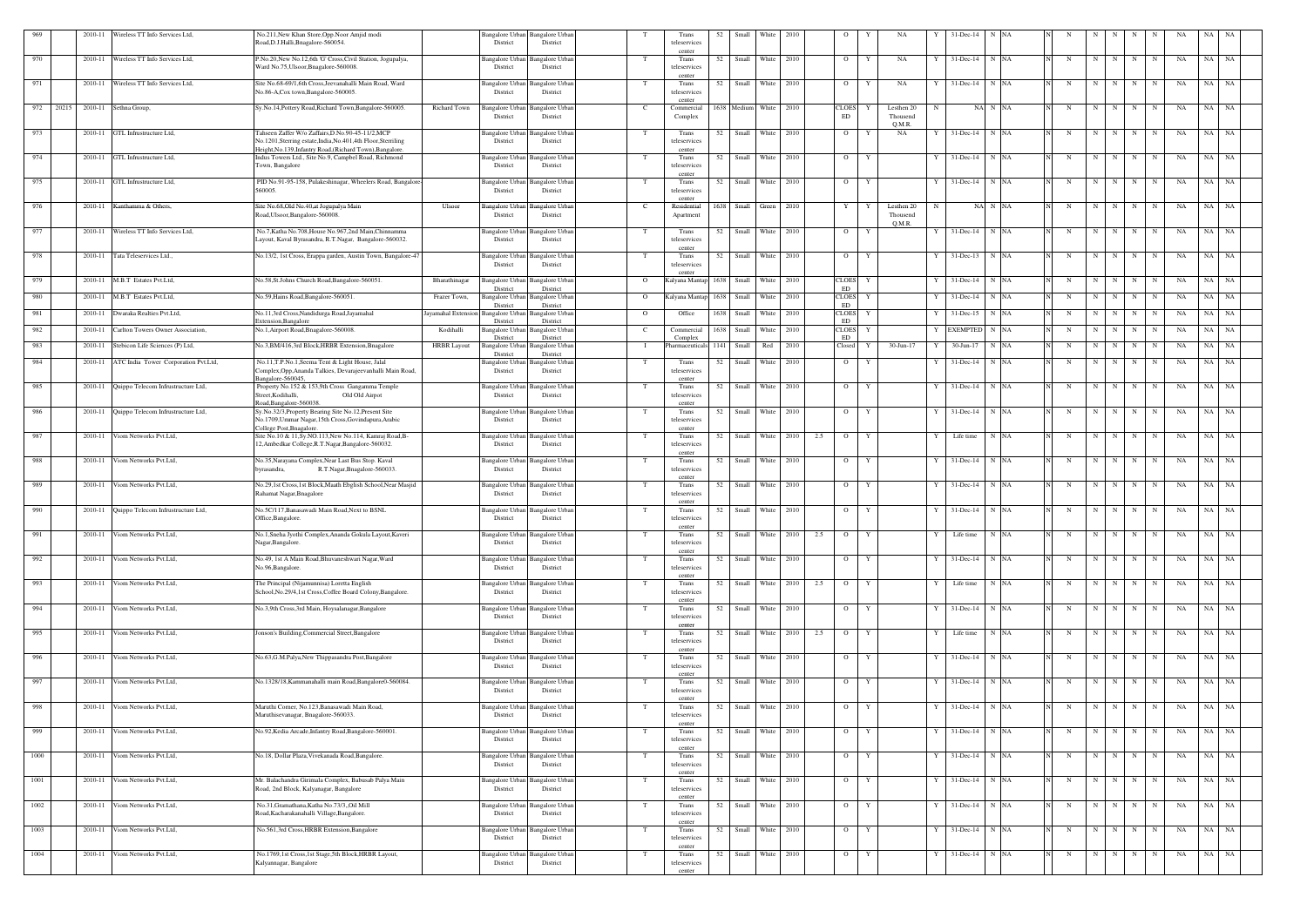| 969  |           |         | 2010-11 Wireless TT Info Services Ltd,     | No.211, New Khan Store, Opp. Noor Amjid modi<br>Road, D.J. Halli, Bnagalore-560054.                                                        |                                    | Bangalore Urban Bangalore Urban<br>District | District                                       |                | Trans<br>teleservices              | 52   | Small                  | White            | 2010 |     | $\circ$                    | NA                            |   | 31-Dec-14         | N NA    |             |   |         |          |             |    | NA    |           |
|------|-----------|---------|--------------------------------------------|--------------------------------------------------------------------------------------------------------------------------------------------|------------------------------------|---------------------------------------------|------------------------------------------------|----------------|------------------------------------|------|------------------------|------------------|------|-----|----------------------------|-------------------------------|---|-------------------|---------|-------------|---|---------|----------|-------------|----|-------|-----------|
| 970  |           | 2010-11 | Wireless TT Info Services Ltd,             | P.No.20, New No.12, 6th 'G' Cross, Civil Station, Jogupalya,<br>Ward No.75, Ulsoor, Bnagalore-560008.                                      |                                    | Bangalore Urban<br>District                 | Bangalore Urba<br>District                     |                | center<br>Trans<br>teleservices    | 52   | Small                  | White            | 2010 |     | $\overline{O}$             | Y<br>NA                       |   | $31 - Dec-14$     | N NA    | N           | N |         | N<br>N   | N           | NA | NA NA |           |
| 971  |           |         | 2010-11 Wireless TT Info Services Ltd,     | Site No.68-69/1,6th Cross, Jeevanahalli Main Road, Ward<br>No.86-A,Cox town,Bangalore-560005.                                              |                                    | Bangalore Urban Bangalore Urban<br>District | District                                       |                | center<br>Trans<br>teleservices    |      | 52 Small White 2010    |                  |      |     | $\overline{O}$             | Y<br>NA                       | Y | $31$ -Dec-14 N NA |         | N           |   | N       | N  <br>N | N           | NA | NA NA |           |
|      | 972 20215 |         | 2010-11 Sethna Group,                      | Sy.No.14,Pottery Road,Richard Town,Bangalore-560005.                                                                                       | Richard Town                       | <b>Bangalore Urban</b>                      | Bangalore Urba                                 |                | center<br>Commercial               |      | 1638 Medium White 2010 |                  |      |     | <b>CLOES</b>               | Lesthen 20<br>Y               | N |                   | NA N NA | N           | N |         | N<br>N   | N           | NA | NA    | NA        |
| 973  |           | 2010-11 | GTL Infrustructure Ltd,                    | Tahseen Zaffer W/o Zaffairs, D.No.90-45-11/2, MCP                                                                                          |                                    | District<br>Bangalore Urban Bangalore Urban | District                                       |                | Complex<br>Trans                   | 52   | Small White 2010       |                  |      |     | ED<br>$\overline{O}$       | Thousend<br>O.M.R.<br>NA<br>Y | Y | $31$ -Dec-14 N NA |         | N           | N |         | N<br>N   | N           | NA | NA    | NA        |
|      |           |         |                                            | No.1201, Sterring estate, India, No.401, 4th Floor, Sterriling<br>Height, No.139, Infantry Road, (Richard Town), Bangalore.                |                                    | District                                    | District                                       |                | teleservices<br>center             |      |                        |                  |      |     |                            |                               |   |                   |         |             |   |         |          |             |    |       |           |
| 974  |           | 2010-11 | GTL Infrustructure Ltd,                    | Indus Towers Ltd., Site No.9, Campbel Road, Richmond<br>Town, Bangalore                                                                    |                                    | Bangalore Urban<br>District                 | <b>Bangalore</b> Urba<br>District              | T              | Trans<br>teleservices<br>center    | 52   | Small                  | White 2010       |      |     | $\overline{O}$             | Y                             | Y | 31-Dec-14         | N NA    | N           | N |         | N<br>N   | N           | NA | NA    | NA        |
| 975  |           | 2010-11 | GTL Infrustructure Ltd,                    | PID No.91-95-158, Pulakeshinagar, Wheelers Road, Bangalore<br>560005.                                                                      |                                    | Bangalore Urban<br>District                 | <b>Bangalore</b> Urbar<br>District             |                | Trans<br>teleservices              |      | 52 Small White 2010    |                  |      |     | $\overline{O}$             | Y                             |   | $31$ -Dec-14 N NA |         | N           |   | N       | N<br>N   | N           | NA | NA NA |           |
| 976  |           |         | 2010-11 Kanthamma & Others,                | Site No.68, Old No.40, at Jogupalya Main<br>Road, Ulsoor, Bangalore-560008.                                                                | Ulsoor                             | Bangalore Urban Bangalore Urbar<br>District | District                                       |                | center<br>Residential<br>Apartment | 1638 |                        | Small Green 2010 |      |     | Y                          | Lesthen 20<br>Thousend        | N |                   | NA N NA | N           | N |         | N<br>N   | N           | NA | NA    | - NA      |
| 977  |           |         | 2010-11 Wireless TT Info Services Ltd,     | No.7, Katha No.708, House No.967, 2nd Main, Chinnamma<br>Layout, Kaval Byrasandra, R.T.Nagar, Bangalore-560032.                            |                                    | Bangalore Urban Bangalore Urban<br>District | District                                       |                | Trans<br>teleservices              | 52   | Small White 2010       |                  |      |     | $\overline{O}$             | Q.M.R.<br>Y                   | Y | $31$ -Dec-14 N NA |         | N           | N |         | N<br>N   | N           | NA | NA NA |           |
| 978  |           | 2010-11 | Tata Teleservices Ltd.,                    | No.13/2, 1st Cross, Erappa garden, Austin Town, Bangalore-47                                                                               |                                    | Bangalore Urban<br>District                 | Bangalore Urba<br>District                     | T              | center<br>Trans<br>teleservices    | 52   |                        | Small White 2010 |      |     | $\overline{O}$             | Y                             |   | 31-Dec-13         | N NA    | N           | N |         | N<br>N   | N           | NA | NA NA |           |
| 979  |           | 2010-11 | M.B.T Estates Pvt.Ltd.                     | No.58, St.Johns Church Road, Bangalore-560051.                                                                                             | Bharathinagar                      | Bangalore Urban                             | <b>Bangalore Urbar</b>                         | $\overline{O}$ | center<br>Kalyana Mantap           |      | 1638 Small White 2010  |                  |      |     | <b>CLOES</b>               | Y                             | Y | 31-Dec-14         | N NA    | N           | N |         | N<br>N   | N           | NA | NA NA |           |
| 980  |           | 2010-11 | M.B.T Estates Pvt.Ltd,                     | No.59, Hains Road, Bangalore-560051.                                                                                                       | Frazer Town,                       | District<br>Bangalore Urban<br>District     | District<br><b>Bangalore Urbar</b><br>District | $\overline{O}$ | Kalyana Mantap                     | 1638 |                        | Small White 2010 |      |     | ED<br><b>CLOES</b><br>ED   | Y                             |   | $31 - Dec-14$     | N NA    | N           | N |         | N<br>N   | N           | NA | NA    | NA        |
| 981  |           | 2010-11 | Dwaraka Realties Pvt.Ltd,                  | No.11,3rd Cross, Nandidurga Road, Jayamahal<br>Extension, Bangalore                                                                        | ayamahal Extension Bangalore Urban | District                                    | <b>Bangalore Urbar</b><br>District             | $\Omega$       | Office                             |      | 1638 Small White 2010  |                  |      |     | <b>CLOES</b><br>${\rm ED}$ | Y                             | Y | 31-Dec-15         | N NA    | N           | N |         | N<br>N   | N           | NA | NA NA |           |
| 982  |           | 2010-11 | Carlton Towers Owner Association.          | No.1, Airport Road, Bnagalore-560008.                                                                                                      | Kodihalli                          | <b>Bangalore Urban</b><br>District          | Bangalore Urba<br>District                     | - C            | Commercial<br>Complex              | 1638 | Small                  | White            | 2010 |     | <b>CLOES</b><br>${\rm ED}$ |                               |   | <b>EXEMPTED</b>   | N NA    | N           | N |         | N<br>N   | $\mathbf N$ | NA | NA    | NA        |
| 983  |           | 2010-11 | Stebicon Life Sciences (P) Ltd,            | No.3, BM/416, 3rd Block, HRBR Extension, Bnagalore                                                                                         | <b>HRBR</b> Layout                 | Bangalore Urban<br>District                 | Bangalore Urba<br>District                     |                | Pharmaceuticals                    |      | 1141 Small             | Red 2010         |      |     | Closed                     | 30-Jun-17<br>Y                |   | 30-Jun-17         | N NA    | $\mathbf N$ | N |         | N<br>N   | N           | NA | NA    | NA        |
| 984  |           | 2010-11 | ATC India Tower Corporation Pvt.Ltd,       | No.11, T.P.No.1, Seema Tent & Light House, Jalal<br>Complex, Opp, Ananda Talkies, Devarajeevanhalli Main Road,<br>angalore-560045          |                                    | Bangalore Urbar<br>District                 | Bangalore Urba<br>District                     |                | Trans<br>teleservices              | 52   | Small                  | White            | 2010 |     | $\overline{O}$             |                               |   | $31 - Dec-14$     | N NA    | N           | N | N       | N        | N           | NA | NA    | NA        |
| 985  |           |         | 2010-11 Quippo Telecom Infrustructure Ltd, | Property No.152 & 153,9th Cross Gangamma Temple<br>Old Old Airpot<br>Street, Kodihalli,<br>Road.Bangalore-560038.                          |                                    | <b>Bangalore Urban</b><br>District          | <b>Bangalore Urbar</b><br>District             | T              | Trans<br>teleservices<br>center    | 52   |                        | Small White 2010 |      |     | $\overline{O}$             | Y                             | Y | $31$ -Dec-14 N NA |         | N           |   | N       | N<br>N   | N           | NA |       | NA NA     |
| 986  |           | 2010-11 | Quippo Telecom Infrustructure Ltd,         | Sy.No.32/3, Property Bearing Site No.12, Present Site<br>No.1709, Ummar Nagar, 15th Cross, Govindapura, Arabic<br>College Post, Bnagalore. |                                    | Bangalore Urban<br>District                 | Bangalore Urba<br>District                     |                | Trans<br>teleservices<br>center    | 52   | Small White 2010       |                  |      |     | $\overline{O}$             | Y                             |   | 31-Dec-14         | N NA    | N           | N |         | N<br>N   | N           | NA | NA NA |           |
| 987  |           | 2010-11 | 'iom Networks Pvt.Ltd,                     | Site No.10 & 11, Sy.NO.113, New No.114, Kamraj Road, B-<br>12, Ambedkar College, R.T. Nagar, Bangalore-560032.                             |                                    | Bangalore Urban<br>District                 | Bangalore Urbar<br>District                    |                | Trans<br>teleservices              | 52   | Small                  | White 2010       |      | 2.5 | $\overline{O}$             | Y                             |   | Life time         | N NA    | N           | N |         | N<br>N   | N           | NA | NA    | NA        |
| 988  |           | 2010-11 | Viom Networks Pvt.Ltd,                     | No.35, Narayana Complex, Near Last Bus Stop. Kaval<br>R.T.Nagar, Bnagalore-560033.<br>byrasandra,                                          |                                    | Bangalore Urban<br>District                 | Bangalore Urba<br>District                     |                | center<br>Trans<br>teleservices    | 52   | Small                  | White 2010       |      |     | $\overline{O}$             | Y                             |   | 31-Dec-14         | N NA    | $\mathbf N$ | N |         | N<br>N   | N           | NA | NA    | <b>NA</b> |
| 989  |           | 2010-11 | Viom Networks Pvt.Ltd,                     | No.29,1st Cross,1st Block, Maath Ebglish School, Near Masjid<br>Rahamat Nagar, Bnagalore                                                   |                                    | Bangalore Urban                             | <b>Bangalore Urban</b>                         | T              | center<br>Trans                    | 52   |                        | Small White 2010 |      |     | $\overline{O}$             | Y                             | Y | $31$ -Dec-14 N NA |         | N           |   | N       | N<br>N   | N           | NA |       | NA NA     |
| 990  |           |         | 2010-11 Quippo Telecom Infrustructure Ltd, | No.5C/117, Banasawadi Main Road, Next to BSNL                                                                                              |                                    | District<br>Bangalore Urban Bangalore Urban | District                                       |                | teleservices<br>center<br>Trans    | 52   |                        | Small White 2010 |      |     | $\overline{O}$             | Y                             |   | $31 - Dec-14$     | N NA    | N           | N |         | N<br>N   | N           | NA | NA    | NA        |
| 991  |           | 2010-11 | Viom Networks Pvt.Ltd,                     | Office, Bangalore.<br>No.1, Sneha Jyothi Complex, Ananda Gokula Layout, Kaveri                                                             |                                    | District<br>Bangalore Urban Bangalore Urban | District                                       |                | teleservices<br>center<br>Trans    | 52   |                        | Small White 2010 |      | 2.5 | $\overline{O}$             | Y                             |   | Life time         | N NA    | N           |   | N       | N<br>N   | N           | NA | NA    | NA        |
| 992  |           | 2010-11 | Viom Networks Pvt.Ltd,                     | Nagar, Bangalore.<br>No.49, 1st A Main Road, Bhuvaneshwari Nagar, Ward                                                                     |                                    | District<br>Bangalore Urban                 | District<br><b>Bangalore Urba</b>              |                | teleservices<br>center<br>Trans    | 52   |                        | Small White 2010 |      |     | $\overline{O}$             | Y                             |   | 31-Dec-14         | N NA    | N           |   | N       | N<br>N   | N           | NA | NA NA |           |
|      |           |         |                                            | No.96, Bangalore.                                                                                                                          |                                    | District                                    | District                                       |                | teleservices<br>center             |      |                        |                  |      |     |                            |                               |   |                   |         |             |   |         |          |             |    |       |           |
| 993  |           | 2010-11 | Viom Networks Pvt.Ltd,                     | The Principal (Nijamunnisa) Loretta English<br>School, No.29/4, 1st Cross, Coffee Board Colony, Bangalore.                                 |                                    | Bangalore Urban Bangalore Urban<br>District | District                                       | - Т            | Trans<br>teleservices<br>center    | 52   | Small White 2010       |                  |      | 2.5 | $\mathbf{O}$               | Y                             | Y | Life time N NA    |         | N           |   | $N$ $N$ |          | $N$ $N$     | NA |       | NA NA     |
| 994  |           | 2010-11 | Viom Networks Pvt.Ltd,                     | No.3,9th Cross,3rd Main, Hoysalanagar,Bangalore                                                                                            |                                    | Bangalore Urban Bangalore Urban<br>District | District                                       | T              | Trans<br>teleservices<br>center    | 52   |                        | Small White 2010 |      |     | $\overline{O}$             | Y                             | Y | $31$ -Dec-14 N NA |         | $\mathbf N$ | N |         | N<br>N   | N           | NA | NA    | <b>NA</b> |
| 995  |           | 2010-11 | Viom Networks Pvt.Ltd,                     | Jonson's Building, Commercial Street, Bangalore                                                                                            |                                    | Bangalore Urban Bangalore Urban<br>District | District                                       |                | Trans<br>teleservices              | 52   |                        | Small White 2010 |      | 2.5 | $\overline{O}$             | Y                             |   | Life time         | N NA    | N           |   | N       | N<br>N   | N           | NA |       | NA NA     |
| 996  |           | 2010-11 | Viom Networks Pvt.Ltd,                     | No.63, G.M. Palya, New Thippasandra Post, Bangalore                                                                                        |                                    | Bangalore Urban<br>District                 | <b>Bangalore</b> Urba<br>District              | T              | center<br>Trans<br>teleservices    | 52   |                        | Small White 2010 |      |     | $\overline{O}$             | Y                             | Y | $31$ -Dec-14 N NA |         | $\mathbf N$ | N |         | N<br>N   | N           | NA | NA    | NA        |
| 997  |           | 2010-11 | Viom Networks Pvt.Ltd,                     | No.1328/18, Kammanahalli main Road, Bangalore0-560084.                                                                                     |                                    | Bangalore Urban Bangalore Urban<br>District | District                                       |                | center<br>Trans<br>teleservices    |      | 52 Small White 2010    |                  |      |     | $O$ $Y$                    |                               |   | $31$ -Dec-14 N NA |         | N           | N |         | N<br>N   | N           | NA | NA NA |           |
| 998  |           | 2010-11 | Viom Networks Pvt.Ltd,                     | Maruthi Corner, No.123, Banasawadi Main Road,<br>Maruthisevanagar, Bnagalore-560033.                                                       |                                    | Bangalore Urban<br>District                 | <b>Bangalore Urban</b><br>District             |                | center<br>Trans<br>teleservices    | 52   | Small                  | White 2010       |      |     | $\overline{O}$             | Y                             |   | $31$ -Dec-14 N NA |         | N           | N |         | N<br>N   | N           | NA | NA    | NA        |
| 999  |           | 2010-11 | Viom Networks Pvt.Ltd,                     | No.92, Kedia Arcade, Infantry Road, Bangalore-560001.                                                                                      |                                    | Bangalore Urban<br>District                 | <b>Bangalore Urbar</b><br>District             |                | center<br>Trans<br>teleservices    | 52   | Small White 2010       |                  |      |     | $\overline{O}$             | Y                             |   | $31$ -Dec-14 N NA |         | N           |   | N       | N<br>N   | $\mathbf N$ | NA | NA NA |           |
| 1000 |           | 2010-11 | Viom Networks Pvt.Ltd,                     | No.18, Dollar Plaza, Vivekanada Road, Bangalore.                                                                                           |                                    | Bangalore Urban<br>District                 | <b>Bangalore Urbar</b><br>District             | T              | center<br>Trans                    | 52   | Small White 2010       |                  |      |     | $\overline{O}$             | Y                             | Y | $31$ -Dec-14 N NA |         | N           |   | $N$ $N$ |          | $N$   $N$   | NA | NA NA |           |
| 1001 |           | 2010-11 | Viom Networks Pvt.Ltd,                     | Mr. Balachandra Girimala Complex, Babusab Palya Main                                                                                       |                                    | Bangalore Urban Bangalore Urban             |                                                |                | teleservices<br>center<br>Trans    |      | 52 Small White 2010    |                  |      |     | $\overline{O}$             | $\mathbf{Y}$                  | Y | $31$ -Dec-14 N NA |         | N           |   | $N$ $N$ | N        | N           | NA |       | NA NA     |
| 1002 |           | 2010-11 | Viom Networks Pvt.Ltd,                     | Road, 2nd Block, Kalyanagar, Bangalore<br>No.31, Gramathana, Katha No.73/3, Oil Mill                                                       |                                    | District<br>Bangalore Urban                 | District<br><b>Bangalore Urbar</b>             |                | teleservices<br>center<br>Trans    | 52   | Small                  | White 2010       |      |     | $\overline{O}$             | Y                             |   | 31-Dec-14         | N NA    | N           | N |         | N<br>N   | N           | NA | NA    | NA        |
|      |           |         |                                            | Road, Kacharakanahalli Village, Bangalore.                                                                                                 |                                    | District                                    | District                                       |                | teleservices<br>center             |      |                        |                  |      |     |                            |                               |   |                   |         |             |   |         |          |             |    |       |           |
| 1003 |           | 2010-11 | Viom Networks Pvt.Ltd,                     | No.561,3rd Cross, HRBR Extension, Bangalore                                                                                                |                                    | Bangalore Urban Bangalore Urban<br>District | District                                       |                | Trans<br>teleservices<br>center    |      | 52 Small White 2010    |                  |      |     | $\overline{O}$             | Y                             | Y | $31$ -Dec-14 N NA |         | N           | N |         | N<br>N   | N           | NA |       | NA NA     |
| 1004 |           | 2010-11 | Viom Networks Pvt.Ltd,                     | No.1769,1st Cross,1st Stage,5th Block,HRBR Layout,<br>Kalyannagar, Bangalore                                                               |                                    | Bangalore Urban Bangalore Urban<br>District | District                                       | T              | Trans<br>teleservices              | 52   |                        | Small White 2010 |      |     | $\overline{O}$             | Y                             | Y | $31$ -Dec-14 N NA |         | N           | N |         | N  <br>N | N           | NA |       | NA NA     |
|      |           |         |                                            |                                                                                                                                            |                                    |                                             |                                                |                | center                             |      |                        |                  |      |     |                            |                               |   |                   |         |             |   |         |          |             |    |       |           |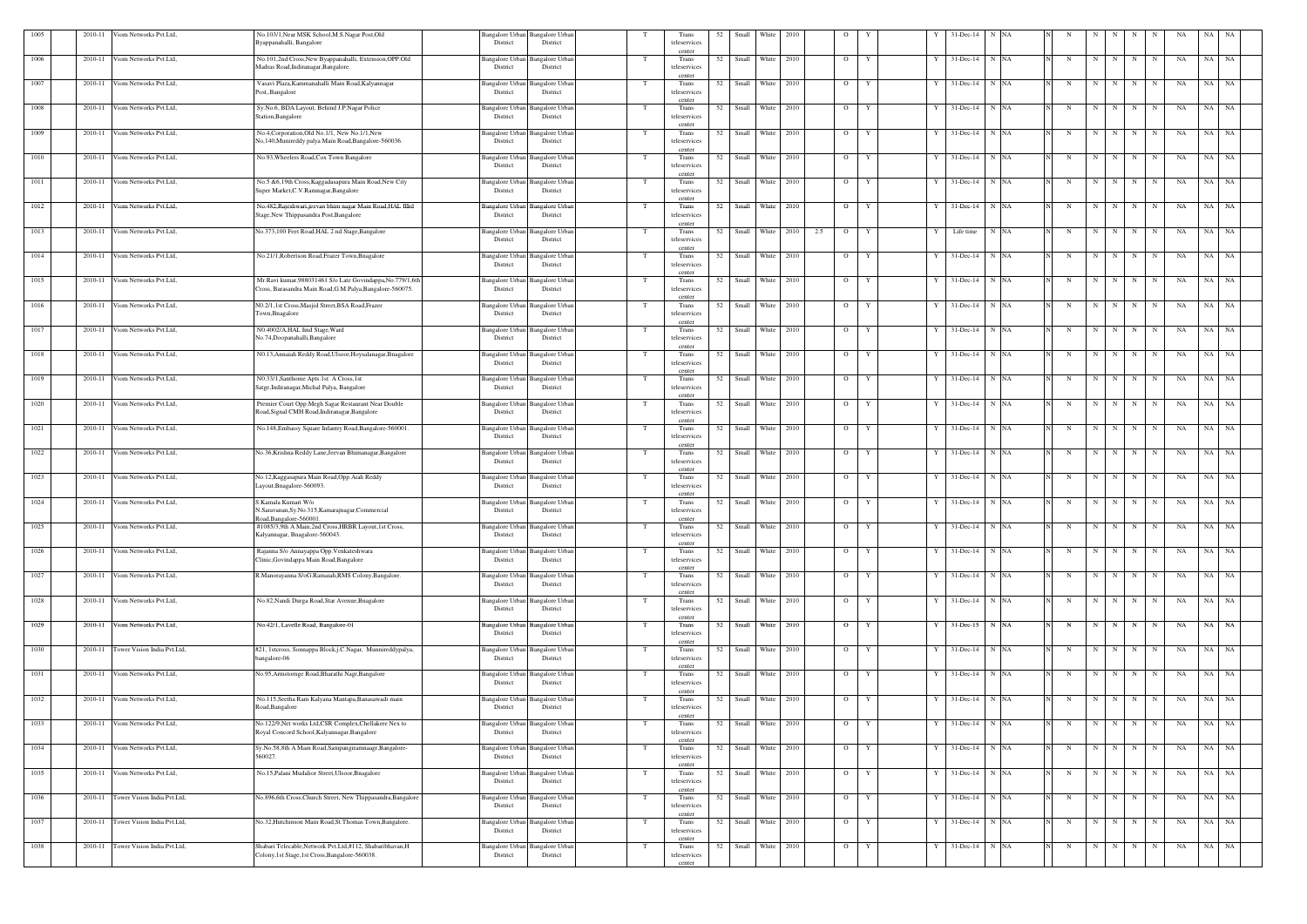| 1005 | 2010-11 | Viom Networks Pvt.Ltd,         | No.103/1, Near MSK School, M.S. Nagar Post, Old<br>Byappanahalli, Bangalore                                              | Bangalore Urban Bangalore Urban<br>District<br>District           |     | Trans<br>teleservices                    | 52 | Small | White               | 2010 | $\circ$               |                     |     | 31-Dec-14             | N NA |             |                         |           |             |                     | NA | NA    | NA        |
|------|---------|--------------------------------|--------------------------------------------------------------------------------------------------------------------------|-------------------------------------------------------------------|-----|------------------------------------------|----|-------|---------------------|------|-----------------------|---------------------|-----|-----------------------|------|-------------|-------------------------|-----------|-------------|---------------------|----|-------|-----------|
| 1006 | 2010-11 | Viom Networks Pvt.Ltd,         | No.101,2nd Cross, New Byappanahalli, Extension, OPP.Old                                                                  | <b>Bangalore Urbar</b><br>Bangalore Urban                         |     | center<br>Trans                          | 52 |       | Small White 2010    |      | $\overline{O}$        | Y                   |     | $31 - Dec-14$         | N NA | N           | N                       | N         | N           | N                   | NA | NA    | <b>NA</b> |
|      |         |                                | Madras Road, Indiranagar, Bangalore.                                                                                     | District<br>District                                              |     | teleservices<br>center                   |    |       |                     |      |                       |                     |     |                       |      |             |                         |           |             |                     |    |       |           |
| 1007 | 2010-11 | Viom Networks Pvt.Ltd,         | Vasavi Plaza, Kammanahalli Main Road, Kalyannagar<br>Post, Bangalore                                                     | Bangalore Urban Bangalore Urban<br>District<br>District           |     | Trans<br>teleservices<br>center          |    |       | 52 Small White 2010 |      | $\overline{O}$        | Y                   |     | $31$ -Dec-14 N NA     |      | $\mathbf N$ | N                       | N         | N           | N                   | NA | NA NA |           |
| 1008 | 2010-11 | Viom Networks Pvt.Ltd,         | Sy.No.6, BDA Layout, Behind J.P.Nagar Police<br>Station, Bangalore                                                       | <b>Bangalore Urban</b><br>Bangalore Urbar<br>District<br>District | - T | Trans<br>teleservices<br>center          | 52 | Small | White 2010          |      | $\overline{O}$        | Y                   |     | $31 - Dec-14$         | N NA | N           | N                       | N         | N           | N                   | NA | NA    | NA        |
| 1009 | 2010-11 | Viom Networks Pvt.Ltd,         | No.4, Corporation, Old No.1/1, New No.1/1, New<br>No,140, Munireddy palya Main Road, Bangalore-560036.                   | Bangalore Urban<br>Bangalore Urbar<br>District<br>District        |     | Trans<br>teleservices<br>center          | 52 |       | Small White 2010    |      | $\overline{O}$        | Y                   | Y   | 31-Dec-14             | N NA | N           | N                       | N         | $\mathbf N$ | $\mathbf N$         | NA | NA    | <b>NA</b> |
| 1010 | 2010-11 | Viom Networks Pvt.Ltd,         | No.93, Wheelers Road, Cox Town Bangalore                                                                                 | Bangalore Urban<br><b>Bangalore Urbar</b><br>District<br>District |     | Trans<br>teleservices<br>center          | 52 |       | Small White 2010    |      | $\overline{O}$        | Y                   | Y   | $31$ -Dec-14 N NA     |      | N           | N                       | N         | $\mathbf N$ | N                   | NA | NA    | <b>NA</b> |
| 1011 | 2010-11 | Viom Networks Pvt.Ltd,         | No.5 &6,19th Cross, Kaggadasapura Main Road, New City<br>Super Market, C.V. Ramnagar, Bangalore                          | Bangalore Urban Bangalore Urba<br>District<br>District            |     | Trans<br>teleservices<br>center          |    |       | 52 Small White 2010 |      |                       | $\overline{O}$<br>Y | Y I | $31$ -Dec-14 N NA     |      | N           |                         |           | N N N N     |                     | NA | NA NA |           |
| 1012 | 2010-11 | Viom Networks Pvt.Ltd,         | No.482, Rajeshwari, jeevan bhim nagar Main Road, HAL IIIrd<br>Stage, New Thippasandra Post, Bangalore                    | Bangalore Urban Bangalore Urbai<br>District<br>District           |     | Trans<br>teleservices<br>center          | 52 |       | Small White 2010    |      | $\overline{O}$        | Y                   |     | 31-Dec-14             | N NA | N           | N                       | N         | N           | N                   | NA | NA    | NA        |
| 1013 | 2010-11 | Viom Networks Pvt.Ltd,         | No.373,100 Feet Road, HAL 2 nd Stage, Bangalore                                                                          | Bangalore Urban<br>Bangalore Urbar<br>District<br>District        |     | Trans<br>teleservices<br>center          | 52 |       | Small White 2010    |      | 2.5<br>$\overline{O}$ | Y                   |     | Life time             | N NA | N           | N                       | N         | N           | N                   | NA | NA NA |           |
| 1014 | 2010-11 | Viom Networks Pvt.Ltd,         | No.21/1, Robertson Road, Frazer Town, Bnagalore                                                                          | Bangalore Urban<br>Bangalore Urbar<br>District<br>District        |     | Trans<br>teleservices<br>center          | 52 |       | Small White 2010    |      | $\overline{O}$        | Y                   |     | 31-Dec-14             | N NA | N           | N                       | N         | N           | N                   | NA | NA NA |           |
| 1015 | 2010-11 | Viom Networks Pvt.Ltd,         | Mr.Ravi kumar, 988031461 S/o Late Govindappa, No.779/1, 6tl<br>Cross, Barasandra Main Road, G.M.Palya, Bangalore-560075. | Bangalore Urban<br>Bangalore Urba<br>District<br>District         |     | Trans<br>teleservices<br>center          |    |       | 52 Small White 2010 |      | $\overline{O}$        | Y                   |     | 31-Dec-14             | N NA | N           | N                       | N         | N           | N                   | NA | NA NA |           |
| 1016 | 2010-11 | /iom Networks Pvt.Ltd,         | N0.2/1,1st Cross, Masjid Street, BSA Road, Frazer<br>Town, Bnagalore                                                     | Bangalore Urban<br>Bangalore Urbai<br>District<br>District        | T   | Trans<br>teleservices<br>center          | 52 | Small | White 2010          |      | $\overline{O}$        | Y                   |     | $31 - Dec-14$         | N NA | N           | N                       | N         | N           | N                   | NA | NA    | NA        |
| 1017 | 2010-11 | Viom Networks Pvt.Ltd,         | N0.4002/A, HAL Iind Stage, Ward<br>No.74,Doopanahalli,Bangalore                                                          | <b>Bangalore Urban</b><br>Bangalore Urba<br>District<br>District  |     | Trans<br>teleservices                    | 52 | Small | White 2010          |      | $\overline{O}$        | Y                   |     | 31-Dec-14             | N NA | N           | N                       | N         | N           | N                   | NA | NA    | <b>NA</b> |
| 1018 | 2010-11 | Viom Networks Pvt.Ltd,         | N0.13, Annaiah Reddy Road, Ulsoor, Hoysalanagar, Bnagalore                                                               | Bangalore Urban<br><b>Bangalore Urbar</b><br>District<br>District | T   | center<br>Trans<br>teleservices<br>cente | 52 |       | Small White 2010    |      | $\overline{O}$        | Y                   | Y   | $31$ -Dec-14 N NA     |      | N           |                         | $N$   $N$ | N           | N                   | NA | NA NA |           |
| 1019 | 2010-11 | Viom Networks Pvt.Ltd,         | N0.33/1, Santhome Apts.1st A Cross,1st<br>Satge, Indiranagar, Michal Palya, Bangalore                                    | Bangalore Urban<br>Bangalore Urba<br>District<br>District         |     | Trans<br>teleservices<br>center          | 52 |       | Small White 2010    |      | $\overline{O}$        | Y                   |     | $31$ -Dec-14 N NA     |      | N           | N                       | N         | N           | N                   | NA | NA NA |           |
| 1020 | 2010-11 | Viom Networks Pvt.Ltd,         | Premier Court Opp.Megh Sagar Restaurant Near Double<br>Road, Signal CMH Road, Indiranagar, Bangalore                     | Bangalore Urban<br>Bangalore Urbar<br>District<br>District        |     | Trans<br>teleservices<br>center          | 52 |       | Small White 2010    |      | $\overline{O}$        | Y                   | Y   | 31-Dec-14             | N NA | N           | N                       | N         | N           | N                   | NA | NA    | NA        |
| 1021 | 2010-11 | Viom Networks Pvt.Ltd,         | No.148, Embassy Square Infantry Road, Bangalore-560001                                                                   | Bangalore Urban<br>Bangalore Urba<br>District<br>District         |     | Trans<br>teleservices                    | 52 | Small | White 2010          |      | $\overline{O}$        | Y                   |     | 31-Dec-14             | N NA | N           | $\overline{\mathbf{N}}$ | N         | N           | N                   | NA | NA    | <b>NA</b> |
| 1022 | 2010-11 | /iom Networks Pvt.Ltd,         | No.36, Krishna Reddy Lane, Jeevan Bhimanagar, Bangalore                                                                  | Bangalore Urban<br><b>Bangalore Urban</b><br>District<br>District | - T | Trans<br>teleservices<br>center          | 52 |       | Small White 2010    |      | $\overline{O}$        | Y                   | Y   | $31$ -Dec-14 N NA     |      | N           | N                       | N         | N           | N                   | NA | NA NA |           |
| 1023 | 2010-11 | Viom Networks Pvt.Ltd,         | No.12, Kaggasapura Main Road, Opp. Aiah Reddy<br>Layout, Bnagalore-560093                                                | Bangalore Urban<br>Bangalore Urba<br>District<br>District         |     | Trans<br>teleservices<br>center          |    |       | 52 Small White 2010 |      | $\overline{O}$        | Y                   |     | 31-Dec-14             | N NA | $\mathbf N$ | N                       | N         | N           | N                   | NA | NA NA |           |
| 1024 | 2010-11 | /iom Networks Pvt.Ltd,         | .Kamala Kumari W/o<br>N.Saravanan, Sy.No.315, Kamarajnagar, Commercial<br>Road, Bangalore-560001.                        | Bangalore Urban<br>Bangalore Urba<br>District<br>District         |     | Trans<br>teleservices                    | 52 | Small | White 2010          |      | $\overline{O}$        | Y                   | Y   | 31-Dec-14             | N NA | N           | N                       | N         | N           | $\mathbf N$         | NA | NA    | NA        |
| 1025 | 2010-11 | Viom Networks Pvt.Ltd,         | #1085/3,9th A Main,2nd Cross,HRBR Layout,1st Cross,<br>Kalyannagar, Bnagalore-560043.                                    | Bangalore Urban Bangalore Urbar<br>District<br>District           |     | Trans<br>teleservices<br>center          | 52 | Small | White               | 2010 | $\circ$               |                     |     | 31-Dec-14             | N NA |             |                         |           |             |                     | NA | NA    | NA        |
| 1026 | 2010-11 | Viom Networks Pvt.Ltd,         | Rajanna S/o Annayappa Opp. Venkateshwara<br>Clinic, Govindappa Main Road, Bangalore                                      | <b>Bangalore Urban</b><br>Bangalore Urban<br>District<br>District |     | Trans<br>teleservices<br>center          | 52 |       | Small White 2010    |      |                       | $\overline{O}$<br>Y |     | $31$ -Dec-14 N NA     |      | N           | N                       | N         | N           | N                   | NA | NA NA |           |
| 1027 | 2010-11 | Viom Networks Pvt.Ltd,         | R.Manorayanna S/oG.Ramaiah,RMS Colony,Bangalore.                                                                         | Bangalore Urban<br><b>Bangalore Urbar</b><br>District<br>District | - T | Trans<br>teleservices<br>center          | 52 |       | Small White 2010    |      |                       | $O$ $Y$             |     | $31$ -Dec-14 N NA     |      | N           | N                       | N         | N           | N                   | NA | NA NA |           |
| 1028 |         | 2010-11 Viom Networks Pvt.Ltd, | No.82, Nandi Durga Road, Star Avenue, Bnagalore                                                                          | Bangalore Urban Bangalore Urban<br>District<br>District           |     | Trans<br>teleservices<br>center          | 52 |       | Small White 2010    |      |                       | $\overline{O}$<br>Y | Y   | $31$ -Dec-14 N NA     |      | N           | N                       | N         | N           | N                   | NA | NA NA |           |
| 1029 | 2010-11 | Viom Networks Pvt.Ltd,         | No.42/1, Lavelle Road, Bangalore-01                                                                                      | Bangalore Urban<br><b>Bangalore Urbar</b><br>District<br>District | T   | Trans<br>teleservices<br>centei          |    |       | 52 Small White 2010 |      | $\overline{O}$        | Y                   |     | Y 31-Dec-15 N NA      |      | N           |                         | $N$ $N$   | N           | N                   | NA | NA NA |           |
| 1030 | 2010-11 | Tower Vision India Pvt.Ltd,    | #21, 1stcross, Sonnappa Block,j.C.Nagar, Munnireddypalya,<br>bangalore-06                                                | Bangalore Urban Bangalore Urban<br>District<br>District           |     | Trans<br>teleservices<br>center          |    |       | 52 Small White 2010 |      |                       | $\overline{O}$<br>Y |     | $Y = 31$ -Dec-14 N NA |      | N           |                         |           |             | $N$ $N$   $N$   $N$ | NA | NA NA |           |
| 1031 | 2010-11 | Viom Networks Pvt.Ltd,         | No.95, Armstornge Road, Bharathi Nagr, Bangalore                                                                         | Bangalore Urban Bangalore Urba<br>District<br>District            | - T | Trans<br>teleservices<br>center          | 52 |       | Small White 2010    |      |                       | $\overline{O}$<br>Y |     | $31$ -Dec-14 N NA     |      | N           | N                       | N         | N           | N                   | NA | NA NA |           |
| 1032 |         | 2010-11 Viom Networks Pvt.Ltd, | No.115, Seetha Ram Kalyana Mantapa, Banasawadi main<br>Road, Bangalore                                                   | Bangalore Urban Bangalore Urban<br>District<br>District           |     | Trans<br>teleservices<br>center          |    |       | 52 Small White 2010 |      |                       | $\overline{O}$<br>Y | Y   | $31$ -Dec-14 N NA     |      | N           | N                       | N         | N           | N                   | NA | NA NA |           |
| 1033 | 2010-11 | Viom Networks Pvt.Ltd,         | No.122/9, Net works Ltd, CSR Complex, Chellakere Nex to<br>Royal Concord School, Kalyannagar, Bangalore                  | Bangalore Urban<br><b>Bangalore Urban</b><br>District<br>District | T   | Trans<br>teleservices<br>center          | 52 |       | Small White 2010    |      | $\overline{O}$        | Y                   |     | $31$ -Dec-14 N NA     |      | N           | N                       | N         | N           | $\mathbf N$         | NA | NA NA |           |
| 1034 |         | 2010-11 Viom Networks Pvt.Ltd, | Sy.No.58,8th A Main Road,Sampangiramnaagr,Bangalore-<br>560027.                                                          | Bangalore Urban Bangalore Urban<br>District<br>District           |     | Trans<br>teleservices<br>center          |    |       | 52 Small White 2010 |      |                       | $\overline{O}$<br>Y |     | 31-Dec-14 N NA        |      | N           |                         | $N$ $N$   | N           | N                   | NA | NA NA |           |
| 1035 | 2010-11 | Viom Networks Pvt.Ltd,         | No.15, Palani Mudalior Street, Ulsoor, Bnagalore                                                                         | Bangalore Urban Bangalore Urbai<br>District<br>District           | - T | Trans<br>teleservices<br>center          | 52 |       | Small White 2010    |      |                       | $\overline{O}$<br>Y |     | $31$ -Dec-14 N NA     |      | N           | N                       | N         | N           | $\mathbf N$         | NA | NA NA |           |
| 1036 | 2010-11 | Tower Vision India Pvt.Ltd,    | No.896,6th Cross,Church Street, New Thippasandra,Bangalore                                                               | Bangalore Urban<br><b>Bangalore Urban</b><br>District<br>District |     | Trans<br>teleservices<br>center          |    |       | 52 Small White 2010 |      |                       | $\overline{O}$<br>Y | Y   | $31$ -Dec-14 N NA     |      | $\mathbf N$ | N                       | N         | N           | N                   | NA | NA NA |           |
| 1037 | 2010-11 | Tower Vision India Pvt.Ltd,    | No.32, Hutchinson Main Road, St. Thomas Town, Bangalore.                                                                 | Bangalore Urban<br><b>Bangalore Urbar</b><br>District<br>District | T   | Trans<br>teleservices<br>center          | 52 |       | Small White 2010    |      | $\overline{O}$        | Y                   | Y   | $31$ -Dec-14 N NA     |      | N           | N                       | N         | N           | N                   | NA | NA NA |           |
| 1038 | 2010-11 | Tower Vision India Pvt.Ltd,    | Shabari Telecable, Network Pvt.Ltd,#112, Shabaribhavan, H<br>Colony,1st Stage,1st Cross,Bangalore-560038.                | Bangalore Urban Bangalore Urban<br>District<br>District           |     | Trans<br>teleservices<br>center          |    |       | 52 Small White 2010 |      |                       | $\overline{O}$<br>Y |     | Y 31-Dec-14 N NA      |      | N           |                         |           |             | $N$ $N$ $N$ $N$     | NA | NA NA |           |
|      |         |                                |                                                                                                                          |                                                                   |     |                                          |    |       |                     |      |                       |                     |     |                       |      |             |                         |           |             |                     |    |       |           |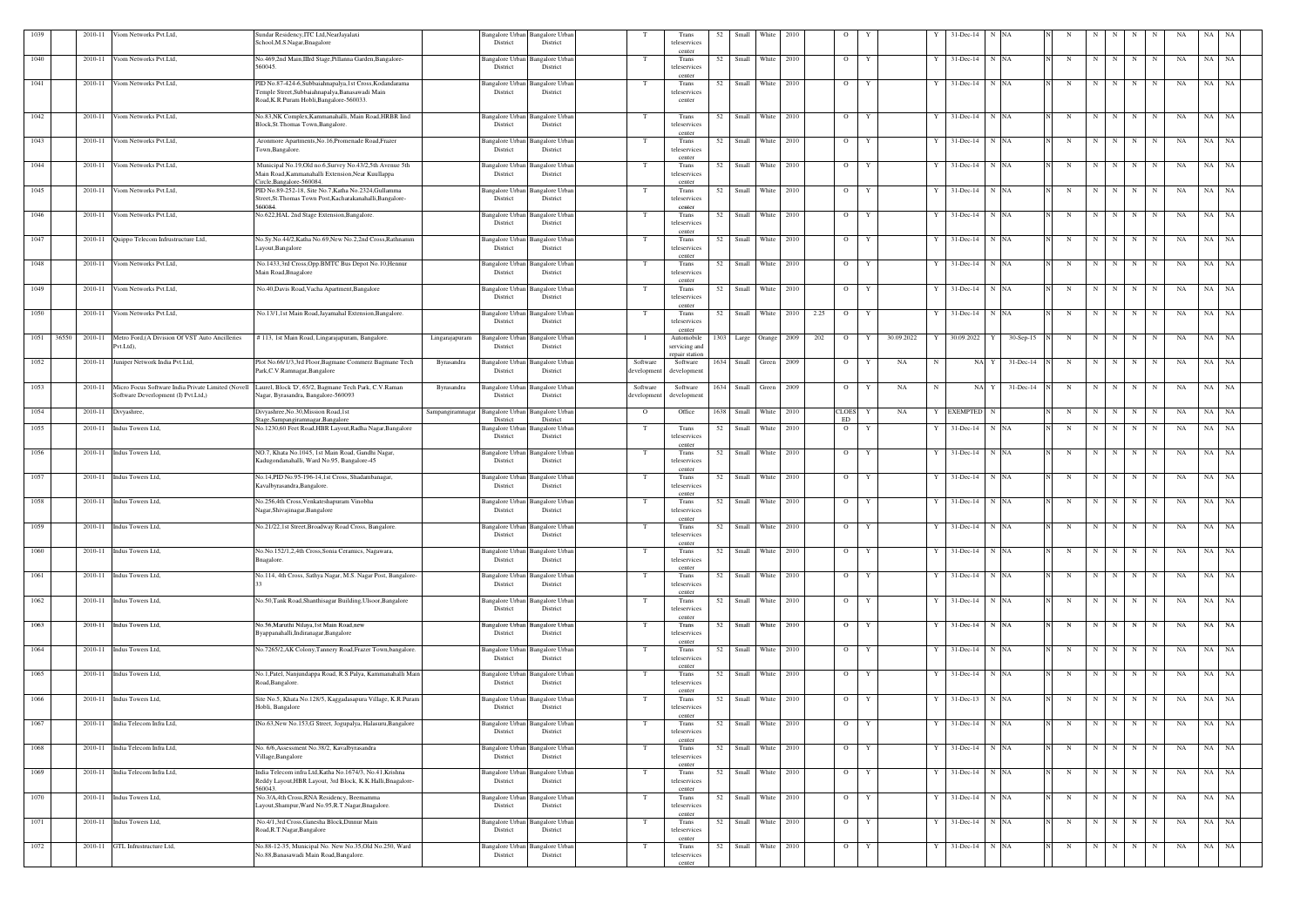| 1039          | 2010-11 | Viom Networks Pvt.Ltd,                                                                    | Sundar Residency, ITC Ltd, Near Jayalaxi<br>School, M.S.Nagar, Bnagalore                                    | District                                  | Bangalore Urban Bangalore Urban<br>District |                        | Trans<br>teleservices      | 52   | Small               | White             | 2010       |      | $\circ$        |                 |    | 31-Dec-14            | N NA      |             |             |     |                   | -NA | NA. | - NA      |  |
|---------------|---------|-------------------------------------------------------------------------------------------|-------------------------------------------------------------------------------------------------------------|-------------------------------------------|---------------------------------------------|------------------------|----------------------------|------|---------------------|-------------------|------------|------|----------------|-----------------|----|----------------------|-----------|-------------|-------------|-----|-------------------|-----|-----|-----------|--|
| 1040          | 2010-11 | Viom Networks Pvt.Ltd,                                                                    | No.469,2nd Main,IIIrd Stage,Pillanna Garden,Bangalore-                                                      | Bangalore Urban                           | Bangalore Urbar                             | T                      | center<br>Trans            | 52   |                     | Small White       | 2010       |      | $\overline{O}$ | Y               |    | $31$ -Dec-14 N NA    |           | N           | N           | N   | N<br>N            | NA  | NA  | NA        |  |
|               |         |                                                                                           | 560045.                                                                                                     | District                                  | District                                    |                        | teleservices<br>center     |      |                     |                   |            |      |                |                 |    |                      |           |             |             |     |                   |     |     |           |  |
| 1041          |         | 2010-11 Viom Networks Pvt.Ltd,                                                            | PID No.87-424-6, Subbaiahnapalya, 1st Cross, Kodandarama<br>Temple Street, Subbaiahnapalya, Banasawadi Main | <b>Bangalore Urban</b><br>District        | <b>Bangalore Urbar</b><br>District          |                        | Trans<br>teleservices      |      | 52 Small White 2010 |                   |            |      | $\mathbf{O}$   | Y               |    | $31$ -Dec-14 N NA    |           | N           | $N$ $N$     |     | N<br>N            | NA  |     | NA NA     |  |
|               |         |                                                                                           | Road, K.R.Puram Hobli, Bangalore-560033.                                                                    |                                           |                                             |                        | center                     |      |                     |                   |            |      |                |                 |    |                      |           |             |             |     |                   |     |     |           |  |
| 1042          |         | 2010-11 Viom Networks Pvt.Ltd,                                                            | No.83,NK Complex, Kammanahalli, Main Road, HRBR Iind                                                        | Bangalore Urban                           | <b>Bangalore Urban</b>                      |                        | Trans                      | 52   |                     | Small White 2010  |            |      | $\overline{O}$ | Y               |    | $31$ -Dec-14 N NA    |           | $\mathbf N$ | N           | N   | N<br>N            | NA  |     | NA NA     |  |
|               |         |                                                                                           | Block, St. Thomas Town, Bangalore.                                                                          | District                                  | District                                    |                        | teleservices<br>center     |      |                     |                   |            |      |                |                 |    |                      |           |             |             |     |                   |     |     |           |  |
| 1043          | 2010-11 | Viom Networks Pvt.Ltd,                                                                    | Aronmore Apartments, No.16, Promenade Road, Frazer<br>Town, Bangalore.                                      | Bangalore Urban<br>District               | Bangalore Urbar<br>District                 | T                      | Trans<br>teleservices      | 52   | Small               | White             | 2010       |      | $\overline{O}$ | Y               |    | 31-Dec-14            | N NA      | N           | N           | N   | N<br>N            | NA  | NA  | NA        |  |
| 1044          | 2010-11 | Viom Networks Pvt.Ltd,                                                                    | Municipal No.19, Old no.6, Survey No.43/2, 5th Avenue 5th                                                   | <b>Bangalore Urban</b>                    | angalore Urba                               |                        | center<br>Trans            | 52   |                     | Small White       | 2010       |      | $\overline{O}$ | Y               |    | 31-Dec-14            | N NA      |             | N           | N   | N<br>N            | NA  | NA  | NA        |  |
|               |         |                                                                                           | Main Road.Kammanahalli Extension.Near Kuullappa                                                             | District                                  | District                                    |                        | teleservices               |      |                     |                   |            |      |                |                 |    |                      |           |             |             |     |                   |     |     |           |  |
| 1045          | 2010-11 | Viom Networks Pvt.Ltd,                                                                    | Circle, Bangalore-560084.<br>PID No.89-252-18, Site No.7, Katha No.2324, Gullamma                           | <b>Bangalore</b> Urban                    | angalore Urba                               | T                      | center<br>Trans            | 52   |                     | Small White 2010  |            |      | $\overline{O}$ | Y               |    | $31$ -Dec-14 N NA    |           | N           | N           | N   | N<br>N            | NA  |     | NA NA     |  |
|               |         |                                                                                           | Street, St. Thomas Town Post, Kacharakanahalli, Bangalore-<br>560084.                                       | District                                  | District                                    |                        | teleservices<br>center     |      |                     |                   |            |      |                |                 |    |                      |           |             |             |     |                   |     |     |           |  |
| 1046          |         | 2010-11 Viom Networks Pvt.Ltd,                                                            | No.622, HAL 2nd Stage Extension, Bangalore.                                                                 | <b>Bangalore Urban</b><br>District        | Bangalore Urbar<br>District                 |                        | Trans<br>teleservices      |      | 52 Small White 2010 |                   |            |      | $\overline{O}$ | Y               |    | $31$ -Dec-14 N NA    |           | N           | N           | N   | N<br>N            | NA  |     | NA NA     |  |
|               |         |                                                                                           |                                                                                                             |                                           |                                             |                        | center                     |      | Small               | White             | 2010       |      |                |                 |    |                      | N NA      |             |             |     |                   |     | NA  |           |  |
| 1047          |         | 2010-11 Quippo Telecom Infrustructure Ltd,                                                | No.Sy.No.44/2,Katha No.69,New No.2,2nd Cross,Rathnamm<br>Layout, Bangalore                                  | Bangalore Urban<br>District               | angalore Urbar<br>District                  | T                      | Trans<br>teleservices      | 52   |                     |                   |            |      | $\overline{O}$ | Y               |    | 31-Dec-14            |           | N           | N           | N   | N<br>N            | NA  |     | NA        |  |
| 1048          | 2010-11 | Viom Networks Pvt.Ltd,                                                                    | No.1433,3rd Cross,Opp.BMTC Bus Depot No.10,Hennur                                                           | <b>Bangalore Urban</b>                    | angalore Urba                               | T                      | center<br>Trans            | 52   | Small               | White             | 2010       |      | $\overline{O}$ | Y               |    | 31-Dec-14            | N NA      | N           | N           | N   | N<br>N            | NA  | NA  | <b>NA</b> |  |
|               |         |                                                                                           | Main Road, Bnagalore                                                                                        | District                                  | District                                    |                        | teleservices<br>center     |      |                     |                   |            |      |                |                 |    |                      |           |             |             |     |                   |     |     |           |  |
| 1049          | 2010-11 | Viom Networks Pvt.Ltd.                                                                    | No.40, Davis Road, Vacha Apartment, Bangalore                                                               | <b>Bangalore Urban</b>                    | Bangalore Urbar                             | T                      | Trans                      | 52   | Small               |                   | White 2010 |      | $\overline{O}$ | Y               | Y  | $31$ -Dec-14 N NA    |           | $\mathbf N$ | N           | N   | N<br>N            | NA  |     | NA NA     |  |
|               |         |                                                                                           |                                                                                                             | District                                  | District                                    |                        | teleservices<br>center     |      |                     |                   |            |      |                |                 |    |                      |           |             |             |     |                   |     |     |           |  |
| 1050          | 2010-11 | Viom Networks Pvt.Ltd,                                                                    | No.13/1,1st Main Road,Jayamahal Extension,Bangalore.                                                        | <b>Bangalore Urban</b><br>District        | Bangalore Urba<br>District                  |                        | Trans<br>teleservices      |      | 52 Small White 2010 |                   |            | 2.25 | $\overline{O}$ | Y               |    | $31$ -Dec-14 N NA    |           | $\mathbf N$ | N           | N   | N<br>N            | NA  |     | NA NA     |  |
| 1051<br>36550 |         | 2010-11 Metro Ford, (A Division Of VST Auto Ancilleries                                   | # 113, 1st Main Road, Lingarajapuram, Bangalore.                                                            | <b>Bangalore Urban</b><br>Lingarajapuram  | Bangalore Urbar                             |                        | center<br>Automobile       | 1303 |                     | Large Orange 2009 |            | 202  | $\overline{O}$ | 30.09.2022<br>Y | Y  | 30.09.2022<br>Y      | 30-Sep-15 | N           | N           | N   | N<br>N            | NA  | NA  | <b>NA</b> |  |
|               |         | Pvt.Ltd),                                                                                 |                                                                                                             | District                                  | District                                    |                        | servicing and              |      |                     |                   |            |      |                |                 |    |                      |           |             |             |     |                   |     |     |           |  |
| 1052          |         | 2010-11 Juniper Network India Pvt.Ltd,                                                    | Plot No.66/1/3,3rd Floor, Bagmane Commerz Bagmane Tech                                                      | Byrasandra<br><b>Bangalore Urbar</b>      | angalore Urba                               | Software               | repair station<br>Software | 1634 |                     | Small Green       | 2009       |      | $\overline{O}$ | NA<br>Y         | -N | NA Y                 | 31-Dec-14 | N           | N           | N   | N<br>N            | NA  |     | NA NA     |  |
|               |         |                                                                                           | Park, C.V. Ramnagar, Bangalore                                                                              | District                                  | District                                    | developmen             | development                |      |                     |                   |            |      |                |                 |    |                      |           |             |             |     |                   |     |     |           |  |
| 1053          | 2010-11 | Micro Focus Software India Private Limited (Novell<br>Software Deverlopment (I) Pvt.Ltd,) | Laurel, Block 'D', 65/2, Bagmane Tech Park, C.V.Raman<br>Nagar, Byrasandra, Bangalore-560093                | Byrasandra<br>Bangalore Urban<br>District | angalore Urbar<br>District                  | Software<br>developmen | Software<br>development    | 1634 | Small               | Green 2009        |            |      | $\overline{O}$ | NA<br>Y         | -N | NA Y                 | 31-Dec-14 | N           | N           | N   | N<br>N            | NA  | NA  | <b>NA</b> |  |
| 1054          | 2010-11 |                                                                                           | Divyashree, No.30, Mission Road, 1st                                                                        | Sampangiramnagar<br>Bangalore Urba        | Bangalore Urba                              | $\overline{O}$         | Office                     | 1638 | Small               | White             | 2010       |      | <b>CLOES</b>   | NA              |    | <b>EXEMPTED</b><br>N |           | N           | N           | N   | N<br>$\mathbf N$  | NA  | NA  | NA        |  |
|               |         | Divyashree,                                                                               | tage, Sampangiramnagar, Bangalore                                                                           | District                                  | District                                    |                        |                            |      |                     |                   |            |      | ${\rm ED}$     |                 |    |                      |           |             |             |     |                   |     |     |           |  |
| 1055          | 2010-11 | Indus Towers Ltd,                                                                         | No.1230,60 Feet Road, HBR Layout, Radha Nagar, Bangalore                                                    | <b>Bangalore Urbar</b><br>District        | angalore Urba<br>District                   | — Т                    | Trans<br>teleservices      | 52   | Small               | White             | 2010       |      | $\overline{O}$ | Y               |    | 31-Dec-14            | N NA      | N           | $\mathbf N$ | N   | N<br>N            | NA  | NA  | NA        |  |
| 1056          |         | 2010-11 Indus Towers Ltd,                                                                 | NO.7, Khata No.1045, 1st Main Road, Gandhi Nagar,                                                           | Bangalore Urban                           | Bangalore Urban                             | T                      | center<br>Trans            | 52   |                     | Small White 2010  |            |      | $\overline{O}$ | Y               | Y  | $31$ -Dec-14 N NA    |           | N           | N           | N   | N<br>N            | NA  |     | NA NA     |  |
|               |         |                                                                                           | Kadugondanahalli, Ward No.95, Bangalore-45                                                                  | District                                  | District                                    |                        | teleservices<br>center     |      |                     |                   |            |      |                |                 |    |                      |           |             |             |     |                   |     |     |           |  |
| 1057          |         | 2010-11 Indus Towers Ltd,                                                                 | No.14, PID No.95-196-14, 1st Cross, Shadambanagar,                                                          | Bangalore Urban                           | Bangalore Urba                              |                        | Trans                      | 52   |                     | Small White       | 2010       |      | $\overline{O}$ | Y               |    | $31$ -Dec-14         | N NA      | N           | N           | N   | $\mathbf N$<br>N  | NA  | NA  | <b>NA</b> |  |
|               |         |                                                                                           | Kavalbyrasandra, Bangalore.                                                                                 | District                                  | District                                    |                        | teleservices<br>center     |      |                     |                   |            |      |                |                 |    |                      |           |             |             |     |                   |     |     |           |  |
| 1058          | 2010-11 | Indus Towers Ltd,                                                                         | No.256,4th Cross, Venkateshapuram Vinobha<br>Nagar, Shivajinagar, Bangalore                                 | Bangalore Urban<br>District               | Bangalore Urbar<br>District                 |                        | Trans<br>teleservices      | 52   | Small               | White             | 2010       |      | $\overline{O}$ | Y               |    | 31-Dec-14            | N NA      | N           | N           | N   | N<br>N            | NA  |     | NA NA     |  |
| 1059          | 2010-11 | Indus Towers Ltd,                                                                         | No.21/22,1st Street, Broadway Road Cross, Bangalore.                                                        | Bangalore Urban                           | <b>Bangalore Urban</b>                      |                        | Trans                      | 52   | Small               | White             | 2010       |      | $\circ$        |                 |    | 31-Dec-14            | N NA      |             |             |     |                   | NA  | NA  | NA        |  |
|               |         |                                                                                           |                                                                                                             | District                                  | District                                    |                        | teleservices               |      |                     |                   |            |      |                |                 |    |                      |           |             |             |     |                   |     |     |           |  |
| 1060          |         | 2010-11 Indus Towers Ltd,                                                                 | No.No.152/1,2,4th Cross,Sonia Ceramics, Nagawara,                                                           |                                           | Bangalore Urban Bangalore Urban             |                        | center<br>Trans            |      | 52 Small White 2010 |                   |            |      | $O$ $Y$        |                 |    | $31$ -Dec-14 N NA    |           | N           | $N$ $N$     |     | $N$ $N$           | NA  |     | NA NA     |  |
|               |         |                                                                                           | Bnagalore.                                                                                                  | District                                  | District                                    |                        | teleservices<br>center     |      |                     |                   |            |      |                |                 |    |                      |           |             |             |     |                   |     |     |           |  |
| 1061          |         | 2010-11 Indus Towers Ltd,                                                                 | No.114, 4th Cross, Sathya Nagar, M.S. Nagar Post, Bangalore-                                                | Bangalore Urban<br>District               | <b>Bangalore Urbar</b><br>District          | T                      | Trans<br>teleservices      | 52   |                     | Small White 2010  |            |      | $\mathbf{O}$   | $\mathbf{Y}$    |    | $31$ -Dec-14 N NA    |           | N           | N           | N   | N<br>N            | NA  |     | NA NA     |  |
|               |         |                                                                                           |                                                                                                             |                                           |                                             | T                      | center                     |      |                     | Small White 2010  |            |      |                |                 |    |                      |           |             |             |     |                   |     |     |           |  |
| 1062          |         | 2010-11 Indus Towers Ltd,                                                                 | No.50, Tank Road, Shanthisagar Building, Ulsoor, Bangalore                                                  | <b>Bangalore Urban</b><br>District        | Bangalore Urban<br>District                 |                        | Trans<br>teleservices      | 52   |                     |                   |            |      | $\mathbf{O}$   | Y               | Y  | $31$ -Dec-14 N NA    |           | N           | N           | N   | N<br>N            | NA  |     | NA NA     |  |
| 1063          |         | 2010-11 Indus Towers Ltd,                                                                 | No.56, Maruthi Nilaya, 1st Main Road, new                                                                   | <b>Bangalore Urban</b>                    | <b>Bangalore Urbar</b>                      | T                      | center<br>Trans            | 52   |                     | Small White 2010  |            |      | $\overline{O}$ | Y               | Y  | 31-Dec-14 N NA       |           | N           | $N$ $N$     |     | N<br>N            | NA  |     | NA NA     |  |
|               |         |                                                                                           | syappanahalli, Indiranagar, Bangalore                                                                       | District                                  | District                                    |                        | teleservices<br>center     |      |                     |                   |            |      |                |                 |    |                      |           |             |             |     |                   |     |     |           |  |
| 1064          |         | 2010-11 Indus Towers Ltd,                                                                 | No.7265/2, AK Colony, Tannery Road, Frazer Town, bangalore.                                                 | <b>Bangalore Urban</b><br>District        | <b>Bangalore Urbar</b><br>District          |                        | Trans<br>teleservices      |      | 52 Small White 2010 |                   |            |      | $\overline{O}$ | Y               |    | 31-Dec-14 N NA       |           | N           |             |     | $N$ $N$ $N$ $N$   | NA  |     | NA NA     |  |
|               |         |                                                                                           |                                                                                                             |                                           |                                             | T                      | center                     |      |                     |                   |            |      |                |                 |    |                      |           |             |             |     |                   |     |     |           |  |
| 1065          |         | 2010-11 Indus Towers Ltd,                                                                 | No.1, Patel, Nanjundappa Road, R.S. Palya, Kammanahalli Main<br>Road, Bangalore.                            | District                                  | Bangalore Urban Bangalore Urbar<br>District |                        | Trans<br>teleservices      | 52   |                     | Small White 2010  |            |      | $\overline{O}$ | Y               |    | $31$ -Dec-14 N NA    |           | N           | N           | N I | N<br>N            | NA  |     | NA NA     |  |
| 1066          |         | 2010-11 Indus Towers Ltd,                                                                 | Site No.5, Khata No.128/5, Kaggadasapura Village, K.R.Puram                                                 |                                           | Bangalore Urban Bangalore Urban             | - T                    | center<br>Trans            |      | 52 Small White 2010 |                   |            |      | $\overline{O}$ | Y               | Y  | $31$ -Dec-13 N NA    |           | N           | N           | N   | N<br>N            | NA  |     | NA NA     |  |
|               |         |                                                                                           | Hobli, Bangalore                                                                                            | District                                  | District                                    |                        | teleservices<br>center     |      |                     |                   |            |      |                |                 |    |                      |           |             |             |     |                   |     |     |           |  |
| 1067          |         | 2010-11 India Telecom Infra Ltd,                                                          | INo.63, New No.153, G Street, Jogupalya, Halasuru, Bangalore                                                | <b>Bangalore Urban</b><br>District        | <b>Bangalore Urbar</b><br>District          | T                      | Trans<br>teleservices      | 52   |                     | Small White 2010  |            |      | $\overline{O}$ | Y               | Y  | $31$ -Dec-14 N NA    |           | N           | N           | N   | N<br>N            | NA  | NA  | <b>NA</b> |  |
|               |         |                                                                                           |                                                                                                             |                                           |                                             |                        | center                     |      |                     |                   |            |      |                |                 |    |                      |           |             |             |     |                   |     |     |           |  |
| 1068          |         | 2010-11 India Telecom Infra Ltd,                                                          | No. 6/6, Assessment No.38/2, Kavalbyrasandra<br>Village, Bangalore                                          | Bangalore Urban<br>District               | Bangalore Urban<br>District                 |                        | Trans<br>teleservices      |      | 52 Small White 2010 |                   |            |      | $\mathbf{O}$   | Y               |    | $31$ -Dec-14 N NA    |           | $\mathbf N$ | N           | N   | N<br>N            | NA  |     | NA NA     |  |
| 1069          |         | 2010-11 India Telecom Infra Ltd,                                                          | India Telecom infra Ltd, Katha No.1674/3, No.41, Krishna                                                    | <b>Bangalore Urban</b>                    | Bangalore Urban                             | T                      | center<br>Trans            | 52   |                     | Small White 2010  |            |      | $\overline{O}$ | Y               |    | $31$ -Dec-14 N NA    |           | N           | N           | N   | N<br>N            | NA  | NA  | <b>NA</b> |  |
|               |         |                                                                                           | Reddy Layout, HBR Layout, 3rd Block, K.K.Halli, Bnagalore-<br>560043.                                       | District                                  | District                                    |                        | teleservices<br>center     |      |                     |                   |            |      |                |                 |    |                      |           |             |             |     |                   |     |     |           |  |
| 1070          |         | 2010-11 Indus Towers Ltd,                                                                 | No.3/A,4th Cross, RNA Residency, Beemamma                                                                   | <b>Bangalore Urban</b>                    | <b>Bangalore Urbar</b>                      | T                      | Trans                      |      | 52 Small White 2010 |                   |            |      | $\overline{O}$ | Y               | Y  | 31-Dec-14 N NA       |           | N           | $N$ $N$     |     | $N$   $N$         | NA  |     | NA NA     |  |
|               |         |                                                                                           | Layout, Shampur, Ward No.95, R.T. Nagar, Bnagalore.                                                         | District                                  | District                                    |                        | teleservices<br>center     |      |                     |                   |            |      |                |                 |    |                      |           |             |             |     |                   |     |     |           |  |
| 1071          |         | 2010-11 Indus Towers Ltd,                                                                 | No.4/1,3rd Cross, Ganesha Block, Dinnur Main<br>Road, R.T. Nagar, Bangalore                                 | Bangalore Urban<br>District               | <b>Bangalore Urbar</b><br>District          | T                      | Trans<br>teleservices      | 52   |                     | Small White 2010  |            |      | $\overline{O}$ | $\mathbf{Y}$    | Y  | $31$ -Dec-14 N NA    |           | N           |             |     | $N$ $N$   $N$ $N$ | NA  |     | NA NA     |  |
| 1072          |         | 2010-11 GTL Infrustructure Ltd,                                                           | No.88-12-35, Municipal No. New No.35, Old No.250, Ward                                                      | Bangalore Urban                           | Bangalore Urban                             |                        | center<br>Trans            |      | 52 Small White 2010 |                   |            |      | $\mathbf{O}$   | Y               |    | 31-Dec-14 N NA       |           | N           |             |     | $N$ $N$   $N$ $N$ | NA  |     | NA NA     |  |
|               |         |                                                                                           | No.88, Banasawadi Main Road, Bangalore.                                                                     | District                                  | District                                    |                        | teleservices<br>center     |      |                     |                   |            |      |                |                 |    |                      |           |             |             |     |                   |     |     |           |  |
|               |         |                                                                                           |                                                                                                             |                                           |                                             |                        |                            |      |                     |                   |            |      |                |                 |    |                      |           |             |             |     |                   |     |     |           |  |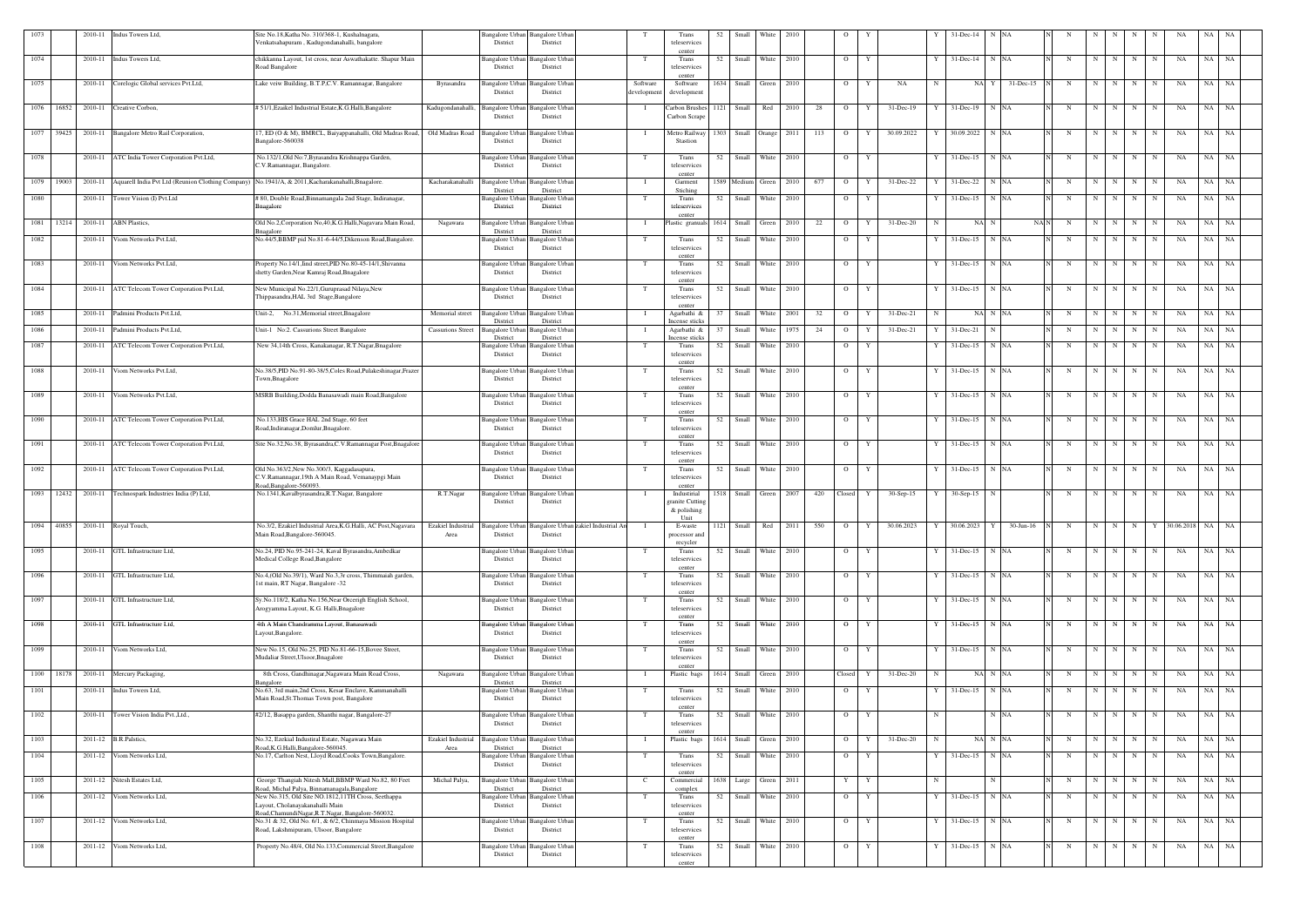| 1073 |            | 2010-11 | Indus Towers Ltd,                                                                                         | Site No.18, Katha No. 310/368-1, Kushalnagara,<br>Venkatsahapuram, Kadugondanahalli, bangalore                |                            | District                                | Bangalore Urban Bangalore Urban<br>District    |                     |                        | Trans<br>teleservices<br>center          | 52   | Small                  | White             | 2010 |     | - 0            |   |             |    | 31-Dec-14         | <b>NA</b>    |            |             |                   |             |             |            |       |           |
|------|------------|---------|-----------------------------------------------------------------------------------------------------------|---------------------------------------------------------------------------------------------------------------|----------------------------|-----------------------------------------|------------------------------------------------|---------------------|------------------------|------------------------------------------|------|------------------------|-------------------|------|-----|----------------|---|-------------|----|-------------------|--------------|------------|-------------|-------------------|-------------|-------------|------------|-------|-----------|
| 1074 |            | 2010-11 | Indus Towers Ltd,                                                                                         | chikkanna Layout, 1st cross, near Aswathakatte. Shapur Main<br>Road Bangalore                                 |                            | Bangalore Urban<br>District             | Bangalore Urba<br>District                     |                     | T                      | Trans<br>teleservices<br>center          | 52   | Small                  | White             | 2010 |     | $\overline{O}$ | Y |             |    | $31 - Dec-14$     | N NA         | N          | N           | N                 | N           | $\mathbf N$ | NA         | NA NA |           |
| 1075 |            |         | 2010-11 Corelogic Global services Pvt.Ltd,                                                                | Lake veiw Building, B.T.P,C.V. Ramannagar, Bangalore                                                          | Byrasandra                 | Bangalore Urban<br>District             | <b>Bangalore Urban</b><br>District             |                     | Software<br>developmen | Software<br>developmen                   |      | 1634 Small Green 2010  |                   |      |     | $\overline{O}$ | Y | NA          | N  | NA Y              | 31-Dec-15    | N          | N           | N                 | N           | N           | NA         | NA NA |           |
| 1076 | 16852      |         | 2010-11 Creative Corbon,                                                                                  | # 51/1, Ezaikel Industrial Estate, K.G. Halli, Bangalore                                                      | Kadugondanahalli,          | <b>Bangalore Urban</b><br>District      | <b>Bangalore</b> Urban<br>District             |                     |                        | Carbon Brushes 1121<br>Carbon Scrape     |      | Small                  | Red               | 2010 | 28  | $\overline{O}$ | Y | 31-Dec-19   |    | 31-Dec-19 N NA    |              | $_{\rm N}$ | N           | N                 | N           | N           | NA         | NA    | NA        |
|      | 1077 39425 |         | 2010-11 Bangalore Metro Rail Corporation,                                                                 | 17, ED (O & M), BMRCL, Baiyappanahalli, Old Madras Road, Old Madras Road<br>Bangalore-560038                  |                            | <b>Bangalore Urban</b><br>District      | <b>Bangalore</b> Urban<br>District             |                     | $\blacksquare$         | Metro Railway<br>Stastion                | 1303 |                        | Small Orange 2011 |      | 113 | $\overline{O}$ | Y | 30.09.2022  |    | 30.09.2022 N NA   |              | N          | N           | N                 | N           | N           | NA         | NA NA |           |
| 1078 |            |         | 2010-11 ATC India Tower Corporation Pvt.Ltd,                                                              | No.132/1, Old No:7, Byrasandra Krishnappa Garden,<br>C.V.Ramannagar, Bangalore.                               |                            | Bangalore Urban<br>District             | <b>Bangalore Urba</b><br>District              |                     | T                      | Trans<br>teleservices                    | 52   |                        | Small White       | 2010 |     | $\overline{O}$ | Y |             |    | $31$ -Dec-15 N NA |              | N          | N           | N I               | N           | N           | NA         | NA    | - NA      |
|      | 1079 19003 |         | 2010-11 Aquarell India Pvt Ltd (Reunion Clothing Company) No.1941/A, & 2011, Kacharakanahalli, Bnagalore. |                                                                                                               | Kacharakanahalli           | <b>Bangalore Urban</b><br>District      | <b>Bangalore Urban</b><br>District             |                     |                        | center<br>Garment<br>Stiching            |      | 1589 Medium Green 2010 |                   |      | 677 | $\overline{O}$ | Y | 31-Dec-22   |    | 31-Dec-22 N NA    |              | N          | N           | N                 | N           | N           | NA         | NA NA |           |
| 1080 |            | 2010-11 | Tower Vision (I) Pvt.Ltd                                                                                  | # 80, Double Road, Binnamangala 2nd Stage, Indiranagar,<br>Bnagalore                                          |                            | Bangalore Urban<br>District             | <b>Bangalore Urban</b><br>District             |                     |                        | Trans<br>teleservices                    | 52   | Small White            |                   | 2010 |     | $\overline{O}$ | Y |             |    | $31$ -Dec-15 N NA |              | N          | N           | N                 | N           | N           | NA         | NA    | NA        |
| 1081 | 13214      | 2010-11 | <b>ABN</b> Plastics,                                                                                      | Old No.2, Corporation No, 40, K.G. Halli, Nagavara Main Road,<br>aagalore                                     | Nagawara                   | Bangalore Urban<br>District             | <b>Bangalore</b> Urban<br>District             |                     |                        | center<br>Plastic granuals               | 1614 |                        | Small Green       | 2010 | 22  | $\overline{O}$ | Y | 31-Dec-20   |    | NA N              | NAN          | N          | N           | N                 | N           | $\mathbf N$ | NA         | NA    | NA        |
| 1082 |            | 2010-11 | Viom Networks Pvt.Ltd,                                                                                    | No.44/5,BBMP pid No.81-6-44/5,Dikenson Road,Bangalore.                                                        |                            | District                                | Bangalore Urban Bangalore Urban<br>District    |                     | T                      | Trans<br>teleservices                    | 52   | Small                  | White             | 2010 |     | $\overline{O}$ | Y |             |    | $31$ -Dec-15 N NA |              | N          | $\mathbf N$ | N                 | N           | N           | NA         | NA    | NA        |
| 1083 |            | 2010-11 | Viom Networks Pvt.Ltd.                                                                                    | Property No.14/1, Iind street, PID No.80-45-14/1, Shivanna<br>shetty Garden, Near Kamraj Road, Bnagalore      |                            | District                                | Bangalore Urban Bangalore Urban<br>District    |                     | T                      | center<br>Trans<br>teleservices          | 52   |                        | Small White       | 2010 |     | $\overline{O}$ | Y |             |    | 31-Dec-15 N NA    |              | N          | N           | N                 | N           | N           | NA         | NA NA |           |
| 1084 |            |         | 2010-11 ATC Telecom Tower Corporation Pvt.Ltd,                                                            | New Municipal No.22/1, Guruprasad Nilaya, New<br>Thippasandra, HAL 3rd Stage, Bangalore                       |                            | Bangalore Urban<br>District             | <b>Bangalore Urbar</b><br>District             |                     |                        | center<br>Trans<br>teleservices          | 52   |                        | Small White 2010  |      |     | $\overline{O}$ | Y |             |    | $31$ -Dec-15 N NA |              | N          | N           | N                 | N           | N           | NA         | NA NA |           |
| 1085 |            |         | 2010-11 Padmini Products Pvt.Ltd,                                                                         | Unit-2, No.31, Memorial street, Bnagalore                                                                     | Memorial street            | Bangalore Urban<br>District             | <b>Bangalore</b> Urban<br>District             |                     |                        | center<br>Agarbathi &<br>Incense sticks  | 37   |                        | Small White 2001  |      | 32  | $\overline{O}$ | Y | 31-Dec-21   | -N | NA N NA           |              | $_{\rm N}$ | N           | N                 | N           | N           | NA         | NA NA |           |
| 1086 |            | 2010-11 | Padmini Products Pvt.Ltd,                                                                                 | Unit-1 No:2. Cassurions Street Bangalore                                                                      | <b>Cassurions Street</b>   | Bangalore Urbar<br>District             | angalore Urbar<br>District                     |                     |                        | Agarbathi &<br>Incense sticks            | 37   | Small                  | White             | 1975 | 24  | $\overline{O}$ |   | 31-Dec-21   |    | $31 - Dec-21$     |              | N          | N           | N                 | $\mathbf N$ | N           | NA         | NA    | NA        |
| 1087 |            | 2010-11 | ATC Telecom Tower Corporation Pvt.Ltd,                                                                    | New 34,14th Cross, Kanakanagar, R.T.Nagar, Bnagalore                                                          |                            | Bangalore Urban<br>District             | Bangalore Urbar<br>District                    |                     | T                      | Trans<br>teleservices                    |      | 52 Small White         |                   | 2010 |     | $\overline{O}$ | Y |             |    | $31$ -Dec-15 N NA |              | N          | N           | N                 | $\mathbf N$ | N           | NA         | NA NA |           |
| 1088 |            | 2010-11 | Viom Networks Pvt.Ltd,                                                                                    | No.38/5, PID No.91-80-38/5, Coles Road, Pulakeshinagar, Frazer<br>Town, Bnagalore                             |                            | Bangalore Urban<br>District             | <b>Bangalore</b> Urbar<br>District             |                     | T                      | center<br>Trans<br>teleservices          | 52   | Small                  | White             | 2010 |     | $\overline{O}$ | Y |             |    | $31 - Dec-15$     | N NA         | N          | $\mathbf N$ | N                 | N           | N           | NA         | NA    | NA        |
| 1089 |            | 2010-11 | Viom Networks Pvt.Ltd,                                                                                    | MSRB Building, Dodda Banasawadi main Road, Bangalore                                                          |                            | Bangalore Urbaı<br>District             | Bangalore Urba<br>District                     |                     | T                      | center<br>Trans<br>teleservices          | 52   | Small                  | White             | 2010 |     | $\overline{O}$ | Y |             |    | $31$ -Dec-15 N NA |              | N          | N           | N                 | N           | N           | NA         | NA NA |           |
| 1090 |            | 2010-11 | ATC Telecom Tower Corporation Pvt.Ltd,                                                                    | No.133, HIS Grace HAL 2nd Stage, 60 feet<br>Road, Indiranagar, Domlur, Bnagalore.                             |                            | Bangalore Urban<br>District             | Bangalore Urban<br>District                    |                     | T                      | center<br>Trans<br>teleservices          | 52   | Small                  | White 2010        |      |     | $\overline{O}$ | Y |             | Y  | $31$ -Dec-15 N NA |              | N          | N           | N                 | N           | N           | NA         | NA NA |           |
| 1091 |            | 2010-11 | ATC Telecom Tower Corporation Pvt.Ltd,                                                                    | Site No.32, No.38, Byrasandra, C.V. Ramannagar Post, Bnagalore                                                |                            | Bangalore Urbar<br>District             | Bangalore Urba<br>District                     |                     |                        | center<br>Trans<br>teleservices          | 52   |                        | Small White       | 2010 |     | $\overline{O}$ | Y |             |    | $31$ -Dec-15 N NA |              | N          | N           | N                 | $\mathbf N$ | N           | NA         | NA NA |           |
| 1092 |            |         | 2010-11 ATC Telecom Tower Corporation Pvt.Ltd,                                                            | Old No.363/2, New No.300/3, Kaggadasapura,<br>C.V.Ramannagar, 19th A Main Road, Vemanaypgi Main               |                            | District                                | Bangalore Urban Bangalore Urban<br>District    |                     | T                      | center<br>Trans<br>teleservices          | 52   | Small                  | White             | 2010 |     | $\overline{O}$ | Y |             |    | 31-Dec-15 N NA    |              | N          | N           | N                 | N           | N           | NA         | NA    | <b>NA</b> |
| 1093 | 12432      | 2010-11 | Technospark Industries India (P) Ltd,                                                                     | Road, Bangalore-560093.<br>No.1341, Kavalbyrasandra, R.T. Nagar, Bangalore                                    | R.T.Nagar                  | Bangalore Urban                         | Bangalore Urbar                                |                     |                        | center<br>Industirial                    | 1518 |                        | Small Green       | 2007 | 420 | Closed         | Y | $30-Sep-15$ |    | $30-Sep-15$<br>N  |              | N          | $\mathbf N$ | N                 | N           | N           | NA         | NA    | <b>NA</b> |
|      |            |         |                                                                                                           |                                                                                                               |                            | District                                | District                                       |                     |                        | granite Cuttin;<br>$&$ polishing<br>Unit |      |                        |                   |      |     |                |   |             |    |                   |              |            |             |                   |             |             |            |       |           |
| 1094 | 40855      | 2010-11 | Royal Touch,                                                                                              | No.3/2, Ezakiel Industrial Area, K.G.Halli, AC Post, Nagavara<br>Main Road, Bangalore-560045.                 | Ezakiel Industrial<br>Area | Bangalore Urban<br>District             | Bangalore Urban<br>District                    | akiel Industrial Ar |                        | E-waste<br>processor and<br>recycler     | 1121 | Small                  | Red               | 2011 | 550 | $\overline{O}$ |   | 30.06.2023  |    | 30.06.2023<br>Y   | $30$ -Jun-16 |            | -N          |                   |             |             | 80.06.2018 | NA    | NA        |
| 1095 |            |         | 2010-11 GTL Infrastructure Ltd,                                                                           | No.24, PID No.95-241-24, Kaval Byrasandra, Ambedkar<br>Medical College Road, Bangalore                        |                            | angalore Urban<br>District              | Bangalore Urban<br>District                    |                     |                        | Trans<br>teleservices<br>center          |      | 52 Small White 2010    |                   |      |     | $\overline{O}$ | Y |             |    | $31$ -Dec-15 N NA |              | N          | N           | N                 | $\mathbf N$ | N           | NA         | NA NA |           |
| 1096 |            |         | 2010-11 GTL Infrastructure Ltd,                                                                           | No.4, (Old No.39/1), Ward No.3,3r cross, Thimmaiah garden,<br>1st main, RT Nagar, Bangalore -32               |                            | Bangalore Urban<br>District             | <b>Bangalore Urbar</b><br>District             |                     | T                      | Trans<br>teleservices<br>center          | 52   |                        | Small White       | 2010 |     | $\overline{O}$ | Y |             |    | $31$ -Dec-15 N NA |              | N          | N           | N                 | N           | N           | NA         | NA NA |           |
| 1097 |            |         | 2010-11 GTL Infrastructure Ltd,                                                                           | Sy.No.118/2, Katha No.156, Near Orcerigh English School,<br>Arogyamma Layout, K.G. Halli, Bnagalore           |                            | District                                | Bangalore Urban Bangalore Urban<br>District    |                     | T                      | Trans<br>teleservices                    | 52   |                        | Small White 2010  |      |     | $\overline{O}$ | Y |             |    | $31$ -Dec-15 N NA |              | N          | N           | N                 | $\mathbf N$ | N           | NA         | NA NA |           |
| 1098 |            | 2010-11 | GTL Infrastructure Ltd,                                                                                   | 4th A Main Chandramma Layout, Banasawadi<br>Layout, Bangalore.                                                |                            | Bangalore Urban<br>District             | <b>Bangalore</b> Urbar<br>District             |                     | T                      | center<br>Trans<br>teleservices          | 52   |                        | Small White 2010  |      |     | $\overline{O}$ | Y |             | Y  | $31$ -Dec-15 N NA |              | N          | N           | N                 | N           | N           | NA         | NA NA |           |
| 1099 |            |         | 2010-11 Viom Networks Ltd,                                                                                | New No.15, Old No.25, PID No.81-66-15, Bovee Street,<br>Mudaliar Street, Ulsoor, Bnagalore                    |                            | Bangalore Urban<br>District             | <b>Bangalore Urban</b><br>District             |                     | T                      | center<br>Trans<br>teleservices          |      | 52 Small White 2010    |                   |      |     | $\circ$        | Y |             | Y  | 31-Dec-15 N NA    |              | N          |             | $N$ $N$ $N$ $N$   |             |             | NA         | NA NA |           |
| 1100 | 18178      |         | 2010-11 Mercury Packaging,                                                                                | 8th Cross, Gandhinagar, Nagawara Main Road Cross,<br>angalore                                                 | Nagawara                   | Bangalore Urban<br>District             | <b>Bangalore Urban</b><br>District             |                     | $\blacksquare$         | center<br>Plastic bags                   |      | 1614 Small Green 2010  |                   |      |     | Closed         | Y | 31-Dec-20   |    | NA N NA           |              | N          | N           | N                 | N           | N           | NA         | NA    | <b>NA</b> |
| 1101 |            | 2010-11 | Indus Towers Ltd,                                                                                         | No.63, 3rd main,2nd Cross, Kesar Enclave, Kammanahalli<br>Main Road, St. Thomas Town post, Bangalore          |                            | Bangalore Urban<br>District             | <b>Bangalore</b> Urban<br>District             |                     | T                      | Trans<br>teleservices                    |      | 52 Small White 2010    |                   |      |     | $\overline{O}$ | Y |             |    | $31$ -Dec-15 N NA |              | N          | N           | N                 | N           | N           | NA         | NA NA |           |
| 1102 |            |         | 2010-11 Tower Vision India Pvt., Ltd.,                                                                    | #2/12, Basappa garden, Shanthi nagar, Bangalore-27                                                            |                            | Bangalore Urban<br>District             | <b>Bangalore Urban</b><br>District             |                     | T                      | center<br>Trans<br>teleservices          |      | 52 Small White 2010    |                   |      |     | $O$ $Y$        |   |             | N  |                   | N NA         | N          |             |                   |             | N N N N     | <b>NA</b>  | NA NA |           |
| 1103 |            |         | 2011-12 B.R. Palstics,                                                                                    | No.32, Ezekial Industiral Estate, Nagawara Main                                                               | Ezakiel Industrial         | Bangalore Urban                         | <b>Bangalore</b> Urban                         |                     | - 1                    | center<br>Plastic bags                   |      | 1614 Small Green       |                   | 2010 |     | $\overline{O}$ | Y | 31-Dec-20   |    | NA N NA           |              | N          | N           | N                 | $\mathbf N$ | N           | NA         | NA    | <b>NA</b> |
| 1104 |            | 2011-12 | Viom Networks Ltd,                                                                                        | Road, K.G. Halli, Bangalore-560045.<br>No.17, Carlton Nest, Lloyd Road, Cooks Town, Bangalore.                | Area                       | District<br>Bangalore Urban<br>District | District<br><b>Bangalore Urban</b><br>District |                     | T                      | Trans<br>teleservices                    | 52   | Small                  | White             | 2010 |     | $\overline{O}$ | Y |             | Y  | 31-Dec-15 N NA    |              | N          | N           | N                 | $\mathbf N$ | N           | NA         | NA    | NA        |
| 1105 |            |         | 2011-12 Nitesh Estates Ltd,                                                                               | George Thangiah Nitesh Mall, BBMP Ward No.82, 80 Feet<br>Road, Michal Palya, Binnamanagala, Bangalore         | Michal Palya,              | District                                | Bangalore Urban Bangalore Urban<br>District    |                     | $\mathbf{C}$           | center<br>Commercial<br>complex          |      | 1638 Large Green 2011  |                   |      |     | Y              | Y |             | N  | N                 |              | N          |             | $N$   $N$ $N$     |             | N           | NA         | NA NA |           |
| 1106 |            |         | 2011-12 Viom Networks Ltd,                                                                                | New No.315, Old Site NO.1812,11TH Cross, Seethappa<br>Layout, Cholanayakanahalli Main                         |                            | Bangalore Urban<br>District             | <b>Bangalore</b> Urban<br>District             |                     | T                      | Trans<br>teleservices                    |      | 52 Small White 2010    |                   |      |     | $\overline{O}$ | Y |             |    | Y 31-Dec-15 N NA  |              | N          | N           | N                 | N           | N           | NA         | NA NA |           |
| 1107 |            |         | 2011-12 Viom Networks Ltd,                                                                                | Road.ChamundiNagar, R.T.Nagar, Bangalore-560032.<br>No.31 & 32, Old No. 6/1, & 6/2, Chinmaya Mission Hospital |                            | Bangalore Urban                         | <b>Bangalore</b> Urbar                         |                     | T                      | center<br>Trans                          |      | 52 Small White 2010    |                   |      |     | $\overline{O}$ | Y |             | Y  | 31-Dec-15 N NA    |              | N          |             | $N$ $N$   $N$ $N$ |             |             | NA         | NA NA |           |
| 1108 |            |         | 2011-12 Viom Networks Ltd,                                                                                | Road, Lakshmipuram, Ulsoor, Bangalore<br>Property No.48/4, Old No.133, Commercial Street, Bangalore           |                            | District<br>Bangalore Urban             | District<br>Bangalore Urban                    |                     | T                      | teleservices<br>center<br>Trans          |      | 52 Small White 2010    |                   |      |     | $\overline{O}$ | Y |             |    | 31-Dec-15 N NA    |              | $_{\rm N}$ | N           | N                 | N           | N           | NA         | NA NA |           |
|      |            |         |                                                                                                           |                                                                                                               |                            | District                                | District                                       |                     |                        | teleservices<br>center                   |      |                        |                   |      |     |                |   |             |    |                   |              |            |             |                   |             |             |            |       |           |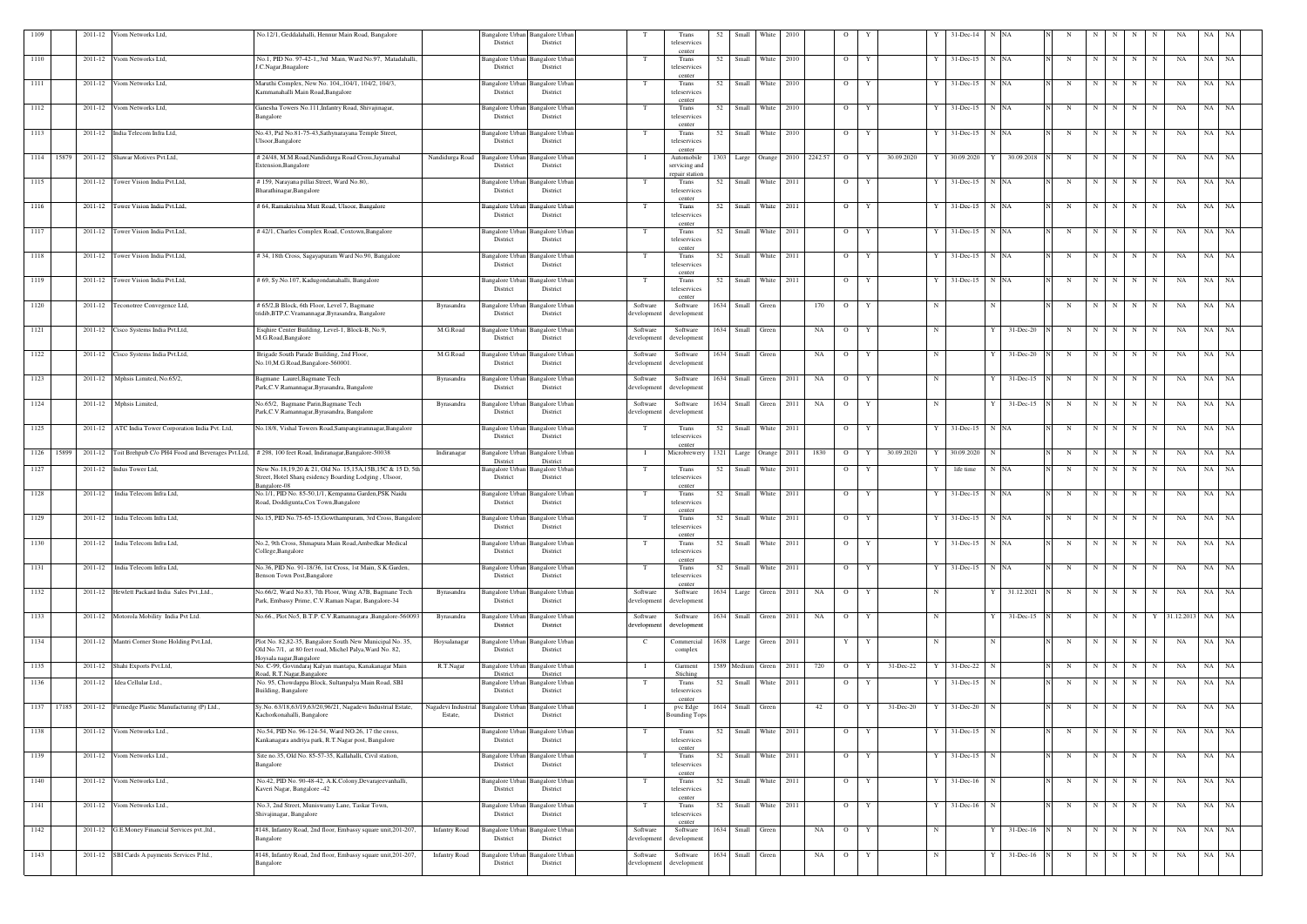| 1109 |            | 2011-12 | Viom Networks Ltd,                                    | No.12/1, Geddalahalli, Hennur Main Road, Bangalore                                                                                              |                                | Bangalore Urban<br>District                 | <b>Bangalore Urban</b><br>District |                         | Trans<br>teleservices                    | 52   | Small            | White                  | 2010 |         |                |                  | 31-Dec-14              | <b>NA</b>         |                        |                         |           |             |             |                    |           |           |
|------|------------|---------|-------------------------------------------------------|-------------------------------------------------------------------------------------------------------------------------------------------------|--------------------------------|---------------------------------------------|------------------------------------|-------------------------|------------------------------------------|------|------------------|------------------------|------|---------|----------------|------------------|------------------------|-------------------|------------------------|-------------------------|-----------|-------------|-------------|--------------------|-----------|-----------|
| 1110 |            | 2011-12 | Viom Networks Ltd,                                    | No.1, PID No. 97-42-1, 3rd Main, Ward No.97, Matadahalli<br>J.C.Nagar, Bnagalore                                                                |                                | Bangalore Urban<br>District                 | Bangalore Urba<br>District         |                         | center<br>Trans<br>teleservices          | 52   |                  | Small White            | 2010 |         | $\overline{O}$ | Y                | 31-Dec-15              | N NA              | N                      | N                       |           | N           | N           | NA                 | NA        | NA        |
| 1111 |            | 2011-12 | Viom Networks Ltd,                                    | Maruthi Complex, New No. 104, 104/1, 104/2, 104/3,<br>Kammanahalli Main Road, Bangalore                                                         |                                | Bangalore Urban<br>District                 | <b>Bangalore Urbar</b><br>District | T                       | center<br>Trans<br>teleservices          | 52   | Small            | White 2010             |      |         | $\overline{O}$ | Y<br>Y           | 31-Dec-15              | N NA              | N                      | $\overline{\mathbf{N}}$ | N         | N           | N           | NA                 | NA        | NA        |
| 1112 |            | 2011-12 | Viom Networks Ltd,                                    | Ganesha Towers No.111, Infantry Road, Shivajinagar,<br>Bangalore                                                                                |                                | Bangalore Urban<br>District                 | <b>Bangalore Urba</b><br>District  |                         | center<br>Trans<br>teleservices          | 52   | Small            | White 2010             |      |         | $\overline{O}$ | Y                | $31 - Dec-15$          | N NA              | N                      | $\mathbf N$             | N         | N           | N           | NA                 | NA        | <b>NA</b> |
| 1113 |            |         | 2011-12 India Telecom Infra Ltd,                      | No.43, Pid No.81-75-43, Sathynarayana Temple Street,<br>Ulsoor, Bangalore                                                                       |                                | Bangalore Urban<br>District                 | Bangalore Urbar<br>District        |                         | center<br>Trans<br>teleservices          | 52   | Small            | White 2010             |      |         | $\overline{O}$ | Y                | $31$ -Dec-15           | N NA              | N                      | N                       | N         | N           | N           | NA                 | NA        | NA        |
|      | 1114 15879 |         | 2011-12 Shawar Motives Pvt.Ltd,                       | # 24/48, M.M.Road, Nandidurga Road Cross, Jayamahal                                                                                             | Nandidurga Road                | <b>Bangalore Urban</b>                      | Bangalore Urba                     |                         | center<br>Automobile                     | 303  |                  | Large Orange 2010      |      | 2242.57 | $\overline{O}$ | Y<br>30.09.2020  | 30.09.2020             | 30.09.2018<br>Y   | N                      | N                       | N         | N           | N           | NA                 | NA        | <b>NA</b> |
| 1115 |            |         | 2011-12 Tower Vision India Pvt.Ltd,                   | Extension, Bangalore<br># 159, Narayana pillai Street, Ward No.80,.                                                                             |                                | District<br>Bangalore Urban Bangalore Urban | District                           |                         | servicing and<br>repair station<br>Trans | 52   |                  | Small White 2011       |      |         | $\overline{O}$ | Y                | $31$ -Dec-15 N NA      |                   | N                      | N                       | N         | N           | N           | NA                 | NA NA     |           |
|      |            |         |                                                       | Bharathinagar, Bangalore                                                                                                                        |                                | District                                    | District                           |                         | teleservices<br>center                   |      |                  |                        |      |         |                |                  |                        |                   |                        |                         |           |             |             |                    |           |           |
| 1116 |            | 2011-12 | Tower Vision India Pvt.Ltd,                           | # 64, Ramakrishna Mutt Road, Ulsoor, Bangalore                                                                                                  |                                | Bangalore Urban<br>District                 | Bangalore Urba<br>District         |                         | Trans<br>teleservices<br>center          | 52   |                  | Small White 2011       |      |         | $\overline{O}$ | Y                | 31-Dec-15              | N NA              | N                      | N                       | N         | $\mathbf N$ | $\mathbf N$ | NA                 | NA        | NA        |
| 1117 |            |         | 2011-12 Tower Vision India Pvt.Ltd,                   | #42/1, Charles Complex Road, Coxtown, Bangalore                                                                                                 |                                | Bangalore Urban<br>District                 | <b>Bangalore Urbar</b><br>District |                         | Trans<br>teleservices<br>center          | 52   | Small            | White 2011             |      |         | $\overline{O}$ | Y                | $31$ -Dec-15           | N NA              |                        | N                       | N         | N           | N           | NA                 | NA        | NA        |
| 1118 |            | 2011-12 | Tower Vision India Pvt.Ltd,                           | #34, 18th Cross, Sagayapuram Ward No.90, Bangalore                                                                                              |                                | Bangalore Urban<br>District                 | Bangalore Urba<br>District         |                         | Trans<br>teleservices<br>center          | 52   | Small            | White                  | 2011 |         | $\overline{O}$ | Y                | $31$ -Dec-15           | N NA              | N                      | N                       |           | N           | N           | NA                 | NA        | NA        |
| 1119 |            |         | 2011-12 Tower Vision India Pvt.Ltd,                   | # 69, Sy.No.107, Kadugondanahalli, Bangalore                                                                                                    |                                | Bangalore Urban Bangalore Urban<br>District | District                           |                         | Trans<br>teleservices<br>center          | 52   |                  | Small White 2011       |      |         | $\overline{O}$ | Y                | $31$ -Dec-15 N NA      |                   | N                      | N                       | N         | $\mathbf N$ | N           | NA                 | NA NA     |           |
| 1120 |            | 2011-12 | Teconotree Convegence Ltd,                            | # 65/2, B Block, 6th Floor, Level 7, Bagmane<br>tridib, BTP, C. Vramannagar, Byrasandra, Bangalore                                              | Byrasandra                     | Bangalore Urban<br>District                 | <b>Bangalore Urbar</b><br>District | Software<br>developmen  | Software<br>development                  | 1634 | Small            | Green                  |      | 170     | $\overline{O}$ | Y<br>N           |                        |                   | N                      | N                       | N         | N           | N           | NA                 | NA        | NA        |
| 1121 |            |         | 2011-12 Cisco Systems India Pvt.Ltd,                  | Esqhire Center Building, Level-1, Block-B, No.9,<br>M.G.Road, Bangalore                                                                         | M.G.Road                       | Bangalore Urban<br>District                 | <b>Bangalore Urban</b><br>District | Software<br>developmer  | Software<br>development                  | 1634 | Small            | Green                  |      | NA      | $\overline{O}$ | Y<br>$\mathbf N$ |                        | Y<br>31-Dec-20    | N                      | N                       | N         | $\mathbf N$ | $\mathbf N$ | NA                 | NA NA     |           |
| 1122 |            | 2011-12 | Cisco Systems India Pvt.Ltd,                          | Brigade South Parade Building, 2nd Floor,<br>No.10,M.G.Road,Bangalore-560001.                                                                   | M.G.Road                       | Bangalore Urban<br>District                 | <b>Bangalore Urbar</b><br>District | Software<br>developmen  | Software<br>development                  | 1634 | Small            | Green                  |      | NA      | $\overline{O}$ | N<br>Y           |                        | 31-Dec-20<br>Y    | N                      | N                       | N I       | N           | N           | NA                 | NA NA     |           |
| 1123 |            |         | 2011-12 Mphsis Limited, No.65/2,                      | Bagmane Laurel, Bagmane Tech<br>Park, C.V. Ramannagar, Byrasandra, Bangalore                                                                    | Byrasandra                     | Bangalore Urban<br>District                 | <b>Bangalore</b> Urbar<br>District | Software<br>developmen  | Software<br>development                  |      |                  | 1634 Small Green 2011  |      | NA      | $\overline{O}$ | $\mathbf N$<br>Y |                        | 31-Dec-15<br>ΥI   | N                      | N                       | N         | N           | N           | NA                 | NA NA     |           |
| 1124 |            |         | 2011-12 Mphsis Limited,                               | No.65/2, Bagmane Parin, Bagmane Tech<br>Park, C.V. Ramannagar, Byrasandra, Bangalore                                                            | Byrasandra                     | Bangalore Urban<br>District                 | <b>Bangalore Urbar</b><br>District | Software<br>developmen  | Software<br>development                  | 1634 |                  | Small Green 2011       |      | NA      | $\overline{O}$ | N<br>Y           |                        | 31-Dec-15         | N                      | N                       | N         | N           | N           | NA                 | NA        | NA        |
| 1125 |            |         | 2011-12   ATC India Tower Corporation India Pvt. Ltd, | No.18/8, Vishal Towers Road, Sampangiramnagar, Bangalore                                                                                        |                                | Bangalore Urban Bangalore Urbai<br>District | District                           |                         | Trans<br>teleservices<br>center          | 52   |                  | Small White 2011       |      |         | $\overline{O}$ | Y<br>Y           | $31 - Dec-15$          | N NA              | N                      | N                       | N         | N           | N           | NA                 | NA NA     |           |
|      | 1126 15899 | 2011-12 |                                                       | Toit Brehpub C/o PH4 Food and Beverages Pvt. Ltd, #298, 100 feet Road, Indiranagar, Bangalore-50038                                             | Indiranagar                    | Bangalore Urban<br>District                 | <b>Bangalore Urbar</b><br>District | $\blacksquare$          | Microbrewery                             | 1321 | Large            | Orange 2011            |      | 1830    | $\overline{O}$ | 30.09.2020<br>Y  | 30.09.2020             |                   | $\mathbf N$            | N                       | N         | N           | N           | NA                 | NA        | NA        |
| 1127 |            |         | 2011-12 Indus Tower Ltd,                              | New No.18,19,20 & 21, Old No. 15,15A,15B,15C & 15 D, 5th<br>Street, Hotel Sharq esidency Boarding Lodging, Ulsoor,<br>Bangalore-08              |                                | Bangalore Urban<br>District                 | Bangalore Urbar<br>District        |                         | Trans<br>teleservices<br>center          | 52   | Small            | White 2011             |      |         | $\overline{O}$ | Y                | life time              | N NA              | N                      | $_{\rm N}$              | N         | N           | N           | NA                 | NA        | NA        |
| 1128 |            |         | 2011-12 India Telecom Infra Ltd,                      | No.1/1, PID No. 85-50,1/1, Kempanna Garden, PSK Naidu<br>Road, Doddigunta, Cox Town, Bangalore                                                  |                                | Bangalore Urban<br>District                 | Bangalore Urbar<br>District        |                         | Trans<br>teleservices<br>center          | 52   |                  | Small White 2011       |      |         | $\overline{O}$ | Y                | 31-Dec-15              | N NA              | N                      | N                       | N         | N           | N           | NA                 | $NA$ $NA$ |           |
| 1129 |            |         | 2011-12 India Telecom Infra Ltd,                      | No.15, PID No.75-65-15, Gowthampuram, 3rd Cross, Bangalore                                                                                      |                                | Bangalore Urban Bangalore Urban<br>District | District                           |                         | Trans<br>teleservices<br>center          |      |                  | 52 Small White 2011    |      |         | $O$ $Y$        |                  | $Y$ 31-Dec-15 N NA     |                   | N N N N N N N NA NA NA |                         |           |             |             |                    |           |           |
| 1130 |            |         | 2011-12 India Telecom Infra Ltd,                      | No.2, 9th Cross, Shmapura Main Road, Ambedkar Medical<br>College, Bangalore                                                                     |                                | Bangalore Urban Bangalore Urba<br>District  | District                           |                         | Trans<br>teleservices<br>center          |      |                  | 52 Small White 2011    |      |         | $O \mid Y$     |                  | $Y = 31 - Dec-15$ N NA |                   | N                      |                         |           | N N N N     |             | NA                 | NA NA     |           |
| 1131 |            | 2011-12 | India Telecom Infra Ltd,                              | No.36, PID No. 91-18/36, 1st Cross, 1st Main, S.K.Garden,<br>Benson Town Post, Bangalore                                                        |                                | Bangalore Urban<br>District                 | <b>Bangalore Urban</b><br>District | T                       | Trans<br>teleservices<br>center          | 52   |                  | Small White 2011       |      |         | $\overline{O}$ | Y<br>Y           | 31-Dec-15              | N NA              | N                      | N                       | N         | N           | N           | NA                 | NA        | NA        |
| 1132 |            |         | 2011-12 Hewlett Packard India Sales Pvt., Ltd.,       | No.66/2, Ward No.83, 7th Floor, Wing A7B, Bagmane Tech<br>Park, Embassy Prime, C.V.Raman Nagar, Bangalore-34                                    | Byrasandra                     | Bangalore Urban<br>District                 | Bangalore Urba<br>District         | Software<br>developmen  | Software<br>development                  |      | 1634 Large       | Green 2011             |      | NA      | $\overline{O}$ | Y<br>N           |                        | 31.12.2021        | N                      | N                       | N         | N           | N           | NA                 | NA        | <b>NA</b> |
| 1133 |            |         | 2011-12 Motorola Mobility India Pvt Ltd.              | No.66., Plot No5, B.T.P. C.V.Ramannagara ,Bangalore-560093                                                                                      | Byrasandra                     | Bangalore Urban<br>District                 | <b>Bangalore Urban</b><br>District | Software<br>developmen  | Software<br>development                  |      |                  | 1634 Small Green 2011  |      | NA      | $\overline{O}$ | N<br>Y           |                        | 31-Dec-15<br>Y    | N                      |                         | $N$   $N$ | N           |             | Y 31.12.2013 NA NA |           |           |
| 1134 |            |         | 2011-12 Mantri Corner Stone Holding Pvt.Ltd,          | Plot No. 82,82-35, Bangalore South New Municipal No. 35,<br>Old No.7/1, at 80 feet road, Michel Palya, Ward No. 82,<br>Hoysala nagar, Bangalore | Hoysalanagar                   | Bangalore Urban<br>District                 | <b>Bangalore Urba</b><br>District  | - C                     | Commercial<br>complex                    |      |                  | 1638 Large Green 2011  |      |         | Y              | Y<br>$\mathbf N$ |                        | N                 | N                      | N                       | N         | N           | N           | NA                 | NA NA     |           |
| 1135 |            |         | 2011-12 Shahi Exports Pvt.Ltd,                        | No. C-99, Govindaraj Kalyan mantapa, Kanakanagar Main<br>Road, R.T.Nagar, Bangalore                                                             | R.T.Nagar                      | Bangalore Urban<br>District                 | Bangalore Urban<br>District        | - 1                     | Garment<br>Stiching                      |      |                  | 1589 Medium Green 2011 |      | 720     | $\overline{O}$ | 31-Dec-22<br>Y   | 31-Dec-22              | N                 | N                      | N                       | N         | N           | N           | NA                 | NA        | NA        |
| 1136 |            | 2011-12 | Idea Cellular Ltd.,                                   | No. 95, Chowdappa Block, Sultanpalya Main Road, SBI<br>Building, Bangalore                                                                      |                                | Bangalore Urban<br>District                 | Bangalore Urbar<br>District        |                         | Trans<br>teleservices<br>center          | 52   | Small            | White 2011             |      |         | $\overline{O}$ | Y                | $31 - Dec-15$          | - N               | N                      | N                       | N         | $\mathbf N$ | N           | NA                 | NA NA     |           |
|      | 1137 17185 |         | 2011-12 Firmedge Plastic Manufacturing (P) Ltd.,      | Sy.No. 63/18,63/19,63/20,96/21, Nagadevi Industrial Estate,<br>Kachorkonahalli, Bangalore                                                       | Nagadevi Industrial<br>Estate, | <b>Bangalore Urban</b><br>District          | <b>Bangalore Urbar</b><br>District |                         | pvc Edge<br><b>Bounding Tops</b>         |      | 1614 Small Green |                        |      | 42      | $\overline{O}$ | 31-Dec-20<br>Y   | 31-Dec-20              | N                 | $\mathbf N$            | N                       | N         | N           | N           | NA                 | NA NA     |           |
| 1138 |            |         | 2011-12 Viom Networks Ltd.,                           | No.54, PID No. 96-124-54, Ward NO.26, 17 the cross,<br>Kankanagara andriya park, R.T.Nagar post, Bangalore                                      |                                | Bangalore Urban<br>District                 | <b>Bangalore Urban</b><br>District | - Т                     | Trans<br>teleservices<br>center          | 52   |                  | Small White 2011       |      |         | $\overline{O}$ | Y<br>Y           | 31-Dec-15              | N                 | N                      | N                       | N         | N           | N           | NA                 | <b>NA</b> | <b>NA</b> |
| 1139 |            | 2011-12 | Viom Networks Ltd.,                                   | Site no.35, Old No. 85-57-35, Kallahalli, Civil station,<br>Bangalore                                                                           |                                | Bangalore Urban<br>District                 | Bangalore Urba<br>District         | T                       | Trans<br>teleservices<br>center          | 52   |                  | Small White 2011       |      |         | $\overline{O}$ | Y<br>Y           | $31 - Dec-15$          | N                 | N                      | N                       | N         | N           | N           | NA                 | NA NA     |           |
| 1140 |            | 2011-12 | Viom Networks Ltd.,                                   | No.42, PID No. 90-48-42, A.K.Colony, Devarajeevanhalli,<br>Kaveri Nagar, Bangalore -42                                                          |                                | Bangalore Urban<br>District                 | <b>Bangalore Urbar</b><br>District | - T                     | Trans<br>teleservices<br>center          | 52   |                  | Small White 2011       |      |         | $\overline{O}$ | Y<br>Y           | $31$ -Dec-16           | N                 | $\mathbf N$            |                         | $N$ $N$   | N           | N           | NA                 | NA NA     |           |
| 1141 |            |         | 2011-12 Viom Networks Ltd.,                           | No.3, 2nd Street, Muniswamy Lane, Taskar Town,<br>Shivajinagar, Bangalore                                                                       |                                | Bangalore Urban<br>District                 | <b>Bangalore Urban</b><br>District |                         | Trans<br>teleservices<br>center          | 52   |                  | Small White 2011       |      |         | $\overline{O}$ | Y                | 31-Dec-16              |                   | N                      | N                       | N         | N           | N           | NA                 | NA NA     |           |
| 1142 |            |         | 2011-12 G.E.Money Financial Services pvt., ltd.,      | #148, Infantry Road, 2nd floor, Embassy square unit, 201-207,<br>Bangalore                                                                      | <b>Infantry Road</b>           | Bangalore Urban Bangalore Urban<br>District | District                           | Software<br>developmen  | Software<br>development                  | 1634 |                  | Small Green            |      | NA      | $\overline{O}$ | $\mathbf N$<br>Y |                        | Y<br>$31$ -Dec-16 | N                      | N                       | N         | N           | N           | NA                 | NA NA     |           |
| 1143 |            |         | 2011-12 SBI Cards A payments Services P.ltd.,         | #148, Infantry Road, 2nd floor, Embassy square unit, 201-207,<br>Bangalore                                                                      | <b>Infantry Road</b>           | Bangalore Urban<br>District                 | <b>Bangalore Urban</b><br>District | Software<br>development | Software<br>development                  | 1634 | Small            | Green                  |      | NA      | $\overline{O}$ | N<br>Y           |                        | 31-Dec-16         | N                      | N                       | N         | $\mathbf N$ | N           | NA                 | NA NA     |           |
|      |            |         |                                                       |                                                                                                                                                 |                                |                                             |                                    |                         |                                          |      |                  |                        |      |         |                |                  |                        |                   |                        |                         |           |             |             |                    |           |           |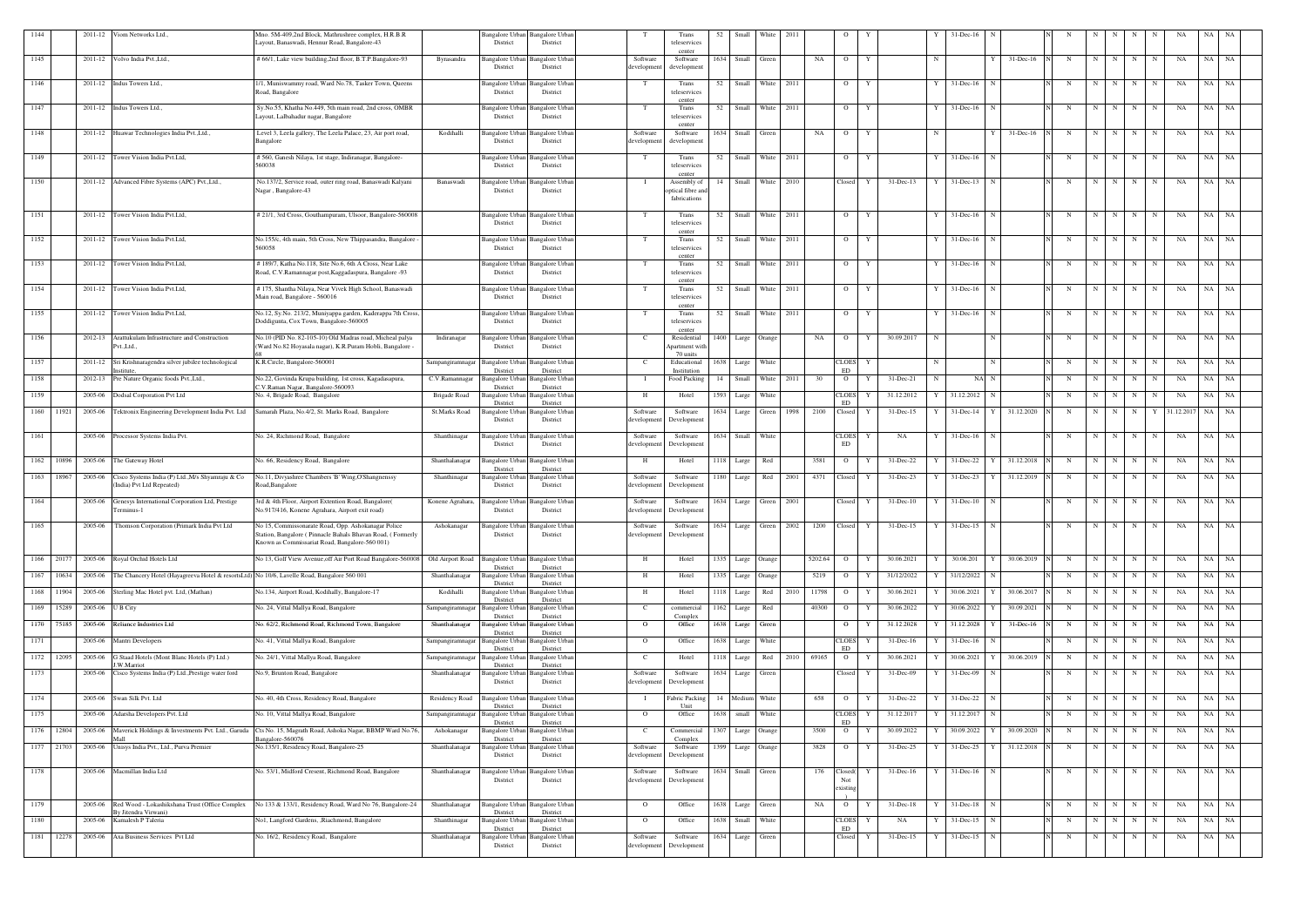| 1144 |            |         | 2011-12 Viom Networks Ltd.,                                                                 | Mno. 5M-409,2nd Block, Mathrushree complex, H.R.B.R<br>Layout, Banaswadi, Hennur Road, Bangalore-43                                                                 |                      | Bangalore Urban Bangalore Urban<br>District<br>District                  |                         | Trans<br>teleservices                            | 52   | Small             | White               | 2011 |         | $\circ$                    |   |               |    | $31$ -Dec-16   |                   |   |             |           |   |             |                 |           |           |
|------|------------|---------|---------------------------------------------------------------------------------------------|---------------------------------------------------------------------------------------------------------------------------------------------------------------------|----------------------|--------------------------------------------------------------------------|-------------------------|--------------------------------------------------|------|-------------------|---------------------|------|---------|----------------------------|---|---------------|----|----------------|-------------------|---|-------------|-----------|---|-------------|-----------------|-----------|-----------|
| 1145 |            |         | 2011-12 Volvo India Pvt., Ltd.,                                                             | # 66/1, Lake view building, 2nd floor, B.T.P.Bangalore-93                                                                                                           | Byrasandra           | Bangalore Urban<br>Bangalore Urba                                        | Software                | center<br>Software                               | 1634 | Small             | Green               |      | NA      | $\overline{O}$             | Y |               |    |                | 31-Dec-16         | N | N           | N I       | N | N           | NA              | NA        | NA        |
| 1146 |            |         | 2011-12 Indus Towers Ltd.                                                                   | 1/1, Muniswammy road, Ward No.78, Tasker Town, Queens                                                                                                               |                      | District<br>District<br>Bangalore Urban<br><b>Bangalore Urban</b>        | developmen              | development<br>Trans                             |      |                   | 52 Small White 2011 |      |         | $\overline{O}$             | Y |               | Y  | $31$ -Dec-16   | $\mathbf N$       | N | N           | $N$   $N$ |   | N           | NA              | NA NA     |           |
|      |            |         |                                                                                             | Road, Bangalore                                                                                                                                                     |                      | District<br>District                                                     |                         | teleservices<br>center                           |      |                   |                     |      |         |                            |   |               |    |                |                   |   |             |           |   |             |                 |           |           |
| 1147 |            |         | 2011-12 Indus Towers Ltd.                                                                   | Sy.No.55, Khatha No.449, 5th main road, 2nd cross, OMBR<br>Layout, Lalbahadur nagar, Bangalore                                                                      |                      | Bangalore Urban<br>Bangalore Urba<br>District<br>District                | $^{\circ}$ T            | Trans<br>teleservices<br>center                  | 52   |                   | Small White         | 2011 |         | $\overline{O}$             | Y |               |    | $31 - Dec-16$  |                   | N | $\mathbf N$ | N         | N | N           | NA              | NA        | NA        |
| 1148 |            |         | 2011-12 Huawar Technologies India Pvt., Ltd.,                                               | Level 3, Leela gallery, The Leela Palace, 23, Air port road,<br>Bangalore                                                                                           | Kodihalli            | <b>Bangalore Urban</b><br><b>Bangalore Urban</b><br>District<br>District | Software<br>developmer  | Software<br>development                          |      | 1634 Small Green  |                     |      | NA      | $\overline{O}$             | Y |               |    |                | $31$ -Dec-16<br>Y | N | N           | N         | N | N           | NA              | NA        | NA        |
| 1149 |            | 2011-12 | Tower Vision India Pvt.Ltd,                                                                 | # 560, Ganesh Nilaya, 1st stage, Indiranagar, Bangalore-<br>60038                                                                                                   |                      | Bangalore Urban<br>Bangalore Urba<br>District<br>District                | T                       | Trans<br>teleservices<br>center                  | 52   | Small             | White               | 2011 |         | $\overline{O}$             | Y |               | Y  | $31$ -Dec-16   | N                 | N | $\mathbf N$ | $N$   $N$ |   | N           | NA              | <b>NA</b> | NA        |
| 1150 |            |         | 2011-12 Advanced Fibre Systems (APC) Pvt., Ltd.,                                            | No.137/2, Service road, outer ring road, Banaswadi Kalyani<br>Nagar, Bangalore-43                                                                                   | Banaswadi            | Bangalore Urban<br>Bangalore Urbar<br>District<br>District               |                         | Assembly of<br>optical fibre and<br>fabrications | 14   |                   | Small White 2010    |      |         | Closed                     | Y | $31$ -Dec-13  | Y  | $31$ -Dec-13 N |                   | N | N           | N N       |   | N           | NA              | NA NA     |           |
| 1151 |            |         | 2011-12 Tower Vision India Pvt.Ltd,                                                         | #21/1, 3rd Cross, Gouthampuram, Ulsoor, Bangalore-560008                                                                                                            |                      | Bangalore Urban<br><b>Bangalore</b> Urbar<br>District<br>District        |                         | Trans<br>teleservices<br>center                  |      |                   | 52 Small White 2011 |      |         | $\overline{O}$             | Y |               |    | $31$ -Dec-16 N |                   |   | N           | N N       |   | N           | NA              | NA NA     |           |
| 1152 |            | 2011-12 | Tower Vision India Pvt.Ltd,                                                                 | No.155/c, 4th main, 5th Cross, New Thippasandra, Bangalore<br>560058                                                                                                |                      | Bangalore Urban<br>Bangalore Urbar<br>District<br>District               | T                       | Trans<br>teleservices<br>center                  | 52   | Small             | White               | 2011 |         | $\overline{O}$             | Y |               |    | $31$ -Dec-16   |                   | N | $\mathbf N$ | N         | N | $\mathbf N$ | NA              | NA        | NA        |
| 1153 |            | 2011-12 | Tower Vision India Pvt.Ltd,                                                                 | #189/7, Katha No.118, Site No.6, 6th A Cross, Near Lake<br>Road, C.V.Ramannagar post, Kaggadaspura, Bangalore -93                                                   |                      | Bangalore Urban<br>Bangalore Urbar<br>District<br>District               |                         | Trans<br>teleservices<br>center                  | 52   | Small             | White               | 2011 |         | $\overline{O}$             | Y |               | Y  | 31-Dec-16      | N                 | N | $\mathbf N$ | N I       | N | N           | NA              | NA        | NA        |
| 1154 |            | 2011-12 | Tower Vision India Pvt.Ltd,                                                                 | # 175, Shantha Nilaya, Near Vivek High School, Banaswadi<br>Main road, Bangalore - 560016                                                                           |                      | <b>Bangalore Urban</b><br>Bangalore Urbar<br>District<br>District        |                         | Trans<br>teleservices<br>center                  | 52   | Small             | White               | 2011 |         | $\overline{O}$             | Y |               | Y  | $31 - Dec-16$  | N                 | N | $\mathbf N$ | NI        | N | N           | NA              | <b>NA</b> | NA        |
| 1155 |            |         | 2011-12 Tower Vision India Pvt.Ltd,                                                         | No.12, Sy.No. 213/2, Muniyappa garden, Kaderappa 7th Cross,<br>Doddigunta, Cox Town, Bangalore-560005                                                               |                      | Bangalore Urban Bangalore Urban<br>District<br>District                  |                         | Trans<br>teleservices<br>center                  | 52   |                   | Small White 2011    |      |         | $\overline{O}$             | Y |               | Y  | $31$ -Dec-16 N |                   | N | N           | $N$ $N$   |   | N           | NA              | NA NA     |           |
| 1156 |            | 2012-13 | Arattukulam Infrastructure and Construction<br>Pvt.,Ltd.,                                   | No.10 (PID No. 82-105-10) Old Madras road, Micheal palya<br>(Ward No.82 Hoyasala nagar), K.R.Puram Hobli, Bangalore -                                               | Indiranagar          | Bangalore Urban<br>Bangalore Urba<br>District<br>District                | - C                     | Residential<br>Apartment witl<br>70 units        | 1400 |                   | Large Orange        |      | NA      | $\overline{O}$             | Y | 30.09.2017    | -N |                | N                 | N | - N         | N         | N | N           | NA              | NA        | NA        |
| 1157 |            | 2011-12 | Sri Krishnaragendra silver jubilee technological                                            | K.R.Circle, Bangalore-560001                                                                                                                                        | Sampangiramnagar     | <b>Bangalore Urban</b><br>Bangalore Urbar<br>District<br>District        | - C                     | Educational<br>Institution                       | 1638 | Large             | White               |      |         | CLOES<br>ED                | Y |               |    |                | N                 |   | N           | N         | N | $\mathbf N$ | NA              | NA        | NA        |
| 1158 |            | 2012-13 | Pre Nature Organic foods Pvt., Ltd.,                                                        | No.22, Govinda Krupa building, 1st cross, Kagadasapura,<br>C.V.Raman Nagar, Bangalore-560093                                                                        | C.V.Ramannagar       | <b>Bangalore</b> Urban<br>Bangalore Urba<br>District<br>District         |                         | Food Packing                                     | 14   | Small             | White               | 2011 | 30      | $\overline{O}$             |   | 31-Dec-21     | N  | $NA$ $N$       |                   | N | $\mathbf N$ | N         | N | N           | NA              | NA        | NA        |
| 1159 |            | 2005-06 | Dodsal Corporation Pvt Ltd                                                                  | No. 4, Brigade Road, Bangalore                                                                                                                                      | Brigade Road         | Bangalore Urba<br>angalore Urba<br>District<br>District                  | H                       | Hotel                                            | 1593 | Large             | White               |      |         | <b>CLOES</b><br>ED         |   | 31.12.2012    |    | 31.12.2012     | N                 | N | $\mathbf N$ | N         | N | $\mathbf N$ | NA              | NA        | NA        |
|      | 1160 11921 | 2005-06 | Tektronix Engineering Development India Pvt. Ltd                                            | Samarah Plaza, No.4/2, St. Marks Road, Bangalore                                                                                                                    | <b>St.Marks Road</b> | Bangalore Urban<br>angalore Urba<br>District<br>District                 | Software<br>developmen  | Software<br>Development                          |      |                   | 1634 Large Green    | 1998 | 2100    | Closed                     |   | 31-Dec-15     |    | $31$ -Dec-14   | 31.12.2020<br>Y   | N | N           | N N       |   |             | Y 31.12.2017 NA |           | - NA      |
| 1161 |            |         | 2005-06 Processor Systems India Pvt.                                                        | No. 24, Richmond Road, Bangalore                                                                                                                                    | Shanthinagar         | Bangalore Urban<br>angalore Urba<br>District<br>District                 | Software<br>developmen  | Software<br>Development                          | 1634 | Small             | White               |      |         | CLOES<br>ED                | Y | NA            |    | $31 - Dec-16$  | N                 | N | $\mathbf N$ | N         | N | N           | NA              | NA        | NA        |
| 1162 | 10896      | 2005-06 | The Gateway Hotel                                                                           | No. 66, Residency Road, Bangalore                                                                                                                                   | Shanthalanagar       | Bangalore Urba<br>angalore Urba<br>District<br>District                  | Н                       | Hotel                                            | 1118 | Large             | Red                 |      | 3581    | $\overline{O}$             |   | 31-Dec-22     |    | 31-Dec-22      | 31.12.2018        | N | $\mathbf N$ | N         | N | N           | NA              | NA        | NA        |
| 1163 | 18967      | 2005-06 | Cisco Systems India (P) Ltd., M/s Shyamraju & Co<br>(India) Pvt Ltd Repeated)               | No.11, Divyashree Chambers 'B' Wing, O'Shangnenssy<br>Road, Bangalore                                                                                               | Shanthinagar         | Bangalore Urban<br>Bangalore Urba<br>District<br>District                | Software<br>developmen  | Software<br>Development                          | 1180 | Large             | Red                 | 2001 | 4371    | Closed                     |   | 31-Dec-23     |    | 31-Dec-23      | 31.12.2019        | N | $\mathbf N$ | N         | N | N           | NA              | NA        | NA        |
| 1164 |            | 2005-06 | Genesys International Corporation Ltd, Prestige<br>Terminus-1                               | 3rd & 4th Floor, Airport Extention Road, Bangalore(<br>No.917/416, Konene Agrahara, Airport exit road)                                                              | Konene Agrahara,     | <b>Bangalore Urban</b><br>3angalore Urbar<br>District<br>District        | Software<br>development | Software<br>Development                          | 1634 | Large             | Green               | 2001 |         | Closed                     | Y | $31 - Dec-10$ |    | $31$ -Dec-10   | N                 | N | $\mathbf N$ | N         | N | N           | NA              | NA        | NA        |
| 1165 |            | 2005-06 | Thomson Corporation (Primark India Pvt Ltd                                                  | No 15, Commissonarate Road, Opp. Ashokanagar Police<br>Station, Bangalore (Pinnacle Bahals Bhavan Road, (Formerly<br>Known as Commissariat Road, Bangalore-560 001) | Ashokanagar          | Bangalore Urban<br>Bangalore Urbar<br>District<br>District               | Software<br>development | Software<br>Development                          | 1634 | Large             | Green               | 2002 | 1200    | Closed                     |   | $31$ -Dec-15  |    | $31 - Dec-15$  |                   |   |             |           |   |             | NA              | <b>NA</b> | NA        |
|      | 1166 20177 |         | 2005-06 Royal Orchid Hotels Ltd                                                             | No 13, Golf View Avenue, off Air Port Road Bangalore-560008                                                                                                         | Old Airport Road     | <b>Bangalore</b> Urbar<br><b>Bangalore Urbar</b><br>District<br>District | H                       | Hotel                                            |      | 1335 Large Orange |                     |      | 5202.64 | $\overline{O}$             |   | 30.06.2021    |    | 30.06.201      | 30.06.2019        | N | $\mathbf N$ | N I       | N | N           | NA              | <b>NA</b> | NA        |
|      | 1167 10634 | 2005-06 | The Chancery Hotel (Hayagreeva Hotel & resortsLtd) No 10/6, Lavelle Road, Bangalore 560 001 |                                                                                                                                                                     | Shanthalanagar       | <b>Bangalore Urban</b><br>Bangalore Urban<br>District<br>District        | H                       | Hotel                                            |      | 1335 Large Orange |                     |      | 5219    | $\overline{O}$             | Y | 31/12/2022    |    | 31/12/2022     | N                 | N | $\mathbf N$ | N         | N | $\mathbf N$ | NA              | NA        | NA        |
|      | 1168 11904 | 2005-06 | Sterling Mac Hotel pvt. Ltd, (Mathan)                                                       | No.134, Airport Road, Kodihally, Bangalore-17                                                                                                                       | Kodihalli            | <b>Bangalore</b> Urba<br>Bangalore Urbar<br>District<br>District         | H                       | Hotel                                            |      | 1118 Large        | Red                 | 2010 | 11798   | $\overline{O}$             | Y | 30.06.2021    |    | 30.06.2021     | 30.06.2017        | N | $\mathbf N$ | N I       | N | $\mathbf N$ | NA              | NA        | NA        |
|      | 1169 15289 | 2005-06 | U B City                                                                                    | No. 24, Vittal Mallya Road, Bangalore                                                                                                                               | Sampangiramnagar     | <b>Bangalore Urban</b><br>Bangalore Urban<br>District<br>District        | - C                     | commercial<br>Complex                            | 1162 | Large             | Red                 |      | 40300   | $\overline{O}$             |   | 30.06.2022    |    | 30.06.2022     | 30.09.2021        | N | $\mathbf N$ | N         | N |             | NA              | NA        | NA        |
|      | 1170 75185 | 2005-06 | Reliance Industries Ltd                                                                     | No. 62/2, Richmond Road, Richmond Town, Bangalore                                                                                                                   | Shanthalanagar       | <b>Bangalore</b> Urba<br>angalore Urban<br>District<br>District          | $\overline{O}$          | Office                                           |      | 1638 Large        | Green               |      |         | $\overline{O}$             |   | 31.12.2028    |    | 31.12.2028     | $31$ -Dec-16      | N | $\mathbf N$ | N         | N | N           | NA              | NA        | NA        |
| 1171 |            | 2005-06 | Mantri Developers                                                                           | No. 41, Vittal Mallya Road, Bangalore                                                                                                                               | Sampangiramnagar     | <b>Bangalore</b> Urba<br>angalore Urbar<br>District<br>District          | $\overline{O}$          | Office                                           | 1638 | Large             | White               |      |         | <b>CLOES</b><br>ED         | Y | 31-Dec-16     |    | $31$ -Dec-16   | N                 | N | $\mathbf N$ | N I       | N | N           | NA              | NA        | NA        |
|      | 1172 12095 | 2005-06 | Graad Hotels (Mont Blanc Hotels (P) Ltd.)<br>W.Marriot                                      | No. 24/1, Vittal Mallya Road, Bangalore                                                                                                                             | Sampangiramnagar     | angalore Urbar<br>Bangalore Urba<br>District<br>District                 | $\mathbf{C}$            | Hotel                                            |      | 1118 Large        | Red                 | 2010 | 69165   | $\overline{O}$             | Y | 30.06.2021    |    | 30.06.2021     | 30.06.2019        | N |             | N I       | N | N           | NA              | NA        | NA        |
| 1173 |            | 2005-06 | Cisco Systems India (P) Ltd., Prestige water ford                                           | No.9, Brunton Road, Bangalore                                                                                                                                       | Shanthalanagar       | Bangalore Urban<br>angalore Urbar<br>District<br>District                | Software<br>development | Software<br>Development                          | 1634 |                   | Large Green         |      |         | Closed                     | Y | 31-Dec-09     |    | 31-Dec-09      |                   |   | N           | N         | N | N           | NA              | NA        | NA        |
| 1174 |            | 2005-06 | Swan Silk Pvt. Ltd                                                                          | No. 40, 4th Cross, Residency Road, Bangalore                                                                                                                        | Residency Road       | <b>Bangalore Urbar</b><br>angalore Urba<br>District<br>District          |                         | Fabric Packing<br>Unit                           |      | 14 Medium White   |                     |      | 658     | $\overline{O}$             |   | 31-Dec-22     |    | 31-Dec-22      | N                 | N | $\mathbf N$ | N I       | N | $\mathbf N$ | NA              | NA        | <b>NA</b> |
| 1175 |            | 2005-06 | Adarsha Developers Pvt. Ltd                                                                 | No. 10, Vittal Mallya Road, Bangalore                                                                                                                               | Sampangiramnagar     | <b>Bangalore Urban</b><br>Bangalore Urbar<br>District<br>District        | $\overline{O}$          | Office                                           | 1638 |                   | small White         |      |         | CLOES<br>ED                | Y | 31.12.2017    |    | 31.12.2017 N   |                   | N | $\mathbf N$ | N         | N | N           | NA              | NA NA     |           |
|      | 1176 12804 | 2005-06 | Maverick Holdings & Investments Pvt. Ltd., Garuda                                           | Cts No. 15, Magrath Road, Ashoka Nagar, BBMP Ward No.76,<br>angalore-560076                                                                                         | Ashokanagar          | angalore Urban<br>Bangalore Urba<br>District<br>District                 | C                       | Commercial<br>Complex                            | 1307 |                   | Large Orange        |      | 3500    | $\overline{O}$             |   | 30.09.2022    |    | 30.09.2022     | 30.09.2020        | N | - N         | N         | N | $\mathbf N$ | NA              | NA        | NA        |
|      | 1177 21703 | 2005-06 | Inisys India Pvt., Ltd., Purva Premier                                                      | No.135/1, Residency Road, Bangalore-25                                                                                                                              | Shanthalanagar       | <b>Bangalore Urban</b><br>Bangalore Urba<br>District<br>District         | Software<br>developmen  | Software<br>Development                          |      | 1399 Large Orange |                     |      | 3828    | $\overline{O}$             |   | 31-Dec-25     |    | 31-Dec-25      | 31.12.2018        | N | $\mathbf N$ | N         | N | N           | NA              | NA        | NA        |
| 1178 |            |         | 2005-06 Macmillan India Ltd                                                                 | No. 53/1, Midford Cresent, Richmond Road, Bangalore                                                                                                                 | Shanthalanagar       | <b>Bangalore Urban</b><br>Bangalore Urban<br>District<br>District        | Software<br>development | Software<br>Development                          |      | 1634 Small Green  |                     |      | 176     | Closed(<br>Not<br>existing | Y | $31$ -Dec-16  |    | $31$ -Dec-16 N |                   | N | $\mathbf N$ | N I       | N | N           | NA              | NA NA     |           |
| 1179 |            | 2005-06 | By Jitendra Virwani)                                                                        | Red Wood - Lokashikshana Trust (Office Complex No 133 & 133/1, Residency Road, Ward No 76, Bangalore-24                                                             | Shanthalanagar       | <b>Bangalore Urban</b><br>Bangalore Urban<br>District<br>District        | $\overline{O}$          | Office                                           |      | 1638 Large Green  |                     |      | NA      | $\overline{O}$             | Y | $31 - Dec-18$ |    | $31$ -Dec-18 N |                   | N | $\mathbf N$ | N         | N | N           | NA              | <b>NA</b> | NA        |
| 1180 |            | 2005-06 | Kamalesh P Taleria                                                                          | No1, Langford Gardens, ,Riachmond, Bangalore                                                                                                                        | Shanthinagar         | Bangalore Urban<br>Bangalore Urban                                       | $\overline{O}$          | Office                                           |      | 1638 Small        | White               |      |         | CLOES<br>ED                | Y | NA            |    | $31$ -Dec-15   | $\mathbf N$       |   | N           | N         | N | N           | NA              | NA NA     |           |
|      | 1181 12278 |         | 2005-06 Axa Business Services Pvt Ltd                                                       | No. 16/2, Residency Road, Bangalore                                                                                                                                 | Shanthalanagar       | District<br>District<br>Bangalore Urban<br><b>Bangalore Urban</b>        | Software                | Software                                         |      | 1634 Large        | Green               |      |         | Closed                     | Y | $31 - Dec-15$ |    | 31-Dec-15      | N                 |   | N           | N         | N | N           | NA              | NA NA     |           |
|      |            |         |                                                                                             |                                                                                                                                                                     |                      | District<br>District                                                     | development             | Development                                      |      |                   |                     |      |         |                            |   |               |    |                |                   |   |             |           |   |             |                 |           |           |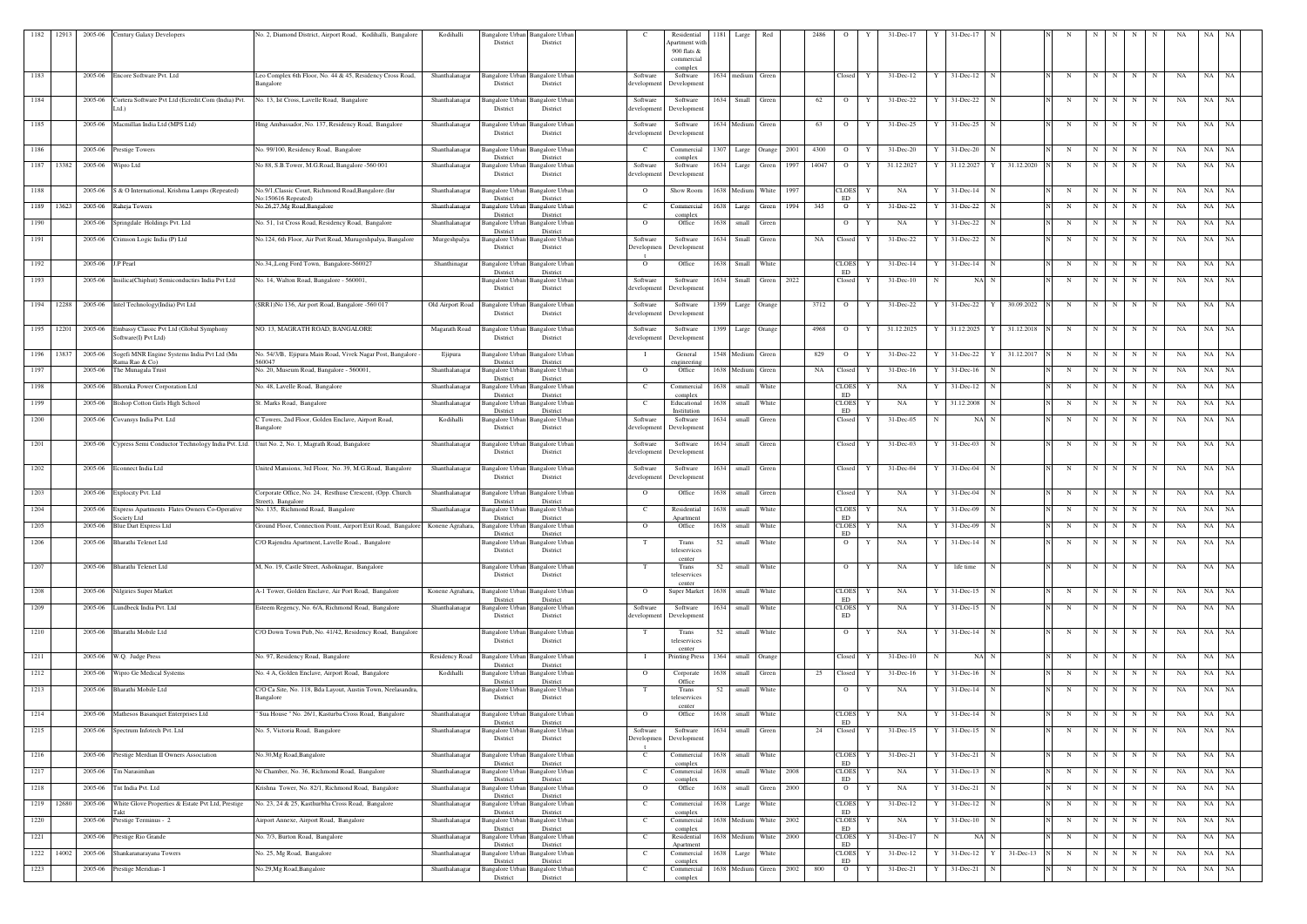| 1182         | 12913 |                   | 2005-06 Century Galaxy Developers                                                                    | No. 2, Diamond District, Airport Road, Kodihalli, Bangalore                             | Kodihalli                        | District                                            | Bangalore Urban Bangalore Urban<br>District                    |                            | Residential<br>Apartment witl<br>900 flats & | 1181 | Large                     | Red            |              | 2486  |                                     |        | 31-Dec-17              |   | 31-Dec-1                             |            |            |                  |        |                            |          | NA |                    |  |
|--------------|-------|-------------------|------------------------------------------------------------------------------------------------------|-----------------------------------------------------------------------------------------|----------------------------------|-----------------------------------------------------|----------------------------------------------------------------|----------------------------|----------------------------------------------|------|---------------------------|----------------|--------------|-------|-------------------------------------|--------|------------------------|---|--------------------------------------|------------|------------|------------------|--------|----------------------------|----------|----|--------------------|--|
| 1183         |       |                   | 2005-06 Encore Software Pvt. Ltd                                                                     | Leo Complex 6th Floor, No. 44 & 45, Residency Cross Road,                               | Shanthalanagar                   |                                                     | Bangalore Urban Bangalore Urban                                | Software                   | commercial<br>complex<br>Software            |      | 1634 medium               | Green          |              |       | Closed                              | Y      | $31 - Dec-12$          |   | $31 - Dec-12$<br>$\mathbf N$         |            | N          | N                | N      | N<br>N                     | NA       |    | NA NA              |  |
|              |       |                   |                                                                                                      | Bangalore                                                                               |                                  | District                                            | District                                                       | development                | Development                                  |      |                           |                |              |       |                                     |        |                        |   |                                      |            |            |                  |        |                            |          |    |                    |  |
| 1184         |       | 2005-06           | Cortera Software Pvt Ltd (Ecredit.Com (India) Pvt.<br>td.)                                           | No. 13, Ist Cross, Lavelle Road, Bangalore                                              | Shanthalanagar                   | Bangalore Urba<br>District                          | 3angalore Urba<br>District                                     | Software<br>development    | Software<br>Development                      |      | 1634 Small                | Green          |              | 62    | $\circ$                             |        | 31-Dec-22              |   | 31-Dec-22                            |            | N          | N                |        | N<br>N                     | NA       | NA | NA                 |  |
| 1185         |       |                   | 2005-06 Macmillan India Ltd (MPS Ltd)                                                                | Hmg Ambassador, No. 137, Residency Road, Bangalore                                      | Shanthalanagar                   | Bangalore Urban<br>District                         | <b>Bangalore Urban</b><br>District                             | Software<br>development    | Software<br>Developmen                       |      | 1634 Medium               | Green          |              | 63    | $\overline{O}$                      | Y      | 31-Dec-25              |   | 31-Dec-25<br>$\mathbf N$             |            | N          | N                | N      | $\mathbf N$<br>N           | NA       | NA | <b>NA</b>          |  |
| 1186         |       | 2005-06           | <b>Prestige Towers</b>                                                                               | No. 99/100, Residency Road, Bangalore                                                   | Shanthalanagar                   | Bangalore Urba<br>District                          | Bangalore Urbar<br>District                                    | <sup>-</sup> C             | Commercial<br>complex                        | 1307 | Large                     | Orange         | 2001         | 4300  | $\overline{O}$                      |        | $31$ -Dec-20           |   | $31$ -Dec-20<br>$\mathbf N$          |            | N          | N                | N      | $\mathbf N$<br>$\mathbf N$ | NA       | NA | NA                 |  |
| 1187 13382   |       | 2005-06           | Wipro Ltd                                                                                            | No 88, S.B.Tower, M.G.Road, Bangalore -560 001                                          | Shanthalanagar                   | Bangalore Urbai<br>District                         | Bangalore Urban<br>District                                    | Software<br>development    | Software<br>Development                      |      | 1634 Large                | Green          | 1997         | 14047 | $\circ$                             |        | 31.12.2027             |   | 31.12.2027 Y                         | 31.12.2020 | N          | $\mathbf N$      |        | N<br>N                     | NA       | NA | NA                 |  |
| 1188         |       |                   | 2005-06 S & O International, Krishma Lamps (Repeated)                                                | No.9/1, Classic Court, Richmond Road, Bangalore.(Inr<br>No:150616 Repeated)             | Shanthalanagar                   | angalore Urban<br>District                          | Bangalore Urban<br>District                                    | $\overline{O}$             | Show Room                                    |      | 1638 Medium               | White          | 1997         |       | <b>CLOES</b><br><b>ED</b>           | Y      | NA                     |   | $31$ -Dec-14 N                       |            | N          | N                | N      | N<br>N                     | NA       |    | NA NA              |  |
| 1189 13623   |       |                   | 2005-06 Raheja Towers                                                                                | No.26,27, Mg Road, Bangalore                                                            | Shanthalanagar                   | Bangalore Urban<br>District                         | <b>Bangalore Urban</b><br>District                             | <sup>-</sup> C             | Commercial<br>complex                        |      | 1638 Large                | Green          | 1994         | 345   | $\overline{O}$                      | Y      | 31-Dec-22              |   | 31-Dec-22<br>$\mathbf N$             |            | N          | N                | N      | $N_{\rm}$<br>N             | NA       | NA | NA                 |  |
| 1190         |       |                   | 2005-06 Springdale Holdings Pvt. Ltd                                                                 | No. 51, 1st Cross Road, Residency Road, Bangalore                                       | Shanthalanagar                   | Bangalore Urban<br>District                         | <b>Bangalore Urban</b><br>District                             | $\mathbf{O}$               | Office                                       |      | 1638 small                | Green          |              |       | $\overline{O}$                      | Y      | NA                     |   | 31-Dec-22<br>N                       |            | N          | N                | N      | N<br>N                     | NA       | NA | NA                 |  |
| 1191         |       |                   | 2005-06 Crimson Logic India (P) Ltd                                                                  | No.124, 6th Floor, Air Port Road, Murugeshpalya, Bangalore                              | Murgeshpalya                     | District                                            | Bangalore Urban Bangalore Urban<br>District                    | Software<br>Developmer     | Software<br>Development                      |      | 1634 Small                | Green          |              | NA    | Closed                              | Y      | $31 - Dec-22$          |   | 31-Dec-22<br>N                       |            | N          | $\mathbf N$      | N      | N<br>N                     | NA       | NA | - NA               |  |
| 1192         |       | 2005-06 J.P Pearl |                                                                                                      | No.34, Long Ford Town, Bangalore-560027                                                 | Shanthinagar                     | Bangalore Urbai<br>District                         | Bangalore Urban<br>District                                    | $\overline{O}$             | Office                                       |      | 1638 Small                | White          |              |       | <b>CLOES</b><br>ED                  |        | $31$ -Dec-14           |   | $31 - Dec - 14$<br>N                 |            | N          | $\mathbf N$      | N      | N<br>$\mathbf N$           | NA       | NA | NA                 |  |
| 1193         |       |                   | 2005-06 Insilica(Chiphut) Semiconductirs India Pvt Ltd                                               | No. 14, Walton Road, Bangalore - 560001                                                 |                                  | District                                            | Bangalore Urban Bangalore Urban<br>District                    | Software<br>development    | Software<br>Development                      | 1634 | Small                     | Green          | 2022         |       | Closed                              | Y      | $31$ -Dec-10           |   | NA N                                 |            | N          | $\mathbf N$      | N      | N<br>N                     | NA       | NA | NA                 |  |
|              |       |                   | 1194 12288 2005-06 Intel Technology (India) Pvt Ltd                                                  | (SRR1)No 136, Air port Road, Bangalore -560 017                                         | Old Airport Road                 | <b>Bangalore Urban</b><br>District                  | <b>Bangalore</b> Urban<br>District                             | Software<br>developmen     | Software<br>Developmen                       |      | 1399 Large Orange         |                |              | 3712  | $\overline{O}$                      | Y      | 31-Dec-22              | Y | 31-Dec-22 Y                          | 30.09.2022 | N          | N                | N      | N<br>N                     | NA       |    | NA NA              |  |
| 1195 12201   |       |                   | 2005-06 Embassy Classic Pvt Ltd (Global Symphony<br>Software(I) Pvt Ltd)                             | NO. 13, MAGRATH ROAD, BANGALORE                                                         | Magarath Road                    | Bangalore Urban<br>District                         | <b>Bangalore</b> Urban<br>District                             | Software<br>development    | Software<br>Development                      |      | 1399 Large                | Orange         |              | 4968  | $\overline{O}$                      | Y      | 31.12.2025             | Y | 31.12.2025 Y                         | 31.12.2018 | N          | N                | N I    | N<br>N                     | NA       | NA | <b>NA</b>          |  |
| 1196 13837   |       |                   | 2005-06 Sogefi MNR Engine Systems India Pvt Ltd (Mn                                                  | No. 54/3/B, Ejipura Main Road, Vivek Nagar Post, Bangalore                              | Ejipura                          | Bangalore Urban                                     | <b>Bangalore</b> Urban                                         |                            | General                                      |      | 1548 Medium               | Green          |              | 829   | $\overline{O}$                      | Y      | 31-Dec-22              |   | $31$ -Dec-22 $Y$                     | 31.12.2017 | N          | N                | N      | N<br>N                     | NA       |    | NA NA              |  |
| 1197         |       | 2005-06           | Rama Rao & Co)<br>The Munagala Trust                                                                 | 560047<br>No. 20, Museum Road, Bangalore - 560001,                                      | Shanthalanagar                   | District<br>angalore Urban                          | District<br>Bangalore Urban                                    | $\overline{O}$             | engineering<br>Office                        |      | 1638 Medium               | Green          |              | NA    | Closed                              |        | 31-Dec-16              |   | $31$ -Dec-16                         |            | N          | N                | N      | N<br>N                     | NA       | NA | NA                 |  |
| 1198         |       |                   | 2005-06 Bhoruka Power Corporation Ltd                                                                | No. 48, Lavelle Road, Bangalore                                                         | Shanthalanagar                   | District<br><b>Bangalore</b> Urbar                  | District<br>Bangalore Urban                                    | C                          | Commercial                                   | 1638 | small                     | White          |              |       | <b>CLOES</b>                        | Y      | NA                     |   | $31 - Dec-12$                        |            | $_{\rm N}$ | N                | N      | $\mathbf N$<br>N           | NA       |    | NA NA              |  |
| 1199         |       | 2005-06           | <b>Bishop Cotton Girls High School</b>                                                               | St. Marks Road, Bangalore                                                               | Shanthalanagar                   | District<br>Bangalore Urba                          | District<br>Bangalore Urban                                    | C.                         | complex<br>Educational                       | 1638 | small                     | White          |              |       | ED<br><b>CLOES</b>                  |        | NA                     |   | 31.12.2008                           |            | N          | $\mathbf N$      | N      | N<br>N                     | NA       | NA | NA                 |  |
| 1200         |       |                   | 2005-06 Covansys India Pvt. Ltd                                                                      | Towers, 2nd Floor, Golden Enclave, Airport Road,                                        | Kodihalli                        | District<br>Bangalore Urbai                         | District<br>Bangalore Urbar                                    | Software                   | Institution<br>Software                      |      | 1634 small                | Green          |              |       | ED<br>Closed                        |        | $31$ -Dec-05           |   | NA N                                 |            | N          | N                | N      | $\mathbf N$<br>N           | NA       |    | NA NA              |  |
| 1201         |       |                   | 2005-06 Cypress Semi Conductor Technology India Pvt. Ltd. Unit No. 2, No. 1, Magrath Road, Bangalore | Bangalore                                                                               | Shanthalanagar                   | District<br>3angalore Urban                         | District<br>Bangalore Urban                                    | development<br>Software    | Development<br>Software                      | 1634 | small                     | Green          |              |       | Closed                              |        | $31$ -Dec-03           |   | 31-Dec-03<br>N                       |            | N          | N                | N      | N<br>N                     | NA       | NA | NA                 |  |
|              |       |                   |                                                                                                      |                                                                                         |                                  | District                                            | District                                                       | development                | Development                                  |      |                           |                |              |       |                                     |        |                        |   |                                      |            |            |                  |        |                            |          |    |                    |  |
| 1202         |       | 2005-06           | <b>Econnect India Ltd</b>                                                                            | Jnited Mansions, 3rd Floor, No. 39, M.G.Road, Bangalore                                 | Shanthalanagar                   | Bangalore Urbai<br>District                         | Bangalore Urbar<br>District                                    | Software<br>development    | Software<br>Development                      | 1634 | small                     | Green          |              |       | Closed                              |        | 31-Dec-04              |   | 31-Dec-04                            |            | N          | N                |        | $\mathbf N$<br>N           | NA       | NA | NA                 |  |
| 1203         |       |                   | 2005-06 Explocity Pvt. Ltd                                                                           | Corporate Office, No. 24, Resthuse Crescent, (Opp. Church<br>treet), Bangalore          | Shanthalanagar                   | Bangalore Urban<br>District                         | <b>Bangalore Urban</b><br>District                             | $\Omega$                   | Office                                       | 1638 | small                     | Green          |              |       | Closed                              | Y      | NA                     |   | 31-Dec-04<br>N                       |            | N          | N                | N      | $\mathbf N$<br>N           | NA       | NA | NA                 |  |
| 1204         |       |                   | 2005-06 Express Apartments Flates Owners Co-Operative<br>Society Ltd                                 | No. 135, Richmond Road, Bangalore                                                       | Shanthalanagar                   | District                                            | Bangalore Urban Bangalore Urban<br>District                    | <sup>-</sup> C             | Residential<br>Anartment                     | 1638 | small                     | White          |              |       | <b>CLOES</b><br>ED.                 | Y      | NA                     |   | 31-Dec-09                            |            | N          | N                | N      | $\mathbf N$<br>N           | NA       | NA | NA                 |  |
| 1205         |       |                   | 2005-06 Blue Dart Express Ltd                                                                        | Ground Floor, Connection Point, Airport Exit Road, Bangalore Konene Agrahara,           |                                  | District                                            | Bangalore Urban Bangalore Urban<br>District                    | $\mathbf{O}$               | Office                                       | 1638 | small                     | White          |              |       | <b>CLOES</b><br>ED                  | Y      | NA                     |   | $31 - Dec-09$<br>N                   |            |            | N                | N      | N                          | NA<br>N  |    | NA NA              |  |
| 1206         |       |                   | 2005-06 Bharathi Telenet Ltd                                                                         | C/O Rajendra Apartment, Lavelle Road., Bangalore                                        |                                  | District                                            | Bangalore Urban Bangalore Urban<br>District                    | T                          | Trans<br>teleservices<br>center              | 52   | small                     | White          |              |       | $\overline{O}$                      | Y      | NA                     | Y | $31$ -Dec-14 N                       |            | N          | N                | N      | N<br>N                     | NA       |    | NA NA              |  |
| 1207         |       |                   | 2005-06 Bharathi Telenet Ltd                                                                         | M, No. 19, Castle Street, Ashoknagar, Bangalore                                         |                                  | Bangalore Urban<br>District                         | <b>Bangalore Urban</b><br>District                             | T                          | Trans<br>teleservices                        | 52   | small                     | White          |              |       | $\overline{O}$                      | Y      | NA                     |   | life time                            |            | N          | N                | N      | N<br>$\mathbf N$           | NA       |    | NA NA              |  |
| 1208         |       |                   | 2005-06 Nilgiries Super Market                                                                       | A-1 Tower, Golden Enclave, Air Port Road, Bangalore                                     | Konene Agrahara,                 | District                                            | Bangalore Urban Bangalore Urban<br>District                    | $\overline{O}$             | center<br>Super Market                       |      | 1638 small White          |                |              |       | <b>CLOES</b><br>ED                  | Y      | NA                     |   | $31$ -Dec-15 N                       |            | N          | N                | N      | N<br>N                     | NA       |    | NA NA              |  |
| 1209         |       |                   | 2005-06 Lundbeck India Pvt. Ltd                                                                      | Esteem Regency, No. 6/A, Richmond Road, Bangalore                                       | Shanthalanagar                   | District                                            | Bangalore Urban Bangalore Urban<br>District                    | Software<br>development    | Software<br>Development                      |      | 1634 small                | White          |              |       | CLOES<br>ED                         | Y      | NA                     | Y | $31$ -Dec-15 N                       |            | N          | N                | N      | N                          | N<br>NA  |    | NA NA              |  |
| 1210         |       |                   | 2005-06 Bharathi Mobile Ltd                                                                          | C/O Down Town Pub, No. 41/42, Residency Road, Bangalore                                 |                                  | Bangalore Urban<br>District                         | Bangalore Urban<br>District                                    | T                          | Trans<br>teleservices                        |      | 52   small                | White          |              |       | $\overline{O}$                      | Y      | NA                     | Y | $31$ -Dec-14 N                       |            | N          | $\mathbf N$      | N I    | N<br>N                     | NA       |    | NA NA              |  |
| 1211         |       |                   | 2005-06 W.Q. Judge Press                                                                             | No. 97, Residency Road, Bangalore                                                       | Residency Road                   | Bangalore Urban                                     | Bangalore Urban                                                |                            | center<br><b>Printing Press</b>              |      | 1364 small Orange         |                |              |       | Closed                              | Y      | $31$ -Dec-10           | N | NA N                                 |            | N          | N                | N      | N<br>N                     | NA       |    | NA NA              |  |
| 1212         |       |                   | 2005-06 Wipro Ge Medical Systems                                                                     | No. 4 A, Golden Enclave, Airport Road, Bangalore                                        | Kodihalli                        | District<br><b>Bangalore Urban</b>                  | District<br><b>Bangalore Urban</b>                             | $\overline{O}$             | Corporate                                    |      | 1638 small                | Green          |              | 25    | Closed                              | Y      | $31$ -Dec-16           | Y | $31$ -Dec-16 $\overline{N}$          |            | N          | N                | N      | N<br>N                     | NA       |    | NA NA              |  |
| 1213         |       |                   | 2005-06 Bharathi Mobile Ltd                                                                          | C/O Ca Site, No. 118, Bda Layout, Austin Town, Neelasandra,                             |                                  | District<br>Bangalore Urban                         | District<br>Bangalore Urban                                    | T                          | Office<br>Trans                              |      | 52 small White            |                |              |       | $\overline{O}$                      | Y      | NA                     | Y | $31$ -Dec-14 N                       |            | N          | N                | N      | N<br>N                     | NA       |    | NA NA              |  |
|              |       |                   |                                                                                                      | Bangalore                                                                               |                                  | District                                            | District                                                       |                            | teleservices<br>center                       |      | 1638 small                | White          |              |       |                                     |        |                        |   |                                      |            |            |                  | N      |                            |          |    |                    |  |
| 1214<br>1215 |       |                   | 2005-06 Mathesos Basanquet Enterprises Ltd<br>2005-06 Spectrum Infotech Pvt. Ltd                     | Sua House " No. 26/1, Kasturba Cross Road, Bangalore<br>No. 5, Victoria Road, Bangalore | Shanthalanagar<br>Shanthalanagar | District<br>Bangalore Urban                         | Bangalore Urban Bangalore Urban<br>District<br>Bangalore Urban | $\overline{O}$<br>Software | Office<br>Software                           |      | 1634 small                | Green          |              | 24    | <b>CLOES</b><br><b>ED</b><br>Closed | Y<br>Y | NA<br>31-Dec-15        | Y | $31$ -Dec-14 N<br>$31 - Dec-15$<br>N |            | N<br>N     | N<br>N           | N      | N<br>N<br>N<br>N           | NA<br>NA |    | NA NA<br>NA NA     |  |
|              |       |                   |                                                                                                      |                                                                                         |                                  | District                                            | District                                                       | Developmen                 | Development                                  |      |                           |                |              |       |                                     |        |                        |   |                                      |            |            |                  |        |                            |          |    |                    |  |
| 1216         |       |                   | 2005-06 Prestige Merdian II Owners Association                                                       | No.30, Mg Road, Bangalore                                                               | Shanthalanagar                   | Bangalore Urban<br>District                         | <b>Bangalore Urban</b><br>District                             | $\mathbf{C}$               | Commercial<br>complex                        |      | 1638 small White          |                |              |       | <b>CLOES</b><br>ED                  | Y      | 31-Dec-21              |   | $31$ -Dec-21 N                       |            | N          | N                | N      | N<br>N                     | NA       |    | NA NA              |  |
| 1217         |       | 2005-06           | Tm Narasimhan                                                                                        | Nr Chamber, No. 36, Richmond Road, Bangalore                                            | Shanthalanagar                   | Bangalore Urbar<br>District                         | Bangalore Urban<br>District                                    | C.                         | Commercial<br>complex                        |      | 1638 small                | White          | 2008         |       | <b>CLOES</b><br>ED                  | Y      | NA                     |   | 31-Dec-13<br>N                       |            | N          | N                | N      | N<br>N                     | NA       |    | NA NA              |  |
| 1218         |       |                   | 2005-06 Tnt India Pvt. Ltd                                                                           | Krishna Tower, No. 82/1, Richmond Road, Bangalore                                       | Shanthalanagar                   | <b>Bangalore Urbar</b><br>District                  | Bangalore Urban<br>District                                    | $\overline{O}$             | Office                                       |      | 1638 small                | Green          | 2000         |       | $\overline{O}$                      | Y      | NA                     |   | $31$ -Dec-21 N                       |            | N          | N                | N      | N<br>N                     | NA       |    | NA NA              |  |
| 1219         | 12680 | 2005-06           | White Glove Properties & Estate Pvt Ltd, Prestige                                                    | No. 23, 24 & 25, Kasthurbha Cross Road, Bangalore                                       | Shanthalanagar                   | Bangalore Urbar<br>District                         | Bangalore Urban<br>District                                    | C                          | Commercial<br>complex                        |      | 1638 Large                | White          |              |       | <b>CLOES</b><br>ED                  |        | 31-Dec-12              |   | $31 - Dec-12$<br>N                   |            | N          | $\mathbf N$      | N      | N<br>N                     | NA       | NA | <b>NA</b>          |  |
| 1220         |       | 2005-06           | Prestige Terminus - 2                                                                                | Airport Annexe, Airport Road, Bangalore                                                 | Shanthalanagar                   | Bangalore Urbar<br>District                         | Bangalore Urban<br>District                                    | C                          | Commercial<br>complex                        |      | 1638 Medium               | White          | 2002<br>2000 |       | <b>CLOES</b><br>ED                  | Y      | NA                     |   | $31$ -Dec-10<br>NA N                 |            | N          | $\mathbf N$      | N<br>N | $\mathbf N$<br>N           | NA       |    | NA NA              |  |
| 1221<br>1222 | 14002 | 2005-06           | Prestige Rio Grande<br>2005-06 Shankaranarayana Towers                                               | No. 7/3, Burton Road, Bangalore<br>No. 25, Mg Road, Bangalore                           | Shanthalanagar<br>Shanthalanagar | <b>Bangalore</b> Urba<br>District<br>Bangalore Urba | Bangalore Urban<br>District<br>Bangalore Urban                 | C<br>$\mathbf{C}$          | Residential<br>Apartment<br>Commercial       |      | 1638 Medium<br>1638 Large | White<br>White |              |       | <b>CLOES</b><br>ED<br><b>CLOES</b>  | Y      | 31-Dec-17<br>31-Dec-12 |   | 31-Dec-12                            | 31-Dec-13  | N<br>N     | N<br>$\mathbf N$ | N      | N<br>N<br>N<br>N           | NA<br>NA | NA | <b>NA</b><br>NA NA |  |
| 1223         |       |                   | 2005-06 Prestige Meridian- I                                                                         | No.29, Mg Road, Bangalore                                                               | Shanthalanagar                   | District<br>Bangalore Urbaı                         | District<br><b>Bangalore Urban</b>                             | $\mathbf{C}$               | complex<br>Commercial                        |      | 1638 Medium               | Green          | 2002         | 800   | ED<br>$\overline{O}$                | Y      | 31-Dec-21              |   | 31-Dec-21                            |            | N          | N                | N      | N<br>N                     | NA       |    | NA NA              |  |
|              |       |                   |                                                                                                      |                                                                                         |                                  | District                                            | District                                                       |                            | complex                                      |      |                           |                |              |       |                                     |        |                        |   |                                      |            |            |                  |        |                            |          |    |                    |  |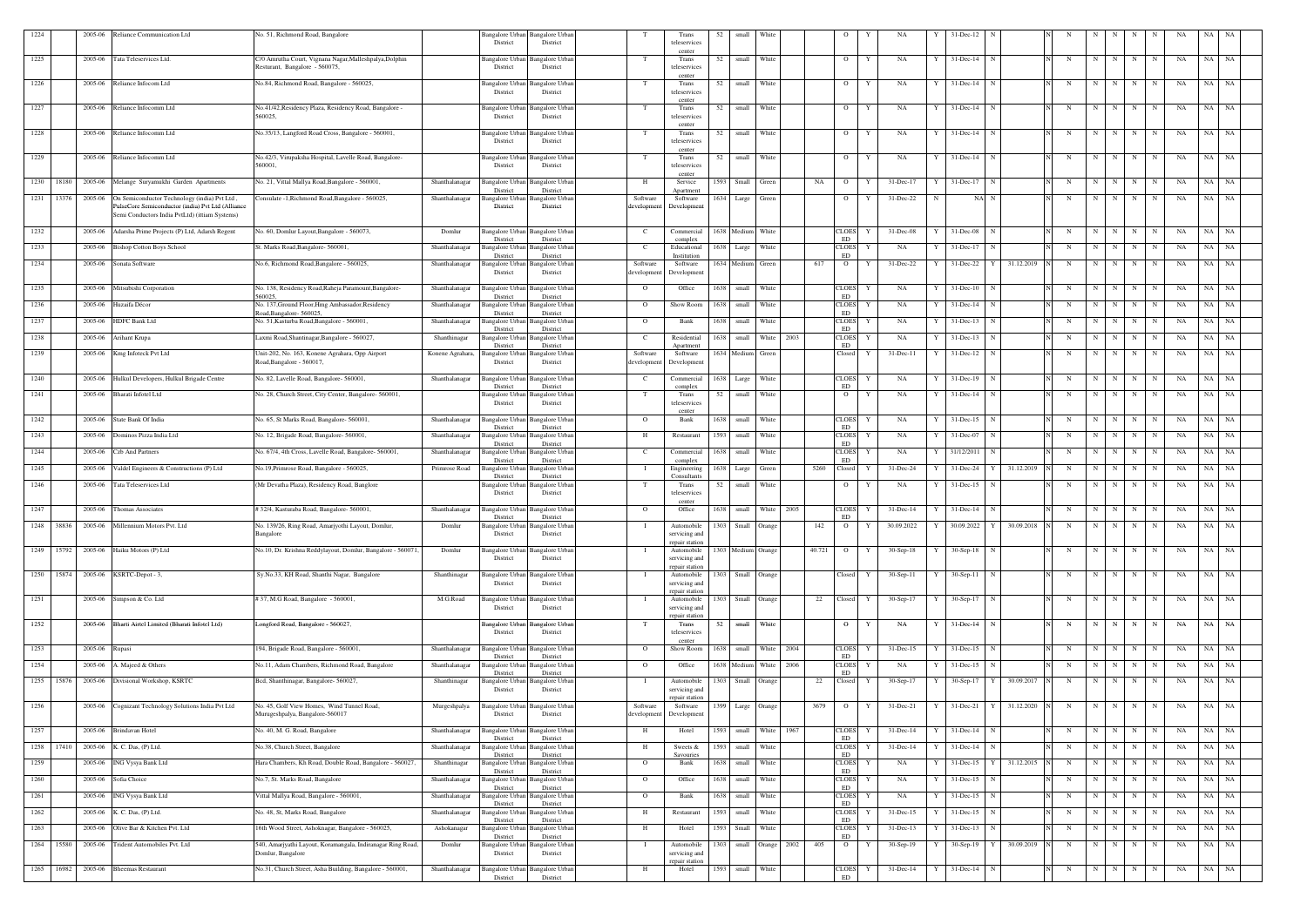| 1224       |            | 2005-06        | Reliance Communication Ltd                                                                          | No. 51, Richmond Road, Bangalore                                                 | District                                                | Bangalore Urban Bangalore Urban<br>District             |                                     | Trans<br>teleservices                         | 52   | small                 | White             |      |            |                                            |              | NA            |   | 31-Dec-12                |            |   |             |     |             |            |    | NA    |           |
|------------|------------|----------------|-----------------------------------------------------------------------------------------------------|----------------------------------------------------------------------------------|---------------------------------------------------------|---------------------------------------------------------|-------------------------------------|-----------------------------------------------|------|-----------------------|-------------------|------|------------|--------------------------------------------|--------------|---------------|---|--------------------------|------------|---|-------------|-----|-------------|------------|----|-------|-----------|
| 1225       |            | 2005-06        | Tata Teleservices Ltd.                                                                              | C/0 Amrutha Court, Vignana Nagar, Malleshpalya, Dolphin                          | 3angalore Urba                                          | angalore Urba                                           | T                                   | center<br>Trans                               | 52   | small                 | White             |      |            | $\overline{O}$                             |              | NA            |   | 31-Dec-14                |            | N | N           |     | N           | N          | NA | NA    | NA        |
|            |            |                |                                                                                                     | Resturant, Bangalore - 560075,                                                   | District                                                | District                                                |                                     | teleservices<br>center                        |      |                       |                   |      |            |                                            |              |               |   |                          |            |   |             |     |             |            |    |       |           |
| 1226       |            |                | 2005-06 Reliance Infocom Ltd                                                                        | No.84, Richmond Road, Bangalore - 560025,                                        | angalore Urban<br>District                              | Bangalore Urban<br>District                             | T                                   | Trans<br>teleservices<br>center               | 52   | small                 | <b>White</b>      |      |            | $\overline{O}$                             | Y            | NA            |   | 31-Dec-14<br>N           |            | N | N           | N   | N           | N          | NA | NA    | <b>NA</b> |
| 1227       |            | 2005-06        | Reliance Infocomm Ltd                                                                               | No.41/42, Residency Plaza, Residency Road, Bangalore<br>560025.                  | Bangalore Urban<br>District                             | Bangalore Urbar<br>District                             | - Т                                 | Trans<br>teleservices                         | 52   | small                 | White             |      |            | $\overline{O}$                             | Y            | NA            |   | $31 - Dec-14$            |            | N | $\mathbf N$ | N   | N           | N          | NA | NA    | NA        |
| 1228       |            | 2005-06        | Reliance Infocomm Ltd                                                                               | No.35/13, Langford Road Cross, Bangalore - 560001.                               | Bangalore Urban<br>District                             | Bangalore Urban<br>District                             | T                                   | center<br>Trans<br>teleservices               | 52   | small                 | White             |      |            | $\overline{O}$                             | Y            | NA            |   | $31 - Dec-14$<br>-N      |            | N | N           | N   | N           | N          | NA | NA    | NA        |
| 1229       |            | 2005-06        | Reliance Infocomm Ltd                                                                               | No.42/3, Virupaksha Hospital, Lavelle Road, Bangalore-<br>560001.                | Bangalore Urbar<br>District                             | Bangalore Urbar<br>District                             | T                                   | center<br>Trans<br>teleservices               | 52   | small                 | White             |      |            | $\overline{O}$                             | Y            | NA            |   | $31$ -Dec-14<br>N        |            | N | $\mathbf N$ | N   | N           | N          | NA | NA    | NA        |
|            | 1230 18180 |                | 2005-06 Melange Suryamukhi Garden Apartments                                                        | No. 21, Vittal Mallya Road, Bangalore - 560001,                                  | Shanthalanagar<br>angalore Urban                        | <b>Bangalore</b> Urban                                  | H                                   | center<br>Service                             | 1593 | Small                 | Green             |      | NA         | $\overline{O}$                             | Y            | 31-Dec-17     |   | 31-Dec-17<br>$\mathbf N$ |            | N | N           | N   | N           | N          | NA | NA NA |           |
| 1231 13376 |            | 2005-06        | On Semiconductor Technology (india) Pvt Ltd                                                         | Consulate -1, Richmond Road, Bangalore - 560025,                                 | District<br>Shanthalanagar<br>angalore Urban            | District<br>Bangalore Urban                             | Software                            | Anartmen<br>Software                          | 1634 | Large                 | Green             |      |            | $\overline{O}$                             | Y            | $31 - Dec-22$ | N | NA N                     |            | N | N           | N   | N           | N          | NA | NA    | <b>NA</b> |
|            |            |                | PulseCore Semiconductor (india) Pvt Ltd (Alliance<br>Semi Conductors India PvtLtd) (ittiam Systems) |                                                                                  | District                                                | District                                                | developmen                          | Developmen                                    |      |                       |                   |      |            |                                            |              |               |   |                          |            |   |             |     |             |            |    |       |           |
| 1232       |            |                | 2005-06 Adarsha Prime Projects (P) Ltd, Adarsh Regent                                               | No. 60, Domlur Layout, Bangalore - 560073,                                       | Domlur<br><b>Bangalore Urban</b><br>District            | <b>Bangalore</b> Urban<br>District                      | $\mathbf{C}$                        | Commercial<br>complex                         |      | 1638 Medium           | White             |      |            | <b>CLOES</b><br>ED                         | Y            | 31-Dec-08     |   | 31-Dec-08<br>$\mathbf N$ |            | N | N           | N   | N           | $_{\rm N}$ | NA | NA    | NA        |
| 1233       |            | 2005-06        | <b>Bishop Cotton Boys School</b>                                                                    | St. Marks Road, Bangalore- 560001,                                               | Shanthalanagar<br>Bangalore Urban<br>District           | <b>Bangalore Urban</b><br>District                      | C                                   | Educational<br>Institution                    |      | 1638 Large            | White             |      |            | <b>CLOES</b><br>ED                         | Y            | NA            |   | 31-Dec-17<br>N           |            | N | N           | N   | N           | N          | NA | NA    | NA        |
| 1234       |            | 2005-06        | Sonata Software                                                                                     | No.6, Richmond Road, Bangalore - 560025,                                         | Shanthalanagar<br>angalore Urban<br>District            | Bangalore Urban<br>District                             | Software<br>developmen              | Software<br>Developmen                        |      | 1634 Medium           | Green             |      | 617        | $\overline{O}$                             |              | $31$ -Dec-22  |   | $31 - Dec-22$<br>Y       | 31.12.2019 | N | N           | N   | N           | N          | NA | NA    | NA        |
| 1235       |            |                | 2005-06 Mitsubishi Corporation                                                                      | No. 138, Residency Road, Raheja Paramount, Bangalore-<br>560025.                 | Shanthalanagar<br>Bangalore Urban<br>District           | <b>Bangalore Urban</b><br>District                      | $\Omega$                            | Office                                        | 1638 | small                 | White             |      |            | <b>CLOES</b><br>ED                         | Y            | NA            |   | $31 - Dec-10$            |            | N | N           | N I | N           | N          | NA | NA    | NA        |
| 1236       |            | 2005-06        | Huzaifa Décor                                                                                       | No. 137, Ground Floor, Hmg Ambassador, Residency<br>Road.Bangalore-560025        | Shanthalanagar<br>Bangalore Urban<br>District           | Bangalore Urban<br>District                             | $\Omega$                            | Show Room                                     | 1638 | small                 | White             |      |            | CLOES<br><b>ED</b>                         | Y            | NA            |   | 31-Dec-14                |            | N | -N          | N   | N           |            | NA | NA    | NA        |
| 1237       |            | 2005-06        | <b>HDFC Bank Ltd</b>                                                                                | No. 51, Kasturba Road, Bangalore - 560001,                                       | Shanthalanagar<br>angalore Urbar<br>District            | angalore Urbar<br>District                              | $\Omega$                            | Bank                                          | 1638 | small                 | White             |      |            | CLOES<br><b>ED</b>                         |              | NA            |   | $31 - Dec-13$            |            | N | N           | N   | N           | N          | NA | NA    | NA        |
| 1238       |            | 2005-06        | Arihant Krupa                                                                                       | Laxmi Road, Shantinagar, Bangalore - 560027.                                     | angalore Urban<br>Shanthinagar<br>District              | Bangalore Urbar<br>District                             | <sup>-</sup> C                      | Residential<br>Apartment                      | 1638 | small                 | White             | 2003 |            | CLOES<br><b>ED</b>                         |              | <b>NA</b>     |   | $31$ -Dec-13             |            | N |             |     | N           |            | NA | NA.   | NA        |
| 1239       |            | 2005-06        | Kmg Infoteck Pvt Ltd                                                                                | Unit-202, No. 163, Konene Agrahara, Opp Airport<br>Road, Bangalore - 560017,     | Konene Agrahara,<br>angalore Urban<br>District          | Bangalore Urbar<br>District                             | Software<br>developmen              | Software<br>Developmen                        |      | 1634 Medium           | Green             |      |            | Closed                                     | Y            | 31-Dec-11     |   | 31-Dec-12<br>-N          |            | N | N           | N   | N           | N          | NA | NA    | NA        |
| 1240       |            |                | 2005-06 Hulkul Developers, Hulkul Brigade Centre                                                    | No. 82, Lavelle Road, Bangalore- 560001,                                         | Shanthalanagar<br>Bangalore Urbar                       | <b>Bangalore Urbar</b><br>District                      | C                                   | Commercial                                    | 1638 | Large                 | White             |      |            | <b>CLOES</b><br><b>ED</b>                  |              | NA            |   | 31-Dec-19<br>$\mathbf N$ |            | N | N           | N   | N           | N          | NA | NA NA |           |
| 1241       |            | 2005-06        | Bharati Infotel Ltd                                                                                 | No. 28, Church Street, City Center, Bangalore- 560001,                           | District<br>Bangalore Urban<br>District                 | angalore Urban<br>District                              | T                                   | complex<br>Trans<br>teleservices              | 52   | small                 | White             |      |            | $\overline{O}$                             |              | NA            |   | $31 - Dec-14$            |            | N | N           | N   | N           | N          | NA | NA    | NA        |
| 1242       |            | 2005-06        | State Bank Of India                                                                                 | No. 65, St Marks Road, Bangalore- 560001                                         | Shanthalanagar<br>Bangalore Urban                       | Bangalore Urban                                         | $\Omega$                            | center<br>Bank                                | 1638 | small                 | White             |      |            | <b>CLOES</b>                               | Y            | NA            |   | 31-Dec-15<br>-N          |            | N | N           | N   | N           | N          | NA | NA    | NA        |
| 1243       |            |                | 2005-06 Dominos Pizza India Ltd                                                                     | No. 12, Brigade Road, Bangalore- 560001                                          | District<br>Shanthalanagar<br>Bangalore Urban           | District<br>Bangalore Urban                             | H                                   | Restaurant                                    | 1593 | small                 | White             |      |            | ED<br><b>CLOES</b>                         | Y            | NA            |   | 31-Dec-07<br>N           |            | N | N           | N   | N           | N          | NA | NA    | NA        |
| 1244       |            | 2005-06        | Czb And Partners                                                                                    | No. 67/4, 4th Cross, Lavelle Road, Bangalore- 560001,                            | District<br>Shanthalanagar<br>angalore Urban            | District<br>Bangalore Urban                             | $\mathbf{C}$                        | Commercial                                    | 1638 | small                 | White             |      |            | ED<br>CLOES                                | Y            | NA            |   | 31/12/2011<br>N          |            | N | N           | N   | N           | N          | NA | NA    | NA        |
| 1245       |            | 2005-06        | Valdel Engineers & Constructions (P) Ltd                                                            | No.19, Primrose Road, Bangalore - 560025,                                        | District<br>Primrose Road<br>Bangalore Urban            | District<br>Bangalore Urban                             |                                     | complex<br>Engineering                        | 1638 | Large                 | Green             |      | 5260       | ED<br>Closed                               |              | 31-Dec-24     |   | 31-Dec-24<br>Y           | 31.12.2019 | N | $\mathbf N$ | N   | N           | N          | NA | NA    | NA        |
| 1246       |            | 2005-06        | <b>Tata Teleservices Ltd</b>                                                                        | (Mr Devatha Plaza), Residency Road, Banglore                                     | District<br>angalore Urban<br>District                  | District<br>Bangalore Urban<br>District                 |                                     | Consultants<br>Trans<br>teleservices          | 52   | small                 | White             |      |            | $\overline{O}$                             | Y            | NA            |   | $31 - Dec-15$<br>-N      |            | N | N           | N   | N           | N          | NA | NA    | NA        |
| 1247       |            | 2005-06        | Thomas Associates                                                                                   | #32/4, Kasturaba Road, Bangalore- 560001.                                        | Shanthalanagar                                          | Bangalore Urban Bangalore Urban                         | $\mathbf{O}$                        | center<br>Office                              | 1638 | small                 | White             | 2005 |            | <b>CLOES</b>                               | Y            | 31-Dec-14     |   | $31$ -Dec-14 N           |            | N | N           | N   | N           | N          | NA | NA    | NA        |
| 1248       | 38836      |                | 2005-06 Millennium Motors Pvt. Ltd                                                                  | No. 139/26, Ring Road, Amarjyothi Layout, Domlur,<br>Bangalore                   | District<br>Domlur<br>District                          | District<br>Bangalore Urban Bangalore Urban<br>District |                                     | Automobile<br>servicing and                   | 1303 | Small Orange          |                   |      | 142        | ED<br>$\overline{O}$                       | Y            | 30.09.2022    |   | 30.09.2022<br>Y          | 30.09.2018 | N | N           |     |             |            | NA | NA    | NA        |
|            |            |                | 1249 15792 2005-06 Haiku Motors (P) Ltd                                                             | No.10, Dr. Krishna Reddylayout, Domlur, Bangalore - 560071,                      | Domlur<br>Bangalore Urban                               | Bangalore Urban                                         |                                     | repair station<br>Automobile                  |      | 1303 Medium Orange    |                   |      | 40.721 O Y |                                            |              | $30-Sep-18$   | Y | $30-Sep-18$ N            |            | N | N           | N   | N           | N          | NA | NA NA |           |
|            |            |                |                                                                                                     |                                                                                  | District                                                | District                                                |                                     | servicing and<br>repair station               |      |                       |                   |      |            |                                            |              |               |   |                          |            |   |             |     |             |            |    |       |           |
|            |            |                | 1250 15874 2005-06 KSRTC-Depot - 3,                                                                 | Sy.No.33, KH Road, Shanthi Nagar, Bangalore                                      | Shanthinagar<br>Bangalore Urban<br>District             | <b>Bangalore Urban</b><br>District                      |                                     | Automobile<br>servicing and<br>repair station | 1303 | Small Orange          |                   |      |            | Closed                                     | $\mathbf{Y}$ | $30-Sep-11$   |   | $30-Sep-11$ N            |            | N | $\mathbf N$ | N   | N           | N          | NA | NA NA |           |
| 1251       |            |                | 2005-06 Simpson & Co. Ltd                                                                           | #37, M.G Road, Bangalore - 560001,                                               | M.G.Road<br>Bangalore Urban<br>District                 | Bangalore Urban<br>District                             |                                     | Automobile<br>servicing and<br>repair station | 1303 | Small Orange          |                   |      | 22         | Closed Y                                   |              | 30-Sep-17     | Y | 30-Sep-17 N              |            | N | N           | N   | N           | N          | NA | NA NA |           |
| 1252       |            |                | 2005-06 Bharti Airtel Limited (Bharati Infotel Ltd)                                                 | Longford Road, Bangalore - 560027,                                               | District                                                | Bangalore Urban Bangalore Urban<br>District             | T                                   | Trans<br>teleservices<br>center               | 52   | small White           |                   |      |            | $\overline{O}$                             | Y            | NA            | Y | $31$ -Dec-14 N           |            | N | N           | N   | N           | N          | NA | NA NA |           |
| 1253       |            | 2005-06 Rupasi |                                                                                                     | 194, Brigade Road, Bangalore - 560001,                                           | Shanthalanagar<br>District                              | Bangalore Urban Bangalore Urban<br>District             | $\mathbf{O}$                        | Show Room                                     |      | 1638 small White 2004 |                   |      |            | <b>CLOES</b><br>ED                         | Y            | $31 - Dec-15$ |   | $31$ -Dec-15 N           |            | N |             |     | $N$ $N$ $N$ | N          | NA | NA NA |           |
| 1254       |            |                | 2005-06 A. Majeed & Others                                                                          | No.11, Adam Chambers, Richmond Road, Bangalore                                   | Bangalore Urban<br>Shanthalanagar<br>District           | Bangalore Urban<br>District                             | $\mathbf{O}$                        | Office                                        |      | 1638 Medium White     |                   | 2006 |            | $\ensuremath{\mathsf{CLOES}}$<br>ED        | Y            | NA            |   | $31$ -Dec-15 N           |            | N | N           | N   | N           | N          | NA | NA NA |           |
|            | 1255 15876 |                | 2005-06 Divisional Workshop, KSRTC                                                                  | Bcd, Shanthinagar, Bangalore- 560027,                                            | Shanthinagar<br>Bangalore Urban<br>District             | <b>Bangalore Urban</b><br>District                      |                                     | Automobile<br>servicing and<br>repair station |      | 1303 Small Orange     |                   |      | 22         | Closed                                     | Y            | $30-Sep-17$   | Y | 30-Sep-17 Y 30.09.2017   |            | N | N           | N   | N           | N          | NA | NA NA |           |
| 1256       |            |                | 2005-06 Cognizant Technology Solutions India Pvt Ltd                                                | No. 45, Golf View Homes, Wind Tunnel Road,<br>Murugeshpalya, Bangalore-560017    | Murgeshpalya<br>Bangalore Urban<br>District             | <b>Bangalore Urban</b><br>District                      | Software<br>developmen <sup>®</sup> | Software<br>Development                       |      | 1399 Large Orange     |                   |      | 3679       | $\overline{O}$                             | Y            | 31-Dec-21     |   | 31-Dec-21<br>Y           | 31.12.2020 | N | N           | N   | N           |            | NA | NA NA |           |
| 1257       |            |                | 2005-06 Brindavan Hotel                                                                             | No. 40, M. G. Road, Bangalore                                                    | Shanthalanagar<br><b>Bangalore Urbar</b>                | Bangalore Urbar                                         | H                                   | Hotel                                         | 1593 | small White           |                   | 1967 |            | <b>CLOES</b>                               | Y            | 31-Dec-14     |   | $31$ -Dec-14 N           |            | N | N           | N   | N           | N          | NA | NA NA |           |
| 1258 17410 |            |                | 2005-06 K. C. Das, (P) Ltd.                                                                         | No.38, Church Street, Bangalore                                                  | District<br>Shanthalanagar<br><b>Bangalore Urban</b>    | District<br>Bangalore Urban                             | Н                                   | Sweets $&$                                    | 1593 | small White           |                   |      |            | ED<br>$\ensuremath{\mathsf{CLOES}}\xspace$ | Y            | 31-Dec-14     |   | $31$ -Dec-14 N           |            | N | N           | N   | N           | N          | NA | NA NA |           |
| 1259       |            | 2005-06        | ING Vysya Bank Ltd                                                                                  | Hara Chambers, Kh Road, Double Road, Bangalore - 560027,                         | District<br>Shanthinagar<br>Bangalore Urbar<br>District | District<br>Bangalore Urban<br>District                 | $\overline{O}$                      | Savouries<br>Bank                             | 1638 | small                 | White             |      |            | ED<br><b>CLOES</b><br>ED                   |              | NA            |   | $31$ -Dec-15<br>Y        | 31.12.2015 | N | N           | N   | N           | N          | NA | NA NA |           |
| 1260       |            |                | 2005-06 Sofia Choice                                                                                | No.7, St. Marks Road, Bangalore                                                  | Shanthalanagar<br>Bangalore Urban<br>District           | Bangalore Urban<br>District                             | $\Omega$                            | Office                                        | 1638 | small White           |                   |      |            | <b>CLOES</b><br>ED                         | Y            | NA            |   | $31$ -Dec-15<br>- N      |            | N | N           | N   | N           | N          | NA | NA NA |           |
| 1261       |            | 2005-06        | ING Vysya Bank Ltd                                                                                  | Vittal Mallya Road, Bangalore - 560001,                                          | Shanthalanagar<br>Bangalore Urbar<br>District           | Bangalore Urban<br>District                             | $\mathbf{O}$                        | Bank                                          | 1638 | small                 | White             |      |            | <b>CLOES</b><br>ED                         | Y            | NA            |   | $31$ -Dec-15             |            | N | N           | N   | $\mathbf N$ | N          | NA | NA    | NA        |
| 1262       |            |                | 2005-06 K. C. Das, (P) Ltd.                                                                         | No. 48, St, Marks Road, Bangalore                                                | Shanthalanagar<br>Bangalore Urban<br>District           | Bangalore Urban<br>District                             | H                                   | Restaurant                                    | 1593 | small                 | White             |      |            | <b>CLOES</b><br>ED                         | Y            | 31-Dec-15     |   | $31$ -Dec-15 N           |            | N | N           | N   | $\mathbf N$ | N          | NA | NA NA |           |
| 1263       |            | 2005-06        | Olive Bar & Kitchen Pvt. Ltd                                                                        | 16th Wood Street, Ashoknagar, Bangalore - 560025,                                | Ashokanagar<br>Bangalore Urban<br>District              | Bangalore Urban<br>District                             | H                                   | Hotel                                         | 1593 | Small                 | White             |      |            | <b>CLOES</b><br><b>ED</b>                  |              | 31-Dec-13     |   | $31$ -Dec-13             |            | N | N           | N   | $\mathbf N$ | N          | NA | NA NA |           |
| 1264       | 15580      | 2005-06        | Trident Automobiles Pvt. Ltd                                                                        | 540, Amarjyathi Layout, Koramangala, Indiranagar Ring Road,<br>Domlur, Bangalore | Domlur<br>Bangalore Urban<br>District                   | <b>Bangalore Urban</b><br>District                      | - 1                                 | Automobile<br>servicing and<br>repair station | 1303 |                       | small Orange 2002 |      | 405        | $\overline{O}$                             | Y            | 30-Sep-19     |   | $30-Sep-19$ Y            | 30.09.2019 | N | N           | N   | $\mathbf N$ | N          | NA | NA NA |           |
|            | 1265 16982 |                | 2005-06 Bheemas Restaurant                                                                          | No.31, Church Street, Asha Building, Bangalore - 560001,                         | Shanthalanagar<br>District                              | Bangalore Urban Bangalore Urban<br>District             | H                                   | Hotel                                         | 1593 | small White           |                   |      |            | <b>CLOES</b><br>ED                         | Y            | 31-Dec-14     | Y | $31$ -Dec-14 N           |            | N | N           | N   | $\mathbf N$ | N          | NA | NA NA |           |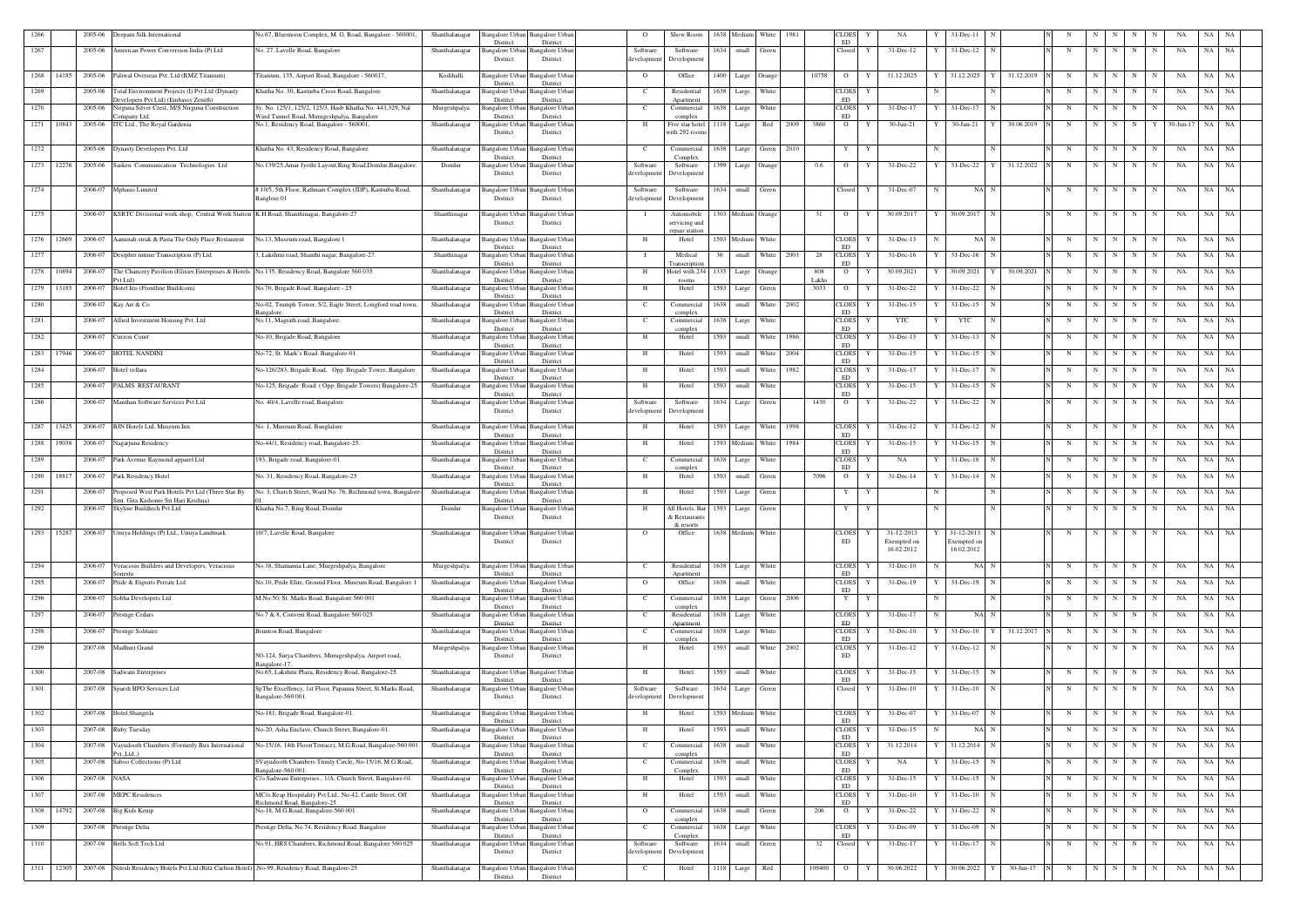| 1266       |            | 2005-06 | Deepam Silk International                                                                                    | No.67, Bluemoon Complex, M. G. Road, Bangalore - 560001,                                | Shanthalanagar | Bangalore Urbai<br>District        | Bangalore Urban<br>District                 | $\circ$                 | Show Room                        | 1638                    | Mediun             | White<br>1981 |               | CLOES<br>ED                         |   | NA                        |    | 31-Dec-11                    |            |   |             |           |             |                |           | NA       |           |
|------------|------------|---------|--------------------------------------------------------------------------------------------------------------|-----------------------------------------------------------------------------------------|----------------|------------------------------------|---------------------------------------------|-------------------------|----------------------------------|-------------------------|--------------------|---------------|---------------|-------------------------------------|---|---------------------------|----|------------------------------|------------|---|-------------|-----------|-------------|----------------|-----------|----------|-----------|
| 1267       |            |         | 2005-06 American Power Conversion India (P) Ltd                                                              | No. 27, Lavelle Road, Bangalore                                                         | Shanthalanagar | Bangalore Urban                    | <b>Bangalore</b> Urban                      | Software                | Software                         | 1634 small              |                    | Green         |               | Closed                              | Y | 31-Dec-12                 |    | $31$ -Dec-12 N               |            | N | N           | N         | N           | N              | NA        | NA       | NA        |
|            |            |         |                                                                                                              |                                                                                         |                | District                           | District                                    | developmen              | Development                      |                         |                    |               |               |                                     |   |                           |    |                              |            |   |             |           |             |                |           |          |           |
| 1268       | 14185      |         | 2005-06 Paliwal Overseas Pvt. Ltd (RMZ Titanium)                                                             | Titanium, 135, Airport Road, Bangalore - 560017,                                        | Kodihalli      | District                           | Bangalore Urban Bangalore Urban<br>District | $\overline{O}$          | Office                           |                         | 1400 Large Orange  |               | 10758         | $\overline{O}$                      | Y | 31.12.2025                |    | 31.12.2025<br>Y              | 31.12.2019 | N | N           | N         | N           | N              | NA        | NA       | NA        |
| 1269       |            | 2005-06 | Total Environment Projects (I) Pvt Ltd (Dynasty<br>Developers Pvt Ltd) (Embassy Zenith)                      | Khatha No. 30, Kasturba Cross Road, Bangalore                                           | Shanthalanagar | District                           | Bangalore Urban Bangalore Urban<br>District | C                       | Residential<br>Apartment         | 1638 Large              |                    | White         |               | <b>CLOES</b><br>ED                  | Y |                           |    | N                            |            | N | N           | N         | $\mathbf N$ | N              | NA        | NA<br>NA |           |
| 1270       |            | 2005-06 | Nirguna Silver Crest, M/S Nirguna Construction                                                               | Sy. No. 125/1, 125/2, 125/3, Hasb Khatha No. 443,329, Nal                               | Murgeshpalya   | Bangalore Urban                    | Bangalore Urban                             | C                       | Commercial                       | 1638 Large              |                    | White         |               | CLOES<br>ED                         | Y | 31-Dec-17                 |    | 31-Dec-17<br>N               |            | N | N           | N         | N           | N              | NA        | NA       | - NA      |
|            | 1271 10843 |         | ompany Ltd.<br>2005-06 ITC Ltd., The Royal Gardenia                                                          | Wind Tunnel Road, Murugeshpalya, Bangalore<br>No.1, Residency Road, Bangalore - 560001, | Shanthalanagar | District<br>Bangalore Urbar        | District<br><b>Bangalore Urban</b>          | H                       | complex<br>Five star hotel       | 1118 Large              |                    | Red<br>2009   | 3860          | $\overline{O}$                      | Y | 30-Jun-21                 |    | $30$ -Jun-21<br>Y            | 30.06.2019 | N |             | $N$   $N$ | N           | Y <sub>1</sub> | 30-Jun-17 | NA NA    |           |
|            |            |         |                                                                                                              |                                                                                         |                | District                           | District                                    |                         | with 292 room                    |                         |                    |               |               |                                     |   |                           |    |                              |            |   |             |           |             |                |           |          |           |
| 1272       |            |         | 2005-06 Dynasty Developers Pvt. Ltd                                                                          | Khatha No. 43, Residency Road, Bangalore                                                | Shanthalanagar | Bangalore Urban<br>District        | <b>Bangalore</b> Urban<br>District          | C                       | Commercial<br>Complex            | 1638 Large              |                    | Green<br>2010 |               | $\mathbf{Y}$                        | Y |                           |    |                              |            | N | N           | N         | N           | N              | NA        | NA       | NA        |
|            | 1273 12276 |         | 2005-06 Sasken Communication Technologies Ltd                                                                | No.139/25, Amar Jyothi Layout, Ring Road, Domlur, Bangalore.                            | Domlur         | <b>Bangalore Urban</b>             | Bangalore Urban                             | Software                | Software                         | 1399 Large              |                    | Orange        | 0.6           | $\overline{O}$                      | Y | 31-Dec-22                 | Y  | $31$ -Dec-22 $Y$             | 31.12.2022 | N | N           | N I       | $\mathbf N$ | N              | NA        | NA NA    |           |
|            |            |         |                                                                                                              |                                                                                         |                | District                           | District                                    | development             | Development                      |                         |                    |               |               |                                     |   |                           |    |                              |            |   |             |           |             |                |           |          |           |
| 1274       |            |         | 2006-07 Mphasis Limited                                                                                      | #10/5, 5th Floor, Rathnam Complex (JDP), Kasturba Road,<br>Banglore 01                  | Shanthalanagar | <b>Bangalore</b> Urbar<br>District | Bangalore Urban<br>District                 | Software<br>developmen  | Software<br>Developmen           |                         | 1634 small Green   |               |               | Closed                              | Y | 31-Dec-07                 | N  | NA N                         |            | N | N           | $N$   $N$ |             | N              | NA        | NA NA    |           |
| 1275       |            |         | 2006-07 KSRTC Divisional work shop, Central Work Station K.H.Road, Shanthinagar, Bangalore-27                |                                                                                         | Shanthinagar   | Bangalore Urban                    | <b>Bangalore</b> Urban                      |                         | Automobile                       |                         | 1303 Medium Orange |               | 31            | $\overline{O}$                      | Y | 30.09.2017                |    | 30.09.2017                   |            | N | N           | N         | N           | N              | NA        | NA       | NA        |
|            |            |         |                                                                                                              |                                                                                         |                | District                           | District                                    |                         | servicing and<br>repair station  |                         |                    |               |               |                                     |   |                           |    |                              |            |   |             |           |             |                |           |          |           |
|            | 1276 12669 |         | 2006-07 Aaminah steak & Pasta The Only Place Restaurent                                                      | No.13, Museum road, Bangalore 1                                                         | Shanthalanagar | Bangalore Urbai                    | Bangalore Urban                             | H                       | Hotel                            | 1593 Medium             |                    | White         |               | <b>CLOES</b>                        |   | 31-Dec-13                 |    | NA N                         |            | N | N           | N         | N           | $\mathbf N$    | NA        | NA NA    |           |
| 1277       |            |         | 2006-07 Desipher intime Transcription (P) Ltd.                                                               | 3, Lakshmi road, Shanthi nagar, Bangalore-27.                                           | Shanthinagar   | District<br><b>Bangalore Urbar</b> | District<br>Bangalore Urban                 |                         | Medical                          | 36                      | small              | White<br>2003 | 28            | ED<br><b>CLOES</b>                  |   | 31-Dec-16                 |    | $31$ -Dec-16 N               |            | N | N           | N         | N           | N              | NA        | NA NA    |           |
| 1278 10894 |            | 2006-07 | The Chancery Pavilion (Elixier Enterprises & Hotels No.135, Residency Road, Bangalore 560 035                |                                                                                         | Shanthalanagar | District<br>Bangalore Urbar        | District<br>Bangalore Urban                 | H                       | Transcription<br>Hotel with 234  | 1335 Large              |                    | Orange        | 808           | <b>ED</b><br>$\circ$                |   | 30.09.2021                |    | 30.09.2021                   | 30.09.2021 | N | N           | N         | N           | N              | NA        | NA       | NA        |
|            | 1279 13185 | 2006-07 | vt Ltd)<br>Hotel Iris (Frontline Buildcom)                                                                   | No.70, Brigade Road, Bangalore - 25                                                     | Shanthalanagar | District<br>Bangalore Urbai        | District<br>Bangalore Urban                 | H                       | room:<br>Hotel                   | $\overline{1593}$ Large |                    | Green         | Lakhs<br>3033 | $\overline{O}$                      |   | 31-Dec-22                 |    | 31-Dec-22                    |            | N | $\mathbf N$ | N         | N           | N              | NA        | NA NA    |           |
|            |            |         |                                                                                                              |                                                                                         |                | District                           | District                                    |                         |                                  |                         |                    |               |               |                                     |   |                           |    |                              |            |   |             |           |             |                |           |          |           |
| 1280       |            | 2006-07 | Kay Arr & Co                                                                                                 | No-02, Trumph Tower, 5/2, Eagle Street, Longford road town,<br>angalore                 | Shanthalanagar | Bangalore Urba<br>District         | Bangalore Urban<br>District                 | C                       | Commercial<br>complex            | 1638                    | small              | 2002<br>White |               | <b>CLOES</b><br>ED                  |   | 31-Dec-15                 |    | 31-Dec-15                    |            | N | N           |           | N           | N              | NA        | NA       | NA        |
| 1281       |            | 2006-07 | Allied Investment Housing Pvt. Ltd                                                                           | No.11, Magrath road, Bangalore.                                                         | Shanthalanagar | Bangalore Urba<br>District         | Bangalore Urbar<br>District                 | C                       | Commercial<br>complex            | 1638 Large              |                    | White         |               | <b>CLOES</b><br>ED                  | Y | YTC                       |    | YTC                          |            | N | N           | N         | $\mathbf N$ | N              | NA        | NA       | <b>NA</b> |
| 1282       |            | 2006-07 | Curzon Court                                                                                                 | No-10, Brigade Road, Bangalore                                                          | Shanthalanagar | Bangalore Urbai<br>District        | Bangalore Urban<br>District                 | H                       | Hotel                            | 1593                    | small              | White<br>1986 |               | <b>CLOES</b><br><b>ED</b>           |   | $31 - Dec-13$             |    | 31-Dec-13                    |            | N | N           | N         | N           | N              | NA        | NA       | - NA      |
|            | 1283 17946 | 2006-07 | <b>HOTEL NANDINI</b>                                                                                         | No-72, St. Mark's Road. Bangalore-01.                                                   | Shanthalanagar | Bangalore Urbar<br>District        | <b>Bangalore Urban</b><br>District          | H                       | Hotel                            | 1593                    | small              | 2004<br>White |               | <b>CLOES</b><br>ED                  | Y | 31-Dec-15                 |    | $31 - Dec-15$                |            | N | $\mathbf N$ | N         | N           | $_{\rm N}$     | NA        | NA       | NA        |
| 1284       |            | 2006-07 | Hotel vellara                                                                                                | No-126/283, Brigade Road, Opp. Brigade Tower, Bangalore                                 | Shanthalanagar | Bangalore Urba                     | Bangalore Urban                             | H                       | Hotel                            | 1593                    | small              | 1982<br>White |               | <b>CLOES</b>                        |   | 31-Dec-17                 |    | 31-Dec-17                    |            | N | $\mathbf N$ | N         | N           | $\mathbf N$    | NA        | NA       | NA        |
| 1285       |            | 2006-07 | PALMS RESTAURANT                                                                                             | No-125, Brigade Road. (Opp: Brigade Towers) Bangalore-25.                               | Shanthalanagar | District<br>Bangalore Urbar        | District<br><b>Bangalore Urban</b>          | H                       | Hotel                            | 1593                    | small              | White         |               | ED<br><b>CLOES</b>                  |   | 31-Dec-15                 |    | $31$ -Dec-15                 |            | N | N           | N         | N           |                | NA        | NA       | NA        |
| 1286       |            |         | 2006-07 Manthan Software Services Pvt Ltd                                                                    | No. 40/4, Lavelle road, Bangalore.                                                      | Shanthalanagar | District<br><b>Rangalore Urban</b> | District<br><b>Bangalore Urban</b>          | Software                | Software                         | 1634 Large              |                    | Green         | 1430          | <b>ED</b><br>$\overline{O}$         | Y | 31-Dec-22                 |    | 31-Dec-22                    |            | N | N           | N         | N           | N              | NA        | NA       | NA        |
|            |            |         |                                                                                                              |                                                                                         |                | District                           | District                                    | development             | Development                      |                         |                    |               |               |                                     |   |                           |    |                              |            |   |             |           |             |                |           |          |           |
| 1287       | 13425      |         | 2006-07 BJN Hotels Ltd, Museum Inn                                                                           | No. 1, Museum Road, Banglalore.                                                         | Shanthalanagar | Bangalore Urban                    | <b>Bangalore Urban</b>                      | H                       | Hotel                            | 1593 Large              |                    | White<br>1998 |               | <b>CLOES</b>                        | Y | $31 - Dec-12$             |    | $31 - Dec-12$<br>$\mathbf N$ |            | N | N           | N         | N           | N              | NA        | NA NA    |           |
| 1288       | 19038      |         | 2006-07 Nagarjuna Residency                                                                                  | No-44/1, Residency road, Bangalore-25.                                                  | Shanthalanagar | District<br>Bangalore Urban        | District<br>Bangalore Urban                 | H                       | Hotel                            | 1593 Medium             |                    | 1984<br>White |               | ED<br>$\ensuremath{\mathsf{CLOES}}$ | Y | $31 - Dec-15$             |    | 31-Dec-15<br>N               |            | N | $\mathbf N$ | N         | N           | N              | NA        | NA       | NA        |
|            |            |         |                                                                                                              |                                                                                         |                | District                           | District                                    |                         |                                  |                         |                    |               |               | ED                                  |   |                           |    |                              |            |   |             |           |             |                |           |          |           |
|            |            |         |                                                                                                              |                                                                                         | Shanthalanagar | <b>Bangalore</b> Urbar             | Bangalore Urban                             | C                       | Commercial                       |                         |                    | White         |               |                                     | Y | NA                        |    | $31$ -Dec-18                 |            | N | N           | N         | N           | N              | NA        | NA NA    |           |
| 1289       |            |         | 2006-07 Park Avenue Raymond apparel Ltd                                                                      | 193, Brigade road, Bangalore-01.                                                        |                | District                           | District                                    |                         | complex                          | 1638 Large              |                    |               |               | <b>CLOES</b><br>ED                  |   |                           |    |                              |            |   |             |           |             |                |           |          |           |
| 1290       | 18817      |         | 2006-07 Park Residency Hotel                                                                                 | No. 31, Residency Road, Bangalore-25                                                    | Shanthalanagar | Bangalore Urba<br>District         | Bangalore Urban<br>District                 | H                       | Hotel                            | 1593                    | small              | Green         | 7096          | $\overline{O}$                      |   | 31-Dec-14                 |    | 31-Dec-14                    |            | N | N           | N         | N           | N              | NA        | NA       | NA        |
| 1291       |            | 2006-07 | Proposed West Park Hotels Pvt Ltd (Three Star By<br>Smt. Gita Kishonre Sri Hari Krishna)                     | No. 3, Church Street, Ward No. 76, Richmond town, Bangalore                             | Shanthalanagar | Bangalore Urbar<br>District        | Bangalore Urban<br>District                 | H                       | Hotel                            | 1593 Large              |                    | Green         |               | Y                                   |   |                           |    | $\mathbf N$                  |            | N | N           | N         | N           | N              | NA        | NA NA    |           |
| 1292       |            |         | 2006-07 Skyline Buildtech Pvt Ltd                                                                            | Khatha No.7, Ring Road, Domlur                                                          | Domlur         | Bangalore Urbar<br>District        | Bangalore Urban<br>District                 | H                       | All Hotels, Bar<br>& Restaurants | 1593 Large              |                    | Green         |               | Y                                   |   |                           |    |                              |            | N | N           | N         | N           | N              | NA        | NA       | NA        |
|            |            |         | Umiya Holdings (P) Ltd., Umiya Landmark                                                                      |                                                                                         |                |                                    | Bangalore Urban                             | $\overline{O}$          | & resorts<br>Office              |                         |                    | White         |               |                                     |   |                           |    |                              |            | N | N           | N         | N           | N              |           | NA       |           |
| 1293       | 15287      | 2006-07 |                                                                                                              | 10/7, Lavelle Road, Bangalore                                                           | Shanthalanagar | Bangalore Urban<br>District        | District                                    |                         |                                  | 1638 Medium             |                    |               |               | CLOES<br>ED                         |   | 31-12-2013<br>Exempted on |    | 31-12-2013<br>Exempted on    |            |   |             |           |             |                | NA        |          | NA        |
|            |            |         |                                                                                                              |                                                                                         |                |                                    |                                             |                         |                                  |                         |                    |               |               |                                     |   | 16.02.2012                |    | 16.02.2012                   |            |   |             |           |             |                |           |          |           |
| 1294       |            | 2006-07 | Veracious Builders and Developers, Veracious<br><b>Sonesta</b>                                               | No.38, Shamanna Lane, Murgeshpalya, Bangalore                                           | Murgeshpalya   | angalore Urban<br>District         | Bangalore Urban<br>District                 | <sup>-</sup> C          | Residential<br>Apartment         | 1638 Large              |                    | White         |               | <b>CLOES</b><br>ED                  | Y | $31$ -Dec-10              | -N | NA N                         |            | N | N           | N         | $\mathbf N$ | N              | NA        | NA NA    |           |
| 1295       |            | 2006-07 | Pride & Exports Private Ltd                                                                                  | No.10, Pride Elite, Ground Floor, Museum Road, Bangalore 1                              | Shanthalanagar | Bangalore Urban<br>District        | <b>Bangalore Urban</b><br>District          | $\Omega$                | Office                           | 1638 small              |                    | White         |               | <b>CLOES</b><br>ED                  | Y | $31 - Dec-19$             |    | 31-Dec-19<br>$\mathbf N$     |            | N | N           | N         | N           | N              | NA        | NA       | NA        |
| 1296       |            |         | 2006-07 Sobha Developers Ltd                                                                                 | M.No:50, St. Marks Road, Bangalore 560 001                                              | Shanthalanagar | <b>Bangalore Urban</b>             | <b>Bangalore Urban</b>                      | <sup>-</sup> C          | Commercial                       | 1638 Large              |                    | Green<br>2006 |               | Y                                   | Y |                           | N  | N                            |            | N | N           | N         | N           | N              | NA        | NA NA    |           |
| 1297       |            | 2006-07 | <b>Prestige Cedars</b>                                                                                       | No.7 & 8, Convent Road, Bangalore 560 025                                               | Shanthalanagar | District<br><b>Bangalore Urban</b> | District<br><b>Bangalore Urban</b>          | $\mathbf{C}$            | complex<br>Residential           | 1638 Large              |                    | White         |               | <b>CLOES</b>                        | Y | 31-Dec-17                 | N  | NA N                         |            | N | N           | N         | N           | N              | NA        | NA       | <b>NA</b> |
| 1298       |            | 2006-07 | Prestige Solitaire                                                                                           | Brunton Road, Bangalore                                                                 | Shanthalanagar | District<br>Bangalore Urban        | District<br>Bangalore Urban                 | $\mathbf{C}$            | Apartment<br>Commercial          | 1638 Large              |                    | White         |               | ED<br><b>CLOES</b>                  | Y | $31$ -Dec-10              |    | $31$ -Dec-10<br>Y I          | 31.12.2017 | N | N           | N         | N           | N              | NA        | NA NA    |           |
| 1299       |            |         | 2007-08 Madhuri Grand                                                                                        |                                                                                         | Murgeshpalya   | District                           | District<br>Bangalore Urban Bangalore Urban | Н                       | complex<br>Hotel                 |                         | 1593 small White   | 2002          |               | ED<br><b>CLOES</b>                  | Y | 31-Dec-12                 |    | $31$ -Dec-12 N               |            | N | N           | N         | N           | N              | NA        | NA NA    |           |
|            |            |         |                                                                                                              | N0-124, Surya Chambers, Murugeshpalya, Airport road,<br>angalore-17.                    |                | District                           | District                                    |                         |                                  |                         |                    |               |               | ED                                  |   |                           |    |                              |            |   |             |           |             |                |           |          |           |
| 1300       |            |         | 2007-08 Sadwani Enterprises                                                                                  | No.65, Lakshmi Plaza, Residency Road, Bangalore-25.                                     | Shanthalanagar | Bangalore Urbai                    | Bangalore Urban                             | H                       | Hotel                            | 1593 small              |                    | White         |               | <b>CLOES</b>                        |   | $31$ -Dec-15              |    | 31-Dec-15<br>N               |            | N | N           | N I       | N           | N              | NA        | NA NA    |           |
| 1301       |            |         | 2007-08 Sparsh BPO Services Ltd                                                                              | SpThe Excellency, 1st Floor, Papanna Street, St.Marks Road,                             | Shanthalanagar | District<br><b>Bangalore Urban</b> | District<br><b>Bangalore Urban</b>          | Software                | Software                         | 1634 Large              |                    | Green         |               | ED<br>Closed                        | Y | 31-Dec-10                 |    | $31 - Dec-10$                |            | N | N           | N         | N           | N              | NA        | NA       | NA        |
|            |            |         |                                                                                                              | Bangalore-560 001.                                                                      |                | District                           | District                                    | development             | Development                      |                         |                    |               |               |                                     |   |                           |    |                              |            |   |             |           |             |                |           |          |           |
| 1302       |            |         | 2007-08 Hotel Shangrila                                                                                      | No-181, Brigade Road, Bangalore-01.                                                     | Shanthalanagar | Bangalore Urbar<br>District        | Bangalore Urban<br>District                 | H                       | Hotel                            | 1593 Medium             |                    | White         |               | <b>CLOES</b><br>ED                  | Y | 31-Dec-07                 |    | 31-Dec-07<br>$\mathbf N$     |            | N | N           | N         | N           | N              | NA        | NA       | NA        |
| 1303       |            |         | 2007-08 Ruby Tuesday                                                                                         | No-20, Asha Enclave, Church Street, Bangalore-01.                                       | Shanthalanagar | <b>Bangalore Urbar</b>             | <b>Bangalore Urban</b>                      | Н                       | Hotel                            |                         | 1593 small White   |               |               | <b>CLOES</b>                        | Y | $31$ -Dec-15              | -N | NA N                         |            | N | N           | N         | N           | N              | NA        | NA NA    |           |
| 1304       |            | 2007-08 | Vayudooth Chambers (Formerly Bux International                                                               | No-15/16, 14th Floor(Terrace), M.G.Road, Bangalore-560 001.                             | Shanthalanagar | District<br>Bangalore Urbai        | District<br>Bangalore Urban                 | <sup>-</sup> C          | Commercial                       | 1638 small              |                    | White         |               | ED<br><b>CLOES</b>                  | Y | 31.12.2014                |    | 31.12.2014 N                 |            | N | N           | N         | N           | N              | NA        | NA NA    |           |
| 1305       |            |         | PutLtd)<br>2007-08 Saboo Collections (P) Ltd                                                                 | SVayudooth Chambers Trinity Circle, No-15/16, M.G.Road,                                 | Shanthalanagar | District<br>Bangalore Urbar        | District<br>Bangalore Urban                 | C                       | complex<br>Commercial            | 1638 small              |                    | White         |               | ED<br><b>CLOES</b>                  | Y | NA                        |    | $31 - Dec-15$                |            | N | N           | N         | N           | N              | NA        | NA NA    |           |
| 1306       |            | 2007-08 | <b>NASA</b>                                                                                                  | angalore-560 001.<br>C/o.Sadwani Enterprises., 1/A, Church Street, Bangalore-01.        | Shanthalanagar | District<br>Bangalore Urbai        | District<br>Bangalore Urban                 | H                       | Complex<br>Hotel                 | 1593 small              |                    | White         |               | ED<br><b>CLOES</b>                  |   | $31$ -Dec-15              |    | 31-Dec-15                    |            | N | N           | N         | N           | N              | NA        | NA       | NA        |
| 1307       |            |         | 2007-08 MEPC Residences                                                                                      | MC/o.Reap Hospitality Pvt Ltd., No-42, Cantle Street, Off                               | Shanthalanagar | District<br>Bangalore Urbar        | District<br>Bangalore Urban                 | H                       | Hotel                            | 1593 small              |                    | White         |               | <b>ED</b><br><b>CLOES</b>           |   | 31-Dec-10                 |    | $31$ -Dec-10                 |            | N | N           | N         | N           | N              | NA        | NA NA    |           |
|            |            |         |                                                                                                              | Richmond Road, Bangalore-25                                                             |                | District                           | District                                    |                         |                                  |                         |                    |               |               | ED                                  |   |                           |    |                              |            |   |             |           |             |                |           |          |           |
| 1308       | 14792      | 2007-08 | <b>Big Kids Kemp</b>                                                                                         | No-18, M.G.Road, Bangalore-560 001.                                                     | Shanthalanagar | Bangalore Urba<br>District         | Bangalore Urban<br>District                 | $\overline{O}$          | Commercial<br>complex            | 1638                    | small              | Green         | 206           | $\overline{O}$                      |   | 31-Dec-22                 |    | 31-Dec-22                    |            | N | N           | N         | N           | N              | NA        | NA       | <b>NA</b> |
| 1309       |            | 2007-08 | Prestige Delta                                                                                               | Prestige Delta, No.74, Residency Road, Bangalore                                        | Shanthalanagar | Bangalore Urba<br>District         | Bangalore Urban<br>District                 | <sup>-</sup> C          | Commercial<br>Complex            | 1638 Large              |                    | White         |               | <b>CLOES</b><br>${\rm ED}$          |   | 31-Dec-09                 |    | 31-Dec-09                    |            | N | N           | N         | $\mathbf N$ | N              | NA        | NA NA    |           |
| 1310       |            |         | 2007-08 Bells Soft Tech Ltd                                                                                  | No.91, HRS Chambers, Richmond Road, Bangalore 560 025                                   | Shanthalanagar | Bangalore Urbar<br>District        | Bangalore Urban<br>District                 | Software<br>development | Software<br>Development          | 1634 small              |                    | Green         | 32            | Closed                              |   | 31-Dec-17                 |    | 31-Dec-17<br>$\mathbf N$     |            | N | $\mathbf N$ | N         | N           | N              | NA        | NA       | <b>NA</b> |
|            |            |         | 1311 12305 2007-08 Nitesh Residency Hotels Pvt Ltd (Ritz Carlton Hotel) No-99, Residency Road, Bangalore-25. |                                                                                         | Shanthalanagar |                                    | <b>Bangalore Urban Bangalore Urban</b>      | <sup>-</sup> C          | Hotel                            | 1118 Large              |                    | Red           | 109400        | $\overline{O}$                      | Y | 30.06.2022                |    | 30.06.2022 Y                 | 30-Jun-17  | N | N           | N         | N           | N              | NA        | NA NA    |           |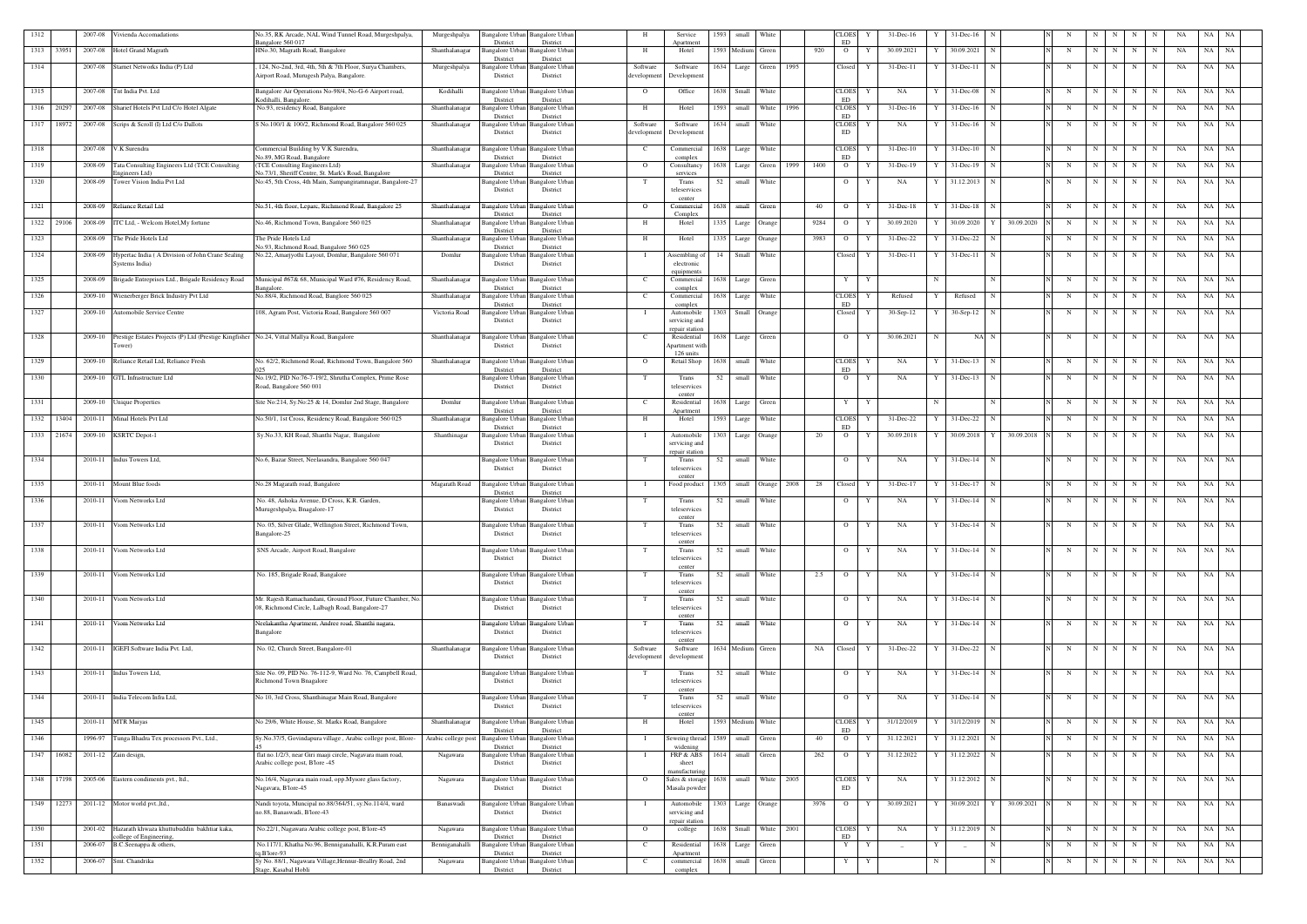| 1312 |            | 2007-08              | ivienda Accomadations                                                                       | No.35, RK Arcade, NAL Wind Tunnel Road, Murgeshpalya,<br>angalore 560 017                           | Murgeshpalya        | Bangalore Urban<br><b>Bangalore Urbar</b><br>District<br>District        |                         | Service<br>Anartment             | 1593 | small             | White                 |      |      | CLOES<br>ED               | $31$ -Dec-16               |             | $31$ -Dec-16        |                 |   |             |                     |             |             | NA       | NA    | NA        |
|------|------------|----------------------|---------------------------------------------------------------------------------------------|-----------------------------------------------------------------------------------------------------|---------------------|--------------------------------------------------------------------------|-------------------------|----------------------------------|------|-------------------|-----------------------|------|------|---------------------------|----------------------------|-------------|---------------------|-----------------|---|-------------|---------------------|-------------|-------------|----------|-------|-----------|
|      | 1313 33951 | 2007-08              | Hotel Grand Magrath                                                                         | HNo.30, Magrath Road, Bangalore                                                                     | Shanthalanagar      | Bangalore Urbar<br>Bangalore Urbar<br>District<br>District               | H                       | Hotel                            | 1593 | Medium            | Green                 |      | 920  | $\overline{O}$            | 30.09.2021<br>Y            |             | 30.09.2021          |                 | N | N           | N                   | N           |             | NA       | NA    | NA        |
| 1314 |            | 2007-08              | Starnet Networks India (P) Ltd                                                              | 124, No-2nd, 3rd, 4th, 5th & 7th Floor, Surya Chambers,<br>Airport Road, Murugesh Palya, Bangalore. | Murgeshpalya        | Bangalore Urbar<br>Bangalore Urba<br>District<br>District                | Software<br>development | Software<br>Development          | 1634 | Large             | Green                 | 1995 |      | Closed                    | 31-Dec-11<br>Y             |             | $31 - Dec - 11$     |                 | N | N           | N                   | N           | N           | NA       | NA    | NA        |
|      |            |                      |                                                                                             |                                                                                                     |                     |                                                                          |                         |                                  |      |                   |                       |      |      |                           |                            |             |                     |                 |   |             |                     |             |             |          |       |           |
| 1315 |            | 2007-08              | Tnt India Pvt. Ltd                                                                          | Bangalore Air Operations No-98/4, No-G-6 Airport road,<br>Godihalli, Bangalore.                     | Kodihalli           | Bangalore Urban<br><b>Bangalore</b> Urbar<br>District<br>District        | $\overline{O}$          | Office                           |      | 1638 Small White  |                       |      |      | <b>CLOES</b><br>ED        | NA<br>Y                    |             | 31-Dec-08           | N               | N | N           | N                   | N           | N           | NA       | NA NA |           |
|      | 1316 20297 | 2007-08              | Sharief Hotels Pvt Ltd C/o Hotel Algate                                                     | No.93, residency Road, Bangalore                                                                    | Shanthalanagar      | <b>Bangalore Urban</b><br>Bangalore Urbar<br>District<br>District        | H                       | Hotel                            | 1593 | small             | White   1996          |      |      | <b>CLOES</b><br>ED        | $31 - Dec-16$              |             | $31$ -Dec-16        |                 | N | N           | N                   | N           | N           | NA       | NA NA |           |
|      | 1317 18972 | 2007-08              | Scrips & Scroll (I) Ltd C/o Dallots                                                         | S No.100/1 & 100/2, Richmond Road, Bangalore 560 025                                                | Shanthalanagar      | <b>Bangalore Urban</b><br>Bangalore Urba<br>District<br>District         | Software<br>developmen  | Software<br>Development          | 1634 |                   | small White           |      |      | <b>CLOES</b><br>ED        | NA<br>Y                    |             | $31$ -Dec-16        |                 | N | N           | N                   | N           | N           | NA       | NA    | NA        |
| 1318 |            | 2007-08              | V.K Surendra                                                                                | Commercial Building by V.K Surendra,<br>No.89, MG Road, Bangalore                                   | Shanthalanagar      | <b>Bangalore Urban</b><br>Bangalore Urbai<br>District<br>District        | -C                      | Commercial<br>complex            | 1638 | Large             | White                 |      |      | <b>CLOES</b><br><b>ED</b> | 31-Dec-10                  |             | $31$ -Dec-10        |                 | N | N           | N                   | N           | N           | NA       | NA    | NA        |
| 1319 |            | 2008-09              | Tata Consulting Engineers Ltd (TCE Consulting<br>ngineers Ltd)                              | (TCE Consulting Engineers Ltd)<br>No.73/1, Sheriff Centre, St. Mark's Road, Bangalore               | Shanthalanagar      | Bangalore Urbar<br>Bangalore Urbar<br>District<br>District               | $\overline{O}$          | Consultancy<br>services          |      | 1638 Large        | Green                 | 1999 | 1400 | $\overline{O}$            | $31 - Dec-19$<br>Y         |             | 31-Dec-19           |                 | N | N           | N                   | $\mathbf N$ | N           | NA       | NA NA |           |
| 1320 |            | 2008-09              | Tower Vision India Pvt Ltd                                                                  | No:45, 5th Cross, 4th Main, Sampangiramnagar, Bangalore-27                                          |                     | Bangalore Urban<br>Bangalore Urbai                                       | - Т                     | Trans                            | 52   | small             | White                 |      |      | $\overline{O}$            | NA<br>Y                    |             | 31.12.2013          |                 | N | N           | N                   | N           | N           | NA       | NA    | NA        |
|      |            |                      |                                                                                             |                                                                                                     |                     | District<br>District                                                     |                         | teleservices<br>center           |      |                   |                       |      |      |                           |                            |             |                     |                 |   |             |                     |             |             |          |       |           |
| 1321 |            | 2008-09              | Reliance Retail Ltd                                                                         | No.51, 4th floor, Leparc, Richmond Road, Bangalore 25                                               | Shanthalanagar      | <b>Bangalore Urbar</b><br>Bangalore Urba<br>District<br>District         | $\Omega$                | Commercial<br>Complex            | 1638 | small             | Green                 |      | 40   | $\overline{O}$            | $31 - Dec-18$              |             | $31 - Dec-18$       |                 | N | N           | N                   | N           | $\mathbf N$ | NA       | NA    | NA        |
|      | 1322 29106 | 2008-09              | TC Ltd, - Welcom Hotel, My fortune                                                          | No.46, Richmond Town, Bangalore 560 025                                                             | Shanthalanagar      | Bangalore Urba<br>Bangalore Urba<br>District<br>District                 | H                       | Hotel                            | 1335 | Large             | Orange                |      | 9284 | $\overline{O}$            | 30.09.2020                 |             | 30.09.2020          | 30.09.2020      | N | $\mathbf N$ |                     | N           | N           | NA       | NA    | NA        |
| 1323 |            | 2008-09              | The Pride Hotels Ltd                                                                        | The Pride Hotels Ltd<br>No.93, Richmond Road, Bangalore 560 025                                     | Shanthalanagar      | Bangalore Urba<br>Bangalore Urba<br>District<br>District                 | H                       | Hotel                            | 1335 | Large             | Orange                |      | 3983 | $\overline{O}$            | 31-Dec-22                  |             | 31-Dec-22           |                 | N | N           |                     | N           | N           | NA       | NA    | NA        |
| 1324 |            | 2008-09              | Iypertac India (A Division of John Crane Sealing<br>Systems India)                          | No.22, Amarjyothi Layout, Domlur, Bangalore 560 071                                                 | Domlur              | <b>Bangalore Urban</b><br>Bangalore Urba<br>District<br>District         |                         | Assembling o<br>electronic       | 14   | Small             | White                 |      |      | Closed                    | 31-Dec-11                  |             | $31$ -Dec-11        |                 | N | N           | N                   | $\mathbf N$ | N           | NA       | NA    | NA        |
| 1325 |            | 2008-09              | Brigade Entreprises Ltd., Brigade Residency Road                                            | Municipal #67& 68, Municipal Ward #76, Residency Road,                                              | Shanthalanagar      | Bangalore Urban<br><b>Bangalore Urban</b>                                |                         | equipment<br>Commercial          | 1638 | Large             | Green                 |      |      | Y                         | Y                          | $\mathbf N$ |                     | N               | N | N           | N                   | $\mathbf N$ | $\mathbf N$ | NA       | NA    | NA        |
|      |            |                      |                                                                                             | Bangalore                                                                                           | Shanthalanagar      | District<br>District                                                     |                         | complex                          |      |                   |                       |      |      |                           |                            |             |                     |                 |   |             |                     |             |             |          |       |           |
| 1326 |            |                      | 2009-10 Wienerberger Brick Industry Pvt Ltd                                                 | No.88/4, Richmond Road, Banglore 560 025                                                            |                     | Bangalore Urban<br><b>Bangalore Urban</b><br>District<br>District        |                         | Commercial<br>complex            |      | 1638 Large        | White                 |      |      | <b>CLOES</b><br>ED        | Refused<br>Y               |             | Refused             |                 | N | N           | N                   | $\mathbf N$ | N           | NA       | NA    | NA        |
| 1327 |            |                      | 2009-10 Automobile Service Centre                                                           | 108, Agram Post, Victoria Road, Bangalore 560 007                                                   | Victoria Road       | Bangalore Urban<br>Bangalore Urban<br>District<br>District               |                         | Automobile<br>servicing and      | 1303 |                   | Small Orange          |      |      | Closed                    | 30-Sep-12<br>Y             |             | $30-Sep-12$         | - N             | N | N           | N                   | N           | N           | NA       | NA    | NA        |
| 1328 |            | 2009-10              | Prestige Estates Projects (P) Ltd (Prestige Kingfisher No.24, Vittal Mallya Road, Bangalore |                                                                                                     | Shanthalanagar      | Bangalore Urban<br>Bangalore Urba                                        |                         | repair station<br>Residential    | 1638 | Large Green       |                       |      |      | $\overline{O}$            | Y<br>30.06.2021            | -N          | NA N                |                 | N | N           | N I                 | $\mathbf N$ | N           | NA       | NA NA |           |
|      |            |                      | ower)                                                                                       |                                                                                                     |                     | District<br>District                                                     |                         | Apartment witl<br>126 units      |      |                   |                       |      |      |                           |                            |             |                     |                 |   |             |                     |             |             |          |       |           |
| 1329 |            | 2009-10              | Reliance Retail Ltd, Reliance Fresh                                                         | No. 62/2, Richmond Road, Richmond Town, Bangalore 560                                               | Shanthalanagar      | Bangalore Urban<br>Bangalore Urban<br>District<br>District               | $\overline{O}$          | Retail Shop                      | 1638 |                   | small White           |      |      | <b>CLOES</b><br>ED        | NA<br>Y                    |             | 31-Dec-13           | N               | N | N           | N                   | $\mathbf N$ | N           | NA       | NA NA |           |
| 1330 |            | 2009-10              | GTL Infrastructure Ltd                                                                      | No.19/2, PID No:76-7-19/2, Shrutha Complex, Prime Rose<br>Road, Bangalore 560 001                   |                     | Bangalore Urban<br>Bangalore Urban<br>District<br>District               |                         | Trans<br>teleservices            | 52   | small             | White                 |      |      | $\overline{O}$            | NA<br>Y                    | Y           | $31 - Dec-13$       |                 | N | N           | N                   | N           | N           | NA       | NA    | NA        |
|      |            |                      |                                                                                             |                                                                                                     |                     |                                                                          |                         | center                           |      |                   |                       |      |      |                           |                            |             |                     |                 |   |             |                     |             |             |          |       |           |
| 1331 |            | 2009-10              | Unique Properties                                                                           | Site No:214, Sy.No:25 & 14, Domlur 2nd Stage, Bangalore                                             | Domlur              | Bangalore Urban<br><b>Bangalore Urbar</b><br>District<br>District        | - C                     | Residential<br>Anartment         | 1638 | Large             | Green                 |      |      | Y                         | Y                          | N           |                     |                 | N | N           | N                   | N           | N           | NA       | NA    | NA        |
|      | 1332 13404 | 2010-11              | Minal Hotels Pvt Ltd                                                                        | No.50/1, 1st Cross, Residency Road, Bangalore 560 025                                               | Shanthalanagar      | <b>Bangalore Urban</b><br>Bangalore Urbai<br>District<br>District        | <b>H</b>                | Hotel                            | 1593 | Large             | White                 |      |      | <b>CLOES</b><br>ED        | 31-Dec-22                  |             | 31-Dec-22           |                 | N | N           | N                   | N           |             | NA       | NA    | NA        |
|      | 1333 21674 | 2009-10              | <b>KSRTC</b> Depot-1                                                                        | Sy.No.33, KH Road, Shanthi Nagar, Bangalore                                                         | Shanthinagar        | Bangalore Urban<br>Bangalore Urbar<br>District<br>District               | - 1                     | Automobile<br>servicing and      | 1303 | Large             | Orange                |      | 20   | $\overline{O}$            | 30.09.2018<br>Y            |             | 30.09.2018          | 30.09.2018<br>Y | N | N           | N                   | N           | N           | NA       | NA    | NA        |
| 1334 |            |                      | 2010-11 Indus Towers Ltd,                                                                   | No.6, Bazar Street, Neelasandra, Bangalore 560 047                                                  |                     | <b>Bangalore Urban</b><br>Bangalore Urba                                 |                         | repair station<br>Trans          | 52   |                   | small White           |      |      | $\overline{O}$            | NA<br>Y                    |             | 31-Dec-14           | N               | N | N           | N                   | N           | N           | NA       | NA NA |           |
|      |            |                      |                                                                                             |                                                                                                     |                     | District<br>District                                                     |                         | teleservices                     |      |                   |                       |      |      |                           |                            |             |                     |                 |   |             |                     |             |             |          |       |           |
| 1335 |            | 2010-11              | Mount Blue foods                                                                            | No.28 Magarath road, Bangalore                                                                      | Magarath Road       | <b>Bangalore Urban</b><br>Bangalore Urbai<br>District<br>District        |                         | Food product                     | 1305 |                   | small Orange          | 2008 | 28   | Closed                    | 31-Dec-17<br>Y             |             | 31-Dec-17           |                 | N | N           | N                   | N           |             | NA       | NA    | NA        |
| 1336 |            | 2010-11              | 'iom Networks Ltd                                                                           | No. 48, Ashoka Avenue, D Cross, K.R. Garden,                                                        |                     | <b>Bangalore</b> Urba<br>Bangalore Urban                                 |                         | Trans                            | 52   | small             | <b>White</b>          |      |      | $\overline{O}$            | NA<br>Y                    | Y           | $31 - Dec-14$       | N               | N | N           | N                   | N           | N           | NA       | NA    | <b>NA</b> |
|      |            |                      |                                                                                             | Murugeshpalya, Bnagalore-17                                                                         |                     | District<br>District                                                     |                         | teleservices<br>center           |      |                   |                       |      |      |                           |                            |             |                     |                 |   |             |                     |             |             |          |       |           |
| 1337 |            |                      | 2010-11 Viom Networks Ltd                                                                   | No. 05, Silver Glade, Wellington Street, Richmond Town,<br>Bangalore-25                             |                     | Bangalore Urban Bangalore Urban<br>District<br>District                  |                         | Trans<br>teleservices            | 52   |                   | small White           |      |      |                           | $O$ $Y$<br>NA              |             | $Y = 31 - Dec-14$ N |                 | N |             | $N$ $N$   $N$   $N$ |             |             | NA NA NA |       |           |
| 1338 |            | 2010-11              | Viom Networks Ltd                                                                           | SNS Arcade, Airport Road, Bangalore                                                                 |                     | Bangalore Urban<br>Bangalore Urban                                       |                         | center<br>Trans                  | 52   |                   | small White           |      |      | $\overline{O}$            | NA<br>Y                    |             | 31-Dec-14           |                 | N | N           | N                   | N           | N           | NA       | NA NA |           |
|      |            |                      |                                                                                             |                                                                                                     |                     | District<br>District                                                     |                         | teleservices<br>center           |      |                   |                       |      |      |                           |                            |             |                     |                 |   |             |                     |             |             |          |       |           |
| 1339 |            | 2010-11              | Viom Networks Ltd                                                                           | No. 185, Brigade Road, Bangalore                                                                    |                     | Bangalore Urban<br>Bangalore Urba<br>District<br>District                | T                       | Trans<br>teleservices            | 52   |                   | small White           |      | 2.5  | $\overline{O}$            | Y<br>NA                    | Y           | 31-Dec-14           | N               | N |             | $N$ $N$             | N           | N           | NA       | NA NA |           |
| 1340 |            | 2010-11              | Viom Networks Ltd                                                                           | Mr. Rajesh Ramachandani, Ground Floor, Future Chamber, No.                                          |                     | <b>Bangalore</b> Urban<br>Bangalore Urban                                | T                       | center<br>Trans                  | 52   |                   | small White           |      |      | $\overline{O}$            | Y<br>NA                    | Y           | $31$ -Dec-14 N      |                 | N |             | $N$ $N$             | N           | N           | NA       | NA NA |           |
|      |            |                      |                                                                                             | 08, Richmond Circle, Lalbagh Road, Bangalore-27                                                     |                     | District<br>District                                                     |                         | teleservices                     |      |                   |                       |      |      |                           |                            |             |                     |                 |   |             |                     |             |             |          |       |           |
| 1341 |            | 2010-11              | Viom Networks Ltd                                                                           | Neelakantha Apartment, Andree road, Shanthi nagara,                                                 |                     | Bangalore Urban<br><b>Bangalore Urbar</b>                                |                         | center<br>Trans                  | 52   |                   | small White           |      |      | $\overline{O}$            | Y<br>NA                    |             | 31-Dec-14           | N               | N | N           | N                   | N           | N           | NA       | NA NA |           |
|      |            |                      |                                                                                             | Bangalore                                                                                           |                     | District<br>District                                                     |                         | teleservices<br>center           |      |                   |                       |      |      |                           |                            |             |                     |                 |   |             |                     |             |             |          |       |           |
| 1342 |            | 2010-11              | IGEFI Software India Pvt. Ltd,                                                              | No. 02, Church Street, Bangalore-01                                                                 | Shanthalanagar      | Bangalore Urban<br><b>Bangalore Urban</b><br>District<br>District        | Software<br>development | Software<br>development          |      | 1634 Medium Green |                       |      | NA   | Closed                    | 31-Dec-22<br>Y             |             | 31-Dec-22           |                 | N | N           | N                   | N           | N           | NA       | NA    | <b>NA</b> |
| 1343 |            |                      | 2010-11 Indus Towers Ltd,                                                                   | Site No. 09, PID No. 76-112-9, Ward No. 76, Campbell Road,                                          |                     | <b>Bangalore</b> Urba<br>Bangalore Urban                                 |                         | Trans                            | 52   |                   | small White           |      |      | $\overline{O}$            | Y<br>NA                    |             | 31-Dec-14           |                 | N | N           | N                   | N           | N           | NA       | NA NA |           |
|      |            |                      |                                                                                             | Richmond Town Bnagalore                                                                             |                     | District<br>District                                                     |                         | teleservices<br>center           |      |                   |                       |      |      |                           |                            |             |                     |                 |   |             |                     |             |             |          |       |           |
| 1344 |            |                      | 2010-11 India Telecom Infra Ltd,                                                            | No 10, 3rd Cross, Shanthinagar Main Road, Bangalore                                                 |                     | Bangalore Urban Bangalore Urban<br>District<br>District                  |                         | Trans<br>teleservices            | 52   |                   | small White           |      |      | $\overline{O}$            | NA<br>Y                    | Y           | 31-Dec-14           | $\mathbf N$     | N | N           | N                   | N           | N           | NA       | NA NA |           |
| 1345 |            |                      | 2010-11 MTR Maiyas                                                                          | No 29/6, White House, St. Marks Road, Bangalore                                                     | Shanthalanagar      | Bangalore Urban<br><b>Bangalore Urban</b>                                | H                       | center<br>Hotel                  |      | 1593 Medium White |                       |      |      | <b>CLOES</b>              | 31/12/2019<br>Y            |             | 31/12/2019          |                 | N | N           | N                   | N           |             | NA       | NA NA |           |
|      |            |                      |                                                                                             |                                                                                                     |                     | District<br>District                                                     |                         |                                  | 1589 |                   |                       |      |      | ED                        |                            |             |                     |                 |   |             |                     |             | N           |          |       |           |
| 1346 |            | 1996-97              | Tunga Bhadra Tex processors Pvt., Ltd.,                                                     | Sy.No.37/5, Govindapura village, Arabic college post, Blore-                                        | Arabic college post | <b>Bangalore Urban</b><br><b>Bangalore Urban</b><br>District<br>District |                         | Seweing thread<br>widening       |      | small             | Green                 |      | 40   | $\overline{O}$            | 31.12.2021                 |             | 31.12.2021          |                 | N | N           | N                   | N           | N           | NA       | NA    | <b>NA</b> |
|      | 1347 16082 | 2011-12 Zain design, |                                                                                             | flat no.1/2/3, near Giri maaji circle, Nagavara main road,<br>Arabic college post, B'lore -45       | Nagawara            | Bangalore Urban Bangalore Urban<br>District<br>District                  |                         | FRP & ABS<br>sheet               | 1614 |                   | small Green           |      | 262  | $\overline{O}$            | 31.12.2022<br>$\mathbf{Y}$ |             | 31.12.2022          |                 | N | N           | N                   | N           | N           | NA       | NA NA |           |
|      |            |                      | 1348 17198 2005-06 Eastern condiments pvt., ltd.,                                           | No.16/4, Nagavara main road, opp.Mysore glass factory,                                              | Nagawara            | Bangalore Urban Bangalore Urban                                          | $\overline{O}$          | nanufacturins<br>Sales & storage | 1638 |                   | small White 2005      |      |      | <b>CLOES</b>              | NA<br>Y                    | Y           | 31.12.2012 N        |                 | N | N           | N                   | N           | N           | NA       | NA NA |           |
|      |            |                      |                                                                                             | Nagavara, B'lore-45                                                                                 |                     | District<br>District                                                     |                         | Masala powder                    |      |                   |                       |      |      | ED                        |                            |             |                     |                 |   |             |                     |             |             |          |       |           |
|      |            |                      | 1349 12273 2011-12 Motor world pvt., ltd.,                                                  | Nandi toyota, Muncipal no.88/364/51, sy.No.114/4, ward<br>no.88, Banaswadi, B'lore-43               | Banaswadi           | Bangalore Urban Bangalore Urban<br>District<br>District                  |                         | Automobile<br>servicing and      | 1303 |                   | Large Orange          |      | 3976 | $\overline{O}$            | 30.09.2021<br>Y            |             | 30.09.2021          | 30.09.2021<br>Y | N | N           | N I                 | N           | N           | NA       | NA NA |           |
| 1350 |            |                      | 2001-02 Hazarath khwaza khuttubuddin bakhtiar kaka,                                         | No.22/1, Nagawara Arabic college post, B'lore-45                                                    | Nagawara            | Bangalore Urban<br><b>Bangalore Urban</b>                                | $\overline{O}$          | repair station<br>college        |      |                   | 1638 Small White 2001 |      |      | <b>CLOES</b>              | NA<br>Y                    |             | 31.12.2019 N        |                 | N | N           | N                   | N           | N           | NA       | NA NA |           |
| 1351 |            | 2006-07              | ollege of Engineering,<br>B.C.Seenappa & others,                                            | No.117/1, Khatha No.96, Benniganahalli, K.R.Puram east                                              | Benniganahalli      | District<br>District<br>Bangalore Urban<br><b>Bangalore Urban</b>        | - C                     | Residential                      |      | 1638 Large        | Green                 |      |      | ED<br>Y                   | Y                          |             |                     | N               | N | N           | N                   | N           | $\mathbf N$ | NA       | NA    | NA        |
| 1352 |            |                      | 2006-07 Smt. Chandrika                                                                      | a.B'lore-93<br>Sy No. 88/1, Nagawara Village, Hennur-Beallry Road, 2nd                              | Nagawara            | District<br>District<br>Bangalore Urban<br><b>Bangalore Urban</b>        | - C                     | Apartment<br>commercial          | 1638 |                   | small Green           |      |      | Y                         |                            | $\mathbf N$ |                     | N               |   | N           | N                   | N           |             |          | NA NA |           |
|      |            |                      |                                                                                             | Stage, Kasabal Hobli                                                                                |                     | District<br>District                                                     |                         | complex                          |      |                   |                       |      |      |                           | Y                          |             |                     |                 | N |             |                     |             | N           | NA       |       |           |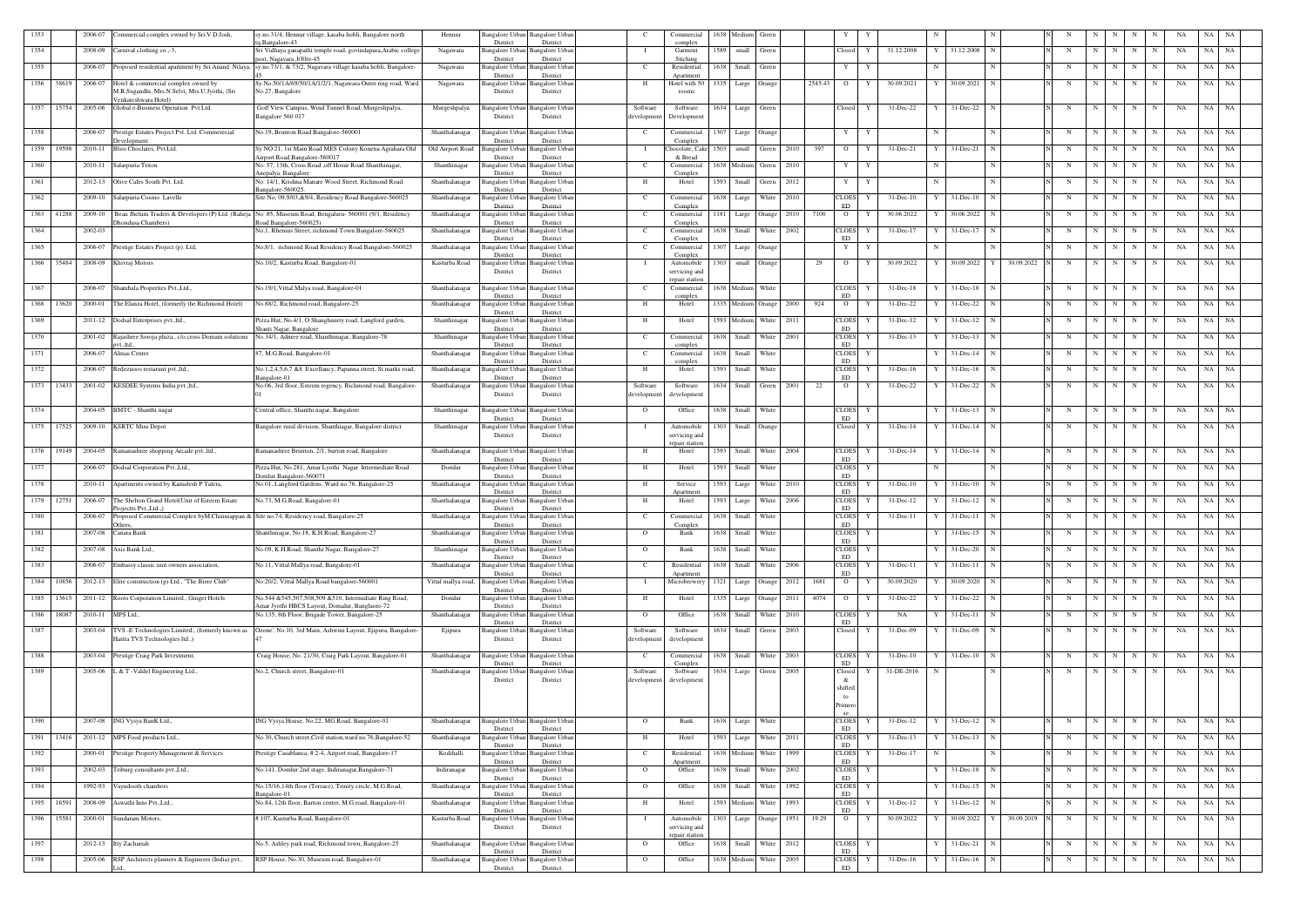| 1353          | 2006-07           | 'ommercial complex owned by Sri.V.D.Josh,                                                          | sy.no.31/4, Hennur village, kasaba hobli, Bangalore north                                                | Hennur              | Bangalore Urbar                    | Bangalore Urbar                    |                         | Commercial                      | 1638 | Medium                 | Green             |      |         |                            |                    |     |                |                              |             |             |     |   |             |    | NA    |           |
|---------------|-------------------|----------------------------------------------------------------------------------------------------|----------------------------------------------------------------------------------------------------------|---------------------|------------------------------------|------------------------------------|-------------------------|---------------------------------|------|------------------------|-------------------|------|---------|----------------------------|--------------------|-----|----------------|------------------------------|-------------|-------------|-----|---|-------------|----|-------|-----------|
| 1354          | 2008-09           | Carnival clothing co.,-3,                                                                          | 1.Bangalore-43<br>Sri Vidhaya ganapathi temple road, govindapura, Arabic college                         | Nagawara            | District<br><b>Bangalore Urban</b> | District<br><b>Bangalore Urbar</b> |                         | complex<br>Garment              | 1589 | small                  | Green             |      |         | Closed                     | 31.12.2008<br>Y    |     | 31.12.2008     |                              | N           | N           | N   | N | N           | NA | NA    | NA        |
|               |                   |                                                                                                    | ost, Nagavara ,b'l0re-45                                                                                 |                     | District                           | District                           |                         | Stiching                        |      |                        |                   |      |         |                            |                    |     |                |                              |             |             |     |   |             |    |       |           |
| 1355          | 2006-07           | Proposed residential apartment by Sri Anand Nilaya,                                                | sy.no.73/1, & 73/2, Nagavara village kasaba hobli, Bangalore-                                            | Nagawara            | Bangalore Urba<br>District         | Bangalore Urba<br>District         | - C                     | Residential<br>Apartment        | 1638 | Small                  | Green             |      |         | Y                          | Y                  |     |                |                              | N           | $\mathbf N$ | N   | N | N           | NA | NA    | NA        |
| 1356<br>38619 | 2006-07           | Hotel & commercial complex owned by                                                                | Sy.No.50/1A/69/50/1A/1/2/1, Nagawara Outer ring road, Ward                                               | Nagawara            | Bangalore Urban                    | Bangalore Urbar                    | -н                      | Hotel with 50                   | 1335 | Large Orange           |                   |      | 2545.43 | $\overline{O}$             | 30.09.2021<br>Y    |     | 30.09.2021     |                              | N           | N           | N   | N | N           | NA | NA    | NA        |
|               |                   | M.R.Sugandhi, Mrs.N.Selvi, Mrs.U.Jyothi, (Sri<br>Venkateshwara Hotel)                              | No.27, Bangalore                                                                                         |                     | District                           | District                           |                         | rooms                           |      |                        |                   |      |         |                            |                    |     |                |                              |             |             |     |   |             |    |       |           |
| 1357 15754    |                   | 2005-06 Global e-Business Operation Pvt Ltd                                                        | Golf View Campus, Wind Tunnel Road, Murgeshpalya,                                                        | Murgeshpalya        | Bangalore Urban                    | Bangalore Urban                    | Software                | Software                        |      | 1634 Large Green       |                   |      |         | Closed                     | Y<br>31-Dec-22     | - Y | 31-Dec-22 N    |                              | N           | N           | N   | N | N           | NA | NA NA |           |
|               |                   |                                                                                                    | Bangalore 560 017                                                                                        |                     | District                           | District                           | developmen              | Development                     |      |                        |                   |      |         |                            |                    |     |                |                              |             |             |     |   |             |    |       |           |
| 1358          | 2006-07           | Prestige Estates Project Pvt. Ltd. Commerecial                                                     | No:19, Brunton Road Bangalore-560001                                                                     | Shanthalanagar      | Bangalore Urbar                    | Bangalore Urbar                    | - C                     | Commercial                      | 1307 |                        | Large Orange      |      |         | Y                          | Y                  |     |                |                              | N           | N           | N I | N | N           | NA | NA    | NA        |
| 1359<br>19598 | 2010-11           | <b>Development</b><br>Bliss Choclates, Pvt.Ltd.                                                    | Sy NO:21, 1st Main Road MES Colony Konena Agrahara Old                                                   | Old Airport Road    | District<br><b>Bangalore</b> Urban | District<br>Bangalore Urban        |                         | Complex<br>Chocolate, Cake      | 1503 | small                  | Green             | 2010 | 397     | $\overline{O}$             | 31-Dec-21<br>Y     |     | 31-Dec-21      |                              | N           | N           | N   | N |             | NA | NA    | NA        |
|               |                   |                                                                                                    | irport Road Bangalore-560017                                                                             |                     | District                           | District                           |                         | & Bread                         |      | 1638 Medium Green      |                   |      |         |                            |                    | N   |                | N                            |             |             | N I |   |             |    | NA    |           |
| 1360          | 2010-11           | Salarpuria Triton                                                                                  | No: 57, 13th, Cross Road , off Hosur Road Shanthinagar,<br>nepalva. Bangalore                            | Shanthinagar        | Bangalore Urban<br>District        | angalore Urbar<br>District         | $\mathbf{C}$            | Commercial<br>Complex           |      |                        |                   | 2010 |         | Y                          | Y                  |     |                |                              | N           | N           |     | N | N           | NA |       | NA        |
| 1361          |                   | 2012-13 Olive Cafes South Pvt. Ltd.                                                                | No: 14/1, Krishna Manare Wood Street, Richmond Road<br>angalore-560025                                   | Shanthalanagar      | Bangalore Urban<br>District        | angalore Urbar<br>District         | -н                      | Hotel                           | 1593 | Small                  | Green             | 2012 |         | Y                          | Y                  | N   |                |                              | N           | N           | N   | N |             | NA | NA    | NA        |
| 1362          | 2009-10           | Salarpuria Cosmo Lavelle                                                                           | Site No; 09,9/03, & 9/4, Residency Road Bangalore-560025                                                 | Shanthalanagar      | <b>Bangalore Urban</b>             | angalore Urban                     | C.                      | Commercial                      | 1638 | Large                  | White             | 2010 |         | <b>CLOES</b>               | 31-Dec-10<br>Y     |     | $31 - Dec-10$  | N                            | N           | N           | N   | N | N           | NA | NA    | NA        |
| 1363<br>41288 | 2009-10           |                                                                                                    | Beau Jhelum Traders & Developers (P) Ltd. (Raheja No: #5, Museum Road, Bengaluru- 560001 (9/1, Residency | Shanthalanagar      | District<br><b>Bangalore Urbar</b> | District<br>angalore Urbar         | - C                     | Complex<br>Commercial           | 1181 |                        | Large Orange      | 2010 | 7100    | ED<br>$\overline{O}$       | 30.06.2022         |     | 30.06.2022     |                              | N           | N           | N   | N |             | NA | NA    | NA        |
|               |                   | Ohondusa Chambers)                                                                                 | Road Bangalore-560025)                                                                                   |                     | District                           | District                           |                         | Complex                         |      |                        |                   |      |         |                            |                    |     |                |                              |             |             |     |   |             |    |       |           |
| 1364          | 2002-03           |                                                                                                    | No;1, Rhenius Street, richmond Town Bangalore-560025                                                     | Shanthalanagar      | Bangalore Urbar<br>District        | angalore Urbar<br>District         | - C                     | Commercial<br>Complex           | 1638 | Small                  | White             | 2002 |         | <b>CLOES</b><br>ED         | 31-Dec-17          |     | 31-Dec-17      |                              | N           | N           | N   | N | N           | NA | NA NA |           |
| 1365          | 2006-07           | Prestige Estates Project (p). Ltd,                                                                 | No;8/1, richmond Road Residency Road Bangalore-560025                                                    | Shanthalanagar      | Bangalore Urban                    | Bangalore Urban                    | - C                     | Commercial                      | 1307 |                        | Large Orange      |      |         | Y                          | Y                  | N   |                |                              | $\mathbf N$ | N           | N   | N | N           | NA | NA    | NA        |
| 1366<br>35484 | 2008-09           | Khivraj Motors                                                                                     | No.10/2, Kasturba Road, Bangalore-01                                                                     | Kasturba Road       | District<br>3angalore Urban        | District<br>angalore Urban         |                         | Complex<br>Automobile           | 1303 | small                  | Orange            |      | 29      | $\overline{O}$             | Y<br>30.09.2022    |     | 30.09.2022     | 30.09.2022<br>$\overline{Y}$ | $\mathbf N$ | N           | N   | N | $\mathbf N$ | NA | NA    | <b>NA</b> |
|               |                   |                                                                                                    |                                                                                                          |                     | District                           | District                           |                         | servicing and                   |      |                        |                   |      |         |                            |                    |     |                |                              |             |             |     |   |             |    |       |           |
| 1367          | 2006-07           | Shambala Properties Pvt., Ltd.,                                                                    | No.19/1, Vittal Malya road, Bangalore-01                                                                 | Shanthalanagar      | Bangalore Urbar                    | Bangalore Urba                     |                         | repair station<br>Commercial    |      | 1638 Medium White      |                   |      |         | <b>CLOES</b>               | 31-Dec-18          |     | 31-Dec-18      |                              | N           | N           |     | N | N           | NA | NA    | NA        |
| 1368<br>13620 | 2000-01           | The Elanza Hotel, (formerly the Richmond Hotel)                                                    | No.88/2, Richmond road, Bangalore-25                                                                     | Shanthalanagar      | District<br>Bangalore Urba         | District<br>angalore Urbar         | H                       | complex<br>Hotel                |      | 1335 Medium Orange     |                   | 2000 | 924     | ED<br>$\overline{O}$       | 31-Dec-22          |     | $31 - Dec-22$  |                              | N           | N           |     | N | N           | NA | NA    | NA        |
|               |                   |                                                                                                    |                                                                                                          |                     | District                           | District                           |                         |                                 |      |                        |                   |      |         |                            |                    |     |                |                              |             |             |     |   |             |    |       |           |
| 1369          |                   | 2011-12 <b>Dodsal Enterprises pvt., ltd.</b> ,                                                     | Pizza Hut, No.4/1, O Shaughnurry road, Langford garden,<br>Shanti Nagar, Bangalore                       | Shanthinagar        | Bangalore Urbar<br>District        | Bangalore Urbar<br>District        | H                       | Hotel                           |      | 1593 Medium White      |                   | 2011 |         | <b>CLOES</b><br><b>ED</b>  | 31-Dec-12          |     | $31 - Dec-12$  |                              | N           | N           | N   | N | N           | NA | NA    | NA        |
| 1370          | 2001-02           | Rajashree Soroja pluza., c/o.cross Domain solutions<br>vt 1td                                      | No.34/1, Adnree road, Shanthinagar, Bangalore-78                                                         | Shanthinagar        | Bangalore Urba<br>District         | Bangalore Urbar<br>District        | - C                     | Commercial<br>complex           | 1638 | Small                  | White             | 2001 |         | <b>CLOES</b><br><b>ED</b>  | $31$ -Dec-13       |     | $31 - Dec-13$  |                              | N           | N           | N   | N | N           | NA | NA    | NA        |
| 1371          | 2006-07           | Almas Center                                                                                       | 7, M.G.Road, Bangalore-01                                                                                | Shanthalanagar      | Bangalore Urban                    | Bangalore Urban                    | - C                     | Commercial                      | 1638 | Small                  | White             |      |         | <b>CLOES</b>               |                    |     | $31 - Dec-14$  |                              | N           | N           |     | N |             | NA | NA    | NA        |
| 1372          | 2006-07           | Redezuoos restarunt pvt.,ltd.,                                                                     | No.1,2,4,5,6,7 &8 Excellancy, Papanna street, St.marks road,                                             | Shanthalanagar      | District<br>Bangalore Urba         | District<br>angalore Urbar         | H                       | complex<br>Hotel                | 1593 | Small                  | White             |      |         | <b>ED</b><br>CLOES         | 31-Dec-16          |     | $31$ -Dec-16   |                              | N           | N           | N   | N | N           | NA | NA    | NA        |
|               |                   |                                                                                                    | angalore-01                                                                                              |                     | District                           | District                           |                         |                                 |      |                        |                   |      |         | ED                         |                    |     |                |                              |             |             |     |   |             |    |       |           |
| 1373 13433    |                   | 2001-02 KESDEE Systems India pvt., ltd.,                                                           | No.06, 3rd floor, Esteem regency, Richmond road, Bangalore-                                              | Shanthalanagar      | <b>Bangalore Urban</b><br>District | Bangalore Urbar<br>District        | Software<br>developmer  | Software<br>development         | 1634 | Small                  | Green             | 2001 | 22      | $\overline{O}$             | 31-Dec-22<br>Y     |     | 31-Dec-22      |                              | N           | N           | N   | N | N           | NA | NA    | NA        |
|               |                   |                                                                                                    |                                                                                                          |                     |                                    |                                    |                         |                                 |      | Small White            |                   |      |         |                            |                    |     |                |                              |             |             |     |   |             |    | NA NA |           |
| 1374          |                   | 2004-05 BMTC - Shanthi nagar                                                                       | Central office, Shanthi nagar, Bangalore                                                                 | Shanthinagar        | <b>Bangalore Urban</b><br>District | Bangalore Urbar<br>District        | $\overline{O}$          | Office                          | 1638 |                        |                   |      |         | <b>CLOES</b><br>ED         | Y                  |     | $31 - Dec-13$  |                              | N           | N           | N   | N | N           | NA |       |           |
|               |                   | 1375 17525 2009-10 KSRTC Mini Depot                                                                | Bangalore rural division, Shanthiagar, Bangalore district                                                | Shanthinagar        | Bangalore Urban<br>District        | Bangalore Urbar<br>District        |                         | Automobile<br>servicing and     | 1303 | Small Orange           |                   |      |         | Closed                     | 31-Dec-14<br>Y     |     | $31$ -Dec-14   |                              | N           | N           | N   | N | N           | NA | NA NA |           |
|               |                   |                                                                                                    |                                                                                                          |                     |                                    |                                    |                         | repair station                  |      |                        |                   |      |         |                            |                    |     |                |                              |             |             |     |   |             |    |       |           |
| 1376<br>19149 |                   | 2004-05 Ramanashree shopping Arcade pvt., ltd.,                                                    | Ramanashree Brunton, 2/1, burton road, Bangalore                                                         | Shanthalanagar      | Bangalore Urbar<br>District        | angalore Urbar<br>District         |                         | Hotel                           | 1593 | Small                  | White             | 2004 |         | <b>CLOES</b><br><b>ED</b>  | 31-Dec-14          |     | 31-Dec-14      |                              | N           | N           |     | N |             | NA | NA    | NA        |
| 1377          | 2006-07           | Dodsal Corporation Pvt., Ltd.,                                                                     | Pizza Hut, No.281, Amar Lyothi Nagar Intermediate Road                                                   | Domlur              | <b>Bangalore Urban</b>             | angalore Urbar                     | -н                      | Hotel                           | 1593 | Small                  | White             |      |         | <b>CLOES</b>               | Y                  | N   |                | N                            | $\mathbf N$ | N           | N   | N | N           | NA | NA    | NA        |
| 1378          | 2010-11           | Apartments owned by Kamalesh P Talera,                                                             | Domlur Bangalore-560071<br>No.01, Langford Gardens, Ward no.76, Bangalore-25                             | Shanthalanagar      | District<br>Bangalore Urban        | District<br>angalore Urbar         | H                       | Service                         | 1593 | Large                  | White             | 2010 |         | <b>ED</b><br><b>CLOES</b>  | $31 - Dec-10$<br>Y |     | $31 - Dec-10$  | N                            | N           | N           | N   | N | N           | NA | NA    | NA        |
|               |                   |                                                                                                    |                                                                                                          |                     | District                           | District                           |                         | Apartment                       |      |                        |                   |      |         | <b>ED</b>                  |                    |     |                |                              |             |             |     |   |             |    |       |           |
| 1379 12751    | 2006-07           | The Shelton Grand Hotel(Unit of Esteem Estate<br>Projectts Pvt., Ltd.,                             | No.73, M.G.Road, Bangalore-01                                                                            | Shanthalanagar      | 3angalore Urban<br>District        | angalore Urbar<br>District         | Н.                      | Hotel                           | 1593 | Large                  | White             | 2006 |         | CLOES<br>ED                | $31 - Dec-12$<br>Y |     | $31 - Dec-12$  |                              | N           | N           | N   | N | N           | NA | NA    | NA        |
| 1380          | 2006-07           | Proposed Commercial Complex by M.Chinniappan & Site no.74, Residency road, Bangalore-25<br>Others, |                                                                                                          | Shanthalanagar      | <b>Bangalore Urban</b><br>District | Bangalore Urban<br>District        | $\mathbf{C}$            | Commercial                      | 1638 | Small                  | White             |      |         | <b>CLOES</b><br>ED         | Y<br>31-Dec-11     |     | $31 - Dec-11$  |                              | N           | N           | N   | N | N           | NA | NA    | NA        |
| 1381          | 2007-08           | Canara Bank                                                                                        | Shanthinagar, No.18, K.H.Road, Bangalore-27                                                              | Shanthalanagar      | Bangalore Urban                    | Bangalore Urbar                    | $\overline{O}$          | Complex<br>Bank                 | 1638 | Small                  | White             |      |         | CLOES                      | Y                  |     | $31 - Dec-15$  |                              | N           | N           | N   | N | N           | NA | NA    | NA        |
| 1382          | 2007-08           | Axis Bank Ltd.,                                                                                    | No.09, K.H.Road, Shanthi Nagar, Bangalore-27                                                             | Shanthinagar        | District<br>Bangalore Urban        | District<br>angalore Urban         | $\overline{O}$          | Bank                            | 1638 | Small                  | White             |      |         | ED<br><b>CLOES</b>         | Y                  |     | $31 - Dec-20$  |                              | N           | N           | N   | N | N           | NA | NA    | <b>NA</b> |
|               |                   |                                                                                                    |                                                                                                          |                     | District                           | District                           |                         |                                 |      |                        |                   |      |         | ED                         |                    |     |                |                              |             |             |     |   |             |    |       |           |
| 1383          | 2006-07           | Embassy classic unit owners association,                                                           | No.11, Vittal Mallya road, Bangalore-01                                                                  | Shanthalanagar      | <b>Bangalore Urban</b><br>District | Bangalore Urban<br>District        | - C                     | Residential<br>Apartment        |      | 1638 Small White 2006  |                   |      |         | <b>CLOES</b><br>ED         | 31-Dec-11<br>Y     |     | $31$ -Dec-11 N |                              | N           | N           | N   | N | $\mathbf N$ | NA | NA NA |           |
| 1384 10856    |                   | 2012-13 Elite construction (p) Ltd., "The Biere Club"                                              | No:20/2, Vittal Mallya Road bangalore-560001                                                             | Vittal mallya road, | <b>Bangalore Urban</b><br>District | <b>Bangalore Urban</b><br>District | - I                     | Microbrewery                    |      | 1321 Large Orange 2012 |                   |      | 1681    | $\overline{O}$             | 30.09.2020<br>Y    |     | 30.09.2020     | N                            | N           | N           | N   | N | N           | NA | NA    | <b>NA</b> |
| 1385 13615    | 2011-12           | Roots Corporation Limited., Ginger Hotels                                                          | No.544 &545,507,508,509 &510, Intermidiate Ring Road,                                                    | Domlur              | <b>Bangalore Urban</b>             | Bangalore Urban                    | Н                       | Hotel                           |      | 1335 Large Orange 2011 |                   |      | 4074    | $\overline{O}$             | 31-Dec-22          |     | $31$ -Dec-22 N |                              | N           | N           | N   | N | N           | NA | NA NA |           |
| 1386<br>18087 | 2010-11 MPS Ltd., |                                                                                                    | Amar Jyothi HBCS Layout, Domalur, Banglaore-72<br>No.135, 8th Floor, Brigade Tower, Bangalore-25         | Shanthalanagar      | District<br><b>Bangalore Urban</b> | District<br>Bangalore Urban        | $\overline{O}$          | Office                          |      | 1638 Small White 2010  |                   |      |         | <b>CLOES</b>               | NA<br>Y            |     | $31$ -Dec-11 N |                              | N           | N           | N   | N | N           | NA | NA NA |           |
|               |                   |                                                                                                    |                                                                                                          |                     | District                           | District                           |                         |                                 |      |                        |                   |      |         | ED                         |                    |     |                |                              |             |             |     |   |             |    |       |           |
| 1387          | 2003-04           | TVS -E Technologies Limited., (formerly known as<br>Harita TVS Technologies ltd.,)                 | Ozone', No.10, 3rd Main, Ashwini Layout, Ejipura, Bangalore-                                             | Ejipura             | Bangalore Urban<br>District        | <b>Bangalore Urban</b><br>District | Software<br>developmen  | Software<br>development         |      | 1634 Small Green 2003  |                   |      |         | Closed                     | 31-Dec-09<br>Y     |     | $31$ -Dec-09 N |                              | N           | N           | N   | N | N           | NA | NA NA |           |
|               |                   |                                                                                                    |                                                                                                          |                     |                                    |                                    |                         |                                 |      |                        |                   |      |         |                            |                    |     |                |                              |             |             |     |   |             |    |       |           |
| 1388          | 2003-04           | Prestige Craig Park Investment,                                                                    | Craig House, No. 21/30, Craig Park Layout, Bangalore-01                                                  | Shanthalanagar      | Bangalore Urbar<br>District        | Bangalore Urban<br>District        | $\mathbf{C}$            | Commercial<br>Complex           | 1638 | Small                  | White             | 2003 |         | <b>CLOES</b><br>ED         | $31 - Dec-10$<br>Y |     | $31$ -Dec-10   | N                            | N           | N           | N   | N |             | NA | NA    | NA        |
| 1389          |                   | 2005-06 L & T -Valdel Engineering Ltd.,                                                            | No.2, Church street, Bangalore-01                                                                        | Shanthalanagar      | Bangalore Urbar<br>District        | angalore Urban<br>District         | Software<br>development | Software<br>development         |      | 1634 Large Green 2005  |                   |      |         | Closed<br>&                | 31-DE-2016         |     |                | N                            | N           | N           | N   | N | N           | NA | NA NA |           |
|               |                   |                                                                                                    |                                                                                                          |                     |                                    |                                    |                         |                                 |      |                        |                   |      |         | shifted                    |                    |     |                |                              |             |             |     |   |             |    |       |           |
|               |                   |                                                                                                    |                                                                                                          |                     |                                    |                                    |                         |                                 |      |                        |                   |      |         | $\overline{10}$<br>Primere |                    |     |                |                              |             |             |     |   |             |    |       |           |
|               |                   |                                                                                                    |                                                                                                          |                     |                                    |                                    |                         |                                 |      |                        |                   |      |         |                            |                    |     |                |                              |             |             |     |   |             |    |       |           |
| 1390          |                   | 2007-08 ING Vysya BanK Ltd.,                                                                       | ING Vysya House, No.22, MG Road, Bangalore-01                                                            | Shanthalanagar      | <b>Bangalore Urban</b><br>District | Bangalore Urban<br>District        | $\overline{O}$          | Bank                            | 1638 | Large White            |                   |      |         | <b>CLOES</b><br>ED         | $31 - Dec-12$<br>Y |     | 31-Dec-12      | N                            | N           | N           | N   | N | N           | NA | NA    | NA        |
| 1391<br>13416 |                   | 2011-12 MPS Food products Ltd.,                                                                    | No.30, Church street, Civil station, ward no.76, Bangalore-52                                            | Shanthalanagar      | Bangalore Urban                    | angalore Urban<br>District         | Н.                      | Hotel                           |      | 1593 Large             | White 2011        |      |         | CLOES<br>ED                | 31-Dec-13<br>Y     |     | $31 - Dec-13$  |                              | N           | N           | N   | N | N           | NA | NA    | <b>NA</b> |
| 1392          | 2000-01           | Prestige Property Management & Services                                                            | restige Casablanca, #2-4, Airport road, Bangalore-17                                                     | Kodihalli           | District<br>Bangalore Urban        | angalore Urban                     | – C                     | Residential                     |      | 1638 Medium White      |                   | 1999 |         | <b>CLOES</b>               | 31-Dec-17<br>Y     | -N  |                |                              | N           | N           | N   | N | N           | NA | NA    | NA        |
| 1393          | 2002-03           | Triburg consultants pvt., Ltd.,                                                                    | No.141, Domlur 2nd stage, Indiranagar, Bangalore-71                                                      | Indiranagar         | District<br>Bangalore Urban        | District<br>angalore Urban         | $\overline{O}$          | Apartment<br>Office             |      | 1638 Small             | White 2002        |      |         | ED<br><b>CLOES</b>         | Y                  |     | 31-Dec-18      | N                            | N           | N           | N   | N | N           | NA | NA NA |           |
|               |                   |                                                                                                    |                                                                                                          |                     | District                           | District                           |                         |                                 |      |                        |                   |      |         | ED                         |                    |     |                |                              |             |             |     |   |             |    |       |           |
| 1394          | 1992-93           | Vayudooth chambers                                                                                 | No.15/16,14th floor (Terrace), Trinity circle, M.G.Road,<br>angalore-01                                  | Shanthalanagar      | Bangalore Urban<br>District        | angalore Urban<br>District         | $\overline{O}$          | Office                          | 1638 | Small                  | White             | 1992 |         | <b>CLOES</b><br>ED         | Y                  |     | $31 - Dec-15$  | N                            | N           | N           | N   | N | N           | NA | NA    | NA        |
| 1395<br>16591 | 2008-09           | Aswathi Inns Pvt., Ltd.,                                                                           | No.84, 12th floor, Barton center, M.G.road, Bangalore-01                                                 | Shanthalanagar      | <b>Bangalore</b> Urban             | Bangalore Urban                    | H                       | Hotel                           |      | 1593 Medium White      |                   | 1993 |         | <b>CLOES</b>               | $31 - Dec-12$<br>Y |     | $31 - Dec-12$  | $\mathbf N$                  | N           | N           | N   | N | N           | NA | NA NA |           |
| 1396<br>15581 |                   | 2000-01 Sundaram Motors,                                                                           | #107, Kasturba Road, Bangalore-01                                                                        | Kasturba Road       | District<br>Bangalore Urban        | District<br>Bangalore Urban        |                         | Automobile                      | 1303 |                        | Large Orange 1951 |      | 19.29   | ED<br>$\overline{O}$       | 30.09.2022<br>Y    |     | 30.09.2022 Y   | 30.09.2019                   | N           | N           | N   | N | N           | NA | NA NA |           |
|               |                   |                                                                                                    |                                                                                                          |                     | District                           | District                           |                         | servicing and<br>repair station |      |                        |                   |      |         |                            |                    |     |                |                              |             |             |     |   |             |    |       |           |
| 1397          | 2012-13           | Itty Zachariah                                                                                     | No.5, Ashley park road, Richmond town, Bangalore-25                                                      | Shanthalanagar      | <b>Bangalore Urbar</b>             | Bangalore Urban                    | $\overline{O}$          | Office                          | 1638 |                        | Small White 2012  |      |         | <b>CLOES</b>               | Y                  |     | 31-Dec-21      |                              | N           | N           | N   | N | N           | NA | NA    | NA        |
| 1398          |                   | 2005-06 RSP Architects planners & Engineers (India) pvt.,                                          | RSP House, No.30, Museum road, Bangalore-01                                                              | Shanthalanagar      | District<br><b>Bangalore Urban</b> | District<br><b>Bangalore Urban</b> | $\mathbf{O}$            | Office                          |      | 1638 Medium White 2005 |                   |      |         | ED<br>CLOES                | Y<br>$31 - Dec-16$ |     | $31$ -Dec-16   | N                            | N           | N           | N   | N | N           | NA | NA NA |           |
|               |                   |                                                                                                    |                                                                                                          |                     | District                           | District                           |                         |                                 |      |                        |                   |      |         | ED                         |                    |     |                |                              |             |             |     |   |             |    |       |           |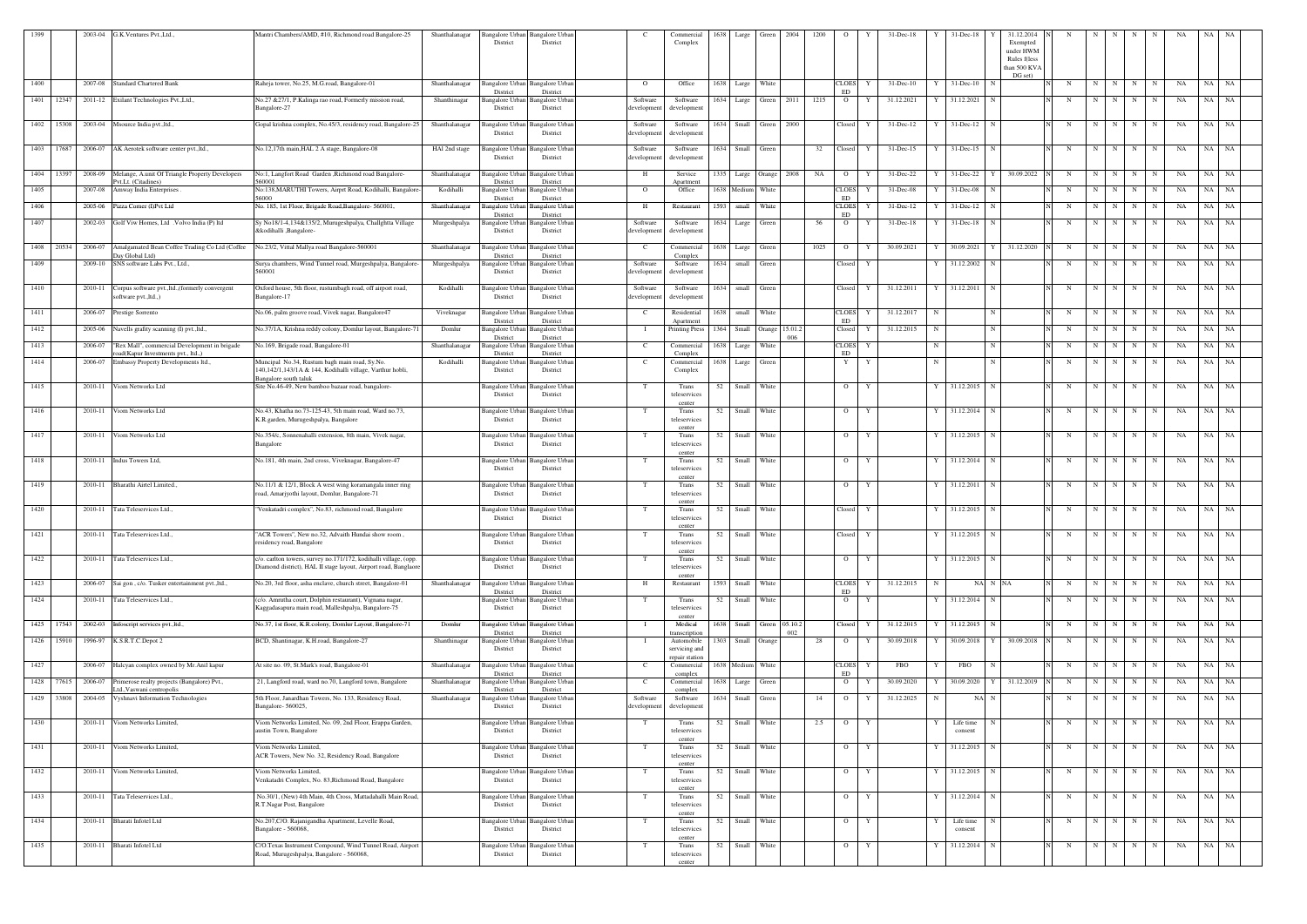| 1399 |            | 2003-04 | G.K.Ventures Pvt., Ltd.                                                             | Mantri Chambers/AMD, #10, Richmond road Bangalore-25                                                                                | Shanthalanagar | District                                | Bangalore Urban Bangalore Urban<br>District | <sup>-</sup> C                      | Commercial<br>Complex                         | 1638 | Large                     | Green               | 2004 | 1200 | $\circ$                   | Y            | $31 - Dec-18$ |    | $31 - Dec-18$             | 31.12.2014<br>Exempted<br>under HWM<br>Rules f(less<br>than 500 KVA<br>DG set) |            |             |         |             |             | NA | NA<br>NA          |  |
|------|------------|---------|-------------------------------------------------------------------------------------|-------------------------------------------------------------------------------------------------------------------------------------|----------------|-----------------------------------------|---------------------------------------------|-------------------------------------|-----------------------------------------------|------|---------------------------|---------------------|------|------|---------------------------|--------------|---------------|----|---------------------------|--------------------------------------------------------------------------------|------------|-------------|---------|-------------|-------------|----|-------------------|--|
| 1400 |            | 2007-08 | <b>Standard Chartered Bank</b>                                                      | Raheja tower, No.25, M.G.road, Bangalore-01                                                                                         | Shanthalanagar | District                                | Bangalore Urban Bangalore Urban<br>District | $\Omega$                            | Office                                        | 1638 | Large                     | White               |      |      | <b>CLOES</b><br><b>ED</b> | Y            | $31 - Dec-10$ |    | $31$ -Dec-10<br>-N        |                                                                                | N          | N           | N       | N           | N           | NA | NA  <br><b>NA</b> |  |
| 1401 | 12347      |         | 2011-12 Exilant Technologies Pvt., Ltd.,                                            | No.27 & 27/1, P.Kalinga rao road, Formerly mission road,<br>Bangalore-27                                                            | Shanthinagar   | Bangalore Urban<br>District             | Bangalore Urbar<br>District                 | Software<br>developmen <sup>®</sup> | Software<br>development                       |      | 1634 Large                | Green               | 2011 | 1215 | $\overline{O}$            | Y            | 31.12.2021    |    | 31.12.2021<br>N           |                                                                                | N          | N           | N       | N           | N           | NA | NA<br><b>NA</b>   |  |
|      | 1402 15308 |         | 2003-04 Msource India pvt., ltd.,                                                   | Gopal krishna complex, No.45/3, residency road, Bangalore-25                                                                        | Shanthalanagar | Bangalore Urban<br>District             | Bangalore Urbar<br>District                 | Software<br>developmen <sup>®</sup> | Software<br>development                       | 1634 | Small Green               |                     | 2000 |      | Closed                    | Y            | 31-Dec-12     |    | $31$ -Dec-12 N            |                                                                                | N          | N           | N       | N           | $\mathbf N$ | NA | NA NA             |  |
|      | 1403 17687 | 2006-07 | AK Aerotek software center pvt., ltd.,                                              | No.12,17th main, HAL 2 A stage, Bangalore-08                                                                                        | HAI 2nd stage  | Bangalore Urban<br>District             | Bangalore Urban<br>District                 | Software<br>developmen              | Software<br>development                       | 1634 | Small                     | Green               |      | 32   | Closed                    | Y            | $31 - Dec-15$ |    | 31-Dec-15<br>$\mathbf N$  |                                                                                | N          | N           | N       | N           | N           | NA | NA<br>NA          |  |
| 1404 | 13397      | 2008-09 | Melange, A.unit Of Triangle Property Developers                                     | No:1, Langfort Road Garden , Richmond road Bangalore-<br>560001                                                                     | Shanthalanagar | Bangalore Urba                          | Bangalore Urbar                             | Н                                   | Service                                       |      | 1335 Large Orange 2008    |                     |      | NA   | $\overline{O}$            |              | 31-Dec-22     |    | 31-Dec-22                 | 30.09.2022                                                                     | N          | N           | N       | N           | N           | NA | NA<br>NA          |  |
| 1405 |            | 2007-08 | vt.Lt. (Citadines)<br>Amway India Enterprises.                                      | No:138, MARUTHI Towers, Airprt Road, Kodihalli, Bangalore-                                                                          | Kodihalli      | District<br>Bangalore Urbar             | District<br>Bangalore Urbar                 | $\mathbf{O}$                        | Apartment<br>Office                           |      | 1638 Medium               | White               |      |      | <b>CLOES</b>              |              | 31-Dec-08     |    | $31 - Dec-08$             |                                                                                | N          | N           | N       | N           | N           | NA | NA NA             |  |
| 1406 |            | 2005-06 | Pizza Corner (I)Pvt Ltd                                                             | 56000<br>No. 185, 1st Floor, Brigade Road, Bangalore- 560001.                                                                       | Shanthalanagar | District<br>3angalore Urbaı             | District<br>Bangalore Urbar                 | H                                   | Restaurant                                    | 1593 | small                     | White               |      |      | ED<br><b>CLOES</b>        |              | 31-Dec-12     |    | 31-Dec-12                 |                                                                                | N          | $\mathbf N$ | N       | N           | $\mathbf N$ | NA | NA<br>NA          |  |
| 1407 |            | 2002-03 | Golf Viw Homes, Ltd . Volvo India (P) ltd                                           | Sy No18/1-4,134&135/2, Murugeshpalya, Challghtta Village<br>&kodihalli ,Bangalore-                                                  | Murgeshpalya   | District<br>Bangalore Urban<br>District | District<br>Bangalore Urban<br>District     | Software<br>developmen              | Software<br>development                       | 1634 | Large Green               |                     |      | 56   | ED<br>$\overline{O}$      |              | 31-Dec-18     |    | $31$ -Dec-18              |                                                                                | N          | N           | N       | N           | N           | NA | NA NA             |  |
| 1408 | 20534      | 2006-07 | Amalgamated Bean Coffee Trading Co Ltd (Coffee                                      | No.23/2, Vittal Mallya road Bangalore-560001                                                                                        | Shanthalanagar | Bangalore Urban                         | <b>Bangalore</b> Urban                      | $\mathbf{C}$                        | Commercial                                    | 1638 | Large                     | Green               |      | 1025 | $\overline{O}$            |              | 30.09.2021    |    | 30.09.2021<br>Y           | 31.12.2020                                                                     | N          | N           | N       | N           | N           | NA | NA<br>NA          |  |
| 1409 |            |         | Day Global Ltd)<br>2009-10 SNS software Labs Pvt., Ltd.,                            | Surya chambers, Wind Tunnel road, Murgeshpalya, Bangalore-                                                                          | Murgeshpalya   | District<br>Bangalore Urban             | District<br><b>Bangalore Urban</b>          | Software                            | Complex<br>Software                           |      | 1634 small Green          |                     |      |      | Closed                    | Y            |               |    | 31.12.2002<br>$\mathbf N$ |                                                                                | N          |             | $N$ $N$ | N           | N           | NA | NA NA             |  |
|      |            |         |                                                                                     | 560001                                                                                                                              |                | District                                | District                                    | developmen                          | developmen                                    |      |                           |                     |      |      |                           |              |               |    |                           |                                                                                |            |             |         |             |             |    |                   |  |
| 1410 |            |         | 2010-11 Corpus software pvt.,ltd., (formerly convergent<br>software pvt.,ltd.,)     | Oxford house, 5th floor, rustumbagh road, off airport road,<br>Bangalore-17                                                         | Kodihalli      | Bangalore Urban<br>District             | <b>Bangalore Urbar</b><br>District          | Software<br>developmen              | Software<br>development                       | 1634 | small Green               |                     |      |      | Closed                    | Y            | 31.12.2011    |    | 31.12.2011 N              |                                                                                | N          | N           | N       | N           | N           | NA | NA<br><b>NA</b>   |  |
| 1411 |            |         | 2006-07 Prestige Sorrento                                                           | No.06, palm groove road, Vivek nagar, Bangalore47                                                                                   | Viveknagar     | District                                | Bangalore Urban Bangalore Urban<br>District | C                                   | Residential<br>Anartmen                       | 1638 | small                     | White               |      |      | <b>CLOES</b><br>ED        | Y            | 31.12.2017    | N  | N                         |                                                                                | N          | N           | N       | N           | N           | NA | NA<br>NA          |  |
| 1412 |            |         | 2005-06 Navells grafity scanning (I) pvt.,ltd.,                                     | No.37/1A, Krishna reddy colony, Domlur layout, Bangalore-71                                                                         | Domlur         | Bangalore Urban<br>District             | Bangalore Urban<br>District                 |                                     | <b>Printing Press</b>                         |      | 1364 Small Orange 15.01.2 |                     | 006  |      | Closed                    | Y            | 31.12.2015    | N  | N                         |                                                                                | N          | N           | N       | N           | N           | NA | NA NA             |  |
| 1413 |            | 2006-07 | "Rex Mall", commercial Development in brigade<br>oad(Kapur Investments pvt., ltd.,) | No.169, Brigade road, Bangalore-01                                                                                                  | Shanthalanagar | Bangalore Urban<br>District             | Bangalore Urban<br>District                 | $\mathbf{C}$                        | Commercial<br>Complex                         | 1638 | Large                     | White               |      |      | <b>CLOES</b><br>ED        | Y            |               | N  | N                         |                                                                                | N          | N           | N       | N           | N           | NA | NA<br>NA          |  |
| 1414 |            |         | 2006-07 Embassy Property Developments ltd.,                                         | Muncipal No.34, Rustum bagh main road, Sy.No.<br>140,142/1,143/1A & 144, Kodihalli village, Varthur hobli,                          | Kodihalli      | Bangalore Urban<br>District             | <b>Bangalore Urban</b><br>District          | $\mathbf{C}$                        | Commercial<br>Complex                         |      | 1638 Large Green          |                     |      |      | Y                         | Y            |               | N  | N                         |                                                                                | N          | N           | N       | N           | N           | NA | NA NA             |  |
| 1415 |            | 2010-11 | Viom Networks Ltd                                                                   | Bangalore south taluk<br>Site No.46-49, New bamboo bazaar road, bangalore-                                                          |                | District                                | Bangalore Urban Bangalore Urban<br>District | T                                   | Trans<br>teleservices<br>center               | 52   | Small                     | White               |      |      | $\overline{O}$            | Y            |               |    | 31.12.2015<br>N           |                                                                                | N          | N           | N       | $\mathbf N$ | N           | NA | NA<br>NA          |  |
| 1416 |            | 2010-11 | Viom Networks Ltd                                                                   | No.43, Khatha no.73-125-43, 5th main road, Ward no.73,<br>K.R.garden, Murugeshpalya, Bangalore                                      |                | Bangalore Urban<br>District             | Bangalore Urban<br>District                 | T                                   | Trans<br>teleservices                         | 52   | Small White               |                     |      |      | $\overline{O}$            | Y            |               |    | 31.12.2014 N              |                                                                                | N          | N           | N       | N           | N           | NA | NA NA             |  |
| 1417 |            | 2010-11 | Viom Networks Ltd                                                                   | No.354/c, Sonnenahalli extension, 8th main, Vivek nagar,<br>Bangalore                                                               |                | Bangalore Urban<br>District             | Bangalore Urban<br>District                 |                                     | center<br>Trans<br>teleservices               | 52   | Small White               |                     |      |      | $\overline{O}$            | Y            |               |    | 31.12.2015 N              |                                                                                | N          | N           | N I     | N           | N           | NA | NA NA             |  |
| 1418 |            |         | 2010-11 Indus Towers Ltd,                                                           | No.181, 4th main, 2nd cross, Viveknagar, Bangalore-47                                                                               |                | Bangalore Urban                         | Bangalore Urban                             |                                     | center<br>Trans                               |      | 52 Small White            |                     |      |      | $\overline{O}$            | Y            |               |    | 31.12.2014 N              |                                                                                | N          | N           | N       | N           | N           | NA | NA NA             |  |
|      |            |         |                                                                                     |                                                                                                                                     |                | District                                | District                                    |                                     | teleservices                                  |      |                           |                     |      |      |                           |              |               |    |                           |                                                                                |            |             |         |             |             |    |                   |  |
| 1419 |            |         | 2010-11 Bharathi Airtel Limited.,                                                   | No.11/1 & 12/1, Block A west wing koramangala inner ring<br>road, Amarjyothi layout, Domlur, Bangalore-71                           |                | District                                | Bangalore Urban Bangalore Urban<br>District | T                                   | Trans<br>teleservices<br>center               | 52   | Small                     | White               |      |      | $\overline{O}$            | Y            |               |    | 31.12.2011                |                                                                                | N          | N           | N       | N           | N           | NA | NA<br>NA          |  |
| 1420 |            | 2010-11 | Tata Teleservices Ltd.,                                                             | "Venkatadri complex", No.83, richmond road, Bangalore                                                                               |                | District                                | Bangalore Urban Bangalore Urban<br>District | T                                   | Trans<br>teleservices<br>center               | 52   | Small                     | White               |      |      | Closed                    | Y            |               |    | 31.12.2015 N              |                                                                                | N          | N           | N       | N           | N           | NA | NA<br><b>NA</b>   |  |
| 1421 |            | 2010-11 | Tata Teleservices Ltd.                                                              | "ACR Towers", New no.32, Advaith Hundai show room.<br>esidency road, Bangalore                                                      |                | Bangalore Urban<br>District             | <b>Bangalore</b> Urbar<br>District          | T                                   | Trans<br>teleservices<br>center               | 52   | Small                     | White               |      |      | Closed                    | Y            |               |    | 31.12.2015                |                                                                                | N          | N           | N       | N           | N           | NA | NA<br>NA          |  |
| 1422 |            | 2010-11 | Tata Teleservices Ltd.,                                                             | c/o. carlton towers, survey no.171/172, kodihalli village, (opp.<br>Diamond district), HAL II stage layout, Airport road, Banglaore |                | Bangalore Urban<br>District             | Bangalore Urbar<br>District                 | T                                   | Trans<br>teleservices<br>center               | 52   | Small White               |                     |      |      | $\overline{O}$            | Y            |               |    | $31.12.2015$ N            |                                                                                | N          | N           | N       | N           | N           | NA | NA NA             |  |
| 1423 |            | 2006-07 | Sai gon, c/o. Tusker entertainment pvt.,ltd.,                                       | No.20, 3rd floor, asha enclave, church street, Bangalore-01                                                                         | Shanthalanagar | Bangalore Urban<br>District             | <b>Bangalore Urban</b><br>District          | H                                   | Restaurant                                    | 1593 | Small                     | White               |      |      | <b>CLOES</b><br>ED        | Y            | 31.12.2015    | N  | NA N NA                   |                                                                                | N          | N           | N       | N           |             | NA | NA<br>NA          |  |
| 1424 |            | 2010-11 | Tata Teleservices Ltd.,                                                             | (c/o. Amrutha court, Dolphin restaurant), Vignana nagar,<br>Kaggadasapura main road, Malleshpalya, Bangalore-75                     |                | Bangalore Urban<br>District             | Bangalore Urban<br>District                 | T                                   | Trans<br>teleservices                         | 52   | Small                     | White               |      |      | $\overline{O}$            | Y            |               |    | 31.12.2014 N              |                                                                                | N          | N           | N       | N           | N           | NA | NA NA             |  |
| 1425 | 17543      |         | 2002-03 Infoscript services pvt., ltd.,                                             | No.37, 1st floor, K.R.colony, Domlur Layout, Bangalore-71                                                                           | Domlur         | Bangalore Urban                         | <b>Bangalore Urban</b>                      |                                     | center<br>Medical                             | 1638 |                           | Small Green 05.10.2 |      |      | Closed                    |              | 31.12.2015    |    | 31.12.2015 N              |                                                                                | N          | N           | N       | N           | N           | NA | NA<br>NA          |  |
| 1426 | 15910      | 1996-97 | K.S.R.T.C.Depot 2                                                                   | BCD, Shantinagar, K.H.road, Bangalore-27                                                                                            | Shanthinagar   | District<br>Bangalore Urban             | District<br>Bangalore Urbar                 |                                     | transcription<br>Automobile                   | 1303 | Small Orange              |                     | 002  | 28   | $\overline{O}$            | Y            | 30.09.2018    |    | 30.09.2018<br>Y           | 30.09.2018                                                                     | N          | N           | N       | N           | N           | NA | NA<br>NA          |  |
| 1427 |            |         | 2006-07 Halcyan complex owned by Mr.Anil kapur                                      | At site no. 09, St.Mark's road, Bangalore-01                                                                                        | Shanthalanagar | District<br>Bangalore Urban             | District<br>Bangalore Urban                 | $\mathbf{C}$                        | servicing and<br>repair station<br>Commercial |      | 1638 Medium White         |                     |      |      | <b>CLOES</b>              | Y            | <b>FBO</b>    |    | <b>FBO</b><br>$\mathbf N$ |                                                                                | N          | N           | N       | N           | N           | NA | NA<br>NA          |  |
|      |            |         |                                                                                     |                                                                                                                                     |                | District                                | District                                    |                                     | complex                                       |      |                           |                     |      |      | ED                        |              |               |    | 30.09.2020                |                                                                                |            |             |         |             |             |    |                   |  |
|      | 1428 77615 | 2006-07 | Primerose realty projects (Bangalore) Pvt.,<br>Ltd., Vaswani centropolis            | 21, Langford road, ward no.70, Langford town, Bangalore                                                                             | Shanthalanagar | angalore Urban<br>District              | Bangalore Urban<br>District                 | <sup>-</sup> C                      | Commercial<br>complex                         | 1638 | Large                     | Green               |      |      | $\overline{O}$            |              | 30.09.2020    |    |                           | 31.12.2019                                                                     | $_{\rm N}$ | N           | N       | N           | N           | NA | NA NA             |  |
| 1429 | 33808      | 2004-05 | Vyshnavi Information Technologies                                                   | 5th Floor, Janardhan Towers, No. 133, Residency Road,<br>Bangalore-560025,                                                          | Shanthalanagar | District                                | Bangalore Urban Bangalore Urban<br>District | Software<br>developmen              | Software<br>developmen                        |      | 1634 Small Green          |                     |      | 14   | $\overline{O}$            | Y            | 31.12.2025    | -N | NA N                      |                                                                                | N          | N           | N       | $\mathbf N$ | N           | NA | NA NA             |  |
| 1430 |            | 2010-11 | Viom Networks Limited,                                                              | Viom Networks Limited, No. 09, 2nd Floor, Erappa Garden,<br>austin Town, Bangalore                                                  |                | Bangalore Urban<br>District             | <b>Bangalore</b> Urbar<br>District          | T                                   | Trans<br>teleservices<br>center               | 52   | Small                     | White               |      | 2.5  | $\overline{O}$            | Y            |               |    | Life time<br>consent      |                                                                                | $_{\rm N}$ | $\mathbf N$ | N       | N           | N           | NA | NA<br>NA          |  |
| 1431 |            | 2010-11 | Viom Networks Limited,                                                              | Viom Networks Limited,<br>ACR Towers, New No. 32, Residency Road, Bangalore                                                         |                | Bangalore Urban<br>District             | Bangalore Urban<br>District                 | T                                   | Trans<br>teleservices<br>center               | 52   | Small White               |                     |      |      | $\overline{O}$            | Y            |               |    | 31.12.2015<br>$\mathbf N$ |                                                                                | $_{\rm N}$ | N           | N       | N           | N           | NA | NA NA             |  |
| 1432 |            | 2010-11 | Viom Networks Limited,                                                              | Viom Networks Limited,<br>Venkatadri Complex, No. 83, Richmond Road, Bangalore                                                      |                | Bangalore Urban<br>District             | <b>Bangalore Urbar</b><br>District          | T                                   | Trans<br>teleservices<br>center               | 52   | Small White               |                     |      |      | $\overline{O}$            | Y            |               |    | 31.12.2015 N              |                                                                                | N          | N           | N I     | N           | N           | NA | NA NA             |  |
| 1433 |            |         | 2010-11 Tata Teleservices Ltd.,                                                     | No.30/1, (New) 4th Main, 4th Cross, Mattadahalli Main Road,<br>R.T.Nagar Post, Bangalore                                            |                | Bangalore Urban<br>District             | <b>Bangalore Urban</b><br>District          | T                                   | Trans<br>teleservices                         |      | 52 Small White            |                     |      |      | $\overline{O}$            | $\mathbf{Y}$ |               |    | 31.12.2014 N              |                                                                                | N          |             |         | N N N N     |             | NA | NA NA             |  |
| 1434 |            |         | 2010-11 Bharati Infotel Ltd                                                         | No.207, C/O. Rajanigandha Apartment, Levelle Road,<br>Bangalore - 560068,                                                           |                | District                                | Bangalore Urban Bangalore Urban<br>District | T                                   | cente<br>Trans<br>teleservices                | 52   | Small White               |                     |      |      | $\overline{O}$            | Y            |               |    | Life time<br>consent      |                                                                                | N          | N           | N       | N           | N           | NA | NA NA             |  |
| 1435 |            |         | 2010-11 Bharati Infotel Ltd                                                         | C/O.Texas Instrument Compound, Wind Tunnel Road, Airport<br>Road, Murugeshpalya, Bangalore - 560068,                                |                | District                                | Bangalore Urban Bangalore Urban<br>District | T                                   | center<br>Trans<br>teleservices               | 52   | Small White               |                     |      |      | $\overline{O}$            | Y            |               |    | 31.12.2014 N              |                                                                                | N          | N           | N       | N           | N           | NA | NA NA             |  |
|      |            |         |                                                                                     |                                                                                                                                     |                |                                         |                                             |                                     | center                                        |      |                           |                     |      |      |                           |              |               |    |                           |                                                                                |            |             |         |             |             |    |                   |  |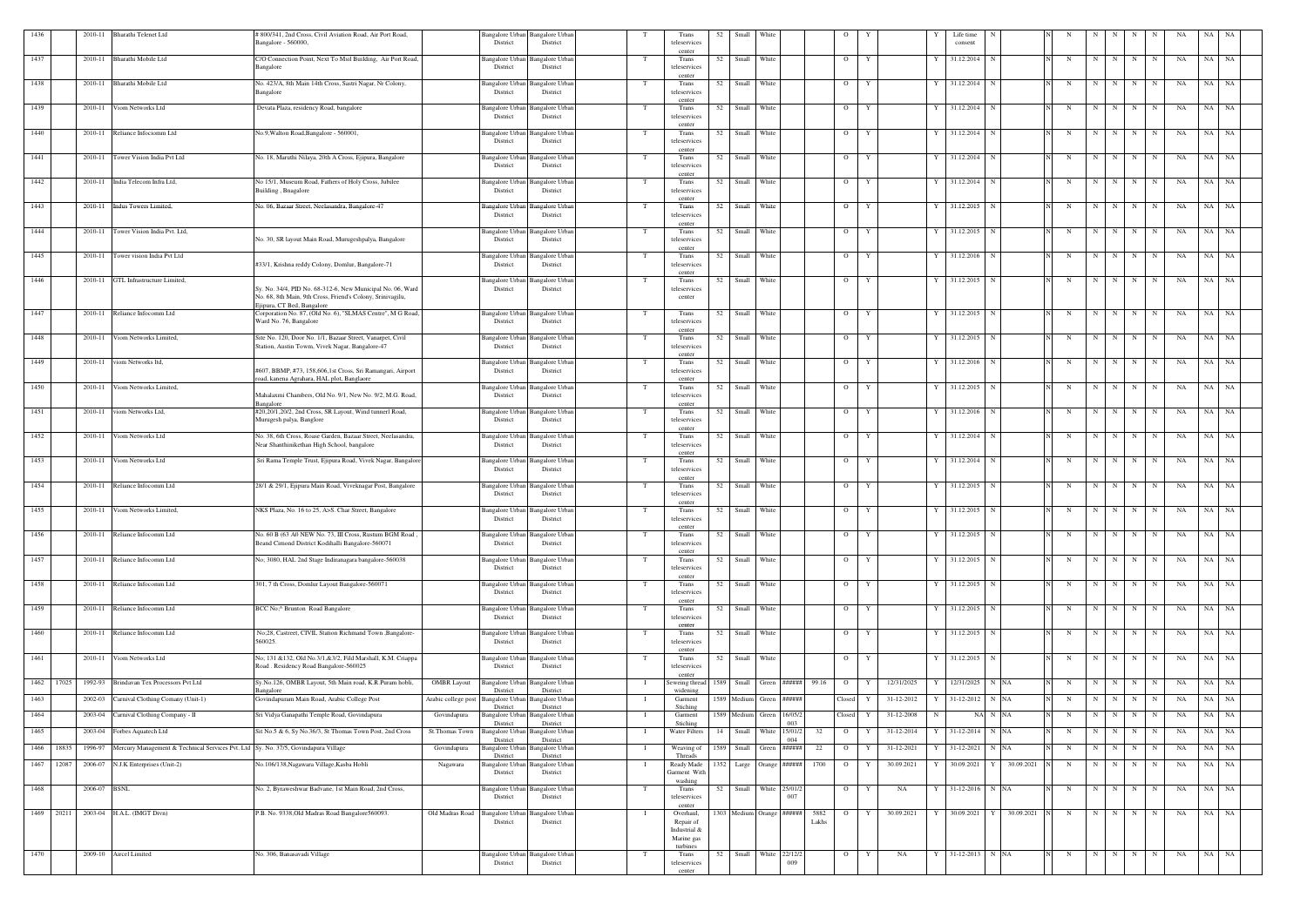| 1436 |            |              | 2010-11 Bharathi Telenet Ltd                                                       | # 800/341, 2nd Cross, Civil Aviation Road, Air Port Road,<br>Bangalore - 560000,                                                                       |                                     | Bangalore Urban Bangalore Urban<br>District | District                                |     | Trans<br>teleservices                   | 52 | Small                     | White         |                         |       | $\circ$        |                      | Life time<br>consent |                 |             |             |     |             |             | <b>NA</b> | NA        | NA        |
|------|------------|--------------|------------------------------------------------------------------------------------|--------------------------------------------------------------------------------------------------------------------------------------------------------|-------------------------------------|---------------------------------------------|-----------------------------------------|-----|-----------------------------------------|----|---------------------------|---------------|-------------------------|-------|----------------|----------------------|----------------------|-----------------|-------------|-------------|-----|-------------|-------------|-----------|-----------|-----------|
|      |            | 2010-11      | Bharathi Mobile Ltd                                                                |                                                                                                                                                        |                                     |                                             | <b>Bangalore</b> Urba                   |     | center                                  |    |                           | White         |                         |       |                | Y                    |                      |                 | N           |             | N   |             |             |           |           |           |
| 1437 |            |              |                                                                                    | C/O Connection Point, Next To Msil Building, Air Port Road,<br>Bangalore                                                                               |                                     | Bangalore Urban<br>District                 | District                                |     | Trans<br>teleservices<br>center         | 52 | Small                     |               |                         |       | $\overline{O}$ |                      | 31.12.2014           |                 |             | N           |     | N           | N           | NA        | NA        | <b>NA</b> |
| 1438 |            | 2010-11      | Bharathi Mobile Ltd                                                                | No. 423/A, 8th Main 14th Cross, Sastri Nagar, Nr Colony,<br>Bangalore                                                                                  |                                     | Bangalore Urban Bangalore Urban<br>District | District                                |     | Trans<br>teleservices<br>center         | 52 | Small White               |               |                         |       | $\overline{O}$ | Y                    | 31.12.2014           | $\mathbf N$     | N           | N           | N   | N           | N           | NA        | NA NA     |           |
| 1439 |            | 2010-11      | Viom Networks Ltd                                                                  | Devata Plaza, residency Road, bangalore                                                                                                                |                                     | <b>Bangalore Urban</b><br>District          | <b>Bangalore Urba</b><br>District       | - T | Trans<br>teleservices                   | 52 | Small                     | White         |                         |       | $\overline{O}$ | Y                    | 31.12.2014           |                 | N           | $\mathbf N$ | N   | N           | N           | NA        | NA        | NA        |
| 1440 |            | 2010-11      | Reliance Infociomm Ltd                                                             | No.9, Walton Road, Bangalore - 560001,                                                                                                                 |                                     | Bangalore Urban<br>District                 | <b>Bangalore Urbar</b><br>District      |     | center<br>Trans<br>teleservices         | 52 | Small                     | White         |                         |       | $\overline{O}$ | Y<br>Y               | 31.12.2014           | N               | N           | N           | N   | N           | N           | NA        | NA        | NA        |
| 1441 |            | 2010-11      | Tower Vision India Pvt Ltd                                                         | No. 18, Maruthi Nilaya, 20th A Cross, Ejipura, Bangalore                                                                                               |                                     | <b>Bangalore Urban</b><br>District          | <b>Bangalore Urba</b><br>District       |     | center<br>Trans<br>teleservices         | 52 | Small                     | White         |                         |       | $\overline{O}$ | Y<br>Y               | 31.12.2014           | N               | N           | N           | N   | $\mathbf N$ | N           | NA        | NA        | NA        |
| 1442 |            |              | 2010-11 India Telecom Infra Ltd,                                                   | No 15/1, Museum Road, Fathers of Holy Cross, Jubilee<br>Building, Bnagalore                                                                            |                                     | Bangalore Urban<br>District                 | Bangalore Urba<br>District              |     | center<br>Trans<br>teleservices         |    | 52 Small White            |               |                         |       | $\overline{O}$ | Y                    | Y 31.12.2014 N       |                 | N           |             | N N | N           | N           | NA        | NA NA     |           |
| 1443 |            | 2010-11      | Indus Towers Limited,                                                              | No. 06, Bazaar Street, Neelasandra, Bangalore-47                                                                                                       |                                     | Bangalore Urban<br>District                 | <b>Bangalore Urba</b><br>District       |     | center<br>Trans<br>teleservices         | 52 | Small                     | White         |                         |       | $\overline{O}$ | Y                    | 31.12.2015           |                 | N           | N           | N   | N           | N           | NA        | NA        | NA        |
| 1444 |            | 2010-11      | Tower Vision India Pvt. Ltd,                                                       |                                                                                                                                                        |                                     | Bangalore Urban                             | Bangalore Urba                          |     | center<br>Trans                         | 52 | Small                     | White         |                         |       | $\overline{O}$ | Y                    | 31.12.2015           |                 | N           | N           | N   | N           | N           | NA        | NA NA     |           |
|      |            |              |                                                                                    | No. 30, SR layout Main Road, Murugeshpalya, Bangalore                                                                                                  |                                     | District                                    | District                                |     | teleservices<br>center                  |    |                           |               |                         |       |                |                      |                      |                 |             |             |     |             |             |           |           |           |
| 1445 |            | 2010-11      | ower vision India Pvt Ltd                                                          | #33/1, Krishna reddy Colony, Domlur, Bangalore-71                                                                                                      |                                     | Bangalore Urban<br>District                 | Bangalore Urba<br>District              |     | Trans<br>teleservices<br>center         | 52 | Small                     | White         |                         |       | $\overline{O}$ | Y                    | 31.12.2016           |                 | N           | N           | N   | N           | N           | NA        | NA        | <b>NA</b> |
| 1446 |            | 2010-11      | GTL Infrastructure Limited,                                                        | Sy. No. 34/4, PID No. 68-312-6, New Municipal No. 06, Ward<br>No. 68, 8th Main, 9th Cross, Friend's Colony, Srinivagilu,<br>Ejipura, CT Bed, Bangalore |                                     | Bangalore Urban<br>District                 | Bangalore Urba<br>District              |     | Trans<br>teleservices<br>center         | 52 | Small White               |               |                         |       | $\overline{O}$ | Y                    | 31.12.2015           | N               | N           | N           | N   | N           | N           | NA        | NA NA     |           |
| 1447 |            | 2010-11      | Reliance Infocomm Ltd                                                              | Corporation No. 87, (Old No. 6), "SLMAS Centre", M G Road,<br>Ward No. 76, Bangalore                                                                   |                                     | Bangalore Urban<br>District                 | Bangalore Urba<br>District              |     | Trans<br>teleservices                   | 52 | Small White               |               |                         |       | $\overline{O}$ | Y                    | 31.12.2015           | N               | N           | N           | N   | N           | N           | NA        | NA NA     |           |
| 1448 |            | 2010-11      | /iom Networks Limited,                                                             | Site No. 120, Door No. 1/1, Bazaar Street, Vanarpet, Civil<br>Station, Austin Towm, Vivek Nagar, Bangalore-47                                          |                                     | Bangalore Urban<br>District                 | Bangalore Urbai<br>District             |     | center<br>Trans<br>teleservices         | 52 | Small                     | White         |                         |       | $\overline{O}$ | Y                    | 31.12.2015           |                 | N           | N           | N   | N           | N           | NA        | NA        | NA        |
| 1449 |            | 2010-11      | viom Networks ltd.                                                                 | #607, BBMP, #73, 158,606,1st Cross, Sri Ramangari, Airport                                                                                             |                                     | Bangalore Urbar<br>District                 | Bangalore Urba<br>District              |     | center<br>Trans<br>teleservices         | 52 | Small                     | White         |                         |       | $\overline{O}$ | Y                    | 31.12.2016           |                 | N           | N           | N   | N           | N           | NA        | NA        | NA        |
| 1450 |            | 2010-11      | /iom Networks Limited,                                                             | road, kanena Agrahara, HAL plot, Banglaore<br>Mahalaxmi Chambers, Old No. 9/1, New No. 9/2, M.G. Road.                                                 |                                     | Bangalore Urban<br>District                 | <b>Bangalore Urban</b><br>District      | T   | center<br>Trans<br>teleservices         | 52 | Small White               |               |                         |       | $\overline{O}$ | Y<br>Y               | 31.12.2015           | N               | N           | N           | N   | N           | N           | NA        | NA NA     |           |
| 1451 |            | 2010-11      | iom Networks Ltd,                                                                  | <b>Bangalore</b><br>#20,20/1,20/2, 2nd Cross, SR Layout, Wind tunnerl Road,<br>Murugesh palya, Banglore                                                |                                     | Bangalore Urban<br>District                 | Bangalore Urba<br>District              |     | center<br>Trans<br>teleservices         | 52 | Small                     | White         |                         |       | $\overline{O}$ | Y                    | 31.12.2016           |                 | N           | N           |     | N           | N           | NA        | NA        | <b>NA</b> |
| 1452 |            | 2010-11      | 'iom Networks Ltd                                                                  | No. 38, 6th Cross, Roase Garden, Bazaar Street, Neelasandra,<br>Near Shanthinikethan High School, bangalore                                            |                                     | Bangalore Urban<br>District                 | Bangalore Urba<br>District              |     | center<br>Trans<br>teleservices         | 52 | Small                     | White         |                         |       | $\overline{O}$ | Y<br>Y               | 31.12.2014           | N               | N           | N           | N   | N           | N           | NA        | NA        | <b>NA</b> |
| 1453 |            | 2010-11      | Viom Networks Ltd                                                                  | Sri Rama Temple Trust, Ejipura Road, Vivek Nagar, Bangalore                                                                                            |                                     | Bangalore Urban                             | Bangalore Urba                          | - T | center<br>Trans                         | 52 | Small                     | White         |                         |       | $\overline{O}$ | Y<br>Y               | 31.12.2014           | N               | $\mathbf N$ | N           | N   | N           | N           | NA        | NA        | <b>NA</b> |
| 1454 |            |              |                                                                                    |                                                                                                                                                        |                                     | District                                    | District                                | T   | teleservices<br>center                  | 52 | Small White               |               |                         |       | $\overline{O}$ | Y<br>Y               | 31.12.2015           | $\mathbf N$     |             | N           | N   | N           | N           | NA        | NA NA     |           |
|      |            | 2010-11      | Reliance Infocomm Ltd                                                              | 28/1 & 29/1, Ejipura Main Road, Viveknagar Post, Bangalore                                                                                             |                                     | Bangalore Urban<br>District                 | <b>Bangalore Urbar</b><br>District      |     | Trans<br>teleservices<br>center         |    |                           |               |                         |       |                |                      |                      |                 | N           |             |     |             |             |           |           |           |
| 1455 |            | 2010-11      | Viom Networks Limited,                                                             | NKS Plaza, No. 16 to 25, A>S. Char Street, Bangalore                                                                                                   |                                     | Bangalore Urban Bangalore Urban<br>District | District                                |     | Trans<br>teleservices<br>center         | 52 | Small                     | White         |                         |       | $\overline{O}$ | Y                    | 31.12.2015           |                 | N           | N           | N   | N           | N           | NA        | NA        | NA        |
| 1456 |            | 2010-11      | Reliance Infocomm Ltd                                                              | No. 60 B (63 A0 NEW No. 73, III Cross, Rustum BGM Road,<br>Beand Cimond District Kodihalli Bangalore-560071                                            |                                     | Bangalore Urban Bangalore Urban<br>District | District                                |     | Trans<br>teleservices<br>center         | 52 | Small White               |               |                         |       | $\overline{O}$ | Y                    | 31.12.2015           | - N             | N           | N           | N   | N           | N           | NA        | NA        | NA        |
| 1457 |            |              | 2010-11 Reliance Infocomm Ltd                                                      | No; 3080, HAL 2nd Stage Indiranagara bangalore-560038                                                                                                  |                                     | Bangalore Urban<br>District                 | <b>Bangalore Urbar</b><br>District      |     | Trans<br>teleservices<br>center         | 52 | Small White               |               |                         |       | $\overline{O}$ | Y                    | 31.12.2015           | N               | N           | N           | N   | N           | N           | NA        | NA NA     |           |
| 1458 |            |              | 2010-11 Reliance Infocomm Ltd                                                      | 301, 7 th Cross, Domlur Layout Bangalore-560071                                                                                                        |                                     | Bangalore Urban Bangalore Urban<br>District | District                                | - T | Trans<br>teleservices<br>center         | 52 | Small White               |               |                         |       | $\overline{O}$ | $\mathbf{Y}$         | Y 31.12.2015 N       |                 | N           |             |     | N N N N     |             | NA        | NA NA     |           |
| 1459 |            |              | 2010-11 Reliance Infocomm Ltd                                                      | BCC No;^ Brunton Road Bangalore                                                                                                                        |                                     | Bangalore Urban Bangalore Urban<br>District | District                                | T   | Trans<br>teleservices                   | 52 | Small White               |               |                         |       | $\overline{O}$ | Y<br>Y               | 31.12.2015           | $\mathbf N$     | N           | N           | N   | N           | N           | NA        | NA        | <b>NA</b> |
| 1460 |            |              | 2010-11 Reliance Infocomm Ltd                                                      | No;28, Castreet, CIVIL Station Richmand Town , Bangalore-<br>560025.                                                                                   |                                     | Bangalore Urban Bangalore Urban<br>District | District                                |     | center<br>Trans<br>teleservices         | 52 | Small White               |               |                         |       | $\overline{O}$ | Y<br>Y               | 31.12.2015           | $\mathbf N$     | N           | N           | N   | N           | N           | NA        | NA NA     |           |
| 1461 |            | 2010-11      | Viom Networks Ltd                                                                  | No; 131 &132, Old No.3/1, &3/2, Fild Marshall, K.M. Criappa<br>Road . Residency Road Bangalore-560025                                                  |                                     | Bangalore Urban<br>District                 | <b>Bangalore Urbar</b><br>District      | T   | center<br>Trans<br>teleservices         | 52 | Small White               |               |                         |       | $\overline{O}$ | Y<br>Y               | 31.12.2015           | $\mathbf N$     | N           | N           | N   | N           | N           | NA        | NA        | NA        |
|      | 1462 17025 |              | 1992-93 Brindavan Tex Processors Pvt Ltd                                           | Sy.No.126, OMBR Layout, 5th Main road, K.R.Puram hobli,                                                                                                | <b>OMBR</b> Layout                  | Bangalore Urban Bangalore Urban             |                                         |     | center<br>Seweing thread                |    |                           |               | 1589 Small Green ###### | 99.16 | $\overline{O}$ | 12/31/2025<br>Y      | 12/31/2025 N NA      |                 | N           | N           | N   | N           | N           | NA        | NA NA     |           |
| 1463 |            | 2002-03      | Carnival Clothing Comany (Unit-1)                                                  | Bangalore<br>Govindapuram Main Road, Arabic College Post                                                                                               | Arabic college post Bangalore Urban | District                                    | District<br><b>Bangalore Urban</b>      |     | widening<br>Garment                     |    | 1589 Medium Green ######  |               |                         |       | Closed         | 31-12-2012<br>Y      | 31-12-2012 N NA      |                 | N           | N           | N   | N           | N           | NA        | NA        | NA        |
| 1464 |            | 2003-04      | Carnival Clothing Company - II                                                     | Sri Vidya Ganapathi Temple Road, Govindapura                                                                                                           | Govindapura                         | District<br><b>Bangalore Urban</b>          | District<br><b>Bangalore Urban</b>      |     | Stiching<br>Garment                     |    | 1589 Medium Green 16/05/2 |               |                         |       | Closed         | 31-12-2008<br>Y<br>N |                      | NA N NA         | N           | N           | N   | N           | N           | NA        | NA NA     |           |
| 1465 |            |              | 2003-04 Forbes Aquatech Ltd                                                        | Sit No.5 & 6, Sy No.36/3, St Thomas Town Post, 2nd Cross                                                                                               | St.Thomas Town                      | District<br><b>Bangalore Urban</b>          | District<br><b>Bangalore Urban</b>      |     | Stiching<br>Water Filters               | 14 | Small White 15/01/2       |               | 003                     | 32    | $\overline{O}$ | 31-12-2014<br>Y      | 31-12-2014 N NA      |                 | N           | N           | N   | N           | $\mathbf N$ | NA        | NA        | NA        |
|      | 1466 18835 | 1996-97      | Mercury Management & Technical Services Pvt. Ltd Sy. No. 37/5, Govindapura Village |                                                                                                                                                        | Govindapura                         | District<br><b>Bangalore Urban</b>          | District<br>Bangalore Urban             |     | Weaving of                              |    | 1589 Small Green ######   |               | 004                     | 22    | $\overline{O}$ | 31-12-2021<br>Y      | 31-12-2021 N NA      |                 | N           | N           | N   | N           | N           | NA        | NA NA     |           |
| 1467 | 12087      | 2006-07      | N.J.K Enterprises (Unit-2)                                                         | No.106/138, Nagawara Village, Kasba Hobli                                                                                                              | Nagawara                            | District<br>Bangalore Urban<br>District     | District<br>Bangalore Urban<br>District |     | Threads<br>Ready Made<br>Garment With   |    | 1352 Large Orange ######  |               |                         | 1700  | $\overline{O}$ | 30.09.2021<br>Y      | 30.09.2021           | 30.09.2021<br>Y | N           | N           | N   | N           | N           | NA        | NA        | <b>NA</b> |
| 1468 |            | 2006-07 BSNL |                                                                                    | No. 2, Byraweshwar Badvane, 1st Main Road, 2nd Cross,                                                                                                  |                                     | Bangalore Urban<br>District                 | <b>Bangalore Urban</b><br>District      | T   | washing<br>Trans<br>teleservices        |    | 52 Small White 25/01/2    |               | 007                     |       | $\overline{O}$ | Y<br>NA<br>Y         | 31-12-2016 N NA      |                 | N           | N           | N   | N           | N           | NA        | NA NA     |           |
|      | 1469 20211 |              | 2003-04 H.A.L. (IMGT Divn)                                                         | P.B. No. 9338, Old Madras Road Bangalore 560093.                                                                                                       | Old Madras Road                     | <b>Bangalore Urban</b>                      | Bangalore Urbai                         |     | center<br>Overhaul,                     |    | 1303 Medium Orange ###### |               |                         | 5882  | $\overline{O}$ | 30.09.2021<br>Y      | 30.09.2021           | 30.09.2021<br>Y | N           | N           | N   | N           | N           | NA        | NA NA     |           |
|      |            |              |                                                                                    |                                                                                                                                                        |                                     | District                                    | District                                |     | Repair of<br>Industrial &<br>Marine gas |    |                           |               |                         | Lakhs |                |                      |                      |                 |             |             |     |             |             |           |           |           |
| 1470 |            |              | 2009-10 Aircel Limited                                                             | No. 306, Banasavadi Village                                                                                                                            |                                     | Bangalore Urban<br>District                 | <b>Bangalore Urban</b><br>District      |     | turbines<br>Trans<br>teleservices       | 52 | Small                     | White 22/12/2 | 009                     |       | $\overline{O}$ | NA<br>Y<br>Y         | 31-12-2013 N NA      |                 | N           | N           | N   | N           | N           | NA        | $NA$ $NA$ |           |
|      |            |              |                                                                                    |                                                                                                                                                        |                                     |                                             |                                         |     | center                                  |    |                           |               |                         |       |                |                      |                      |                 |             |             |     |             |             |           |           |           |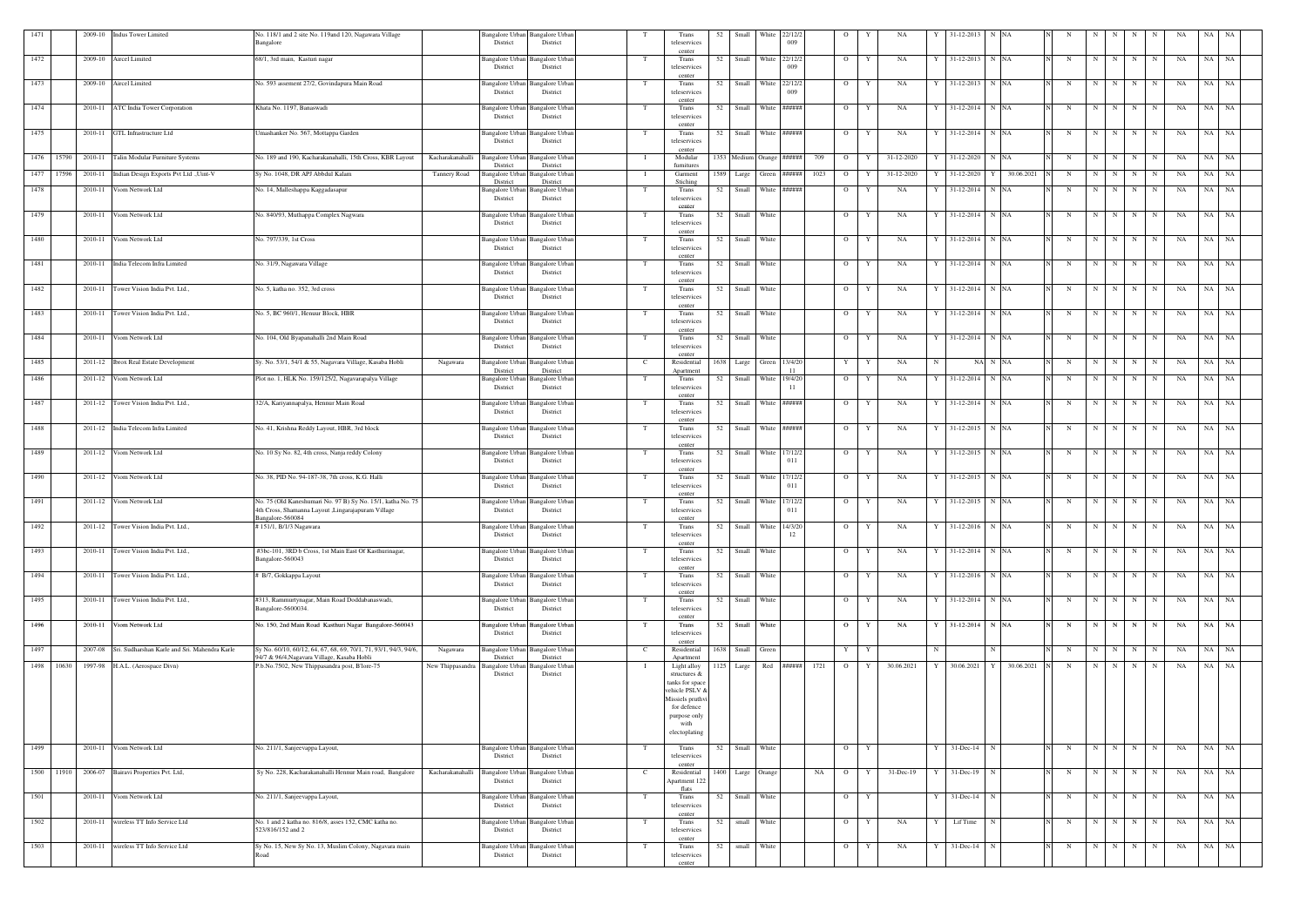| 1471       |            |         | 2009-10 Indus Tower Limited                           | No. 118/1 and 2 site No. 119and 120, Nagawara Village                                                                       |                                             | Bangalore Urban Bangalore Urban             |     | Trans                              | 52                     |             | Small White 22/12/2        |      | $\overline{O}$ | NA              |              | 31-12-2013          | N NA                    |             |   |                   |                            | NA | NA        | NA        |
|------------|------------|---------|-------------------------------------------------------|-----------------------------------------------------------------------------------------------------------------------------|---------------------------------------------|---------------------------------------------|-----|------------------------------------|------------------------|-------------|----------------------------|------|----------------|-----------------|--------------|---------------------|-------------------------|-------------|---|-------------------|----------------------------|----|-----------|-----------|
|            |            |         |                                                       | Bangalore                                                                                                                   | District                                    | District                                    |     | teleservices<br>center             |                        |             | 009                        |      |                |                 |              |                     |                         |             |   |                   |                            |    |           |           |
| 1472       |            |         | 2009-10 Aircel Limited                                | 68/1, 3rd main, Kasturi nagar                                                                                               | Bangalore Urban<br>District                 | Bangalore Urbar<br>District                 | T   | Trans<br>teleservices              | 52 Small White 22/12/2 |             | 009                        |      | $\overline{O}$ | NA<br>Y         |              | 31-12-2013 N NA     |                         | N           | N | N                 | N<br>N                     | NA | NA NA     |           |
| 1473       |            |         | 2009-10 Aircel Limited                                | No. 593 assement 27/2, Govindapura Main Road                                                                                |                                             | Bangalore Urban Bangalore Urban             | T   | center<br>Trans                    | 52 Small White 22/12/2 |             |                            |      | $\overline{O}$ | Y<br>NA         |              | Y 31-12-2013 N NA   |                         | N           |   | $N \mid N$        | N<br>N                     | NA | NA NA     |           |
|            |            |         |                                                       |                                                                                                                             | District                                    | District                                    |     | teleservices<br>center             |                        |             | 009                        |      |                |                 |              |                     |                         |             |   |                   |                            |    |           |           |
| 1474       |            |         | 2010-11 ATC India Tower Corporation                   | Khata No. 1197, Banaswadi                                                                                                   | <b>Bangalore Urban</b><br>District          | <b>Bangalore Urbar</b><br>District          | T   | Trans<br>teleservices              | 52<br>Small            |             | White ######               |      | $\overline{O}$ | NA<br>Y         | Y            | 31-12-2014 N NA     |                         | N           | N | N                 | N<br>N                     | NA | NA        | NA        |
|            |            |         | 2010-11 GTL Infrastructure Ltd                        |                                                                                                                             |                                             |                                             | T   | center                             |                        |             | 52 Small White ######      |      | $\overline{O}$ |                 |              | 31-12-2014 N NA     |                         |             |   | N                 |                            | NA | NA        |           |
| 1475       |            |         |                                                       | Umashanker No. 567, Mottappa Garden                                                                                         | <b>Bangalore Urban</b><br>District          | <b>Bangalore Urban</b><br>District          |     | Trans<br>teleservices              |                        |             |                            |      |                | Y<br>NA         | $\mathbf{Y}$ |                     |                         | N           | N |                   | N<br>N                     |    |           | NA        |
| 1476 15790 |            |         | 2010-11 Talin Modular Furniture Systems               | Kacharakanahalli<br>No. 189 and 190, Kacharakanahalli, 15th Cross, KBR Layout                                               | Bangalore Urban                             | <b>Bangalore Urban</b>                      |     | center<br>Modular                  |                        |             | 1353 Medium Orange ######  | 709  | $\overline{O}$ | 31-12-2020<br>Y |              | 31-12-2020          | N NA                    | N           | N | N                 | $\mathbf N$<br>N           | NA | NA        | NA        |
| 1477       | 17596      |         | 2010-11 Indian Design Exports Pvt Ltd ., Uint-V       | Sy No. 1048, DR APJ Abbdul Kalam<br><b>Tannery Road</b>                                                                     | District<br>Bangalore Urban                 | District<br>Bangalore Urban                 | - 1 | furnitures<br>Garment              | 1589 Large             |             | Green ######               | 1023 | $\overline{O}$ | 31-12-2020<br>Y |              | 31-12-2020          | 30.06.2021              | N           | N | N                 | N                          | NA | NA        | NA        |
| 1478       |            | 2010-11 | Viom Network Ltd                                      | No. 14, Malleshappa Kaggadasapur                                                                                            | District<br>Bangalore Urban                 | District<br>Bangalore Urbar                 | T   | Stiching<br>Trans                  | 52<br>Small            |             | White ######               |      | $\overline{O}$ | NA<br>Y         | Y            | 31-12-2014          | N NA                    | N           | N | N                 | N<br>N                     | NA | NA        | <b>NA</b> |
|            |            |         |                                                       |                                                                                                                             | District                                    | District                                    |     | teleservices<br>center             |                        |             |                            |      |                |                 |              |                     |                         |             |   |                   |                            |    |           |           |
| 1479       |            | 2010-11 | Viom Network Ltd                                      | No. 840/93, Muthappa Complex Nagwara                                                                                        | <b>Bangalore Urban</b><br>District          | Bangalore Urbar<br>District                 | T   | Trans<br>teleservices              | 52 Small White         |             |                            |      | $\overline{O}$ | Y<br>NA         | Y            | 31-12-2014 N NA     |                         | N           | N | N                 | N<br>N                     | NA | NA NA     |           |
| 1480       |            | 2010-11 | Viom Network Ltd                                      | No. 797/339, 1st Cross                                                                                                      | Bangalore Urban                             | Bangalore Urban                             |     | center<br>Trans                    | Small<br>52            | White       |                            |      | $\overline{O}$ | NA<br>Y         |              | 31-12-2014          | N NA                    | N           | N | N                 | N<br>N                     | NA | NA        | NA        |
|            |            |         |                                                       |                                                                                                                             | District                                    | District                                    |     | teleservices<br>center             |                        |             |                            |      |                |                 |              |                     |                         |             |   |                   |                            |    |           |           |
| 1481       |            | 2010-11 | India Telecom Infra Limited                           | No. 31/9, Nagawara Village                                                                                                  | Bangalore Urbar<br>District                 | Bangalore Urbar<br>District                 | T   | Trans<br>teleservices              | 52 Small White         |             |                            |      | $\overline{O}$ | Y<br>NA         | Y            | 31-12-2014 N NA     |                         | $\mathbf N$ | N | N                 | N<br>N                     | NA | NA NA     |           |
| 1482       |            |         | 2010-11 Tower Vision India Pvt. Ltd.,                 | No. 5, katha no. 352, 3rd cross                                                                                             | Bangalore Urban                             | Bangalore Urbar                             | T   | center<br>Trans                    | 52                     | Small White |                            |      | $\overline{O}$ | Y<br>NA         | Y            | 31-12-2014 N NA     |                         | N           |   | $N$ $N$           | N<br>N                     | NA | NA NA     |           |
|            |            |         |                                                       |                                                                                                                             | District                                    | District                                    |     | teleservices<br>center             |                        |             |                            |      |                |                 |              |                     |                         |             |   |                   |                            |    |           |           |
| 1483       |            |         | 2010-11 Tower Vision India Pvt. Ltd.,                 | No. 5, BC 960/1, Henuur Block, HBR                                                                                          | Bangalore Urban<br>District                 | Bangalore Urbaı<br>District                 |     | Trans<br>teleservices              | 52 Small White         |             |                            |      | $\overline{O}$ | Y<br>NA         | Y            | 31-12-2014 N NA     |                         | N           | N | N                 | N<br>N                     | NA | NA NA     |           |
| 1484       |            |         | 2010-11 Viom Network Ltd                              | No. 104, Old Byapanahalli 2nd Main Road                                                                                     | Bangalore Urban                             | Bangalore Urbar                             |     | center<br>Trans                    | 52<br>Small            | White       |                            |      | $\overline{O}$ | NA<br>Y         |              | 31-12-2014          | N NA                    | N           | N | N                 | N<br>N                     | NA | NA        | NA        |
|            |            |         |                                                       |                                                                                                                             | District                                    | District                                    |     | teleservices<br>center             |                        |             |                            |      |                |                 |              |                     |                         |             |   |                   |                            |    |           |           |
| 1485       |            |         | 2011-12 <b>Ibrox Real Estate Development</b>          | Sy. No. 53/1, 54/1 & 55, Nagavara Village, Kasaba Hobli<br>Nagawara                                                         | Bangalore Urba<br>District                  | <b>Bangalore Urbar</b><br>District          |     | Residential                        | 1638 Large             |             | Green 13/4/20<br>-11       |      | Y              | Y<br>NA         | $\mathbf N$  |                     | NA N NA                 | N           | N | N                 | $\mathbf N$<br>N           | NA | NA        | <b>NA</b> |
| 1486       |            |         | 2011-12 Viom Network Ltd                              | Plot no. 1, HLK No. 159/125/2, Nagavarapalya Village                                                                        | <b>Bangalore Urban</b>                      | <b>Bangalore Urbar</b>                      | T   | Apartment<br>Trans                 | 52                     |             | Small White 19/4/20        |      | $\overline{O}$ | Y<br>NA         | Y            | 31-12-2014 N NA     |                         | N           | N | N                 | $\mathbf N$<br>$\mathbf N$ | NA | NA        | <b>NA</b> |
|            |            |         |                                                       |                                                                                                                             | District                                    | District                                    |     | teleservices<br>center             |                        |             | -11                        |      |                |                 |              |                     |                         |             |   |                   |                            |    |           |           |
| 1487       |            |         | 2011-12 Tower Vision India Pvt. Ltd.,                 | 32/A, Kariyannapalya, Hennur Main Road                                                                                      | Bangalore Urban<br>District                 | Bangalore Urban<br>District                 | T   | Trans<br>teleservices              | 52                     |             | Small White ######         |      | $\overline{O}$ | Y<br>NA         | Y            | 31-12-2014          | N NA                    | N           | N | N                 | N<br>N                     | NA | NA        | NA        |
| 1488       |            |         | 2011-12 India Telecom Infra Limited                   | No. 41, Krishna Reddy Layout, HBR, 3rd block                                                                                | Bangalore Urbaı                             | Bangalore Urbar                             |     | center<br>Trans                    |                        |             | 52 Small White ######      |      | $\overline{O}$ | NA<br>Y         |              | 31-12-2015 N NA     |                         | N           | N | N                 | $\mathbf N$<br>N           | NA | NA        | <b>NA</b> |
|            |            |         |                                                       |                                                                                                                             | District                                    | District                                    |     | teleservices<br>center             |                        |             |                            |      |                |                 |              |                     |                         |             |   |                   |                            |    |           |           |
| 1489       |            |         | 2011-12 Viom Network Ltd                              | No. 10 Sy No. 82, 4th cross, Nanja reddy Colony                                                                             | Bangalore Urban<br>District                 | <b>Bangalore Urban</b><br>District          | T   | Trans<br>teleservices              | 52 Small White 17/12/2 |             | 011                        |      | $\overline{O}$ | NA<br>Y         | Y            | 31-12-2015 N NA     |                         | $\mathbf N$ | N | N                 | N<br>N                     | NA | NA NA     |           |
| 1490       |            |         | 2011-12 Viom Network Ltd                              | No. 38, PID No. 94-187-38, 7th cross, K.G. Halli                                                                            | Bangalore Urban                             | Bangalore Urbar                             | - Т | center<br>Trans                    | 52 Small White 17/12/2 |             |                            |      | $\overline{O}$ | Y<br>NA         | Y            | 31-12-2015 N NA     |                         | N           | N | N                 | $\mathbf N$<br>N           | NA | NA NA     |           |
|            |            |         |                                                       |                                                                                                                             | District                                    | District                                    |     | teleservices<br>center             |                        |             | 011                        |      |                |                 |              |                     |                         |             |   |                   |                            |    |           |           |
| 1491       |            |         | 2011-12 Viom Network Ltd                              | No. 75 (Old Kaneshumari No. 97 B) Sy No. 15/1, katha No. 75<br>4th Cross, Shamanna Layout ,Lingarajapuram Village           | Bangalore Urban<br>District                 | <b>Bangalore Urbar</b><br>District          |     | Trans<br>teleservices              | 52                     |             | Small White 17/12/2<br>011 |      | $\overline{O}$ | Y<br>NA         | Y            | 31-12-2015 N NA     |                         | $\mathbf N$ | N | N                 | N<br>$\mathbf N$           | NA | NA NA     |           |
| 1492       |            |         | 2011-12 Tower Vision India Pvt. Ltd.,                 | Bangalore-560084<br>#151/1, B/1/3 Nagawara                                                                                  |                                             | Bangalore Urban Bangalore Urban             | T   | center<br>Trans                    | 52                     |             | Small White 14/3/20        |      | $\overline{O}$ | Y<br>NA         | Y            | 31-12-2016 N NA     |                         | N           | N | N                 | N<br>N                     | NA | NA        | NA        |
|            |            |         |                                                       |                                                                                                                             | District                                    | District                                    |     | teleservices<br>center             |                        |             | 12                         |      |                |                 |              |                     |                         |             |   |                   |                            |    |           |           |
| 1493       |            |         | 2010-11 Tower Vision India Pvt. Ltd.,                 | #3bc-101, 3RD b Cross, 1st Main East Of Kasthurinagar,<br>Bangalore-560043                                                  | District                                    | Bangalore Urban Bangalore Urban<br>District | T   | Trans<br>teleservices              | 52 Small White         |             |                            |      | $\circ$        | Y<br>NA         |              | Y 31-12-2014 N NA   |                         | N           |   | N N N N           |                            | NA | NA NA     |           |
| 1494       |            |         | 2010-11 Tower Vision India Pvt. Ltd.,                 | # B/7, Gokkappa Layout                                                                                                      | Bangalore Urban Bangalore Urbar             |                                             | T   | center<br>Trans                    | 52 Small White         |             |                            |      | $\overline{O}$ | Y<br>NA         |              | Y 31-12-2016 N NA   |                         | N           |   | $N$   $N$         | N<br>N                     | NA | NA NA     |           |
|            |            |         |                                                       |                                                                                                                             | District                                    | District                                    |     | teleservices<br>center             |                        |             |                            |      |                |                 |              |                     |                         |             |   |                   |                            |    |           |           |
| 1495       |            |         | 2010-11 Tower Vision India Pvt. Ltd.,                 | #313, Rammurtynagar, Main Road Doddabanaswadi,<br>Bangalore-5600034.                                                        | District                                    | Bangalore Urban Bangalore Urban<br>District |     | Trans<br>teleservices              | 52 Small White         |             |                            |      | $\overline{O}$ | NA<br>Y         |              | Y 31-12-2014 N NA   |                         | N           |   | $N \mid N$        | $N$   $N$                  | NA | NA NA     |           |
|            |            |         | 2010-11 Viom Network Ltd                              |                                                                                                                             |                                             |                                             | T   | center                             |                        |             |                            |      |                | NA              |              |                     |                         | N           |   |                   |                            | NA |           |           |
| 1496       |            |         |                                                       | No. 150, 2nd Main Road Kasthuri Nagar Bangalore-560043                                                                      | Bangalore Urban Bangalore Urbar<br>District | District                                    |     | Trans<br>teleservices              | 52 Small White         |             |                            |      | $\overline{O}$ | Y               |              | Y 31-12-2014 N NA   |                         |             |   | $N$ $N$   $N$ $N$ |                            |    | NA NA     |           |
| 1497       |            |         | 2007-08 Sri. Sudharshan Karle and Sri. Mahendra Karle | Sy No. 60/10, 60/12, 64, 67, 68, 69, 70/1, 71, 93/1, 94/3, 94/6,<br>Nagawara<br>94/7 & 96/4, Nagavara Village, Kasaba Hobli |                                             | Bangalore Urban Bangalore Urban             | -C  | center<br>Residential              | 1638 Small Green       |             |                            |      | Y Y            |                 | N            |                     | N                       | N           |   | N N N N           |                            | NA | NA NA     |           |
|            | 1498 10630 |         | 1997-98 H.A.L. (Aerospace Divn)                       | P.b.No.7502, New Thippasandra post, B'lore-75<br>New Thippasandra Bangalore Urban Bangalore Urban                           | District                                    | District                                    | - T | Apartment<br>Light alloy           | 1125 Large             |             | Red ######                 | 1721 | $\overline{O}$ | Y<br>30.06.2021 | Y            |                     | 30.06.2021 Y 30.06.2021 | N           | N | N                 | N<br>N                     | NA | NA NA     |           |
|            |            |         |                                                       |                                                                                                                             | District                                    | District                                    |     | structures $&$<br>tanks for space  |                        |             |                            |      |                |                 |              |                     |                         |             |   |                   |                            |    |           |           |
|            |            |         |                                                       |                                                                                                                             |                                             |                                             |     | vehicle PSLV &<br>Missiels pruthvi |                        |             |                            |      |                |                 |              |                     |                         |             |   |                   |                            |    |           |           |
|            |            |         |                                                       |                                                                                                                             |                                             |                                             |     | for defence<br>purpose only        |                        |             |                            |      |                |                 |              |                     |                         |             |   |                   |                            |    |           |           |
|            |            |         |                                                       |                                                                                                                             |                                             |                                             |     | with<br>electoplating              |                        |             |                            |      |                |                 |              |                     |                         |             |   |                   |                            |    |           |           |
| 1499       |            |         | 2010-11 Viom Network Ltd                              | No. 211/1, Sanjeevappa Layout,                                                                                              |                                             | Bangalore Urban Bangalore Urban             | T   | Trans                              | 52 Small White         |             |                            |      | $O$ $Y$        |                 |              | $Y = 31 - Dec-14$ N |                         | N           |   | $N$ $N$ $N$ $N$   |                            | NA | NA NA     |           |
|            |            |         |                                                       |                                                                                                                             | District                                    | District                                    |     | teleservices<br>center             |                        |             |                            |      |                |                 |              |                     |                         |             |   |                   |                            |    |           |           |
|            |            |         | 1500 11910 2006-07 Bairavi Properties Pvt. Ltd,       | Sy No. 228, Kacharakanahalli Hennur Main road, Bangalore<br>Kacharakanahalli                                                | <b>Bangalore Urban</b><br>District          | Bangalore Urban<br>District                 |     | Residential<br>Apartment 122       | 1400 Large Orange      |             |                            | NA   | $\overline{O}$ | 31-Dec-19<br>Y  | Y            | 31-Dec-19           | N                       | N           | N | N                 | N<br>N                     | NA | NA NA     |           |
| 1501       |            |         | 2010-11 Viom Network Ltd                              | No. 211/1, Sanjeevappa Layout,                                                                                              | Bangalore Urban                             | Bangalore Urban                             |     | flats<br>Trans                     | 52 Small White         |             |                            |      | $\mathbf{O}$   | Y               |              | $Y = 31$ -Dec-14 N  |                         | N           |   | $N$ $N$           | $N$ $N$                    | NA | $NA$ $NA$ |           |
|            |            |         |                                                       |                                                                                                                             | District                                    | District                                    |     | teleservices<br>center             |                        |             |                            |      |                |                 |              |                     |                         |             |   |                   |                            |    |           |           |
| 1502       |            |         | 2010-11 wireless TT Info Service Ltd                  | No. 1 and 2 katha no. 816/8, asses 152, CMC katha no.<br>523/816/152 and 2                                                  | Bangalore Urban<br>District                 | Bangalore Urban<br>District                 | T   | Trans<br>teleservices              | 52                     | small White |                            |      | $\overline{O}$ | NA<br>Y         | Y            | Lif Time            | N                       | N           |   | $N$ $N$   $N$ $N$ |                            | NA | NA NA     |           |
| 1503       |            |         | 2010-11 wireless TT Info Service Ltd                  | Sy No. 15, New Sy No. 13, Muslim Colony, Nagavara main                                                                      |                                             | Bangalore Urban Bangalore Urban             | T   | center<br>Trans                    | 52                     | small White |                            |      | $\overline{O}$ | Y<br>NA         | Y            | $31$ -Dec-14 N      |                         | N           |   | $N$ $N$   $N$ $N$ |                            | NA | NA NA     |           |
|            |            |         |                                                       | Road                                                                                                                        | District                                    | District                                    |     | teleservices<br>center             |                        |             |                            |      |                |                 |              |                     |                         |             |   |                   |                            |    |           |           |
|            |            |         |                                                       |                                                                                                                             |                                             |                                             |     |                                    |                        |             |                            |      |                |                 |              |                     |                         |             |   |                   |                            |    |           |           |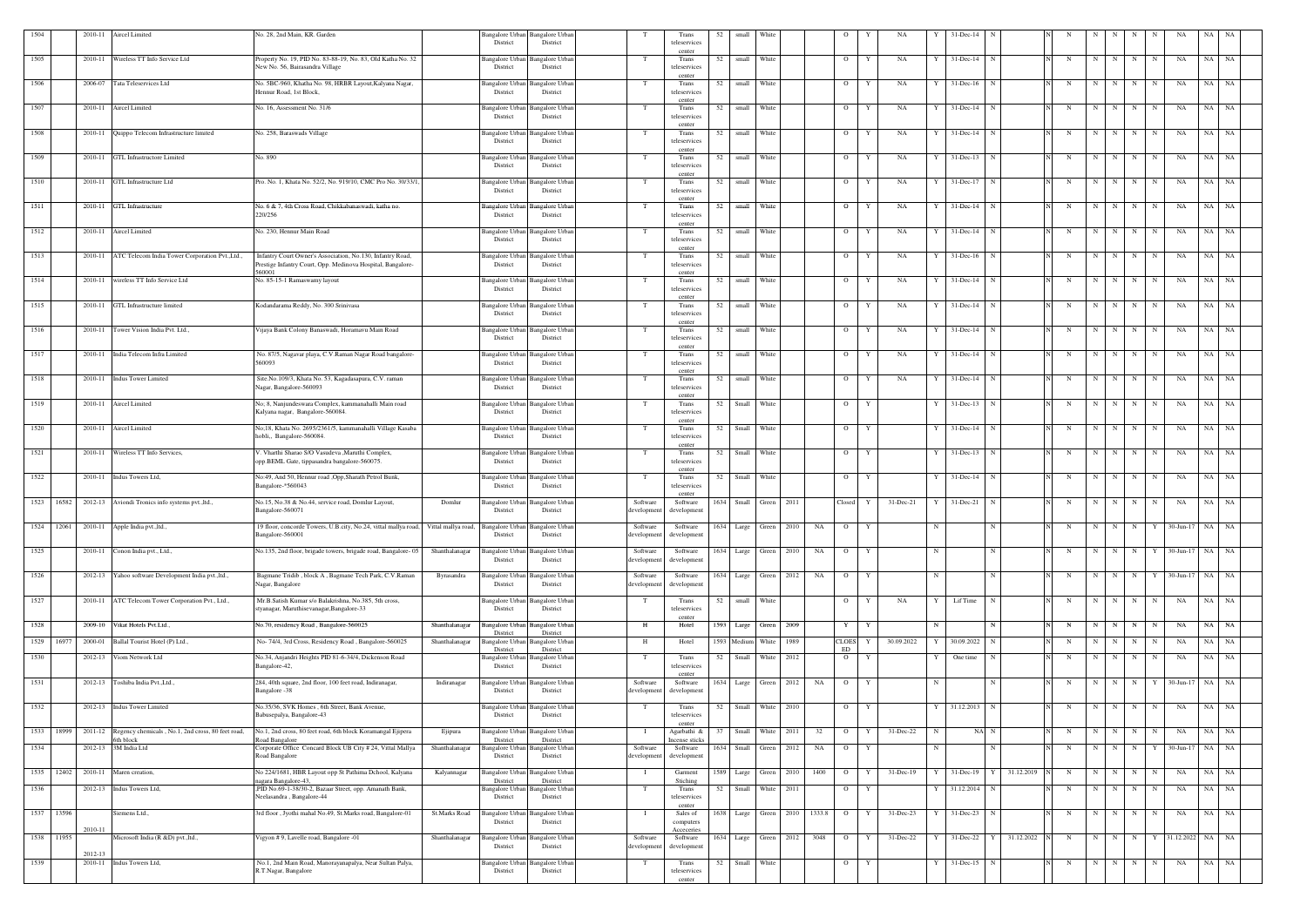| 1504       |            |         | 2010-11 Aircel Limited                                      | No. 28, 2nd Main, KR. Garden                                                                                                            |                      | Bangalore Urban Bangalore Urban<br>District | District                                |                         | Trans<br>teleservices              | 52   | small                  | White            |        | -0                 | NA                 |             | 31-Dec-14      |                 |   |   |           |   |             |                    | NA.   |           |
|------------|------------|---------|-------------------------------------------------------------|-----------------------------------------------------------------------------------------------------------------------------------------|----------------------|---------------------------------------------|-----------------------------------------|-------------------------|------------------------------------|------|------------------------|------------------|--------|--------------------|--------------------|-------------|----------------|-----------------|---|---|-----------|---|-------------|--------------------|-------|-----------|
| 1505       |            |         | 2010-11 Wireless TT Info Service Ltd                        | Property No. 19, PID No. 83-88-19, No. 83, Old Katha No. 32<br>New No. 56, Bairasandra Village                                          |                      | Bangalore Urban<br>District                 | Bangalore Urbar<br>District             |                         | center<br>Trans<br>teleservices    | 52   | small                  | White            |        | $\overline{O}$     | NA<br>Y            |             | $31 - Dec-14$  |                 | N | N | N         | N | N           | NA                 | NA NA |           |
| 1506       |            | 2006-07 | Tata Teleservices Ltd                                       | No. 5BC-960, Khatha No. 98, HRBR Layout, Kalyana Nagar,<br>Hennur Road, 1st Block,                                                      |                      | <b>Bangalore Urban</b><br>District          | <b>Bangalore Urban</b><br>District      | T                       | Trans<br>teleservices              | 52   | small White            |                  |        | $\overline{O}$     | NA<br>Y            | Y           | $31$ -Dec-16   | N               | N | N | N         | N | N           | NA                 | NA NA |           |
| 1507       |            | 2010-11 | Aircel Limited                                              | No. 16, Assessment No. 31/6                                                                                                             |                      | Bangalore Urban<br>District                 | <b>Bangalore Urba</b><br>District       |                         | center<br>Trans<br>teleservices    | 52   | small White            |                  |        | $\overline{O}$     | NA<br>Y            |             | $31 - Dec-14$  | N               | N | N | N         | N | N           | NA                 | NA NA |           |
| 1508       |            | 2010-11 | Quippo Telecom Infrastructure limited                       | No. 258, Baraswads Village                                                                                                              |                      | Bangalore Urban<br>District                 | Bangalore Urbar<br>District             | T                       | center<br>Trans<br>teleservices    | 52   | small                  | White            |        | $\overline{O}$     | NA<br>Y            |             | $31$ -Dec-14   |                 | N | N | N         | N | N           | NA                 | NA    | NA        |
| 1509       |            | 2010-11 | <b>GTL</b> Infrastructore Limited                           | No. 890                                                                                                                                 |                      | Bangalore Urban<br>District                 | Bangalore Urba<br>District              |                         | center<br>Trans<br>teleservices    | 52   | small                  | White            |        | $\overline{O}$     | NA<br>Y            | Y           | $31 - Dec-13$  | N               | N | N | N         | N | N           | NA                 | NA    | <b>NA</b> |
| 1510       |            | 2010-11 | GTL Infrastructure Ltd                                      | Pro. No. 1, Khata No. 52/2, No. 919/10, CMC Pro No. 30/33/1                                                                             |                      | Bangalore Urban<br>District                 | <b>Bangalore Urbar</b><br>District      | T                       | center<br>Trans<br>teleservices    | 52   | small White            |                  |        | $\overline{O}$     | NA<br>Y            | Y           | 31-Dec-17      | $\mathbf N$     | N |   | $N$   $N$ | N | N           | NA                 | NA NA |           |
| 1511       |            | 2010-11 | <b>GTL</b> Infrastructure                                   | No. 6 & 7, 4th Cross Road, Chikkabanaswadi, katha no.<br>220/256                                                                        |                      | <b>Bangalore Urban</b><br>District          | Bangalore Urba<br>District              | - T                     | center<br>Trans<br>teleservices    | 52   | small White            |                  |        | $\overline{O}$     | NA<br>Y            |             | 31-Dec-14      | - N             | N | N | N         | N | N           | NA                 | NA NA |           |
| 1512       |            | 2010-11 | Aircel Limited                                              | No. 230, Hennur Main Road                                                                                                               |                      | Bangalore Urban<br>District                 | <b>Bangalore Urbar</b><br>District      |                         | center<br>Trans<br>teleservices    | 52   | small                  | White            |        | $\overline{O}$     | NA<br>Y            |             | 31-Dec-14      |                 | N | N | N         | N | N           | NA                 | NA    | NA        |
| 1513       |            | 2010-11 | ATC Telecom India Tower Corporation Pvt., Ltd.,             | Infantry Court Owner's Association, No.130, Infantry Road,<br>Prestige Infantry Court, Opp. Medinova Hospital, Bangalore-               |                      | Bangalore Urban<br>District                 | Bangalore Urba<br>District              |                         | center<br>Trans<br>teleservices    | 52   | small                  | White            |        | $\overline{O}$     | Y<br>NA            |             | $31 - Dec-16$  |                 | N | N | N         | N | N           | NA                 | NA    | <b>NA</b> |
| 1514       |            | 2010-11 | wireless TT Info Service Ltd                                | 560001<br>No. 85-15-1 Ramaswamy layout                                                                                                  |                      | Bangalore Urban<br>District                 | <b>Bangalore Urban</b><br>District      | T                       | center<br>Trans<br>teleservices    | 52   | small                  | White            |        | $\overline{O}$     | NA<br>Y            | Y           | $31 - Dec-14$  | N               | N | N | N         | N | N           | NA                 | NA NA |           |
| 1515       |            | 2010-11 | GTL Infrastructure limited                                  | Kodandarama Reddy, No. 300 Srinivasa                                                                                                    |                      | Bangalore Urban<br>District                 | Bangalore Urba<br>District              |                         | center<br>Trans<br>teleservices    | 52   | small White            |                  |        | $\overline{O}$     | NA<br>$\mathbf{Y}$ |             | $31 - Dec-14$  | N               | N | N | N         | N | N           | NA                 | NA    | <b>NA</b> |
| 1516       |            | 2010-11 | Tower Vision India Pvt. Ltd.,                               | Vijaya Bank Colony Banaswadi, Horamavu Main Road                                                                                        |                      | <b>Bangalore Urban</b><br>District          | <b>Bangalore Urban</b><br>District      | - Т                     | center<br>Trans<br>teleservices    | 52   | small                  | White            |        | $\overline{O}$     | Y<br>NA            | Y           | $31 - Dec-14$  | N               | N | N | N         | N | N           | NA                 | NA    | <b>NA</b> |
| 1517       |            | 2010-11 | India Telecom Infra Limited                                 | No. 87/5, Nagavar playa, C.V.Raman Nagar Road bangalore-<br>560093                                                                      |                      | Bangalore Urban<br>District                 | Bangalore Urba<br>District              |                         | center<br>Trans<br>teleservices    | 52   | small                  | White            |        | $\overline{O}$     | NA<br>Y            |             | $31 - Dec-14$  |                 | N | N | N         | N | N           | NA                 | NA    | NA        |
| 1518       |            |         | 2010-11 Indus Tower Limited                                 | Site.No.109/3, Khata No. 53, Kagadasapura, C.V. raman<br>Nagar, Bangalore-560093                                                        |                      | Bangalore Urban<br>District                 | <b>Bangalore Urban</b><br>District      |                         | center<br>Trans<br>teleservices    | 52   | small White            |                  |        | $\overline{O}$     | NA<br>Y            |             | 31-Dec-14      | $\mathbf N$     | N | N | N         | N | N           | NA                 | NA NA |           |
| 1519       |            |         | 2010-11 Aircel Limited                                      | No; 8, Nanjundeswara Complex, kammanahalli Main road<br>Kalyana nagar, Bangalore-560084.                                                |                      | Bangalore Urban<br>District                 | Bangalore Urba<br>District              |                         | center<br>Trans<br>teleservices    | 52   | Small White            |                  |        | $\overline{O}$     | Y                  |             | $31$ -Dec-13   |                 | N | N | N         | N | N           | NA                 | NA NA |           |
| 1520       |            | 2010-11 | Aircel Limited                                              | No;18, Khata No. 2695/2361/5, kammanahalli Village Kasaba<br>hobli,, Bangalore-560084.                                                  |                      | Bangalore Urban Bangalore Urban<br>District | District                                |                         | center<br>Trans<br>teleservices    | 52   | Small                  | White            |        | $\overline{O}$     | Y                  | Y           | $31 - Dec-14$  | N               | N | N | N         | N | N           | NA                 | NA    | NA        |
| 1521       |            |         | 2010-11 Wireless TT Info Services,                          | V. Vharthi Sharao S/O Vasudeva ,Maruthi Complex,<br>opp.BEML Gate, tippasandra bangalore-560075.                                        |                      | Bangalore Urban<br>District                 | <b>Bangalore</b> Urba<br>District       | T                       | center<br>Trans<br>teleservices    | 52   | Small                  | White            |        | $\overline{O}$     | Y                  | Y           | $31 - Dec-13$  |                 | N | N | N         | N | $\mathbf N$ | NA                 | NA    | <b>NA</b> |
| 1522       |            |         | 2010-11 Indus Towers Ltd,                                   | No:49, And 50, Hennur road , Opp, Sharath Petrol Bunk,<br>Bangalore-*560043                                                             |                      | Bangalore Urban Bangalore Urban<br>District | District                                |                         | center<br>Trans<br>teleservices    |      | 52 Small White         |                  |        | $\overline{O}$     | Y                  | Y           | $31$ -Dec-14 N |                 | N |   | $N$ $N$   | N | N           | NA                 | NA NA |           |
|            |            |         | 1523 16582 2012-13 Aviondi Tronics info systems pvt., ltd., | No.15, No.38 & No.44, service road, Domlur Layout,<br>Bangalore-560071                                                                  | Domlur               | <b>Bangalore Urban</b><br>District          | Bangalore Urba<br>District              | Software<br>developmen  | center<br>Software<br>development  | 1634 |                        | Small Green 2011 |        | Closed Y           | 31-Dec-21          |             | 31-Dec-21      | N               | N | N | N         | N | $\mathbf N$ | NA                 | NA    | NA        |
|            | 1524 12061 |         | 2010-11 Apple India pvt., ltd.,                             | 19 floor, concorde Towers, U.B.city, No.24, vittal mallya road, Vittal mallya road, Bangalore Urban Bangalore Urban<br>Bangalore-560001 |                      | District                                    | District                                | Software<br>developmen  | Software<br>development            |      | 1634 Large             | Green 2010       | NA     | $\overline{O}$     | Y                  | N           |                |                 |   | N | N         | N | Y           | 30-Jun-17          | NA    | NA        |
| 1525       |            | 2010-11 | Conon India pvt., Ltd.,                                     | No.135, 2nd floor, brigade towers, brigade road, Bangalore-05                                                                           | Shanthalanagar       | Bangalore Urban<br>District                 | <b>Bangalore Urban</b><br>District      | Software<br>development | Software<br>development            |      | 1634 Large Green 2010  |                  | NA     | $\overline{O}$     | Y                  | N           |                | N               | N | N | N         | N |             | Y 30-Jun-17 NA NA  |       |           |
| 1526       |            |         | 2012-13 Yahoo software Development India pvt., ltd.,        | Bagmane Tridib, block A, Bagmane Tech Park, C.V.Raman<br>Nagar, Bangalore                                                               | Byrasandra           | Bangalore Urban Bangalore Urban<br>District | District                                | Software<br>developmen  | Software<br>development            |      | 1634 Large Green 2012  |                  | NA     | $\overline{O}$     | Y                  | $\mathbf N$ |                | N               | N | N | N         | N |             | Y 30-Jun-17 NA NA  |       |           |
| 1527       |            |         | 2010-11 ATC Telecom Tower Corporation Pvt., Ltd.,           | Mr.B.Satish Kumar s/o Balakrishna, No.385, 5th cross,<br>styanagar, Maruthisevanagar, Bangalore-33                                      |                      | Bangalore Urban Bangalore Urbai<br>District | District                                | T                       | Trans<br>teleservices              | 52   | small White            |                  |        | $\overline{O}$     | Y<br>NA            |             | Lif Time       |                 | N | N | N         | N | N           | NA                 | NA NA |           |
| 1528       |            |         | 2009-10 Vikat Hotels Pvt.Ltd.,                              | No.70, residency Road, Bangalore-560025                                                                                                 | Shanthalanagar       | <b>Bangalore Urban</b><br>District          | <b>Bangalore</b> Urban<br>District      | H                       | center<br>Hotel                    |      | 1593 Large Green 2009  |                  |        | Y                  | Y                  | $\mathbf N$ |                | N               | N | N | N         | N | N           | NA                 | NA NA |           |
| 1529 16977 |            | 2000-01 | Ballal Tourist Hotel (P) Ltd.,                              | No-74/4, 3rd Cross, Residency Road, Bangalore-560025                                                                                    | Shanthalanagar       | Bangalore Urban<br>District                 | <b>Bangalore Urban</b><br>District      | H                       | Hotel                              |      | 1593 Medium White 1989 |                  |        | <b>CLOES</b><br>ED | 30.09.2022<br>Y    | Y           | 30.09.2022     | N               | N | N | N         | N | N           | NA                 | NA NA |           |
| 1530       |            |         | 2012-13 Viom Network Ltd                                    | No.34, Anjandri Heights PID 81-6-34/4, Dickenson Road<br>Bangalore-42,                                                                  |                      | Bangalore Urban<br>District                 | <b>Bangalore Urban</b><br>District      |                         | Trans<br>teleservices              |      | 52 Small White 2012    |                  |        | $\overline{O}$     | Y                  |             | One time       |                 | N | N | N         | N | N           | NA                 | NA NA |           |
| 1531       |            |         | 2012-13 Toshiba India Pvt., Ltd.,                           | 284, 40th square, 2nd floor, 100 feet road, Indiranagar,<br>Bangalore -38                                                               | Indiranagar          | Bangalore Urban<br>District                 | <b>Bangalore Urbar</b><br>District      | Software<br>development | center<br>Software<br>development  |      | 1634 Large Green 2012  |                  | NA     | $\overline{O}$     | Y                  | N           |                | N               | N | N | N         | N |             | Y 30-Jun-17 NA NA  |       |           |
| 1532       |            |         | 2012-13 Indus Tower Limited                                 | No.35/36, SVK Homes, 6th Street, Bank Avenue,<br>Babusepalya, Bangalore-43                                                              |                      | Bangalore Urban<br>District                 | <b>Bangalore Urbar</b><br>District      | T                       | Trans<br>teleservices              |      | 52 Small White 2010    |                  |        | $\overline{O}$     | Y                  |             | 31.12.2013     | $\mathbf N$     | N | N | N         | N | N           | NA                 | NA NA |           |
|            | 1533 18999 | 2011-12 | Regency chemicals, No.1, 2nd cross, 80 feet road,           | No.1, 2nd cross, 80 feet road, 6th block Koramangal Ejipera                                                                             | Ejipura              | Bangalore Urban                             | <b>Bangalore Urban</b>                  |                         | center<br>Agarbathi &              | 37   | Small                  | White 2011       | 32     | $\overline{O}$     | 31-Dec-22<br>Y     | N           | NA N           |                 | N | N | N         | N | N           | NA                 | NA    | <b>NA</b> |
| 1534       |            | 2012-13 | 5th block<br>3M India Ltd                                   | Road Bangalore<br>Corporate Office Concard Block UB City # 24, Vittal Mallya<br>Road Bangalore                                          | Shanthalanagar       | District<br>Bangalore Urban                 | District<br>Bangalore Urban<br>District | Software                | Incense sticks<br>Software         |      | 1634 Small Green 2012  |                  | NA     | $\overline{O}$     | Y                  | N           |                | N               | N | N | N         | N | Y           | 30-Jun-17          | NA NA |           |
|            | 1535 12402 |         | 2010-11 Maren creation,                                     | No 224/1681, HBR Layout opp St Pathima Dchool, Kalyana                                                                                  | Kalyannagar          | District<br><b>Bangalore Urbar</b>          | Bangalore Urban                         | developmen<br>- 1       | development<br>Garment             |      | 1589 Large Green 2010  |                  | 1400   | $\overline{O}$     | 31-Dec-19<br>Y     |             | 31-Dec-19      | 31.12.2019<br>Y | N | N | N         | N | N           | NA                 | NA NA |           |
| 1536       |            | 2012-13 | Indus Towers Ltd,                                           | agara Bangalore-43,<br>,PID No.69-1-38/30-2, Bazaar Street, opp. Amanath Bank,                                                          |                      | District<br>Bangalore Urban                 | District<br>Bangalore Urba              |                         | Stiching<br>Trans                  | 52   | Small White 2011       |                  |        | $\overline{O}$     | Y                  |             | 31.12.2014     |                 | N | N | N         | N | N           | NA                 | NA NA |           |
| 1537 13596 |            |         | Siemens Ltd.,                                               | Neelasandra, Bangalore-44<br>3rd floor, Jyothi mahal No.49, St.Marks road, Bangalore-01                                                 | <b>St.Marks Road</b> | District<br>Bangalore Urban                 | District<br><b>Bangalore Urban</b>      | - 1                     | teleservices<br>center<br>Sales of |      | 1638 Large Green 2010  |                  | 1333.8 | $\overline{O}$     | 31-Dec-23<br>Y     |             | 31-Dec-23      | N               | N | N | N         | N | N           | NA                 | NA NA |           |
|            |            | 2010-11 |                                                             |                                                                                                                                         |                      | District                                    | District                                |                         | computers<br>Acceceries            |      |                        |                  |        |                    |                    |             |                |                 |   |   |           |   |             |                    |       |           |
| 1538 11955 |            | 2012-13 | Microsoft India (R &D) pvt.,ltd.,                           | Vigyon # 9, Lavelle road, Bangalore -01                                                                                                 | Shanthalanagar       | Bangalore Urban<br>District                 | <b>Bangalore Urbar</b><br>District      | Software<br>developmen  | Software<br>development            |      | 1634 Large Green 2012  |                  | 3048   | $\overline{O}$     | 31-Dec-22<br>Y     |             | 31-Dec-22      | 31.12.2022<br>Y | N | N | N         | N |             | Y 31.12.2022 NA NA |       |           |
| 1539       |            | 2010-11 | Indus Towers Ltd,                                           | No.1, 2nd Main Road, Manorayanapalya, Near Sultan Palya,<br>R.T.Nagar, Bangalore                                                        |                      | Bangalore Urban<br>District                 | <b>Bangalore Urban</b><br>District      |                         | Trans<br>teleservices<br>center    | 52   | Small                  | <b>White</b>     |        | $\overline{O}$     | Y                  | Y           | 31-Dec-15      | N               | N | N | N         | N | N           | NA                 | NA NA |           |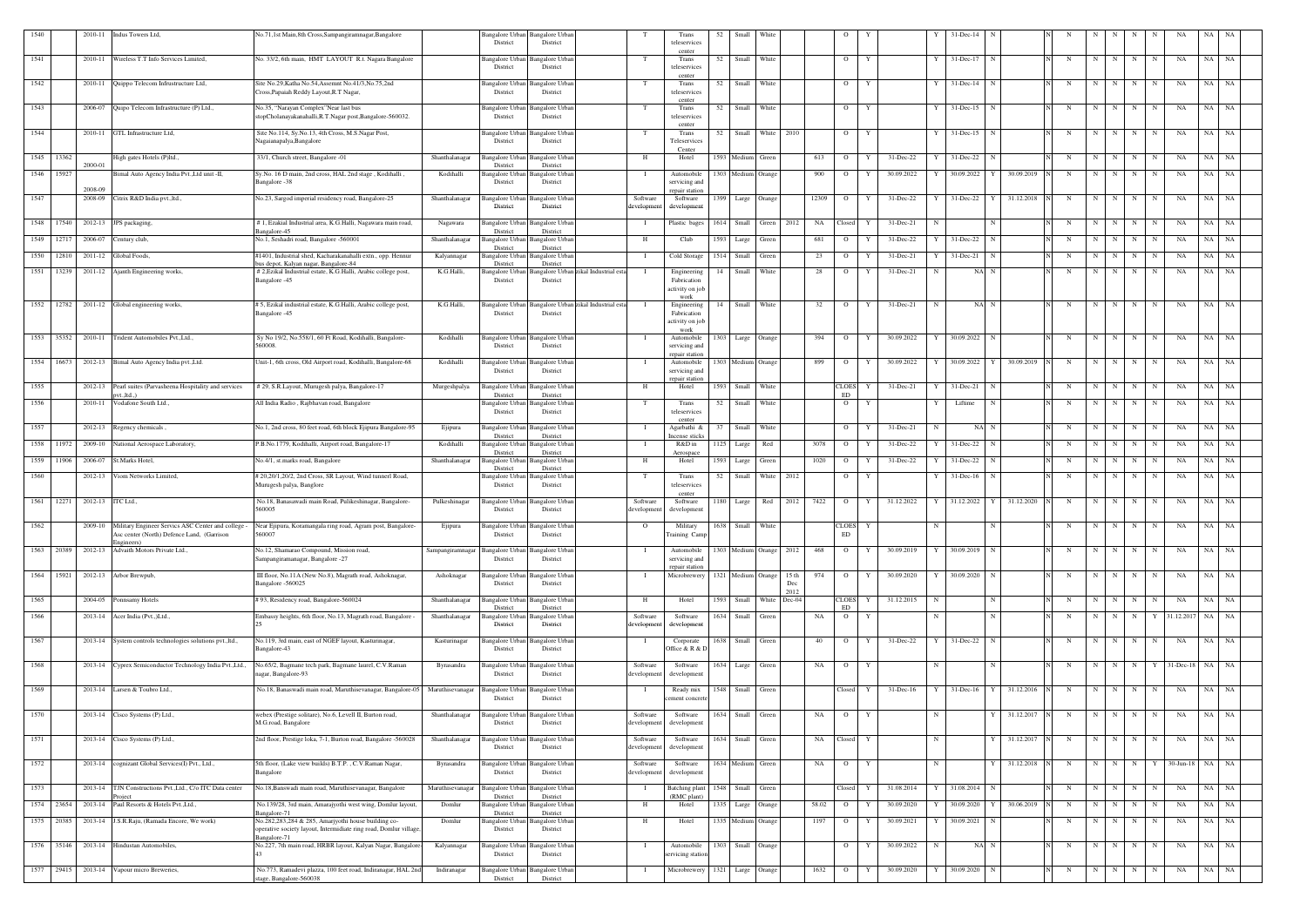| 1540 |            | 2010-11            | Indus Towers Ltd,                                                                                | No.71,1st Main,8th Cross,Sampangiramnagar,Bangalore                                                                                      | District                                                    | Bangalore Urban Bangalore Urban<br>District    |                     |                                     | Trans<br>teleservices                                   | 52   | Small                   | White              |      |             | $\Omega$                    |   |               |    | 31-Dec-14                    |              |            |                         |                 |                 |             |                    |           |      |
|------|------------|--------------------|--------------------------------------------------------------------------------------------------|------------------------------------------------------------------------------------------------------------------------------------------|-------------------------------------------------------------|------------------------------------------------|---------------------|-------------------------------------|---------------------------------------------------------|------|-------------------------|--------------------|------|-------------|-----------------------------|---|---------------|----|------------------------------|--------------|------------|-------------------------|-----------------|-----------------|-------------|--------------------|-----------|------|
| 1541 |            |                    | 2010-11 Wireless T.T Info Services Limited,                                                      | No. 33/2, 6th main, HMT LAYOUT R.t. Nagara Bangalore                                                                                     | District                                                    | Bangalore Urban Bangalore Urban<br>District    |                     | T                                   | center<br>Trans<br>teleservices                         | 52   | Small White             |                    |      |             | $\overline{O}$              | Y |               |    | 31-Dec-17                    |              | N          | N                       | N               | N               | N           | NA                 | NA NA     |      |
| 1542 |            |                    | 2010-11 Quippo Telecom Infrustructure Ltd,                                                       | Site No.29, Katha No.54, Assemnt No.41/3, No.75, 2nd<br>Cross, Papaiah Reddy Layout, R.T Nagar,                                          | Bangalore Urban<br>District                                 | Bangalore Urbar<br>District                    |                     | T                                   | center<br>Trans<br>teleservices                         | 52   | Small                   | White              |      |             | $\overline{O}$              | Y |               |    | 31-Dec-14                    |              | N          | N                       | N               | N               | N           | NA                 | NA        | NA   |
| 1543 |            |                    | 2006-07 Quipo Telecom Infrastructure (P) Ltd.,                                                   | No.35, "Narayan Complex" Near last bus<br>stopCholanayakanahalli, R.T.Nagar post, Bangalore-560032.                                      | Bangalore Urban<br>District                                 | angalore Urban<br>District                     |                     | T                                   | center<br>Trans<br>teleservices                         | 52   | Small White             |                    |      |             | $\overline{O}$              | Y |               |    | 31-Dec-15<br>N               |              | N          | N                       | N               | N               | N           | NA                 | NA NA     |      |
| 1544 |            | 2010-11            | GTL Infrastructure Ltd,                                                                          | Site No.114, Sy.No.13, 4th Cross, M.S.Nagar Post,<br>Nagaianapalya, Bangalore                                                            | Bangalore Urban<br>District                                 | <b>Bangalore</b> Urban<br>District             |                     | T                                   | center<br>Trans<br>Teleservices                         | 52   | Small                   | White              | 2010 |             | $\overline{O}$              | Y |               |    | 31-Dec-15                    |              | N          | N                       | N               | N               | N           | NA                 | NA        | NA   |
|      | 1545 13362 |                    | High gates Hotels (P)ltd.,                                                                       | 33/1, Church street, Bangalore -01                                                                                                       | Shanthalanagar<br>Bangalore Urban                           | <b>Bangalore Urban</b>                         |                     | H                                   | Center<br>Hotel                                         |      | 1593 Medium Green       |                    |      | 613         | $\overline{O}$              | Y | 31-Dec-22     |    | 31-Dec-22<br>$\mathbf N$     |              | N          | N                       | N               | N               | N           | NA                 | NA NA     |      |
|      | 1546 15927 | 2000-01            | Bimal Auto Agency India Pvt., Ltd unit -II,                                                      | Sy.No. 16 D main, 2nd cross, HAL 2nd stage, Kodihalli<br>Bangalore -38                                                                   | District<br>Kodihalli<br><b>Bangalore Urban</b><br>District | District<br><b>Bangalore Urbar</b><br>District |                     |                                     | Automobile<br>servicing and                             |      | 1303 Medium Orange      |                    |      | 900         | $\overline{O}$              | Y | 30.09.2022    |    | 30.09.2022   Y   30.09.2019  |              | N          | N                       | N               | N               | N           | NA                 | NA NA     |      |
| 1547 |            | 2008-09<br>2008-09 | Citrix R&D India pvt., ltd.,                                                                     | No.23, Sargod imperial residency road, Bangalore-25                                                                                      | Shanthalanagar<br>Bangalore Urban<br>District               | <b>Bangalore Urbar</b><br>District             |                     | Software<br>developmen <sup>®</sup> | repair station<br>Software<br>development               | 1399 | Large Orange            |                    |      | 12309       | $\overline{O}$              |   | 31-Dec-22     |    | 31-Dec-22<br>Y               | 31.12.2018   | N          | N                       | N               | N               |             | NA                 | NA        | NA   |
| 1548 | 17540      | 2012-13            | JPS packaging,                                                                                   | # 1, Ezakial Industrial area, K.G.Halli, Nagawara main road,                                                                             | <b>Bangalore Urbar</b><br>Nagawara                          | Bangalore Urbar                                |                     |                                     | Plastic bages                                           | 1614 | Small                   | Green              | 2012 | NA          | Closed                      |   | 31-Dec-21     |    |                              |              | N          | $\mathbf N$             | N               | N               | N           | NA                 | NA        | NA   |
| 1549 | 12717      | 2006-07            | Century club,                                                                                    | Bangalore-45<br>No.1, Seshadri road, Bangalore -560001                                                                                   | District<br>Shanthalanagar<br>Bangalore Urban               | District<br>Bangalore Urban                    |                     | H                                   | Club                                                    | 1593 | Large                   | Green              |      | 681         | $\overline{O}$              |   | 31-Dec-22     |    | 31-Dec-22<br>- N             |              | $_{\rm N}$ | N                       | N               | N               | N           | NA                 | NA NA     |      |
| 1550 | 12810      | 2011-12            | Global Foods,                                                                                    | #1401, Industrial shed, Kacharakanahalli extn., opp. Hennur<br>ous depot, Kalyan nagar, Bangalore-84                                     | District<br>Bangalore Urban<br>Kalyannagar<br>District      | District<br>Bangalore Urbar<br>District        |                     |                                     | Cold Storage                                            | 1514 | Small                   | Green              |      | 23          | $\overline{O}$              |   | 31-Dec-21     |    | 31-Dec-21                    |              | N          | N                       | N               | N               | N           | NA                 | NA        | - NA |
|      | 1551 13239 |                    | 2011-12 Ajanth Engineering works,                                                                | # 2, Ezikal Industrial estate, K.G. Halli, Arabic college post,<br>Bangalore -45                                                         | K.G.Halli,<br>Bangalore Urbar<br>District                   | Bangalore Urban<br>District                    | ikal Industrial est |                                     | Engineering<br>Fabrication                              | 14   | Small                   | White              |      | 28          | $\overline{O}$              | Y | $31 - Dec-21$ |    | NA N                         |              | N          | N                       | N               | N               | N           | NA                 | NA NA     |      |
|      |            |                    |                                                                                                  |                                                                                                                                          |                                                             |                                                |                     |                                     | activity on jol                                         |      |                         |                    |      |             |                             |   |               |    |                              |              |            |                         |                 |                 |             |                    |           |      |
|      |            |                    | 1552 12782 2011-12 Global engineering works,                                                     | # 5, Ezikal industrial estate, K.G.Halli, Arabic college post,                                                                           | K.G.Halli,<br>Bangalore Urban<br>District                   | Bangalore Urban                                | zikal Industrial es |                                     | work<br>Engineering<br>Fabrication                      | 14   | Small                   | White              |      | 32          | $\overline{O}$              |   | 31-Dec-21     |    | NA N                         |              | N          | $\mathbf N$             |                 | N               | $_{\rm N}$  | NA                 | NA        | NA   |
|      |            |                    |                                                                                                  | Bangalore -45                                                                                                                            |                                                             | District                                       |                     |                                     | activity on jol                                         |      |                         |                    |      |             |                             |   |               |    |                              |              |            |                         |                 |                 |             |                    |           |      |
|      | 1553 35352 |                    | 2010-11 Trident Automobiles Pvt., Ltd.,                                                          | Sy No 19/2, No.558/1, 60 Ft Road, Kodihalli, Bangalore-<br>560008.                                                                       | Kodihalli<br>District                                       | Bangalore Urban Bangalore Urban<br>District    |                     |                                     | work<br>Automobile<br>servicing and                     | 1303 | Large Orange            |                    |      | 394         | $\overline{O}$              |   | 30.09.2022    |    | 30.09.2022                   |              | N          | N                       | N               | N               | $\mathbf N$ | NA                 | NA        | NA   |
|      | 1554 16673 |                    | 2012-13 Bimal Auto Agency India pvt., Ltd.                                                       | Unit-1, 6th cross, Old Airport road, Kodihalli, Bangalore-68                                                                             | Kodihalli                                                   | Bangalore Urban Bangalore Urban                |                     |                                     | repair station<br>Automobile                            |      | 1303 Medium Orange      |                    |      | 899         | $\overline{O}$              | Y | 30.09.2022    |    | 30.09.2022 Y                 | 30.09.2019   | N          | N                       | N               | N               | N           | NA                 | NA        | NA   |
|      |            |                    |                                                                                                  |                                                                                                                                          | District                                                    | District                                       |                     |                                     | servicing and<br>repair station                         |      |                         |                    |      |             |                             |   |               |    |                              |              |            |                         |                 |                 |             |                    |           |      |
| 1555 |            | 2012-13            | Pearl suites (Parvasheena Hospitality and services<br>$t$ . ltd                                  | # 29, S.R.Layout, Murugesh palya, Bangalore-17                                                                                           | Murgeshpalya<br>Bangalore Urban<br>District                 | Bangalore Urbar<br>District                    |                     | H                                   | Hotel                                                   | 1593 | Small                   | White              |      |             | <b>CLOES</b><br>ED          |   | 31-Dec-21     |    | 31-Dec-21                    |              | N          | $\mathbf N$             | N               | N               | N           | NA                 | NA        | NA   |
| 1556 |            | 2010-11            | Vodafone South Ltd.,                                                                             | All India Radio, Rajbhavan road, Bangalore                                                                                               | Bangalore Urban<br>District                                 | <b>Bangalore Urbar</b><br>District             |                     | T                                   | Trans<br>teleservices<br>center                         | 52   | Small                   | White              |      |             | $\overline{O}$              | Y |               |    | Liftime                      |              | $_{\rm N}$ | N                       | N               | N               | N           | NA                 | NA        | NA   |
| 1557 |            |                    | 2012-13 Regency chemicals,                                                                       | No.1, 2nd cross, 80 feet road, 6th block Ejipura Bangalore-95                                                                            | Bangalore Urban<br>Ejipura<br>District                      | <b>Bangalore</b> Urban<br>District             |                     |                                     | Agarbathi &<br>ncense stick                             | 37   | Small                   | White              |      |             | $\overline{O}$              |   | 31-Dec-21     | N  | NA N                         |              | N          | N                       | N               | N               | N           | NA                 | NA        | NA   |
|      | 1558 11972 |                    | 2009-10 National Aerospace Laboratory,                                                           | P.B.No.1779, Kodihalli, Airport road, Bangalore-17                                                                                       | Kodihalli<br>Bangalore Urban<br>District                    | Bangalore Urban<br>District                    |                     |                                     | R&D in<br>Aerospace                                     |      | 1125 Large              | Red                |      | 3078        | $\overline{O}$              | Y | 31-Dec-22     |    | $31$ -Dec-22 N               |              | N          | N                       | N               | $\mathbf N$     | $\mathbf N$ | NA                 | NA NA     |      |
| 1559 | 11906      | 2006-07            | St.Marks Hotel,                                                                                  | No.4/1, st.marks road, Bangalore                                                                                                         | Shanthalanagar<br><b>Bangalore Urban</b><br>District        | Bangalore Urban<br>District                    |                     | H                                   | Hotel                                                   | 1593 | Large                   | Green              |      | 1020        | $\overline{O}$              | Y | $31 - Dec-22$ |    | $31 - Dec-22$<br>$\mathbf N$ |              | N          | N                       | N               | N               | N           | NA                 | NA        | NA N |
| 1560 |            | 2012-13            | Viom Networks Limited.                                                                           | #20,20/1,20/2, 2nd Cross, SR Layout, Wind tunnerl Road,<br>Murugesh palya, Banglore                                                      | Bangalore Urban<br>District                                 | Bangalore Urban<br>District                    |                     | T                                   | Trans<br>teleservices<br>center                         | 52   | Small                   | White              | 2012 |             | $\overline{O}$              | Y |               |    | $31 - Dec-16$<br>N           |              | N          | N                       | N               | $\mathbf N$     | $\mathbf N$ | NA                 | NA        | NA   |
| 1561 | 12271      | 2012-13 ITC Ltd.,  |                                                                                                  | No.18, Banasawadi main Road, Pulikeshinagar, Bangalore-<br>560005                                                                        | Pulkeshinagar<br>Bangalore Urban<br>District                | <b>Bangalore</b> Urbar<br>District             |                     | Software<br>developmen              | Software<br>development                                 | 1180 | Large                   | Red                | 2012 | 7422        | $\overline{O}$              | Y | 31.12.2022    |    | 31.12.2022                   | 31.12.2020   | N          | $\mathbf N$             | N               | N               |             | NA                 | NA        | NA   |
| 1562 |            | 2009-10            | Military Engineer Servics ASC Center and college -<br>Asc center (North) Defence Land, (Garrison | Near Ejipura, Koramangala ring road, Agram post, Bangalore-<br>560007                                                                    | Ejipura<br>District                                         | Bangalore Urban Bangalore Urban<br>District    |                     | $\Omega$                            | Military<br>Fraining Camp                               | 1638 | Small                   | White              |      |             | <b>CLOES</b><br>ED          |   |               |    |                              |              |            | N                       |                 | N               | N           | NA                 | NA        | NA   |
|      |            |                    | 1563 20389 2012-13 Advaith Motors Private Ltd.,                                                  | No.12, Shamarao Compound, Mission road,<br>Sampangiramanagar, Bangalore -27                                                              | <b>Bangalore Urban</b><br>Sampangiramnagar<br>District      | <b>Bangalore</b> Urbar<br>District             |                     |                                     | Automobile<br>servicing and                             |      | 1303 Medium Orange 2012 |                    |      | 468         | $\overline{O}$              | Y | 30.09.2019    |    | 30.09.2019 N                 |              | N          | N                       | N I             | N               | N           | NA                 | $NA$ $NA$ |      |
|      |            |                    | 1564 15921 2012-13 Arbor Brewpub,                                                                | III floor, No.11A (New No.8), Magrath road, Ashoknagar,<br>Bangalore -560025                                                             | Ashoknagar<br><b>Bangalore Urban</b><br>District            | <b>Bangalore Urban</b><br>District             |                     |                                     | repair station<br>Microbrewery 1321 Medium Orange 15 th |      |                         |                    | Dec  | 974         | $O$ $Y$                     |   | 30.09.2020    | Y  | 30.09.2020 N                 |              | N          |                         |                 | $N$ $N$ $N$ $N$ |             | <b>NA</b>          | NA NA     |      |
| 1565 |            |                    | 2004-05 Ponnsamy Hotels                                                                          | #93, Residency road, Bangalore-560024                                                                                                    | Shanthalanagar<br>Bangalore Urban                           | <b>Bangalore Urban</b>                         |                     | H                                   | Hotel                                                   | 1593 |                         | Small White Dec-04 | 2012 |             | CLOES Y                     |   | 31.12.2015    | -N | N                            |              | N          | N                       | N               | N               | N           | NA                 | NA NA     |      |
| 1566 |            |                    | 2013-14 Acer India (Pvt.,)Ltd.,                                                                  | Embassy heights, 6th floor, No.13, Magrath road, Bangalore -                                                                             | District<br>Shanthalanagar<br>Bangalore Urban               | District<br>Bangalore Urban                    |                     | Software                            | Software                                                |      | 1634 Small              | Green              |      | NA          | <b>ED</b><br>$\overline{O}$ | Y |               | N  | N                            |              | N          | N                       | N               | N               | Y           | 31.12.2017         | $NA$ $NA$ |      |
|      |            |                    |                                                                                                  |                                                                                                                                          | District                                                    | District                                       |                     | development                         | development                                             |      |                         |                    |      |             |                             |   |               |    |                              |              |            |                         |                 |                 |             |                    |           |      |
| 1567 |            |                    | 2013-14 System controls technologies solutions pvt., ltd.                                        | No.119, 3rd main, east of NGEF layout, Kasturinagar,<br>Bangalore-43                                                                     | Kasturinagar<br>Bangalore Urbar<br>District                 | Bangalore Urban<br>District                    |                     |                                     | Corporate<br>Office & R & I                             |      | 1638 Small Green        |                    |      | 40          | $\overline{O}$              | Y | 31-Dec-22     |    | 31-Dec-22 N                  |              | $_{\rm N}$ | N                       | N               | N               | N           | NA                 | NA NA     |      |
| 1568 |            |                    | 2013-14 Cyprex Semiconductor Technology India Pvt., Ltd.,                                        | No.65/2, Bagmane tech park, Bagmane laurel, C.V.Raman<br>agar, Bangalore-93                                                              | Byrasandra<br>Bangalore Urban<br>District                   | <b>Bangalore</b> Urban<br>District             |                     | Software<br>development             | Software<br>development                                 |      | 1634 Large Green        |                    |      | NA          | $\overline{O}$              | Y |               | -N | N                            |              | N          | N                       | N               | N               | Y           | $31$ -Dec-18 NA NA |           |      |
| 1569 |            |                    | 2013-14 Larsen & Toubro Ltd.,                                                                    | No.18, Banaswadi main road, Maruthisevanagar, Bangalore-05 Maruthisevanagar                                                              | <b>Bangalore Urbar</b><br>District                          | Bangalore Urba<br>District                     |                     | - 1                                 | Ready mix<br>ement concret                              |      | 1548 Small Green        |                    |      |             | Closed                      | Y | $31 - Dec-16$ |    | $31$ -Dec-16 $Y$             | 31.12.2016   | N          | N                       |                 | $N$   $N$   $N$ |             | NA                 | $NA$ $NA$ |      |
| 1570 |            |                    | 2013-14 Cisco Systems (P) Ltd.,                                                                  | webex (Prestige solitare), No.6, Levell II, Burton road,<br>M.G.road, Bangalore                                                          | Shanthalanagar<br>Bangalore Urban<br>District               | Bangalore Urban<br>District                    |                     | Software<br>developmen              | Software<br>developmen                                  |      | 1634 Small Green        |                    |      | NA          | $\mathbf{O}$                | Y |               | N  |                              | Y 31.12.2017 | N          |                         | $N$   $N$   $N$ |                 | N           | NA                 | NA NA     |      |
| 1571 |            |                    | 2013-14 Cisco Systems (P) Ltd.,                                                                  | 2nd floor, Prestige loka, 7-1, Burton road, Bangalore -560028                                                                            | Shanthalanagar<br>Bangalore Urban<br>District               | Bangalore Urbar<br>District                    |                     | Software<br>developmen              | Software<br>development                                 |      | 1634 Small Green        |                    |      | NA Closed Y |                             |   |               | N  |                              | 31.12.2017   | N          | N                       |                 | $N$   $N$       | N           | NA                 | NA NA     |      |
| 1572 |            |                    | 2013-14 cognizant Global Services(I) Pvt., Ltd.,                                                 | 5th floor, (Lake view builds) B.T.P., C.V.Raman Nagar,<br>Bangalore                                                                      | Byrasandra<br>District                                      | Bangalore Urban Bangalore Urban<br>District    |                     | Software<br>developmen              | Software<br>development                                 |      | 1634 Medium Green       |                    |      | NA          | $\overline{O}$              | Y |               | N  | Y                            | 31.12.2018   | N          | N                       | N               | N               | Y           | $30-Jun-18$        | NA NA     |      |
| 1573 |            | 2013-14            | TJN Constructions Pvt., Ltd., C/o ITC Data center                                                | No.18, Banswadi main road, Maruthisevanagar, Bangalore                                                                                   | Maruthisevanagar<br><b>Bangalore Urban</b>                  | Bangalore Urbar                                |                     |                                     | <b>Batching</b> plant                                   | 1548 | Small Green             |                    |      |             | Closed                      |   | 31.08.2014    |    | 31.08.2014<br>$\mathbf N$    |              | N          | $\overline{\mathbf{N}}$ | N               | N               | $\mathbf N$ | NA                 | NA NA     |      |
|      | 1574 23654 | 2013-14            | roject<br>Paul Resorts & Hotels Pvt., Ltd.,                                                      | No.139/28, 3rd main, Amarajyothi west wing, Domlur layout,                                                                               | District<br>Domlur<br><b>Bangalore Urban</b>                | District<br><b>Bangalore Urban</b>             |                     | H                                   | (RMC plant)<br>Hotel                                    |      | 1335 Large Orange       |                    |      | 58.02       | $\overline{O}$              |   | 30.09.2020    |    | 30.09.2020                   | 30.06.2019   | N          | N                       | N               | N               | N           | NA                 | NA NA     |      |
|      | 1575 20385 |                    | 2013-14 J.S.R.Raju, (Ramada Encore, We work)                                                     | Bangalore-71<br>No.282,283,284 & 285, Amarjyothi house building co-<br>operative society layout, Intermidiate ring road, Domlur village. | District<br>Domlur<br>Bangalore Urban<br>District           | District<br>Bangalore Urban<br>District        |                     | H                                   | Hotel                                                   |      | 1335 Medium Orange      |                    |      | 1197        | $\overline{O}$              | Y | 30.09.2021    |    | 30.09.2021                   |              | N          | $\mathbf N$             | N               | $\mathbf N$     | N           | NA                 | NA        | NA   |
|      |            |                    | 1576 35146 2013-14 Hindustan Automobiles,                                                        | Bangalore-71<br>No.227, 7th main road, HRBR layout, Kalyan Nagar, Bangalore-                                                             | Kalyannagar<br>angalore Urban<br>District                   | <b>Bangalore Urban</b><br>District             |                     |                                     | Automobile<br>servicing station                         |      | 1303 Small Orange       |                    |      |             | $\overline{O}$              | Y | 30.09.2022    | N  | NA N                         |              | N          |                         | $N$ $N$         | N               | N           | NA                 | NA NA     |      |
|      | 1577 29415 |                    | 2013-14 Vapour micro Breweries,                                                                  | No.773, Ramadevi plazza, 100 feet road, Indiranagar, HAL 2nd                                                                             | Indiranagar                                                 | Bangalore Urban Bangalore Urban                |                     | $\blacksquare$                      | Microbrewery 1321 Large Orange                          |      |                         |                    |      | 1632        | $\overline{O}$              | Y | 30.09.2020    |    | 30.09.2020 N                 |              | N          | N                       | N               | N               | N           | NA                 | NA NA     |      |
|      |            |                    |                                                                                                  | age, Bangalore-560038                                                                                                                    | District                                                    | District                                       |                     |                                     |                                                         |      |                         |                    |      |             |                             |   |               |    |                              |              |            |                         |                 |                 |             |                    |           |      |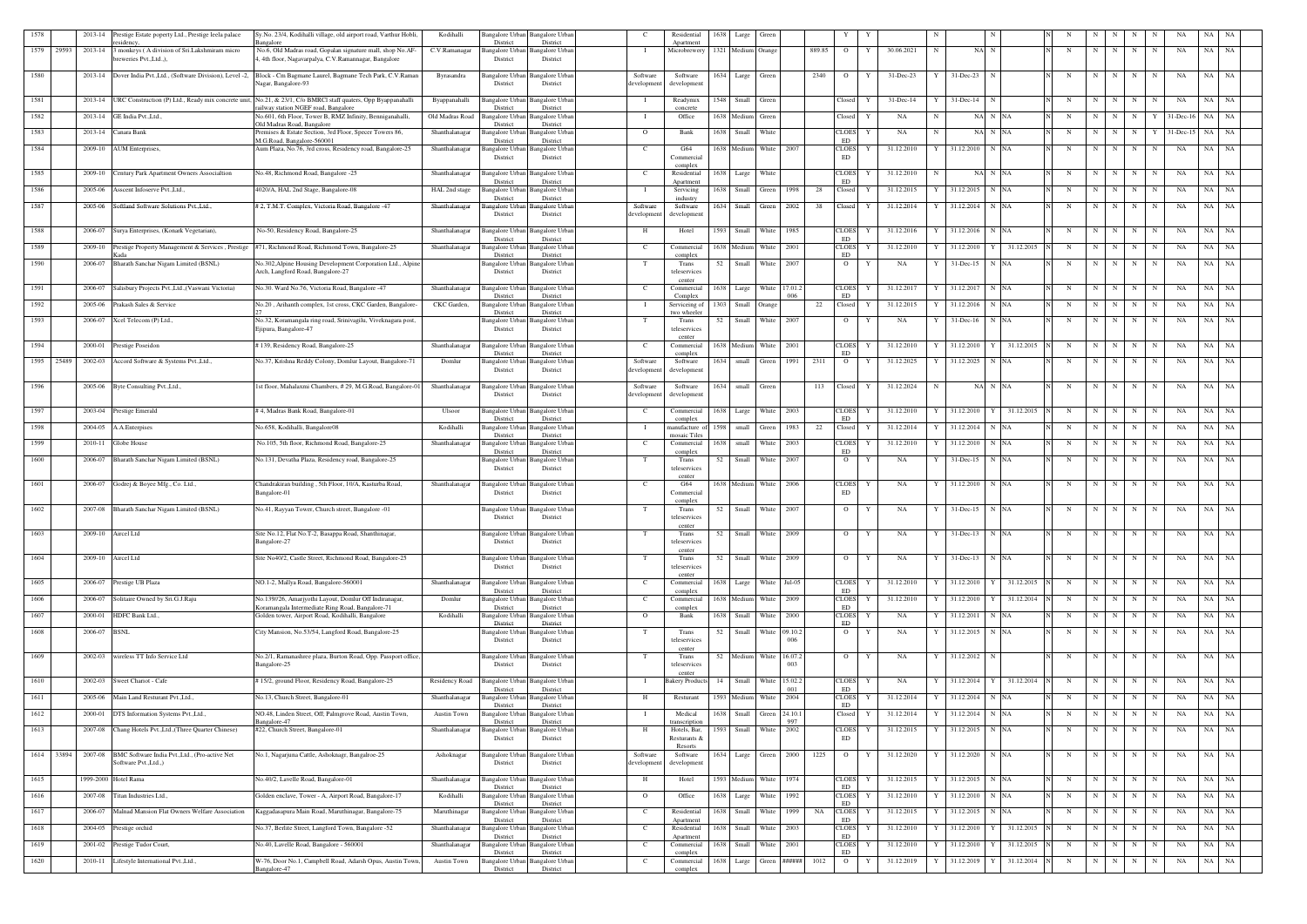| 1578 |       | 2013-14 | Prestige Estate poperty Ltd., Prestige leela palace<br>sidency                  | Sy.No. 23/4, Kodihalli village, old airport road, Varthur Hobli,<br>angalore                                        | Kodihalli       | <b>Bangalore Urban</b><br>District | Bangalore Urban<br>District                 | - C                    | Residential<br>Apartment         | 1638 | Large                    | Green      |             |        |                                 |   |              |   |                   |            |            |             |   |             |             |              | NA.       |           |
|------|-------|---------|---------------------------------------------------------------------------------|---------------------------------------------------------------------------------------------------------------------|-----------------|------------------------------------|---------------------------------------------|------------------------|----------------------------------|------|--------------------------|------------|-------------|--------|---------------------------------|---|--------------|---|-------------------|------------|------------|-------------|---|-------------|-------------|--------------|-----------|-----------|
| 1579 | 29593 | 2013-14 | 3 monkeys (A division of Sri.Lakshmiram micro<br>breweries Pvt., Ltd.,),        | No.6, Old Madras road, Gopalan signature mall, shop No.AF-<br>4, 4th floor, Nagavarpalya, C.V.Ramannagar, Bangalore | C.V.Ramanagar   | Bangalore Urban<br>District        | Bangalore Urban<br>District                 |                        | Microbrewery                     |      | 1321 Medium Orange       |            |             | 889.85 | $\overline{O}$                  | Y | 30.06.2021   |   | NA N              |            | $_{\rm N}$ | -N          |   | N           | N           | NA           | NA        | NA        |
| 1580 |       |         | 2013-14 Dover India Pvt., Ltd., (Software Division), Level -2,                  | Block - Cm Bagmane Laurel, Bagmane Tech Park, C.V.Raman<br>Nagar, Bangalore-93                                      | Byrasandra      | Bangalore Urban<br>District        | Bangalore Urban<br>District                 | Software<br>developmen | Software<br>development          | 1634 | Large                    | Green      |             | 2340   | $\overline{O}$                  |   | 31-Dec-23    |   | 31-Dec-23         |            | N          | N           | N | N           | N           | NA           | NA        | NA        |
| 1581 |       | 2013-14 |                                                                                 | URC Construction (P) Ltd., Ready mix concrete unit, No.21, & 23/1, C/o BMRCl staff quaters, Opp Byappanahalli       | Byappanahalli   | 3angalore Urba                     | angalore Urba                               |                        | Readymix                         | 1548 | Small                    | Green      |             |        | Closed                          |   | $31$ -Dec-14 |   | 31-Dec-14         |            | N          | $\mathbf N$ |   | N           | N           | NA           | NA        | NA        |
| 1582 |       |         | 2013-14 GE India Pvt., Ltd.,                                                    | ailway station NGEF road, Bangalore<br>No.601, 6th Floor, Tower B, RMZ Infinity, Benniganahalli,                    | Old Madras Road | District<br>Bangalore Urban        | District<br><b>Bangalore</b> Urbar          | - 1                    | concrete<br>Office               |      | 1638 Medium Green        |            |             |        | Closed                          |   | NA           |   | NA N NA           |            | N          | $\mathbf N$ | N | N           |             | $31$ -Dec-16 | NA        | NA        |
| 1583 |       | 2013-14 | Canara Bank                                                                     | Old Madras Road, Bangalore<br>Premises & Estate Section, 3rd Floor, Specer Towers 86.                               | Shanthalanagar  | District<br>Bangalore Urban        | District<br>Bangalore Urbar                 | $\Omega$               | Bank                             | 1638 | Small                    | White      |             |        | <b>CLOES</b>                    |   | NA           |   | NA N NA           |            | N          | N           | N | $\mathbf N$ | Y           | $31$ -Dec-15 | NA        | NA        |
| 1584 |       | 2009-10 | AUM Enterprises,                                                                | M.G.Road, Bangalore-560001<br>Aum Plaza, No.76, 3rd cross, Residency road, Bangalore-25                             | Shanthalanagar  | District<br>Bangalore Urban        | District<br><b>Bangalore Urban</b>          | $\mathbf{C}$           | G64                              |      | 1638 Medium              | White      | 2007        |        | ED<br><b>CLOES</b>              | Y | 31.12.2010   |   | 31.12.2010 N NA   |            | $_{\rm N}$ | $\mathbf N$ | N | N           | N           | NA           | NA        | NA        |
|      |       |         |                                                                                 |                                                                                                                     |                 | District                           | District                                    |                        | Commercial<br>complex            |      |                          |            |             |        | ED                              |   |              |   |                   |            |            |             |   |             |             |              |           |           |
| 1585 |       |         | 2009-10 Century Park Apartment Owners Associaltion                              | No.48, Richmond Road, Bangalore -25                                                                                 | Shanthalanagar  | Bangalore Urban<br>District        | <b>Bangalore Urban</b><br>District          | $\mathbf{C}$           | Residential<br>Apartment         | 1638 | Large                    | White      |             |        | <b>CLOES</b><br>ED              | Y | 31.12.2010   | N | NA N NA           |            | N          | N           | N | $\mathbf N$ | N           | NA           | NA        | NA        |
| 1586 |       |         | 2005-06 Asscent Infoserve Pvt., Ltd.,                                           | 4020/A, HAL 2nd Stage, Bangalore-08                                                                                 | HAL 2nd stage   | <b>Bangalore</b> Urban<br>District | Bangalore Urban<br>District                 |                        | Servicing<br>industry            |      | 1638 Small Green         |            | 1998        | 28     | Closed                          | Y | 31.12.2015   |   | 31.12.2015 N NA   |            | N          | N           | N | N           | N           | NA           | NA NA     |           |
| 1587 |       |         | 2005-06 Softland Software Solutions Pvt., Ltd.,                                 | # 2, T.M.T. Complex, Victoria Road, Bangalore -47                                                                   | Shanthalanagar  | Bangalore Urban<br>District        | <b>Bangalore Urban</b><br>District          | Software<br>developmen | Software<br>development          |      | 1634 Small Green         |            | 2002        | 38     | Closed                          | Y | 31.12.2014   |   | 31.12.2014 N NA   |            | N          | N           | N | N           | N           | NA           | NA        | NA        |
| 1588 |       | 2006-07 | Surya Enterprises, (Konark Vegetarian),                                         | No-50, Residency Road, Bangalore-25                                                                                 | Shanthalanagar  | Bangalore Urbar<br>District        | Bangalore Urban<br>District                 | H                      | Hotel                            | 1593 | Small                    | White      | 1985        |        | <b>CLOES</b><br>ED              | Y | 31.12.2016   |   | 31.12.2016        | N NA       | N          | N           | N | N           | $_{\rm N}$  | NA           | NA        | NA        |
| 1589 |       | 2009-10 | Kada                                                                            | Prestige Property Management & Services , Prestige #71, Richmond Road, Richmond Town, Bangalore-25                  | Shanthalanagar  | Bangalore Urban<br>District        | <b>Bangalore Urban</b><br>District          | C.                     | Commercia<br>complex             |      | 1638 Medium              | White      | 2001        |        | CLOES<br>ED                     |   | 31.12.2010   |   | 31.12.2010        | 31.12.2015 | N          | N           |   | N           |             | NA           | NA        | NA        |
| 1590 |       | 2006-07 | Bharath Sanchar Nigam Limited (BSNL)                                            | No.302, Alpine Housing Development Corporation Ltd., Alpine<br>Arch, Langford Road, Bangalore-27                    |                 | angalore Urban<br>District         | angalore Urbar<br>District                  | — Т                    | Trans<br>teleservices            | 52   | Small                    | White      | 2007        |        | $\circ$                         |   | NA           |   | $31$ -Dec-15 N NA |            | N          | N           | N | N           | N           | NA           | NA        | NA        |
|      |       |         |                                                                                 | No.30. Ward No.76, Victoria Road, Bangalore -47                                                                     | Shanthalanagar  |                                    |                                             | C                      | center                           |      |                          |            |             |        |                                 |   |              |   | 31.12.2017 N NA   |            |            |             |   |             |             |              | NA NA     |           |
| 1591 |       |         | 2006-07 Salisbury Projects Pvt., Ltd., (Vaswani Victoria)                       |                                                                                                                     |                 | Bangalore Urban<br>District        | <b>Bangalore</b> Urban<br>District          |                        | Commercial<br>Complex            |      | 1638 Large White 17.01.2 |            | 006         |        | <b>CLOES</b><br>ED              | Y | 31.12.2017   |   |                   |            | N          | N           | N | N           | N           | NA           |           |           |
| 1592 |       | 2005-06 | Prakash Sales & Service                                                         | No.20, Arihanth complex, 1st cross, CKC Garden, Bangalore-                                                          | CKC Garden,     | Bangalore Urban<br>District        | angalore Urban<br>District                  | - 1                    | Serviceing of<br>two wheele      | 1303 | Small                    | Orange     |             | 22     | Closed                          |   | 31.12.2015   |   | 31.12.2016        | N NA       | N          | $\mathbf N$ | N | N           | N           | NA           | NA        | NA        |
| 1593 |       | 2006-07 | Xcel Telecom (P) Ltd.,                                                          | No.32, Koramangala ring road, Srinivagilu, Viveknagara post,<br>Ejipura, Bangalore-47                               |                 | Bangalore Urban<br>District        | angalore Urban<br>District                  | T                      | Trans<br>teleservices<br>center  | 52   | Small                    | White      | 2007        |        | $\circ$                         | Y | NA           |   | 31-Dec-16         | N NA       | N          | N           | N | N           | N           | NA           | NA        | NA        |
| 1594 |       | 2000-01 | Prestige Poseidon                                                               | #139, Residency Road, Bangalore-25                                                                                  | Shanthalanagar  | Bangalore Urban<br>District        | Bangalore Urban<br>District                 | <sup>-</sup> C         | Commercial<br>complex            |      | 1638 Medium              | White      | 2001        |        | CLOES<br>ED.                    | Y | 31.12.2010   |   | 31.12.2010<br>Y   | 31.12.2015 | N          | N           | N | N           | N           | NA           | NA        | NA        |
| 1595 | 25489 | 2002-03 | Accord Software & Systems Pvt.,Ltd.,                                            | No.37, Krishna Reddy Colony, Domlur Layout, Bangalore-71                                                            | Domlur          | angalore Urban<br>District         | Bangalore Urbar<br>District                 | Software<br>developmen | Software<br>developmen           | 1634 | small                    | Green      | 1991        | 2311   | $\overline{O}$                  | Y | 31.12.2025   |   | 31.12.2025 N NA   |            | N          | N           | N | N           | N           | NA           | NA NA     |           |
| 1596 |       |         | 2005-06 Byte Consulting Pvt., Ltd.,                                             | 1st floor, Mahalaxmi Chambers, #29, M.G.Road, Bangalore-01                                                          | Shanthalanagar  | angalore Urban<br>District         | Bangalore Urba<br>District                  | Software<br>developmen | Software<br>development          | 1634 | small                    | Green      |             | 113    | Closed                          | Y | 31.12.2024   |   | NA N NA           |            | N          | N           | N | N           | N           | NA           | NA        | NA        |
| 1597 |       | 2003-04 | Prestige Emerald                                                                | #4, Madras Bank Road, Bangalore-01                                                                                  | Ulsoor          | Bangalore Urban<br>District        | Bangalore Urban<br>District                 | C                      | Commercial<br>complex            | 1638 | Large                    | White      | 2003        |        | <b>CLOES</b><br>ED              | Y | 31.12.2010   |   | 31.12.2010<br>Y   | 31.12.2015 | N          | N           | N | N           | N           | NA           | NA        | NA        |
| 1598 |       | 2004-05 | A.A.Enterpises                                                                  | No.658, Kodihalli, Bangalore08                                                                                      | Kodihalli       | angalore Urban<br>District         | Bangalore Urban<br>District                 |                        | manufacture (<br>mosaic Tiles    | 1598 | small                    | Green      | 1983        | 22     | Closed                          |   | 31.12.2014   |   | 31.12.2014 N NA   |            | N          | N           | N | N           | N           | NA           | NA        | NA        |
| 1599 |       | 2010-11 | Globe House                                                                     | No.105, 5th floor, Richmond Road, Bangalore-25                                                                      | Shanthalanagar  | angalore Urban<br>District         | Bangalore Urban<br>District                 | <sup>-</sup> C         | Commercial<br>complex            | 1638 | small                    | White      | 2003        |        | <b>LOES</b><br><b>ED</b>        |   | 31.12.2010   |   | 31.12.2010        | N NA       | $_{\rm N}$ | N           |   | N           | N           | NA           | NA        | NA        |
| 1600 |       |         | 2006-07 Bharath Sanchar Nigam Limited (BSNL)                                    | No.131, Devatha Plaza, Residency road, Bangalore-25                                                                 |                 | Bangalore Urban<br>District        | Bangalore Urban<br>District                 | - Т                    | Trans<br>teleservices            | 52   | Small White              |            | 2007        |        | $\overline{O}$                  | Y | NA           |   | 31-Dec-15 N NA    |            | N          | N           | N | N           | N           | NA           | NA NA     |           |
| 1601 |       |         | 2006-07 Godrej & Boyee Mfg., Co. Ltd.,                                          | Chandrakiran building, 5th Floor, 10/A, Kasturba Road,                                                              | Shanthalanagar  | Bangalore Urban                    | <b>Bangalore</b> Urbar                      | C                      | center<br>G64                    |      | 1638 Medium White        |            | 2006        |        | <b>CLOES</b>                    | Y | NA           |   | 31.12.2010 N NA   |            | N          | $\mathbf N$ | N | N           | N           | NA           | NA        | NA        |
|      |       |         |                                                                                 | Bangalore-01                                                                                                        |                 | District                           | District                                    |                        | Commercia<br>complex             |      |                          |            |             |        | ED                              |   |              |   |                   |            |            |             |   |             |             |              |           |           |
| 1602 |       |         | 2007-08 Bharath Sanchar Nigam Limited (BSNL)                                    | No.41, Rayyan Tower, Church street, Bangalore -01                                                                   |                 | District                           | Bangalore Urban Bangalore Urban<br>District | T                      | Trans<br>teleservices<br>center  | 52   | Small White              |            | 2007        |        | $\overline{O}$                  | Y | NA           | Y | $31$ -Dec-15 N NA |            | N          | N           | N | N           | N           | NA           | NA        | NA        |
| 1603 |       | 2009-10 | Aircel Ltd                                                                      | Site No.12, Flat No.T-2, Basappa Road, Shanthinagar,<br>Bangalore-27                                                |                 | District                           | Bangalore Urban Bangalore Urban<br>District |                        | Trans<br>teleservices<br>center  | 52   | Small                    | White      | 2009        |        | $\overline{O}$                  | Y | NA           |   | 31-Dec-13 N NA    |            | N          | N           | N | N           | $\mathbf N$ | NA           | NA        | NA        |
| 1604 |       |         | 2009-10 Aircel Ltd                                                              | Site No40/2, Castle Street, Richmond Road, Bangalore-25                                                             |                 | Bangalore Urban<br>District        | <b>Bangalore</b> Urban<br>District          |                        | Trans<br>teleservices            |      | 52 Small White 2009      |            |             |        | $\overline{O}$                  | Y | NA           |   | $31$ -Dec-13 N NA |            | N          |             |   | N N N N     |             | NA           | NA NA     |           |
| 1605 |       |         | 2006-07 Prestige UB Plaza                                                       | NO.1-2, Mallya Road, Bangalore-560001                                                                               | Shanthalanagar  |                                    | Bangalore Urban Bangalore Urban             | $\mathbf{C}$           | center<br>Commercial             |      | 1638 Large White Jul-05  |            |             |        | <b>CLOES</b><br>ED              | Y | 31.12.2010   |   | 31.12.2010        | 31.12.2015 | N          | N           | N | N           | N           | NA           | NA        | NA        |
| 1606 |       | 2006-07 | Solitaire Owned by Sri.G.J.Raju                                                 | No.139//26, Amarjyothi Layout, Domlur Off Indiranagar,                                                              | Domlur          | District<br>Bangalore Urban        | District<br>Bangalore Urban                 | C                      | complex<br>Commercial            |      | 1638 Medium              | White      | 2009        |        | <b>CLOES</b>                    | Y | 31.12.2010   |   | 31.12.2010        | 31.12.2014 | N          | N           | N | N           | N           | NA           | NA        | NA        |
| 1607 |       | 2000-01 | HDFC Bank Ltd.,                                                                 | Koramangala Intermediate Ring Road, Bangalore-71<br>Golden tower, Airport Road, Kodihalli, Bangalore                | Kodihalli       | District<br>Bangalore Urban        | District<br><b>Bangalore Urban</b>          | $\mathbf{O}$           | complex<br>Bank                  | 1638 | Small                    | White      | 2000        |        | <b>ED</b><br><b>CLOES</b>       | Y | NA           |   | 31.12.2011        | N NA       | N          | $\mathbf N$ | N | N           |             | NA           | NA        | NA        |
| 1608 |       | 2006-07 | <b>BSNL</b>                                                                     | City Mansion, No.53/54, Langford Road, Bangalore-25                                                                 |                 | District<br>angalore Urban         | District<br>Bangalore Urban                 | T                      | Trans                            | 52   | Small                    | White      | 09.10.2     |        | ED<br>$\overline{O}$            | Y | NA           |   | 31.12.2015 N NA   |            | N          | N           | N | N           | N           | NA           | NA        | NA        |
|      |       |         |                                                                                 |                                                                                                                     |                 | District                           | District                                    |                        | teleservices<br>center           |      |                          |            | 006         |        |                                 |   |              |   |                   |            |            |             |   |             |             |              |           |           |
| 1609 |       |         | 2002-03 wireless TT Info Service Ltd                                            | No.2/1, Ramanashree plaza, Burton Road, Opp. Passport office,<br>Bangalore-25                                       |                 | Bangalore Urbar<br>District        | Bangalore Urban<br>District                 |                        | Trans<br>teleservices            |      | 52 Medium White 16.07.2  |            | 003         |        | $\overline{O}$                  | Y | NA           |   | 31.12.2012 N      |            | N          | N           | N | N           | N           | NA           | $NA$ $NA$ |           |
| 1610 |       | 2002-03 | Sweet Chariot - Cafe                                                            | #15/2, ground Floor, Residency Road, Bangalore-25                                                                   | Residency Road  | <b>Bangalore Urban</b>             | <b>Bangalore Urban</b>                      |                        | center<br><b>Bakery Products</b> | 14   | Small                    | White      | 15.02.2     |        | <b>CLOES</b>                    | Y | NA           |   | 31.12.2014<br>Y   | 31.12.2014 | N          | N           | N | N           |             | NA           | NA        | NA        |
| 1611 |       | 2005-06 | Main Land Resturant Pvt., Ltd.,                                                 | No.13, Church Street, Bangalore-01                                                                                  | Shanthalanagar  | District<br>Bangalore Urban        | District<br>Bangalore Urban                 | H                      | Resturant                        |      | 1593 Medium              | White      | 001<br>2004 |        | ED<br>$\overline{\text{CLOES}}$ | Y | 31.12.2014   |   | 31.12.2014 N NA   |            | N          | N           | N | N           | N           | NA           | NA        | <b>NA</b> |
| 1612 |       | 2000-01 | DTS Information Systems Pvt., Ltd.,                                             | NO.48, Linden Street, Off; Palmgrove Road, Austin Town,                                                             | Austin Town     | District<br>angalore Urban         | District<br>Bangalore Urban                 |                        | Medical                          | 1638 | Small                    | Green      | 24.10.1     |        | ED<br>Closed                    |   | 31.12.2014   |   | 31.12.2014 N NA   |            | N          | N           | N | N           | N           | NA           | NA        | NA        |
| 1613 |       | 2007-08 | Chang Hotels Pvt., Ltd., (Three Quarter Chinese)                                | Bangalore-47<br>#22, Church Street, Bangalore-01                                                                    | Shanthalanagar  | District<br>angalore Urban         | District<br>Bangalore Urban                 | H                      | transcription<br>Hotels, Bar,    |      | 1593 Small               | White      | 997<br>2002 |        | <b>CLOES</b>                    | Y | 31.12.2015   |   | 31.12.2015 N NA   |            | N          | N           | N | N           | N           | NA           | NA NA     |           |
|      |       |         |                                                                                 |                                                                                                                     |                 | District                           | District                                    |                        | Resturants &<br>Resorts          |      |                          |            |             |        | ED                              |   |              |   |                   |            |            |             |   |             |             |              |           |           |
| 1614 | 33894 |         | 2007-08 BMC Software India Pvt., Ltd., (Pro-active Net<br>Software Pvt., Ltd.,) | No.1, Nagarjuna Cattle, Ashoknagr, Bangalroe-25                                                                     | Ashoknagar      | Bangalore Urban<br>District        | Bangalore Urbar<br>District                 | Software<br>developmen | Software<br>development          |      | 1634 Large Green         |            | 2000        | 1225   | $\overline{O}$                  |   | 31.12.2020   |   | 31.12.2020 N NA   |            | N          | N           | N | N           | N           | NA           | NA NA     |           |
| 1615 |       |         | 1999-2000 Hotel Rama                                                            | No.40/2, Lavelle Road, Bangalore-01                                                                                 | Shanthalanagar  | Bangalore Urban<br>District        | Bangalore Urban<br>District                 | H                      | Hotel                            |      | 1593 Medium White        |            | 1974        |        | <b>CLOES</b><br>ED              | Y | 31.12.2015   |   | 31.12.2015 N NA   |            | N          | N           | N | N           | N           | NA           | NA        | <b>NA</b> |
| 1616 |       | 2007-08 | Titan Industries Ltd.,                                                          | Golden enclave, Tower - A, Airport Road, Bangalore-17                                                               | Kodihalli       | Bangalore Urban<br>District        | Bangalore Urban<br>District                 | $\overline{O}$         | Office                           |      | $1638$ Large             | White 1992 |             |        | <b>CLOES</b><br>ED              | Y | 31.12.2010   |   | 31.12.2010 N NA   |            | N          | N           | N | N           | N           | NA           | NA NA     |           |
| 1617 |       |         | 2006-07 Malnad Mansion Flat Owners Welfare Association                          | Kaggadasapura Main Road, Maruthinagar, Bangalore-75                                                                 | Maruthinagar    | angalore Urban<br>District         | <b>Bangalore Urban</b><br>District          | <sup>-</sup> C         | Residential<br>Apartment         | 1638 | Small                    | White      | 1999        | NA     | <b>CLOES</b><br>ED              |   | 31.12.2015   |   | 31.12.2015 N NA   |            | N          | N           | N | N           | N           | NA           | NA        | NA        |
| 1618 |       |         | 2004-05 Prestige orchid                                                         | No.37, Berlite Street, Langford Town, Bangalore -52                                                                 | Shanthalanagar  | Bangalore Urban<br>District        | Bangalore Urban<br>District                 | $\mathbf{C}$           | Residential<br>Apartment         |      | 1638 Small White 2003    |            |             |        | <b>CLOES</b><br>ED              | Y | 31.12.2010   |   | 31.12.2010 Y      | 31.12.2015 | N          | N           | N | N           | N           | NA           | NA NA     |           |
| 1619 |       |         | 2001-02 Prestige Tudor Court,                                                   | No.40, Lavelle Road, Bangalore - 560001                                                                             | Shanthalanagar  | Bangalore Urban<br>District        | Bangalore Urban<br>District                 | C                      | Commercial<br>complex            |      | 1638 Small White         |            | 2001        |        | <b>CLOES</b><br><b>ED</b>       | Y | 31.12.2010   |   | 31.12.2010<br>Y   | 31.12.2015 | N          | N           | N | N           | N           | NA           | NA NA     |           |
| 1620 |       |         | 2010-11 Lifestyle International Pvt., Ltd.,                                     | W-76, Door No.1, Campbell Road, Adarsh Opus, Austin Town,<br>Bangalore-47                                           | Austin Town     | Bangalore Urban<br>District        | Bangalore Urban<br>District                 | C                      | Commercial<br>complex            |      | 1638 Large Green ######  |            |             | 1012   | $\overline{O}$                  | Y | 31.12.2019   |   | 31.12.2019 Y      | 31.12.2014 | N          | N           | N | N           | N           | NA           | NA NA     |           |
|      |       |         |                                                                                 |                                                                                                                     |                 |                                    |                                             |                        |                                  |      |                          |            |             |        |                                 |   |              |   |                   |            |            |             |   |             |             |              |           |           |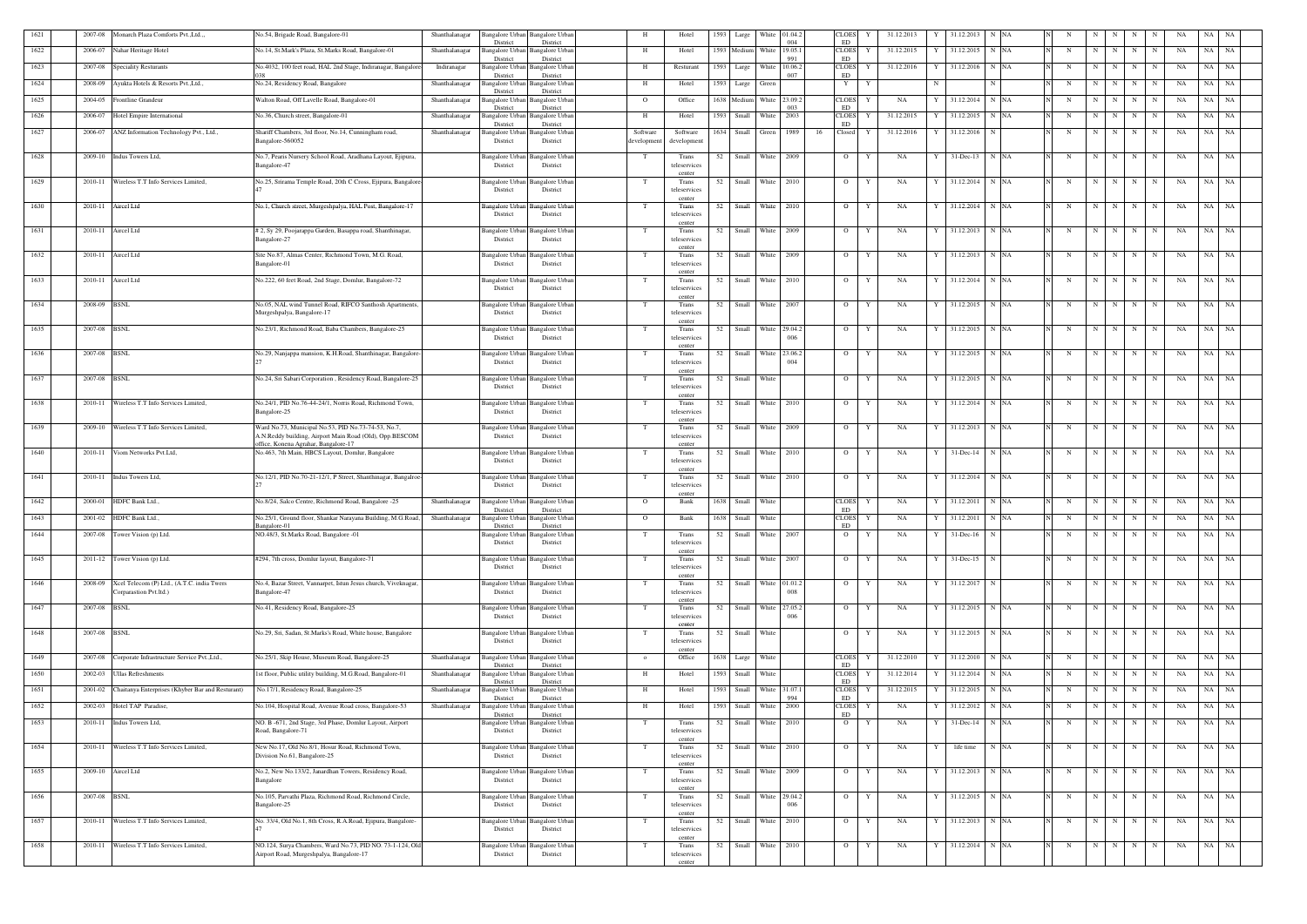| 1621 | 2007-08      | Monarch Plaza Comforts Pvt., Ltd.,                                   | No.54, Brigade Road, Bangalore-01                                                                              | Shanthalanagar | Bangalore Urban<br>District                 | <b>Bangalore Urban</b><br>District |                        | Hotel                   | 1593 | Large               | White               | 01.04.<br>004 |    | CLOES<br>ED                   | 31.12.2013      |   | 31.12.2013      | N NA |   |             |         |         |                     |    | NA<br>NA |           |  |
|------|--------------|----------------------------------------------------------------------|----------------------------------------------------------------------------------------------------------------|----------------|---------------------------------------------|------------------------------------|------------------------|-------------------------|------|---------------------|---------------------|---------------|----|-------------------------------|-----------------|---|-----------------|------|---|-------------|---------|---------|---------------------|----|----------|-----------|--|
| 1622 | 2006-07      | Nahar Heritage Hotel                                                 | No.14, St.Mark's Plaza, St.Marks Road, Bangalore-01                                                            | Shanthalanagar | <b>Bangalore Urban</b>                      | Bangalore Urbar                    | H                      | Hotel                   | 1593 | Medium              | White               | 19.05.1       |    | <b>CLOES</b>                  | 31.12.2015<br>Y |   | 31.12.2015      | N NA |   | N           | N       | N       | N<br>N              | NA | NA       | NA        |  |
| 1623 | 2007-08      | <b>Speciality Resturants</b>                                         | No.4032, 100 feet road, HAL 2nd Stage, Indiranagar, Bangalore                                                  | Indiranagar    | District<br>Bangalore Urba                  | District<br>Bangalore Urbar        | H                      | Resturant               | 1593 | Large               | White               | 991<br>10.06. |    | ED<br><b>CLOES</b>            | 31.12.2016      |   | 31.12.2016      | N NA | N |             | N       | N       | N<br>N              | NA | NA       | NA        |  |
| 1624 | 2008-09      | Ayukta Hotels & Resorts Pvt., Ltd.,                                  | No.24, Residency Road, Bangalore                                                                               | Shanthalanagar | District<br>Bangalore Urbar                 | District<br>Bangalore Urbai        |                        | Hotel                   | 1593 | Large               | Green               | 007           |    | ED<br>$\mathbf{Y}$            | Y               | N |                 |      | N |             | N       | N       | N                   | NA | NA       | NA        |  |
|      |              |                                                                      |                                                                                                                |                | District                                    | District                           |                        |                         |      |                     |                     |               |    |                               |                 |   |                 |      |   |             |         |         |                     |    |          |           |  |
| 1625 | 2004-05      | Frontline Grandeur                                                   | Walton Road, Off Lavelle Road, Bangalore-01                                                                    | Shanthalanagar | Bangalore Urba<br>District                  | Bangalore Urbai<br>District        | $\overline{O}$         | Office                  |      | 1638 Medium         | White               | 23.09.<br>003 |    | <b>CLOES</b><br>ED            | NA              |   | 31.12.2014 N NA |      | N |             | N       | N       | N<br>N              | NA | NA       | NA        |  |
| 1626 | 2006-07      | Hotel Empire International                                           | No.36, Church street, Bangalore-01                                                                             | Shanthalanagar | Bangalore Urban<br>District                 | Bangalore Urbai<br>District        | <b>H</b>               | Hotel                   | 1593 | Small               | White               | 2003          |    | <b>CLOES</b><br>ED            | 31.12.2015      |   | 31.12.2015      | N NA |   | N           | N       | N       | N<br>N              | NA | NA       | NA        |  |
| 1627 | 2006-07      | ANZ Information Technology Pvt., Ltd.,                               | Shariff Chambers, 3rd floor, No.14, Cunningham road,<br>Bangalore-560052                                       | Shanthalanagar | Bangalore Urbai<br>District                 | Bangalore Urbai<br>District        | Software<br>developmen | Software<br>development | 1634 | Small               | Green               | 1989          | 16 | Closed                        | 31.12.2016<br>Y |   | 31.12.2016      | N    | N |             | N       | N       | N<br>N              |    | NA       | NA NA     |  |
|      |              |                                                                      |                                                                                                                |                |                                             |                                    |                        |                         |      |                     |                     |               |    |                               |                 |   |                 |      |   |             |         |         |                     |    |          |           |  |
| 1628 |              | 2009-10 Indus Towers Ltd,                                            | No.7, Pearis Nursery School Road, Aradhana Layout, Ejipura,<br>Bangalore-47                                    |                | Bangalore Urban<br>District                 | Bangalore Urba<br>District         |                        | Trans<br>teleservices   | 52   | Small White 2009    |                     |               |    | $\overline{O}$                | NA<br>Y         |   | 31-Dec-13 N NA  |      | N |             | N       | N       | N<br>N              | NA |          | NA NA     |  |
| 1629 |              | 2010-11 Wireless T.T Info Services Limited,                          | No.25, Srirama Temple Road, 20th C Cross, Ejipura, Bangalore                                                   |                | Bangalore Urban                             | <b>Bangalore Urbar</b>             | - Т                    | center<br>Trans         | 52   |                     | Small White 2010    |               |    | $\overline{O}$                | NA<br>Y         |   | 31.12.2014      | N NA | N |             | N       | N       | N<br>N              | NA | NA       | NA        |  |
|      |              |                                                                      |                                                                                                                |                | District                                    | District                           |                        | teleservices            |      |                     |                     |               |    |                               |                 |   |                 |      |   |             |         |         |                     |    |          |           |  |
| 1630 | 2010-11      | Aircel Ltd                                                           | No.1, Church street, Murgeshpalya, HAL Post, Bangalore-17                                                      |                | Bangalore Urban                             | Bangalore Urba                     | T                      | center<br>Trans         | 52   | Small               | White 2010          |               |    | $\overline{O}$                | Y<br>NA         |   | 31.12.2014      | N NA | N |             | N       | N       | N<br>$\mathbf N$    | NA |          | NA NA     |  |
|      |              |                                                                      |                                                                                                                |                | District                                    | District                           |                        | teleservices<br>center  |      |                     |                     |               |    |                               |                 |   |                 |      |   |             |         |         |                     |    |          |           |  |
| 1631 | 2010-11      | Aircel Ltd                                                           | # 2, Sy 29, Poojarappa Garden, Basappa road, Shanthinagar,<br>Bangalore-27                                     |                | Bangalore Urban<br>District                 | Bangalore Urbai<br>District        |                        | Trans<br>teleservices   | 52   | Small               | White 2009          |               |    | $\overline{O}$                | Y<br>NA         |   | 31.12.2013      | N NA | N |             | N       | N       | N<br>N              |    | NA<br>NA | NA        |  |
|      |              |                                                                      |                                                                                                                |                |                                             |                                    |                        | center                  |      |                     |                     |               |    |                               |                 |   |                 |      |   |             |         |         |                     |    |          |           |  |
| 1632 | 2010-11      | Aircel Ltd                                                           | Site No.87, Almas Center, Richmond Town, M.G. Road.<br>Bangalore-01                                            |                | Bangalore Urban<br>District                 | Bangalore Urba<br>District         |                        | Trans<br>teleservices   | 52   | Small               | White 2009          |               |    | $\overline{O}$                | Y<br>NA         |   | 31.12.2013      | N NA | N |             | N       | N       | N<br>N              | NA | NA       | NA        |  |
| 1633 | 2010-11      | Aircel Ltd                                                           | No.222, 60 feet Road, 2nd Stage, Domlur, Bangalore-72                                                          |                | Bangalore Urban                             | <b>Bangalore Urban</b>             |                        | center<br>Trans         | 52   | Small               | White 2010          |               |    | $\overline{O}$                | NA<br>Y         |   | 31.12.2014      | N NA |   | N           | N       | N       | N<br>N              | NA | NA       | <b>NA</b> |  |
|      |              |                                                                      |                                                                                                                |                | District                                    | District                           |                        | teleservices            |      |                     |                     |               |    |                               |                 |   |                 |      |   |             |         |         |                     |    |          |           |  |
| 1634 | 2008-09      | <b>BSNL</b>                                                          | No.05, NAL wind Tunnel Road, RIFCO Santhosh Apartments.                                                        |                | Bangalore Urban                             | Bangalore Urba                     |                        | center<br>Trans         | 52   | Small               | White 2007          |               |    | $\overline{O}$                | NA<br>Y         |   | 31.12.2015 N NA |      |   | N           | N       | N       | N<br>N              | NA | NA       | <b>NA</b> |  |
|      |              |                                                                      | Murgeshpalya, Bangalore-17                                                                                     |                | District                                    | District                           |                        | teleservices<br>center  |      |                     |                     |               |    |                               |                 |   |                 |      |   |             |         |         |                     |    |          |           |  |
| 1635 | 2007-08 BSNL |                                                                      | No.23/1, Richmond Road, Baba Chambers, Bangalore-25                                                            |                | Bangalore Urban                             | Bangalore Urbar<br>District        |                        | Trans                   | 52   |                     | Small White 29.04.2 | 006           |    | $\overline{O}$                | NA<br>Y         |   | 31.12.2015 N NA |      | N |             | N       | N       | N<br>N              | NA |          | NA NA     |  |
|      |              |                                                                      |                                                                                                                |                | District                                    |                                    |                        | teleservices<br>center  |      |                     |                     |               |    |                               |                 |   |                 |      |   |             |         |         |                     |    |          |           |  |
| 1636 | 2007-08 BSNL |                                                                      | No.29, Nanjappa mansion, K.H.Road, Shanthinagar, Bangalore                                                     |                | Bangalore Urban<br>District                 | Bangalore Urba<br>District         |                        | Trans<br>teleservices   | 52   | Small               | White 23.06.        | 004           |    | $\overline{O}$                | NA              |   | 31.12.2015 N NA |      | N |             | N       | N       | N<br>N              |    | NA<br>NA | NA        |  |
| 1637 | 2007-08 BSNL |                                                                      | No.24, Sri Sabari Corporation, Residency Road, Bangalore-25                                                    |                | Bangalore Urban Bangalore Urban             |                                    |                        | center<br>Trans         | 52   | Small               | White               |               |    | $\overline{O}$                | NA<br>Y         |   | 31.12.2015      | N NA | N |             | N       | N       | N<br>N              |    | NA<br>NA | NA        |  |
|      |              |                                                                      |                                                                                                                |                | District                                    | District                           |                        | teleservices            |      |                     |                     |               |    |                               |                 |   |                 |      |   |             |         |         |                     |    |          |           |  |
| 1638 | 2010-11      | Wireless T.T Info Services Limited,                                  | No.24/1, PID No.76-44-24/1, Norris Road, Richmond Town,                                                        |                | Bangalore Urban                             | <b>Bangalore</b> Urba              | T                      | center<br>Trans         | 52   | Small               | White 2010          |               |    | $\overline{O}$                | Y<br>NA         | Y | 31.12.2014      | N NA | N |             | N       | N       | N<br>N              |    | NA<br>NA | NA        |  |
|      |              |                                                                      | Bangalore-25                                                                                                   |                | District                                    | District                           |                        | teleservices<br>center  |      |                     |                     |               |    |                               |                 |   |                 |      |   |             |         |         |                     |    |          |           |  |
| 1639 |              | 2009-10 Wireless T.T Info Services Limited,                          | Ward No.73, Municipal No.53, PID No.73-74-53, No.7,<br>A.N.Reddy building, Airport Main Road (Old), Opp.BESCOM |                | Bangalore Urban Bangalore Urban<br>District | District                           |                        | Trans<br>teleservices   | 52   | Small White 2009    |                     |               |    | $\overline{O}$                | Y<br>NA         | Y | 31.12.2013 N NA |      | N |             | N       | N       | N<br>N              | NA |          | NA NA     |  |
|      |              |                                                                      | office, Konena Agrahar, Bangalore-17                                                                           |                |                                             |                                    |                        | center                  |      |                     |                     |               |    |                               |                 |   |                 |      |   |             |         |         |                     |    |          |           |  |
| 1640 | 2010-11      | Viom Networks Pvt.Ltd,                                               | No.463, 7th Main, HBCS Layout, Domlur, Bangalore                                                               |                | Bangalore Urban<br>District                 | Bangalore Urba<br>District         |                        | Trans<br>teleservices   | 52   | Small               | White 2010          |               |    | $\overline{O}$                | Y<br>NA         |   | 31-Dec-14       | N NA |   | N           | N       | N       | N<br>N              | NA | NA       | NA        |  |
| 1641 | 2010-11      | Indus Towers Ltd,                                                    | No.12/1, PID No.70-21-12/1, P Street, Shanthinagar, Bangalroe-                                                 |                | Bangalore Urban Bangalore Urban             |                                    |                        | center<br>Trans         | 52   |                     | Small White 2010    |               |    | $\overline{O}$                | NA<br>Y         | Y | 31.12.2014 N NA |      | N |             | N       | N       | N<br>N              | NA |          | NA NA     |  |
|      |              |                                                                      |                                                                                                                |                | District                                    | District                           |                        | teleservices<br>center  |      |                     |                     |               |    |                               |                 |   |                 |      |   |             |         |         |                     |    |          |           |  |
| 1642 | 2000-01      | HDFC Bank Ltd.                                                       | No.8/24, Salco Centre, Richmond Road, Bangalore -25                                                            | Shanthalanagar | Bangalore Urban                             | <b>Bangalore Urban</b>             | $\overline{O}$         | Bank                    | 1638 | Small               | White               |               |    | <b>CLOES</b>                  | Y<br>NA         |   | 31.12.2011      | N NA |   | N           | N       | N I     | N<br>N              | NA | NA       | NA        |  |
| 1643 |              | 2001-02 HDFC Bank Ltd.                                               | No.25/1, Ground floor, Shankar Narayana Building, M.G.Road,                                                    | Shanthalanagar | District<br>Bangalore Urban Bangalore Urban | District                           | $\Omega$               | Bank                    | 1638 | Small               | White               |               |    | ED<br>CLOES Y                 | NA              |   | Y 31.12.2011    | N NA | N |             |         |         | $N$ $N$   $N$   $N$ | NA |          | NA NA     |  |
| 1644 | 2007-08      | Tower Vision (p) Ltd.                                                | Bangalore-01<br>NO.48/3, St.Marks Road, Bangalore -01                                                          |                | District<br>Bangalore Urban                 | District<br><b>Bangalore Urbar</b> | T                      | Trans                   | 52   | Small               | White 2007          |               |    | ED<br>$\overline{O}$          | NA<br>Y         | Y | $31$ -Dec-16    |      | N |             | N       | N       | N<br>N              |    | NA<br>NA | NA        |  |
|      |              |                                                                      |                                                                                                                |                | District                                    | District                           |                        | teleservices<br>center  |      |                     |                     |               |    |                               |                 |   |                 |      |   |             |         |         |                     |    |          |           |  |
| 1645 |              | 2011-12 Tower Vision (p) Ltd.                                        | #294, 7th cross, Domlur layout, Bangalore-71                                                                   |                | Bangalore Urban Bangalore Urban             |                                    |                        | Trans                   |      | 52 Small White 2007 |                     |               |    | $\overline{O}$                | Y<br>NA         | Y | $31 - Dec-15$ N |      |   | N           |         | $N$ $N$ | $N$ $N$             | NA |          | NA NA     |  |
|      |              |                                                                      |                                                                                                                |                | District                                    | District                           |                        | teleservices<br>center  |      |                     |                     |               |    |                               |                 |   |                 |      |   |             |         |         |                     |    |          |           |  |
| 1646 | 2008-09      | Xcel Telecom (P) Ltd., (A.T.C. india Twers<br>Corparastion Pvt.ltd.) | No.4, Bazar Street, Vannarpet, Istun Jesus church, Viveknagar,<br>Bangalore-47                                 |                | Bangalore Urban<br>District                 | <b>Bangalore Urbar</b><br>District |                        | Trans<br>teleservices   | 52   |                     | Small White 01.01.  | 008           |    | $\overline{O}$                | NA<br>Y         |   | 31.12.2017      |      | N |             | N       | N       | N<br>N              | NA | NA       | NA        |  |
| 1647 | 2007-08 BSNL |                                                                      | No.41, Residency Road, Bangalore-25                                                                            |                |                                             |                                    |                        | center<br>Trans         |      |                     |                     |               |    | $\overline{O}$                | NA              |   | 31.12.2015 N NA |      | N |             |         | N       | N<br>N              | NA |          | NA NA     |  |
|      |              |                                                                      |                                                                                                                |                | Bangalore Urban<br>District                 | Bangalore Urba<br>District         |                        | teleservices            | 52   |                     | Small White 27.05.  | 006           |    |                               | Y               |   |                 |      |   |             | N       |         |                     |    |          |           |  |
| 1648 | 2007-08 BSNL |                                                                      | No.29, Sri, Sadan, St.Marks's Road, White house, Bangalore                                                     |                | Bangalore Urban                             | <b>Bangalore Urbar</b>             | T                      | center<br>Trans         | 52   | Small White         |                     |               |    | $\overline{O}$                | NA<br>Y         |   | 31.12.2015 N NA |      | N |             | N       | N       | N<br>N              | NA |          | NA NA     |  |
|      |              |                                                                      |                                                                                                                |                | District                                    | District                           |                        | teleservices<br>center  |      |                     |                     |               |    |                               |                 |   |                 |      |   |             |         |         |                     |    |          |           |  |
| 1649 | 2007-08      | 'orporate Infrastructure Service Pvt., Ltd.,                         | No.25/1, Skip House, Museum Road, Bangalore-25                                                                 | Shanthalanagar | <b>Bangalore Urban</b>                      | <b>Bangalore Urbar</b><br>District | $\overline{0}$         | Office                  |      | 1638 Large White    |                     |               |    | <b>CLOES</b><br>ED            | 31.12.2010      |   | 31.12.2010 N NA |      |   | N           | N       | N       | N<br>N              | NA |          | NA NA     |  |
| 1650 | 2002-03      | Ullas Refreshments                                                   | 1st floor, Public utility building, M.G.Road, Bangalore-01                                                     | Shanthalanagar | District<br><b>Bangalore Urban</b>          | <b>3angalore Urbar</b>             | H                      | Hotel                   | 1593 | Small               | White               |               |    | $\ensuremath{\mathsf{CLOES}}$ | 31.12.2014      |   | 31.12.2014      | N NA |   | N           | N       | N       | N<br>N              | NA | NA       | <b>NA</b> |  |
| 1651 | 2001-02      | Chaitanya Enterprises (Khyber Bar and Resturant)                     | No.17/1, Residency Road, Bangalore-25                                                                          | Shanthalanagar | District<br><b>Bangalore Urbar</b>          | District<br><b>Bangalore Urbar</b> | H                      | Hotel                   | 1593 | Small               | White 31.07.        |               |    | ED<br><b>CLOES</b>            | 31.12.2015      |   | 31.12.2015 N NA |      | N |             | N       | N       | N<br>N              | NA |          | NA NA     |  |
| 1652 | 2002-03      | Hotel TAP Paradise,                                                  | No.104, Hospital Road, Avenue Road cross, Bangalore-53                                                         | Shanthalanagar | District<br>Bangalore Urba                  | District<br>Bangalore Urbar        | H                      | Hotel                   | 1593 | Small               | White               | 994<br>2000   |    | ${\rm ED}$<br><b>CLOES</b>    | NA              |   | 31.12.2012      | N NA | N |             | N       | N       | N<br>$\mathbf N$    | NA |          | NA NA     |  |
|      |              |                                                                      |                                                                                                                |                | District                                    | District                           |                        |                         |      |                     |                     |               |    | ED                            |                 |   |                 |      |   |             |         |         |                     |    |          |           |  |
| 1653 | 2010-11      | Indus Towers Ltd,                                                    | NO. B -671, 2nd Stage, 3rd Phase, Domlur Layout, Airport<br>Road, Bangalore-71                                 |                | Bangalore Urban<br>District                 | <b>Bangalore Urba</b><br>District  | - T                    | Trans<br>teleservices   | 52   | Small               | White 2010          |               |    | $\overline{O}$                | NA<br>Y         |   | 31-Dec-14       | N NA |   | $\mathbf N$ | N       | N       | N<br>N              | NA |          | NA NA     |  |
| 1654 | 2010-11      | Wireless T.T Info Services Limited,                                  | New No.17, Old No.8/1, Hosur Road, Richmond Town,                                                              |                | Bangalore Urban                             | <b>Bangalore Urban</b>             | - T                    | center<br>Trans         | 52   |                     | Small White 2010    |               |    | $\overline{O}$                | Y<br>NA         |   | life time       | N NA | N |             | N       | N       | N<br>N              | NA | NA       | <b>NA</b> |  |
|      |              |                                                                      | Division No.61, Bangalore-25                                                                                   |                | District                                    | District                           |                        | teleservices<br>center  |      |                     |                     |               |    |                               |                 |   |                 |      |   |             |         |         |                     |    |          |           |  |
| 1655 | 2009-10      | Aircel Ltd                                                           | No.2, New No.133/2, Janardhan Towers, Residency Road,                                                          |                | Bangalore Urbar                             | <b>Bangalore Urba</b>              |                        | Trans                   | 52   |                     | Small White 2009    |               |    | $\overline{O}$                | Y<br>NA         |   | 31.12.2013 N NA |      | N |             | N       | N       | N<br>N              | NA |          | NA NA     |  |
|      |              |                                                                      | Bangalore                                                                                                      |                | District                                    | District                           |                        | teleservices<br>center  |      |                     |                     |               |    |                               |                 |   |                 |      |   |             |         |         |                     |    |          |           |  |
| 1656 | 2007-08 BSNL |                                                                      | No.105, Parvathi Plaza, Richmond Road, Richmond Circle,<br>Bangalore-25                                        |                | Bangalore Urban<br>District                 | <b>Bangalore Urban</b><br>District | T                      | Trans<br>teleservices   | 52   | Small White 29.04.2 |                     | 006           |    | $\overline{O}$                | Y<br>NA         | Y | 31.12.2015 N NA |      |   | N           | $N$ $N$ |         | $N$ $N$             | NA |          | NA NA     |  |
| 1657 |              | 2010-11 Wireless T.T Info Services Limited,                          | No. 33/4, Old No.1, 8th Cross, R.A.Road, Ejipura, Bangalore-                                                   |                | Bangalore Urban Bangalore Urban             |                                    | - Т                    | center<br>Trans         | 52   |                     | Small White 2010    |               |    | $\overline{O}$                | Y<br>NA         |   | 31.12.2013 N NA |      |   | N           | N       | N       | N<br>N              | NA |          | NA NA     |  |
|      |              |                                                                      |                                                                                                                |                | District                                    | District                           |                        | teleservices            |      |                     |                     |               |    |                               |                 |   |                 |      |   |             |         |         |                     |    |          |           |  |
| 1658 |              | 2010-11 Wireless T.T Info Services Limited,                          | NO.124, Surya Chambers, Ward No.73, PID NO. 73-1-124, Old                                                      |                | Bangalore Urban Bangalore Urban             |                                    |                        | center<br>Trans         | 52   |                     | Small White 2010    |               |    | $\overline{O}$                | NA<br>Y         |   | 31.12.2014 N NA |      | N |             | N       | N       | N<br>N              |    | NA       | NA NA     |  |
|      |              |                                                                      | Airport Road, Murgeshpalya, Bangalore-17                                                                       |                | District                                    | District                           |                        | teleservices<br>center  |      |                     |                     |               |    |                               |                 |   |                 |      |   |             |         |         |                     |    |          |           |  |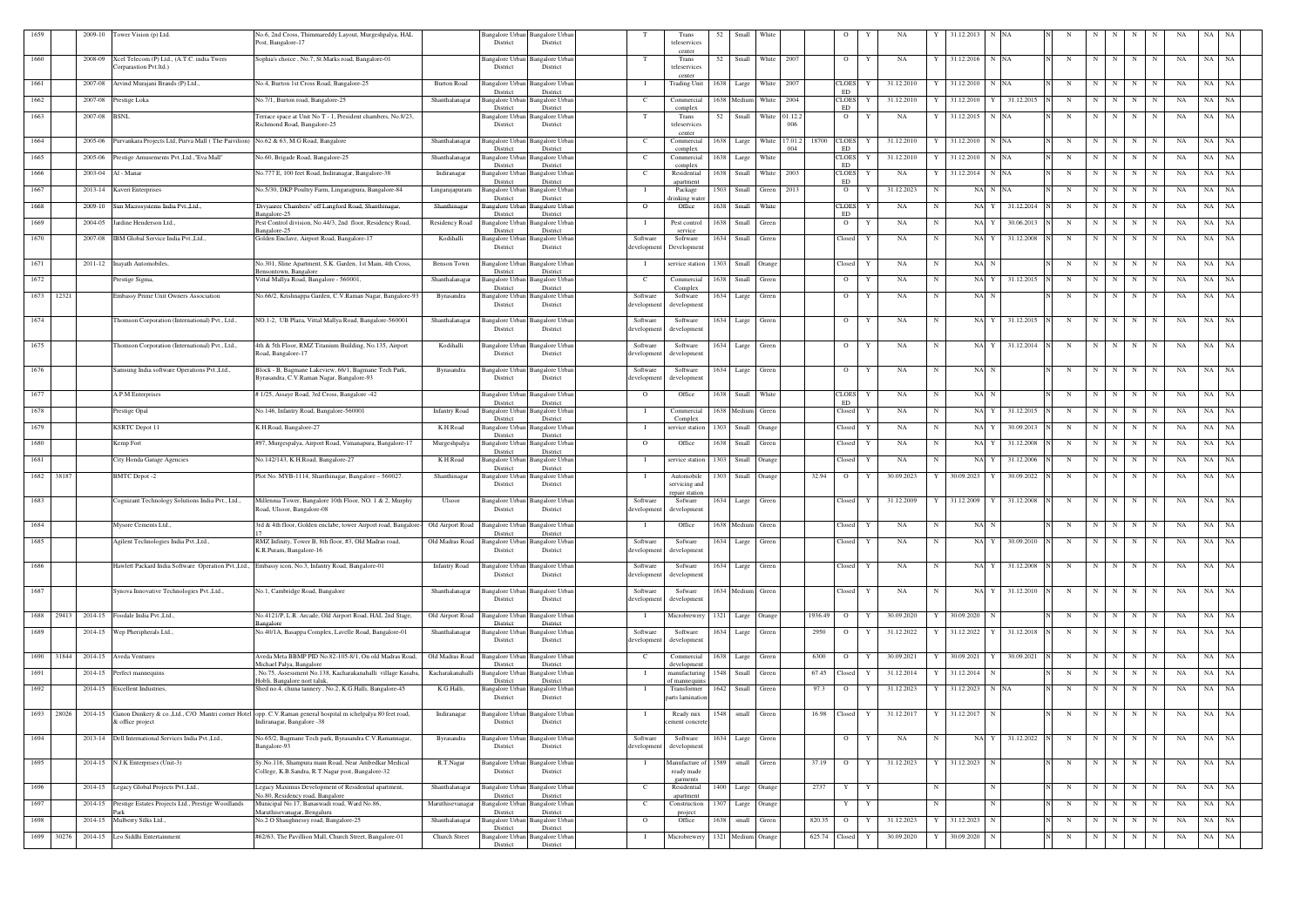| 1659          | 2009-10 Tower Vision (p) Ltd.                                                                                                             | No.6, 2nd Cross, Thimmareddy Layout, Murgeshpalya, HAL<br>Post, Bangalore-17                                    |                      | District                                       | Bangalore Urban Bangalore Urban<br>District |                                     | Trans<br>teleservices                | 52   | Small                 | White               |      |               | - 0                         | NA              |    | 31.12.2013                | - NA            |             |             |     |   |             | -NA | NA.   | - NA      |
|---------------|-------------------------------------------------------------------------------------------------------------------------------------------|-----------------------------------------------------------------------------------------------------------------|----------------------|------------------------------------------------|---------------------------------------------|-------------------------------------|--------------------------------------|------|-----------------------|---------------------|------|---------------|-----------------------------|-----------------|----|---------------------------|-----------------|-------------|-------------|-----|---|-------------|-----|-------|-----------|
| 1660          | Xcel Telecom (P) Ltd., (A.T.C. india Twers<br>2008-09<br>Corparastion Pvt.ltd.)                                                           | Sophia's choice, No.7, St.Marks road, Bangalore-01                                                              |                      | Bangalore Urban<br>District                    | Bangalore Urbar<br>District                 |                                     | center<br>Trans<br>teleservices      | 52   |                       | Small White         | 2007 |               | $\overline{O}$              | Y<br>NA         |    | 31.12.2016                | N NA            | N           | N           | N   | N | N           | NA  | NA    | NA        |
| 1661          | 2007-08 Arvind Murajani Brands (P) Ltd.,                                                                                                  | No.4, Burton 1st Cross Road, Bangalore-25                                                                       | <b>Burton Road</b>   | <b>Bangalore Urban</b>                         | <b>Bangalore Urbar</b>                      |                                     | center<br><b>Trading Unit</b>        |      | 1638 Large White 2007 |                     |      |               | <b>CLOES</b>                | 31.12.2010<br>Y |    | 31.12.2010 N NA           |                 | N           | N           | N   | N | N           | NA  | NA NA |           |
| 1662          | 2007-08<br>Prestige Loka                                                                                                                  | No.7/1, Burton road, Bangalore-25                                                                               | Shanthalanagar       | District<br><b>Bangalore Urban</b>             | District<br>Bangalore Urban                 | - C                                 | Commercial                           |      | 1638 Medium White     |                     | 2004 |               | ED<br><b>CLOES</b>          | 31.12.2010      |    | 31.12.2010<br>Y           | 31.12.2015      | N           | N           | N   | N | N           | NA  | NA    | NA        |
| 1663          | 2007-08 BSNL                                                                                                                              | 'errace space at Unit No T - 1, President chambers, No.8/23,                                                    |                      | District<br><b>Bangalore Urban</b>             | District<br>Bangalore Urbar                 |                                     | complex<br>Trans                     | 52   |                       | Small White 01.12.2 |      |               | ED<br>$\overline{O}$        | NA<br>Y         |    | 31.12.2015 N NA           |                 | N           | N           | N   | N | N           | NA  | NA NA |           |
| 1664          | Purvankara Projects Ltd, Purva Mall (The Paivilion) No.62 & 63, M.G Road, Bangalore<br>2005-06                                            | Richmond Road, Bangalore-25                                                                                     | Shanthalanagar       | District<br>Bangalore Urban                    | District<br>Bangalore Urbar                 | - C                                 | teleservices<br>center<br>Commercial | 1638 | Large                 | White 17.01.2       | 006  | 18700         | <b>CLOES</b>                | 31.12.2010<br>Y |    | 31.12.2010                | N NA            | N           | N           |     | N |             | NA  | NA    | NA.       |
| 1665          | Prestige Amusements Pvt., Ltd., "Eva Mall"<br>2005-06                                                                                     | No.60, Brigade Road, Bangalore-25                                                                               | Shanthalanagar       | District<br><b>Bangalore Urban</b>             | District<br>angalore Urbar                  | - C                                 | complex<br>Commercial                | 1638 | Large                 | White               | 004  |               | <b>ED</b><br><b>CLOES</b>   | 31.12.2010<br>Y |    | 31.12.2010                | N NA            | $\mathbf N$ | N           | N   | N | N           | NA  | NA    | NA        |
| 1666          | 2003-04 Al - Manar                                                                                                                        | No.777 E, 100 feet Road, Indiranagar, Bangalore-38                                                              | Indiranagar          | District<br><b>Bangalore Urbar</b>             | District<br>angalore Urbar                  | - C                                 | complex<br>Residential               | 1638 | Small                 | White               | 2003 |               | ED<br><b>CLOES</b>          | NA              |    | 31.12.2014                | N NA            | N           | N           | N   | N | N           | NA  | NA    | NA        |
| 1667          | 2013-14<br>Kaveri Enterprises                                                                                                             | No.5/30, DKP Poultry Farm, Lingarajpura, Bangalore-84                                                           | Lingarajapuram       | District<br>Bangalore Urban                    | District<br>angalore Urbar                  |                                     | apartment<br>Package                 | 1503 | Small                 | Green               | 2013 |               | <b>ED</b><br>$\overline{O}$ | 31.12.2023<br>Y | N  | NA N NA                   |                 | N           | N           | N   | N | N           | NA  | NA    | NA        |
| 1668          | 2009-10 Sun Microsystems India Pvt., Ltd.,                                                                                                | Divyasree Chambers" off Langford Road, Shanthinagar,                                                            | Shanthinagar         | District<br>Bangalore Urban                    | District<br>angalore Urbar                  | $\Omega$                            | lrinking wate<br>Office              | 1638 | Small                 | White               |      |               | <b>CLOES</b>                | NA<br>Y         | N  | NA Y                      | 31.12.2014      | N           | N           | N   | N | N           | NA  | NA    | NA        |
| 1669          | 2004-05<br>Jardine Henderson Ltd.,                                                                                                        | Bangalore-25<br>Pest Control division, No.44/3, 2nd floor, Residency Road,<br>Bangalore-25                      | Residency Road       | District<br>Bangalore Urbar<br>District        | District<br>angalore Urbar<br>District      |                                     | Pest control<br>service              | 1638 | Small                 | Green               |      |               | ED<br>$\overline{O}$        | NA<br>Y         | N  | NA Y                      | 30.06.2013      | N           | N           | N   | N | N           | NA  | NA    | <b>NA</b> |
| 1670          | IBM Global Service India Pvt., Ltd.,<br>2007-08                                                                                           | Golden Enclave, Airport Road, Bangalore-17                                                                      | Kodihalli            | Bangalore Urban<br>District                    | angalore Urbar<br>District                  | Software<br>developmen              | Sofrware<br>Development              | 1634 | Small                 | Green               |      |               | Closed                      | NA              | N  | NA Y                      | 31.12.2008      | N           | N           | N   | N | N           | NA  | NA    | NA        |
| 1671          | 2011-12 Inayath Automobiles,                                                                                                              | No.301, Sline Apartment, S.K. Garden, 1st Main, 4th Cross,                                                      | Benson Town          | Bangalore Urba                                 | Bangalore Urba                              |                                     | service station                      | 1303 |                       | Small Orange        |      |               | Closed                      | NA<br>Y         | N  | NA N                      |                 | N           | N           | N   | N | N           | NA  | NA    | NA        |
| 1672          | Prestige Sigma,                                                                                                                           | ensontown, Bangalore<br>Vittal Mallya Road, Bangalore - 560001,                                                 | Shanthalanagar       | District<br>Bangalore Urbar                    | District<br><b>Bangalore Urbar</b>          | - C                                 | Commercial                           | 1638 | Small                 | Green               |      |               | $\overline{O}$              | NA<br>Y         | N  | NA Y                      | 31.12.2015      | N           | $\mathbf N$ | N   | N |             | NA  | NA    | NA        |
| 1673 12321    | Embassy Prime Unit Owners Association                                                                                                     | No.66/2, Krishnappa Garden, C.V.Raman Nagar, Bangalore-93                                                       | Byrasandra           | District<br>Bangalore Urbar                    | District<br>Bangalore Urbar                 | Software                            | Complex<br>Software                  | 1634 | Large                 | Green               |      |               | $\overline{O}$              | Y<br>NA         | N  | NA N                      |                 | N           | N           | N   | N | N           | NA  | NA    | NA        |
| 1674          | Thomson Corporation (International) Pvt., Ltd                                                                                             | NO.1-2, UB Plaza, Vittal Mallya Road, Bangalore-560001                                                          | Shanthalanagar       | District<br>angalore Urban                     | District<br>Bangalore Urban                 | developmen<br>Software              | development<br>Software              |      | 1634 Large Green      |                     |      |               | $\overline{O}$              | Y<br>NA         | N  | NA Y                      | 31.12.2015      | $\mathbf N$ | N           | N   | N | N           | NA  | NA NA |           |
|               |                                                                                                                                           |                                                                                                                 |                      | District                                       | District                                    | developmer                          | development                          |      |                       |                     |      |               |                             |                 |    |                           |                 |             |             |     |   |             |     |       |           |
| 1675          | Thomson Corporation (International) Pvt., Ltd                                                                                             | 4th & 5th Floor, RMZ Titanium Building, No.135, Airport<br>Road, Bangalore-17                                   | Kodihalli            | Bangalore Urban<br>District                    | Bangalore Urbar<br>District                 | Software<br>developmen              | Software<br>development              |      | 1634 Large Green      |                     |      |               | $\overline{O}$              | Y<br>NA         | -N | NA Y                      | 31.12.2014      | N           | N           | N   | N | N           | NA  | NA    | NA        |
| 1676          | Samsung India software Operations Pvt., Ltd.,                                                                                             | Block - B, Bagmane Lakeview, 66/1, Bagmane Tech Park,                                                           | Byrasandra           | Bangalore Urban                                | Bangalore Urbar                             | Software                            | Software                             |      | 1634 Large            | Green               |      |               | $\overline{O}$              | Y<br>NA         | N  | NA N                      |                 | N           | N           | N   | N | N           | NA  | NA NA |           |
| 1677          | A.P.M Enterprises                                                                                                                         | Byrasandra, C.V.Raman Nagar, Bangalore-93<br>#1/25, Assaye Road, 3rd Cross, Bangalore -42                       |                      | District<br><b>Bangalore Urban</b>             | District<br><b>Bangalore Urbar</b>          | developmer<br>$\Omega$              | development<br>Office                | 1638 | Small                 | White               |      |               | <b>CLOES</b>                | NA<br>Y         | N  | NA N                      |                 | N           | N           | N   | N | N           | NA  | NA    | NA        |
| 1678          | Prestige Opal                                                                                                                             | No.146, Infantry Road, Bangalore-560001                                                                         | <b>Infantry Road</b> | District<br><b>Bangalore Urbar</b>             | District<br>Bangalore Urbar                 |                                     | Commercial                           | 1638 | Medium Green          |                     |      |               | <b>ED</b><br>Closed         | NA<br>Y         | -N | NA<br>Y                   | 31.12.2015      | N           | N           |     | N |             | NA  | NA    | NA        |
| 1679          | <b>KSRTC</b> Depot 11                                                                                                                     | K.H.Road, Bangalore-27                                                                                          | K.H.Road             | District<br>Bangalore Urba                     | District<br>angalore Urba                   |                                     | Complex<br>service station           | 1303 | Small                 | Orange              |      |               | Closed                      | NA              | N  | NA Y                      | 30.09.2013      | N           | N           | N   | N | N           | NA  | NA    | NA        |
| 1680          | Kemp Fort                                                                                                                                 | #97, Murgespalya, Airport Road, Vimanapura, Bangalore-17                                                        | Murgeshpalya         | District<br>Bangalore Urbar                    | District<br>angalore Urbar                  | $\Omega$                            | Office                               | 1638 | Small                 | Green               |      |               | Closed                      | NA              | N  | NA Y                      | 31.12.2008      | N           | N           | N   | N |             | NA  | NA.   | NA.       |
| 1681          | City Honda Garage Agencies                                                                                                                | No.142/143, K.H.Road, Bangalore-27                                                                              | K.H.Road             | District<br>Bangalore Urbar                    | District<br>angalore Urbar                  | - 1                                 | service station                      | 1303 | Small                 | Orange              |      |               | Closed                      | NA<br>Y         | -N | NA<br>Y                   | 31.12.2006      | N           | N           | N   | N | N           | NA  | NA    | NA        |
| 1682<br>38187 | <b>BMTC</b> Depot -2                                                                                                                      | Plot No. MYB-1114, Shanthinagar, Bangalore – 560027.                                                            | Shanthinagar         | District<br>Bangalore Urban<br>District        | District<br>angalore Urbar<br>District      |                                     | Automobile<br>servicing and          | 1303 | Small                 | Orange              |      | 32.94         | $\overline{O}$              | 30.09.2023<br>Y |    | 30.09.2023                | 30.09.2022      | N           | N           | N   | N | N           | NA  | NA    | NA        |
| 1683          | Cognizant Technology Solutions India Pvt., Ltd.,                                                                                          | Millennia Tower, Bangalore 10th Floor, NO. 1 & 2, Murphy                                                        | Ulsoor               | Bangalore Urba                                 | angalore Urba                               | Software                            | repair station<br>Sofware            | 1634 | Large                 | Green               |      |               | Closed                      | 31.12.2009<br>Y |    | 31.12.2009<br>Y           | 31.12.2008      | N           | N           | N   | N | N           | NA  | NA    | NA        |
|               |                                                                                                                                           | Road, Ulsoor, Bangalore-08                                                                                      |                      | District                                       | District                                    | developmen                          | development                          |      |                       |                     |      |               |                             |                 |    |                           |                 |             |             |     |   |             |     |       |           |
| 1684          | Mysore Cements Ltd.,                                                                                                                      | 3rd & 4th floor, Golden enclabe, tower Airport road, Bangalore-                                                 | Old Airport Road     | <b>Bangalore Urban</b><br>District             | Bangalore Urban<br>District                 |                                     | Office                               |      | 1638 Medium Green     |                     |      |               | Closed                      | NA              | -N | NA N                      |                 |             |             |     |   |             | NA  | NA    | NA        |
| 1685          | Agilent Technologies India Pvt., Ltd.,                                                                                                    | RMZ Infinity, Tower B, 8th floor, #3, Old Madras road,<br>K.R.Puram, Bangalore-16                               | Old Madras Road      | Bangalore Urban<br>District                    | Bangalore Urban<br>District                 | Software<br>developmen <sup>®</sup> | Sofware<br>development               |      | 1634 Large Green      |                     |      |               | Closed                      | NA<br>Y         | N  | NA Y                      | 30.09.2010      | N           | N           | N   | N | N           | NA  | NA    | <b>NA</b> |
| 1686          |                                                                                                                                           | Hawlett Packard India Software Operation Pvt., Ltd., Embassy icon, No.3, Infantry Road, Bangalore-01            | <b>Infantry Road</b> | Bangalore Urban<br>District                    | Bangalore Urba<br>District                  | Software<br>developmen              | Sofware<br>development               | 1634 | Large Green           |                     |      |               | Closed                      | NA<br>Y         | N  | NA Y                      | 31.12.2008      | N           | N           | N   | N | N           | NA  | NA    | <b>NA</b> |
| 1687          | Synova Innovative Technologies Pvt., Ltd.,                                                                                                | No.1, Cambridge Road, Bangalore                                                                                 | Shanthalanagar       | Bangalore Urban                                | Bangalore Urban                             | Software                            | Sofware                              |      | 1634 Medium Green     |                     |      |               | Closed                      | NA<br>Y         | N  |                           | NA Y 31.12.2010 | $\mathbf N$ | N           | N   | N | N           | NA  | NA NA |           |
|               |                                                                                                                                           |                                                                                                                 |                      | District                                       | District                                    | developmen                          | development                          |      |                       |                     |      |               |                             |                 |    |                           |                 |             |             |     |   |             |     |       |           |
| 1688<br>29413 | 2014-15 Foodale India Pvt., Ltd.,                                                                                                         | No.4121/P, L.R. Arcade, Old Airport Road, HAL 2nd Stage,<br>angalore                                            | Old Airport Road     | <b>Bangalore</b> Urbar<br>District             | Bangalore Urbar<br>District                 |                                     | Microbrewery                         |      | 1321 Large Orange     |                     |      | 1936.49       | $\overline{O}$              | 30.09.2020      |    | 30.09.2020                |                 | N           | N           |     | N | N           | NA  | NA    | NA        |
| 1689          | Wep Pheripherals Ltd.,<br>2014-15                                                                                                         | No.40/1A, Basappa Complex, Lavelle Road, Bangalore-01                                                           | Shanthalanagar       | Bangalore Urbar<br>District                    | angalore Urbar<br>District                  | Software<br>developmen              | Software<br>development              | 1634 | Large                 | Green               |      | 2950          | $\overline{O}$              | 31.12.2022      |    | 31.12.2022                | 31.12.2018      | N           | N           |     | N | N           | NA  | NA    | NA        |
| 1690<br>31844 | 2014-15 Aveda Ventures                                                                                                                    | Aveda Meta BBMP PID No.82-105-8/1, On old Madras Road,<br>Michael Palya, Bangalore                              | Old Madras Road      | <b>Bangalore Urban</b><br>District             | Bangalore Urban<br>District                 | - C                                 | Commercial<br>developmen             |      | 1638 Large Green      |                     |      | 6300          | $\overline{O}$              | 30.09.2021<br>Y |    | 30.09.2021<br>Y           | 30.09.2021      | N           | N           | N   | N | N           | NA  | NA NA |           |
| 1691          | 2014-15<br>Perfect mannequins                                                                                                             | No.75, Assessment No.138, Kacharakanahalli village Kasaba,<br>Hobli, Bangalore nort taluk.                      | Kacharakanahalli     | Bangalore Urban<br>District                    | Bangalore Urban<br>District                 |                                     | manufacturing<br>of mannequir        | 1548 | Small                 | Green               |      | 67.45 Closed  |                             | 31.12.2014<br>Y |    | 31.12.2014<br>N           |                 | N           | N           | N   | N | N           | NA  | NA    | NA        |
| 1692          | 2014-15 Excellent Industries,                                                                                                             | Shed no.4, chuna tannery, No.2, K.G.Halli, Bangalore-45                                                         | K.G.Halli,           | Bangalore Urban<br>District                    | Bangalore Urban<br>District                 |                                     | Transformer<br>parts lamination      |      | 1642 Small Green      |                     |      | 97.3          | $\mathbf{O}$                | 31.12.2023<br>Y |    | 31.12.2023 N NA           |                 | N           | N           | N   | N | N           | NA  | NA NA |           |
| 1693<br>28026 | 2014-15 Ganon Dunkery & co., Ltd., C/O Mantri corner Hotel opp. C.V.Raman general hospital m ichelpalya 80 feet road,<br>& office project | Indiranagar, Bangalore -38                                                                                      | Indiranagar          | Bangalore Urban<br>District                    | <b>Bangalore Urban</b><br>District          |                                     | Ready mix<br>ement concrete          | 1548 |                       | small Green         |      | 16.98 Closed  |                             | 31.12.2017<br>Y |    | 31.12.2017                |                 | N           | N           | N   | N | N           | NA  | NA    | NA        |
| 1694          | 2013-14 Dell International Services India Pvt., Ltd.,                                                                                     | No.65/2, Bagmane Tech park, Byrasandra C.V.Ramannagar,                                                          | Byrasandra           | Bangalore Urban                                | Bangalore Urban                             | Software                            | Software                             |      | 1634 Large Green      |                     |      |               | $\overline{O}$              | Y<br>NA         | N  |                           | NA Y 31.12.2022 | N           | N           | N   | N | N           | NA  | NA NA |           |
|               |                                                                                                                                           | Bangalore-93                                                                                                    |                      | District                                       | District                                    | developmen                          | development                          |      |                       |                     |      |               |                             |                 |    |                           |                 |             |             |     |   |             |     |       |           |
| 1695          | 2014-15 N.J.K Enterprises (Unit-3)                                                                                                        | Sy.No.116, Shampura main Road, Near Ambedkar Medical<br>College, K.B.Sandra, R.T.Nagar post, Bangalore-32       | R.T.Nagar            | Bangalore Urban<br>District                    | <b>Bangalore Urbar</b><br>District          |                                     | Manufacture of<br>ready made         | 1589 |                       | small Green         |      | 37.19         | $\overline{O}$              | 31.12.2023<br>Y |    | 31.12.2023<br>N           |                 | N           | N           | N I | N | N           | NA  | NA NA |           |
| 1696          | 2014-15 Legacy Global Projects Pvt., Ltd.,                                                                                                | Legacy Maximus Development of Residential apartment,                                                            | Shanthalanagar       | Bangalore Urban                                | <b>Bangalore Urban</b>                      | - C                                 | garments<br>Residential              |      | 1400 Large Orange     |                     |      | 2737          | Y                           | Y               | N  | N                         |                 | N           | N           | N   | N | $\mathbf N$ | NA  | NA NA |           |
| 1697          | 2014-15<br>Prestige Estates Projects Ltd., Prestige Woodlands<br>Parl                                                                     | No.80, Residency road, Bangalore<br>Municipal No.17, Banaswadi road, Ward No.86,<br>Maruthisevanagar, Bengaluru | Maruthisevanagar     | District<br><b>Bangalore Urban</b><br>District | District<br>Bangalore Urban<br>District     | <sup>-</sup> C                      | apartment<br>Construction<br>project | 1307 |                       | Large Orange        |      |               | Y                           | Y               | N  | N                         |                 | N           | N           | N   | N | N           | NA  | NA    | NA        |
| 1698          | 2014-15 Mulberry Silks Ltd.,                                                                                                              | No.2 O Shaughnessy road, Bangalore-25                                                                           | Shanthalanagar       | <b>Bangalore</b> Urban<br>District             | angalore Urbar<br>District                  | $\overline{O}$                      | Office                               | 1638 |                       | small Green         |      | 820.35        | $\overline{O}$              | 31.12.2023<br>Y |    | 31.12.2023<br>$\mathbf N$ |                 | N           | N           | N   | N | N           | NA  | NA NA |           |
| 1699<br>30276 | 2014-15<br>Leo Siddhi Entertainment                                                                                                       | #62/63, The Pavillion Mall, Church Street, Bangalore-01                                                         | Church Street        | <b>Bangalore</b> Urban<br>District             | angalore Urbar<br>District                  |                                     | Microbrewery                         |      | 1321 Medium Orange    |                     |      | 625.74 Closed |                             | 30.09.2020<br>Y |    | 30.09.2020                |                 | N           | N           | N   | N | N           | NA  | NA    | <b>NA</b> |
|               |                                                                                                                                           |                                                                                                                 |                      |                                                |                                             |                                     |                                      |      |                       |                     |      |               |                             |                 |    |                           |                 |             |             |     |   |             |     |       |           |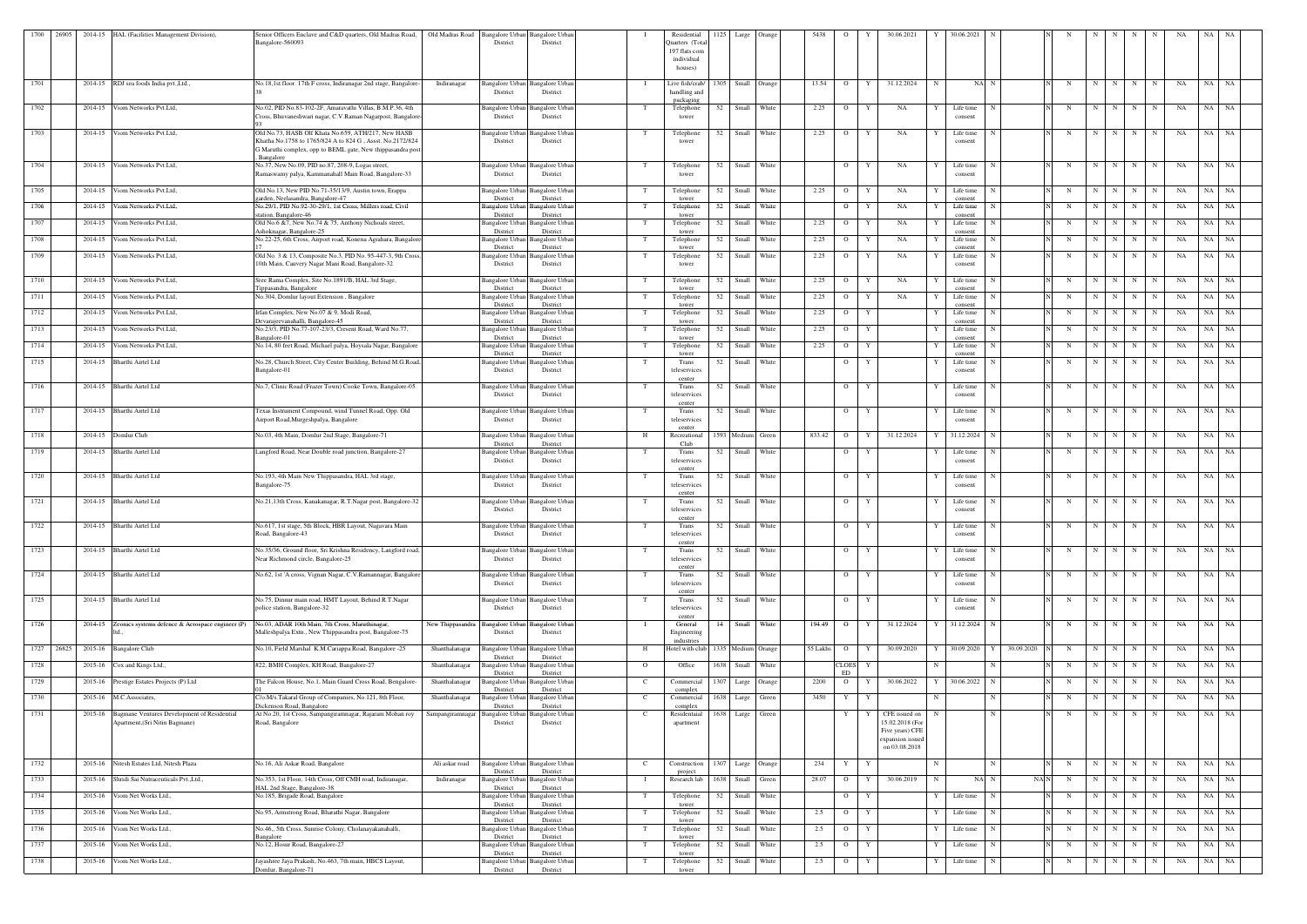| 1700 | 26905 |         | 2014-15 HAL (Facilities Management Division).                                         | Senior Officers Enclave and C&D quarters, Old Madras Road,                                                                                                                                  | Old Madras Road                                        | Bangalore Urban Bangalore Urban                |                | Residential                                              | 1125 | Large Orange      |       | 5438     | - 0                |              | 30.06.2021                                           |             | 30.06.2021                      |            |   |             |           |                   |             | NA       | NA.   |           |
|------|-------|---------|---------------------------------------------------------------------------------------|---------------------------------------------------------------------------------------------------------------------------------------------------------------------------------------------|--------------------------------------------------------|------------------------------------------------|----------------|----------------------------------------------------------|------|-------------------|-------|----------|--------------------|--------------|------------------------------------------------------|-------------|---------------------------------|------------|---|-------------|-----------|-------------------|-------------|----------|-------|-----------|
|      |       |         |                                                                                       | Bangalore-560093                                                                                                                                                                            | District                                               | District                                       |                | Quarters (Tota<br>197 flats com<br>individual<br>houses) |      |                   |       |          |                    |              |                                                      |             |                                 |            |   |             |           |                   |             |          |       |           |
| 1701 |       |         | 2014-15 RDJ sea foods India pvt., Ltd.,                                               | No.18,1st floor. 17th F cross, Indiranagar 2nd stage, Bangalore-                                                                                                                            | Indiranagar<br>District                                | Bangalore Urban Bangalore Urban<br>District    |                | Live fish/crab/<br>handling and<br>packaging             | 1305 | Small Orange      |       | 13.54    | $\overline{O}$     | Y            | 31.12.2024                                           | -N          | NA N                            |            | N | $\mathbf N$ | N         | N                 | N           | NA       | NA    | NA        |
| 1702 |       |         | 2014-15 Viom Networks Pvt.Ltd,                                                        | No.02, PID No.83-102-2F, Amaravathi Villas, B.M.P.36, 4th<br>Cross, Bhuvaneshwari nagar, C.V.Raman Nagarpost, Bangalore-                                                                    | Bangalore Urban<br>District                            | <b>Bangalore Urban</b><br>District             | T              | Telephone<br>tower                                       | 52   | Small White       |       | 2.25     | $\overline{O}$     | Y            | NA                                                   |             | Life time<br>consent            |            | N | N           | N         | N                 | N           | NA       | NA NA |           |
| 1703 |       |         | 2014-15 Viom Networks Pvt. Ltd,                                                       | Old No.73, HASB Olf Khata No.659, ATH/217, New HASB<br>Khatha No.1758 to 1765/824 A to 824 G, Assst. No.2172/824<br>G Maruthi complex, opp to BEML gate, New thippasandra post<br>Bangalore | District                                               | Bangalore Urban Bangalore Urban<br>District    | T              | Telephone<br>tower                                       | 52   | Small White       |       | 2.25     | $\overline{O}$     | Y            | NA                                                   |             | Life time<br>consent            |            | N | N           | N I       | N                 | N           | NA       | NA NA |           |
| 1704 |       |         | 2014-15 Viom Networks Pvt. Ltd.                                                       | No.37, New No.09, PID no.87, 208-9, Logas street,<br>Ramaswamy palya, Kammanahall Main Road, Bangalore-33                                                                                   | District                                               | Bangalore Urban Bangalore Urbar<br>District    | T              | Telephone<br>tower                                       | 52   | Small White       |       |          | $\overline{O}$     | Y            | NA                                                   |             | Life time<br>consent            |            | N |             | $N$ $N$   | N                 | N           | NA       | NA NA |           |
| 1705 |       |         | 2014-15 Viom Networks Pvt. Ltd,                                                       | Old No.13, New PID No.71-35/13/9, Austin town, Erappa<br>garden, Neelasandra, Bangalore-47                                                                                                  | Bangalore Urban<br>District                            | <b>Bangalore Urban</b><br>District             |                | Telephone<br>tower                                       |      | 52 Small White    |       | 2.25     | $\overline{O}$     | Y            | NA                                                   |             | Life time<br>consent            |            | N | N           |           | N N               | N           | NA       | NA NA |           |
| 1706 |       | 2014-15 | Viom Networks Pvt.Ltd,                                                                | No.29/1, PID No.92-30-29/1, 1st Cross, Millers road, Civil<br>station, Bangalore-46                                                                                                         | Bangalore Urban<br>District                            | Bangalore Urban<br>District                    | $_{\rm T}$     | Telephone<br>tower                                       | 52   | Small             | White |          | $\Omega$           | Y            | NA                                                   |             | Life time<br>consent            |            | N | $\mathbf N$ | N         | N                 | N           | NA       | NA    | NA        |
| 1707 |       | 2014-15 | Viom Networks Pvt.Ltd,                                                                | Old No.6 &7, New No.74 & 75, Anthony Nichoals street,<br>Ashoknagar, Bangalore-25                                                                                                           | Bangalore Urban<br>District                            | <b>Bangalore Urban</b><br>District             | T              | Telephone<br>tower                                       |      | 52 Small          | White | 2.25     | $\overline{O}$     | Y            | NA                                                   |             | Life time<br>consent            |            | N | N           | N         | N                 | N           | NA       | NA NA |           |
| 1708 |       | 2014-15 | Viom Networks Pvt.Ltd,                                                                | No.22-25, 6th Cross, Airport road, Konena Agrahara, Bangalore-                                                                                                                              | Bangalore Urban                                        | Bangalore Urbar                                | T              | Telephone                                                | 52   | Small             | White | 2.25     | $\overline{O}$     | Y            | NA                                                   |             | Life time                       |            | N | N           | N         | N                 | N           | NA       | NA    | NA N      |
| 1709 |       | 2014-15 | Viom Networks Pvt.Ltd,                                                                | Old No. 3 & 13, Composite No.3, PID No. 95-447-3, 9th Cross<br>10th Main, Cauvery Nagar Mani Road, Bangalore-32                                                                             | District<br>Bangalore Urban<br>District                | District<br>Bangalore Urbar<br>District        | T              | tower<br>Telephone<br>tower                              | 52   | Small White       |       | 2.25     | $\overline{O}$     | Y            | NA                                                   |             | consent<br>Life time<br>consent |            | N | N           | N         | N                 | N           | NA       | NA NA |           |
| 1710 |       | 2014-15 | Viom Networks Pvt.Ltd,                                                                | Sree Rama Complex, Site No.1891/B, HAL 3rd Stage,                                                                                                                                           | Bangalore Urban                                        | <b>Bangalore Urban</b>                         | T              | Telephone                                                | 52   | Small             | White | 2.25     | $\overline{O}$     | Y            | NA                                                   |             | Life time                       |            | N | N           | N         | N                 | N           | NA       | NA    | NA        |
| 1711 |       | 2014-15 | Viom Networks Pvt.Ltd,                                                                | Tippasandra, Bangalore<br>No.304, Domlur layout Extension, Bangalore                                                                                                                        | District<br>Bangalore Urban                            | District<br>Bangalore Urban                    | T              | tower<br>Telephone                                       | 52   | Small             | White | 2.25     | $\overline{O}$     | Y            | NA                                                   |             | consent<br>Life time            |            | N | N           | N         | N                 | N           | NA       | NA    | NA        |
| 1712 |       |         | 2014-15 Viom Networks Pvt.Ltd,                                                        | Irfan Complex, New No.07 & 9, Modi Road,                                                                                                                                                    | District<br>angalore Urban                             | District<br><b>Bangalore Urban</b>             | T              | tower<br>Telephone                                       | 52   | Small             | White | 2.25     | $\overline{O}$     | Y            |                                                      |             | consent<br>Life time            |            | N | N           | N         | N                 | N           | NA       | NA    | NA        |
| 1713 |       |         | 2014-15 Viom Networks Pvt.Ltd,                                                        | Devarajeevanahalli, Bangalore-45<br>No.23/3, PID No.77-107-23/3, Cresent Road, Ward No.77,                                                                                                  | District                                               | District<br>Bangalore Urban Bangalore Urban    | T              | tower<br>Telephone                                       | 52   | Small             | White | 2.25     | $\overline{O}$     | Y            |                                                      |             | consent<br>Life time            |            | N | N           | N         | N                 | $\mathbf N$ | NA       | NA NA |           |
| 1714 |       |         | 2014-15 Viom Networks Pvt.Ltd,                                                        | Bangalore-01<br>No.14, 80 feet Road, Michael palya, Hoysala Nagar, Bangalore                                                                                                                | District<br>Bangalore Urban                            | District<br><b>Bangalore Urban</b>             | T              | tower<br>Telephone                                       | 52   | Small             | White | 2.25     | $\overline{O}$     | Y            |                                                      |             | consent<br>Life time            |            | N | N           | N         | N                 | N           | NA       | NA    | NA        |
| 1715 |       |         | 2014-15 Bharthi Airtel Ltd                                                            | No.28, Church Street, City Center Building, Behind M.G.Road,<br>Bangalore-01                                                                                                                | District<br>Bangalore Urban<br>District                | District<br><b>Bangalore Urban</b><br>District |                | tower<br>Trans<br>teleservices                           |      | 52 Small White    |       |          | $\overline{O}$     | Y            |                                                      |             | consent<br>Life time<br>consent |            | N | N           | N         | N                 | N           | NA       | NA NA |           |
| 1716 |       |         | 2014-15 Bharthi Airtel Ltd                                                            | No.7, Clinic Road (Frazer Town) Cooke Town, Bangalore-05                                                                                                                                    |                                                        | Bangalore Urban Bangalore Urban                | T              | center<br>Trans                                          | 52   | Small White       |       |          | $\overline{O}$     | Y            |                                                      |             | Life time                       |            | N | N           | N         | N                 | N           | NA       | NA    | NA        |
|      |       |         |                                                                                       |                                                                                                                                                                                             | District                                               | District                                       |                | teleservices<br>center                                   |      |                   |       |          |                    |              |                                                      |             | consent                         |            |   |             |           |                   |             |          |       |           |
| 1717 |       |         | 2014-15 Bharthi Airtel Ltd                                                            | Texas Instrument Compound, wind Tunnel Road, Opp. Old<br>Airport Road, Murgeshpalya, Bangalore                                                                                              | District                                               | Bangalore Urban Bangalore Urban<br>District    | T              | Trans<br>teleservices<br>center                          |      | 52 Small White    |       |          | $\overline{O}$     | Y            |                                                      |             | Life time<br>consent            |            | N | N           | N         | N                 | N           | NA       | NA NA |           |
| 1718 |       |         | 2014-15 Domlur Club                                                                   | No.03, 4th Main, Domlur 2nd Stage, Bangalore-71                                                                                                                                             | Bangalore Urban<br>District                            | <b>Bangalore</b> Urban<br>District             | H              | Recreational<br>Club                                     |      | 1593 Medium Green |       | 833.42   | $\overline{O}$     | Y            | 31.12.2024                                           |             | 31.12.2024                      |            | N | N           | N         | N                 | N           | NA       | NA    | NA        |
| 1719 |       |         | 2014-15 Bharthi Airtel Ltd                                                            | Langford Road, Near Double road junction, Bangalore-27                                                                                                                                      | District                                               | Bangalore Urban Bangalore Urban<br>District    | T              | Trans<br>teleservices                                    | 52   | Small             | White |          | $\overline{O}$     | Y            |                                                      |             | Life time<br>consent            |            | N | N           | N         | N                 | N           | NA       | NA    | NA        |
| 1720 |       |         | 2014-15 Bharthi Airtel Ltd                                                            | No.193, 4th Main New Thippasandra, HAL 3rd stage,                                                                                                                                           | Bangalore Urban<br>District                            | Bangalore Urban                                | T              | center<br>Trans                                          | 52   | Small White       |       |          | $\overline{O}$     | Y            |                                                      |             | Life time                       |            | N | N           | N         | $\mathbf N$       | $\mathbf N$ | NA       | NA NA |           |
|      |       |         |                                                                                       | Bangalore-75<br>No.21,13th Cross, Kanakanagar, R.T.Nagar post, Bangalore-32                                                                                                                 |                                                        | District                                       |                | teleservices<br>center                                   |      |                   |       |          |                    |              |                                                      |             | consent                         |            |   |             |           |                   |             |          |       |           |
| 1721 |       |         | 2014-15 Bharthi Airtel Ltd                                                            |                                                                                                                                                                                             | Bangalore Urban<br>District                            | <b>Bangalore Urbar</b><br>District             |                | Trans<br>teleservices<br>center                          | 52   | Small White       |       |          | $\overline{O}$     | Y            |                                                      |             | Life time<br>consent            |            | N | N           | N         | N                 | N           | NA       | NA NA |           |
| 1722 |       |         | 2014-15 Bharthi Airtel Ltd                                                            | No.617, 1st stage, 5th Block, HBR Layout, Nagavara Main<br>Road, Bangalore-43                                                                                                               | District                                               | Bangalore Urban Bangalore Urban<br>District    |                | Trans<br>teleservices<br>center                          | 52   | Small White       |       |          | $\overline{O}$     | Y            |                                                      |             | Life time<br>consent            |            | N |             |           | N N N N           |             | NA NA NA |       |           |
| 1723 |       |         | 2014-15 Bharthi Airtel Ltd                                                            | No.35/36, Ground floor, Sri Krishna Residency, Langford road,<br>Near Richmond circle, Bangalore-25                                                                                         | District                                               | Bangalore Urban Bangalore Urban<br>District    | T              | Trans<br>teleservices                                    | 52   | Small White       |       |          | $\overline{O}$     | Y            |                                                      |             | Life time<br>consent            |            | N | N           | N         | N                 | N           | NA       | NA NA |           |
| 1724 |       |         | 2014-15 Bharthi Airtel Ltd                                                            | No.62, 1st 'A cross, Vignan Nagar, C.V.Ramannagar, Bangalore                                                                                                                                | <b>Bangalore Urban</b><br>District                     | Bangalore Urbar<br>District                    | T              | center<br>Trans<br>teleservices                          | 52   | Small             | White |          | $\overline{O}$     | Y            |                                                      |             | Life time<br>consent            |            | N | N           | N         | N                 | N           | NA       | NA NA |           |
| 1725 |       |         | 2014-15 Bharthi Airtel Ltd                                                            | No.75, Dinnur main road, HMT Layout, Behind R.T.Nagar                                                                                                                                       | Bangalore Urban                                        | <b>Bangalore</b> Urban                         | T              | center<br>Trans                                          |      | 52 Small White    |       |          | $\mathbf{O}$       | Y            |                                                      |             | Life time                       |            | N |             |           | $N$   $N$   $N$   | N           | NA       | NA NA |           |
|      |       |         |                                                                                       | police station, Bangalore-32                                                                                                                                                                | District                                               | District                                       |                | teleservices<br>center                                   |      |                   |       |          |                    |              |                                                      |             | consent                         |            |   |             |           |                   |             |          |       |           |
| 1726 |       |         | 2014-15 Zeonics systems defence & Aerospace engineer (P)                              | No.03, ADAR 10th Main, 7th Cross, Maruthinagar,<br>Malleshpalya Extn., New Thippasandra post, Bangalore-75                                                                                  | New Thippasandra<br><b>Bangalore</b> Urban<br>District | Bangalore Urbar<br>District                    |                | General<br>Engineering<br>industries                     |      | 14 Small White    |       |          | 194.49 O           | Y            | 31.12.2024                                           |             | 31.12.2024 N                    |            | N |             |           | $N$ $N$   $N$ $N$ |             | NA       | NA NA |           |
| 1727 | 26825 |         | 2015-16 Bangalore Club                                                                | No.10, Field Marshal K.M.Cariappa Road, Bangalore -25                                                                                                                                       | Shanthalanagar<br><b>Bangalore Urban</b><br>District   | <b>Bangalore Urban</b><br>District             | H              | Hotel with club 1335 Medium Orange                       |      |                   |       | 55 Lakhs | $\overline{O}$     | Y            | 30.09.2020                                           |             | 30.09.2020<br>Y                 | 30.09.2020 | N | N           | N         | N                 |             | NA       | NA    | NA        |
| 1728 |       |         | 2015-16 Cox and Kings Ltd.,                                                           | #22, BMH Complex, KH Road, Bangalore-27                                                                                                                                                     | Shanthalanagar<br>Bangalore Urban<br>District          | <b>Bangalore Urban</b><br>District             | $\mathbf{O}$   | Office                                                   |      | 1638 Small        | White |          | <b>CLOES</b><br>ED | Y            |                                                      | $\mathbf N$ | N                               |            | N | N           | N         | N                 | N           | NA       | NA NA |           |
| 1729 |       |         | 2015-16 Prestige Estates Projects (P) Ltd                                             | The Falcon House, No.1, Main Guard Cross Road, Bengalore-                                                                                                                                   | Shanthalanagar<br>Bangalore Urban<br>District          | <b>Bangalore Urban</b><br>District             | $\mathbf{C}$   | Commercial<br>complex                                    | 1307 | Large Orange      |       | 2200     | $\overline{O}$     | Y            | 30.06.2022                                           |             | 30.06.2022<br>N                 |            | N | N           | N         | N                 | $_{\rm N}$  | NA       | NA    | <b>NA</b> |
| 1730 |       |         | 2015-16 M.C.Associates,                                                               | C/o.M/s.Takaral Group of Companies, No.121, 8th Floor,<br>Dickenson Road, Bangalore                                                                                                         | Shanthalanagar<br>Bangalore Urban<br>District          | Bangalore Urban<br>District                    | $\mathbf{C}$   | Commercial<br>complex                                    |      | 1638 Large        | Green | 3450     | Y                  | Y            |                                                      | $\mathbf N$ | N                               |            | N | N           | N         | N                 | N           | NA       | NA NA |           |
| 1731 |       |         | 2015-16 Bagmane Ventures Development of Residential<br>Apartment, (Sri Nitin Bagmane) | At No.20, 1st Cross, Sampangiramnagar, Rajaram Mohan roy<br>Road, Bangalore                                                                                                                 | Sampangiramnagar<br>District                           | Bangalore Urban Bangalore Urban<br>District    | <sup>-</sup> C | Residentaial<br>apartment                                | 1638 | Large             | Green |          | Y                  |              | CFE issued on<br>15.02.2018 (For                     |             | N                               |            | N | N           | N         | N                 | N           | NA       | NA NA |           |
|      |       |         |                                                                                       |                                                                                                                                                                                             |                                                        |                                                |                |                                                          |      |                   |       |          |                    |              | Five years) CFE<br>expansion issued<br>on 03.08.2018 |             |                                 |            |   |             |           |                   |             |          |       |           |
| 1732 |       |         | 2015-16 Nitesh Estates Ltd, Nitesh Plaza                                              | No.16, Ali Askar Road, Bangalore                                                                                                                                                            | Ali askar road<br>District                             | Bangalore Urban Bangalore Urban<br>District    | $\mathbf{C}$   | Construction<br>project                                  |      | 1307 Large Orange |       | 234      | Y                  | $\mathbf{Y}$ |                                                      | N           | N                               |            | N |             | $N$   $N$ | N                 | N           | NA       | NA NA |           |
| 1733 |       |         | 2015-16 Shridi Sai Nutraceuticals Pvt., Ltd.,                                         | No.353, 1st Floor, 14th Cross, Off CMH road, Indiranagar,<br>HAL 2nd Stage, Bangalore-38                                                                                                    | Bangalore Urban<br>Indiranagar<br>District             | <b>Bangalore Urban</b><br>District             | $\blacksquare$ | Research lab                                             | 1638 | Small             | Green | 28.07    | $\overline{O}$     | Y            | 30.06.2019                                           | N           | NA N                            | NAN        | N | N           | N         | $\mathbf N$       | N           | NA       | NA    | NA        |
| 1734 |       |         | 2015-16 Viom Net Works Ltd.,                                                          | No.185, Brigade Road, Bangalore                                                                                                                                                             | Bangalore Urban<br>District                            | <b>Bangalore Urban</b><br>District             | T              | Telephone<br>tower                                       |      | 52 Small White    |       |          | $\overline{O}$     | Y            |                                                      |             | Life time<br>$\mathbf N$        |            | N | N           | N         | N                 | N           | NA       | NA NA |           |
| 1735 |       |         | 2015-16 Viom Net Works Ltd.,                                                          | No.95, Armstrong Road, Bharathi Nagar, Bangalore                                                                                                                                            | Bangalore Urban<br>District                            | <b>Bangalore Urban</b><br>District             | T              | Telephone<br>tower                                       |      | 52 Small White    |       | 2.5      | $\overline{O}$     | Y            |                                                      |             | Life time<br>N                  |            | N | N           | N         | N                 | N           | NA       | NA NA |           |
| 1736 |       |         | 2015-16 Viom Net Works Ltd.,                                                          | No.46,, 5th Cross, Sunrise Colony, Cholanayakanahalli,<br>Bangalore                                                                                                                         | Bangalore Urban<br>District                            | <b>Bangalore Urban</b><br>District             | T              | Telephone<br>tower                                       |      | 52 Small White    |       | 2.5      | $\overline{O}$     | Y            |                                                      |             | Life time                       |            | N | N           | N         | N                 | N           | NA       | NA NA |           |
| 1737 |       | 2015-16 | Viom Net Works Ltd.,                                                                  | No.12, Hosur Road, Bangalore-27                                                                                                                                                             | Bangalore Urban<br>District                            | Bangalore Urban<br>District                    |                | Telephone<br>tower                                       | 52   | Small             | White | 2.5      | $\overline{O}$     | Y            |                                                      |             | Life time                       |            | N | N           | N         | N                 | N           | NA       | NA NA |           |
| 1738 |       |         | 2015-16 Viom Net Works Ltd.,                                                          | Jayashree Jaya Prakash, No.463, 7th main, HBCS Layout,<br>Domlur, Bangalore-71                                                                                                              | Bangalore Urban<br>District                            | <b>Bangalore Urban</b><br>District             |                | Telephone<br>tower                                       |      | 52 Small White    |       | 2.5      | $\overline{O}$     | Y            |                                                      |             | Life time                       |            | N | N           | N         | N                 | N           | NA       | NA NA |           |
|      |       |         |                                                                                       |                                                                                                                                                                                             |                                                        |                                                |                |                                                          |      |                   |       |          |                    |              |                                                      |             |                                 |            |   |             |           |                   |             |          |       |           |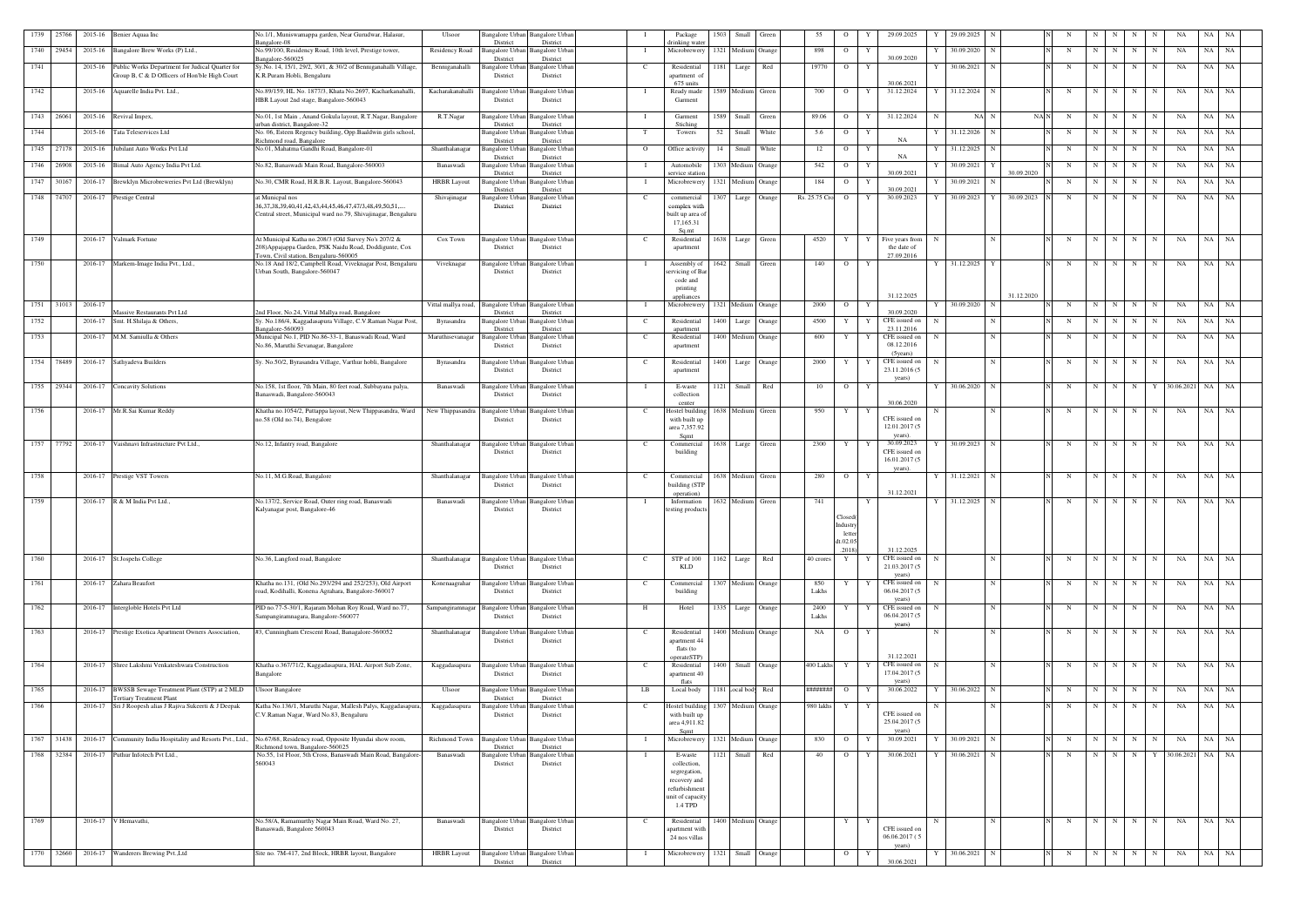| 1739 | 25766      |         | 2015-16 Benier Aquaa Inc                                                                         | No.1/1, Muniswamappa garden, Near Gurudwar, Halasur,                                                                                                       | Ulsoor              |                                         | Bangalore Urban Bangalore Urban                |                | Package                                                                                    | 1503 | Small              | Green  | 55                | $\circ$                                            |              | 29.09.2025                                    |   | 29.09.2025     |                 |             |             |                 |             |             |                    |           |    |
|------|------------|---------|--------------------------------------------------------------------------------------------------|------------------------------------------------------------------------------------------------------------------------------------------------------------|---------------------|-----------------------------------------|------------------------------------------------|----------------|--------------------------------------------------------------------------------------------|------|--------------------|--------|-------------------|----------------------------------------------------|--------------|-----------------------------------------------|---|----------------|-----------------|-------------|-------------|-----------------|-------------|-------------|--------------------|-----------|----|
| 1740 | 29454      |         | 2015-16 Bangalore Brew Works (P) Ltd.,                                                           | Bangalore-08<br>No.99/100, Residency Road, 10th level, Prestige tower,<br>Bangalore-560025                                                                 | Residency Road      | District<br>Bangalore Urbar<br>District | District<br><b>Bangalore</b> Urban<br>District | - 1            | drinking water<br>Microbrewery                                                             |      | 1321 Medium        | Orange | 898               | $\circ$                                            | Y            | 30.09.2020                                    |   | 30.09.2020     | N               | N           | $\mathbf N$ | N I             | N           | $\mathbf N$ | NA                 | NA        | NA |
| 1741 |            | 2015-16 | Public Works Department for Judical Quarter for<br>Group B, C & D Officers of Hon'ble High Court | Sy.No. 14, 15/1, 29/2, 30/1, & 30/2 of Benniganahalli Village,<br>K.R.Puram Hobli, Bengaluru                                                               | Benniganahalli      | <b>Bangalore Urban</b><br>District      | Bangalore Urban<br>District                    | C              | Residential<br>apartment o<br>675 units                                                    |      | 1181 Large         | Red    | 19770             | $\overline{O}$                                     |              | 30.06.2021                                    |   | 30.06.2021     | N               | N           | $\mathbf N$ | N               | $\mathbf N$ | N           | NA                 | NA        | NA |
| 1742 |            |         | 2015-16 Aquarelle India Pvt. Ltd.,                                                               | No.89/159, HL No. 1877/3, Khata No.2697, Kacharkanahalli,<br>HBR Layout 2nd stage, Bangalore-560043                                                        | Kacharakanahalli    | Bangalore Urban<br>District             | <b>Bangalore Urban</b><br>District             | - 1            | Ready made<br>Garment                                                                      |      | 1589 Medium        | Green  | 700               | $\circ$                                            | Y            | 31.12.2024                                    | Y | 31.12.2024     | $\mathbf N$     | N           |             | N               | $N$ $N$     | N           | NA                 | NA        | NA |
|      | 1743 26061 |         | 2015-16 Revival Impex,                                                                           | No.01, 1st Main, Anand Gokula layout, R.T.Nagar, Bangalore                                                                                                 | R.T.Nagar           | Bangalore Urban                         | <b>Bangalore Urbar</b>                         |                | Garment                                                                                    |      | 1589 Small         | Green  | 89.06             | $\overline{O}$                                     | Y            | 31.12.2024                                    | N | $NA$ N         |                 | NAN<br>N    | $\mathbf N$ |                 | $N$   $N$   | N           | NA                 | NA        | NA |
| 1744 |            | 2015-16 | Tata Teleservices Ltd                                                                            | irban district, Bangalore-32<br>No. 06, Esteen Regency building, Opp.Baaldwin girls school,                                                                |                     | District<br>Bangalore Urbar             | District<br>Bangalore Urban                    | - Т            | Stiching<br>Towers                                                                         | 52   | Small              | White  | 5.6               | $\overline{O}$                                     | Y            |                                               |   | 31.12.2026     | N               | N           | N           | N               | N           | $\mathbf N$ | NA                 | NA        | NA |
| 1745 | 27178      |         | 2015-16 Jubilant Auto Works Pvt Ltd                                                              | Richmond road, Bangalore<br>No.01, Mahatma Gandhi Road, Bangalore-01                                                                                       | Shanthalanagar      | District<br>Bangalore Urbar             | District<br><b>Bangalore Urban</b>             | $\mathbf{O}$   | Office activity                                                                            | 14   | Small              | White  | 12                | $\overline{O}$                                     | $\mathbf{Y}$ | NA                                            |   | 31.12.2025     | N               | $\mathbf N$ | $\mathbf N$ | N               | N           | $\mathbf N$ | NA                 | NA        | NA |
| 1746 | 26908      | 2015-16 | Bimal Auto Agency India Pvt Ltd.                                                                 | No.82, Banaswadi Main Road, Bangalore-560003                                                                                                               | Banaswadi           | District<br>Bangalore Urbar             | District<br>Bangalore Urban                    |                | Automobile                                                                                 |      | 1303 Mediu         | Orange | 542               | $\circ$                                            |              | NA                                            |   | 30.09.2021     |                 |             | $\mathbf N$ | N               | N           | N           | NA                 | NA        | NA |
| 1747 | 30167      |         | Brewklyn Microbreweries Pvt Ltd (Brewklyn)                                                       | No.30, CMR Road, H.R.B.R. Layout, Bangalore-560043                                                                                                         | <b>HRBR</b> Layout  | District<br><b>Bangalore</b> Urbar      | District                                       |                | service station                                                                            |      |                    |        | 184               | $\overline{O}$                                     |              | 30.09.2021                                    |   | 30.09.2021     | 30.09.2020      | N           | $\mathbf N$ | N               |             | $\mathbf N$ |                    |           | NA |
|      |            | 2016-17 |                                                                                                  |                                                                                                                                                            |                     | Distric                                 | Bangalore Urban<br>District                    |                | Microbrewery                                                                               |      | 1321 Medium        | Orange |                   |                                                    |              | 30.09.2021                                    |   |                |                 |             |             |                 | $\mathbf N$ |             | NA                 | NA        |    |
|      | 1748 74707 | 2016-17 | <b>Prestige Central</b>                                                                          | at Municpal nos<br>36, 37, 38, 39, 40, 41, 42, 43, 44, 45, 46, 47, 47/ 3, 48, 49, 50, 51,<br>Central street, Municipal ward no.79, Shivajinagar, Bengaluru | Shivajinagar        | Bangalore Urbar<br>District             | Bangalore Urbar<br>District                    | C              | commercial<br>complex with<br>built up area o<br>17,165.31<br>$S_{0}$ mt                   | 1307 | Large              | Orange | Rs. 25.75 Cro     | $\overline{O}$                                     | Y            | 30.09.2023                                    | Y | 30.09.2023     | 30.09.2023<br>Y | N           | N           | N I             | N           | N           | NA                 | NA        | NA |
| 1749 |            |         | 2016-17 Valmark Fortune                                                                          | At Municipal Katha no.208/3 (Old Survey No's 207/2 &<br>208) Appajappa Garden, PSK Naidu Road, Doddigunte, Cox<br>Town, Civil station, Bengaluru-560005    | Cox Town            | District                                | Bangalore Urban Bangalore Urban<br>District    | C              | Residential<br>apartment                                                                   |      | 1638 Large         | Green  | 4520              | Y                                                  | Y            | Five years from<br>the date of<br>27.09.2016  | N |                | N               | N           |             | N               | $N$   $N$   | N           | NA                 | NA NA     |    |
| 1750 |            |         | 2016-17 Markem-Image India Pvt., Ltd.,                                                           | No.18 And 18/2, Campbell Road, Viveknagar Post, Bengaluru<br>Urban South, Bangalore-560047                                                                 | Viveknagar          | Bangalore Urban<br>District             | <b>Bangalore Urbar</b><br>District             | $\blacksquare$ | Assembly of<br>servicing of Ba                                                             | 1642 | Small              | Green  | 140               | $\overline{O}$                                     | Y            |                                               | Y | 31.12.2025     | Y               | N           | N           |                 | $N$ N       | N           | NA                 | NA        | NA |
|      |            |         |                                                                                                  |                                                                                                                                                            |                     |                                         |                                                |                | code and<br>printing                                                                       |      |                    |        |                   |                                                    |              |                                               |   |                |                 |             |             |                 |             |             |                    |           |    |
|      | 1751 31013 | 2016-17 |                                                                                                  |                                                                                                                                                            | Vittal mallya road, | <b>Bangalore Urban</b>                  | <b>Bangalore Urban</b>                         |                | appliances<br>Microbrewery                                                                 |      | 1321 Medium        | Orange | 2000              | $\overline{O}$                                     | Y            | 31.12.2025                                    |   | 30.09.2020 N   | 31.12.2020      |             | N           | N I             | N           | N           | NA                 | NA        | NA |
| 1752 |            | 2016-17 | Massive Restaurants Pvt Ltd<br>Smt. H.Shilaja & Others,                                          | 2nd Floor, No.24, Vittal Mallya road, Bangalore<br>Sy. No.186/4, Kaggadasapura Village, C.V.Raman Nagar Post,                                              |                     | District                                | District                                       | - C            | Residential                                                                                |      |                    |        | 4500              | Y                                                  | Y            | 30.09.2020<br>CFE issued on                   |   |                | N               |             | N           | NI              |             |             |                    | NA NA     |    |
|      |            |         |                                                                                                  | Bangalore-560093                                                                                                                                           | Byrasandra          | Bangalore Urbar<br>District             | <b>Bangalore Urban</b><br>District             |                | apartment                                                                                  |      | 1400 Large         | Orange |                   |                                                    |              | 23.11.2016                                    |   |                |                 |             |             |                 | N           | N           | NA                 |           |    |
| 1753 |            |         | 2016-17 M.M. Samiulla & Others                                                                   | Municipal No.1, PID No.86-33-1, Banaswadi Road, Ward<br>No.86, Maruthi Sevanagar, Bangalore                                                                | Maruthisevanagar    | District                                | Bangalore Urban Bangalore Urban<br>District    | C              | Residential<br>apartment                                                                   |      | 1400 Medium        | Orange | 600               | $\mathbf{Y}$                                       |              | CFE issued on<br>08.12.2016<br>$(5$ years $)$ |   |                | N               | N           | $\mathbf N$ | N               | $\mathbf N$ | N           | NA                 | NA        | NA |
|      | 1754 78489 |         | 2016-17 Sathyadeva Builders                                                                      | Sy. No.50/2, Byrasandra Village, Varthur hobli, Bangalore                                                                                                  | Byrasandra          | <b>Bangalore Urban</b><br>District      | <b>Bangalore Urban</b><br>District             | $\mathbf{C}$   | Residential<br>apartment                                                                   |      | 1400 Large         | Orange | 2000              | $\mathbf{Y}$                                       | Y            | CFE issued on<br>23.11.2016 (5<br>years)      |   |                | N               | N           | $\mathbf N$ | N               | N           | $\mathbf N$ | NA                 | NA        | NA |
|      |            |         | 1755 29344 2016-17 Concavity Solutions                                                           | No.158, 1st floor, 7th Main, 80 feet road, Subbayana palya,<br>Banaswadi, Bangalore-560043                                                                 | Banaswadi           | <b>Bangalore Urban</b><br>District      | <b>Bangalore Urban</b><br>District             | $\blacksquare$ | E-waste<br>collection                                                                      |      | $1121$ Small       | Red    | 10                | $\overline{O}$                                     | Y            |                                               | Y | 30.06.2020     | $\mathbf N$     | N           | $\mathbf N$ |                 | $N$   $N$   |             | Y 30.06.2021 NA NA |           |    |
| 1756 |            |         | 2016-17 Mr.R.Sai Kumar Reddy                                                                     | Khatha no.1054/2, Puttappa layout, New Thippasandra, Ward                                                                                                  | New Thippasandra    | <b>Bangalore Urban</b>                  | <b>Bangalore</b> Urban                         | <sup>-</sup> C | center<br>Hostel buildin                                                                   |      | 1638 Medium        | Green  |                   |                                                    |              | 30.06.2020                                    |   |                | N               |             | $\mathbf N$ | N               |             |             |                    | NA        | NA |
|      |            |         |                                                                                                  | no.58 (Old no.74), Bengalore                                                                                                                               |                     | District                                | District                                       |                | with built up<br>area 7,357.92<br>Sqmt                                                     |      |                    |        | 950               |                                                    |              | CFE issued on<br>12.01.2017 (5<br>years).     |   |                |                 |             |             |                 | N           | N           | NA                 |           |    |
|      | 1757 77792 |         | 2016-17 Vaishnavi Infrastructure Pvt Ltd.,                                                       | No.12, Infantry road, Bangalore                                                                                                                            | Shanthalanagar      | District                                | Bangalore Urban Bangalore Urban<br>District    | <sup>-</sup> C | Commercia<br>building                                                                      |      | $1638$ Large       | Green  | 2300              |                                                    |              | 30.09.2023<br>CFE issued on<br>16.01.2017 (5  |   | 30.09.2023 N   |                 | N           | $\mathbf N$ | NI              | N           | N           | NA                 | NA        | NA |
| 1758 |            |         | 2016-17 Prestige VST Towers                                                                      | No.11, M.G.Road, Bangalore                                                                                                                                 | Shanthalanagar      | District                                | Bangalore Urban Bangalore Urban<br>District    | $\mathbf{C}$   | Commercial<br>building (STF                                                                |      | 1638 Medium        | Green  | 280               | $\overline{O}$                                     | Y            | years).                                       | Y | 31.12.2021     | N               | N           | $\mathbf N$ | N               | N           | N           | NA                 | NA        | NA |
| 1759 |            | 2016-17 | R & M India Pvt Ltd.,                                                                            | No.137/2, Service Road, Outer ring road, Banaswadi<br>Kalyanagar post, Bangalore-46                                                                        | Banaswadi           | Bangalore Urbar<br>District             | Bangalore Urbar<br>District                    |                | operation)<br>Information<br>testing products                                              |      | 1632 Mediun        | Green  | 741               |                                                    |              | 31.12.2021                                    | Y | 31.12.2025     | N               | N           | $\mathbf N$ | N I             | N           | N           | NA                 | NA        | NA |
|      |            |         |                                                                                                  |                                                                                                                                                            |                     |                                         |                                                |                |                                                                                            |      |                    |        |                   | Closed(<br>Industry<br>letter<br>dt.02.05<br>.2018 |              | 31.12.2025                                    |   |                |                 |             |             |                 |             |             |                    |           |    |
| 1760 |            |         | 2016-17 St.Jospehs College                                                                       | No.36, Langford road, Bangalore                                                                                                                            | Shanthalanagar      | District                                | Bangalore Urban Bangalore Urban<br>District    | $\mathbf{C}$   | STP of 100<br><b>KLD</b>                                                                   |      | 1162 Large         | Red    | 40 crores         | Y                                                  | Y            | CFE issued on<br>21.03.2017 (5<br>years)      | N |                | N               | N           |             | N N N N         |             |             | NA                 | NA NA     |    |
| 1761 |            |         | 2016-17 Zahara Beaufort                                                                          | Khatha no.131, (Old No.293/294 and 252/253), Old Airport<br>road, Kodihalli, Konena Agrahara, Bangalore-560017                                             | Konenaagrahar       | Bangalore Urbar<br>District             | <b>Bangalore</b> Urbar<br>District             | $\mathbf{C}$   | Commercial<br>building                                                                     |      | 1307 Medium Orange |        | 850<br>Lakhs      | Y                                                  | Y            | CFE issued on<br>06.04.2017 (5<br>years)      |   |                | N               | N           |             | N N N           |             | N           | NA                 | NA NA     |    |
| 1762 |            |         | 2016-17 Intergloble Hotels Pvt Ltd                                                               | PID no.77-5-30/1, Rajaram Mohan Roy Road, Ward no.77,<br>Sampangiramnagara, Bangalore-560077                                                               | Sampangiramnagar    | District                                | Bangalore Urban Bangalore Urban<br>District    | H              | Hotel                                                                                      |      | 1335 Large Orange  |        | 2400<br>Lakhs     |                                                    | Y            | CFE issued on<br>06.04.2017 (5<br>years)      |   |                | $\mathbf N$     | N           | $\mathbf N$ | N               | N           | N           | NA                 | NA        | NA |
| 1763 |            |         | 2016-17 Prestige Exotica Apartment Owners Association,                                           | #3, Cunningham Crescent Road, Banagalore-560052                                                                                                            | Shanthalanagar      | Bangalore Urbar<br>District             | Bangalore Urban<br>District                    | $\mathbf{C}$   | Residential<br>apartment 44<br>flats (to                                                   |      | 1400 Medium        | Orange | NA                | $\overline{O}$                                     | Y            |                                               |   |                | N               |             | $\mathbf N$ | N               | N           | N           | NA                 | NA        | NA |
| 1764 |            | 2016-17 | Shree Lakshmi Venkateshwara Construction                                                         | Khatha o.367/71/2, Kaggadasapura, HAL Airport Sub Zone,                                                                                                    | Kaggadasapura       | Bangalore Urban                         | <b>Bangalore Urbar</b>                         | $\mathbf{C}$   | operateSTP)<br>Residential                                                                 |      | 1400 Small         | Orange | 400 Lakhs         | Y                                                  | Y            | 31.12.2021<br>CFE issued on                   |   |                | N               | N           | N           |                 | $N$ N       | N           | NA                 | <b>NA</b> | NA |
|      |            |         |                                                                                                  | Bangalore                                                                                                                                                  |                     | District                                | District                                       |                | apartment 40<br>flats                                                                      |      |                    |        |                   |                                                    |              | 17.04.2017 (5<br>years)                       |   |                |                 |             |             |                 |             |             |                    |           |    |
| 1765 |            |         | 2016-17 BWSSB Sewage Treatment Plant (STP) at 2 MLD<br><b>Tertiary Treatment Plant</b>           | Ulsoor Bangalore                                                                                                                                           | Ulsoor              | District                                | Bangalore Urban Bangalore Urban<br>District    | LB             | Local body                                                                                 |      | 1181 Local bod Red |        | <i>********</i> * | $\overline{O}$                                     | Y            | 30.06.2022                                    | Y | $30.06.2022$ N |                 | N           |             | $N$   $N$   $N$ |             | N           | NA                 | NA NA     |    |
| 1766 |            |         | 2016-17 Sri J Roopesh alias J Rajiva Sukeerti & J Deepak                                         | Katha No.136/1, Maruthi Nagar, Mallesh Palys, Kaggadasapura,<br>C.V.Raman Nagar, Ward No.83, Bengaluru                                                     | Kaggadasapura       | District                                | Bangalore Urban Bangalore Urban<br>District    | - C            | Hostel building<br>with built up<br>area 4,911.82<br>Samt                                  |      | 1307 Medium Orange |        | 980 lakhs         | Y                                                  | Y            | CFE issued on<br>25.04.2017 (5<br>years)      |   |                | N               |             | $\mathbf N$ | N               | N           | N           | NA                 | NA .      | NA |
| 1767 | 31438      |         | 2016-17 Community India Hospitality and Resorts Pvt., Ltd.,                                      | No.67/68, Residency road, Opposite Hyundai show room,<br>Richmond town, Bangalore-560025                                                                   | Richmond Town       | District                                | Bangalore Urban Bangalore Urban<br>District    | $\blacksquare$ | Microbrewery                                                                               |      | 1321 Medium        | Orange | 830               | $\overline{O}$                                     | Y            | 30.09.2021                                    | Y | 30.09.2021 N   |                 | $\mathbf N$ | N           | N I             | N           | N           | NA                 | NA NA     |    |
|      | 1768 32384 |         | 2016-17 Puthur Infotech Pvt Ltd.,                                                                | No.55, 1st Floor, 5th Cross, Banaswadi Main Road, Bangalore-<br>560043                                                                                     | Banaswadi           | Bangalore Urban<br>District             | <b>Bangalore Urban</b><br>District             | - 1            | E-waste<br>collection,<br>segregation<br>recovery and<br>refurbishment<br>unit of capacity |      | 1121 Small         | Red    | 40                | $\overline{O}$                                     | Y            | 30.06.2021                                    | Y | 30.06.2021 N   |                 | N           |             | $N$   $N$ $N$   |             |             | Y 30.06.2021 NA NA |           |    |
| 1769 |            |         | 2016-17 V Hemavathi,                                                                             | No.58/A, Ramamurthy Nagar Main Road, Ward No. 27,<br>Banaswadi, Bangalore 560043                                                                           | Banaswadi           | District                                | Bangalore Urban Bangalore Urban<br>District    | - C            | 1.4 TPD<br>Residential<br>apartment with<br>24 nos villas                                  |      | 1400 Medium Orange |        |                   | Y                                                  | Y            | CFE issued on<br>06.06.2017 (5                |   |                | N               |             |             | N               | $N$ N       | N           | NA                 | NA NA     |    |
|      | 1770 32660 |         | 2016-17 Wanderers Brewing Pvt., Ltd                                                              | Site no. 7M-417, 2nd Block, HRBR layout, Bangalore                                                                                                         | <b>HRBR</b> Layout  | District                                | Bangalore Urban Bangalore Urban<br>District    |                | Microbrewery                                                                               |      | 1321 Small Orange  |        |                   | $\overline{O}$                                     | Y            | years)<br>30.06.2021                          |   | 30.06.2021 N   |                 |             | N           |                 | $N$   $N$   | N           | NA                 | NA NA     |    |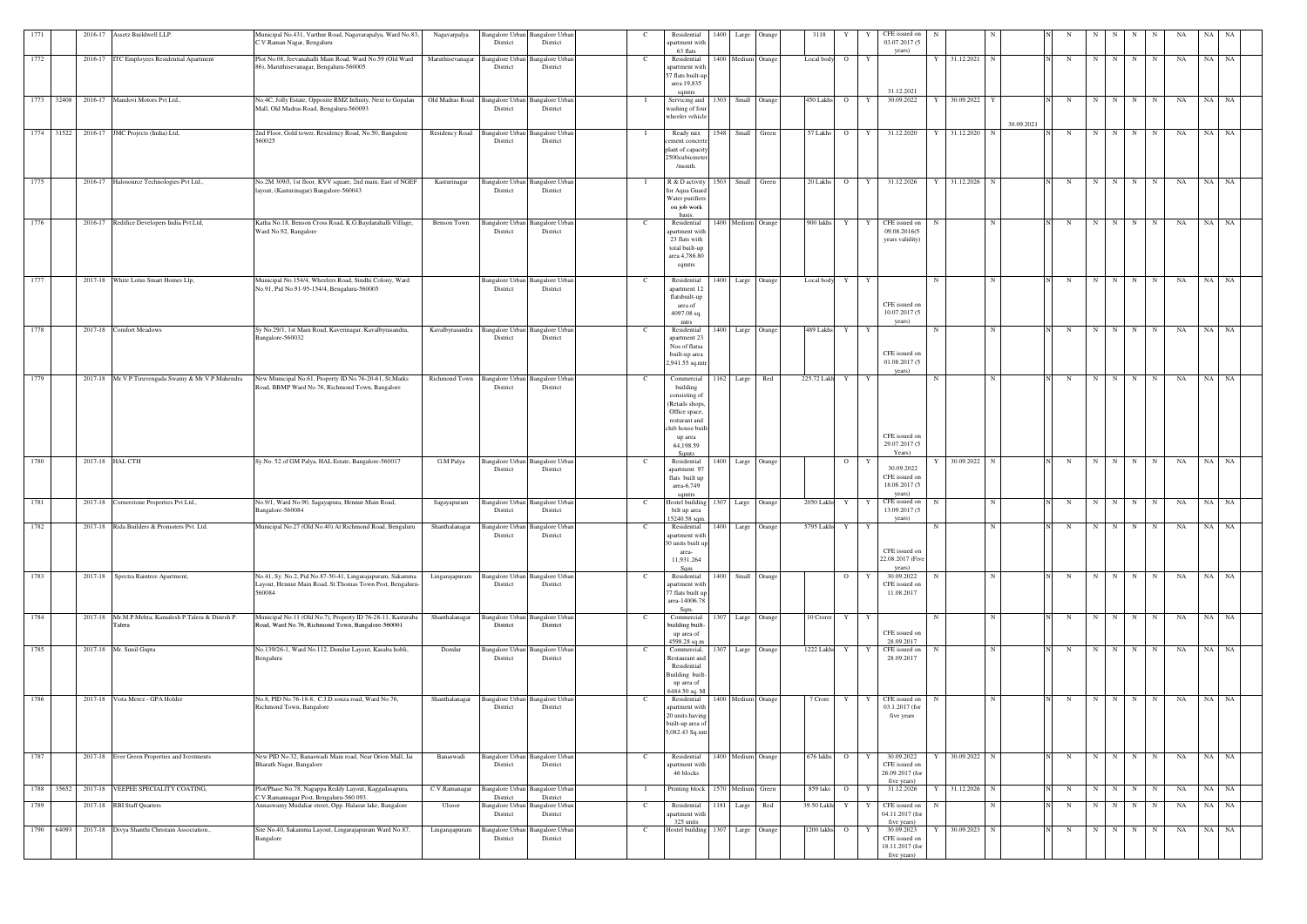| 1771 |            | 2016-17 Assetz Buildwell LLP.                            | Municipal No.431, Varthur Road, Nagavarapalya, Ward No.83,                                        | Nagavarpalya       | Bangalore Urban Bangalore Urban                 |                                    |                | Residential                         |      | 1400 Large Orange  | 3118       |                 |              | CFE issued on                    |                     |             |   |             |             |                     | NA | NA.      |           |  |
|------|------------|----------------------------------------------------------|---------------------------------------------------------------------------------------------------|--------------------|-------------------------------------------------|------------------------------------|----------------|-------------------------------------|------|--------------------|------------|-----------------|--------------|----------------------------------|---------------------|-------------|---|-------------|-------------|---------------------|----|----------|-----------|--|
|      |            |                                                          | C.V.Raman Nagar, Bengaluru                                                                        |                    | District                                        | District                           |                | apartment with                      |      |                    |            |                 |              | 03.07.2017 (5                    |                     |             |   |             |             |                     |    |          |           |  |
| 1772 |            | 2016-17 ITC Employees Residential Apartment              | Plot No.08, Jeevanahalli Main Road, Ward No.59 (Old Ward                                          | Maruthisevanagar   | Bangalore Urban                                 | <b>Bangalore Urbar</b>             |                | 63 flats<br>Residential             |      | 1400 Medium Orange | Local body | $\overline{O}$  | Y            | years)                           | 31.12.2021          | N           | N | N           | N           | N<br>N              | NA | NA       | NA        |  |
|      |            |                                                          | 86), Maruthisevanagar, Bengaluru-560005                                                           |                    | District                                        | District                           |                | apartment with<br>57 flats built-up |      |                    |            |                 |              |                                  |                     |             |   |             |             |                     |    |          |           |  |
|      |            |                                                          |                                                                                                   |                    |                                                 |                                    |                | area 19,835                         |      |                    |            |                 |              |                                  |                     |             |   |             |             |                     |    |          |           |  |
|      |            | 1773 32408 2016-17 Mandovi Motors Pvt Ltd.,              | No.4C, Jolly Estate, Opposite RMZ Infinity, Next to Gopalan                                       |                    | Old Madras Road Bangalore Urban Bangalore Urban |                                    |                | samtrs<br>Servicing and             |      | 1303 Small Orange  | 450 Lakhs  | $\overline{O}$  | Y            | 31.12.2021<br>30.09.2022         | 30.09.2022 Y<br>Y   |             | N | N           | N I         | N<br>N              | NA | NA NA    |           |  |
|      |            |                                                          | Mall, Old Madras Road, Bengaluru-560093                                                           |                    | District                                        | District                           |                | washing of four                     |      |                    |            |                 |              |                                  |                     |             |   |             |             |                     |    |          |           |  |
|      |            |                                                          |                                                                                                   |                    |                                                 |                                    |                | wheeler vehicle                     |      |                    |            |                 |              |                                  |                     | 30.09.2021  |   |             |             |                     |    |          |           |  |
|      |            | 1774 31522 2016-17 JMC Projects (India) Ltd,             | 2nd Floor, Gold tower, Residency Road, No.50, Bangalore                                           |                    | Residency Road Bangalore Urban Bangalore Urban  |                                    |                | Ready mix                           |      | 1548 Small Green   | 57 Lakhs   | $\overline{O}$  | Y            | 31.12.2020                       | 31.12.2020 N<br>- Y |             | N | N           | N           | N<br>N              | NA | NA       | NA        |  |
|      |            |                                                          | 560025                                                                                            |                    | District                                        | District                           |                | ement concret<br>plant of capacity  |      |                    |            |                 |              |                                  |                     |             |   |             |             |                     |    |          |           |  |
|      |            |                                                          |                                                                                                   |                    |                                                 |                                    |                | 2500cubicmete                       |      |                    |            |                 |              |                                  |                     |             |   |             |             |                     |    |          |           |  |
|      |            |                                                          |                                                                                                   |                    |                                                 |                                    |                | /month.                             |      |                    |            |                 |              |                                  |                     |             |   |             |             |                     |    |          |           |  |
| 1775 |            | 2016-17 Halosource Technologies Pvt Ltd.,                | No.2M 309/J, 1st floor, KVV square, 2nd main, East of NGEF                                        | Kasturinagar       | Bangalore Urban Bangalore Urban                 | District                           | - T            | R & D activity                      |      | 1503 Small Green   | 20 Lakhs   |                 | $O$ $Y$      | 31.12.2026                       | Y 31.12.2026 N      |             | N |             |             | $N$ $N$ $N$ $N$     | NA | NA NA    |           |  |
|      |            |                                                          | layout, (Kasturinagar) Bangalore-560043                                                           |                    | District                                        |                                    |                | for Aqua Guard<br>Water purifiers   |      |                    |            |                 |              |                                  |                     |             |   |             |             |                     |    |          |           |  |
|      |            |                                                          |                                                                                                   |                    |                                                 |                                    |                | on job work<br>basis.               |      |                    |            |                 |              |                                  |                     |             |   |             |             |                     |    |          |           |  |
| 1776 |            | 2016-17 Redifice Developers India Pvt Ltd,               | Katha No.18, Benson Cross Road, K.G.Baydarahalli Village,                                         | <b>Benson Town</b> | <b>Bangalore Urban</b>                          | <b>Bangalore Urba</b>              |                | Residential                         |      | 1400 Medium Orange | 900 lakhs  | Y               | Y            | CFE issued on                    |                     | N           | N | N           | $N$   $N$   | N                   | NA | NA NA    |           |  |
|      |            |                                                          | Ward No.92, Bangalore                                                                             |                    | District                                        | District                           |                | apartment with<br>23 flats with     |      |                    |            |                 |              | 09.08.2016(5<br>years validity)  |                     |             |   |             |             |                     |    |          |           |  |
|      |            |                                                          |                                                                                                   |                    |                                                 |                                    |                | total built-up                      |      |                    |            |                 |              |                                  |                     |             |   |             |             |                     |    |          |           |  |
|      |            |                                                          |                                                                                                   |                    |                                                 |                                    |                | area 4,786.80<br>sqmtrs             |      |                    |            |                 |              |                                  |                     |             |   |             |             |                     |    |          |           |  |
| 1777 |            | 2017-18 White Lotus Smart Homes Llp,                     | Municipal No.154/4, Wheelers Road, Sindhi Colony, Ward                                            |                    | Bangalore Urban                                 | <b>Bangalore Urbar</b>             |                | Residential                         |      | 1400 Large Orange  | Local body | Y               | $\mathbf{Y}$ |                                  | -N                  | N           | N | N           | $N$   $N$   | N                   | NA | NA NA    |           |  |
|      |            |                                                          | No.91, Pid No.91-95-154/4, Bengaluru-560005                                                       |                    | District                                        | District                           |                | apartment 12                        |      |                    |            |                 |              |                                  |                     |             |   |             |             |                     |    |          |           |  |
|      |            |                                                          |                                                                                                   |                    |                                                 |                                    |                | flatsbuilt-up<br>area of            |      |                    |            |                 |              | CFE issued on                    |                     |             |   |             |             |                     |    |          |           |  |
|      |            |                                                          |                                                                                                   |                    |                                                 |                                    |                | 4097.08 sq.                         |      |                    |            |                 |              | 10.07.2017 (5                    |                     |             |   |             |             |                     |    |          |           |  |
| 1778 |            | 2017-18 Comfort Meadows                                  | Sy No.29/1, 1st Main Road, Kaverinagar, Kavalbyrasandra,                                          | Kavalbyrasandra    | <b>Bangalore</b> Urban                          | <b>Bangalore Urbar</b>             |                | mtrs<br>Residential                 | 1400 | Large Orange       | 489 Lakhs  | Y               | Y            | years)                           |                     | N           | N | N           | N I         | N<br>N              | NA | NA       | <b>NA</b> |  |
|      |            |                                                          | Bangalore-560032                                                                                  |                    | District                                        | District                           |                | apartment 23                        |      |                    |            |                 |              |                                  |                     |             |   |             |             |                     |    |          |           |  |
|      |            |                                                          |                                                                                                   |                    |                                                 |                                    |                | Nos of flatsa<br>built-up area      |      |                    |            |                 |              | CFE issued on                    |                     |             |   |             |             |                     |    |          |           |  |
|      |            |                                                          |                                                                                                   |                    |                                                 |                                    |                | 2,941.55 sq.mt                      |      |                    |            |                 |              | 01.08.2017 (5                    |                     |             |   |             |             |                     |    |          |           |  |
| 1779 |            | 2017-18 Mr.V.P.Tiruvengada Swamy & Mr.V.P.Mahendra       | New Municipal No.61, Property ID No.76-20-61, St.Marks                                            | Richmond Town      | <b>Bangalore Urban</b>                          | <b>Bangalore Urbar</b>             |                | Commercial                          |      | 1162 Large Red     |            | 225.72 Lakh Y Y |              | years)                           |                     | N           | N |             | $N$ $N$ $N$ | N                   | NA | NA NA    |           |  |
|      |            |                                                          | Road, BBMP Ward No.76, Richmond Town, Bangalore                                                   |                    | District                                        | District                           |                | building<br>consisting of           |      |                    |            |                 |              |                                  |                     |             |   |             |             |                     |    |          |           |  |
|      |            |                                                          |                                                                                                   |                    |                                                 |                                    |                | (Retails shops,                     |      |                    |            |                 |              |                                  |                     |             |   |             |             |                     |    |          |           |  |
|      |            |                                                          |                                                                                                   |                    |                                                 |                                    |                | Office space,<br>resturant and      |      |                    |            |                 |              |                                  |                     |             |   |             |             |                     |    |          |           |  |
|      |            |                                                          |                                                                                                   |                    |                                                 |                                    |                | club house buil                     |      |                    |            |                 |              |                                  |                     |             |   |             |             |                     |    |          |           |  |
|      |            |                                                          |                                                                                                   |                    |                                                 |                                    |                | up area<br>64,198.59                |      |                    |            |                 |              | CFE issued on<br>29.07.2017 (5   |                     |             |   |             |             |                     |    |          |           |  |
|      |            |                                                          |                                                                                                   |                    |                                                 |                                    |                | Samts                               |      |                    |            |                 |              | Years)                           |                     |             |   |             | N I         |                     |    | NA       |           |  |
| 1780 |            | 2017-18 HAL CTH                                          | Sy.No. 52 of GM Palya, HAL Estate, Bangalore-560017                                               | G.M Palya          | Bangalore Urban<br>District                     | Bangalore Urba<br>District         |                | Residential<br>apartment 97         | 1400 | Large Orange       |            | $\overline{O}$  |              | 30.09.2022                       | 30.09.2022 N        |             | N | $\mathbf N$ |             | N<br>N              | NA |          | NA        |  |
|      |            |                                                          |                                                                                                   |                    |                                                 |                                    |                | flats built up<br>area-6,749        |      |                    |            |                 |              | CFE issued on<br>18.08.2017 (5   |                     |             |   |             |             |                     |    |          |           |  |
|      |            |                                                          |                                                                                                   |                    |                                                 |                                    |                |                                     |      |                    |            |                 |              | years)                           |                     |             |   |             |             |                     |    |          |           |  |
| 1781 |            | 2017-18 Cornerstone Properties Pvt Ltd.,                 | No.9/1, Ward No.90, Sagayapura, Hennur Main Road,<br>Bangalore-560084                             | Sagayapuram        | Bangalore Urban<br>District                     | <b>Bangalore Urban</b><br>District |                | Hostel building<br>bilt up area     | 1307 | Large Orange       | 2050 Lakhs | Y               |              | CFE issued on<br>13.09.2017 (5   |                     | N           | N | N           | N           | N<br>N              | NA | NA .     | <b>NA</b> |  |
|      |            |                                                          |                                                                                                   |                    |                                                 |                                    |                | 15240.58 sqm.                       |      |                    |            |                 |              | years)                           |                     |             |   |             |             |                     |    |          |           |  |
| 1782 |            | 2017-18 Rida Builders & Promoters Pvt. Ltd.              | Municipal No.27 (Old No.40) At Richmond Road, Bengaluru                                           | Shanthalanagar     | Bangalore Urban Bangalore Urban<br>District     | District                           |                | Residential<br>apartment with       | 1400 | Large Orange       | 5795 Lakhs | Y               | Y            |                                  |                     |             |   |             | N           | N                   | NA | NA       | NA        |  |
|      |            |                                                          |                                                                                                   |                    |                                                 |                                    |                | 30 units built up                   |      |                    |            |                 |              | CFE issued on                    |                     |             |   |             |             |                     |    |          |           |  |
|      |            |                                                          |                                                                                                   |                    |                                                 |                                    |                | area-<br>11,931.264                 |      |                    |            |                 |              | 22.08.2017 (Five                 |                     |             |   |             |             |                     |    |          |           |  |
| 1783 |            | 2017-18 Spectra Raintree Apartment,                      | No.41, Sy. No.2, Pid No.87-50-41, Lingarajapuram, Sakamma                                         | Lingarajapuram     | Bangalore Urban Bangalore Urban                 |                                    |                | Residential                         |      | 1400 Small Orange  |            | $\overline{O}$  | Y            | years)<br>30.09.2022             |                     | N           | N | N           | $N$ N       | N                   | NA | NA NA    |           |  |
|      |            |                                                          | Layout, Hennur Main Road, St. Thomas Town Post, Bengaluru-                                        |                    | District                                        | District                           |                | apartment with                      |      |                    |            |                 |              | CFE issued on                    |                     |             |   |             |             |                     |    |          |           |  |
|      |            |                                                          | 560084                                                                                            |                    |                                                 |                                    |                | 77 flats built up<br>area-14006.78  |      |                    |            |                 |              | 11.08.2017                       |                     |             |   |             |             |                     |    |          |           |  |
| 1784 |            | 2017-18 Mr.M.P.Mehta, Kamalesh P.Talera & Dinesh P.      | Municipal No.11 (Old No.7), Property ID 76-28-11, Kasturaba                                       | Shanthalanagar     | Bangalore Urban Bangalore Urban                 |                                    |                | Sqm.                                |      | 1307 Large Orange  | 10 Crorer  |                 | Y Y          |                                  | -N                  | $\mathbf N$ |   | N           | N           | N<br>N              | NA | NA NA    |           |  |
|      |            | Talera                                                   | Road, Ward No.76, Richmond Town, Bangalore-560001                                                 |                    | District                                        | District                           |                | Commercial<br>building built-       |      |                    |            |                 |              |                                  |                     |             | N |             |             |                     |    |          |           |  |
|      |            |                                                          |                                                                                                   |                    |                                                 |                                    |                | up area of<br>4598.28 sq.m          |      |                    |            |                 |              | CFE issued on<br>28.09.2017      |                     |             |   |             |             |                     |    |          |           |  |
| 1785 |            | 2017-18 Mr. Sunil Gupta                                  | No.139/26-1, Ward No.112, Domlur Layout, Kasaba hobli,                                            | Domlur             | <b>Bangalore Urban</b>                          | <b>Bangalore Urban</b>             |                | Commercial,                         |      | 1307 Large Orange  | 1222 Lakhs | Y               | Y            | CFE issued on                    |                     | N           | N | N           | N           | N<br>N              | NA | NA NA    |           |  |
|      |            |                                                          | Bengaluru                                                                                         |                    | District                                        | District                           |                | Restaurant and<br>Residential       |      |                    |            |                 |              | 28.09.2017                       |                     |             |   |             |             |                     |    |          |           |  |
|      |            |                                                          |                                                                                                   |                    |                                                 |                                    |                | Building built                      |      |                    |            |                 |              |                                  |                     |             |   |             |             |                     |    |          |           |  |
|      |            |                                                          |                                                                                                   |                    |                                                 |                                    |                | up area of<br>6484.50 sq. M         |      |                    |            |                 |              |                                  |                     |             |   |             |             |                     |    |          |           |  |
| 1786 |            | 2017-18 Vista Merez - GPA Holder                         | No.8, PID No.76-18-8, C.J.D.souza road, Ward No.76,<br>Richmond Town, Bangalore                   | Shanthalanagar     | Bangalore Urban Bangalore Urban<br>District     | District                           |                | Residential<br>apartment with       |      | 1400 Medium Orange | 7 Crore    | Y               | Y            | CFE issued on<br>03.1.2017 (for  |                     | N           | N | N           | N           | N<br>N              | NA | NA NA    |           |  |
|      |            |                                                          |                                                                                                   |                    |                                                 |                                    |                | 20 units having                     |      |                    |            |                 |              | five years                       |                     |             |   |             |             |                     |    |          |           |  |
|      |            |                                                          |                                                                                                   |                    |                                                 |                                    |                | built-up area of<br>5,082.43 Sq.mtr |      |                    |            |                 |              |                                  |                     |             |   |             |             |                     |    |          |           |  |
|      |            |                                                          |                                                                                                   |                    |                                                 |                                    |                |                                     |      |                    |            |                 |              |                                  |                     |             |   |             |             |                     |    |          |           |  |
| 1787 |            | 2017-18 Ever Green Properties and Ivestments             | New PID No.32, Banaswadi Main road, Near Orion Mall, Jai                                          | Banaswadi          | Bangalore Urban Bangalore Urban                 |                                    |                | Residential                         |      | 1400 Medium Orange | 676 lakhs  | $\overline{O}$  | Y            | 30.09.2022                       | 30.09.2022 N        |             | N |             |             | $N$ $N$   $N$   $N$ |    | NA NA NA |           |  |
|      |            |                                                          | Bharath Nagar, Bangalore                                                                          |                    | District                                        | District                           |                | apartment with                      |      |                    |            |                 |              | CFE issued on                    |                     |             |   |             |             |                     |    |          |           |  |
|      |            |                                                          |                                                                                                   |                    |                                                 |                                    |                | 46 blocks                           |      |                    |            |                 |              | 26.09.2017 (for<br>five years)   |                     |             |   |             |             |                     |    |          |           |  |
|      | 1788 35652 | 2017-18 VEEPEE SPECIALITY COATING,                       | Plot/Phase No.78, Nagappa Reddy Layout, Kaggadasapura,<br>C.V.Ramannagar Post, Bengaluru-560 093. | C.V.Ramanagar      | Bangalore Urban Bangalore Urban<br>District     | District                           | $\mathbf{I}$   | Printing block 1570 Medium Green    |      |                    | 859 laks   | $\overline{O}$  | Y            | 31.12.2026                       | 31.12.2026 N        |             | N | N           | N           | N<br>N              | NA | NA NA    |           |  |
| 1789 |            | 2017-18 RBI Staff Quarters                               | Annaswamy Mudaliar street, Opp. Halasur lake, Bangalore                                           | Ulsoor             | Bangalore Urban                                 | Bangalore Urban                    |                | Residential                         | 1181 | Large Red          | 39.50 Lakh | Y               | Y            | CFE issued on                    |                     |             | N | $\mathbf N$ | N           | N<br>N              | NA | NA       | NA        |  |
|      |            |                                                          |                                                                                                   |                    | District                                        | District                           |                | apartment with<br>325 units         |      |                    |            |                 |              | 04.11.2017 (for<br>five years)   |                     |             |   |             |             |                     |    |          |           |  |
|      |            | 1790 64093 2017-18 Divya Shanthi Christain Association., | Site No.40, Sakamma Layout, Lingarajapuram Ward No.87,                                            | Lingarajapuram     | Bangalore Urban Bangalore Urban                 |                                    | <sup>- C</sup> | Hostel building 1307 Large Orange   |      |                    | 1200 lakhs | $\overline{O}$  |              | 30.09.2023                       | 30.09.2023 N<br>Y   |             | N | N           | N           | N<br>N              | NA | NA NA    |           |  |
|      |            |                                                          | Bangalore                                                                                         |                    | District                                        | District                           |                |                                     |      |                    |            |                 |              | CFE issued on<br>18.11.2017 (for |                     |             |   |             |             |                     |    |          |           |  |
|      |            |                                                          |                                                                                                   |                    |                                                 |                                    |                |                                     |      |                    |            |                 |              | five years)                      |                     |             |   |             |             |                     |    |          |           |  |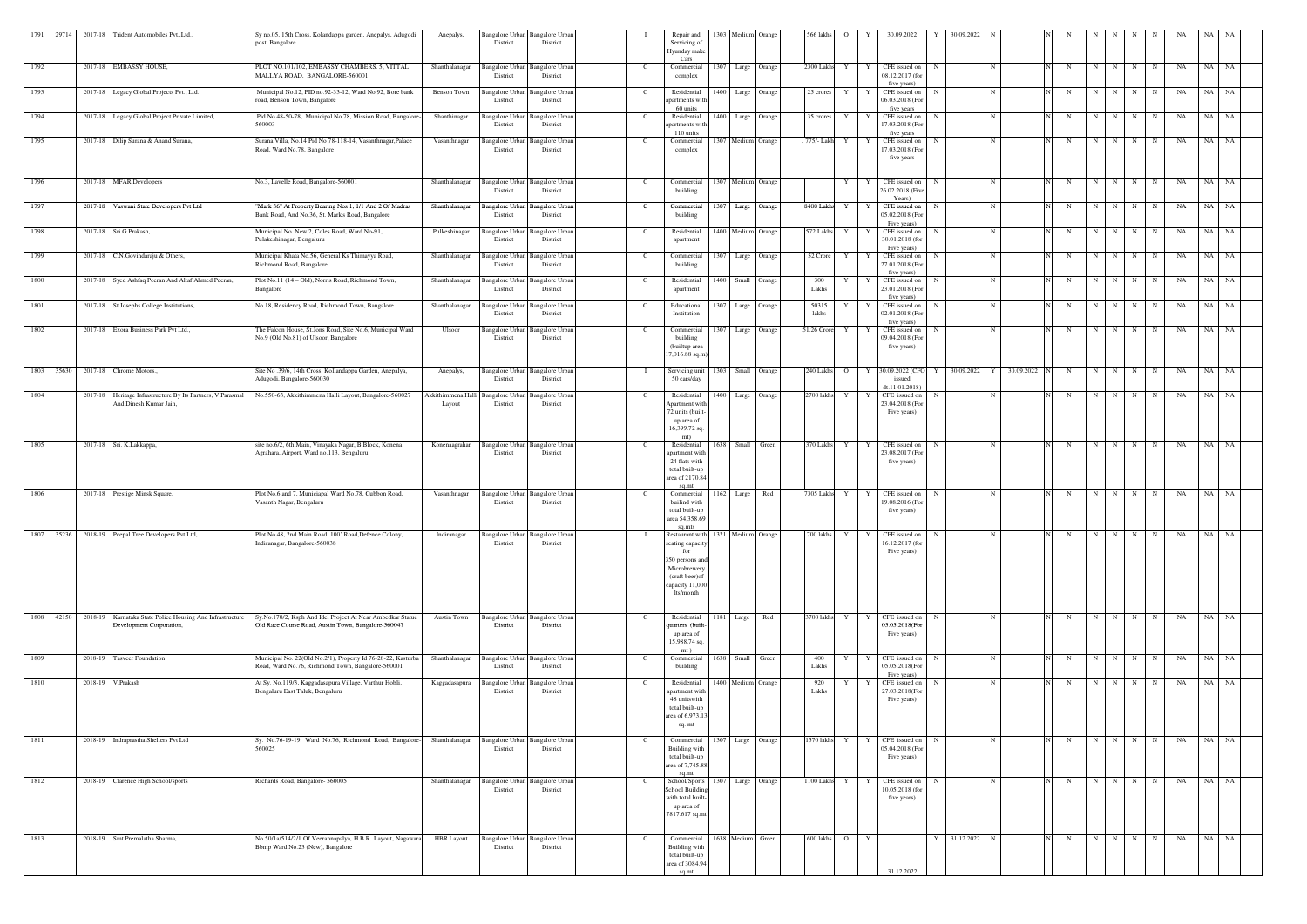|      | 1791 29714 2017-18 Trident Automobiles Pvt., Ltd.,                                          | Sy no.05, 15th Cross, Kolandappa garden, Anepalys, Adugodi<br>post, Bangalore                                     | Anepalys,                  | Bangalore Urban Bangalore Urban<br>District | District                           | Repair and<br>Servicing of<br>Hyunday make                                                                              | 1303 Medium Orange                 |              | 566 lakhs      | $\Omega$       |              | 30.09.2022                                                     | 30.09.2022   |             |            |             |                   |                 |                   | NA | NA        |  |
|------|---------------------------------------------------------------------------------------------|-------------------------------------------------------------------------------------------------------------------|----------------------------|---------------------------------------------|------------------------------------|-------------------------------------------------------------------------------------------------------------------------|------------------------------------|--------------|----------------|----------------|--------------|----------------------------------------------------------------|--------------|-------------|------------|-------------|-------------------|-----------------|-------------------|----|-----------|--|
| 1792 | 2017-18 EMBASSY HOUSE,                                                                      | PLOT NO.101/102, EMBASSY CHAMBERS. 5, VITTAL<br>MALLYA ROAD, BANGALORE-560001                                     | Shanthalanagar             | angalore Urban Bangalore Urban<br>District  | District                           | Cars<br>Commercial<br>complex                                                                                           | 1307 Large Orange                  |              | 2300 Lakhs     | Y              |              | CFE issued on<br>08.12.2017 (for                               | N            | $\mathbf N$ |            | N           | N<br>N            | N               | NA<br>N           |    | NA NA     |  |
| 1793 | 2017-18 Legacy Global Projects Pvt., Ltd.                                                   | Municipal No.12, PID no.92-33-12, Ward No.92, Bore bank<br>oad, Benson Town, Bangalore                            | Benson Town                | angalore Urba<br>District                   | Bangalore Urbar<br>District        | Residential<br>partments with                                                                                           | 1400 Large                         | Orange       | 25 crores      |                |              | five years)<br>CFE issued on<br>06.03.2018 (For                | N            | N           |            | $\mathbf N$ | N<br>N            | $\mathbf N$     | NA<br>N           | NA | NA        |  |
| 1794 | 2017-18 Legacy Global Project Private Limited,                                              | Pid No 48-50-78, Municipal No.78, Mission Road, Bangalore-<br>560003                                              | Shanthinagar               | angalore Urba<br>District                   | <b>Bangalore Urbar</b><br>District | 60 units<br>Residential<br>partments with<br>110 units                                                                  | 1400 Large Orange                  |              | 35 crores      | Y              |              | five years<br>CFE issued on<br>17.03.2018 (For<br>five years   | N            | N           |            | $\mathbf N$ | N                 | N N N           | NA                |    | NA NA     |  |
| 1795 | 2017-18 Dilip Surana & Anand Surana,                                                        | Surana Villa, No.14 Pid No 78-118-14, Vasanthnagar, Palace<br>Road, Ward No.78, Bangalore                         | Vasanthnagar               | angalore Urba<br>District                   | angalore Urbar<br>District         | Commercial<br>complex                                                                                                   | 1307 Medium Orange                 |              | . 775/- Lakh   | Y              |              | CFE issued on<br>17.03.2018 (For<br>five years                 |              | N           |            | $\mathbf N$ | N<br>N            | N               | NA<br>N           | NA | NA        |  |
| 1796 | 2017-18 MFAR Developers                                                                     | No.3, Lavelle Road, Bangalore-560001                                                                              | Shanthalanagar             | Bangalore Urban<br>District                 | <b>Bangalore</b> Urban<br>District | Commercial<br>building                                                                                                  | 1307 Medium Orange                 |              |                | Y              |              | CFE issued on<br>26.02.2018 (Five                              | N            | N           |            | N           | N                 | $N$   $N$   $N$ | NA                |    | NA NA     |  |
| 1797 | 2017-18 Vaswani State Developers Pvt Ltd                                                    | "Mark 36" At Property Bearing Nos 1, 1/1 And 2 Of Madras<br>Bank Road, And No.36, St. Mark's Road, Bangalore      | Shanthalanagar             | angalore Urban<br>District                  | angalore Urbar<br>District         | Commercial<br>building                                                                                                  | 1307 Large Orange                  |              | 8400 Lakhs     | Y              |              | Years)<br>CFE issued on<br>05.02.2018 (For                     | N            | N           |            | N           | N I<br>N          | N               | NA<br>N.          | NA | NA        |  |
| 1798 | 2017-18 Sri G Prakash,                                                                      | Municipal No. New 2, Coles Road, Ward No-91,<br>Pulakeshinagar, Bengaluru                                         | Pulkeshinagar              | angalore Urbar<br>District                  | angalore Urbar<br>District         | Residential<br>apartment                                                                                                | 1400 Medium                        | Orange       | 572 Lakhs      |                |              | Five years)<br>CFE issued on<br>30.01.2018 (for                | N            | N           |            | N           | N<br>N            | N               | NA<br>N           |    | NA NA     |  |
| 1799 | 2017-18 C.N.Govindaraju & Others,                                                           | Municipal Khata No.56, General Ks Thimayya Road,<br>Richmond Road, Bangalore                                      | Shanthalanagar             | angalore Urban<br>District                  | angalore Urban<br>District         | Commercial<br>building                                                                                                  | 1307 Large Orange                  |              | 52 Crore       | Y              |              | Five years)<br>CFE issued on<br>27.01.2018 (For<br>five years) | N            | $\mathbf N$ |            | - N         | $N \mid$<br>N     | N               | N<br>NA           |    | NA NA     |  |
| 1800 | 2017-18 Syed Ashfaq Peeran And Altaf Ahmed Peeran,                                          | Plot No.11 (14 - Old), Norris Road, Richmond Town,<br>Bangalore                                                   | Shanthalanagar             | angalore Urba<br>District                   | angalore Urba<br>District          | Residential<br>apartment                                                                                                | 1400 Small Orange                  |              | 300<br>Lakhs   |                |              | CFE issued on<br>23.01.2018 (For<br>five years)                | N            | $\mathbf N$ |            | $\mathbf N$ | N<br>N            | N               | NA<br>$\mathbf N$ |    | NA NA     |  |
| 1801 | 2017-18 St.Josephs College Institutions,                                                    | No.18, Residency Road, Richmond Town, Bangalore                                                                   | Shanthalanagar             | angalore Urba<br>District                   | Bangalore Urban<br>District        | Educational<br>Institution                                                                                              | 1307                               | Large Orange | 50315<br>lakhs |                |              | CFE issued on<br>02.01.2018 (For<br>five years)                | -N           | N           |            | N           | N<br>N            | N               | N<br>NA           | NA | NA        |  |
| 1802 | 2017-18 Exora Business Park Pvt Ltd.,                                                       | The Falcon House, St.Jons Road, Site No.6, Municipal Ward<br>No.9 (Old No.81) of Ulsoor, Bangalore                | Ulsoor                     | Bangalore Urbar<br>District                 | angalore Urbar<br>District         | Commercial<br>building<br>(builtup area<br>$7,016.88$ sq.m)                                                             | 1307 Large Orange                  |              | 51.26 Crore    | Y              |              | CFE issued on<br>09.04.2018 (For<br>five years)                | $\mathbf N$  | N           |            | $\mathbf N$ | N<br>N            | N               | NA<br>N           |    | NA NA     |  |
| 1803 | 35630 2017-18 Chrome Motors.,                                                               | Site No. 39/6, 14th Cross, Kollandappa Garden, Anepalya,<br>Adugodi, Bangalore-560030                             | Anepalys                   | <b>Bangalore Urban</b><br>District          | <b>Bangalore Urban</b><br>District | Servicing unit<br>50 cars/day                                                                                           | 1303                               | Small Orange | 240 Lakhs      | $\overline{O}$ |              | 30.09.2022 (CFO<br>issued<br>dt.11.01.2018)                    | 30.09.2022   | <b>Y</b>    | 30.09.2022 | - N         | N<br>N I          | N               | NA<br>N           |    | NA NA     |  |
| 1804 | 2017-18 Heritage Infrastructure By Its Partners, V Parasmal<br>And Dinesh Kumar Jain,       | No.550-63, Akkithimmena Halli Layout, Bangalore-560027                                                            | Akkithimmena Hal<br>Layout | angalore Urba<br>District                   | angalore Urbar<br>District         | Residential<br>Apartment with<br>72 units (built-<br>up area of<br>16,399.72 sq.                                        | 1400 Large                         | Orange       | 2700 lakhs     | Y              |              | CFE issued on<br>23.04.2018 (For<br>Five years)                | N            | $\mathbf N$ |            | - N         | N<br>N            | N               | NA<br>N           |    | NA NA     |  |
| 1805 | 2017-18 Sri. K.Lakkappa,                                                                    | site no.6/2, 6th Main, Vinayaka Nagar, B Block, Konena<br>Agrahara, Airport, Ward no.113, Bengaluru               | Konenaagrahar              | Bangalore Urba<br>District                  | <b>Bangalore Urbar</b><br>District | mt)<br>Residential<br>apartment with<br>24 flats with<br>total built-up<br>area of 2170.84                              | 1638 Small Green                   |              | 370 Lakhs      | Y              | Y            | CFE issued on<br>23.08.2017 (For<br>five years)                | N            | N           |            | $\mathbf N$ | N                 | N N             | NA<br>N           |    | $NA$ $NA$ |  |
| 1806 | 2017-18 Prestige Minsk Square,                                                              | Plot No.6 and 7, Municiapal Ward No.78, Cubbon Road,<br>Vasanth Nagar, Bengaluru                                  | Vasanthnagar               | angalore Urbar<br>District                  | <b>Bangalore Urbar</b><br>District | sq.mt<br>Commercial<br>builind with<br>total built-up<br>area 54,358.69                                                 | 1162 Large                         | Red          | 7305 Lakhs     | Y              |              | CFE issued on<br>19.08.2016 (For<br>five years)                | $\mathbf N$  | N           |            | $\mathbf N$ | N<br>N            | N               | N<br>NA           |    | NA NA     |  |
| 1807 | 35236 2018-19 Peepal Tree Developers Pvt Ltd,                                               | Plot No 48, 2nd Main Road, 100' Road, Defence Colony,<br>Indiranagar, Bangalore-560038                            | Indiranagar                | Bangalore Urban<br>District                 | <b>Bangalore Urban</b><br>District | sq.mts<br>seating capacity<br>for<br>350 persons and<br>Microbrewery<br>(craft beer) of<br>capacity 11,000<br>lts/month | Restaurant with 1321 Medium Orange |              | 700 lakhs      | Y              |              | CFE issued on<br>16.12.2017 (for<br>Five years)                | N            | N           |            | $\mathbf N$ | N<br>N            | N               | NA<br>$\mathbf N$ | NA | NA        |  |
| 1808 | 42150 2018-19 Karnataka State Police Housing And Infrastructure<br>Development Corporation, | ly.No.170/2, Ksph And Idcl Project At Near Ambedkar Statue<br>Old Race Course Road, Austin Town, Bangalore-560047 | Austin Town                | angalore Urban Bangalore Urban<br>District  | District                           | Residential<br>µuarters (built<br>up area of<br>15,988.74 sq.<br>mt)                                                    | 1181 Large                         | Red          | 3700 lakhs     | Y              |              | CFE issued on<br>05.05.2018(For<br>Five years)                 | N            | $\mathbf N$ |            | N           | N<br>N            | N               | N<br>NA           |    | NA NA     |  |
| 1809 | 2018-19 Tasveer Foundation                                                                  | Municipal No. 22(Old No.2/1), Property Id 76-28-22, Kasturba<br>Road, Ward No.76, Richmond Town, Bangalore-560001 | Shanthalanagar             | angalore Urban Bangalore Urban<br>District  | District                           | Commercial<br>building                                                                                                  | 1638 Small Green                   |              | 400<br>Lakhs   |                |              | CFE issued on<br>05.05.2018(For<br>Five years)                 | N            | N           |            | N           | N<br>N            | N               | $\mathbf N$<br>NA |    | NA NA     |  |
| 1810 | 2018-19 V.Prakash                                                                           | At Sy. No.119/3, Kaggadasapura Village, Varthur Hobli,<br>Bengaluru East Taluk, Bengaluru                         | Kaggadasapura              | angalore Urbar<br>District                  | Bangalore Urban<br>District        | Residential<br>apartment with<br>48 unitswith<br>total built-up<br>area of 6,973.13<br>sq. mt                           | 1400 Medium Orange                 |              | 920<br>Lakhs   |                |              | CFE issued on<br>27.03.2018(For<br>Five years)                 | N            | $\mathbf N$ |            | N           | N<br>N            | N               | NA<br>N           |    | NA NA     |  |
| 1811 | 2018-19 Indraprastha Shelters Pvt Ltd                                                       | Sy. No.76-19-19, Ward No.76, Richmond Road, Bangalore-<br>560025                                                  | Shanthalanagar             | <b>Bangalore Urban</b><br>District          | <b>Bangalore Urban</b><br>District | Commercial<br><b>Building</b> with<br>total built-up<br>area of 7,745.88<br>sq.mt                                       | 1307 Large Orange                  |              | 1570 lakhs Y   |                | Y            | CFE issued on<br>05.04.2018 (For<br>Five years)                | N            | N           |            | $\mathbf N$ | $N$   $N$   $N$   |                 | N<br>NA           |    | NA NA     |  |
| 1812 | 2018-19 Clarence High School/sports                                                         | Richards Road, Bangalore- 560005                                                                                  | Shanthalanagar             | angalore Urban Bangalore Urban<br>District  | District                           | School/Sports<br>chool Building<br>with total built-<br>up area of<br>7817.617 sq.mt                                    | 1307 Large Orange                  |              | 1100 Lakhs     | Y              | Y            | CFE issued on<br>10.05.2018 (for<br>five years)                | N            | N           |            | $\mathbf N$ | $N$ $N$   $N$ $N$ |                 | NA                |    | NA NA     |  |
| 1813 | 2018-19 Smt.Premalatha Sharma,                                                              | No.50/1a/514/2/1 Of Veerannapalya, H.B.R. Layout, Nagawara<br>Bbmp Ward No.23 (New), Bangalore                    | <b>HBR Layout</b>          | Bangalore Urban Bangalore Urban<br>District | District                           | Commercial<br><b>Building</b> with<br>total built-up<br>area of 3084.94<br>sq.mt                                        | 1638 Medium Green                  |              | 600 lakhs      | $\overline{O}$ | $\mathbf{Y}$ | 31.12.2022                                                     | 31.12.2022 N |             |            | $\mathbf N$ | N<br>N            | N               | NA                |    | NA NA     |  |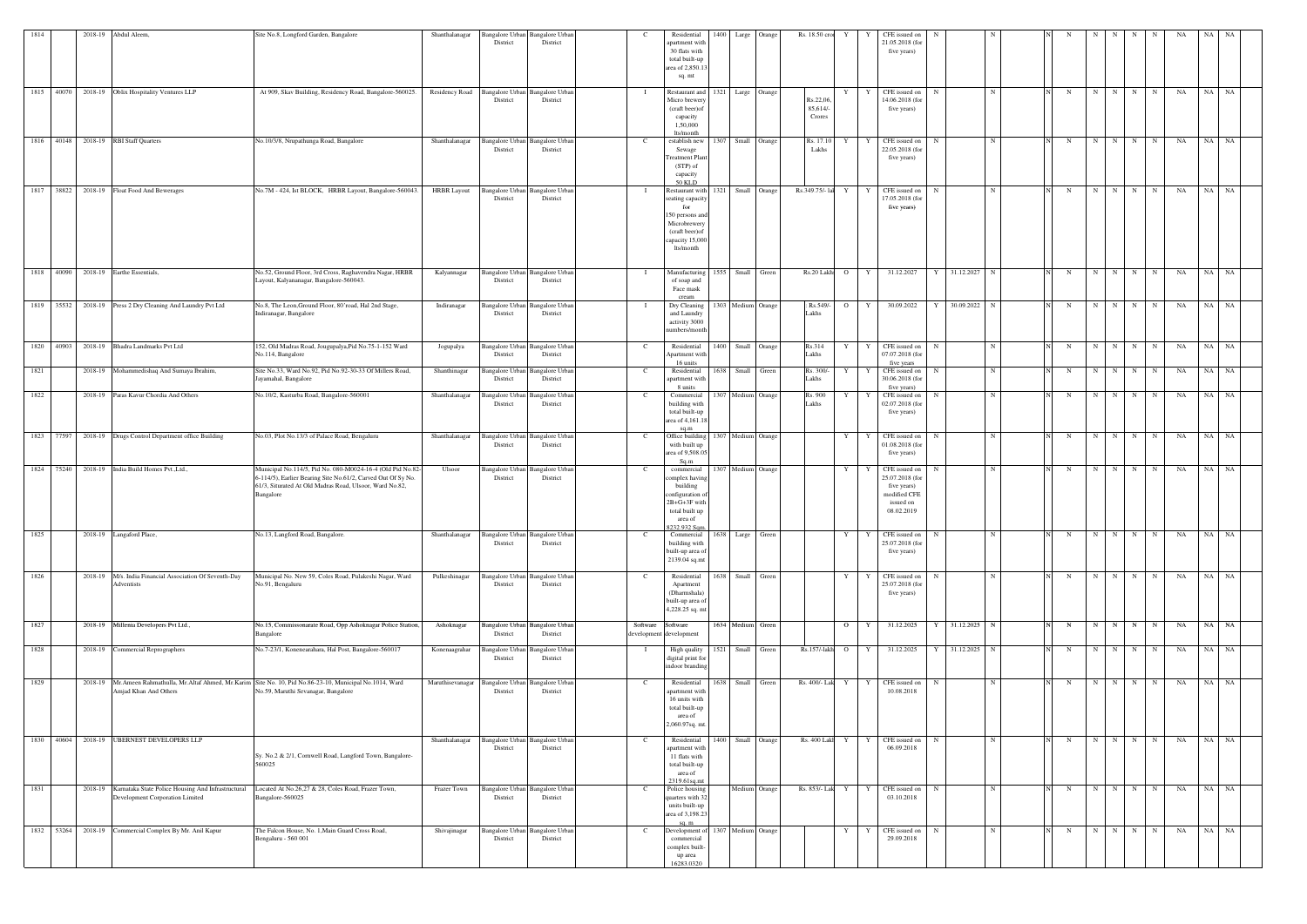| 1814 |            | 2018-19 Abdul Aleem,                                                  | Site No.8, Longford Garden, Bangalore                                                                                                                                                             | Shanthalanagar     | Bangalore Urban Bangalore Urban<br>District                | District                           |                                     | Residential<br>apartment with<br>30 flats with<br>total built-up<br>area of 2,850.1<br>sq. mt                                    | 1400 | Large Orange       |       | Rs. 18.50 cro                 | Y              | Y       | CFE issued on<br>21.05.2018 (for<br>five years)                                            |                   |             |             |             |             |                     | NA        | NA        | NA        |
|------|------------|-----------------------------------------------------------------------|---------------------------------------------------------------------------------------------------------------------------------------------------------------------------------------------------|--------------------|------------------------------------------------------------|------------------------------------|-------------------------------------|----------------------------------------------------------------------------------------------------------------------------------|------|--------------------|-------|-------------------------------|----------------|---------|--------------------------------------------------------------------------------------------|-------------------|-------------|-------------|-------------|-------------|---------------------|-----------|-----------|-----------|
|      |            | 1815 40070 2018-19 Oblix Hospitality Ventures LLP                     | At 909, Skav Building, Residency Road, Bangalore-560025.                                                                                                                                          |                    | Residency Road Bangalore Urban Bangalore Urban<br>District | District                           |                                     | Restaurant and<br>Micro brewery<br>(craft beer) of<br>capacity<br>1,50,000<br>lts/month                                          |      | 1321 Large Orange  |       | Rs.22,06<br>85,614/<br>Crores | Y              | Y       | CFE issued on<br>14.06.2018 (fo<br>five years)                                             | $\mathbf N$       | N           | N           |             | $N$ $N$ $N$ | N                   | <b>NA</b> | NA NA     |           |
|      |            | 1816 40148 2018-19 RBI Staff Quarters                                 | No.10/3/8, Nrupathunga Road, Bangalore                                                                                                                                                            | Shanthalanagar     | Bangalore Urban Bangalore Urban<br>District                | District                           | - C                                 | establish new<br>Sewage<br>reatment Plant<br>$(STP)$ of<br>capacity<br><b>50 KLD</b>                                             | 1307 | Small Orange       |       | Rs. 17.10<br>Lakhs            | Y              |         | CFE issued on<br>22.05.2018 (for<br>five years)                                            |                   | N           | N           | N           | N           | N<br>N              | NA        | NA NA     |           |
|      |            | 1817 38822 2018-19 Float Food And Bewerages                           | No.7M - 424, Ist BLOCK, HRBR Layout, Bangalore-560043                                                                                                                                             | <b>HRBR</b> Layout | <b>Bangalore Urban</b><br>District                         | <b>Bangalore Urban</b><br>District |                                     | Restaurant with<br>seating capacity<br>for<br>150 persons and<br>Microbrewery<br>(craft beer) of<br>capacity 15,000<br>lts/month |      | 1321 Small Orange  |       | Rs.349.75/- lal               | Y              |         | CFE issued on<br>17.05.2018 (for<br>five years)                                            | -N                | N           | N           | N           | N I         | N<br>N              | NA        | NA NA     |           |
|      |            | 1818 40090 2018-19 Earthe Essentials,                                 | No.52, Ground Floor, 3rd Cross, Raghavendra Nagar, HRBR<br>Layout, Kalyananagar, Bangalore-560043.<br>No.8, The Leon, Ground Floor, 80'road, Hal 2nd Stage,                                       | Kalyannagar        | Bangalore Urban Bangalore Urban<br>District                | District                           |                                     | Manufacturing<br>of soap and<br>Face mask<br>cream                                                                               |      | 1555 Small Green   |       | Rs.20 Lakh                    |                | $O$ $Y$ | 31.12.2027                                                                                 | 31.12.2027 N<br>Y |             | N           | N           | N N         | N                   | NA        | NA NA     |           |
|      |            | 1819 35532 2018-19 Press 2 Dry Cleaning And Laundry Pvt Ltd           | Indiranagar, Bangalore                                                                                                                                                                            | Indiranagar        | <b>Bangalore Urban</b><br>District                         | <b>Bangalore Urba</b><br>District  |                                     | Dry Cleaning<br>and Laundry<br>activity 3000<br>numbers/month                                                                    |      | 1303 Medium Orange |       | : Rs.549/-<br>Lakhs           | $\overline{O}$ | Y       | 30.09.2022                                                                                 | 30.09.2022 N      |             | N           | N           | $N$   $N$   | N                   | NA        | NA NA     |           |
| 1820 | 40903      | 2018-19 Bhadra Landmarks Pvt Ltd                                      | 152, Old Madras Road, Jougupalya, Pid No.75-1-152 Ward<br>No.114, Bangalore                                                                                                                       | Jogupalya          | <b>Bangalore Urban</b><br>District                         | <b>Bangalore Urban</b><br>District |                                     | Residential<br>Apartment with<br>16 units                                                                                        | 1400 | Small Orange       |       | Rs.314<br>akhs                | Y              | Y       | CFE issued on<br>07.07.2018 (fo<br>five years                                              | -N                | N           | N           | $\mathbf N$ | N           | N<br>N              | NA        | NA        | NA        |
| 1821 |            | 2018-19 Mohammedishaq And Sumaya Ibrahim,                             | Site No.33, Ward No.92, Pid No.92-30-33 Of Millers Road,<br>Jayamahal, Bangalore                                                                                                                  | Shanthinagar       | <b>Bangalore Urbar</b><br>District                         | Bangalore Urba<br>District         |                                     | Residential<br>apartment with<br>8 units                                                                                         | 1638 | Small              | Green | Rs. 300/-<br>Lakhs            |                |         | CFE issued on<br>30.06.2018 (for<br>five years)                                            |                   | N           | N           | $\mathbf N$ | $N$   $N$   | N                   | NA        | <b>NA</b> | NA        |
| 1822 |            | 2018-19 Paras Kavur Chordia And Others                                | No.10/2, Kasturba Road, Bangalore-560001                                                                                                                                                          | Shanthalanagar     | Bangalore Urban<br>District                                | Bangalore Urban<br>District        |                                     | Commercial<br>building with<br>total built-up<br>area of 4,161.1<br>sq.m                                                         |      | 1307 Medium Orange |       | Rs. 900<br>akhs               | Y              |         | CFE issued on<br>02.07.2018 (fo<br>five years)                                             | N                 | N           | N           | N           | $N$ $N$     | N                   | NA        | <b>NA</b> | NA        |
|      | 1823 77597 | 2018-19 Drugs Control Department office Building                      | No.03, Plot No.13/3 of Palace Road, Bengaluru                                                                                                                                                     | Shanthalanagar     | <b>Bangalore Urban</b><br>District                         | <b>Bangalore</b> Urba<br>District  |                                     | Office building<br>with built up<br>area of 9,508.0<br>Sq.m                                                                      |      | 1307 Medium Orange |       |                               | Y              | Y       | CFE issued on<br>01.08.2018 (for<br>five years)                                            |                   | N           | N           | N           | $N$ N       | N                   | NA        | NA NA     |           |
|      | 1824 75240 | 2018-19 India Build Homes Pvt., Ltd.,                                 | Municipal No.114/5, Pid No. 080-M0024-16-4 (Old Pid No.82<br>6-114/5), Earlier Bearing Site No.61/2, Carved Out Of Sy No.<br>61/3, Siturated At Old Madras Road, Ulsoor, Ward No.82,<br>Bangalore | Ulsoor             | <b>Bangalore Urban</b><br>District                         | <b>Bangalore</b> Urba<br>District  |                                     | commercial<br>omplex having<br>building<br>configuration of<br>2B+G+3F with<br>total built up<br>area of<br>8232.932 Sqm.        | 1307 | Medium Orange      |       |                               | Y              |         | CFE issued on<br>25.07.2018 (for<br>five years)<br>modified CFE<br>issued on<br>08.02.2019 |                   | N           | $\mathbf N$ | $\mathbf N$ | N           | N<br>N              | NA        | NA        | <b>NA</b> |
| 1825 |            | 2018-19 Langaford Place,                                              | No.13, Langford Road, Bangalore.                                                                                                                                                                  | Shanthalanagar     | Bangalore Urban Bangalore Urban<br>District                | District                           |                                     | Commercial<br>building with<br>built-up area of<br>2139.04 sq.mt                                                                 | 1638 | Large Green        |       |                               | Y              | Y       | CFE issued on<br>25.07.2018 (for<br>five years)                                            |                   | N           | N           | $\mathbf N$ | N           | N<br>N              | NA        | NA        | NA        |
| 1826 |            | 2018-19 M/s. India Financial Association Of Seventh-Day<br>Adventists | Municipal No. New 59, Coles Road, Pulakeshi Nagar, Ward<br>No.91, Bengaluru                                                                                                                       | Pulkeshinagar      | Bangalore Urban Bangalore Urban<br>District                | District                           |                                     | Residential<br>Apartment<br>(Dharmshala)<br>built-up area of<br>4,228.25 sq. mt                                                  | 1638 | Small Green        |       |                               | Y              | Y       | CFE issued on<br>25.07.2018 (for<br>five years)                                            |                   | N           | N           | N           | N           | N<br>N              | NA        | NA NA     |           |
| 1827 |            | 2018-19 Millenia Developers Pvt Ltd.,                                 | No.15, Commissonarate Road, Opp Ashoknagar Police Station,<br>Bangalore                                                                                                                           | Ashoknagar         | Bangalore Urban Bangalore Urban<br>District                | District                           | Software<br>development development | Software                                                                                                                         |      | 1634 Medium Green  |       |                               | $\overline{O}$ | Y       | 31.12.2025                                                                                 | 31.12.2025 N<br>Y |             | N           |             |             | $N$ $N$   $N$   $N$ | NA        | NA NA     |           |
| 1828 |            | 2018-19 Commercial Reprographers                                      | No.7-23/1, Konenearahara, Hal Post, Bangalore-560017                                                                                                                                              | Konenaagrahar      | <b>Bangalore Urban</b><br>District                         | <b>Bangalore Urban</b><br>District | $\mathbf{I}$                        | High quality<br>digital print for<br>indoor branding                                                                             |      | 1521 Small Green   |       | $Rs.157/-1akh$ O $Y$          |                |         | 31.12.2025                                                                                 | 31.12.2025 N      |             | N           | N           | $N$   $N$   | N                   | NA        | NA NA     |           |
| 1829 |            | Amjad Khan And Others                                                 | 2018-19 Mr. Ameen Rahmathulla, Mr. Altaf Ahmed, Mr. Karim Site No. 10, Pid No.86-23-10, Municipal No.1014, Ward<br>No.59, Maruthi Sevanagar, Bangalore                                            | Maruthisevanagar   | Bangalore Urban Bangalore Urban<br>District                | District                           |                                     | Residential<br>apartment with<br>16 units with<br>total built-up<br>area of<br>2,060.97sq. mt                                    | 1638 | Small Green        |       | Rs. 400/- Lak Y               |                |         | Y CFE issued on<br>10.08.2018                                                              | N                 | $\mathbf N$ | N           | $\mathbf N$ | N I         | N<br>N              | NA        | NA NA     |           |
|      |            | 1830 40604 2018-19 UBERNEST DEVELOPERS LLP                            | Sy. No.2 & 2/1, Cornwell Road, Langford Town, Bangalore-<br>560025                                                                                                                                | Shanthalanagar     | Bangalore Urban Bangalore Urban<br>District                | District                           |                                     | Residential<br>apartment with<br>11 flats with<br>total built-up<br>area of<br>2319.61sq.mt                                      |      | 1400 Small Orange  |       | Rs. 400 Lakl Y Y              |                |         | CFE issued on<br>06.09.2018                                                                | N                 | N           | N           | N           | N           | N<br>N              | NA        | NA NA     |           |
| 1831 |            | Development Corporation Limited                                       | 2018-19 Karnataka State Police Housing And Infrastructural Located At No.26,27 & 28, Coles Road, Frazer Town,<br>Bangalore-560025                                                                 | Frazer Town        | Bangalore Urban Bangalore Urban<br>District                | District                           |                                     | Police housing<br>quarters with 32<br>units built-up<br>area of 3,198.23<br>sa. m                                                |      | Medium Orange      |       | Rs. 853/- Lak Y               |                | Y       | CFE issued on<br>03.10.2018                                                                | N                 | $\mathbf N$ | N           | N           | N           | N<br>N              | NA        | NA NA     |           |
|      | 1832 53264 | 2018-19 Commercial Complex By Mr. Anil Kapur                          | The Falcon House, No. 1, Main Guard Cross Road,<br>Bengaluru - 560 001                                                                                                                            | Shivajinagar       | Bangalore Urban Bangalore Urban<br>District                | District                           | C                                   | Development of<br>commercial<br>complex built-<br>up area<br>16283.0320                                                          |      | 1307 Medium Orange |       |                               | Y              | Y       | CFE issued on<br>29.09.2018                                                                |                   | N           | N           | N           | N I         | N<br>N              | NA        | NA        | <b>NA</b> |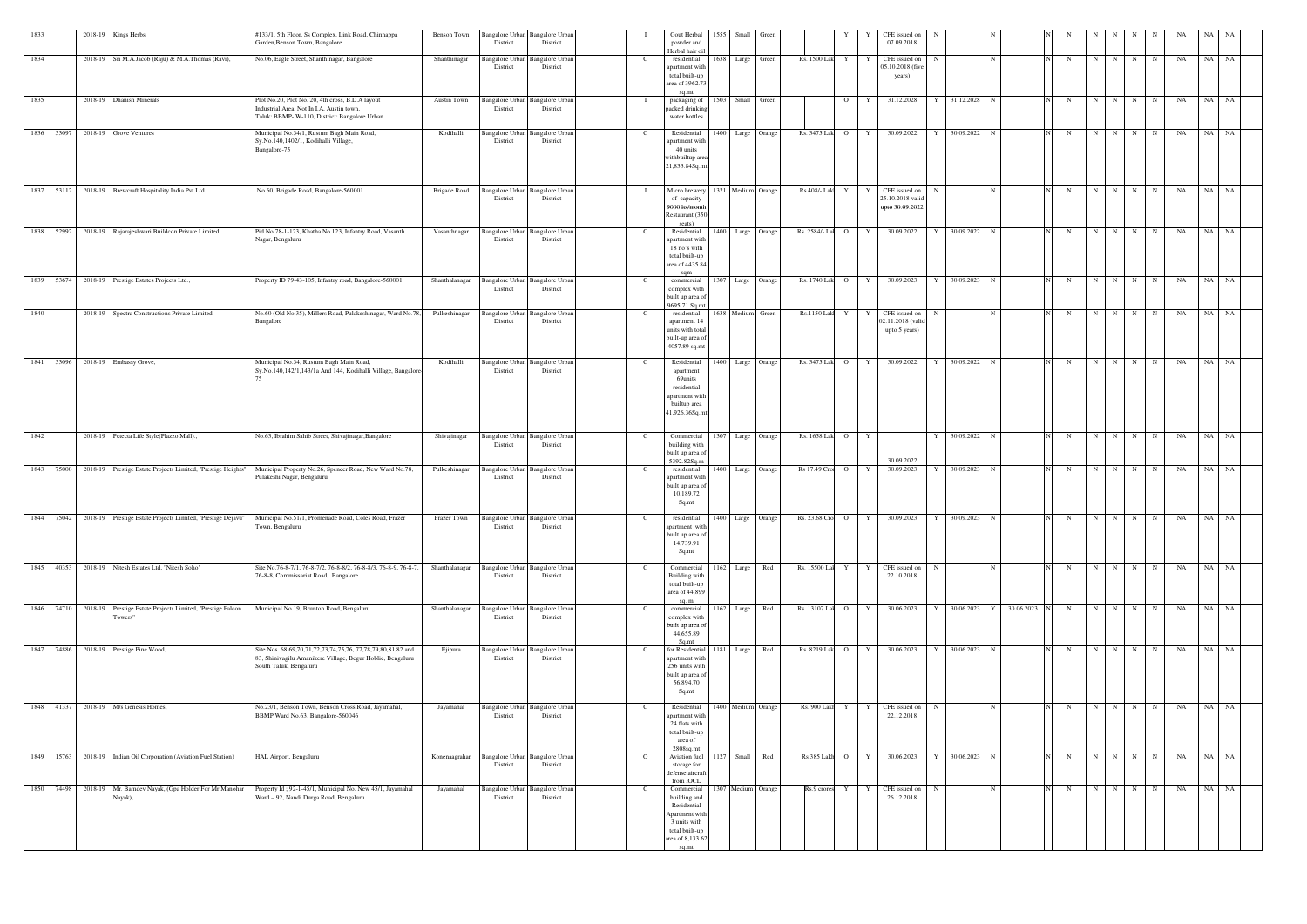|            |       | 2018-19 Kings Herbs                                                                                                          | #133/1, 5th Floor, Ss Complex, Link Road, Chinnappa                                                                                                 | Benson Town    | Bangalore Urban                    | <b>Bangalore Urban</b>                                  |               | Gout Herbal<br>1555 Small                                                                                                  | Green              |                                                                           | CFE issued on                                             |                            |                 |                        |   |             |                  |    |       |    |
|------------|-------|------------------------------------------------------------------------------------------------------------------------------|-----------------------------------------------------------------------------------------------------------------------------------------------------|----------------|------------------------------------|---------------------------------------------------------|---------------|----------------------------------------------------------------------------------------------------------------------------|--------------------|---------------------------------------------------------------------------|-----------------------------------------------------------|----------------------------|-----------------|------------------------|---|-------------|------------------|----|-------|----|
|            |       |                                                                                                                              | Garden, Benson Town, Bangalore                                                                                                                      |                | District                           | District                                                |               | powder and<br>Herbal hair oil                                                                                              |                    |                                                                           | 07.09.2018                                                |                            |                 |                        |   |             |                  |    |       |    |
| 1834       |       | 2018-19 Sri M.A.Jacob (Raju) & M.A.Thomas (Ravi),                                                                            | No.06, Eagle Street, Shanthinagar, Bangalore                                                                                                        | Shanthinagar   | <b>Bangalore Urbar</b><br>District | Bangalore Urbar<br>District                             | - C           | 1638 Large<br>residential<br>apartment with<br>total built-up<br>area of 3962.7                                            | Green              | Rs. 1500 Lak Y                                                            | CFE issued on<br>Y<br>05.10.2018 (five<br>years)          |                            | N               | N                      | N | N           | N<br>N           | NA | NA NA |    |
| 1835       |       | 2018-19 Dhanish Minerals                                                                                                     | Plot No.20, Plot No. 20, 4th cross, B.D.A layout<br>Industrial Area: Not In I.A, Austin town,<br>Taluk: BBMP- W-110, District: Bangalore Urban      | Austin Town    | <b>Bangalore Urban</b><br>District | <b>Bangalore Urbar</b><br>District                      |               | sq.mt<br>packaging of<br>packed drinking<br>water bottles                                                                  | 1503 Small Green   | $\overline{O}$                                                            | 31.12.2028<br>Y                                           | 31.12.2028 N<br>Y          |                 | N                      | N | N           | $\mathbf N$<br>N | NA | NA NA |    |
| 1836 53097 |       | 2018-19 Grove Ventures                                                                                                       | Municipal No.34/1, Rustum Bagh Main Road,<br>Sy.No.140,1402/1, Kodihalli Village,<br>Bangalore-75                                                   | Kodihalli      | <b>Bangalore Urbar</b><br>District | Bangalore Urba<br>District                              | C.            | Residential<br>apartment with<br>40 units<br>withbuiltup area<br>21,833.84Sq.mt                                            | 1400 Large Orange  | Rs. 3475 Lak O                                                            | Y<br>30.09.2022                                           | 30.09.2022                 | $\mathbf N$     | N                      | N | N           | N<br>N           | NA | NA NA |    |
|            |       | 1837 53112 2018-19 Brewcraft Hospitality India Pvt.Ltd.,                                                                     | No.60, Brigade Road, Bangalore-560001                                                                                                               | Brigade Road   | Bangalore Urbar<br>District        | Bangalore Urbar<br>District                             |               | Micro brewery<br>of capacity<br>9000 lts/month<br>Restaurant (350<br>seats)                                                | 1321 Medium Orange | Rs.408/- Lak<br>Y                                                         | CFE issued on<br>Y<br>25.10.2018 valid<br>upto 30.09.2022 | $\mathbf N$                | $\mathbf N$     | N                      | N | N           | $\mathbf N$<br>N | NA | NA NA |    |
|            |       | 1838 52992 2018-19 Rajarajeshwari Buildcon Private Limited,                                                                  | Pid No.78-1-123, Khatha No.123, Infantry Road, Vasanth<br>Nagar, Bengaluru                                                                          | Vasanthnagar   | <b>Bangalore Urbar</b><br>District | Bangalore Urba<br>District                              | - C           | Residential<br>1400 Large<br>apartment with<br>18 no's with<br>total built-up<br>area of 4435.84                           | Orange             | Rs. 2584/- La O                                                           | Y<br>30.09.2022                                           | 30.09.2022 N               |                 | N                      | N | N           | $\mathbf N$<br>N | NA | NA NA |    |
| 1839       |       | 53674 2018-19 Prestige Estates Projects Ltd.,                                                                                | Property ID 79-43-105, Infantry road, Bangalore-560001                                                                                              | Shanthalanagar | <b>Bangalore Urban</b><br>District | Bangalore Urba<br>District                              |               | commercial<br>complex with<br>built up area of<br>9695.71 Sq.m                                                             | 1307 Large Orange  | Rs. 1740 Lak O                                                            | Y<br>30.09.2023                                           | 30.09.2023                 |                 | $\mathbf N$            | N |             | N<br>N           | NA | NA    | NA |
| 1840       |       | 2018-19 Spectra Constructions Private Limited                                                                                | No.60 (Old No.35), Millers Road, Pulakeshinagar, Ward No.78<br>Bangalore                                                                            | Pulkeshinagar  | <b>Bangalore Urban</b><br>District | Bangalore Urba<br>District                              | - C           | residential<br>apartment 1.<br>units with total<br>built-up area of<br>4057.89 sq.m                                        | 1638 Medium Green  | Rs.1150 Lak Y                                                             | CFE issued on<br>Y<br>02.11.2018 (valid<br>upto 5 years)  | - N                        | N               | N                      | N | N           | N<br>N           | NA | NA NA |    |
| 1841       | 53096 | 2018-19 Embassy Grove,                                                                                                       | Municipal No.34, Rustum Bagh Main Road,<br>Sy.No.140,142/1,143/1a And 144, Kodihalli Village, Bangalore                                             | Kodihalli      | <b>Bangalore Urbar</b><br>District | Bangalore Urba<br>District                              | - C           | 1400 Large<br>Residential<br>apartment<br>69units<br>residential<br>apartment with<br>builtup area<br>41,926.36Sq.mt       | Orange             | Rs. 3475 Lak O                                                            | 30.09.2022<br>Y                                           | 30.09.2022<br>Y            | N               | $\mathbf N$            | N | N           | N<br>N           | NA | NA NA |    |
| 1842       |       | 2018-19 Petecta Life Style(Plazzo Mall).,                                                                                    | No.63, Ibrahim Sahib Street, Shivajinagar, Bangalore                                                                                                | Shivajinagar   | <b>Bangalore</b> Urban<br>District | <b>Bangalore Urban</b><br>District                      | - C           | Commercial<br>building with<br>built up area of<br>5392.82Sq.m                                                             | 1307 Large Orange  | Rs. 1658 Lak O                                                            | Y<br>30.09.2022                                           | 30.09.2022<br>Y            | $\mathbf N$     | N                      | N | N           | N<br>N           | NA | NA NA |    |
|            |       | 1843 75000 2018-19 Prestige Estate Projects Limited, "Prestige Heights"                                                      | Municipal Property No.26, Spencer Road, New Ward No.78,<br>Pulakeshi Nagar, Bengaluru                                                               | Pulkeshinagar  | <b>Bangalore Urban</b><br>District | <b>Bangalore Urban</b><br>District                      | $\mathcal{C}$ | residential<br>apartment with<br>built up area of<br>10,189.72<br>Sq.mt                                                    | 1400 Large Orange  | Rs 17.49 Cro O                                                            | Y<br>30.09.2023                                           | 30.09.2023 N<br>Y          |                 | N                      | N | N           | $\mathbf N$<br>N | NA | NA NA |    |
|            |       | 1844 75042 2018-19 Prestige Estate Projects Limited, "Prestige Dejavu" Municipal No.51/1, Promenade Road, Coles Road, Frazer | Town, Bengaluru                                                                                                                                     |                | District                           | Frazer Town Bangalore Urban Bangalore Urban<br>District | $\mathbf{C}$  | apartment with<br>built up area of<br>14,739.91<br>Sq.mt                                                                   |                    | residential 1400 Large Orange Rs. 23.68 Cro O Y 30.09.2023 Y 30.09.2023 N |                                                           |                            |                 | N N N N N N N NA NA NA |   |             |                  |    |       |    |
|            |       | 1845 40353 2018-19 Nitesh Estates Ltd, "Nitesh Soho"                                                                         | Site No.76-8-7/1, 76-8-7/2, 76-8-8/2, 76-8-8/3, 76-8-9, 76-8-7,<br>76-8-8, Commissariat Road, Bangalore                                             | Shanthalanagar | District                           | Bangalore Urban Bangalore Urban<br>District             | $\mathbf{C}$  | Commercial<br>1162 Large<br><b>Building</b> with<br>total built-up<br>area of 44,899<br>sa m                               | Red                | Rs. 15500 Lal Y Y                                                         | CFE issued on<br>22.10.2018                               | $\mathbf N$                | N               | N                      | N | N           | N<br>N           | NA | NA NA |    |
|            |       | 1846 74710 2018-19 Prestige Estate Projects Limited, "Prestige Falcon<br>Towers"                                             | Municipal No.19, Brunton Road, Bengaluru                                                                                                            | Shanthalanagar | District                           | Bangalore Urban Bangalore Urban<br>District             | C.            | 1162 Large<br>commercial<br>complex with<br>built up area of<br>44,655.89<br>So.mt                                         | Red                | Rs. 13107 Lal O                                                           | 30.06.2023<br>Y                                           | 30.06.2023<br>$\mathbf{Y}$ | 30.06.2023<br>Y | N                      | N | N           | N<br>N           | NA | NA NA |    |
|            |       | 1847 74886 2018-19 Prestige Pine Wood,                                                                                       | Site Nos. 68,69,70,71,72,73,74,75,76, 77,78,79,80,81,82 and<br>83, Shinivagilu Amanikere Village, Begur Hoblie, Bengaluru<br>South Taluk, Bengaluru | Ejipura        | <b>Bangalore</b> Urban<br>District | <b>Bangalore Urban</b><br>District                      | C.            | for Residential<br>apartment with<br>256 units with<br>built up area of<br>56,894.70<br>Sq.mt                              | 1181 Large Red     | Rs. 8219 Lak O Y                                                          | 30.06.2023                                                | Y 30.06.2023 N             |                 | N                      |   | $N$ $N$ $N$ | N                | NA | NA NA |    |
|            |       | 1848 41337 2018-19 M/s Genesis Homes,                                                                                        | No.23/1, Benson Town, Benson Cross Road, Jayamahal,<br>BBMP Ward No.63, Bangalore-560046                                                            | Jayamahal      | <b>Bangalore Urban</b><br>District | <b>Bangalore Urban</b><br>District                      |               | Residential<br>apartment with<br>24 flats with<br>total built-up<br>area of<br>2808sq.mt                                   | 1400 Medium Orange | Rs. 900 Lakl Y                                                            | CFE issued on<br>Y<br>22.12.2018                          | N                          | N               | N                      | N | N           | N<br>N           | NA | NA 1  | NA |
|            |       | 1849 15763 2018-19 Indian Oil Corporation (Aviation Fuel Station)                                                            | HAL Airport, Bengaluru                                                                                                                              | Konenaagrahar  | <b>Bangalore</b> Urban<br>District | <b>Bangalore</b> Urbar<br>District                      | $\circ$       | Aviation fuel<br>storage for<br>defense aircraft<br>from IOCL                                                              | 1127 Small Red     | Rs.385 Lake O Y                                                           | 30.06.2023                                                | Y 30.06.2023 N             |                 | N                      | N | $N$ $N$     | N                | NA | NA NA |    |
|            |       | 1850 74498 2018-19 Mr. Bamdev Nayak, (Gpa Holder For Mr. Manohar<br>Nayak),                                                  | Property Id; 92-1-45/1, Municipal No. New 45/1, Jayamahal<br>Ward - 92, Nandi Durga Road, Bengaluru.                                                | Jayamahal      | <b>Bangalore Urban</b><br>District | <b>Bangalore Urban</b><br>District                      | C.            | Commercial<br>building and<br>Residential<br>Apartment with<br>3 units with<br>total built-up<br>area of 8,133.62<br>sq.mt | 1307 Medium Orange | Rs.9 crores<br>Y                                                          | CFE issued on<br>Y  <br>26.12.2018                        | N                          | N               | N                      | N | N           | N<br>N           | NA | NA NA |    |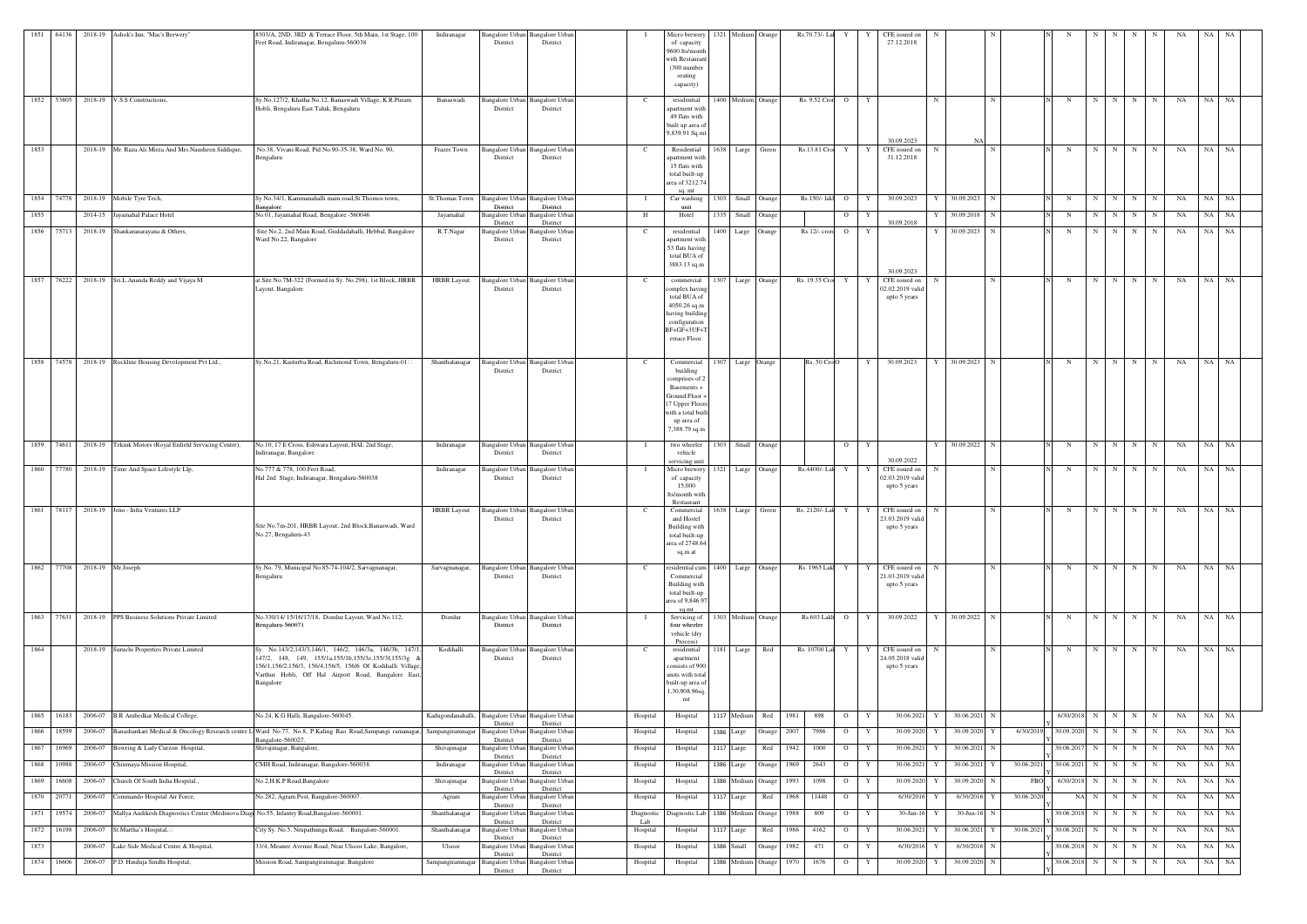|      |            |                              | 1851 64136 2018-19 Ashok's Inn, "Mac's Brewery"                                            | #303/A, 2ND, 3RD & Terrace Floor, 5th Main, 1st Stage, 100<br>Feet Road, Indiranagar, Bengaluru-560038                                                                                                                                            | Indiranagar        | Bangalore Urban Bangalore Urban<br>District                  | District                           |                 | Micro brewery<br>of capacity<br>9600 lts/month<br>with Restauran<br>(300 number<br>seating<br>capacity)                                         |      | 1321 Medium Orange      |              |      | Rs.70.73/- Lal      |                | Y Y<br>CFE issued on<br>27.12.2018                                    |                           |            |                |           |     | N<br>N           | NA | NA | NA        |  |
|------|------------|------------------------------|--------------------------------------------------------------------------------------------|---------------------------------------------------------------------------------------------------------------------------------------------------------------------------------------------------------------------------------------------------|--------------------|--------------------------------------------------------------|------------------------------------|-----------------|-------------------------------------------------------------------------------------------------------------------------------------------------|------|-------------------------|--------------|------|---------------------|----------------|-----------------------------------------------------------------------|---------------------------|------------|----------------|-----------|-----|------------------|----|----|-----------|--|
|      |            |                              | 1852 53805 2018-19 V.S.S Constructions,                                                    | Sy.No.127/2, Khatha No.12, Banaswadi Village, K.R.Puram<br>Hobli, Bengaluru East Taluk, Bengaluru                                                                                                                                                 | Banaswadi          | Bangalore Urban<br>District                                  | <b>Bangalore Urban</b><br>District | - C             | residential<br>apartment with<br>49 flats with<br>built up area of<br>9,839.91 Sq.mt                                                            |      | 1400 Medium Orange      |              |      | Rs. 9.52 Cron       | $O \mid Y$     | N<br>30.09.2023                                                       | $\mathbf N$<br>N/         |            | N              | N         | N I | N<br>N           | NA |    | NA NA     |  |
| 1853 |            |                              | 2018-19 Mr. Raza Ali Mirza And Mrs. Nausheen Siddique,                                     | No.38, Vivani Road, Pid No.90-35-38, Ward No. 90.<br>Bengaluru                                                                                                                                                                                    | Frazer Town        | <b>Bangalore Urban</b><br>District                           | <b>Bangalore Urban</b><br>District |                 | Residential<br>apartment with<br>15 flats with<br>total built-up<br>area of 3212.74                                                             | 1638 |                         | Large Green  |      | Rs.13.81 Cro        | Y              | CFE issued on<br>Y<br>-N<br>31.12.2018                                | N                         |            | N              | N         | N   | N<br>N           | NA |    | NA NA     |  |
|      |            |                              | 1854 74778 2018-19 Mobile Tyre Tech,                                                       | Sy No.34/1, Kammanahalli main road, St. Thomos town,<br><b>Bangalore</b>                                                                                                                                                                          | St. Thomas Town    | <b>Bangalore Urban</b><br>District                           | <b>Bangalore Urban</b><br>District | $\mathbf{I}$    | Car washing<br>unit                                                                                                                             | 1303 |                         | Small Orange |      | Rs.150/- lakl       | $\overline{O}$ | 30.09.2023<br>Y<br>Y                                                  | 30.09.2023<br>$\mathbf N$ |            | N              | $N$   $N$ |     | N<br>N           | NA |    | NA NA     |  |
| 1855 |            |                              | 2014-15 Jayamahal Palace Hotel                                                             | No.01, Jayamahal Road, Bengalore -560046                                                                                                                                                                                                          | Jayamahal          | <b>Bangalore Urban</b><br>District                           | Bangalore Urbar<br>District        | <b>H</b>        | Hotel                                                                                                                                           | 1335 |                         | Small Orange |      |                     | $\overline{O}$ | Y<br>30.09.2018                                                       | 30.09.2018<br>N           |            | N              | N         | N   | N<br>N           | NA | NA | NA        |  |
|      | 1856 75713 | 2018-19                      | Shankaranarayana & Others,                                                                 | Site No.2, 2nd Main Road, Guddadahalli, Hebbal, Bangalore<br>Ward No.22, Bangalore                                                                                                                                                                | R.T.Nagar          | Bangalore Urban<br>District                                  | Bangalore Urbar<br>District        | - 0             | residential<br>apartment with<br>53 flats having<br>total BUA of<br>3883.13 sq.m                                                                |      | 1400 Large              | Orange       |      | $Rs.12/-$ crore     | $\overline{O}$ | Y<br>30.09.2023                                                       | 30.09.2023<br>- N         |            | N              | N         | N   | N<br>$\mathbf N$ | NA |    | NA NA     |  |
|      |            |                              | 1857 76222 2018-19 Sri.L.Ananda Reddy and Vijaya M                                         | at Site No.7M-322 (Formed in Sy. No.298), 1st Block, HRBR<br>Layout, Bangalore.                                                                                                                                                                   | <b>HRBR</b> Layout | Bangalore Urban Bangalore Urban<br>District                  | District                           |                 | commercial<br>complex having<br>total BUA of<br>4050.26 sq.m<br>having building<br>configuration<br>BF+GF+3UF+1<br>errace Floor.                | 1307 |                         | Large Orange |      | Rs. 19.35 Cro.      | Y              | CFE issued on<br>Y<br>02.02.2019 valid<br>upto 5 years                | N                         |            | N              | N         | N   | N<br>N           | NA |    | NA NA     |  |
|      |            |                              | 1858 74578 2018-19 Rockline Housing Development Pvt Ltd.,                                  | Sy.No.21, Kasturba Road, Richmond Town, Bengaluru-01                                                                                                                                                                                              | Shanthalanagar     | Bangalore Urban<br>District                                  | <b>Bangalore Urban</b><br>District |                 | Commercial<br>building<br>comprises of 2<br>Basements +<br>Ground Floor -<br>17 Upper Floor<br>with a total buil<br>up area of<br>7,388.79 sq.m | 1307 | Large Orange            |              |      | Rs. 50 Cro O        |                | 30.09.2023<br>Y                                                       | 30.09.2023<br>$\mathbf N$ |            | N              | N         | N   | N<br>N           | NA |    | NA NA     |  |
|      | 1859 74611 |                              | 2018-19 Teknik Motors (Royal Enfield Servicing Centre),                                    | No.10, 17 E Cross, Eshwara Layout, HAL 2nd Stage,<br>Indiranagar, Bangalore.                                                                                                                                                                      | Indiranagar        | Bangalore Urban Bangalore Urban<br>District                  | District                           |                 | two wheeler<br>vehicle<br>servicing unit                                                                                                        | 1303 |                         | Small Orange |      |                     | $\overline{O}$ | Y<br>30.09.2022                                                       | 30.09.2022 N              |            | N              | N         | N   | N<br>N           | NA |    | NA NA     |  |
|      | 1860 77780 |                              | 2018-19 Time And Space Lifestyle Llp,                                                      | No.777 & 778, 100 Feet Road,<br>Hal 2nd Stage, Indiranagar, Bengaluru-560038                                                                                                                                                                      | Indiranagar        | Bangalore Urban<br>District                                  | Bangalore Urba<br>District         | $\mathbf{I}$    | Micro brewery<br>of capacity<br>15,000<br>lts/month with<br>Restaurant                                                                          | 1321 |                         | Large Orange |      | Rs.4400/-Lal Y Y    |                | CFE issued on<br>02.03.2019 valid<br>upto 5 years                     | N                         |            | N              | N         | N   | N<br>N           | NA | NA | NA        |  |
|      |            |                              | 1861 78117 2018-19 Jeno - Infra Ventures LLP                                               | Site No.7m-201, HRBR Layout, 2nd Block, Banaswadi, Ward<br>No.27, Bengaluru-43                                                                                                                                                                    | <b>HRBR</b> Layout | Bangalore Urban Bangalore Urban<br>District                  | District                           |                 | Commercial<br>and Hostel<br>Building with<br>total built-up<br>area of 2748.64<br>sq.m at                                                       |      | 1638 Large Green        |              |      | Rs. 2120/- Lal      | Y              | Y<br>CFE issued on<br>$\mathbf N$<br>23.03.2019 valid<br>upto 5 years | $\mathbf N$               |            | N              | N         | N   | N<br>N           | NA | NA | <b>NA</b> |  |
|      |            | 1862 77708 2018-19 Mr.Joseph |                                                                                            | Sy.No. 79, Municipal No.85-74-104/2, Sarvagnanagar,<br>Bengaluru                                                                                                                                                                                  | Sarvagnanagar,     | Bangalore Urban Bangalore Urban<br>District                  | District                           | - C             | residential cum<br>Commercial<br><b>Building</b> with<br>total built-up<br>area of 9,846.97<br>sq.mt                                            |      | 1400 Large Orange       |              |      | Rs. 1965 Lak        | Y Y            | CFE issued on<br>N<br>21.03.2019 valid<br>upto 5 years                |                           | N          | N              | N         | N   | N<br>N           | NA |    | NA NA     |  |
|      |            |                              | 1863 77631 2018-19 PPS Business Solutions Private Limited                                  | No.330/14/ 15/16/17/18, Domlur Layout, Ward No.112,<br>Bengaluru-560071                                                                                                                                                                           | Domlur             | Bangalore Urban Bangalore Urban<br>District                  | District                           | $\blacksquare$  | Servicing of<br>four wheeler<br>vehicle (dry<br>Process)                                                                                        |      | 1303 Medium Orange      |              |      | $Rs.603$ Lake O $Y$ |                | 30.09.2022<br>Y                                                       | 30.09.2022 N              |            | N              | N         | N   | N<br>N           | NA |    | NA NA     |  |
| 1864 |            |                              | 2018-19 Suruchi Properties Private Limited                                                 | Sy. No.143/2,143/3,146/1, 146/2, 146/3a, 146/3b, 147/1<br>147/2, 148, 149, 155/1a,155/1b,155/3e,155/3f,155/3g &<br>156/1,156/2,156/3, 156/4,156/5, 156/6 Of Kodihalli Village<br>Varthur Hobli, Off Hal Airport Road, Bangalore East<br>Bangalore | Kodihalli          | Bangalore Urban Bangalore Urban<br>District                  | District                           | <sup>- C</sup>  | residential<br>apartment<br>consists of 900<br>units with total<br>built-up area o<br>1,30,908.96sq.<br>mt                                      |      | 1181 Large Red          |              |      | Rs. 10700 Lal Y Y Y |                | CFE issued on<br>-N<br>24.05.2018 valid<br>upto 5 years               | $\mathbf N$               |            | N              | N         | N   | N<br>N           | NA |    | NA NA     |  |
|      | 1865 16183 |                              | 2006-07 B.R Ambedkar Medical College,                                                      | No.24, K.G Halli, Bangalore-560045.                                                                                                                                                                                                               | Kadugondanahalli,  | <b>Bangalore Urban</b><br>District                           | <b>Bangalore Urban</b><br>District | Hospital        | Hospital                                                                                                                                        |      | 1117 Medium             | Red 1981     |      | 898                 | $\overline{O}$ | 30.06.2021 Y<br>Y                                                     | 30.06.2021<br>N           |            | $6/30/2018$ N  |           | N   | N<br>N           | NA |    | NA NA     |  |
|      | 1866 18599 | 2006-07                      |                                                                                            | Banashankari Medical & Oncology Research centre LIWard No.77, No.8, P.Kaling Rao Road, Sampangi ramanagar,<br>Bangalore-560027                                                                                                                    | Sampangiramnagar   | <b>Bangalore</b> Urba<br>District                            | Bangalore Urban<br>District        | Hospital        | Hospital                                                                                                                                        |      | 1386 Large              | Orange 2007  |      | 7986                | $\overline{O}$ | 30.09.2020<br>Y                                                       | 30.09.2020                | 6/30/201   | 30.09.2020 N   |           | N   | N<br>N           | NA |    | NA NA     |  |
| 1867 | 16969      | 2006-07                      | Bowring & Lady Curzon Hospital,                                                            | Shivajinagar, Bangalore,                                                                                                                                                                                                                          | Shivajinagar       | Bangalore Urban<br>District                                  | Bangalore Urban<br>District        | Hospital        | Hospital                                                                                                                                        |      | 1117 Large              | Red          | 1942 | 1000                | $\overline{O}$ | 30.06.2021<br>Y                                                       | 30.06.2021<br>N           |            | 30.06.2017 N   |           | N   | N<br>N           | NA | NA | NA        |  |
|      | 1868 10988 | 2006-07                      | Chinmaya Mission Hospital,                                                                 | CMH Road, Indiranagar, Bangalore-560038.                                                                                                                                                                                                          | Indiranagar        | <b>Bangalore Urban</b>                                       | Bangalore Urban                    | Hospital        | Hospital                                                                                                                                        |      | 1386 Large              | Orange 1969  |      | 2643                | $\overline{O}$ | 30.06.2021<br>Y                                                       | 30.06.2021                | 30.06.202  | 30.06.2021     | N         | N   | N<br>N           | NA | NA | NA        |  |
| 1869 | 16608      | 2006-07                      | Church Of South India Hospital.,                                                           | No.2, H.K.P Road, Bangalore                                                                                                                                                                                                                       | Shivajinagar       | District<br>Bangalore Urban                                  | District<br>Bangalore Urban        | Hospital        | Hospital                                                                                                                                        |      | 1386 Medium Orange 1993 |              |      | 1098                | $\overline{O}$ | 30.09.2020 Y<br>Y                                                     | 30.09.2020<br>- N         | <b>FBO</b> | 6/30/2018 N    |           | N   | N<br>N           | NA | NA | NA        |  |
|      | 1870 20771 | 2006-07                      | 'ommando Hospital Air Force,                                                               | No.282, Agram Post, Bangalore-560007.                                                                                                                                                                                                             | Agram              | District<br>Bangalore Urban                                  | District<br>Bangalore Urban        | Hospital        | Hospital                                                                                                                                        |      | 1117 Large              | Red 1968     |      | 11448               | $\overline{O}$ | Y<br>6/30/2016                                                        | 6/30/2016                 | 30.06.2020 |                | NA N N    |     | N<br>N           | NA |    | NA NA     |  |
|      | 1871 19574 | 2006-07                      | Mallya Audikesh Diagnostics Center (Medinova Diagn No.55, Infantry Road, Bangalore-560001. |                                                                                                                                                                                                                                                   | Shanthalanagar     | District<br>Bangalore Urban                                  | District<br><b>Bangalore Urban</b> | Diagnostic      | Diagnostic Lab                                                                                                                                  |      | 1386 Medium Orange 1988 |              |      | 809                 | $\overline{O}$ | $30$ -Jun-16<br>Y                                                     | $30$ -Jun-16<br>- N       |            | 30.06.2018 N   |           | N   | N<br>N           | NA | NA | <b>NA</b> |  |
|      | 1872 16198 | 2006-07                      | St. Martha's Hospital,□                                                                    | City Sy. No.5, Nrupathunga Road, Bangalore-560001.                                                                                                                                                                                                | Shanthalanagar     | District<br>Bangalore Urban                                  | District<br><b>Bangalore Urban</b> | Lab<br>Hospital | Hospital                                                                                                                                        |      | 1117 Large              | Red 1986     |      | 4162                | $\overline{O}$ | 30.06.2021<br>Y<br>Y                                                  | 30.06.2021<br>-Y          | 30.06.202  | 30.06.2021 N   |           | N   | N<br>N           | NA |    | NA NA     |  |
| 1873 |            | 2006-07                      | Lake Side Medical Centre & Hospital,                                                       | 33/4, Meanee Avenue Road, Near Ulsoor Lake, Bangalore,                                                                                                                                                                                            | Ulsoor             | District<br><b>Bangalore Urban</b>                           | District<br><b>Bangalore Urban</b> | Hospital        | Hospital                                                                                                                                        |      | 1386 Small              | Orange 1982  |      | 471                 | $\overline{O}$ | Y<br>6/30/2016<br>Y                                                   | 6/30/2016<br>$\mathbf N$  |            | 30.06.2018 N   |           | N   | N<br>N           | NA | NA | <b>NA</b> |  |
|      | 1874 16606 |                              | 2006-07 P.D. Hinduja Sindhi Hospital,                                                      | Mission Road, Sampangiramnagar, Bangalore                                                                                                                                                                                                         |                    | District<br>Sampangiramnagar Bangalore Urban Bangalore Urban | District                           | Hospital        | Hospital                                                                                                                                        |      | 1386 Medium Orange 1970 |              |      | 1676                | $\overline{O}$ | Y<br>30.09.2020<br>Y                                                  | 30.09.2020<br>$\mathbf N$ |            | 30.06.2018 N N |           |     | N<br>N           | NA |    | NA NA     |  |
|      |            |                              |                                                                                            |                                                                                                                                                                                                                                                   |                    | District                                                     | District                           |                 |                                                                                                                                                 |      |                         |              |      |                     |                |                                                                       |                           |            |                |           |     |                  |    |    |           |  |